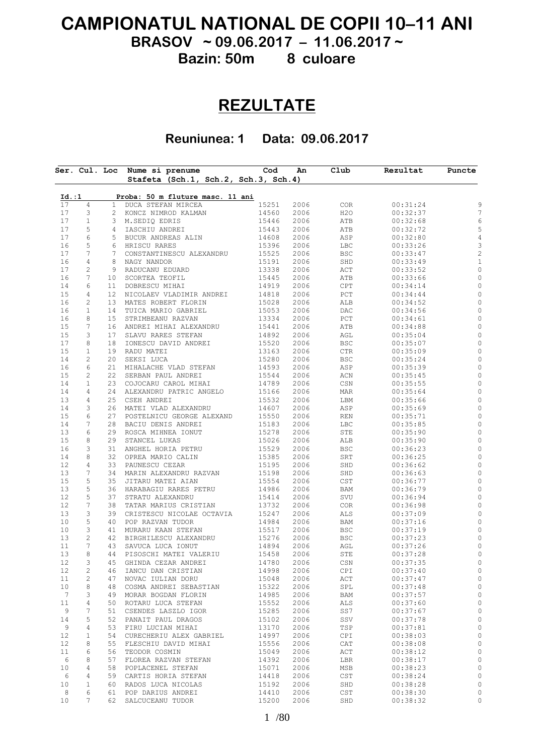## **CAMPIONATUL NATIONAL DE COPII 10–11 ANI BRASOV ~ 09.06.2017 – 11.06.2017 ~**

**Bazin: 50m 8 culoare**

## **REZULTATE**

**Reuniunea: 1 Data: 09.06.2017**

| Stafeta (Sch.1, Sch.2, Sch.3, Sch.4)<br>Proba: 50 m fluture masc. 11 ani<br>Id. : 1<br>$\overline{4}$<br>15251<br>1<br>DUCA STEFAN MIRCEA<br>2006<br>COR<br>H2O<br>3<br>14560<br>2006<br>2 KONCZ NIMROD KALMAN | 00:31:24 |  |
|----------------------------------------------------------------------------------------------------------------------------------------------------------------------------------------------------------------|----------|--|
|                                                                                                                                                                                                                |          |  |
|                                                                                                                                                                                                                |          |  |
|                                                                                                                                                                                                                |          |  |
| $1\,$<br>15446<br>2006                                                                                                                                                                                         | 00:32:37 |  |
| 3 M.SEDIQ EDRIS<br>ATB<br>5<br>2006<br>IASCHIU ANDREI                                                                                                                                                          | 00:32:68 |  |
| 15443<br>ATB<br>4<br>$\epsilon$<br>14608                                                                                                                                                                       | 00:32:72 |  |
| 5 BUCUR ANDREAS ALIN<br>2006<br>ASP<br>5                                                                                                                                                                       | 00:32:80 |  |
| 15396<br>2006<br><b>LBC</b><br>6<br>HRISCU RARES<br>$\overline{7}$                                                                                                                                             | 00:33:26 |  |
| CONSTANTINESCU ALEXANDRU<br>15525<br>$7^{\circ}$<br>2006<br>BSC                                                                                                                                                | 00:33:47 |  |
| $\overline{4}$<br>15191<br>8<br>NAGY NANDOR<br>2006<br>SHD                                                                                                                                                     | 00:33:49 |  |
| $\sqrt{2}$<br>13338<br>9<br>RADUCANU EDUARD<br>2006<br>ACT                                                                                                                                                     | 00:33:52 |  |
| 7<br>15445<br>10 <sub>1</sub><br>SCORTEA TEOFIL<br>2006<br>ATB                                                                                                                                                 | 00:33:66 |  |
| $\epsilon$<br>14919<br>11<br>DOBRESCU MIHAI<br>2006<br>CPT                                                                                                                                                     | 00:34:14 |  |
| 4<br>12<br>NICOLAEV VLADIMIR ANDREI<br>14818<br>2006<br>PCT                                                                                                                                                    | 00:34:44 |  |
| $\sqrt{2}$<br>13 <sup>°</sup><br>MATES ROBERT FLORIN<br>15028<br>2006<br>ALB                                                                                                                                   | 00:34:52 |  |
| $\mathbf{1}$<br>15053<br>2006<br>14<br>TUICA MARIO GABRIEL<br>DAC                                                                                                                                              | 00:34:56 |  |
| 8<br>13334<br>2006<br>15<br>STRIMBEANU RAZVAN<br>PCT                                                                                                                                                           | 00:34:61 |  |
| 7<br>15441<br>16<br>ANDREI MIHAI ALEXANDRU<br>2006<br>ATB                                                                                                                                                      | 00:34:88 |  |
| 3<br>14892<br>17<br>SLAVU RARES STEFAN<br>2006<br>AGL                                                                                                                                                          | 00:35:04 |  |
| 8<br>15520<br>18<br>IONESCU DAVID ANDREI<br>2006<br>BSC                                                                                                                                                        | 00:35:07 |  |
| $\mathbf{1}$<br>RADU MATEI<br>13163<br>2006<br>$\mathtt{CTR}$<br>19                                                                                                                                            | 00:35:09 |  |
| $\sqrt{2}$<br>20<br>15280<br>2006<br>SEKSI LUCA<br>BSC                                                                                                                                                         | 00:35:24 |  |
| $\epsilon$<br>21<br>14593<br>2006<br>ASP<br>MIHALACHE VLAD STEFAN                                                                                                                                              | 00:35:39 |  |
| $\overline{c}$<br>22<br>15544<br>2006<br>SERBAN PAUL ANDREI<br>ACN                                                                                                                                             | 00:35:45 |  |
| $\mathbf{1}$<br>23<br>14789<br>2006<br>$\mathbb{C}\mathbb{S}\mathbb{N}$<br>COJOCARU CAROL MIHAI                                                                                                                | 00:35:55 |  |
| $\overline{4}$<br>15166<br>2006<br>24<br>ALEXANDRU PATRIC ANGELO<br>MAR                                                                                                                                        | 00:35:64 |  |
| $\overline{4}$<br>25<br>15532<br>2006<br>CSEH ANDREI<br>LBM                                                                                                                                                    | 00:35:66 |  |
| 14607<br>3<br>MATEI VLAD ALEXANDRU<br>2006<br>26<br>ASP                                                                                                                                                        | 00:35:69 |  |
| $\epsilon$<br>15550<br>27<br>2006<br>POSTELNICU GEORGE ALEXAND<br>REN                                                                                                                                          | 00:35:71 |  |
| $7\phantom{.0}$<br>28<br>15183<br>2006<br>BACIU DENIS ANDREI<br>LBC                                                                                                                                            | 00:35:85 |  |
| 6<br>29<br>15278<br>ROSCA MIHNEA IONUT<br>2006<br>STE                                                                                                                                                          | 00:35:90 |  |
| 8<br>15026<br>29<br>STANCEL LUKAS<br>2006<br>ALB                                                                                                                                                               | 00:35:90 |  |
| 3<br>15529<br>2006<br>31<br>ANGHEL HORIA PETRU<br>BSC                                                                                                                                                          | 00:36:23 |  |
| 8<br>15385<br>2006<br>32<br>OPREA MARIO CALIN<br>SRT                                                                                                                                                           | 00:36:25 |  |
| $\overline{4}$<br>33<br>15195<br>PAUNESCU CEZAR<br>2006<br>SHD                                                                                                                                                 | 00:36:62 |  |
| $7\phantom{.0}$<br>15198<br>34<br>MARIN ALEXANDRU RAZVAN<br>2006<br>SHD                                                                                                                                        | 00:36:63 |  |
| 5<br>15554<br>35<br>JITARU MATEI AIAN<br>2006<br>CST                                                                                                                                                           | 00:36:77 |  |
| $\mathsf S$<br>14986<br>36<br>HARABAGIU RARES PETRU<br>2006<br>BAM                                                                                                                                             | 00:36:79 |  |
| 5<br>37<br>15414<br>2006<br>SVU<br>STRATU ALEXANDRU                                                                                                                                                            | 00:36:94 |  |
| 7<br>38<br>13732<br>TATAR MARIUS CRISTIAN<br>2006<br>COR                                                                                                                                                       | 00:36:98 |  |
| 3<br>39<br>15247<br>2006<br>CRISTESCU NICOLAE OCTAVIA<br>ALS                                                                                                                                                   | 00:37:09 |  |
| 5<br>14984<br>40<br>POP RAZVAN TUDOR<br>2006<br>BAM                                                                                                                                                            | 00:37:16 |  |
| 3<br>15517<br>2006<br>41<br>MURARU KAAN STEFAN<br>BSC                                                                                                                                                          | 00:37:19 |  |
| $\overline{c}$<br>42<br>15276<br>2006<br>BIRGHILESCU ALEXANDRU<br>BSC                                                                                                                                          | 00:37:23 |  |
| 7<br>14894<br>2006<br>43<br>SAVUCA LUCA IONUT<br>AGL                                                                                                                                                           | 00:37:26 |  |
| 8<br>15458<br>2006<br>44<br>PISOSCHI MATEI VALERIU<br>STE                                                                                                                                                      | 00:37:28 |  |
| 3<br>45<br>14780<br>2006<br>$\mathbb{C}\mathbb{S}\mathbb{N}$<br>GHINDA CEZAR ANDREI                                                                                                                            | 00:37:35 |  |
| $\mathbf{2}$<br>14998<br>IANCU DAN CRISTIAN<br>2006<br>CPI<br>46                                                                                                                                               | 00:37:40 |  |
| $\mathbf{2}$<br>15048<br>2006<br>ACT<br>47<br>NOVAC IULIAN DORU                                                                                                                                                | 00:37:47 |  |
| 8<br>15322<br>2006<br>COSMA ANDREI SEBASTIAN<br>SPL<br>48                                                                                                                                                      | 00:37:48 |  |
| 3<br>14985<br>2006<br>49<br>MORAR BOGDAN FLORIN<br>BAM                                                                                                                                                         | 00:37:57 |  |
| 4<br>50<br>ROTARU LUCA STEFAN<br>15552<br>2006<br>ALS                                                                                                                                                          | 00:37:60 |  |
| 7<br>15285<br>51<br>CSENDES LASZLO IGOR<br>2006<br>SS7                                                                                                                                                         | 00:37:67 |  |
| 5<br>52<br>PANAIT PAUL DRAGOS<br>15102<br>2006<br>SSV                                                                                                                                                          | 00:37:78 |  |
| 4<br>53<br>13170<br>2006<br>TSP<br>FIRU LUCIAN MIHAI                                                                                                                                                           | 00:37:81 |  |
| $\mathbf{1}$<br>54<br>CURECHERIU ALEX GABRIEL<br>14997<br>2006<br>CPI                                                                                                                                          | 00:38:03 |  |
| 8<br>55<br>FLESCHIU DAVID MIHAI<br>15556<br>2006<br>CAT                                                                                                                                                        | 00:38:08 |  |
| 6<br>56<br>TEODOR COSMIN<br>15049<br>2006<br>ACT                                                                                                                                                               | 00:38:12 |  |
| 8<br>57                                                                                                                                                                                                        |          |  |
| FLOREA RAZVAN STEFAN<br>14392<br>2006<br>LBR                                                                                                                                                                   | 00:38:17 |  |
| 4<br>58<br>POPLACENEL STEFAN<br>15071<br>2006<br>MSB                                                                                                                                                           | 00:38:23 |  |
| 4<br>59<br>CARTIS HORIA STEFAN<br>14418<br>2006<br>CST                                                                                                                                                         | 00:38:24 |  |
| $\mathbf{1}$<br>60<br>RADOS LUCA NICOLAS<br>15192<br>2006<br>SHD                                                                                                                                               | 00:38:28 |  |
| 6<br>61<br>POP DARIUS ANDREI<br>14410<br>2006<br>CST                                                                                                                                                           | 00:38:30 |  |
| 7<br>SALCUCEANU TUDOR<br>15200<br>62<br>2006<br>SHD                                                                                                                                                            | 00:38:32 |  |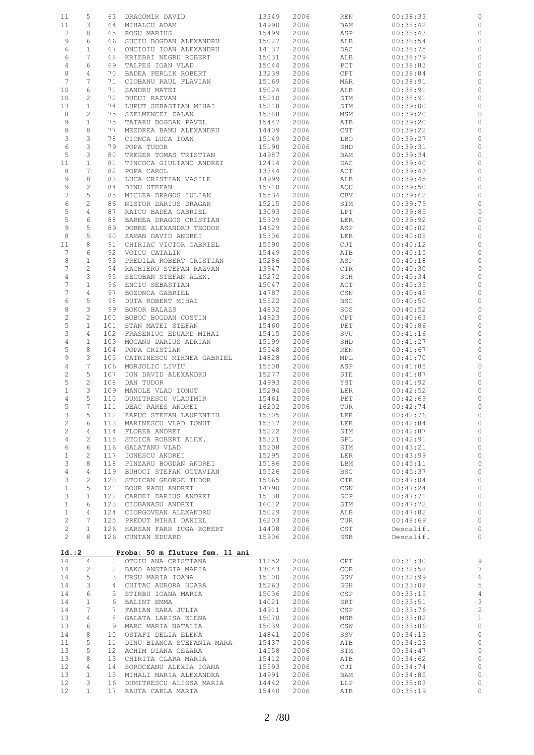| 11                    | 5               | 63              | DRAGOMIR DAVID                  | 13349 | 2006 | REN        | 00:38:33  | 0                                     |
|-----------------------|-----------------|-----------------|---------------------------------|-------|------|------------|-----------|---------------------------------------|
| 11                    | 3               | 64              | MIHALCU ADAM                    | 14990 | 2006 | BAM        | 00:38:42  | $\circ$                               |
| $7\phantom{.0}$       | 8               | 65              | ROSU MARIUS                     | 15499 | 2006 | ASP        | 00:38:43  | $\circ$                               |
| 9                     | 6               |                 |                                 |       |      |            |           |                                       |
|                       |                 | 66              | SUCIU BOGDAN ALEXANDRU          | 15027 | 2006 | ALB        | 00:38:54  | $\circ$                               |
| 6                     | $\mathbf{1}$    | 67              | ONCIOIU IOAN ALEXANDRU          | 14137 | 2006 | DAC        | 00:38:75  | 0                                     |
| 6                     | $\overline{7}$  | 68              | KRIZBAI NEGRU ROBERT            | 15031 | 2006 | ALB        | 00:38:79  | $\circ$                               |
| 4                     | 6               | 69              | TALPES IOAN VLAD                | 15044 | 2006 | PCT        | 00:38:83  | 0                                     |
| 8                     | 4               | 70              | BADEA PERLIK ROBERT             | 13239 | 2006 | CPT        | 00:38:84  | 0                                     |
| 7                     | 7               |                 |                                 |       |      |            |           |                                       |
|                       |                 | 71              | CIOBANU RAUL FLAVIAN            | 15169 | 2006 | MAR        | 00:38:91  | 0                                     |
| 10                    | 6               | 71              | SANDRU MATEI                    | 15024 | 2006 | ALB        | 00:38:91  | 0                                     |
| 10                    | $\mathbf{2}$    | 72              | DUDUI RAZVAN                    | 15210 | 2006 | STM        | 00:38:91  | 0                                     |
| 13                    | $\mathbf{1}$    | 74              | LUPUT SEBASTIAN MIHAI           | 15218 | 2006 | STM        | 00:39:00  | $\circ$                               |
| 8                     | 2               | 75              | SZELMENCZI ZALAN                | 15388 | 2006 | MSM        | 00:39:20  | $\circ$                               |
|                       | $\mathbf{1}$    | 75              |                                 |       | 2006 |            |           | $\circ$                               |
| 9                     |                 |                 | TATARU BOGDAN PAVEL             | 15447 |      | ATB        | 00:39:20  |                                       |
| 8                     | 8               | 77              | MEZDREA BANU ALEXANDRU          | 14409 | 2006 | CST        | 00:39:22  | 0                                     |
| 3                     | 3               | 78              | CIONCA LUCA IOAN                | 15149 | 2006 | LBO        | 00:39:27  | $\circ$                               |
| 6                     | 3               | 79              | POPA TUDOR                      | 15190 | 2006 | SHD        | 00:39:31  | 0                                     |
| 5                     | 3               | 80              | TREGER TOMAS TRISTIAN           | 14987 | 2006 | BAM        | 00:39:34  | $\circ$                               |
| 11                    | $\mathbf{1}$    | 81              | TINCOCA GIULIANO ANDREI         | 12414 | 2006 | DAC        | 00:39:40  | 0                                     |
| 8                     | 7               | 82              | POPA CAROL                      | 13344 | 2006 | ACT        | 00:39:43  | $\circ$                               |
|                       |                 |                 |                                 |       |      |            |           |                                       |
| 9                     | 8               | 83              | LUCA CRISTIAN VASILE            | 14999 | 2006 | ALB        | 00:39:45  | 0                                     |
| 9                     | $\mathbf{2}$    | 84              | DINU STEFAN                     | 15710 | 2006 | AQU        | 00:39:50  | $\circ$                               |
| $\overline{7}$        | 5               | 85              | MICLEA DRAGOS IULIAN            | 15534 | 2006 | CBV        | 00:39:62  | 0                                     |
| 6                     | $\overline{c}$  | 86              | NISTOR DARIUS DRAGAN            | 15215 | 2006 | STM        | 00:39:79  | $\circ$                               |
| 5                     | 4               | 87              | RAICU BADEA GABRIEL             | 13093 | 2006 | LPT        | 00:39:85  | 0                                     |
| $\mathsf S$           | 6               | 88              | BARNEA DRAGOS CRISTIAN          | 15309 | 2006 | LER        | 00:39:92  | $\circ$                               |
| 9                     | 5               | 89              |                                 |       |      |            |           |                                       |
|                       |                 |                 | DOBRE ALEXANDRU TEODOR          | 14629 | 2006 | ASP        | 00:40:02  | 0                                     |
| 8                     | 5               | 90              | ZAMAN DAVID ANDREI              | 15306 | 2006 | LER        | 00:40:05  | $\circ$                               |
| 11                    | 8               | 91              | CHIRIAC VICTOR GABRIEL          | 15590 | 2006 | CJI        | 00:40:12  | 0                                     |
| $7\phantom{.0}$       | 6               | 92              | VOICU CATALIN                   | 15449 | 2006 | ATB        | 00:40:15  | 0                                     |
| 8                     | $\mathbf{1}$    | 93              | PREDILA ROBERT CRISTIAN         | 15286 | 2006 | ASP        | 00:40:18  | 0                                     |
| $\overline{7}$        | $\overline{c}$  | 94              | RACHIERU STEFAN RAZVAN          | 13947 | 2006 | CTR        | 00:40:30  | 0                                     |
|                       |                 |                 |                                 |       |      |            |           |                                       |
| 4                     | 3               | 95              | SECOBAN STEFAN ALEX.            | 15272 | 2006 | SGH        | 00:40:34  | 0                                     |
| $\overline{7}$        | $\mathbf 1$     | 96              | ENCIU SEBASTIAN                 | 15047 | 2006 | ACT        | 00:40:35  | 0                                     |
| 7                     | $\overline{4}$  | 97              | BOZONCA GABRIEL                 | 14787 | 2006 | CSN        | 00:40:45  | 0                                     |
| 6                     | 5               | 98              | DUTA ROBERT MIHAI               | 15522 | 2006 | <b>BSC</b> | 00:40:50  | 0                                     |
| 8                     | 3               | 99              | BOKOR BALAZS                    | 14832 | 2006 | SOS        | 00:40:52  | 0                                     |
| $\mathbf{2}$          | $\overline{c}$  | 100             | BOBOC BOGDAN COSTIN             | 14923 | 2006 | CPT        | 00:40:63  | 0                                     |
|                       |                 |                 |                                 |       |      |            |           |                                       |
| 5                     | $\mathbf{1}$    | 101             | STAN MATEI STEFAN               | 15460 | 2006 | PET        | 00:40:86  | 0                                     |
| 3                     | 4               | 102             | FRASENIUC EDUARD MIHAI          | 15415 | 2006 | SVU        | 00:41:16  | 0                                     |
| $\overline{4}$        | $\mathbf{1}$    | 103             | MOCANU DARIUS ADRIAN            | 15199 | 2006 | SHD        | 00:41:27  | 0                                     |
| 5                     | 8               | 104             | POPA CRISTIAN                   | 15548 | 2006 | REN        | 00:41:67  | 0                                     |
| 9                     | 3               | 105             | CATRINESCU MIHNEA GABRIEL       | 14828 | 2006 | MPL        | 00:41:70  | 0                                     |
| $\sqrt{4}$            | 7               | 106             | MORJOLIC LIVIU                  | 15508 | 2006 | ASP        | 00:41:85  | 0                                     |
|                       |                 |                 |                                 |       |      |            |           |                                       |
| $\sqrt{2}$            | 5               | 107             | ION DAVID ALEXANDRU             | 15277 | 2006 | STE        | 00:41:87  | $\circ$                               |
| 5                     | $\overline{c}$  | 108             | DAN TUDOR                       | 14993 | 2006 | YST        | 00:41:92  | $\circ$                               |
| $\mathbf{1}$          | 3               | 109             | MANOLE VLAD IONUT               | 15294 | 2006 | LER        | 00:42:52  | $\circ$                               |
| 4                     | 5               | 110             | DUMITRESCU VLADIMIR             | 15461 | 2006 | PET        | 00:42:69  | 0                                     |
| 5                     | $7\phantom{.0}$ | 111             | DEAC RARES ANDREI               | 16202 | 2006 | TUR        | 00:42:74  | $\circ$                               |
|                       |                 |                 |                                 |       |      |            |           |                                       |
| З                     | 5               | 112             | ZAPUC STEFAN LAURENTIU          | 15305 | 2006 | LER        | 00:42:76  | 0                                     |
| 2                     | 6               |                 | 113 MARINESCU VLAD IONUT        | 15317 | 2006 | LER        | 00:42:84  | $\circ$                               |
| $\overline{c}$        | $\overline{4}$  | 114             | FLOREA ANDREI                   | 15222 | 2006 | STM        | 00:42:87  | $\circ$                               |
| 4                     | $\overline{c}$  | 115             | STOICA ROBERT ALEX.             | 15321 | 2006 | SPL        | 00:42:91  | $\circ$                               |
| 6                     | 6               | 116             | GALATANU VLAD                   | 15208 | 2006 | STM        | 00:43:21  | $\circ$                               |
| $\mathbf{1}$          | $\overline{c}$  | 117             | IONESCU ANDREI                  | 15295 | 2006 | LER        | 00:43:99  | $\circ$                               |
| $\mathcal{E}$         |                 |                 |                                 |       |      |            |           |                                       |
|                       | 8               | 118             | PINZARU BOGDAN ANDREI           | 15186 | 2006 | LBM        | 00:45:11  | $\circ$                               |
| $\overline{4}$        | $\overline{4}$  | 119             | BUHOCI STEFAN OCTAVIAN          | 15526 | 2006 | <b>BSC</b> | 00:45:37  | $\circ$                               |
| 3                     | $\overline{c}$  | 120             | STOICAN GEORGE TUDOR            | 15665 | 2006 | CTR        | 00:47:04  | $\circ$                               |
| $\mathbf{1}$          | 5               | 121             | BOUR RADU ANDREI                | 14790 | 2006 | CSN        | 00:47:24  | $\circ$                               |
| 3                     | $\mathbf{1}$    | 122             | CARDEI DARIUS ANDREI            | 15138 | 2006 | SCP        | 00:47:71  | $\circ$                               |
| $\mathbf{1}$          | 6               | 123             | CIOBANASU ANDREI                | 16012 | 2006 | STM        | 00:47:72  | $\circ$                               |
|                       |                 |                 |                                 |       |      |            |           |                                       |
| $\mathbf{1}$          | 4               | 124             | CIORGOVEAN ALEXANDRU            | 15029 | 2006 | ALB        | 00:47:82  | $\circ$                               |
| $\overline{c}$        | 7               | 125             | PREDUT MIHAI DANIEL             | 16203 | 2006 | TUR        | 00:48:69  | $\circ$                               |
| $\overline{c}$        | $\mathbf{1}$    | 126             | HARSAN FARR IUGA ROBERT         | 14408 | 2006 | CST        | Descalif. | $\circ$                               |
| $\mathbf{2}^{\prime}$ | 8               |                 | 126 CUNTAN EDUARD               | 15906 | 2006 | SSB        | Descalif. | $\circ$                               |
|                       |                 |                 |                                 |       |      |            |           |                                       |
| Id.:2                 |                 |                 | Proba: 50 m fluture fem. 11 ani |       |      |            |           |                                       |
| 14                    | 4               | $1 \quad$       | OTOIU ANA CRISTIANA             | 11252 | 2006 | CPT        | 00:31:30  | 9                                     |
| 14                    | 2               |                 | 2 BAKO ANSTASIA MARIA           | 13043 | 2006 | COR        | 00:32:58  | $\overline{7}$                        |
| 14                    | 5               | 3               | URSU MARIA IOANA                | 15100 | 2006 | SSV        | 00:32:99  | $\epsilon$                            |
| 14                    | 3               | 4               | CHITAC AURORA HOARA             | 15263 | 2006 | SGH        | 00:33:08  | 5                                     |
| 14                    | 6               | 5               | STIRBU IOANA MARIA              | 15036 | 2006 | CSP        | 00:33:15  | $\overline{4}$                        |
| 14                    | $\mathbf{1}$    | 6               | BALINT EMMA                     | 14021 | 2006 | SRT        | 00:33:51  | $\mathbf{3}$                          |
|                       |                 |                 |                                 |       |      |            |           |                                       |
| 14                    | 7               | 7               | FABIAN SARA JULIA               | 14911 | 2006 | CSP        | 00:33:76  | $\begin{array}{c} 2 \\ 1 \end{array}$ |
| 13                    | 4               | 8               | GALATA LARISA ELENA             | 15070 | 2006 | MSB        | 00:33:82  |                                       |
| 13                    | 6               | 9               | MARC MARIA NATALIA              | 15039 | 2006 | CSW        | 00:33:86  | $\mathbb O$                           |
| 14                    | 8               | 10              | OSTAFI DELIA ELENA              | 14841 | 2006 | SSV        | 00:34:13  | $\circ$                               |
| 11                    | 5               | 11              | DINU BIANCA STEFANIA MARA       | 15437 | 2006 | ATB        | 00:34:23  | $\mathbb O$                           |
|                       |                 |                 |                                 |       |      |            |           |                                       |
| 13                    | 5               | 12 <sup>°</sup> | ACHIM DIANA CEZARA              | 14558 | 2006 | STM        | 00:34:47  | $\circ$                               |
| 13                    | 8               | 13              | CHIRITA CLARA MARIA             | 15412 | 2006 | ATB        | 00:34:62  | $\circ$                               |
| 12                    | 4               | 14              | SOROCEANU ALEXIA IOANA          | 15593 | 2006 | CJI        | 00:34:74  | $\circ$                               |
| 13                    | $\mathbf{1}$    | 15              | MIHALI MARIA ALEXANDRA          | 14991 | 2006 | BAM        | 00:34:85  | $\circ$                               |
| 12                    | 3               | 16              | DUMITRESCU ALISSA MARIA         | 14442 | 2006 | LLP        | 00:35:03  | $\circ$                               |
| 12                    | $\mathbf{1}$    |                 | 17 RAUTA CARLA MARIA            | 15440 | 2006 | ATB        | 00:35:19  | $\circ$                               |
|                       |                 |                 |                                 |       |      |            |           |                                       |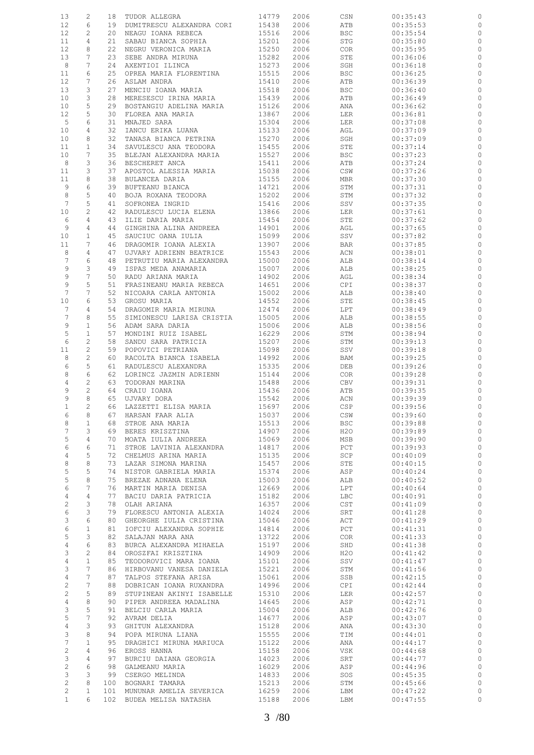| 13              | $\mathbf{2}$    | 18  | TUDOR ALLEGRA             | 14779 | 2006 | CSN         | 00:35:43 |              |
|-----------------|-----------------|-----|---------------------------|-------|------|-------------|----------|--------------|
| 12              | 6               | 19  | DUMITRESCU ALEXANDRA CORI | 15438 | 2006 | ATB         | 00:35:53 | 0            |
| 12              | $\mathbf{2}$    | 20  | NEAGU IOANA REBECA        | 15516 | 2006 | <b>BSC</b>  | 00:35:54 | 0            |
| 11              | $\overline{4}$  | 21  | SABAU BIANCA SOPHIA       | 15201 | 2006 | STG         | 00:35:80 | 0            |
|                 |                 |     |                           |       |      |             |          |              |
| 12              | 8               | 22  | NEGRU VERONICA MARIA      | 15250 | 2006 | <b>COR</b>  | 00:35:95 | 0            |
| 13              | 7               | 23  | SEBE ANDRA MIRUNA         | 15282 | 2006 | STE         | 00:36:06 | $\circ$      |
| 8               | 7               | 24  | AXENTIOI ILINCA           | 15273 | 2006 | SGH         | 00:36:18 | 0            |
| 11              | 6               | 25  | OPREA MARIA FLORENTINA    | 15515 | 2006 | <b>BSC</b>  | 00:36:25 | 0            |
|                 |                 |     |                           |       |      |             |          |              |
| 12              | 7               | 26  | ASLAM ANDRA               | 15410 | 2006 | ATB         | 00:36:39 | 0            |
| 13              | 3               | 27  | MENCIU IOANA MARIA        | 15518 | 2006 | <b>BSC</b>  | 00:36:40 | 0            |
| 10              | 3               | 28  | MERESESCU IRINA MARIA     | 15439 | 2006 | ATB         | 00:36:49 | 0            |
| 10              | 5               | 29  | BOSTANGIU ADELINA MARIA   | 15126 | 2006 | ANA         | 00:36:62 | 0            |
|                 |                 |     |                           |       |      |             |          |              |
| 12              | 5               | 30  | FLOREA ANA MARIA          | 13867 | 2006 | LER         | 00:36:81 | 0            |
| 5               | 6               | 31  | MNAJED SARA               | 15304 | 2006 | LER         | 00:37:08 | 0            |
| 10              | 4               | 32  | IANCU ERIKA LUANA         | 15133 | 2006 | AGL         | 00:37:09 | 0            |
| 10              | 8               | 32  | TANASA BIANCA PETRINA     | 15270 | 2006 | SGH         | 00:37:09 | $\circ$      |
| 11              | $\mathbf{1}$    | 34  |                           | 15455 |      | STE         | 00:37:14 | 0            |
|                 |                 |     | SAVULESCU ANA TEODORA     |       | 2006 |             |          |              |
| 10 <sub>o</sub> | 7               | 35  | BLEJAN ALEXANDRA MARIA    | 15527 | 2006 | <b>BSC</b>  | 00:37:23 | $\circ$      |
| 8               | 3               | 36  | BESCHERET ANCA            | 15411 | 2006 | ATB         | 00:37:24 | 0            |
| 11              | 3               | 37  | APOSTOL ALESSIA MARIA     | 15038 | 2006 | CSW         | 00:37:26 | $\circ$      |
| 11              | 8               | 38  | BULANCEA DARIA            | 15155 | 2006 | MBR         | 00:37:30 | 0            |
|                 |                 |     |                           |       |      |             |          |              |
| 9               | 6               | 39  | BUFTEANU BIANCA           | 14721 | 2006 | STM         | 00:37:31 | $\circ$      |
| 8               | 5               | 40  | BOJA ROXANA TEODORA       | 15202 | 2006 | STM         | 00:37:32 | 0            |
| $7\phantom{.0}$ | 5               | 41  | SOFRONEA INGRID           | 15416 | 2006 | SSV         | 00:37:35 | $\circ$      |
| 10              | $\mathbf{2}$    | 42  | RADULESCU LUCIA ELENA     | 13866 | 2006 | LER         | 00:37:61 | 0            |
| 6               | 4               | 43  | ILIE DARIA MARIA          | 15454 | 2006 | ${\tt STE}$ | 00:37:62 | $\circ$      |
|                 |                 |     |                           |       |      |             |          |              |
| 9               | $\overline{4}$  | 44  | GINGHINA ALINA ANDREEA    | 14901 | 2006 | AGL         | 00:37:65 | 0            |
| 10              | $\mathbf{1}$    | 45  | SAUCIUC OANA IULIA        | 15099 | 2006 | SSV         | 00:37:82 | $\circ$      |
| 11              | 7               | 46  | DRAGOMIR IOANA ALEXIA     | 13907 | 2006 | BAR         | 00:37:85 | 0            |
|                 |                 |     |                           |       |      |             |          |              |
| 8               | 4               | 47  | UJVARY ADRIENN BEATRICE   | 15543 | 2006 | ACN         | 00:38:01 | $\circ$      |
| $7\phantom{.0}$ | 6               | 48  | PETRUTIU MARIA ALEXANDRA  | 15000 | 2006 | ALB         | 00:38:14 | 0            |
| 9               | 3               | 49  | ISPAS MEDA ANAMARIA       | 15007 | 2006 | ALB         | 00:38:25 | $\circ$      |
| 9               | 7               | 50  | RADU ARIANA MARIA         | 14902 | 2006 | AGL         | 00:38:34 | 0            |
| 9               | 5               |     |                           |       |      |             |          |              |
|                 |                 | 51  | FRASINEANU MARIA REBECA   | 14651 | 2006 | CPI         | 00:38:37 | $\circ$      |
| $7\phantom{.0}$ | 7               | 52  | NICOARA CARLA ANTONIA     | 15002 | 2006 | ALB         | 00:38:40 | 0            |
| 10              | 6               | 53  | GROSU MARIA               | 14552 | 2006 | STE         | 00:38:45 | 0            |
| 7               | 4               | 54  | DRAGOMIR MARIA MIRUNA     | 12474 | 2006 | LPT         | 00:38:49 | 0            |
| $7\phantom{.0}$ | 8               | 55  | SIMIONESCU LARISA CRISTIA | 15005 | 2006 | ALB         | 00:38:55 | 0            |
|                 |                 |     |                           |       |      |             |          |              |
| 9               | 1               | 56  | ADAM SARA DARIA           | 15006 | 2006 | ALB         | 00:38:56 | 0            |
| $\mathsf S$     | $\mathbf 1$     | 57  | MONDINI RUIZ ISABEL       | 16229 | 2006 | STM         | 00:38:94 | 0            |
| 6               | $\mathbf{2}$    | 58  | SANDU SARA PATRICIA       | 15207 | 2006 | STM         | 00:39:13 | 0            |
| 11              | 2               | 59  | POPOVICI PETRIANA         | 15098 | 2006 | SSV         | 00:39:18 | 0            |
|                 |                 |     |                           |       |      |             |          |              |
| 8               | $\mathbf{2}$    | 60  | RACOLTA BIANCA ISABELA    | 14992 | 2006 | BAM         | 00:39:25 | 0            |
| 6               | 5               | 61  | RADULESCU ALEXANDRA       | 15335 | 2006 | DEB         | 00:39:26 | 0            |
| 8               | 6               | 62  | LORINCZ JAZMIN ADRIENN    | 15144 | 2006 | COR         | 00:39:28 | 0            |
| 4               | 2               | 63  | TODORAN MARINA            | 15488 | 2006 | CBV         | 00:39:31 | $\circ$      |
|                 |                 |     |                           |       |      |             |          |              |
| 9               | $\mathbf{2}$    | 64  | CRAIU IOANA               | 15436 | 2006 | ATB         | 00:39:35 | 0            |
| 9               | 8               | 65  | UJVARY DORA               | 15542 | 2006 | ACN         | 00:39:39 | 0            |
| $\mathbf{1}$    | $\mathbf{2}$    | 66  | LAZZETTI ELISA MARIA      | 15697 | 2006 | CSP         | 00:39:56 | $\circ$      |
| 6               | 8               | 67  | HARSAN FAAR ALIA          | 15037 | 2006 | CSW         | 00:39:60 |              |
| 8               | 1               | 68  | STROE ANA MARIA           | 15513 | 2006 | <b>BSC</b>  | 00:39:88 | 0            |
|                 |                 |     |                           |       |      |             |          |              |
| 7               | 3               | 69  | BERES KRISZTINA           | 14907 | 2006 | H2O         | 00:39:89 | $\circ$      |
| 5               | 4               | 70  | MOATA IULIA ANDREEA       | 15069 | 2006 | MSB         | 00:39:90 | $\circ$      |
| 6               | 6               | 71  | STROE LAVINIA ALEXANDRA   | 14817 | 2006 | PCT         | 00:39:93 | $\circ$      |
| 4               | 5               | 72  | CHELMUS ARINA MARIA       | 15135 | 2006 | SCP         | 00:40:09 | $\circ$      |
| 8               | 8               | 73  | LAZAR SIMONA MARINA       | 15457 | 2006 | STE         | 00:40:15 | $\circ$      |
|                 |                 |     |                           |       |      |             |          |              |
| 5               | 5               | 74  | NISTOR GABRIELA MARIA     | 15374 | 2006 | ASP         | 00:40:24 | $\circ$      |
| 5               | 8               | 75  | BREZAE ADNANA ELENA       | 15003 | 2006 | ALB         | 00:40:52 | $\circ$      |
| 6               | 7               | 76  | MARTIN MARIA DENISA       | 12669 | 2006 | LPT         | 00:40:64 | $\circ$      |
| 4               | 4               | 77  | BACIU DARIA PATRICIA      | 15182 | 2006 | LBC         | 00:40:91 | $\circ$      |
| $\overline{c}$  | 3               | 78  | OLAH ARIANA               | 16357 | 2006 | CST         | 00:41:09 | $\circ$      |
|                 |                 |     |                           |       |      |             |          |              |
| 6               | 3               | 79  | FLORESCU ANTONIA ALEXIA   | 14024 | 2006 | SRT         | 00:41:28 | $\circ$      |
| 3               | 6               | 80  | GHEORGHE IULIA CRISTINA   | 15046 | 2006 | ACT         | 00:41:29 | $\circ$      |
| 6               | $\mathbf{1}$    | 81  | IOFCIU ALEXANDRA SOPHIE   | 14814 | 2006 | PCT         | 00:41:31 | $\circ$      |
| $\mathsf S$     | 3               | 82  | SALAJAN MARA ANA          | 13722 | 2006 | COR.        | 00:41:33 | $\circ$      |
| $\overline{4}$  | 6               | 83  | BURCA ALEXANDRA MIHAELA   | 15197 | 2006 | SHD         | 00:41:38 | $\circ$      |
|                 |                 |     |                           |       |      |             |          |              |
| 3               | $\mathbf{2}$    | 84  | OROSZFAI KRISZTINA        | 14909 | 2006 | H20         | 00:41:42 | $\circ$      |
| $\overline{4}$  | $\mathbf{1}$    | 85  | TEODOROVICI MARA IOANA    | 15101 | 2006 | SSV         | 00:41:47 | $\circ$      |
| $\mathsf 3$     | $7\phantom{.0}$ | 86  | HIRBOVANU VANESA DANIELA  | 15221 | 2006 | STM         | 00:41:56 | $\circ$      |
| 4               | $7\phantom{.0}$ | 87  | TALPOS STEFANA ARISA      | 15061 | 2006 | SSB         | 00:42:15 | $\circ$      |
| $\overline{c}$  | $7\phantom{.0}$ | 88  | DOBRICAN IOANA RUXANDRA   | 14996 | 2006 | CPI         | 00:42:44 | $\circ$      |
|                 |                 |     |                           |       |      |             |          |              |
| $\overline{c}$  | 5               | 89  | STUPINEAN AKINYI ISABELLE | 15310 | 2006 | LER         | 00:42:57 | $\circ$      |
| $\overline{4}$  | 8               | 90  | PIPER ANDREEA MADALINA    | 14645 | 2006 | ASP         | 00:42:71 | $\circ$      |
| 3               | 5               | 91  | BELCIU CARLA MARIA        | 15004 | 2006 | ALB         | 00:42:76 | $\mathbb{C}$ |
| $\mathsf S$     | 7               | 92  | AVRAM DELIA               | 14677 | 2006 | ASP         | 00:43:07 | $\mathbb O$  |
|                 |                 |     |                           |       |      |             |          |              |
| 4               | 3               | 93  | GHITUN ALEXANDRA          | 15128 | 2006 | ANA         | 00:43:30 | $\mathbb O$  |
| $\mathsf 3$     | 8               | 94  | POPA MIRUNA LIANA         | 15555 | 2006 | TIM         | 00:44:01 | $\mathbb O$  |
| $7\phantom{.0}$ | $\mathbf{1}$    | 95  | DRAGHICI MIRUNA MARIUCA   | 15122 | 2006 | ANA         | 00:44:17 | $\mathbb O$  |
| $\overline{c}$  | $\overline{4}$  | 96  | EROSS HANNA               | 15158 | 2006 | VSK         | 00:44:68 | $\mathbb{O}$ |
| 3               | 4               | 97  | BURCIU DAIANA GEORGIA     | 14023 | 2006 | SRT         | 00:44:77 | $\circ$      |
|                 |                 |     |                           |       |      |             |          |              |
| $\sqrt{2}$      | 6               | 98  | GALMEANU MARIA            | 16029 | 2006 | ASP         | 00:44:96 | $\mathbb{O}$ |
| $\mathcal{E}$   | 3               |     | 99 CSERGO MELINDA         | 14833 | 2006 | SOS         | 00:45:35 | $\circ$      |
| $\overline{2}$  | 8               | 100 | BOGNARI TAMARA            | 15213 | 2006 | STM         | 00:45:66 | $\circ$      |
| $\overline{c}$  | $\mathbf{1}$    | 101 | MUNUNAR AMELIA SEVERICA   | 16259 | 2006 | LBM         | 00:47:22 | $\circ$      |
| $\mathbf{1}$    | 6               |     | 102 BUDEA MELISA NATASHA  | 15188 | 2006 | LBM         | 00:47:55 | $\circ$      |
|                 |                 |     |                           |       |      |             |          |              |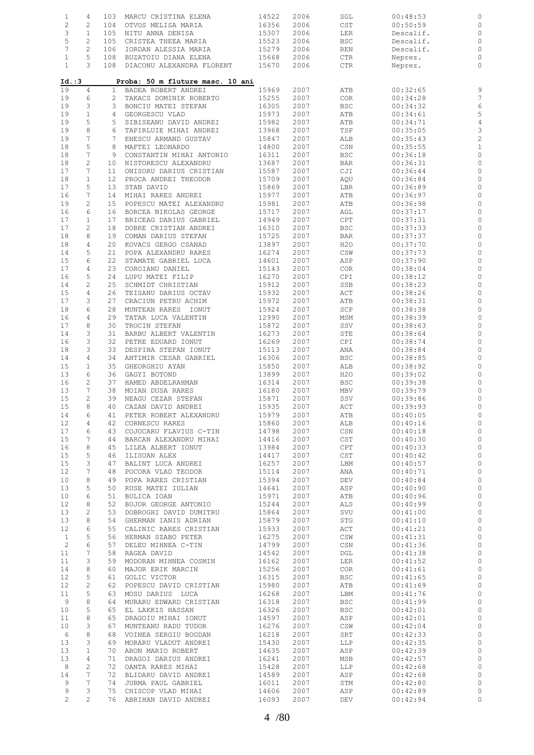| $\mathbf{1}$                  | 4                   | 103          | MARCU CRISTINA ELENA                                    | 14522          | 2006         | SGL                                     | 00:48:53             |                                         |
|-------------------------------|---------------------|--------------|---------------------------------------------------------|----------------|--------------|-----------------------------------------|----------------------|-----------------------------------------|
| $\overline{c}$                | 2                   | 104          | OTVOS MELISA MARIA                                      | 16356          | 2006         | $\mathop{\tt CST}\nolimits$             | 00:50:59             | 0                                       |
| $\ensuremath{\mathsf{3}}$     | $\mathbf{1}$        | 105          | NITU ANNA DENISA                                        | 15307          | 2006         | LER                                     | Descalif.            | $\circ$                                 |
| $\mathsf S$<br>$\overline{7}$ | $\overline{c}$<br>2 | 105<br>106   | CRISTEA THEEA MARIA                                     | 15523<br>15279 | 2006<br>2006 | <b>BSC</b>                              | Descalif.            | $\circ$<br>$\circ$                      |
| $\mathbf{1}$                  | 5                   | 108          | IORDAN ALESSIA MARIA<br>BUZATOIU DIANA ELENA            | 15668          | 2006         | REN<br>CTR                              | Descalif.<br>Neprez. | $\circ$                                 |
| $\mathbf{1}$                  | 3                   | 108          | DIACONU ALEXANDRA FLORENT                               | 15670          | 2006         | CTR                                     | Neprez.              | $\circ$                                 |
|                               |                     |              |                                                         |                |              |                                         |                      |                                         |
| Id. : 3<br>19                 | 4                   | $\mathbf{1}$ | Proba: 50 m fluture masc. 10 ani<br>BADEA ROBERT ANDREI | 15969          | 2007         | ATB                                     | 00:32:65             | 9                                       |
| 19                            | 6                   | 2            | TAKACS DOMINIK ROBERTO                                  | 15255          | 2007         | COR                                     | 00:34:28             | 7                                       |
| 19                            | 3                   | 3            | BONCIU MATEI STEFAN                                     | 16305          | 2007         | BSC                                     | 00:34:32             | $\epsilon$                              |
| 19                            | $\mathbf 1$         | 4            | GEORGESCU VLAD                                          | 15973          | 2007         | ATB                                     | 00:34:61             | 5                                       |
| 19                            | 5                   | 5            | SIBISEANU DAVID ANDREI                                  | 15982          | 2007         | ATB                                     | 00:34:71             | $\overline{4}$                          |
| 19                            | 8                   | 6            | TAPIRLUIE MIHAI ANDREI                                  | 13968          | 2007         | TSP                                     | 00:35:05             | 3                                       |
| 19<br>18                      | 7<br>5              | 7<br>8       | ENESCU ARMAND GUSTAV<br>MAFTEI LEONARDO                 | 15847          | 2007         | ALB                                     | 00:35:43             | $\overline{\mathbf{c}}$<br>$\mathbf{1}$ |
| 18                            | 7                   | 9            | CONSTANTIN MIHAI ANTONIO                                | 14800<br>16311 | 2007<br>2007 | CSN<br><b>BSC</b>                       | 00:35:55<br>00:36:18 | $\circ$                                 |
| 18                            | $\mathbf{2}$        | 10           | NISTORESCU ALEXANDRU                                    | 13687          | 2007         | <b>BAR</b>                              | 00:36:31             | $\circ$                                 |
| 17                            | 7                   | 11           | ONISORU DARIUS CRISTIAN                                 | 15587          | 2007         | CJI                                     | 00:36:44             | $\circ$                                 |
| 18                            | $\mathbf 1$         | 12           | PROCA ANDREI THEODOR                                    | 15709          | 2007         | AQU                                     | 00:36:84             | 0                                       |
| 17                            | 5                   | 13           | STAN DAVID                                              | 15869          | 2007         | LBR                                     | 00:36:89             | $\circ$                                 |
| 16                            | 7                   | 14           | MIHAI RARES ANDREI                                      | 15977          | 2007         | ATB                                     | 00:36:97             | 0                                       |
| 19                            | $\overline{c}$      | 15           | POPESCU MATEI ALEXANDRU                                 | 15981          | 2007         | ATB                                     | 00:36:98             | $\circ$                                 |
| 16                            | 6                   | 16           | BORCEA NIKOLAS GEORGE                                   | 15717          | 2007         | AGL                                     | 00:37:17             | 0                                       |
| 17                            | $\mathbf 1$         | 17           | BRICEAG DARIUS GABRIEL                                  | 14949          | 2007         | $\mathtt{CPT}$                          | 00:37:31             | $\circ$                                 |
| 17                            | $\mathbf{2}$        | 18           | DOBRE CRISTIAN ANDREI                                   | 16310          | 2007         | <b>BSC</b>                              | 00:37:33             | $\circ$                                 |
| 18<br>18                      | 8<br>4              | 19<br>20     | COMAN DARIUS STEFAN<br>KOVACS GERGO CSANAD              | 15725<br>13897 | 2007<br>2007 | <b>BAR</b><br>H2O                       | 00:37:37             | $\circ$                                 |
| 14                            | 5                   | 21           | POPA ALEXANDRU RARES                                    | 16274          | 2007         | $\mathbb{CSW}$                          | 00:37:70<br>00:37:73 | 0<br>$\circ$                            |
| 15                            | 6                   | 22           | STAMATE GABRIEL LUCA                                    | 14601          | 2007         | ASP                                     | 00:37:90             | $\circ$                                 |
| 17                            | 4                   | 23           | COROIANU DANIEL                                         | 15143          | 2007         | COR                                     | 00:38:04             | $\circ$                                 |
| 16                            | 5                   | 24           | LUPU MATEI FILIP                                        | 16270          | 2007         | CPI                                     | 00:38:12             | 0                                       |
| 14                            | $\mathbf{2}$        | 25           | SCHMIDT CHRISTIAN                                       | 15912          | 2007         | SSB                                     | 00:38:23             | $\circ$                                 |
| 15                            | $\overline{4}$      | 26           | TEISANU DARIUS OCTAV                                    | 15932          | 2007         | ACT                                     | 00:38:26             | 0                                       |
| 17                            | 3                   | 27           | CRACIUN PETRU ACHIM                                     | 15972          | 2007         | ATB                                     | 00:38:31             | $\circ$                                 |
| 18                            | 6                   | 28           | MUNTEAN RARES IONUT                                     | 15924          | 2007         | SCP                                     | 00:38:38             | 0                                       |
| 16                            | 4                   | 29           | TATAR LUCA VALENTIN                                     | 12990          | 2007         | MSM                                     | 00:38:39             | $\circ$                                 |
| 17                            | 8                   | 30           | TROCIN STEFAN                                           | 15872          | 2007         | SSV                                     | 00:38:63             | $\circ$                                 |
| 14                            | 3<br>3              | 31<br>32     | BARBU ALBERT VALENTIN                                   | 16273          | 2007         | STE                                     | 00:38:64             | $\circ$                                 |
| 16<br>18                      | 3                   | 33           | PETRE EDUARD IONUT<br>DESPINA STEFAN IONUT              | 16269<br>15113 | 2007<br>2007 | CPI<br>ANA                              | 00:38:74<br>00:38:84 | 0<br>0                                  |
| 14                            | 4                   | 34           | ANTIMIR CESAR GABRIEL                                   | 16306          | 2007         | BSC                                     | 00:38:85             | 0                                       |
| 15                            | $\mathbf{1}$        | 35           | GHEORGHIU AYAN                                          | 15850          | 2007         | ALB                                     | 00:38:92             | $\circ$                                 |
| 13                            | 6                   | 36           | GAGYI BOTOND                                            | 13899          | 2007         | H2O                                     | 00:39:02             | 0                                       |
| 16                            | 2                   | 37           | HAMED ABDELRAHMAN                                       | 16314          | 2007         | $_{\rm BSC}$                            | 00:39:38             | $\circ$                                 |
| 13                            | 7                   | 38           | MOIAN DUSA RARES                                        | 16180          | 2007         | MBV                                     | 00:39:79             | 0                                       |
| 15                            | $\mathbf{2}$        | 39           | NEAGU CEZAR STEFAN                                      | 15871          | 2007         | SSV                                     | 00:39:86             | 0                                       |
| 15                            | 8                   | 40           | CAZAN DAVID ANDREI                                      | 15935          | 2007         | ACT                                     | 00:39:93             | $\circ$                                 |
| 14                            | 6                   | 41           | PETER ROBERT ALEXANDRU                                  | 15979          | 2007         | ATB                                     | 00:40:05             |                                         |
| 12                            | 4                   | 42           | CORNESCU RARES                                          | 15860          | 2007         | ALB                                     | 00:40:16             | 0                                       |
| 17                            | 6<br>7              | 43<br>44     | COJOCARU FLAVIUS C-TIN                                  | 14798          | 2007         | CSN                                     | 00:40:18             | $\circ$                                 |
| 15<br>16                      | 8                   | 45           | BARCAN ALEXANDRU MIHAI<br>LILEA ALBERT IONUT            | 14416<br>13984 | 2007<br>2007 | CST<br>CPT                              | 00:40:30<br>00:40:33 | $\circ$<br>$\circ$                      |
| 15                            | 5                   | 46           | ILISUAN ALEX                                            | 14417          | 2007         | CST                                     | 00:40:42             | $\mathbb{C}$                            |
| 15                            | 3                   | 47           | BALINT LUCA ANDREI                                      | 16257          | 2007         | LBM                                     | 00:40:57             | $\circ$                                 |
| 12                            | 7                   | 48           | POCORA VLAD TEODOR                                      | 15114          | 2007         | ANA                                     | 00:40:71             | $\mathbb O$                             |
| 10                            | 8                   | 49           | POPA RARES CRISTIAN                                     | 15394          | 2007         | DEV                                     | 00:40:84             | $\mathbb O$                             |
| 13                            | 5                   | 50           | RUSE MATEI IULIAN                                       | 14641          | 2007         | ASP                                     | 00:40:90             | $\circ$                                 |
| 10                            | 6                   | 51           | BULICA IOAN                                             | 15971          | 2007         | ATB                                     | 00:40:96             | $\circ$                                 |
| $12 \overline{ }$             | 8                   | 52           | BUJOR GEORGE ANTONIO                                    | 15244          | 2007         | ALS                                     | 00:40:99             | $\circ$                                 |
| 13                            | $\mathbf{2}$        | 53           | DOBROGHI DAVID DUMITRU                                  | 15864          | 2007         | SVU                                     | 00:41:00             | $\mathbb{C}$                            |
| 13                            | 8                   | 54           | GHERMAN IANIS ADRIAN                                    | 15879          | 2007         | STG                                     | 00:41:10             | $\mathbb O$                             |
| 12                            | 6                   | 55           | CALINIC RARES CRISTIAN                                  | 15933          | 2007         | ACT                                     | 00:41:21             | $\circ$                                 |
| $\mathbf{1}$                  | 5<br>6              | 56           | HERMAN SZABO PETER                                      | 16275          | 2007         | CSW                                     | 00:41:31             | $\circ$                                 |
| $\overline{c}$<br>11          | 7                   | 57<br>58     | DELEU MIHNEA C-TIN<br>RAGEA DAVID                       | 14799<br>14542 | 2007<br>2007 | CSN<br>$\mathbb{D}\mathbb{G}\mathbb{L}$ | 00:41:36<br>00:41:38 | $\mathbb{C}$<br>$\circ$                 |
| 11                            | 3                   | 59           | MODORAN MIHNEA COSMIN                                   | 16162          | 2007         | LER                                     | 00:41:52             | $\mathbb O$                             |
| 14                            | 8                   | 60           | MAJOR ERIK MARCIN                                       | 15256          | 2007         | COR                                     | 00:41:61             | $\mathbb{C}$                            |
| 12                            | 5                   | 61           | GOLIC VICTOR                                            | 16315          | 2007         | <b>BSC</b>                              | 00:41:65             | $\mathbb O$                             |
| 12                            | $\mathbf{2}$        | 62           | POPESCU DAVID CRISTIAN                                  | 15980          | 2007         | ATB                                     | 00:41:69             | $\mathbb O$                             |
| 11                            | 5                   | 63           | MOSU DARIUS LUCA                                        | 16268          | 2007         | LBM                                     | 00:41:76             | $\mathbb{O}$                            |
| 9                             | 8                   | 64           | MURARU EDWARD CRISTIAN                                  | 16318          | 2007         | <b>BSC</b>                              | 00:41:99             | $\mathbb O$                             |
| 10                            | 5                   | 65           | EL LAKKIS HASSAN                                        | 16326          | 2007         | <b>BSC</b>                              | 00:42:01             | $\mathbb{C}$                            |
| 11                            | 8                   | 65           | DRAGOIU MIHAI IONUT                                     | 14597          | 2007         | ASP                                     | 00:42:01             | $\circ$                                 |
| 10                            | 3                   | 67           | MUNTEANU RADU TUDOR                                     | 16276          | 2007         | CSW                                     | 00:42:04             | $\mathbb O$                             |
| 6                             | 8                   | 68           | VOINEA SERGIU BOGDAN                                    | 16218          | 2007         | SRT                                     | 00:42:33             | $\circ$                                 |
| 13                            | 3                   | 69           | MORARU VLADUT ANDREI                                    | 15430          | 2007         | LLP                                     | 00:42:35             | $\mathbb O$                             |
| 13                            | $\mathbf{1}$        | 70           | ARON MARIO ROBERT                                       | 14635          | 2007         | ASP                                     | 00:42:39             | $\mathbb{C}$                            |
| 13                            | 4                   | 71           | DRAGOI DARIUS ANDREI                                    | 16241          | 2007         | MSB                                     | 00:42:57             | $\mathbb O$                             |
| 8                             | $\mathbf{2}$<br>7   | 72<br>72     | OANTA RARES MIHAI                                       | 15428<br>14589 | 2007         | LLP                                     | 00:42:68             | $\circ$<br>$\circ$                      |
| 14<br>9                       | 7                   | 74           | BLIDARU DAVID ANDREI<br>JURMA PAUL GABRIEL              | 16011          | 2007<br>2007 | ASP<br>STM                              | 00:42:68<br>00:42:80 | $\circ$                                 |
| 9                             | 3                   | 75           | CHISCOP VLAD MIHAI                                      | 14606          | 2007         | ASP                                     | 00:42:89             | $\circ$                                 |
| $\overline{2}$                | $\overline{2}$      |              | 76 ABRIHAN DAVID ANDREI                                 | 16093          | 2007         | DEV                                     | 00:42:94             | $\circ$                                 |
|                               |                     |              |                                                         |                |              |                                         |                      |                                         |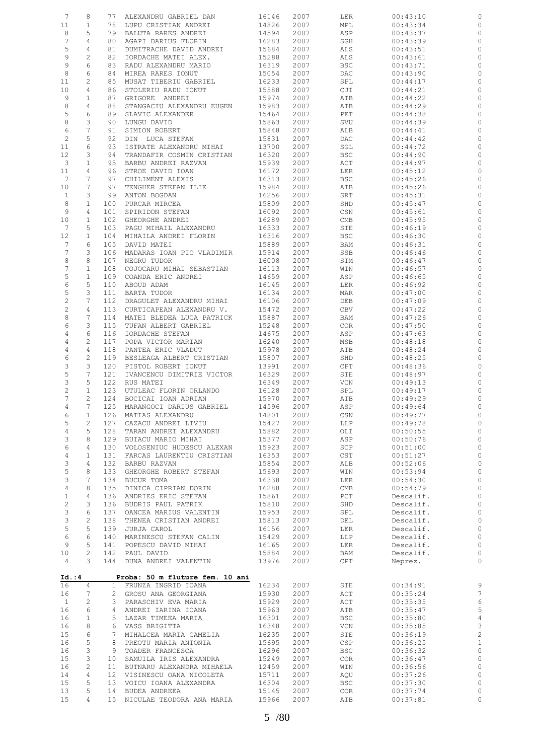| $7\phantom{.0}$       | 8                 | 77              | ALEXANDRU GABRIEL DAN                                    | 16146          | 2007         | LER                         | 00:43:10  | 0                           |
|-----------------------|-------------------|-----------------|----------------------------------------------------------|----------------|--------------|-----------------------------|-----------|-----------------------------|
| 11                    | $\mathbf 1$       | 78              | LUPU CRISTIAN ANDREI                                     | 14826          | 2007         | MPL                         | 00:43:34  | 0                           |
| 8                     | 5                 | 79              | BALUTA RARES ANDREI                                      | 14594          | 2007         | ASP                         | 00:43:37  | 0                           |
| $7\phantom{.0}$       | 4                 | 80              | AGAPI DARIUS FLORIN                                      | 16283          | 2007         | SGH                         | 00:43:39  | 0                           |
| 5                     | 4                 | 81              | DUMITRACHE DAVID ANDREI                                  | 15684          | 2007         | ALS                         | 00:43:51  | 0                           |
| 9                     | $\overline{c}$    | 82              | IORDACHE MATEI ALEX.                                     | 15288          | 2007         | ALS                         | 00:43:61  | $\circ$                     |
| 9                     | 6                 | 83              | RADU ALEXANDRU MARIO                                     | 16319          | 2007         | <b>BSC</b>                  | 00:43:71  | 0                           |
| 8                     | 6                 | 84              | MIREA RARES IONUT                                        | 15054          | 2007         | DAC                         | 00:43:90  | $\circ$                     |
| 11                    | 2                 | 85              | MUSAT TIBERIU GABRIEL                                    | 16233          | 2007         | SPL                         | 00:44:17  | 0                           |
| 10                    | 4                 | 86              | STOLERIU RADU IONUT                                      | 15588          | 2007         | CJI                         | 00:44:21  | 0                           |
| 9                     | $\mathbf{1}$      | 87              | GRIGORE ANDREI                                           | 15974          | 2007         | ATB                         | 00:44:22  | $\circ$                     |
| $\,8\,$               | $\overline{4}$    | 88              | STANGACIU ALEXANDRU EUGEN                                | 15983          | 2007         | ATB                         | 00:44:29  | 0                           |
| 5                     | 6                 | 89              | SLAVIC ALEXANDER                                         | 15464          | 2007         | PET                         | 00:44:38  | 0                           |
| 8                     | 3                 | 90              | LUNGU DAVID                                              | 15863          | 2007         | SVU                         | 00:44:39  | 0                           |
| 6                     | 7                 | 91              | SIMION ROBERT                                            | 15848          | 2007         | ALB                         | 00:44:41  | 0                           |
| 2                     | 5                 | 92              | DIN LUCA STEFAN                                          | 15831          | 2007         | DAC                         | 00:44:42  | 0                           |
| 11                    | 6                 | 93              |                                                          | 13700          |              |                             |           |                             |
|                       |                   |                 | ISTRATE ALEXANDRU MIHAI                                  |                | 2007         | SGL                         | 00:44:72  | 0                           |
| 12<br>3               | 3<br>$\mathbf{1}$ | 94<br>95        | TRANDAFIR COSMIN CRISTIAN                                | 16320<br>15939 | 2007<br>2007 | <b>BSC</b>                  | 00:44:90  | $\circ$                     |
|                       | $\overline{4}$    | 96              | BARBU ANDREI RAZVAN                                      |                |              | ACT                         | 00:44:97  | 0                           |
| 11<br>$7\phantom{.0}$ | 7                 | 97              | STROE DAVID IOAN                                         | 16172          | 2007         | LER                         | 00:45:12  | 0                           |
|                       | 7                 |                 | CHILIMENT ALEXIS                                         | 16313          | 2007         | <b>BSC</b>                  | 00:45:26  | 0                           |
| 10                    |                   | 97              | TENGHER STEFAN ILIE                                      | 15984          | 2007         | ATB                         | 00:45:26  | 0                           |
| $\mathbf{1}$          | 3                 | 99              | ANTON BOGDAN                                             | 16256          | 2007         | SRT                         | 00:45:31  | 0                           |
| 8                     | $\mathbf{1}$      | 100             | PURCAR MIRCEA                                            | 15809          | 2007         | SHD                         | 00:45:47  | 0                           |
| 9                     | 4                 | 101             | SPIRIDON STEFAN                                          | 16092          | 2007         | CSN                         | 00:45:61  | 0                           |
| 10                    | $\mathbf{1}$      | 102             | GHEORGHE ANDREI                                          | 16289          | 2007         | CMB                         | 00:45:95  | 0                           |
| $7\phantom{.0}$       | 5                 | 103             | PAGU MIHAIL ALEXANDRU                                    | 16333          | 2007         | STE                         | 00:46:19  | 0                           |
| 12                    | $\mathbf{1}$      | 104             | MIHAILA ANDREI FLORIN                                    | 16316          | 2007         | BSC                         | 00:46:30  | 0                           |
| 7                     | 6                 | 105             | DAVID MATEI                                              | 15889          | 2007         | BAM                         | 00:46:31  | 0                           |
| 7                     | 3                 | 106             | MADARAS IOAN PIO VLADIMIR                                | 15914          | 2007         | SSB                         | 00:46:46  | $\circ$                     |
| 8                     | 8                 | 107             | NEGRU TUDOR                                              | 16008          | 2007         | STM                         | 00:46:47  | 0                           |
| $\overline{7}$        | $\mathbf{1}$      | 108             | COJOCARU MIHAI SEBASTIAN                                 | 16113          | 2007         | WIN                         | 00:46:57  | $\circ$                     |
| 5                     | $\mathbf{1}$      | 109             | COANDA ERIC ANDREI                                       | 14659          | 2007         | ASP                         | 00:46:65  | 0                           |
| 6                     | 5                 | 110             | ABOUD ADAM                                               | 16145          | 2007         | LER                         | 00:46:92  | 0                           |
| 5                     | 3                 | 111             | BARTA TUDOR                                              | 16134          | 2007         | MAR                         | 00:47:00  | 0                           |
| $\sqrt{2}$            | 7                 | 112             | DRAGULET ALEXANDRU MIHAI                                 | 16106          | 2007         | DEB                         | 00:47:09  | 0                           |
| $\overline{c}$        | 4                 | 113             | CURTICAPEAN ALEXANDRU V.                                 | 15472          | 2007         | CBV                         | 00:47:22  | $\circ$                     |
| 8                     | 7                 | 114             | MATEI BLEDEA LUCA PATRICK                                | 15887          | 2007         | BAM                         | 00:47:26  | 0                           |
| 6                     | 3                 | 115             | TUFAN ALBERT GABRIEL                                     | 15248          | 2007         | <b>COR</b>                  | 00:47:50  | 0                           |
| $\,4$                 | 6                 | 116             | IORDACHE STEFAN                                          | 14675          | 2007         | ASP                         | 00:47:63  | 0                           |
| $\,4$                 | $\mathbf{2}$      | 117             | POPA VICTOR MARIAN                                       | 16240          | 2007         | MSB                         | 00:48:18  | 0                           |
| $\sqrt{4}$            | $\overline{4}$    | 118             | PANTEA ERIC VLADUT                                       | 15978          | 2007         | ATB                         | 00:48:24  | $\circ$                     |
| 6                     | $\mathbf{2}$      | 119             | BESLEAGA ALBERT CRISTIAN                                 | 15807          | 2007         | SHD                         | 00:48:25  | 0                           |
| 3                     | 3                 | 120             | PISTOL ROBERT IONUT                                      | 13991          | 2007         | CPT                         | 00:48:36  | 0                           |
| 5                     | 7                 | 121             | IVANCENCU DIMITRIE VICTOR                                | 16329          | 2007         | STE                         | 00:48:97  | 0                           |
| 3                     | 5                 | 122             | RUS MATEI                                                | 16349          | 2007         | VCN                         | 00:49:13  | 0                           |
| $\overline{c}$        | $\mathbf{1}$      | 123             | UTULEAC FLORIN ORLANDO                                   | 16128          | 2007         | SPL                         | 00:49:17  | 0                           |
| 7                     | 2                 | 124             | BOCICAI IOAN ADRIAN                                      | 15970          | 2007         | ATB                         | 00:49:29  | 0                           |
| 4                     | 7                 |                 | 125 MARANGOCI DARIUS GABRIEL                             | 14596          | 2007         | ASP                         | 00:49:64  | $\circ$                     |
| 6                     | 1                 | 126             | MATIAS ALEXANDRU                                         | 14801          | 2007         | CSN                         | 00:49:77  | 0                           |
| 5                     | 2                 | 127             | CAZACU ANDREI LIVIU                                      | 15427          | 2007         | LLP                         | 00:49:78  | $\circ$                     |
| 4                     | 5                 | 128             | TARAN ANDREI ALEXANDRU                                   | 15882          | 2007         | OLI                         | 00:50:55  | $\circ$                     |
| 3                     | 8                 | 129             | BUIACU MARIO MIHAI                                       | 15377          | 2007         | ASP                         | 00:50:76  | $\circ$                     |
| 6                     | 4                 | 130             | VOLOSENIUC HUDESCU ALEXAN                                | 15923          | 2007         | SCP                         | 00:51:00  | $\circ$                     |
| $\overline{4}$        | $\mathbf{1}$      | 131             | FARCAS LAURENTIU CRISTIAN                                | 16353          | 2007         | CST                         | 00:51:27  | $\circ$                     |
| 3                     | 4                 | 132             | BARBU RAZVAN                                             | 15854          | 2007         | ALB                         | 00:52:06  | $\circ$                     |
| 5                     | 8                 | 133             | GHEORGHE ROBERT STEFAN                                   | 15693          | 2007         | WIN                         | 00:53:94  | $\circ$                     |
| 3                     | 7                 | 134             | BUCUR TOMA                                               | 16338          | 2007         | LER                         | 00:54:30  | $\circ$                     |
| $\overline{4}$        | 8                 | 135             | DINICA CIPRIAN DORIN                                     | 16288          | 2007         | $\mathop{\rm CMB}\nolimits$ | 00:54:79  | $\circ$                     |
| $\mathbf{1}$          | 4                 | 136             | ANDRIES ERIC STEFAN                                      | 15861          | 2007         | PCT                         | Descalif. | $\circ$                     |
| $\mathbf{2}$          | 3                 | 136             | BUDRIS PAUL PATRIK                                       | 15810          | 2007         | SHD                         | Descalif. | $\circ$                     |
| 3                     | 6                 | 137             | OANCEA MARIUS VALENTIN                                   | 15953          | 2007         | SPL                         | Descalif. | $\circ$                     |
| 3                     | $\mathbf{2}$      | 138             | THENEA CRISTIAN ANDREI                                   | 15813          | 2007         | DEL                         | Descalif. | $\circ$                     |
| 5                     | 5                 | 139             | JURJA CAROL                                              | 16156          | 2007         | LER                         | Descalif. | $\circ$                     |
| 6                     | 6                 | 140             | MARINESCU STEFAN CALIN                                   | 15429          | 2007         | LLP                         | Descalif. | $\circ$                     |
| 9                     | 5                 | 141             | POPESCU DAVID MIHAI                                      | 16165          | 2007         | LER                         | Descalif. | $\circ$                     |
| 10                    | $\mathbf{2}$      | 142             | PAUL DAVID                                               | 15884          | 2007         | BAM                         | Descalif. | $\circ$                     |
|                       | 3                 |                 |                                                          |                |              |                             |           |                             |
| 4                     |                   |                 | 144 DUNA ANDREI VALENTIN                                 | 13976          | 2007         | CPT                         | Neprez.   | $\circ$                     |
| Id. : 4<br>16         | 4                 |                 | Proba: 50 m fluture fem. 10 ani<br>1 FRUNZA INGRID IOANA | 16234          | 2007         | STE                         | 00:34:91  | 9                           |
| 16                    | 7                 |                 | 2 GROSU ANA GEORGIANA                                    | 15930          | 2007         | ACT                         | 00:35:24  | $\overline{7}$              |
| $\mathbf{1}$          | 2                 | 3               | PARASCHIV EVA MARIA                                      | 15929          | 2007         | ACT                         | 00:35:35  | $\epsilon$                  |
| 16                    | 6                 | 4               | ANDREI IARINA IOANA                                      | 15963          | 2007         | ATB                         | 00:35:47  | 5                           |
| 16                    | $\mathbf{1}$      | 5               | LAZAR TIMEEA MARIA                                       | 16301          | 2007         | <b>BSC</b>                  | 00:35:80  | $\overline{4}$              |
| 16                    | 8                 | 6               | VASS BRIGITTA                                            | 16348          | 2007         | VCN                         | 00:35:85  | $\mathcal{S}_{\mathcal{S}}$ |
| 15                    | 6                 | 7               | MIHALCEA MARIA CAMELIA                                   | 16235          | 2007         | STE                         | 00:36:19  | $\overline{c}$              |
| 16                    | 5                 | 8               | PREOTU MARIA ANTONIA                                     | 15695          | 2007         | CSP                         | 00:36:25  | $\mathbf{1}$                |
| 16                    | 3                 | 9               | TOADER FRANCESCA                                         | 16296          | 2007         | <b>BSC</b>                  | 00:36:32  | $\circ$                     |
| 15                    | 3                 | 10              | SAMUILA IRIS ALEXANDRA                                   | 15249          | 2007         | <b>COR</b>                  | 00:36:47  | $\circ$                     |
| 16                    | $\overline{c}$    | 11              | BUTNARU ALEXANDRA MIHAELA                                | 12459          | 2007         | WIN                         | 00:36:56  | $\circ$                     |
| 14                    | 4                 | 12 <sup>°</sup> | VISINESCU OANA NICOLETA                                  | 15711          | 2007         | AQU                         | 00:37:26  | $\circ$                     |
| 15                    | 5                 | 13              | VOICU IOANA ALEXANDRA                                    | 16304          | 2007         | <b>BSC</b>                  | 00:37:30  | $\circ$                     |
| 13                    | 5                 | 14              | BUDEA ANDREEA                                            | 15145          | 2007         | COR                         | 00:37:74  | 0                           |
| 15                    | 4                 | 15              |                                                          | 15966          | 2007         |                             |           | $\circ$                     |
|                       |                   |                 | NICULAE TEODORA ANA MARIA                                |                |              | ATB                         | 00:37:81  |                             |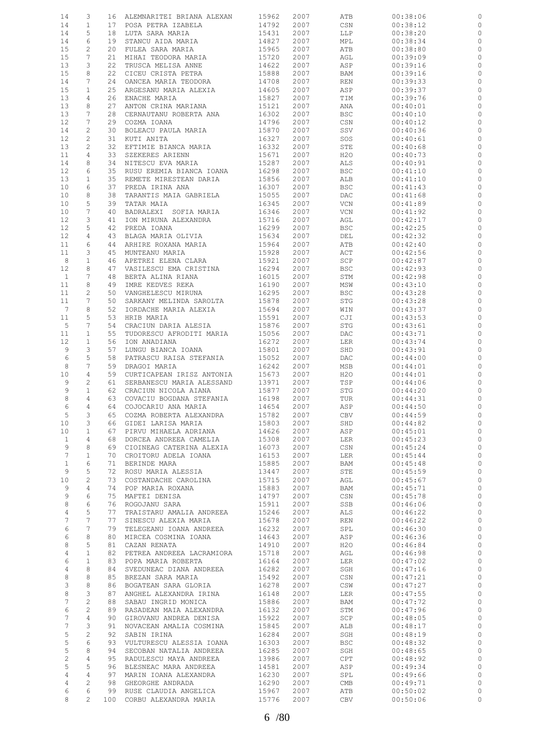| 14                | 3               |    | 16 ALEMNARITEI BRIANA ALEXAN                          | 15962      | 2007 | ATB        | 00:38:06 |              |
|-------------------|-----------------|----|-------------------------------------------------------|------------|------|------------|----------|--------------|
| 14                | $\mathbf{1}$    |    | 17 POSA PETRA IZABELA                                 | 14792      | 2007 | CSN        | 00:38:12 | 0            |
| 14                | 5               |    | 18 LUTA SARA MARIA                                    | 15431      | 2007 | LLP        | 00:38:20 | $\circ$      |
| 14                | 6               | 19 | STANCU AIDA MARIA                                     | 14827      | 2007 | MPL        | 00:38:34 | 0            |
| 15                | 2               | 20 | FULEA SARA MARIA                                      | 15965      | 2007 | ATB        | 00:38:80 | $\circ$      |
|                   |                 |    |                                                       |            |      |            |          |              |
| 15                | 7               | 21 | MIHAI TEODORA MARIA                                   | 15720      | 2007 | AGL        | 00:39:09 | 0            |
| 13                | 3               | 22 | TRUSCA MELISA ANNE                                    | 14622      | 2007 | ASP        | 00:39:16 | $\circ$      |
| 15                | 8               | 22 | CICEU CRISTA PETRA                                    | 15888      | 2007 | BAM        | 00:39:16 | 0            |
| 14                | 7               | 24 | OANCEA MARIA TEODORA                                  | 14708      | 2007 | REN        | 00:39:33 | $\circ$      |
| 15                | $\mathbf{1}$    | 25 | ARGESANU MARIA ALEXIA                                 | 14605      | 2007 | ASP        | 00:39:37 | 0            |
| 13                | 4               | 26 | ENACHE MARIA                                          | 15827      | 2007 | TIM        | 00:39:76 | 0            |
|                   |                 |    | ANTON CRINA MARIANA                                   |            | 2007 |            | 00:40:01 |              |
| 13                | 8               | 27 |                                                       | 15121      |      | ANA        |          | 0            |
| 13                | 7               | 28 | CERNAUTANU ROBERTA ANA                                | 16302      | 2007 | <b>BSC</b> | 00:40:10 | $\circ$      |
| 12                | 7               | 29 | COZMA IOANA                                           | 14796      | 2007 | CSN        | 00:40:12 | 0            |
| 14                | 2               | 30 | BOLEACU PAULA MARIA                                   | 15870      | 2007 | SSV        | 00:40:36 | 0            |
| 12                | $\overline{c}$  | 31 | KUTI ANITA                                            | 16327      | 2007 | SOS        | 00:40:61 | 0            |
| 13                | 2               | 32 | EFTIMIE BIANCA MARIA                                  | 16332      | 2007 | STE        | 00:40:68 | $\circ$      |
| 11                | 4               | 33 | SZEKERES ARIENN                                       | 15671      | 2007 | H2O        | 00:40:73 | 0            |
| 14                | 8               | 34 |                                                       | 15287      | 2007 |            |          | 0            |
|                   |                 |    | NITESCU EVA MARIA                                     |            |      | ALS        | 00:40:91 |              |
| 12                | 6               | 35 | RUSU EREMIA BIANCA IOANA                              | 16298      | 2007 | BSC        | 00:41:10 | 0            |
| 13                | $\mathbf{1}$    | 35 | REMETE MIRESTEAN DARIA                                | 15856      | 2007 | ALB        | 00:41:10 | 0            |
| 10                | 6               | 37 | PREDA IRINA ANA                                       | 16307      | 2007 | <b>BSC</b> | 00:41:43 | 0            |
| 10                | 8               | 38 | TARANTIS MAIA GABRIELA                                | 15055      | 2007 | DAC        | 00:41:68 | 0            |
| 10                | 5               | 39 | TATAR MAIA                                            | 16345      | 2007 | VCN        | 00:41:89 | 0            |
| 10                | 7               | 40 | BADRALEXI SOFIA MARIA                                 | 16346      | 2007 | VCN        | 00:41:92 | 0            |
| 12                | 3               | 41 |                                                       | 15716      | 2007 |            |          | $\circ$      |
|                   |                 |    | ION MIRUNA ALEXANDRA                                  |            |      | AGL        | 00:42:17 |              |
| 12                | 5               | 42 | PREDA IOANA                                           | 16299      | 2007 | <b>BSC</b> | 00:42:25 | 0            |
| 12                | $\overline{4}$  |    | 43 BLAGA MARIA OLIVIA                                 | 15634      | 2007 | DEL        | 00:42:32 | 0            |
| 11                | 6               | 44 | ARHIRE ROXANA MARIA                                   | 15964      | 2007 | ATB        | 00:42:40 | 0            |
| 11                | 3               |    | 45 MUNTEANU MARIA                                     | 15928      | 2007 | ACT        | 00:42:56 | $\circ$      |
| 8                 | $\mathbf{1}$    | 46 | APETREI ELENA CLARA                                   | 15921      | 2007 | SCP        | 00:42:87 | 0            |
| $12 \overline{ }$ | 8               | 47 | VASILESCU EMA CRISTINA                                | 16294      | 2007 | BSC        | 00:42:93 | $\circ$      |
|                   |                 |    |                                                       |            |      |            |          |              |
| $\mathbf{1}$      | 7               | 48 | BERTA ALINA RIANA                                     | 16015      | 2007 | STM        | 00:42:98 | 0            |
| 11                | 8               | 49 | IMRE KEDVES REKA                                      | 16190      | 2007 | MSW        | 00:43:10 | $\circ$      |
| 11                | $\mathbf{2}$    | 50 | VANGHELESCU MIRUNA                                    | 16295      | 2007 | <b>BSC</b> | 00:43:28 | 0            |
| 11                | 7               | 50 | SARKANY MELINDA SAROLTA                               | 15878      | 2007 | STG        | 00:43:28 | $\circ$      |
| 7                 | 8               | 52 | IORDACHE MARIA ALEXIA                                 | 15694      | 2007 | WIN        | 00:43:37 | 0            |
| 11                | 5               | 53 | HRIB MARIA                                            | 15591      | 2007 | CJI        | 00:43:53 | $\circ$      |
| 5                 | 7               | 54 |                                                       | 15876      |      |            |          |              |
|                   |                 |    | CRACIUN DARIA ALESIA                                  |            | 2007 | STG        | 00:43:61 | 0            |
| 11                | $\mathbf{1}$    | 55 | TUDORESCU AFRODITI MARIA                              | 15056      | 2007 | DAC        | 00:43:71 | $\circ$      |
| 12                | $\mathbf{1}$    | 56 | ION ANADIANA                                          | 16272      | 2007 | LER        | 00:43:74 | 0            |
| 9                 | 3               | 57 | LUNGU BIANCA IOANA                                    | 15801      | 2007 | SHD        | 00:43:91 | $\circ$      |
| 6                 | 5               | 58 | PATRASCU RAISA STEFANIA                               | 15052      | 2007 | DAC        | 00:44:00 | 0            |
| 8                 | 7               | 59 | DRAGOI MARIA                                          | 16242      | 2007 | MSB        | 00:44:01 | $\circ$      |
| 10                | 4               | 59 | CURTICAPEAN IRISZ ANTONIA                             | 15673      | 2007 | H20        | 00:44:01 | $\circ$      |
| 9                 | 2               | 61 |                                                       | 13971      | 2007 | TSP        | 00:44:06 | $\circ$      |
|                   |                 |    | SERBANESCU MARIA ALESSAND                             |            |      |            |          |              |
| 9                 | $\mathbf{1}$    |    | 62 CRACIUN NICOLA AIANA                               | 15877      | 2007 | STG        | 00:44:20 | $\circ$      |
| 8                 | 4               |    | 63 COVACIU BOGDANA STEFANIA<br>64 COJOCARIU ANA MARIA | 16198      | 2007 | TUR        | 00:44:31 | $\mathbb O$  |
| 6                 | $\overline{4}$  |    |                                                       | 14654      | 2007 | ASP        | 00:44:50 | $\mathbb{O}$ |
| 5                 | $\mathcal{S}$   |    | 65 COZMA ROBERTA ALEXANDRA                            | 15782 2007 |      | CBV        | 00:44:59 | $\circ$      |
| 10                | 3               |    | 66 GIDEI LARISA MARIA                                 | 15803      | 2007 | SHD        | 00:44:82 | 0            |
| 10 <sub>1</sub>   | $\mathbf{1}$    |    | 67 PIRVU MIHAELA ADRIANA                              | 14626      | 2007 | ASP        | 00:45:01 | $\circ$      |
|                   | $\overline{4}$  |    | 68 DORCEA ANDREEA CAMELIA                             | 15308      |      |            | 00:45:23 | $\circ$      |
| $\mathbf{1}$      |                 |    |                                                       |            | 2007 | LER        |          |              |
| 9                 | 8               |    | 69 CIOINEAG CATERINA ALEXIA                           | 16073      | 2007 | CSN        | 00:45:24 | $\mathbb{O}$ |
| $7\phantom{.0}$   | $\mathbf{1}$    |    | 70 CROITORU ADELA IOANA                               | 16153      | 2007 | LER        | 00:45:44 | $\circ$      |
| $\mathbf{1}$      | 6               | 71 | BERINDE MARA                                          | 15885      | 2007 | BAM        | 00:45:48 | $\mathbb{O}$ |
| 9                 | 5               | 72 | ROSU MARIA ALESSIA                                    | 13447      | 2007 | STE        | 00:45:59 | $\circ$      |
| 10                | 2               | 73 | COSTANDACHE CAROLINA                                  | 15715      | 2007 | AGL        | 00:45:67 | $\circ$      |
| 9                 | 4               |    | 74 POP MARIA ROXANA                                   | 15883      | 2007 | BAM        | 00:45:71 | $\circ$      |
| 9                 | 6               | 75 | MAFTEI DENISA                                         | 14797      | 2007 | CSN        | 00:45:78 | $\circ$      |
| 8                 | 6               |    | 76 ROGOJANU SARA                                      | 15911      | 2007 | SSB        | 00:46:06 | $\circ$      |
|                   |                 |    |                                                       |            |      |            |          |              |
| $\overline{4}$    | 5               | 77 | TRAISTARU AMALIA ANDREEA                              | 15246      | 2007 | ALS        | 00:46:22 | $\circ$      |
| $7\phantom{.0}$   | 7               | 77 | SINESCU ALEXIA MARIA                                  | 15678      | 2007 | REN        | 00:46:22 | $\circ$      |
| 6                 | $7\phantom{.0}$ |    | 79 TELEGEANU IOANA ANDREEA                            | 16232      | 2007 | SPL        | 00:46:30 | $\circ$      |
| 6                 | 8               |    | 80 MIRCEA COSMINA IOANA                               | 14643      | 2007 | ASP        | 00:46:36 | $\circ$      |
| 8                 | 5               |    | 81 CAZAN RENATA                                       | 14910      | 2007 | H2O        | 00:46:84 | $\circ$      |
| $\overline{4}$    | $\mathbf{1}$    |    | 82 PETREA ANDREEA LACRAMIORA                          | 15718      | 2007 | AGL        | 00:46:98 | $\circ$      |
| 6                 | $\mathbf{1}$    |    | 83 POPA MARIA ROBERTA                                 | 16164      | 2007 | LER        | 00:47:02 | $\circ$      |
|                   |                 |    |                                                       |            |      |            |          |              |
| $\overline{4}$    | 8               |    | 84 SVEDUNEAC DIANA ANDREEA                            | 16282      | 2007 | SGH        | 00:47:16 | $\mathbb O$  |
| 8                 | 8               |    | 85 BREZAN SARA MARIA                                  | 15492      | 2007 | CSN        | 00:47:21 | $\circ$      |
| 3                 | 8               |    | 86 BOGATEAN SARA GLORIA                               | 16278      | 2007 | CSW        | 00:47:27 | $\circ$      |
| 8                 | $\mathcal{S}$   | 87 | ANGHEL ALEXANDRA IRINA                                | 16148      | 2007 | LER        | 00:47:55 | $\circ$      |
| $7\phantom{.}$    | $\overline{c}$  |    | 88 SABAU INGRID MONICA                                | 15886      | 2007 | BAM        | 00:47:72 | $\mathbb{C}$ |
| 6                 | $\overline{c}$  |    | 89 RASADEAN MAIA ALEXANDRA                            | 16132      | 2007 | STM        | 00:47:96 | $\circ$      |
| 7                 | $\overline{4}$  |    | 90 GIROVANU ANDREA DENISA                             | 15922      | 2007 | SCP        | 00:48:05 | $\circ$      |
|                   |                 |    |                                                       |            |      |            |          |              |
| $7\phantom{.0}$   | 3               |    | 91 NOVACEAN AMALIA COSMINA                            | 15845      | 2007 | ALB        | 00:48:17 | $\circ$      |
| 5                 | 2               | 92 | SABIN IRINA                                           | 16284      | 2007 | SGH        | 00:48:19 | $\circ$      |
| 5                 | 6               |    | 93 VULTURESCU ALESSIA IOANA                           | 16303      | 2007 | <b>BSC</b> | 00:48:32 | $\circ$      |
| 5                 | 8               |    | 94 SECOBAN NATALIA ANDREEA                            | 16285      | 2007 | SGH        | 00:48:65 | $\circ$      |
| $\overline{c}$    | $\overline{4}$  |    | 95 RADULESCU MAYA ANDREEA                             | 13986      | 2007 | CPT        | 00:48:92 | $\circ$      |
| 5                 | 5               |    | 96 BLESNEAC MARA ANDREEA                              | 14581      | 2007 | ASP        | 00:49:34 | $\circ$      |
| 4                 | $\overline{4}$  |    | 97 MARIN IOANA ALEXANDRA                              | 16230      | 2007 | SPL        | 00:49:66 | $\circ$      |
|                   |                 |    |                                                       |            |      |            |          |              |
| $\overline{4}$    | 2               |    | 98 GHEORGHE ANDRADA                                   | 16290      | 2007 | CMB        | 00:49:71 | $\circ$      |
| 6                 | 6               |    | 99 RUSE CLAUDIA ANGELICA                              | 15967      | 2007 | ATB        | 00:50:02 | 0            |
| 8                 | $2^{\circ}$     |    | 100 CORBU ALEXANDRA MARIA                             | 15776      | 2007 | CBV        | 00:50:06 | $\circ$      |
|                   |                 |    |                                                       |            |      |            |          |              |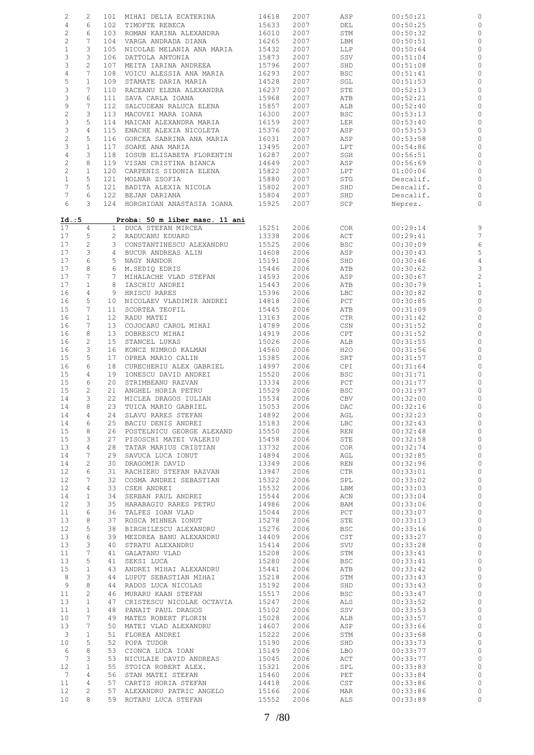| $\mathbf{2}$       | 2                     | 101          | MIHAI DELIA ECATERINA          | 14618          | 2007 | ASP               | 00:50:21  |                            |
|--------------------|-----------------------|--------------|--------------------------------|----------------|------|-------------------|-----------|----------------------------|
| $\sqrt{4}$         | 6                     |              | 102 TIMOFTE REBECA             | 15633          | 2007 | DEL               | 00:50:25  | 0                          |
| $\sqrt{2}$         | 6                     | 103          | ROMAN KARINA ALEXANDRA         | 16010          | 2007 | STM               | 00:50:32  | $\circ$                    |
| $\sqrt{2}$         | $7\phantom{.0}$       |              | 104 VARGA ANDRADA DIANA        | 16265          |      |                   |           | $\circ$                    |
|                    |                       |              |                                |                | 2007 | LBM               | 00:50:51  |                            |
| $\mathbf{1}$       | 3                     | 105          | NICOLAE MELANIA ANA MARIA      | 15432          | 2007 | LLP               | 00:50:64  | 0                          |
| 3                  | 3                     | 106          | DATTOLA ANTONIA                | 15873          | 2007 | SSV               | 00:51:04  | $\circ$                    |
| 3                  | $\overline{c}$        | 107          | MEITA IARINA ANDREEA           | 15796          | 2007 | SHD               | 00:51:08  | $\circ$                    |
| $\overline{4}$     | 7                     | 108          | VOICU ALESSIA ANA MARIA        | 16293          | 2007 | <b>BSC</b>        | 00:51:41  | $\circ$                    |
| $\mathsf S$        | $\mathbf{1}$          | 109          | STAMATE DARIA MARIA            | 14528          | 2007 | SGL               | 00:51:53  | 0                          |
| 3                  | $7\phantom{.0}$       | 110          | RACEANU ELENA ALEXANDRA        | 16237          | 2007 | STE               | 00:52:13  | $\circ$                    |
| 3                  | 6                     | 111          | SAVA CARLA IOANA               | 15968          | 2007 | ATB               | 00:52:21  | $\circ$                    |
| 9                  | $7\phantom{.0}$       | 112          | SALCUDEAN RALUCA ELENA         | 15857          | 2007 | ALB               | 00:52:40  | $\circ$                    |
| $\sqrt{2}$         | 3                     | 113          | MACOVEI MARA IOANA             | 16300          | 2007 | <b>BSC</b>        | 00:53:13  |                            |
|                    |                       |              |                                |                |      |                   |           | 0                          |
| 3                  | 5                     | 114          | MAICAN ALEXANDRA MARIA         | 16159          | 2007 | LER               | 00:53:40  | $\circ$                    |
| 3                  | $\overline{4}$        | 115          | ENACHE ALEXIA NICOLETA         | 15376          | 2007 | ASP               | 00:53:53  | $\circ$                    |
| $\sqrt{2}$         | 5                     |              | 116 GORCEA SABRINA ANA MARIA   | 16031          | 2007 | ASP               | 00:53:58  | $\circ$                    |
| 3                  | $\mathbf{1}$          | 117          | SOARE ANA MARIA                | 13495          | 2007 | LPT               | 00:54:86  | 0                          |
| $\overline{4}$     | 3                     | 118          | IOSUB ELISABETA FLORENTIN      | 16287          | 2007 | SGH               | 00:56:51  | $\circ$                    |
| $\sqrt{2}$         | 8                     | 119          | VISAN CRISTINA BIANCA          | 14649          | 2007 | ASP               | 00:56:69  | $\circ$                    |
| $\overline{c}$     | $\mathbf{1}$          |              | 120 CARPENIS SIDONIA ELENA     | 15822          | 2007 | LPT               | 01:00:06  | $\circ$                    |
| $\mathbf{1}$       | 5                     | 121          | MOLNAR ZSOFIA                  | 15880          | 2007 | $_{\mathrm{STG}}$ | Descalif. | $\circ$                    |
| $7\phantom{.0}$    | 5                     | 121          | BADITA ALEXIA NICOLA           | 15802          | 2007 | SHD               | Descalif. | $\circ$                    |
| 7                  | 6                     | 122          | BEJAN DARIANA                  | 15804          | 2007 | SHD               | Descalif. | $\circ$                    |
| 6                  | 3                     |              | 124 HORGHIDAN ANASTASIA IOANA  | 15925          | 2007 | SCP               | Neprez.   | $\circ$                    |
|                    |                       |              |                                |                |      |                   |           |                            |
| Id. : 5            |                       |              | Proba: 50 m liber masc. 11 ani |                |      |                   |           |                            |
| 17                 | 4                     | $\mathbf{1}$ | DUCA STEFAN MIRCEA             | 15251          | 2006 | COR               | 00:29:14  | 9                          |
| 17                 | 5                     |              | 2 RADUCANU EDUARD              | 13338          | 2006 | ACT               | 00:29:41  | $\overline{7}$             |
|                    | $\sqrt{2}$            |              |                                |                |      |                   |           |                            |
| 17                 |                       |              | 3 CONSTANTINESCU ALEXANDRU     | 15525          | 2006 | <b>BSC</b>        | 00:30:09  | 6                          |
| 17                 | 3                     |              | 4 BUCUR ANDREAS ALIN           | 14608          | 2006 | ASP               | 00:30:43  | 5                          |
| 17                 | 6                     |              | 5 NAGY NANDOR                  | 15191          | 2006 | SHD               | 00:30:46  | $\overline{4}$             |
| 17                 | 8                     |              | 6 M.SEDIO EDRIS                | 15446          | 2006 | ATB               | 00:30:62  | 3                          |
| 17                 | 7                     | 7            | MIHALACHE VLAD STEFAN          | 14593          | 2006 | ASP               | 00:30:67  | $\overline{\mathbf{c}}$    |
| 17                 | $\mathbf{1}$          | 8            | IASCHIU ANDREI                 | 15443          | 2006 | ATB               | 00:30:79  | $\mathbf{1}$               |
| 16                 | $\overline{4}$        | 9            | HRISCU RARES                   | 15396          | 2006 | LBC               | 00:30:82  | $\circ$                    |
| 16                 | 5                     | 10           | NICOLAEV VLADIMIR ANDREI       | 14818          | 2006 | PCT               | 00:30:85  | $\circ$                    |
| 15                 | 7                     | 11           | SCORTEA TEOFIL                 | 15445          | 2006 | ATB               | 00:31:09  | $\circ$                    |
| 16                 | $\mathbf{1}$          | 12           | RADU MATEI                     | 13163          | 2006 | CTR               | 00:31:42  | $\circ$                    |
| 16                 | 7                     | 13           | COJOCARU CAROL MIHAI           | 14789          | 2006 | CSN               | 00:31:52  | $\circ$                    |
| 16                 | 8                     | 13           | DOBRESCU MIHAI                 | 14919          | 2006 | CPT               | 00:31:52  | $\circ$                    |
| 16                 | $\overline{c}$        | 15           | STANCEL LUKAS                  | 15026          | 2006 | ALB               | 00:31:55  | $\circ$                    |
| 16                 | 3                     | 16           | KONCZ NIMROD KALMAN            | 14560          | 2006 | H2O               | 00:31:56  | $\circ$                    |
| 15                 | 5                     | 17           |                                | 15385          | 2006 |                   |           | $\circ$                    |
|                    | 6                     |              | OPREA MARIO CALIN              |                |      | SRT               | 00:31:57  |                            |
| 16                 |                       | 18           | CURECHERIU ALEX GABRIEL        | 14997          | 2006 | CPI               | 00:31:64  | $\circ$                    |
| 15                 | 4                     | 19           | IONESCU DAVID ANDREI           | 15520          | 2006 | <b>BSC</b>        | 00:31:71  | $\circ$                    |
| 15                 | 6                     | 20           | STRIMBEANU RAZVAN              | 13334          | 2006 | $_{\rm PCT}$      | 00:31:77  | $\circ$                    |
| 15                 | 2                     | 21           | ANGHEL HORIA PETRU             | 15529          | 2006 | <b>BSC</b>        | 00:31:97  | $\circ$                    |
| 14                 | 3                     | 22           | MICLEA DRAGOS IULIAN           | 15534          | 2006 | CBV               | 00:32:00  | 0                          |
| 14                 | 8                     | 23           | TUICA MARIO GABRIEL            | 15053          | 2006 | DAC               | 00:32:16  | $\mathbb{C}$               |
| 14                 | 4                     | 24           | SLAVU RARES STEFAN             | 14892          | 2006 | AGL               | 00:32:23  |                            |
| 14                 | 6                     | 25           | BACIU DENIS ANDREI             | 15183          | 2006 | LBC               | 00:32:43  | $\circ$                    |
| 15                 | 8                     | 26           | POSTELNICU GEORGE ALEXAND      | 15550          | 2006 | REN               | 00:32:48  | $\circ$                    |
| 15                 | 3                     | 27           | PISOSCHI MATEI VALERIU         | 15458          | 2006 | STE               | 00:32:58  | $\circ$                    |
| 13                 | 4                     | 28           | TATAR MARIUS CRISTIAN          | 13732          | 2006 | COR               | 00:32:74  | $\mathbb{C}$               |
| 14                 | 7                     | 29           | SAVUCA LUCA IONUT              | 14894          | 2006 | AGL               | 00:32:85  | $\mathbb O$                |
| 14                 | 2                     | 30           | DRAGOMIR DAVID                 | 13349          | 2006 | REN               | 00:32:96  | $\circ$                    |
| $12 \overline{ }$  | 6                     | 31           | RACHIERU STEFAN RAZVAN         | 13947          | 2006 | CTR               | 00:33:01  | $\mathbb O$                |
|                    |                       |              |                                |                |      |                   |           |                            |
| 12                 | 7                     | 32           | COSMA ANDREI SEBASTIAN         | 15322          | 2006 | SPL               | 00:33:02  | $\circ$                    |
| 12                 | 4                     | 33           | CSEH ANDREI                    | 15532          | 2006 | LBM               | 00:33:03  | $\mathbb O$                |
| 14                 | $\mathbf{1}$          | 34           | SERBAN PAUL ANDREI             | 15544          | 2006 | ACN               | 00:33:04  | $\circ$                    |
| 12                 | 3                     | 35           | HARABAGIU RARES PETRU          | 14986          | 2006 | BAM               | 00:33:06  | $\circ$                    |
| 11                 | 6                     | 36           | TALPES IOAN VLAD               | 15044          | 2006 | PCT               | 00:33:07  | $\circ$                    |
| 13                 | 8                     | 37           | ROSCA MIHNEA IONUT             | 15278          | 2006 | STE               | 00:33:13  | $\mathbb O$                |
| 12                 | 5                     | 38           | BIRGHILESCU ALEXANDRU          | 15276          | 2006 | <b>BSC</b>        | 00:33:16  | $\mathbb O$                |
| 13                 | 6                     | 39           | MEZDREA BANU ALEXANDRU         | 14409          | 2006 | CST               | 00:33:27  | $\mathbb O$                |
| 13                 | 3                     | 40           | STRATU ALEXANDRU               | 15414          | 2006 | SVU               | 00:33:28  | $\mathbb{C}$               |
| 11                 | 7                     | 41           | GALATANU VLAD                  | 15208          | 2006 | STM               | 00:33:41  | $\mathbb O$                |
| 13                 | 5                     | 41           | SEKSI LUCA                     | 15280          | 2006 | <b>BSC</b>        | 00:33:41  | $\mathbb{O}$               |
| 15                 | $\mathbf{1}$          | 43           | ANDREI MIHAI ALEXANDRU         | 15441          | 2006 | ATB               | 00:33:42  | $\mathbb O$                |
|                    |                       | 44           |                                |                |      |                   |           |                            |
| 8<br>$\mathcal{G}$ | 3<br>8                | 44           | LUPUT SEBASTIAN MIHAI          | 15218<br>15192 | 2006 | STM               | 00:33:43  | $\mathbb O$<br>$\mathbb O$ |
|                    |                       |              | RADOS LUCA NICOLAS             |                | 2006 | SHD               | 00:33:43  |                            |
| 11                 | $\mathbf{2}$          | 46           | MURARU KAAN STEFAN             | 15517          | 2006 | <b>BSC</b>        | 00:33:47  | $\mathbb O$                |
| 13                 | $\mathbf{1}$          | 47           | CRISTESCU NICOLAE OCTAVIA      | 15247          | 2006 | ALS               | 00:33:52  | $\circ$                    |
| 11                 | $\mathbf{1}$          | 48           | PANAIT PAUL DRAGOS             | 15102          | 2006 | SSV               | 00:33:53  | $\mathbb O$                |
| 10                 | 7                     | 49           | MATES ROBERT FLORIN            | 15028          | 2006 | ALB               | 00:33:57  | $\mathbb O$                |
| 13                 | 7                     | 50           | MATEI VLAD ALEXANDRU           | 14607          | 2006 | ASP               | 00:33:66  | $\mathbb O$                |
| 3                  | $\mathbf{1}$          | 51           | FLOREA ANDREI                  | 15222          | 2006 | STM               | 00:33:68  | $\mathbb O$                |
| 10                 | 5                     | 52           | POPA TUDOR                     | 15190          | 2006 | SHD               | 00:33:73  | $\mathbb{C}$               |
| 6                  | 8                     | 53           | CIONCA LUCA IOAN               | 15149          | 2006 | LBO               | 00:33:77  | $\mathbb O$                |
| $7\phantom{.0}$    | 3                     | 53           | NICULAIE DAVID ANDREAS         | 15045          | 2006 | ACT               | 00:33:77  | $\mathbb{C}$               |
| 12                 | $\mathbf{1}$          | 55           | STOICA ROBERT ALEX.            | 15321          | 2006 | SPL               | 00:33:83  | $\mathbb O$                |
| $7\phantom{.0}$    | 4                     | 56           | STAN MATEI STEFAN              | 15460          | 2006 | PET               | 00:33:84  | $\mathbb O$                |
| 11                 | 4                     | 57           | CARTIS HORIA STEFAN            | 14418          | 2006 | CST               | 00:33:86  | $\circ$                    |
| $12 \overline{ }$  | $\mathbf{2}^{\prime}$ | 57           | ALEXANDRU PATRIC ANGELO        | 15166          | 2006 | MAR               | 00:33:86  | $\circ$                    |
| 10                 | 8                     |              | 59 ROTARU LUCA STEFAN          | 15552          | 2006 | ALS               | 00:33:89  | $\circ$                    |
|                    |                       |              |                                |                |      |                   |           |                            |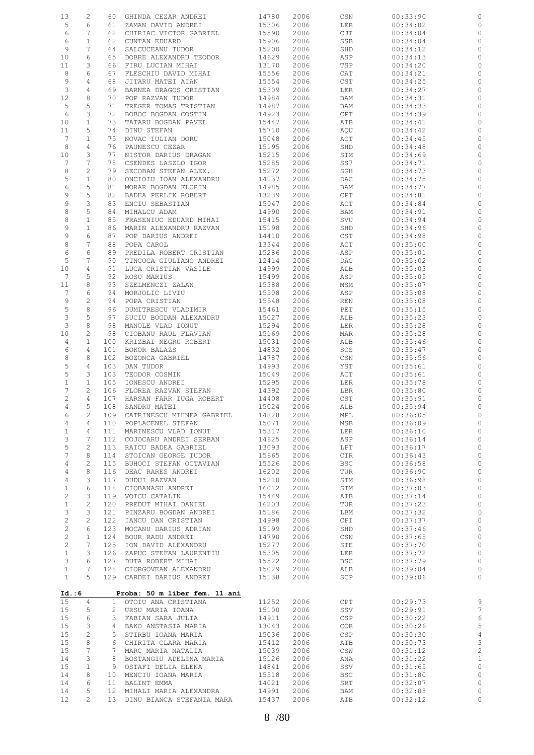| 13                             | 2                 | 60              | GHINDA CEZAR ANDREI                  | 14780          | 2006         | CSN                         | 00:33:90             | 0                  |
|--------------------------------|-------------------|-----------------|--------------------------------------|----------------|--------------|-----------------------------|----------------------|--------------------|
| 5                              | 6                 | 61              | ZAMAN DAVID ANDREI                   | 15306          | 2006         | <b>LER</b>                  | 00:34:02             | $\circ$            |
| 6                              | 7                 | 62              | CHIRIAC VICTOR GABRIEL               | 15590          | 2006         | CJI                         | 00:34:04             | 0                  |
| 6                              | $\mathbf{1}$      | 62              | CUNTAN EDUARD                        | 15906          | 2006         | SSB                         | 00:34:04             | $\circ$            |
| 9                              | 7                 | 64              | SALCUCEANU TUDOR                     | 15200          | 2006         | SHD                         | 00:34:12             | 0                  |
| 10                             | 6                 | 65              | DOBRE ALEXANDRU TEODOR               | 14629          | 2006         | ASP                         | 00:34:13             | $\circ$            |
| 11                             | 3                 | 66              | FIRU LUCIAN MIHAI                    | 13170          | 2006         | TSP                         | 00:34:20             | 0                  |
| 8                              | 6                 | 67              | FLESCHIU DAVID MIHAI                 | 15556          | 2006         | CAT                         | 00:34:21             | $\circ$            |
| $\overline{9}$                 |                   |                 |                                      |                |              |                             |                      |                    |
|                                | 4                 | 68              | JITARU MATEI AIAN                    | 15554          | 2006         | $\mathop{\tt CST}\nolimits$ | 00:34:25             | 0                  |
| $\mathcal{E}$                  | 4                 | 69              | BARNEA DRAGOS CRISTIAN               | 15309          | 2006         | LER                         | 00:34:27             | 0                  |
| 12                             | 8                 | 70              | POP RAZVAN TUDOR                     | 14984          | 2006         | BAM                         | 00:34:31             | 0                  |
| 5                              | 5                 | 71              | TREGER TOMAS TRISTIAN                | 14987          | 2006         | BAM                         | 00:34:33             | 0                  |
| 6                              | 3                 | 72              | BOBOC BOGDAN COSTIN                  | 14923          | 2006         | CPT                         | 00:34:39             | 0                  |
| 10                             | $\mathbf 1$       | 73              | TATARU BOGDAN PAVEL                  | 15447          | 2006         | ATB                         | 00:34:41             | 0                  |
| 11                             | 5                 | 74              | DINU STEFAN                          | 15710          | 2006         | AQU                         | 00:34:42             | 0                  |
| $7\phantom{.0}$                | $\mathbf{1}$      | 75              | NOVAC IULIAN DORU                    | 15048          | 2006         | ACT                         | 00:34:45             | 0                  |
| 8                              | 4                 | 76              | PAUNESCU CEZAR                       | 15195          | 2006         | SHD                         | 00:34:48             | 0                  |
| 10                             | 3                 | 77              | NISTOR DARIUS DRAGAN                 | 15215          | 2006         | STM                         | 00:34:69             | 0                  |
| 7                              | 7                 | 78              | CSENDES LASZLO IGOR                  | 15285          | 2006         | SS7                         | 00:34:71             | 0                  |
| 8                              | 2                 | 79              | SECOBAN STEFAN ALEX.                 | 15272          | 2006         | SGH                         | 00:34:73             | 0                  |
| 5                              | $\mathbf{1}$      | 80              | ONCIOIU IOAN ALEXANDRU               | 14137          | 2006         | DAC                         | 00:34:75             | 0                  |
| 6                              | 5                 | 81              | MORAR BOGDAN FLORIN                  | 14985          | 2006         | BAM                         | 00:34:77             | 0                  |
| 9                              | 5                 | 82              | BADEA PERLIK ROBERT                  | 13239          | 2006         | CPT                         | 00:34:81             | 0                  |
| 9                              | 3                 | 83              | ENCIU SEBASTIAN                      | 15047          | 2006         | ACT                         | 00:34:84             | 0                  |
| 8                              | 5                 | 84              | MIHALCU ADAM                         | 14990          | 2006         | BAM                         | 00:34:91             | 0                  |
| 8                              | $\mathbf{1}$      | 85              | FRASENIUC EDUARD MIHAI               | 15415          | 2006         | SVU                         | 00:34:94             | 0                  |
| 9                              | $\mathbf 1$       | 86              | MARIN ALEXANDRU RAZVAN               | 15198          | 2006         | SHD                         | 00:34:96             | 0                  |
| 9                              | 6                 | 87              | POP DARIUS ANDREI                    | 14410          | 2006         | $\mathop{\tt CST}\nolimits$ | 00:34:98             | 0                  |
| 8                              | 7                 | 88              | POPA CAROL                           | 13344          | 2006         | ACT                         | 00:35:00             | 0                  |
| 6                              | 6                 | 89              | PREDILA ROBERT CRISTIAN              | 15286          | 2006         | ASP                         | 00:35:01             | 0                  |
| 5                              | 7                 | 90              |                                      |                |              |                             |                      |                    |
|                                |                   |                 | TINCOCA GIULIANO ANDREI              | 12414          | 2006         | DAC                         | 00:35:02             | 0                  |
| 10                             | 4                 | 91              | LUCA CRISTIAN VASILE                 | 14999          | 2006         | ALB                         | 00:35:03             | 0                  |
| 7                              | 5                 | 92              | ROSU MARIUS                          | 15499          | 2006         | ASP                         | 00:35:05             | 0                  |
| 11                             | 8                 | 93              | SZELMENCZI ZALAN                     | 15388          | 2006         | MSM                         | 00:35:07             | 0                  |
| 7                              | 6                 | 94              | MORJOLIC LIVIU                       | 15508          | 2006         | ASP                         | 00:35:08             | $\circ$            |
| 9                              | $\mathbf{2}$      | 94              | POPA CRISTIAN                        | 15548          | 2006         | REN                         | 00:35:08             | 0                  |
| $\mathsf S$                    | 8                 | 96              | DUMITRESCU VLADIMIR                  | 15461          | 2006         | PET                         | 00:35:15             | 0                  |
| $\mathfrak{Z}$                 | 5                 | 97              | SUCIU BOGDAN ALEXANDRU               | 15027          | 2006         | ALB                         | 00:35:23             | 0                  |
| 3                              | 8                 | 98              | MANOLE VLAD IONUT                    | 15294          | 2006         | LER                         | 00:35:28             | $\circ$            |
| 10                             | 2                 | 98              | CIOBANU RAUL FLAVIAN                 | 15169          | 2006         | MAR                         | 00:35:28             | 0                  |
| $\overline{4}$                 | $\mathbf{1}$      | 100             | KRIZBAI NEGRU ROBERT                 | 15031          | 2006         | ALB                         | 00:35:46             | 0                  |
| 6                              | 4                 | 101             | BOKOR BALAZS                         | 14832          | 2006         | SOS                         | 00:35:47             | 0                  |
| $\,8\,$                        | 8                 | 102             | BOZONCA GABRIEL                      | 14787          | 2006         | CSN                         | 00:35:56             | $\circ$            |
| 5                              | $\overline{4}$    | 103             | DAN TUDOR                            | 14993          | 2006         | YST                         | 00:35:61             | 0                  |
| 5                              | 3                 | 103             | TEODOR COSMIN                        | 15049          | 2006         | ACT                         | 00:35:61             | $\circ$            |
| $\mathbf{1}$                   | $\mathbf{1}$      | 105             | IONESCU ANDREI                       | 15295          | 2006         | LER                         | 00:35:78             | 0                  |
| $\overline{7}$                 | 2                 | 106             | FLOREA RAZVAN STEFAN                 | 14392          | 2006         | LBR                         | 00:35:80             | $\circ$            |
| 2                              | $\overline{4}$    | 107             | HARSAN FARR IUGA ROBERT              | 14408          | 2006         | CST                         | 00:35:91             | 0                  |
| 4                              | 5                 | 108             | SANDRU MATEI                         | 15024          | 2006         | ALB                         | 00:35:94             | $\circ$            |
| 6                              | 2                 | 109             | CATRINESCU MIHNEA GABRIEL            | 14828          | 2006         | MPL                         | 00:36:05             | $\circ$            |
| 4                              | 4                 | 110             | POPLACENEL STEFAN                    | 15071          | 2006         | MSB                         | 00:36:09             | $\circ$            |
| $\mathbf{1}$                   | 4                 | 111             | MARINESCU VLAD IONUT                 | 15317          | 2006         | LER                         | 00:36:10             | $\circ$            |
| $\mathsf 3$                    | 7                 | 112             | COJOCARU ANDREI SERBAN               | 14625          | 2006         | ASP                         | 00:36:14             | $\circ$            |
| $\mathsf S$                    | $\mathbf{2}$      | 113             | RAICU BADEA GABRIEL                  | 13093          | 2006         | LPT                         | 00:36:17             | $\circ$            |
| $\overline{7}$                 | 8                 | 114             | STOICAN GEORGE TUDOR                 | 15665          | 2006         | CTR                         | 00:36:43             | $\mathbb{O}$       |
| 4                              | 2                 | 115             | BUHOCI STEFAN OCTAVIAN               | 15526          | 2006         | <b>BSC</b>                  | 00:36:58             | $\circ$            |
| 4                              | 8                 | 116             | DEAC RARES ANDREI                    | 16202          | 2006         | TUR                         | 00:36:90             | $\circ$            |
| $\sqrt{4}$                     | 3                 | 117             | DUDUI RAZVAN                         | 15210          | 2006         | STM                         | 00:36:98             | $\circ$            |
|                                | 6                 |                 |                                      | 16012          |              |                             |                      | $\circ$            |
| $\mathbf{1}$                   |                   | 118             | CIOBANASU ANDREI                     |                | 2006         | STM                         | 00:37:03             |                    |
| $\overline{c}$<br>$\mathbf{1}$ | 3<br>$\mathbf{2}$ | 119<br>120      | VOICU CATALIN<br>PREDUT MIHAI DANIEL | 15449<br>16203 | 2006<br>2006 | ATB<br>TUR                  | 00:37:14<br>00:37:23 | $\circ$<br>$\circ$ |
|                                |                   |                 | PINZARU BOGDAN ANDREI                |                |              |                             |                      |                    |
| $\mathsf 3$                    | 3                 | 121             |                                      | 15186          | 2006         | LBM                         | 00:37:32             | $\circ$            |
| $\sqrt{2}$                     | $\mathbf{2}$      | 122             | IANCU DAN CRISTIAN                   | 14998          | 2006         | CPI                         | 00:37:37             | $\circ$            |
| $\overline{c}$                 | 6                 | 123             | MOCANU DARIUS ADRIAN                 | 15199          | 2006         | SHD                         | 00:37:46             | $\circ$            |
| $\overline{c}$                 | $\mathbf{1}$      | 124             | BOUR RADU ANDREI                     | 14790          | 2006         | CSN                         | 00:37:65             | $\circ$            |
| $\overline{c}$                 | 7                 | 125             | ION DAVID ALEXANDRU                  | 15277          | 2006         | STE                         | 00:37:70             | $\circ$            |
| $\mathbf{1}$                   | 3                 | 126             | ZAPUC STEFAN LAURENTIU               | 15305          | 2006         | LER                         | 00:37:72             | $\circ$            |
| 3                              | 6                 | 127             | DUTA ROBERT MIHAI                    | 15522          | 2006         | <b>BSC</b>                  | 00:37:79             | $\circ$            |
| $\mathbf{1}$                   | 7                 | 128             | CIORGOVEAN ALEXANDRU                 | 15029          | 2006         | ALB                         | 00:39:04             | $\circ$            |
| $\mathbf{1}$                   | 5                 |                 | 129 CARDEI DARIUS ANDREI             | 15138          | 2006         | SCP                         | 00:39:06             | $\circ$            |
|                                |                   |                 |                                      |                |              |                             |                      |                    |
| Id. : 6                        |                   |                 | Proba: 50 m liber fem. 11 ani        |                |              |                             |                      |                    |
| 15                             | 4                 | $\mathbf{1}$    | OTOIU ANA CRISTIANA                  | 11252          | 2006         | CPT                         | 00:29:73             | 9                  |
| 15                             | 5                 | $\overline{2}$  | URSU MARIA IOANA                     | 15100          | 2006         | SSV                         | 00:29:91             | $\overline{7}$     |
| 15                             | 6                 | 3               | FABIAN SARA JULIA                    | 14911          | 2006         | CSP                         | 00:30:22             | $\epsilon$         |
| 15                             | 3                 | 4               | BAKO ANSTASIA MARIA                  | 13043          | 2006         | <b>COR</b>                  | 00:30:26             | 5                  |
| 15                             | $\mathbf{2}$      | 5               | STIRBU IOANA MARIA                   | 15036          | 2006         | CSP                         | 00:30:30             | $\overline{4}$     |
| 15                             | 8                 | 6               | CHIRITA CLARA MARIA                  | 15412          | 2006         | ATB                         | 00:30:73             | 3                  |
| 15                             | 7                 | 7               | MARC MARIA NATALIA                   | 15039          | 2006         | CSW                         | 00:31:12             | $\overline{c}$     |
| 14                             | 3                 | 8               | BOSTANGIU ADELINA MARIA              | 15126          | 2006         | ANA                         | 00:31:22             | $\mathbf{1}$       |
| 15                             | $\mathbf{1}$      | 9               | OSTAFI DELIA ELENA                   | 14841          | 2006         | SSV                         | 00:31:65             | $\circ$            |
| 14                             | 8                 | 10              | MENCIU IOANA MARIA                   | 15518          | 2006         | BSC                         | 00:31:80             | $\circ$            |
| 14                             | 6                 | 11              | BALINT EMMA                          | 14021          | 2006         | SRT                         | 00:32:07             | 0                  |
| 14                             | 5                 | 12 <sup>°</sup> | MIHALI MARIA ALEXANDRA               | 14991          | 2006         | BAM                         | 00:32:08             | $\circ$            |
| 12 <sup>°</sup>                | $\overline{2}$    | 13              | DINU BIANCA STEFANIA MARA            | 15437          | 2006         | ATB                         | 00:32:12             | $\circ$            |
|                                |                   |                 |                                      |                |              |                             |                      |                    |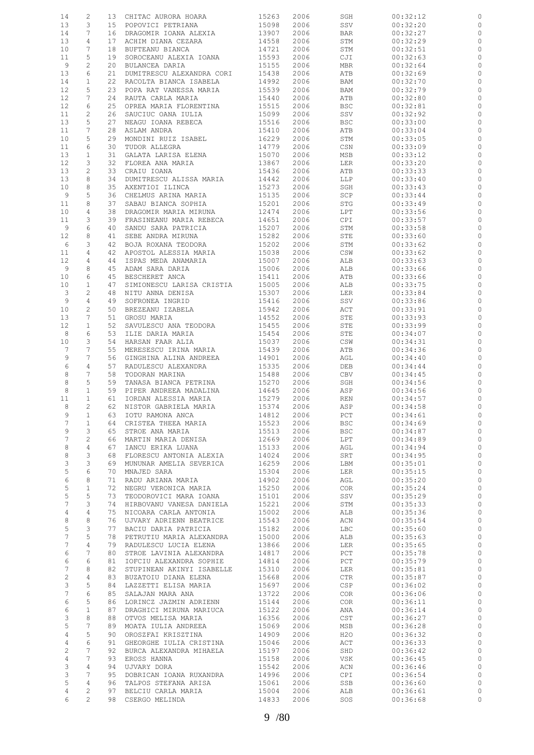| 14              | 2              |    | 13 CHITAC AURORA HOARA                              | 15263 | 2006 | SGH          | 00:32:12 |              |
|-----------------|----------------|----|-----------------------------------------------------|-------|------|--------------|----------|--------------|
| 13              | 3              | 15 | POPOVICI PETRIANA                                   | 15098 | 2006 | SSV          | 00:32:20 | 0            |
| 14              | 7              | 16 | DRAGOMIR IOANA ALEXIA                               | 13907 | 2006 | BAR          | 00:32:27 | $\circ$      |
|                 |                |    |                                                     |       |      |              |          |              |
| 13              | $\overline{4}$ | 17 | ACHIM DIANA CEZARA                                  | 14558 | 2006 | STM          | 00:32:29 | 0            |
| 10              | 7              | 18 | BUFTEANU BIANCA                                     | 14721 | 2006 | STM          | 00:32:51 | $\circ$      |
| 11              | 5              | 19 | SOROCEANU ALEXIA IOANA                              | 15593 | 2006 | CJI          | 00:32:63 | $\circ$      |
| 9               | $\mathbf{2}$   | 20 | BULANCEA DARIA                                      | 15155 | 2006 | MBR          | 00:32:64 | 0            |
| 13              | 6              | 21 | DUMITRESCU ALEXANDRA CORI                           | 15438 | 2006 | ATB          | 00:32:69 | 0            |
|                 |                |    |                                                     |       |      |              |          |              |
| 14              | $\mathbf{1}$   | 22 | RACOLTA BIANCA ISABELA                              | 14992 | 2006 | BAM          | 00:32:70 | 0            |
| 12              | 5              | 23 | POPA RAT VANESSA MARIA                              | 15539 | 2006 | BAM          | 00:32:79 | 0            |
| 12              | 7              | 24 | RAUTA CARLA MARIA                                   | 15440 | 2006 | ATB          | 00:32:80 | 0            |
|                 | 6              | 25 |                                                     |       |      |              |          |              |
| 12              |                |    | OPREA MARIA FLORENTINA                              | 15515 | 2006 | <b>BSC</b>   | 00:32:81 | $\circ$      |
| 11              | $\mathbf{2}$   | 26 | SAUCIUC OANA IULIA                                  | 15099 | 2006 | SSV          | 00:32:92 | 0            |
| 13              | 5              | 27 | NEAGU IOANA REBECA                                  | 15516 | 2006 | <b>BSC</b>   | 00:33:00 | $\circ$      |
| 11              | 7              | 28 | ASLAM ANDRA                                         | 15410 | 2006 | ATB          | 00:33:04 | 0            |
|                 | 5              | 29 |                                                     | 16229 |      |              |          | $\circ$      |
| 10              |                |    | MONDINI RUIZ ISABEL                                 |       | 2006 | STM          | 00:33:05 |              |
| 11              | 6              | 30 | TUDOR ALLEGRA                                       | 14779 | 2006 | CSN          | 00:33:09 | 0            |
| 13              | $\mathbf{1}$   | 31 | GALATA LARISA ELENA                                 | 15070 | 2006 | MSB          | 00:33:12 | $\circ$      |
| 12              | 3              | 32 | FLOREA ANA MARIA                                    | 13867 | 2006 | LER          | 00:33:20 | $\circ$      |
| 13              | $\mathbf{2}$   | 33 | CRAIU IOANA                                         | 15436 | 2006 | ATB          | 00:33:33 | $\circ$      |
|                 |                |    |                                                     |       |      |              |          |              |
| 13              | 8              | 34 | DUMITRESCU ALISSA MARIA                             | 14442 | 2006 | LLP          | 00:33:40 | $\circ$      |
| 10              | 8              | 35 | AXENTIOI ILINCA                                     | 15273 | 2006 | SGH          | 00:33:43 | $\circ$      |
| 9               | 5              | 36 | CHELMUS ARINA MARIA                                 | 15135 | 2006 | SCP          | 00:33:44 | 0            |
| 11              | $\,8\,$        | 37 | SABAU BIANCA SOPHIA                                 | 15201 | 2006 | STG          | 00:33:49 | $\circ$      |
|                 | $\overline{4}$ | 38 | DRAGOMIR MARIA MIRUNA                               | 12474 |      |              |          |              |
| 10              |                |    |                                                     |       | 2006 | LPT          | 00:33:56 | 0            |
| 11              | 3              | 39 | FRASINEANU MARIA REBECA                             | 14651 | 2006 | CPI          | 00:33:57 | $\circ$      |
| 9               | 6              | 40 | SANDU SARA PATRICIA                                 | 15207 | 2006 | STM          | 00:33:58 | $\circ$      |
| 12              | 8              | 41 | SEBE ANDRA MIRUNA                                   | 15282 | 2006 | STE          | 00:33:60 | $\circ$      |
|                 |                |    |                                                     |       |      |              |          |              |
| 6               | 3              | 42 | BOJA ROXANA TEODORA                                 | 15202 | 2006 | STM          | 00:33:62 | $\circ$      |
| 11              | $\overline{4}$ | 42 | APOSTOL ALESSIA MARIA                               | 15038 | 2006 | CSW          | 00:33:62 | $\circ$      |
| 12              | 4              | 44 | ISPAS MEDA ANAMARIA                                 | 15007 | 2006 | ALB          | 00:33:63 | $\circ$      |
| 9               | 8              | 45 | ADAM SARA DARIA                                     | 15006 | 2006 | ALB          | 00:33:66 | $\circ$      |
|                 |                |    |                                                     |       |      |              |          |              |
| 10              | 6              | 45 | BESCHERET ANCA                                      | 15411 | 2006 | ATB          | 00:33:66 | 0            |
| 10              | $\mathbf{1}$   | 47 | SIMIONESCU LARISA CRISTIA                           | 15005 | 2006 | ALB          | 00:33:75 | $\circ$      |
| 3               | $\sqrt{2}$     | 48 | NITU ANNA DENISA                                    | 15307 | 2006 | LER          | 00:33:84 | $\circ$      |
| 9               | $\overline{4}$ | 49 | SOFRONEA INGRID                                     | 15416 | 2006 | SSV          | 00:33:86 | $\mathbb{O}$ |
|                 |                |    |                                                     |       |      |              |          |              |
| 10              | $\mathbf{2}$   | 50 | BREZEANU IZABELA                                    | 15942 | 2006 | ACT          | 00:33:91 | $\circ$      |
| 13              | 7              | 51 | GROSU MARIA                                         | 14552 | 2006 | STE          | 00:33:93 | $\mathbb{O}$ |
| 12              | $\mathbf{1}$   | 52 | SAVULESCU ANA TEODORA                               | 15455 | 2006 | STE          | 00:33:99 | 0            |
| 8               | 6              | 53 | ILIE DARIA MARIA                                    | 15454 | 2006 | STE          | 00:34:07 | $\circ$      |
|                 |                |    |                                                     |       |      |              |          |              |
| 10              | 3              | 54 | HARSAN FAAR ALIA                                    | 15037 | 2006 | CSW          | 00:34:31 | $\circ$      |
| 7               | 7              | 55 | MERESESCU IRINA MARIA                               | 15439 | 2006 | ATB          | 00:34:36 | $\circ$      |
| 9               | 7              | 56 | GINGHINA ALINA ANDREEA                              | 14901 | 2006 | AGL          | 00:34:40 | $\circ$      |
| 6               | 4              | 57 | RADULESCU ALEXANDRA                                 | 15335 | 2006 | DEB          | 00:34:44 | $\circ$      |
|                 |                |    |                                                     |       |      |              |          |              |
| 8               | 7              | 58 | TODORAN MARINA                                      | 15488 | 2006 | CBV          | 00:34:45 | $\circ$      |
| $\,8\,$         | 5              | 59 | TANASA BIANCA PETRINA                               | 15270 | 2006 | SGH          | 00:34:56 | $\circ$      |
| 8               | $\mathbf{1}$   | 59 | PIPER ANDREEA MADALINA                              | 14645 | 2006 | ASP          | 00:34:56 | $\circ$      |
| 11              | $\mathbf{1}$   |    |                                                     | 15279 | 2006 | REN          | 00:34:57 | $\mathbb{C}$ |
|                 |                |    | 61 IORDAN ALESSIA MARIA<br>62 NISTOR GABRIELA MARIA |       |      |              |          |              |
| 8               | 2              |    |                                                     | 15374 | 2006 | ASP          | 00:34:58 | $\circ$      |
| 9               | $\mathbf{1}$   |    | 63 IOTU RAMONA ANCA                                 | 14812 | 2006 | $_{\rm PCT}$ | 00:34:61 | $\circ$      |
| 7               | 1              |    | 64 CRISTEA THEEA MARIA                              | 15523 | 2006 | <b>BSC</b>   | 00:34:69 | 0            |
| 9               | 3              | 65 | STROE ANA MARIA                                     | 15513 | 2006 | <b>BSC</b>   | 00:34:87 | $\circ$      |
|                 |                |    |                                                     |       |      |              |          |              |
| 7               | 2              |    | 66 MARTIN MARIA DENISA                              | 12669 | 2006 | LPT          | 00:34:89 | $\circ$      |
| 8               | $\overline{4}$ | 67 | IANCU ERIKA LUANA                                   | 15133 | 2006 | AGL          | 00:34:94 | $\circ$      |
| 8               | 3              | 68 | FLORESCU ANTONIA ALEXIA                             | 14024 | 2006 | SRT          | 00:34:95 | $\circ$      |
| $\mathcal{E}$   | 3              | 69 | MUNUNAR AMELIA SEVERICA                             | 16259 | 2006 | LBM          | 00:35:01 | $\circ$      |
| 5               | 6              | 70 | MNAJED SARA                                         | 15304 | 2006 | LER          | 00:35:15 | $\circ$      |
|                 |                |    |                                                     |       |      |              |          |              |
| 6               | 8              | 71 | RADU ARIANA MARIA                                   | 14902 | 2006 | AGL          | 00:35:20 | $\circ$      |
| 5               | $\mathbf{1}$   | 72 | NEGRU VERONICA MARIA                                | 15250 | 2006 | <b>COR</b>   | 00:35:24 | $\circ$      |
| 5               | 5              | 73 | TEODOROVICI MARA IOANA                              | 15101 | 2006 | SSV          | 00:35:29 | $\circ$      |
| 7               | 3              | 74 | HIRBOVANU VANESA DANIELA                            | 15221 | 2006 | STM          | 00:35:33 | $\circ$      |
| $\overline{4}$  | $\overline{4}$ | 75 | NICOARA CARLA ANTONIA                               | 15002 | 2006 | ALB          | 00:35:36 | $\circ$      |
|                 |                |    |                                                     |       |      |              |          |              |
| 8               | $\,8\,$        | 76 | UJVARY ADRIENN BEATRICE                             | 15543 | 2006 | ACN          | 00:35:54 | $\circ$      |
| 5               | 3              | 77 | BACIU DARIA PATRICIA                                | 15182 | 2006 | LBC          | 00:35:60 | $\circ$      |
| 7               | 5              | 78 | PETRUTIU MARIA ALEXANDRA                            | 15000 | 2006 | ALB          | 00:35:63 | $\circ$      |
| 7               | 4              | 79 | RADULESCU LUCIA ELENA                               | 13866 | 2006 | LER          | 00:35:65 | $\circ$      |
| 6               | 7              | 80 |                                                     |       |      |              |          | $\circ$      |
|                 |                |    | STROE LAVINIA ALEXANDRA                             | 14817 | 2006 | PCT          | 00:35:78 |              |
| 6               | 6              | 81 | IOFCIU ALEXANDRA SOPHIE                             | 14814 | 2006 | PCT          | 00:35:79 | $\circ$      |
| $7\phantom{.0}$ | 8              | 82 | STUPINEAN AKINYI ISABELLE                           | 15310 | 2006 | LER          | 00:35:81 | $\circ$      |
| $\overline{c}$  | 4              | 83 | BUZATOIU DIANA ELENA                                | 15668 | 2006 | CTR          | 00:35:87 | $\circ$      |
| 3               | 5              | 84 | LAZZETTI ELISA MARIA                                | 15697 | 2006 | CSP          | 00:36:02 | $\circ$      |
|                 |                |    |                                                     |       |      |              |          |              |
| 7               | 6              | 85 | SALAJAN MARA ANA                                    | 13722 | 2006 | COR          | 00:36:06 | $\circ$      |
| 6               | 5              | 86 | LORINCZ JAZMIN ADRIENN                              | 15144 | 2006 | COR.         | 00:36:11 | $\circ$      |
| 6               | $\mathbf{1}$   | 87 | DRAGHICI MIRUNA MARIUCA                             | 15122 | 2006 | ANA          | 00:36:14 | $\circ$      |
| $\mathsf 3$     | 8              | 88 | OTVOS MELISA MARIA                                  | 16356 | 2006 | CST          | 00:36:27 | $\circ$      |
|                 |                |    |                                                     |       |      |              |          |              |
| 5               | 7              | 89 | MOATA IULIA ANDREEA                                 | 15069 | 2006 | MSB          | 00:36:28 | $\circ$      |
| $\overline{4}$  | 5              | 90 | OROSZFAI KRISZTINA                                  | 14909 | 2006 | H2O          | 00:36:32 | $\circ$      |
| 4               | 6              | 91 | GHEORGHE IULIA CRISTINA                             | 15046 | 2006 | ACT          | 00:36:33 | $\circ$      |
| $\overline{c}$  | 7              | 92 | BURCA ALEXANDRA MIHAELA                             | 15197 | 2006 | SHD          | 00:36:42 | $\mathbb{C}$ |
|                 |                |    |                                                     |       |      |              |          |              |
| $\overline{4}$  | 7              | 93 | EROSS HANNA                                         | 15158 | 2006 | VSK          | 00:36:45 | $\mathbb O$  |
| $\mathcal{E}$   | 4              | 94 | UJVARY DORA                                         | 15542 | 2006 | ACN          | 00:36:46 | $\mathbb O$  |
| 3               | 7              | 95 | DOBRICAN IOANA RUXANDRA                             | 14996 | 2006 | CPI          | 00:36:54 | $\circ$      |
| $\mathsf S$     | 4              | 96 | TALPOS STEFANA ARISA                                | 15061 | 2006 | SSB          | 00:36:60 | $\circ$      |
| 4               | $\overline{c}$ | 97 | BELCIU CARLA MARIA                                  | 15004 | 2006 | ALB          | 00:36:61 | $\circ$      |
|                 |                |    | 98 CSERGO MELINDA                                   | 14833 | 2006 | SOS          | 00:36:68 | $\circ$      |
| 6               | $\mathfrak{D}$ |    |                                                     |       |      |              |          |              |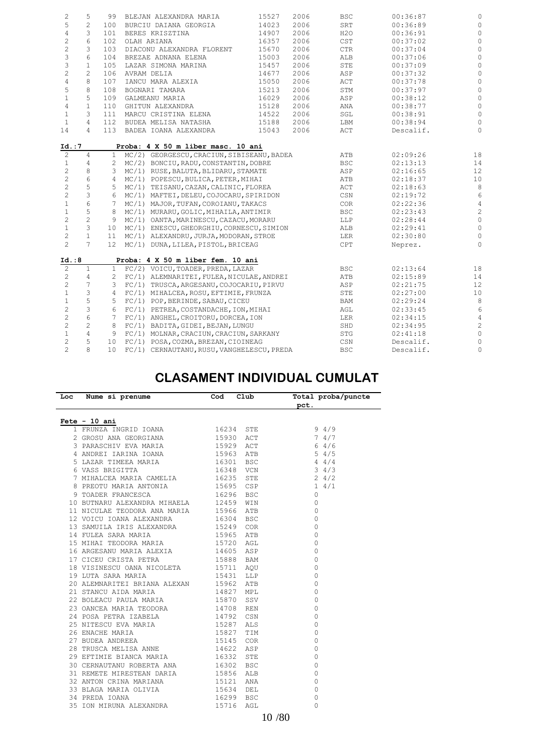| $\mathbf{2}$              | 5               | 99             | BLEJAN ALEXANDRA MARIA                     | 15527 | 2006 | <b>BSC</b>     | 00:36:87  | $\circ$         |
|---------------------------|-----------------|----------------|--------------------------------------------|-------|------|----------------|-----------|-----------------|
| 5                         | $\overline{c}$  | 100            | BURCIU DAIANA GEORGIA                      | 14023 | 2006 | SRT            | 00:36:89  | $\circ$         |
| $\overline{4}$            | 3               | 101            | BERES KRISZTINA                            | 14907 | 2006 | H2O            | 00:36:91  | $\mathbb O$     |
| $\sqrt{2}$                | 6               | 102            | OLAH ARIANA                                | 16357 | 2006 | CST            | 00:37:02  | $\mathbb O$     |
| $\sqrt{2}$                | 3               | 103            | DIACONU ALEXANDRA FLORENT                  | 15670 | 2006 | $_{\rm CTR}$   | 00:37:04  | $\mathbb O$     |
| $\ensuremath{\mathsf{3}}$ | 6               | 104            | BREZAE ADNANA ELENA                        | 15003 | 2006 | ALB            | 00:37:06  | $\mathbb O$     |
| $\mathsf 3$               | $\mathbf{1}$    | 105            | LAZAR SIMONA MARINA                        | 15457 | 2006 | STE            | 00:37:09  | $\mathbb O$     |
| $\overline{c}$            | 2               | 106            | AVRAM DELIA                                | 14677 | 2006 | ASP            | 00:37:32  | $\mathbb O$     |
| $\overline{4}$            | 8               | 107            | IANCU MARA ALEXIA                          | 15050 | 2006 | ACT            | 00:37:78  | $\mathbb O$     |
| 5                         | 8               | 108            | BOGNARI TAMARA                             | 15213 | 2006 | STM            | 00:37:97  | $\mathbb O$     |
| $\mathbf{1}$              | 5               | 109            | GALMEANU MARIA                             | 16029 | 2006 | ASP            | 00:38:12  | $\circ$         |
| $\overline{4}$            | $\mathbf{1}$    | 110            | GHITUN ALEXANDRA                           | 15128 | 2006 | ANA            | 00:38:77  | $\mathbb O$     |
| $\mathbf{1}$              | 3               | 111            | MARCU CRISTINA ELENA                       | 14522 | 2006 | SGL            | 00:38:91  | $\mathbb O$     |
| $\mathbf{1}$              | $\overline{4}$  | 112            | BUDEA MELISA NATASHA                       | 15188 | 2006 | LBM            | 00:38:94  | $\circ$         |
| 14                        | $\overline{4}$  |                | 113 BADEA IOANA ALEXANDRA                  | 15043 | 2006 | ACT            | Descalif. | $\circ$         |
| Id. : 7                   |                 |                | Proba: 4 X 50 m liber masc. 10 ani         |       |      |                |           |                 |
| $\overline{c}$            | $\overline{4}$  | $\mathbf{1}$   | MC/2) GEORGESCU, CRACIUN, SIBISEANU, BADEA |       |      | ATB            | 02:09:26  | 18              |
| 1                         | 4               | 2              | MC/2) BONCIU, RADU, CONSTANTIN, DOBRE      |       |      | <b>BSC</b>     | 02:13:13  | 14              |
| $\mathbf{2}$              | 8               |                | 3 MC/1) RUSE, BALUTA, BLIDARU, STAMATE     |       |      | ASP            | 02:16:65  | 12              |
| $\sqrt{2}$                | 6               | 4              | MC/1) POPESCU, BULICA, PETER, MIHAI        |       |      | ATB            | 02:18:37  | 10              |
| $\overline{c}$            | 5               | 5              | MC/1) TEISANU, CAZAN, CALINIC, FLOREA      |       |      | $\mathtt{ACT}$ | 02:18:63  | $\,8\,$         |
| $\mathbf{2}$              | 3               | 6              | MC/1) MAFTEI, DELEU, COJOCARU, SPIRIDON    |       |      | CSN            | 02:19:72  | $6\phantom{.}6$ |
| $1\,$                     | $6\,$           | $7^{\circ}$    | MC/1) MAJOR, TUFAN, COROIANU, TAKACS       |       |      | <b>COR</b>     | 02:22:36  | $\sqrt{4}$      |
| $1\,$                     | 5               | 8              | MC/1) MURARU, GOLIC, MIHAILA, ANTIMIR      |       |      | <b>BSC</b>     | 02:23:43  | $\sqrt{2}$      |
| $\overline{c}$            | $\overline{c}$  | 9              | MC/1) OANTA, MARINESCU, CAZACU, MORARU     |       |      | LLP            | 02:28:44  | $\mathbb O$     |
| $\mathbf{1}$              | 3               | 10             | MC/1) ENESCU, GHEORGHIU, CORNESCU, SIMION  |       |      | ALB            | 02:29:41  | $\mathbb O$     |
| $\overline{c}$            | $\mathbf{1}$    | 11             | MC/1) ALEXANDRU, JURJA, MODORAN, STROE     |       |      | LER            | 02:30:80  | $\circ$         |
| $\overline{c}$            | $7\overline{ }$ |                | 12 MC/1) DUNA, LILEA, PISTOL, BRICEAG      |       |      | <b>CPT</b>     | Neprez.   | $\mathbb O$     |
| Id. : 8                   |                 |                | Proba: 4 X 50 m liber fem. 10 ani          |       |      |                |           |                 |
| $\overline{c}$            | $\mathbf{1}$    | $\mathbf{1}$   | FC/2) VOICU, TOADER, PREDA, LAZAR          |       |      | <b>BSC</b>     | 02:13:64  | 18              |
| $\sqrt{2}$                | 4               | $\overline{2}$ | FC/1) ALEMNARITEI, FULEA, NICULAE, ANDREI  |       |      | ATB            | 02:15:89  | 14              |
| $\mathbf{2}$              | 7               | 3              | FC/1) TRUSCA, ARGESANU, COJOCARIU, PIRVU   |       |      | ASP            | 02:21:75  | 12              |
| $\mathbf{1}$              | 3               | $\overline{4}$ | FC/1) MIHALCEA, ROSU, EFTIMIE, FRUNZA      |       |      | STE            | 02:27:00  | 10              |
| $\mathbf{1}$              | 5               | 5              | FC/1) POP, BERINDE, SABAU, CICEU           |       |      | BAM            | 02:29:24  | $\,8\,$         |
| $\overline{c}$            | $\mathfrak{Z}$  | 6              | FC/1) PETREA, COSTANDACHE, ION, MIHAI      |       |      | AGL            | 02:33:45  | 6               |
| $\sqrt{2}$                | 6               | $7^{\circ}$    | FC/1) ANGHEL, CROITORU, DORCEA, ION        |       |      | LER            | 02:34:15  | $\sqrt{4}$      |
| $\overline{c}$            | $\overline{c}$  | 8              | FC/1) BADITA, GIDEI, BEJAN, LUNGU          |       |      | SHD            | 02:34:95  | $\sqrt{2}$      |
| $1\,$                     | $\overline{4}$  | 9              | FC/1) MOLNAR, CRACIUN, CRACIUN, SARKANY    |       |      | STG            | 02:41:18  | $\mathbb O$     |
| $\mathbf{2}$              | 5               | 10             | FC/1) POSA, COZMA, BREZAN, CIOINEAG        |       |      | CSN            | Descalif. | $\mathbb O$     |
| $\overline{c}$            | 8               | 10             | FC/1) CERNAUTANU, RUSU, VANGHELESCU, PREDA |       |      | <b>BSC</b>     | Descalif. | $\mathbb O$     |
|                           |                 |                |                                            |       |      |                |           |                 |

#### **CLASAMENT INDIVIDUAL CUMULAT**

÷.

| Loc Nume si prenume Cod                                                                                                                                                                                            | Club       | Total proba/puncte                |
|--------------------------------------------------------------------------------------------------------------------------------------------------------------------------------------------------------------------|------------|-----------------------------------|
|                                                                                                                                                                                                                    |            | pct.                              |
|                                                                                                                                                                                                                    |            |                                   |
| Fete - 10 ani                                                                                                                                                                                                      |            |                                   |
| 1 FRUNZA INGRID IOANA 16234 STE                                                                                                                                                                                    |            | $9 \t 4/9$                        |
| 2 GROSU ANA GEORGIANA 15930 ACT                                                                                                                                                                                    |            | 74/7                              |
| 3 PARASCHIV EVA MARIA 15929 ACT                                                                                                                                                                                    |            | 64/6                              |
| 4 ANDREI IARINA IOANA 15963 ATB                                                                                                                                                                                    |            | $5 \t 4/5$                        |
|                                                                                                                                                                                                                    |            | $44/4$<br>3 4/3<br>2 4/2<br>1 4/1 |
|                                                                                                                                                                                                                    |            |                                   |
|                                                                                                                                                                                                                    |            |                                   |
|                                                                                                                                                                                                                    |            |                                   |
| 16301 BSC<br>16301 BSC<br>6 VASS BRIGITTA<br>16301 BSC<br>6 VASS BRIGITTA<br>16348 VCN<br>7 MIHALCEA MARIA CAMELIA<br>16295 STE<br>9 TOADER FRANCESCA<br>16296 BSC<br>10 BUTNARU ALEXANDRA MIHAELA<br>12459 WIN    |            | $\bigcirc$                        |
|                                                                                                                                                                                                                    |            | $\circ$                           |
| 11 NICULAE TEODORA ANA MARIA 15966 ATB                                                                                                                                                                             |            | $\bigcirc$                        |
| 12 VOICU IOANA ALEXANDRA 16304 BSC                                                                                                                                                                                 |            | $\Omega$                          |
| 13 SAMUILA IRIS ALEXANDRA 15249 COR                                                                                                                                                                                |            | $\circ$                           |
|                                                                                                                                                                                                                    |            | $\Omega$                          |
|                                                                                                                                                                                                                    |            | $\Omega$                          |
|                                                                                                                                                                                                                    |            | 0                                 |
|                                                                                                                                                                                                                    |            | $\circ$                           |
| 14 FULEA SARA MARIA 15965 ATB<br>15 MIHAI TEODORA MARIA 15720 AGL<br>16 ARGESANU MARIA ALEXIA 14605 ASP<br>17 CICEU CRISTA PETRA 15888 BAM<br>18 VISINESCU OANA NICOLETA 15711 AQU<br>19 LUTA SARA MARIA 15431 LLP |            | $\circ$                           |
|                                                                                                                                                                                                                    |            | 0                                 |
| 20 ALEMNARITEI BRIANA ALEXAN 15962 ATB                                                                                                                                                                             |            | $\Omega$                          |
| 21 STANCU AIDA MARIA 6 14827 MPL                                                                                                                                                                                   |            | $\Omega$                          |
| 22 BOLEACU PAULA MARIA 15870 SSV                                                                                                                                                                                   |            | $\Omega$                          |
| 23 OANCEA MARIA TEODORA 14708                                                                                                                                                                                      | REN        | $\Omega$                          |
| 24 POSA PETRA IZABELA 14792                                                                                                                                                                                        | CSN        | $\Omega$                          |
| 25 NITESCU EVA MARIA 15287 ALS<br>26 ENACHE MARIA 15827 TIM<br>27 BUDEA ANDREEA 15145 COR<br>28 TRUSCA MELISA ANNE 14622 ASP                                                                                       |            | $\circ$                           |
|                                                                                                                                                                                                                    |            | $\circ$                           |
|                                                                                                                                                                                                                    |            | $\circ$                           |
|                                                                                                                                                                                                                    |            | 0                                 |
| 29 EFTIMIE BIANCA MARIA 16332                                                                                                                                                                                      | STE        | $\circ$                           |
| 30 CERNAUTANU ROBERTA ANA 16302                                                                                                                                                                                    | <b>BSC</b> | 0                                 |
| 31 REMETE MIRESTEAN DARIA 15856                                                                                                                                                                                    | ALB        | 0                                 |
| 32 ANTON CRINA MARIANA 15121                                                                                                                                                                                       | ANA        | $\Omega$                          |
| 33 BLAGA MARIA OLIVIA 15634                                                                                                                                                                                        | DEL        | $\Omega$                          |
|                                                                                                                                                                                                                    |            | 0                                 |
| $\begin{tabular}{llllll} 34 & PREDA & IOANA & & & 16299 & BSC \\ 35 & ION MIRUNA ALEXANDRA & & & 15716 & AGL \\ \end{tabular}$                                                                                     |            | $\Omega$                          |
|                                                                                                                                                                                                                    |            |                                   |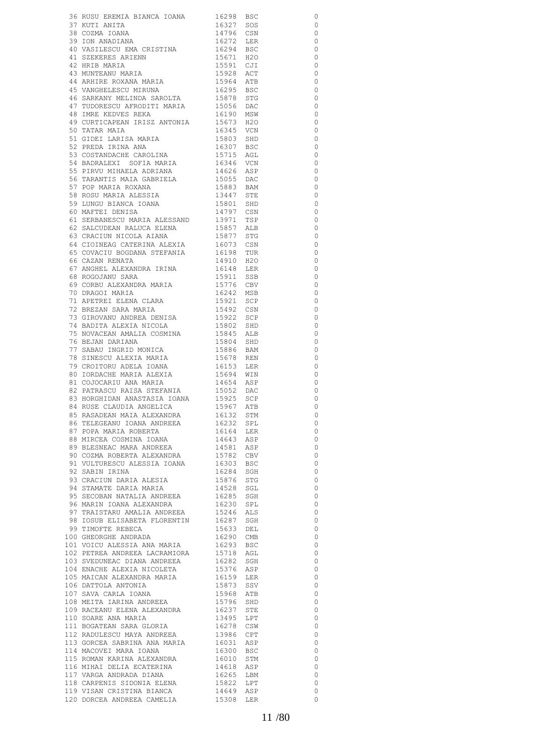|                                                                                                                                                                                                                                                              |                        | 0                        |
|--------------------------------------------------------------------------------------------------------------------------------------------------------------------------------------------------------------------------------------------------------------|------------------------|--------------------------|
|                                                                                                                                                                                                                                                              |                        | $\circ$                  |
|                                                                                                                                                                                                                                                              |                        | $\circ$                  |
|                                                                                                                                                                                                                                                              |                        |                          |
|                                                                                                                                                                                                                                                              |                        | $\overline{0}$           |
|                                                                                                                                                                                                                                                              |                        | $\overline{0}$           |
| 19 JUN ANADIANA.<br>40 VASILESCU EMA CRISTINA 16294 BSC<br>11 SZEKERES ARTENN 15671 H2O<br>41 SZEKERES ARIENN<br>42 HRIB MARIA<br>43 MUNTEANU MARIA<br>44 ARHIRE ROXANA MARIA<br>45 VANGHELESCU MIRUNA                                                       |                        | $\overline{0}$           |
|                                                                                                                                                                                                                                                              | 15591 CJI              | $\circ$                  |
|                                                                                                                                                                                                                                                              |                        |                          |
|                                                                                                                                                                                                                                                              | 15928 ACT              | $\overline{0}$           |
|                                                                                                                                                                                                                                                              | 15964 ATB<br>16295 BSC | $\overline{\phantom{0}}$ |
|                                                                                                                                                                                                                                                              |                        | $\overline{0}$           |
|                                                                                                                                                                                                                                                              |                        | $\overline{0}$           |
|                                                                                                                                                                                                                                                              |                        | $\overline{0}$           |
|                                                                                                                                                                                                                                                              |                        |                          |
|                                                                                                                                                                                                                                                              |                        | $\overline{0}$           |
|                                                                                                                                                                                                                                                              |                        | $\overline{0}$           |
|                                                                                                                                                                                                                                                              |                        | $\circ$                  |
|                                                                                                                                                                                                                                                              |                        | $\overline{\phantom{0}}$ |
| 43 VANGHELESCU MIRUNA<br>46 SARKANY MELINDA SAROLTA 15056 STG<br>47 TUDORESCU AFRODITI MARIA 15056 DAC<br>48 IMRE KEDVES REKA 16190 MSW<br>49 CURTICAPEAN IRISZ ANTONIA 15673 H2O<br>50 TATAR MAIA 16345 VCN<br>51 GIDEI LARISA MARIA 1580                   |                        |                          |
|                                                                                                                                                                                                                                                              |                        | $\overline{0}$           |
| 53 COSTANDACHE CAROLINA<br>54 BADRALEXI SOFIA MARIA 16346 VCN<br>14626 ASP                                                                                                                                                                                   |                        | $\overline{\phantom{0}}$ |
|                                                                                                                                                                                                                                                              |                        | $\overline{0}$           |
|                                                                                                                                                                                                                                                              |                        | $\overline{\phantom{0}}$ |
| 55 PIRVU MIHAELA ADRIANA<br>56 TARANTIS MAIA GABRIELA 15055 DAC<br>15883 BAM                                                                                                                                                                                 |                        | $\overline{\phantom{0}}$ |
|                                                                                                                                                                                                                                                              |                        |                          |
|                                                                                                                                                                                                                                                              |                        | $\overline{0}$           |
|                                                                                                                                                                                                                                                              |                        | $\circ$                  |
|                                                                                                                                                                                                                                                              |                        | $\overline{0}$           |
| 57 POP MARIA ROAANA 19883 BAM<br>58 ROSU MARIA ALESSIA 13447 STE<br>59 LUNGU BIANCA IOANA 15801 SHD<br>60 MAFTEI DENISA 14797 CSN                                                                                                                            |                        | $\overline{0}$           |
|                                                                                                                                                                                                                                                              |                        |                          |
|                                                                                                                                                                                                                                                              |                        | $\circ$                  |
|                                                                                                                                                                                                                                                              |                        | $\circ$                  |
|                                                                                                                                                                                                                                                              |                        | $\overline{0}$           |
| 61 SERBANESCU MARIA ALESSAND 13971 TSP 62 SALCUDEAN RALUCA ELENA 15857 ALB 63 CRACIUN NICOLA AIANA 15877 STG 64 CIOINEAG CATERINA ALEXIA 16073 CSN                                                                                                           |                        | $\overline{\phantom{0}}$ |
|                                                                                                                                                                                                                                                              |                        | $\circ$                  |
| 64 CIONALIO COLLA<br>65 COVACIU BOGDANA STEFANIA                                                                                                                                                                                                             | 16198 TUR<br>14910 H2O |                          |
| 66 CAZAN RENATA                                                                                                                                                                                                                                              |                        | $\overline{0}$           |
| 67 ANGHEL ALEXANDRA IRINA                                                                                                                                                                                                                                    | 16148 LER<br>15911 SSB | $\overline{0}$           |
| 68 ROGOJANU SARA                                                                                                                                                                                                                                             |                        | $\overline{\phantom{0}}$ |
| 68 ROGOJANO JARILI<br>69 CORBU ALEXANDRA MARIA                                                                                                                                                                                                               | 15776 CBV              | $\circ$                  |
| 70 DRAGOI MARIA                                                                                                                                                                                                                                              | $16242$ MSB            | $\overline{0}$           |
|                                                                                                                                                                                                                                                              |                        |                          |
| TI APETREI ELENA CLARA<br>72 BREZAN SARA MARIA<br>73 CIDOUANNE L'ARENTA                                                                                                                                                                                      | 15921 SCP<br>15492 CSN | $\circ$                  |
|                                                                                                                                                                                                                                                              |                        | $\overline{0}$           |
|                                                                                                                                                                                                                                                              |                        | $\circ$                  |
| 73 GIROVANU ANDREA DENISA<br>74 BADITA ALEXIA NICOLA                                                                                                                                                                                                         | 15922 SCP<br>15802 SHD | $\circ$                  |
|                                                                                                                                                                                                                                                              |                        | $\circ$                  |
| 75 NOVACEAN AMALIA COSMINA                                                                                                                                                                                                                                   | 15845 ALB<br>15804 SHD |                          |
| 76 BEJAN DARIANA<br>77 SABAU INGRID MONICA<br>78 SINESCU ALEXIA MARIA                                                                                                                                                                                        |                        | $\overline{0}$           |
|                                                                                                                                                                                                                                                              | 15886 BAM<br>15678 REN | $\circ$                  |
|                                                                                                                                                                                                                                                              |                        | $\circ$                  |
|                                                                                                                                                                                                                                                              |                        | $\circ$                  |
| 79 CROITORU ADELA IOANA<br>80 IORDACHE MARIA ALEXIA                                                                                                                                                                                                          | 16153 LER<br>15694 WIN |                          |
|                                                                                                                                                                                                                                                              |                        | $\circ$                  |
| 81 COJOCARIU ANA MARIA<br>82 PATRASCU RAISA STEFANIA                                                                                                                                                                                                         | 14654 ASP<br>15052 DAC | $\circ$                  |
|                                                                                                                                                                                                                                                              |                        | $\circ$                  |
| 83 HORGHIDAN ANASTASIA IOANA 15925 SCP<br>84 RUSE CLAUDIA ANGELICA 15967 ATB                                                                                                                                                                                 |                        | 0                        |
|                                                                                                                                                                                                                                                              |                        | $\circ$                  |
|                                                                                                                                                                                                                                                              |                        |                          |
| 84 RUSE CLAUDIA ANGELICA<br>85 RASADEAN MATA ALEXANDRA<br>86 TELEGEANU IOANA ANDREEA<br>87 POPA MARIA ROBERTA<br>87 POPA MARIA ROBERTA<br>88 MIRCEA COSMINA IOANA 14643 ASP<br>89 BLESNEAC MARA ANDREEA 14581 ASP<br>90 COZMA ROBERTA ALEXAN                 |                        | $\circ$                  |
|                                                                                                                                                                                                                                                              |                        | $\overline{\phantom{0}}$ |
|                                                                                                                                                                                                                                                              |                        | $\overline{0}$           |
|                                                                                                                                                                                                                                                              |                        | $\overline{\phantom{0}}$ |
|                                                                                                                                                                                                                                                              |                        | $\overline{0}$           |
|                                                                                                                                                                                                                                                              |                        |                          |
|                                                                                                                                                                                                                                                              |                        | $\overline{\phantom{0}}$ |
|                                                                                                                                                                                                                                                              |                        | $\overline{0}$           |
|                                                                                                                                                                                                                                                              |                        | $\overline{\phantom{0}}$ |
|                                                                                                                                                                                                                                                              |                        | $\overline{\phantom{0}}$ |
|                                                                                                                                                                                                                                                              |                        |                          |
|                                                                                                                                                                                                                                                              |                        | $\overline{\phantom{0}}$ |
|                                                                                                                                                                                                                                                              |                        | $\overline{\phantom{0}}$ |
|                                                                                                                                                                                                                                                              |                        | $\overline{\phantom{0}}$ |
|                                                                                                                                                                                                                                                              |                        | $\overline{\phantom{0}}$ |
|                                                                                                                                                                                                                                                              |                        | $\overline{\phantom{0}}$ |
|                                                                                                                                                                                                                                                              |                        |                          |
|                                                                                                                                                                                                                                                              |                        | $\overline{\phantom{0}}$ |
|                                                                                                                                                                                                                                                              |                        | $\overline{\phantom{0}}$ |
|                                                                                                                                                                                                                                                              |                        | $\overline{\phantom{0}}$ |
|                                                                                                                                                                                                                                                              |                        | $\overline{\phantom{0}}$ |
|                                                                                                                                                                                                                                                              |                        | $\overline{\phantom{0}}$ |
|                                                                                                                                                                                                                                                              |                        | $\overline{\phantom{0}}$ |
|                                                                                                                                                                                                                                                              |                        |                          |
|                                                                                                                                                                                                                                                              |                        | $\overline{\phantom{0}}$ |
| 91 VULTURASCU ALBESSIA IOANA 1980<br>16284 SGH<br>16284 SGH<br>16284 SGH<br>16284 SGH<br>16284 SGH<br>16284 SGH<br>16284 SGH<br>16284 SGH<br>16285 STCOBAN NATALIA ANDREEA 16285 SGH<br>16285 SGH<br>16287 SGH<br>16287 SGH<br>16287 SGH<br>16287 SGH<br>162 |                        | $\overline{\phantom{0}}$ |
|                                                                                                                                                                                                                                                              |                        | $\overline{\phantom{0}}$ |
|                                                                                                                                                                                                                                                              |                        | $\overline{\phantom{0}}$ |
|                                                                                                                                                                                                                                                              |                        | $\overline{\phantom{0}}$ |
|                                                                                                                                                                                                                                                              |                        |                          |
|                                                                                                                                                                                                                                                              |                        | $\overline{\phantom{0}}$ |
|                                                                                                                                                                                                                                                              |                        | $\overline{0}$           |
|                                                                                                                                                                                                                                                              |                        | $\overline{\phantom{0}}$ |
|                                                                                                                                                                                                                                                              |                        | $\overline{\phantom{0}}$ |
|                                                                                                                                                                                                                                                              |                        | $\overline{\phantom{0}}$ |
|                                                                                                                                                                                                                                                              |                        |                          |
|                                                                                                                                                                                                                                                              |                        | $\overline{0}$           |
|                                                                                                                                                                                                                                                              |                        | $\overline{\phantom{0}}$ |
|                                                                                                                                                                                                                                                              |                        | $\overline{0}$           |
|                                                                                                                                                                                                                                                              |                        | $\overline{\phantom{0}}$ |
|                                                                                                                                                                                                                                                              |                        |                          |
| 113 GORCEA SADRING ANG TANLA 16300 BSC<br>114 MACOVEI MARA IOANA 16300 BSC<br>115 ROMAN KARINA ALEXANDRA 16010 STM<br>116 MIHAI DELIA ECATERINA 1618 ASP<br>117 VARGA ANDRADA DIANA 16265 LBM<br>118 CARPENIS SIDONIA ELENA 15822 LPT<br>1                   |                        | 0                        |
| 120 DORCEA ANDREEA CAMELIA 15308 LER                                                                                                                                                                                                                         |                        | 0                        |
|                                                                                                                                                                                                                                                              |                        |                          |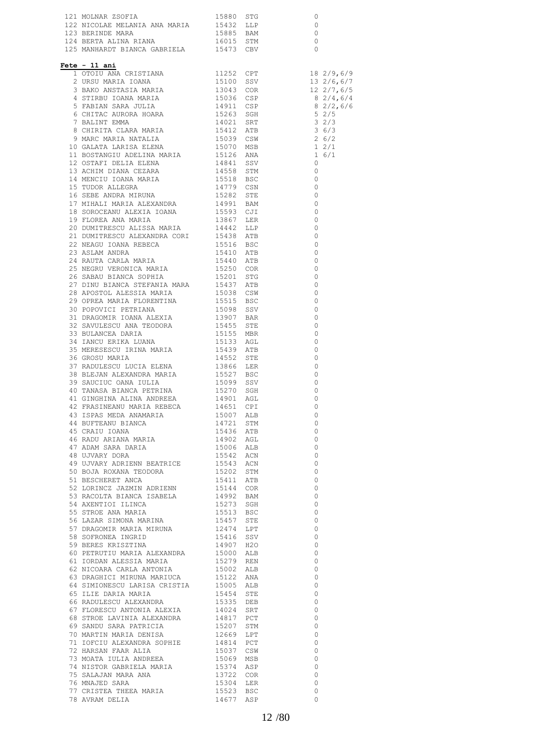| Fete - 11 ani                                                                                                                                                                                                                              |           |                                                      |  |
|--------------------------------------------------------------------------------------------------------------------------------------------------------------------------------------------------------------------------------------------|-----------|------------------------------------------------------|--|
|                                                                                                                                                                                                                                            |           |                                                      |  |
|                                                                                                                                                                                                                                            |           |                                                      |  |
|                                                                                                                                                                                                                                            |           |                                                      |  |
|                                                                                                                                                                                                                                            |           |                                                      |  |
|                                                                                                                                                                                                                                            |           |                                                      |  |
|                                                                                                                                                                                                                                            |           |                                                      |  |
|                                                                                                                                                                                                                                            |           |                                                      |  |
|                                                                                                                                                                                                                                            |           |                                                      |  |
|                                                                                                                                                                                                                                            |           |                                                      |  |
|                                                                                                                                                                                                                                            |           |                                                      |  |
|                                                                                                                                                                                                                                            |           |                                                      |  |
|                                                                                                                                                                                                                                            |           |                                                      |  |
|                                                                                                                                                                                                                                            |           |                                                      |  |
|                                                                                                                                                                                                                                            |           |                                                      |  |
|                                                                                                                                                                                                                                            |           |                                                      |  |
|                                                                                                                                                                                                                                            |           |                                                      |  |
|                                                                                                                                                                                                                                            |           |                                                      |  |
|                                                                                                                                                                                                                                            |           |                                                      |  |
|                                                                                                                                                                                                                                            |           |                                                      |  |
|                                                                                                                                                                                                                                            |           |                                                      |  |
|                                                                                                                                                                                                                                            |           |                                                      |  |
| 28 APOSTOL ALESSIA MARIA                                                                                                                                                                                                                   | 15038 CSW | $\overline{\phantom{0}}$                             |  |
| 29 OPREA MARIA FLORENTINA 15515 BSC                                                                                                                                                                                                        |           | 0                                                    |  |
|                                                                                                                                                                                                                                            |           | $\overline{\phantom{0}}$                             |  |
| 29 OPREA MARIA FLUKERIANA 15098 SSV 31 DRAGOMIR IOANA ALEXIA 13907 BAR<br>31 DRAGOMIR IOANA ALEXIA 13907 BAR<br>15455 STE                                                                                                                  |           | $\overline{\phantom{0}}$<br>$\overline{\phantom{0}}$ |  |
| 31 DKAGOWILK 10ANA (1990)<br>32 SAVULESCU ANA TEODORA (19455 STE 1955 MBR)<br>33 BULANCE RIKA LUANA (195133 AGL)<br>35 MERESESCU IRINA MARIA (19439 ATB 19552 STE 19552 STE                                                                |           | $\overline{\phantom{0}}$                             |  |
|                                                                                                                                                                                                                                            |           | $\circ$                                              |  |
|                                                                                                                                                                                                                                            |           | $\circ$                                              |  |
| 36 GROSU MARIA                                                                                                                                                                                                                             | 14552 STE | $\circ$<br>$\circ$                                   |  |
|                                                                                                                                                                                                                                            |           |                                                      |  |
| 37 RADULESCU LUCIA ELENA 13866 LER<br>38 BLEJAN ALEXANDRA MARIA 15527 BSC<br>39 SAUCIUC OANA IULIA 15099 SSV                                                                                                                               |           | $\begin{matrix} 0 \\ 0 \end{matrix}$                 |  |
| $\begin{tabular}{llllllll} 40\text{ TANASA BIANCA PERTINA} & & & 15270 \text{ SGH} \\ 41\text{ GINGHINA ALINA ANDREEA} & & 14901 \text{ AGL} \\ 42\text{ FRASINEANU MARIA REBECA} & & 14651 \text{ CPI} \end{tabular}$                     |           | $\circ$<br>$\circ$                                   |  |
|                                                                                                                                                                                                                                            |           | $\Omega$                                             |  |
| 42 FRASINEANU MARIA REBECA 14651 CPI<br>43 ISPAS MEDA ANAMARIA 15007 ALB<br>44 BUFTEANU BIANCA 14721 STM<br>45 CRAIU IOANA 14721 STM<br>46 RADU ARIANA MARIA 14902 AGL<br>47 ADAM SARA DARIA 15006 ALB<br>48 UJVARY ADRIENN BEATRICE 15542 |           |                                                      |  |
|                                                                                                                                                                                                                                            |           |                                                      |  |
|                                                                                                                                                                                                                                            |           |                                                      |  |
|                                                                                                                                                                                                                                            |           |                                                      |  |
|                                                                                                                                                                                                                                            |           | $\begin{matrix} 0 \\ 0 \end{matrix}$                 |  |
|                                                                                                                                                                                                                                            |           |                                                      |  |
| $\begin{tabular}{lllllllllllll} 50\ \texttt{BOJA}\ \texttt{ROXANA}\ \texttt{TEODORA} & & & 15202\ \texttt{STM} \\ 51\ \texttt{BESCHERET}\ \texttt{ANCA} & & & 15411\ \texttt{ATB} \end{tabular}$                                           |           | $\begin{matrix} 0 \\ 0 \end{matrix}$                 |  |
|                                                                                                                                                                                                                                            |           |                                                      |  |
|                                                                                                                                                                                                                                            |           |                                                      |  |
|                                                                                                                                                                                                                                            |           |                                                      |  |
|                                                                                                                                                                                                                                            |           |                                                      |  |
|                                                                                                                                                                                                                                            |           |                                                      |  |
|                                                                                                                                                                                                                                            |           |                                                      |  |
|                                                                                                                                                                                                                                            |           |                                                      |  |
|                                                                                                                                                                                                                                            |           |                                                      |  |
|                                                                                                                                                                                                                                            |           |                                                      |  |
|                                                                                                                                                                                                                                            |           |                                                      |  |
|                                                                                                                                                                                                                                            |           |                                                      |  |
|                                                                                                                                                                                                                                            |           |                                                      |  |
| 51 BESCHERET ANGAN HEADUNA<br>51 BESCHERET ANGA HEADUNA 15411 ATB<br>52 LORINCZ JAZMIN ADRIENN 15414 COR<br>53 RACOLTA BIANCA ISABELA 14992 BAM<br>54 AXENTIOI LILNCA 14912 BAM<br>54 AXENTIOI LILNCA 15533 BSC 0<br>55 STROE ANA MARIA 15 |           |                                                      |  |
|                                                                                                                                                                                                                                            |           |                                                      |  |
|                                                                                                                                                                                                                                            |           |                                                      |  |
| 71 IOFCIU ALEXANDRA SOPHIE 14814 PCT<br>72 HARSAN FAAR ALIA 15037 CSW<br>73 MOATA IULIA ANDREEA 15069 MSB                                                                                                                                  |           |                                                      |  |
|                                                                                                                                                                                                                                            |           |                                                      |  |
|                                                                                                                                                                                                                                            |           |                                                      |  |
|                                                                                                                                                                                                                                            |           | 00000                                                |  |
|                                                                                                                                                                                                                                            |           | $\overline{0}$                                       |  |
| 73 MOATA 10LIA ANDREEA (1990) 1992<br>74 NISTOR GABRIELA MARIA (19374) ASP<br>75 SALAJAN MARA ANA (1972) 200R<br>76 MNAJED SARA (1980) 1982<br>78 AVRAM DELIA (1977) ASP<br>78 AVRAM DELIA                                                 |           | 0                                                    |  |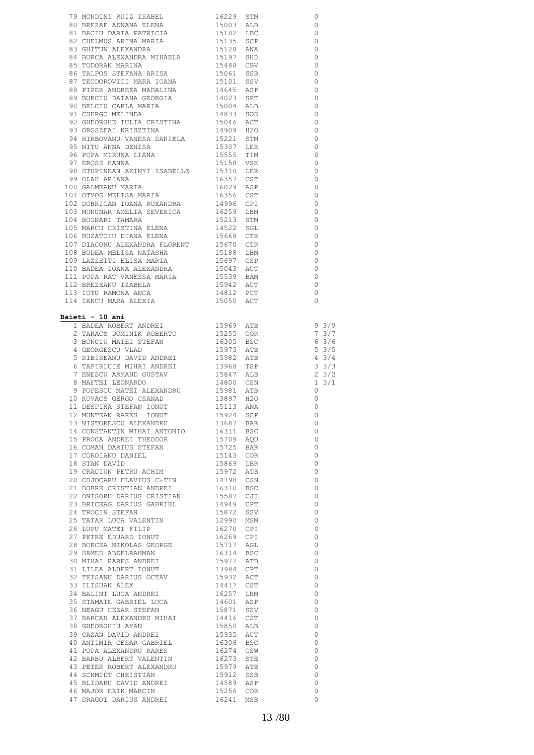| 79 MONDITI RUIZ ISABEL 1622 STM<br>1622 SON REEAR 1622 STM 1622 SEE ADNANA ELERN 15003 ALB 20<br>18 BACCU DARIA PATRICIA 15003 ALB 20<br>18 DECEMUS ARINA MARIA 15123 SCP 0<br>16 SUCCA ALEXANDRA MIHABLA 15128 AND 0<br>16 DECAM MARINA MAR                                                                                                                     |  |                          |
|------------------------------------------------------------------------------------------------------------------------------------------------------------------------------------------------------------------------------------------------------------------------------------------------------------------------------------------------------------------|--|--------------------------|
|                                                                                                                                                                                                                                                                                                                                                                  |  |                          |
|                                                                                                                                                                                                                                                                                                                                                                  |  |                          |
|                                                                                                                                                                                                                                                                                                                                                                  |  |                          |
|                                                                                                                                                                                                                                                                                                                                                                  |  |                          |
|                                                                                                                                                                                                                                                                                                                                                                  |  |                          |
|                                                                                                                                                                                                                                                                                                                                                                  |  |                          |
|                                                                                                                                                                                                                                                                                                                                                                  |  |                          |
|                                                                                                                                                                                                                                                                                                                                                                  |  |                          |
|                                                                                                                                                                                                                                                                                                                                                                  |  |                          |
| Baieti - 10 ani                                                                                                                                                                                                                                                                                                                                                  |  |                          |
|                                                                                                                                                                                                                                                                                                                                                                  |  |                          |
|                                                                                                                                                                                                                                                                                                                                                                  |  |                          |
|                                                                                                                                                                                                                                                                                                                                                                  |  |                          |
|                                                                                                                                                                                                                                                                                                                                                                  |  |                          |
|                                                                                                                                                                                                                                                                                                                                                                  |  |                          |
|                                                                                                                                                                                                                                                                                                                                                                  |  |                          |
|                                                                                                                                                                                                                                                                                                                                                                  |  |                          |
|                                                                                                                                                                                                                                                                                                                                                                  |  |                          |
|                                                                                                                                                                                                                                                                                                                                                                  |  |                          |
|                                                                                                                                                                                                                                                                                                                                                                  |  |                          |
|                                                                                                                                                                                                                                                                                                                                                                  |  |                          |
|                                                                                                                                                                                                                                                                                                                                                                  |  |                          |
|                                                                                                                                                                                                                                                                                                                                                                  |  |                          |
|                                                                                                                                                                                                                                                                                                                                                                  |  |                          |
|                                                                                                                                                                                                                                                                                                                                                                  |  |                          |
|                                                                                                                                                                                                                                                                                                                                                                  |  |                          |
|                                                                                                                                                                                                                                                                                                                                                                  |  |                          |
| $\begin{tabular}{l c c c c} \bf{a:12} & \bf{10} & \bf{ani} & \bf{15969} & \bf{ATB} & \bf{9} & \bf{3/9} \\ \hline 1 & \tt{BADEA ROBERT ANDREI} & \tt{15969} & \tt{ATB} & \tt{9} & \tt{3/9} \\ 2 & \tt{TAKACS DOMINK ROBERTO} & \tt{15255} & \tt{COR} & \tt{7} & \tt{3/7} \\ 3 & \tt{BONCIU MATEI STEFAN} & \tt{16305} & \tt{BSC} & \tt{6} & \tt{3/6} \\ 4 & \tt{$ |  |                          |
| 12 MUNTEAN RARES IONUT 15924 SCP<br>13 NISTORESCU ALEXANDRU 13687 BAR                                                                                                                                                                                                                                                                                            |  |                          |
|                                                                                                                                                                                                                                                                                                                                                                  |  |                          |
|                                                                                                                                                                                                                                                                                                                                                                  |  |                          |
|                                                                                                                                                                                                                                                                                                                                                                  |  |                          |
|                                                                                                                                                                                                                                                                                                                                                                  |  |                          |
|                                                                                                                                                                                                                                                                                                                                                                  |  |                          |
|                                                                                                                                                                                                                                                                                                                                                                  |  |                          |
|                                                                                                                                                                                                                                                                                                                                                                  |  |                          |
|                                                                                                                                                                                                                                                                                                                                                                  |  |                          |
| 14 CONSTANTIN MIHAI ANTONIO 16311 BSC<br>16 COMAN DARIUS STEFAN 15709 AQU<br>16 COMAN DARIUS STEFAN 15725 BAR<br>17 CONOIANU DANIEL 15143 COR<br>18 STAN DAVID 15869 LBR<br>19 CRACIUN PETRU ACHIM 15869 LBR<br>20 COJOCABU FLAVIUS C=TM                                                                                                                         |  | $\overline{0}$           |
|                                                                                                                                                                                                                                                                                                                                                                  |  | $\overline{0}$           |
|                                                                                                                                                                                                                                                                                                                                                                  |  |                          |
|                                                                                                                                                                                                                                                                                                                                                                  |  | $\overline{0}$           |
|                                                                                                                                                                                                                                                                                                                                                                  |  | $\overline{0}$           |
|                                                                                                                                                                                                                                                                                                                                                                  |  | $\overline{0}$           |
|                                                                                                                                                                                                                                                                                                                                                                  |  |                          |
|                                                                                                                                                                                                                                                                                                                                                                  |  | $\overline{0}$           |
|                                                                                                                                                                                                                                                                                                                                                                  |  | $\overline{0}$           |
|                                                                                                                                                                                                                                                                                                                                                                  |  |                          |
|                                                                                                                                                                                                                                                                                                                                                                  |  | $\overline{0}$           |
|                                                                                                                                                                                                                                                                                                                                                                  |  | $\overline{0}$           |
|                                                                                                                                                                                                                                                                                                                                                                  |  | $\overline{0}$           |
|                                                                                                                                                                                                                                                                                                                                                                  |  |                          |
|                                                                                                                                                                                                                                                                                                                                                                  |  | $\overline{0}$           |
|                                                                                                                                                                                                                                                                                                                                                                  |  | $\overline{0}$           |
|                                                                                                                                                                                                                                                                                                                                                                  |  | $\overline{0}$           |
|                                                                                                                                                                                                                                                                                                                                                                  |  | $\overline{0}$           |
|                                                                                                                                                                                                                                                                                                                                                                  |  |                          |
|                                                                                                                                                                                                                                                                                                                                                                  |  | $\overline{0}$           |
|                                                                                                                                                                                                                                                                                                                                                                  |  | $\overline{0}$           |
|                                                                                                                                                                                                                                                                                                                                                                  |  | $\overline{0}$           |
|                                                                                                                                                                                                                                                                                                                                                                  |  |                          |
|                                                                                                                                                                                                                                                                                                                                                                  |  | $\overline{0}$           |
|                                                                                                                                                                                                                                                                                                                                                                  |  | $\overline{0}$           |
|                                                                                                                                                                                                                                                                                                                                                                  |  | $\overline{0}$           |
|                                                                                                                                                                                                                                                                                                                                                                  |  |                          |
|                                                                                                                                                                                                                                                                                                                                                                  |  | $\overline{0}$           |
|                                                                                                                                                                                                                                                                                                                                                                  |  | $\overline{0}$           |
|                                                                                                                                                                                                                                                                                                                                                                  |  | $\overline{\phantom{0}}$ |
|                                                                                                                                                                                                                                                                                                                                                                  |  |                          |
|                                                                                                                                                                                                                                                                                                                                                                  |  | $\overline{0}$           |
|                                                                                                                                                                                                                                                                                                                                                                  |  | $\overline{0}$           |
|                                                                                                                                                                                                                                                                                                                                                                  |  | $\overline{0}$           |
|                                                                                                                                                                                                                                                                                                                                                                  |  |                          |
|                                                                                                                                                                                                                                                                                                                                                                  |  | $\circ$<br>$\circ$       |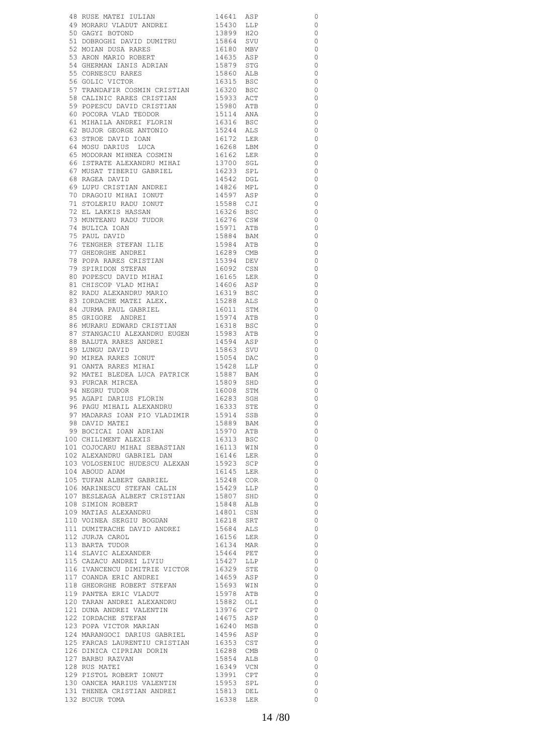|                                                                                                                                                                                                                                                                                                                                                                                                                                                                                 |                                                  | $\circ$                             |
|---------------------------------------------------------------------------------------------------------------------------------------------------------------------------------------------------------------------------------------------------------------------------------------------------------------------------------------------------------------------------------------------------------------------------------------------------------------------------------|--------------------------------------------------|-------------------------------------|
|                                                                                                                                                                                                                                                                                                                                                                                                                                                                                 |                                                  | $\circ$                             |
|                                                                                                                                                                                                                                                                                                                                                                                                                                                                                 |                                                  | $\overline{0}$                      |
|                                                                                                                                                                                                                                                                                                                                                                                                                                                                                 |                                                  | $\overline{\phantom{0}}$            |
| 48 RUSE MATEI IULIAN 14641 ASP<br>49 MORARU VLADUT ANDREI 15430 LLP<br>50 GAGYI BOTOND 13899 H2O<br>51 DOBROGHI DAVID DUMITRU 15864 SVU<br>52 MOIAN DUSA RARES 16180 MBV<br>53 ARON MARIO ROBERT 14635 ASP<br>54 GEEPMAN TAUG ADERIT 14635                                                                                                                                                                                                                                      |                                                  | $\overline{\phantom{0}}$            |
|                                                                                                                                                                                                                                                                                                                                                                                                                                                                                 |                                                  |                                     |
|                                                                                                                                                                                                                                                                                                                                                                                                                                                                                 |                                                  | $\overline{0}$                      |
| 54 GHERMAN IANIS ADRIAN                                                                                                                                                                                                                                                                                                                                                                                                                                                         | 15879 STG<br>15860 ALB                           | $\overline{0}$                      |
| 55 CORNESCU RARES<br>56 GOLIC VICTOR<br>57 TRANDAFIR COSMIN CRISTIAN                                                                                                                                                                                                                                                                                                                                                                                                            |                                                  | $\overline{\phantom{0}}$            |
|                                                                                                                                                                                                                                                                                                                                                                                                                                                                                 | 16315 BSC<br>16320 BSC<br>15933 ACT<br>15980 ATB | $\overline{\phantom{0}}$            |
|                                                                                                                                                                                                                                                                                                                                                                                                                                                                                 |                                                  | $\overline{0}$                      |
| 58 CALINIC RARES CRISTIAN<br>59 POPESCU DAVID CRISTIAN<br>60 POCORA VLAD TEODOR                                                                                                                                                                                                                                                                                                                                                                                                 |                                                  | $\overline{\phantom{0}}$            |
|                                                                                                                                                                                                                                                                                                                                                                                                                                                                                 |                                                  | $\overline{\phantom{0}}$            |
|                                                                                                                                                                                                                                                                                                                                                                                                                                                                                 |                                                  |                                     |
|                                                                                                                                                                                                                                                                                                                                                                                                                                                                                 |                                                  | $\overline{\phantom{0}}$            |
| 61 MIHAILA ANDREI FLORIN<br>62 DUIDE CLOSE                                                                                                                                                                                                                                                                                                                                                                                                                                      | 15114 ANA<br>16316 BSC<br>15244 ALS<br>16172 LER | $\overline{\phantom{0}}$            |
| 62 BUJOR GEORGE ANTONIO                                                                                                                                                                                                                                                                                                                                                                                                                                                         |                                                  | $\overline{\phantom{0}}$            |
|                                                                                                                                                                                                                                                                                                                                                                                                                                                                                 |                                                  | $\overline{\phantom{0}}$            |
|                                                                                                                                                                                                                                                                                                                                                                                                                                                                                 |                                                  | $\overline{\phantom{0}}$            |
| 63 STROE DAVID IOAN<br>64 MOSU DARIUS LUCA 16268 LBM<br>65 MODORAN MIHNEA COSMIN 16162 LER<br>66 ISTRATE ALEXANDRU MIHAI 13700 SGL<br>67 MUSATE TERRIU GABRIEL 16233 SPL<br>16263 SPL<br>16233 SPL                                                                                                                                                                                                                                                                              |                                                  | $\overline{\phantom{0}}$            |
|                                                                                                                                                                                                                                                                                                                                                                                                                                                                                 |                                                  | $\overline{\phantom{0}}$            |
|                                                                                                                                                                                                                                                                                                                                                                                                                                                                                 |                                                  | $\overline{\phantom{0}}$            |
|                                                                                                                                                                                                                                                                                                                                                                                                                                                                                 |                                                  |                                     |
|                                                                                                                                                                                                                                                                                                                                                                                                                                                                                 |                                                  | $\overline{\phantom{0}}$            |
|                                                                                                                                                                                                                                                                                                                                                                                                                                                                                 |                                                  | $\overline{\phantom{0}}$            |
|                                                                                                                                                                                                                                                                                                                                                                                                                                                                                 |                                                  | $\overline{\phantom{0}}$            |
|                                                                                                                                                                                                                                                                                                                                                                                                                                                                                 |                                                  | $\overline{\phantom{0}}$            |
|                                                                                                                                                                                                                                                                                                                                                                                                                                                                                 |                                                  | $\overline{\phantom{0}}$            |
|                                                                                                                                                                                                                                                                                                                                                                                                                                                                                 |                                                  | $\overline{0}$                      |
|                                                                                                                                                                                                                                                                                                                                                                                                                                                                                 |                                                  | $\overline{\phantom{0}}$            |
|                                                                                                                                                                                                                                                                                                                                                                                                                                                                                 |                                                  | $\overline{\phantom{0}}$            |
|                                                                                                                                                                                                                                                                                                                                                                                                                                                                                 |                                                  |                                     |
| $\begin{tabular}{c c c} \multicolumn{1}{c}{\multicolumn{1}{c}{\multicolumn{1}{c}{\multicolumn{1}{c}{\multicolumn{1}{c}{\multicolumn{1}{c}{\multicolumn{1}{c}{\multicolumn{1}{c}{\multicolumn{1}{c}{\multicolumn{1}{c}{\multicolumn{1}{c}{\multicolumn{1}{c}{\multicolumn{1}{c}{\multicolumn{1}{c}{\multicolumn{1}{c}{\multicolumn{1}{c}{\multicolumn{1}{c}{\multicolumn{1}{c}{\multicolumn{1}{c}{\multicolumn{1}{c}{\multicolumn{1}{c}{\multicolumn{1}{c}{\multicolumn{1}{c}{\$ |                                                  | $\overline{\phantom{0}}$            |
|                                                                                                                                                                                                                                                                                                                                                                                                                                                                                 |                                                  | $\overline{0}$                      |
|                                                                                                                                                                                                                                                                                                                                                                                                                                                                                 |                                                  | $\overline{\phantom{0}}$            |
|                                                                                                                                                                                                                                                                                                                                                                                                                                                                                 |                                                  | $\overline{\phantom{0}}$            |
| 70 IOIN NEMBO JE 1<br>79 SPIRIDON STEFAN<br>80 POPESCU DAVID MIHAI                                                                                                                                                                                                                                                                                                                                                                                                              | 15394 DEV<br>15394 DEV<br>16092 CSN<br>16165 LER | $\overline{\phantom{0}}$            |
| 81 CHISCOP VLAD MIHAI                                                                                                                                                                                                                                                                                                                                                                                                                                                           |                                                  | $\overline{\phantom{0}}$            |
| 82 RADU ALEXANDRU MARIO                                                                                                                                                                                                                                                                                                                                                                                                                                                         | 14606 ASP<br>16319 BSC<br>15288 ALS<br>16011 STM |                                     |
|                                                                                                                                                                                                                                                                                                                                                                                                                                                                                 |                                                  | $\overline{\phantom{0}}$            |
| 83 IORDACHE MATEI ALEX.<br>84 JURMA PAUL GABRIEL<br>85 GRIGORE ANDREI                                                                                                                                                                                                                                                                                                                                                                                                           |                                                  | $\overline{\phantom{0}}$            |
|                                                                                                                                                                                                                                                                                                                                                                                                                                                                                 |                                                  | $\overline{\phantom{0}}$            |
|                                                                                                                                                                                                                                                                                                                                                                                                                                                                                 | 15974 ATB                                        | $\overline{\phantom{0}}$            |
| 86 MURARU EDWARD CRISTIAN                                                                                                                                                                                                                                                                                                                                                                                                                                                       | 16318 BSC                                        | $\overline{\phantom{0}}$            |
|                                                                                                                                                                                                                                                                                                                                                                                                                                                                                 |                                                  | $\overline{\phantom{0}}$            |
|                                                                                                                                                                                                                                                                                                                                                                                                                                                                                 | 15983 ATB<br>14594 ASP                           | $\overline{\phantom{0}}$            |
|                                                                                                                                                                                                                                                                                                                                                                                                                                                                                 |                                                  |                                     |
|                                                                                                                                                                                                                                                                                                                                                                                                                                                                                 |                                                  | $\circ$                             |
|                                                                                                                                                                                                                                                                                                                                                                                                                                                                                 |                                                  |                                     |
|                                                                                                                                                                                                                                                                                                                                                                                                                                                                                 |                                                  | $\circ$                             |
|                                                                                                                                                                                                                                                                                                                                                                                                                                                                                 |                                                  | $\circ$                             |
| 87 STANGACIU ALEXANDRU EUGEN<br>88 BALUTA RARES ANDREI<br>89 LUNGU DAVID<br>90 MIREA RARES IONUT<br>91 OANTA RARES MIHAI                                                                                                                                                                                                                                                                                                                                                        |                                                  | $\overline{\phantom{0}}$            |
|                                                                                                                                                                                                                                                                                                                                                                                                                                                                                 |                                                  | $\circ$                             |
|                                                                                                                                                                                                                                                                                                                                                                                                                                                                                 | 15809 SHD                                        |                                     |
| 93 PURCAR MIRCEA<br>94 NEGRU TUDOR                                                                                                                                                                                                                                                                                                                                                                                                                                              |                                                  | $\overline{0}$                      |
|                                                                                                                                                                                                                                                                                                                                                                                                                                                                                 |                                                  | $\overline{\phantom{0}}$            |
| 93 FORCHA ATRICAL PRODUCED 1980 PORT 1998 STM<br>95 AGAPI DARIUS FLORIN 16283 SGH<br>96 PAGU MIHAIL ALEXANDRU 16333 STE                                                                                                                                                                                                                                                                                                                                                         |                                                  | $\circ$                             |
|                                                                                                                                                                                                                                                                                                                                                                                                                                                                                 |                                                  | $\overline{\phantom{0}}$            |
| 97 MADARAS IOAN PIO VLADIMIR 15914 SSB<br>98 DAVID MATEI 15889 BAM                                                                                                                                                                                                                                                                                                                                                                                                              |                                                  | $\overline{\phantom{0}}$            |
|                                                                                                                                                                                                                                                                                                                                                                                                                                                                                 |                                                  | $\overline{0}$                      |
|                                                                                                                                                                                                                                                                                                                                                                                                                                                                                 |                                                  |                                     |
|                                                                                                                                                                                                                                                                                                                                                                                                                                                                                 |                                                  | $\overline{\phantom{0}}$            |
|                                                                                                                                                                                                                                                                                                                                                                                                                                                                                 |                                                  | $\overline{0}$                      |
|                                                                                                                                                                                                                                                                                                                                                                                                                                                                                 |                                                  | $\overline{0}$                      |
|                                                                                                                                                                                                                                                                                                                                                                                                                                                                                 |                                                  | $\overline{0}$                      |
|                                                                                                                                                                                                                                                                                                                                                                                                                                                                                 |                                                  | $\overline{\phantom{0}}$            |
| 98 DAVID MATEI<br>99 BOCTCAI IOAN ADRIAN<br>100 CHILIMENT ALEXIS<br>101 COJOCARU MIHAI SEBASTIAN<br>102 ALEXANDRU GABRIEL DAN 16146 LER<br>103 VOLOSENIUC HUDESCU ALEXAN 15923 SCP<br>104 ABOUD ADAM 16145 LER                                                                                                                                                                                                                                                                  |                                                  | $\overline{0}$                      |
|                                                                                                                                                                                                                                                                                                                                                                                                                                                                                 |                                                  | $\overline{0}$                      |
|                                                                                                                                                                                                                                                                                                                                                                                                                                                                                 |                                                  | $\overline{0}$                      |
|                                                                                                                                                                                                                                                                                                                                                                                                                                                                                 |                                                  |                                     |
|                                                                                                                                                                                                                                                                                                                                                                                                                                                                                 |                                                  | $\overline{\phantom{0}}$            |
|                                                                                                                                                                                                                                                                                                                                                                                                                                                                                 |                                                  | $\overline{\phantom{0}}$            |
|                                                                                                                                                                                                                                                                                                                                                                                                                                                                                 |                                                  | $\overline{0}$                      |
|                                                                                                                                                                                                                                                                                                                                                                                                                                                                                 |                                                  | $\overline{\phantom{0}}$            |
|                                                                                                                                                                                                                                                                                                                                                                                                                                                                                 |                                                  | $\overline{\phantom{0}}$            |
|                                                                                                                                                                                                                                                                                                                                                                                                                                                                                 |                                                  | $\overline{\phantom{0}}$            |
|                                                                                                                                                                                                                                                                                                                                                                                                                                                                                 |                                                  | $\overline{\phantom{0}}$            |
|                                                                                                                                                                                                                                                                                                                                                                                                                                                                                 |                                                  | $\overline{\phantom{0}}$            |
|                                                                                                                                                                                                                                                                                                                                                                                                                                                                                 |                                                  |                                     |
|                                                                                                                                                                                                                                                                                                                                                                                                                                                                                 |                                                  | $\overline{\phantom{0}}$            |
|                                                                                                                                                                                                                                                                                                                                                                                                                                                                                 |                                                  | $\overline{\phantom{0}}$            |
|                                                                                                                                                                                                                                                                                                                                                                                                                                                                                 |                                                  | $\overline{\phantom{0}}$            |
|                                                                                                                                                                                                                                                                                                                                                                                                                                                                                 |                                                  | $\overline{0}$                      |
|                                                                                                                                                                                                                                                                                                                                                                                                                                                                                 |                                                  | $\overline{\phantom{0}}$            |
|                                                                                                                                                                                                                                                                                                                                                                                                                                                                                 |                                                  | $\overline{\phantom{0}}$            |
|                                                                                                                                                                                                                                                                                                                                                                                                                                                                                 |                                                  | $\overline{\phantom{0}}$            |
|                                                                                                                                                                                                                                                                                                                                                                                                                                                                                 |                                                  | $\overline{\phantom{0}}$            |
|                                                                                                                                                                                                                                                                                                                                                                                                                                                                                 |                                                  |                                     |
|                                                                                                                                                                                                                                                                                                                                                                                                                                                                                 |                                                  | $\overline{\phantom{0}}$            |
|                                                                                                                                                                                                                                                                                                                                                                                                                                                                                 |                                                  | $\overline{\phantom{0}}$            |
|                                                                                                                                                                                                                                                                                                                                                                                                                                                                                 |                                                  | $\overline{\phantom{0}}$            |
|                                                                                                                                                                                                                                                                                                                                                                                                                                                                                 |                                                  | $\overline{0}$                      |
|                                                                                                                                                                                                                                                                                                                                                                                                                                                                                 |                                                  | $\overline{\phantom{0}}$            |
|                                                                                                                                                                                                                                                                                                                                                                                                                                                                                 |                                                  | $\overline{\phantom{0}}$            |
|                                                                                                                                                                                                                                                                                                                                                                                                                                                                                 |                                                  | $\overline{\phantom{0}}$            |
|                                                                                                                                                                                                                                                                                                                                                                                                                                                                                 |                                                  |                                     |
| 132 BUCUR TOMA                                                                                                                                                                                                                                                                                                                                                                                                                                                                  | 16338 LER                                        | $\overline{\phantom{0}}$<br>$\circ$ |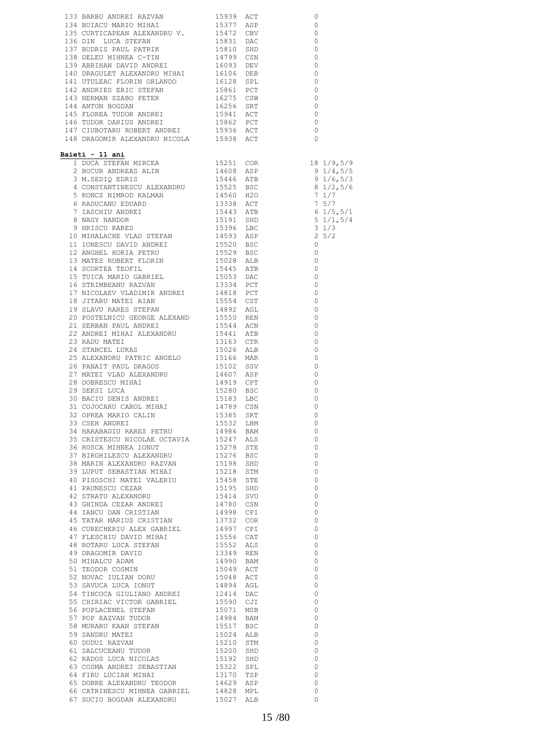|                                                                                                                                                                                                                                                            |  | 0                                          |
|------------------------------------------------------------------------------------------------------------------------------------------------------------------------------------------------------------------------------------------------------------|--|--------------------------------------------|
|                                                                                                                                                                                                                                                            |  | $\circ$<br>$\overline{0}$                  |
|                                                                                                                                                                                                                                                            |  | $\overline{0}$                             |
|                                                                                                                                                                                                                                                            |  | $\overline{0}$                             |
|                                                                                                                                                                                                                                                            |  | $\overline{0}$                             |
|                                                                                                                                                                                                                                                            |  | $\overline{\phantom{0}}$<br>$\overline{0}$ |
|                                                                                                                                                                                                                                                            |  | $\overline{0}$                             |
|                                                                                                                                                                                                                                                            |  | $\overline{0}$                             |
|                                                                                                                                                                                                                                                            |  | $\overline{\phantom{0}}$                   |
|                                                                                                                                                                                                                                                            |  | $\overline{0}$<br>$\overline{\phantom{0}}$ |
|                                                                                                                                                                                                                                                            |  | $\overline{0}$                             |
|                                                                                                                                                                                                                                                            |  | $\overline{0}$                             |
|                                                                                                                                                                                                                                                            |  | $\overline{0}$                             |
| Baieti - 11 ani<br>170 DARWOND NICOLAR 19330 ACT 1941 (1945/957)<br>1 DIOCA STEFRAN MIRCEA 11460 ASES 1946/5/3<br>2 BUCUR ANDERS BALIN 1460 ASES 1950 116,5/3<br>4 GONSTANTINESCO AREASANDRU 15852 BSC 8 11/5,5/6<br>6 KONSTANTINESCO AREASAN<br>14660 ATE |  |                                            |
|                                                                                                                                                                                                                                                            |  |                                            |
|                                                                                                                                                                                                                                                            |  |                                            |
|                                                                                                                                                                                                                                                            |  |                                            |
|                                                                                                                                                                                                                                                            |  |                                            |
|                                                                                                                                                                                                                                                            |  |                                            |
|                                                                                                                                                                                                                                                            |  |                                            |
|                                                                                                                                                                                                                                                            |  |                                            |
|                                                                                                                                                                                                                                                            |  |                                            |
|                                                                                                                                                                                                                                                            |  |                                            |
|                                                                                                                                                                                                                                                            |  |                                            |
|                                                                                                                                                                                                                                                            |  |                                            |
|                                                                                                                                                                                                                                                            |  |                                            |
|                                                                                                                                                                                                                                                            |  |                                            |
|                                                                                                                                                                                                                                                            |  |                                            |
|                                                                                                                                                                                                                                                            |  |                                            |
|                                                                                                                                                                                                                                                            |  |                                            |
|                                                                                                                                                                                                                                                            |  |                                            |
|                                                                                                                                                                                                                                                            |  |                                            |
|                                                                                                                                                                                                                                                            |  |                                            |
|                                                                                                                                                                                                                                                            |  |                                            |
|                                                                                                                                                                                                                                                            |  |                                            |
|                                                                                                                                                                                                                                                            |  |                                            |
|                                                                                                                                                                                                                                                            |  |                                            |
|                                                                                                                                                                                                                                                            |  |                                            |
|                                                                                                                                                                                                                                                            |  |                                            |
|                                                                                                                                                                                                                                                            |  |                                            |
|                                                                                                                                                                                                                                                            |  |                                            |
|                                                                                                                                                                                                                                                            |  |                                            |
|                                                                                                                                                                                                                                                            |  | $\circ$<br>$\overline{0}$                  |
|                                                                                                                                                                                                                                                            |  | $\overline{0}$                             |
|                                                                                                                                                                                                                                                            |  | $\overline{0}$                             |
|                                                                                                                                                                                                                                                            |  | $\circ$                                    |
|                                                                                                                                                                                                                                                            |  | $\overline{0}$                             |
|                                                                                                                                                                                                                                                            |  | $\circ$<br>$\overline{0}$                  |
|                                                                                                                                                                                                                                                            |  | 0                                          |
|                                                                                                                                                                                                                                                            |  | $\overline{0}$                             |
|                                                                                                                                                                                                                                                            |  | $\circ$                                    |
|                                                                                                                                                                                                                                                            |  | $\overline{\phantom{0}}$                   |
|                                                                                                                                                                                                                                                            |  | $\circ$<br>$\overline{0}$                  |
|                                                                                                                                                                                                                                                            |  | $\circ$                                    |
|                                                                                                                                                                                                                                                            |  | $\overline{0}$                             |
|                                                                                                                                                                                                                                                            |  | 0                                          |
|                                                                                                                                                                                                                                                            |  | $\circ$<br>$\circ$                         |
|                                                                                                                                                                                                                                                            |  | $\overline{0}$                             |
|                                                                                                                                                                                                                                                            |  | $\circ$                                    |
|                                                                                                                                                                                                                                                            |  | $\circ$                                    |
|                                                                                                                                                                                                                                                            |  | $\circ$                                    |
|                                                                                                                                                                                                                                                            |  | $\circ$<br>0                               |
|                                                                                                                                                                                                                                                            |  | 0                                          |
|                                                                                                                                                                                                                                                            |  | $\overline{0}$                             |
|                                                                                                                                                                                                                                                            |  | $\overline{\phantom{0}}$                   |
|                                                                                                                                                                                                                                                            |  | $\circ$<br>$\circ$                         |
|                                                                                                                                                                                                                                                            |  | $\circ$                                    |
| 66 CATRINESCU MIHNEA GABRIEL 14828 MPL<br>67 SUCIU BOGDAN ALEXANDRU 15027 ALB                                                                                                                                                                              |  | $\circ$                                    |
|                                                                                                                                                                                                                                                            |  | 0                                          |
|                                                                                                                                                                                                                                                            |  |                                            |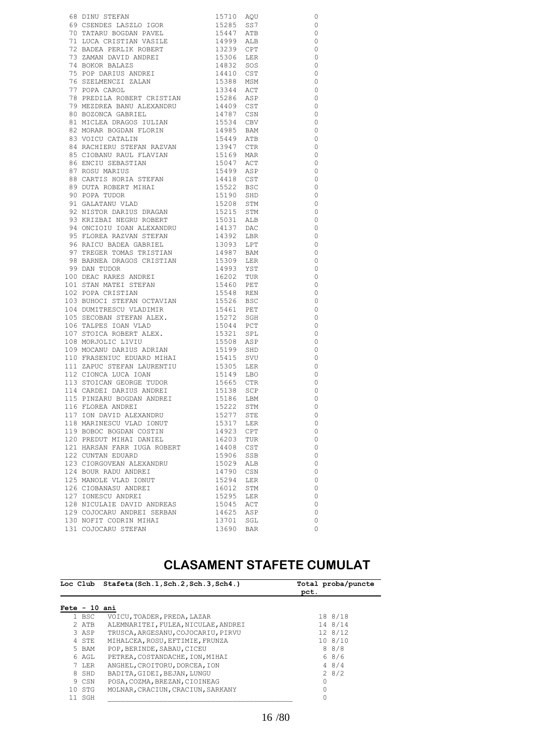|                                                                                                                                                                                                                                                                                                                                         |                                                                                        |      | 0                        |
|-----------------------------------------------------------------------------------------------------------------------------------------------------------------------------------------------------------------------------------------------------------------------------------------------------------------------------------------|----------------------------------------------------------------------------------------|------|--------------------------|
|                                                                                                                                                                                                                                                                                                                                         |                                                                                        |      | $\circ$                  |
|                                                                                                                                                                                                                                                                                                                                         |                                                                                        |      | $\overline{0}$           |
|                                                                                                                                                                                                                                                                                                                                         |                                                                                        |      | $\overline{\phantom{0}}$ |
| 72 BADEA PERLIK ROBERT<br>T3 ZAMAN DAVID ANDREI<br>T4 BOKOR BALAZS<br>T5 POP DARIUS ANDREI<br>T6 SZELMENCZI ZALAN<br>T7 POPA CAROL                                                                                                                                                                                                      |                                                                                        |      | $\overline{\phantom{0}}$ |
|                                                                                                                                                                                                                                                                                                                                         |                                                                                        |      | $\overline{0}$           |
|                                                                                                                                                                                                                                                                                                                                         | 14832 SOS                                                                              |      | $\overline{\phantom{0}}$ |
|                                                                                                                                                                                                                                                                                                                                         | 14410 CST                                                                              |      |                          |
|                                                                                                                                                                                                                                                                                                                                         |                                                                                        |      | $\overline{\phantom{0}}$ |
|                                                                                                                                                                                                                                                                                                                                         | 15388 MSM<br>13344 ACT                                                                 |      | $\overline{\phantom{0}}$ |
|                                                                                                                                                                                                                                                                                                                                         |                                                                                        |      | $\overline{\phantom{0}}$ |
|                                                                                                                                                                                                                                                                                                                                         | 15286 ASP<br>14409 CST                                                                 |      | $\overline{\phantom{0}}$ |
| 78 PREDILA ROBERT CRISTIAN<br>79 MEZDREA BANU ALEXANDRU<br>80 BOZONCA GABRIEL                                                                                                                                                                                                                                                           |                                                                                        |      | $\overline{\phantom{0}}$ |
|                                                                                                                                                                                                                                                                                                                                         |                                                                                        |      | $\overline{\phantom{0}}$ |
|                                                                                                                                                                                                                                                                                                                                         |                                                                                        |      | $\overline{\phantom{0}}$ |
| 14787 CSN (ABRIEL 14787 CSN 81 MICLEA DRAGOS IULIAN 15534 CBV 82 MORAR BOGDAN FLORIN 14985 BAM                                                                                                                                                                                                                                          |                                                                                        |      | $\overline{\phantom{0}}$ |
|                                                                                                                                                                                                                                                                                                                                         |                                                                                        |      | $\overline{\phantom{0}}$ |
|                                                                                                                                                                                                                                                                                                                                         |                                                                                        |      | $\overline{\phantom{0}}$ |
|                                                                                                                                                                                                                                                                                                                                         |                                                                                        |      | $\overline{\phantom{0}}$ |
|                                                                                                                                                                                                                                                                                                                                         |                                                                                        |      | $\overline{\phantom{0}}$ |
|                                                                                                                                                                                                                                                                                                                                         |                                                                                        |      | $\overline{\phantom{0}}$ |
|                                                                                                                                                                                                                                                                                                                                         |                                                                                        |      | $\overline{\phantom{0}}$ |
|                                                                                                                                                                                                                                                                                                                                         |                                                                                        |      | $\overline{\phantom{0}}$ |
|                                                                                                                                                                                                                                                                                                                                         |                                                                                        |      | $\overline{\phantom{0}}$ |
|                                                                                                                                                                                                                                                                                                                                         |                                                                                        |      | $\overline{\phantom{0}}$ |
| EXERCISE AN ENGLINE IN THE SAME RESERVE TO A THE SAME RESERVE TO MAKE A SERVE THAT A SERVE THAT A SERVE THAT A SERVE THAT A SERVE THAT A SERVE THAT A SERVE THAT A SERVE THAT A SERVE THAT A SERVE THAT A SERVE THAT A SERVE T                                                                                                          |                                                                                        |      | $\overline{\phantom{0}}$ |
|                                                                                                                                                                                                                                                                                                                                         |                                                                                        |      | $\overline{\phantom{0}}$ |
|                                                                                                                                                                                                                                                                                                                                         |                                                                                        |      | $\overline{\phantom{0}}$ |
|                                                                                                                                                                                                                                                                                                                                         |                                                                                        |      | $\overline{\phantom{0}}$ |
| $\begin{tabular}{lllllllllllllllllllll} \hline 93 & KRIZBAI & NEGRU \textit{ROBERT} & & & & & & & \\ 94 & ONCIOIU & IOAN & ALEXANDRU & & & 14137 & DAC \\ 95 & FLOREA & RAZVAN & STEFAN & & & 14392 & LBR \\ 96 & RACU & BADEA & GABRIEL & & & 13093 & LPT \\ 97 & TRRGRR & TOMAS & TRISTIAN & & & 14987 & BAM \\ \hline \end{tabular}$ |                                                                                        |      |                          |
|                                                                                                                                                                                                                                                                                                                                         |                                                                                        |      | $\overline{\phantom{0}}$ |
|                                                                                                                                                                                                                                                                                                                                         |                                                                                        |      | $\overline{\phantom{0}}$ |
| 90 MILLS -<br>97 TREGER TOMAS TRISTIAN<br>98 BARNEA DRAGOS CRISTIAN<br>14993 YST<br>14993 YST                                                                                                                                                                                                                                           |                                                                                        |      | $\overline{\phantom{0}}$ |
|                                                                                                                                                                                                                                                                                                                                         |                                                                                        |      | $\overline{\phantom{0}}$ |
| $\begin{tabular}{llllllll} 99 & DAN TUDOR & 14993 & YST \\ 100 DEAC RARES ANDREI & 16202 TUR \\ 101 STAN MATEI STEFAN & 15460 PET \\ 102 POPA CRISTIAN & 15548 REN \\ \end{tabular}$                                                                                                                                                    |                                                                                        |      | $\overline{\phantom{0}}$ |
|                                                                                                                                                                                                                                                                                                                                         |                                                                                        |      | $\overline{\phantom{0}}$ |
|                                                                                                                                                                                                                                                                                                                                         | 15400 FET<br>15526 BSC<br>1526 BSC<br>15272 SGH<br>15321 SPL<br>15321 SPL<br>15321 SPL |      | $\overline{\phantom{0}}$ |
| 102 POPA CRISTIAN<br>103 BUHOCI STEFAN OCTAVIAN<br>104 DUMITRESCU VLADIMIR<br>105 SECOBAN STEFAN ALEX.<br>106 TALPES IOAN VLAD<br>107 STOICA ROBERT ALEX.<br>108 MORJOLIC LIVIU<br>109 MOCANU DARIUS ADRIAN<br>109 MOCANU DARIUS ADRIAN                                                                                                 |                                                                                        |      | $\overline{\phantom{0}}$ |
|                                                                                                                                                                                                                                                                                                                                         |                                                                                        |      | $\overline{\phantom{0}}$ |
|                                                                                                                                                                                                                                                                                                                                         |                                                                                        |      | $\circ$                  |
|                                                                                                                                                                                                                                                                                                                                         |                                                                                        |      | $\overline{0}$           |
|                                                                                                                                                                                                                                                                                                                                         |                                                                                        |      | $\overline{0}$           |
|                                                                                                                                                                                                                                                                                                                                         | $15508$ ASP<br>15199 SHD                                                               |      | $\overline{\phantom{0}}$ |
|                                                                                                                                                                                                                                                                                                                                         |                                                                                        |      | $\circ$                  |
| 110 FRASENIUC EDUARD MIHAI                                                                                                                                                                                                                                                                                                              | 15139 SHD<br>15415 SVU<br>15305 LER<br>15149 LBO                                       |      | $\circ$                  |
| 111 ZAPUC STEFAN LAURENTIU<br>112 CIONCA LUCA IOAN                                                                                                                                                                                                                                                                                      |                                                                                        |      | $\circ$                  |
|                                                                                                                                                                                                                                                                                                                                         |                                                                                        |      | $\overline{\phantom{0}}$ |
| 113 STOICAN GEORGE TUDOR<br>114 CARDEI DARIUS ANDREI 15138 SCP<br>115 PINZARU BOGDAN ANDREI 15136 LBM<br>116 FLOREA ANDREI 15222 STM<br>117 JON DAVID ALEXANDRIK 15222 STM                                                                                                                                                              |                                                                                        |      | $\circ$                  |
|                                                                                                                                                                                                                                                                                                                                         |                                                                                        |      | $\overline{0}$           |
|                                                                                                                                                                                                                                                                                                                                         |                                                                                        |      | $\overline{\phantom{0}}$ |
|                                                                                                                                                                                                                                                                                                                                         |                                                                                        |      | 0                        |
| 117 ION DAVID ALEXANDRU                                                                                                                                                                                                                                                                                                                 | 15277                                                                                  |      | 0                        |
|                                                                                                                                                                                                                                                                                                                                         |                                                                                        | STE. |                          |
| 118 MARINESCU VLAD IONUT                                                                                                                                                                                                                                                                                                                | 15317                                                                                  | LER  | 0                        |
| 119 BOBOC BOGDAN COSTIN                                                                                                                                                                                                                                                                                                                 | 14923 CPT                                                                              |      | 0                        |
| 120 PREDUT MIHAI DANIEL                                                                                                                                                                                                                                                                                                                 | 16203 TUR                                                                              |      | 0                        |
| 121 HARSAN FARR IUGA ROBERT                                                                                                                                                                                                                                                                                                             | 14408 CST                                                                              |      | 0                        |
| 122 CUNTAN EDUARD                                                                                                                                                                                                                                                                                                                       | 15906 SSB                                                                              |      | 0                        |
| 123 CIORGOVEAN ALEXANDRU                                                                                                                                                                                                                                                                                                                | 15029                                                                                  | ALB  | 0                        |
| 124 BOUR RADU ANDREI                                                                                                                                                                                                                                                                                                                    | 14790 CSN                                                                              |      | 0                        |
| 125 MANOLE VLAD IONUT                                                                                                                                                                                                                                                                                                                   | 15294                                                                                  | LER  | 0                        |
| 126 CIOBANASU ANDREI                                                                                                                                                                                                                                                                                                                    | 16012                                                                                  | STM  | 0                        |
| 127 IONESCU ANDREI                                                                                                                                                                                                                                                                                                                      | 15295                                                                                  | LER  | 0                        |
| 128 NICULAIE DAVID ANDREAS                                                                                                                                                                                                                                                                                                              | 15045 ACT                                                                              |      | 0                        |
| 129 COJOCARU ANDREI SERBAN                                                                                                                                                                                                                                                                                                              | 14625                                                                                  | ASP  | 0                        |
| 130 NOFIT CODRIN MIHAI                                                                                                                                                                                                                                                                                                                  | 13701 SGL                                                                              |      | 0                        |
| 131 COJOCARU STEFAN                                                                                                                                                                                                                                                                                                                     | 13690 BAR                                                                              |      | 0                        |
|                                                                                                                                                                                                                                                                                                                                         |                                                                                        |      |                          |

#### **CLASAMENT STAFETE CUMULAT**

|               |         | Loc Club Stafeta(Sch.1,Sch.2,Sch.3,Sch4.) | pct. | Total proba/puncte |
|---------------|---------|-------------------------------------------|------|--------------------|
| Fete - 10 ani |         |                                           |      |                    |
|               | 1 BSC   | VOICU, TOADER, PREDA, LAZAR               |      | 18 8/18            |
|               | 2 ATB   | ALEMNARITEI, FULEA, NICULAE, ANDREI       |      | 14 8/14            |
|               | 3 ASP   | TRUSCA, ARGESANU, COJOCARIU, PIRVU        |      | 12 8/12            |
|               | 4 STE   | MIHALCEA, ROSU, EFTIMIE, FRUNZA           |      | 10.8/10            |
|               | 5 BAM   | POP, BERINDE, SABAU, CICEU                |      | 88/8               |
|               | 6 AGL   | PETREA, COSTANDACHE, ION, MIHAI           |      | 68/6               |
|               | 7 T.F.R | ANGHEL, CROITORU, DORCEA, ION             |      | 48/4               |
|               | 8 SHD   | BADITA, GIDEI, BEJAN, LUNGU               |      | 28/2               |
|               | 9 CSN   | POSA, COZMA, BREZAN, CIOINEAG             |      |                    |
|               | 10 STG  | MOLNAR, CRACIUN, CRACIUN, SARKANY         |      |                    |
|               | 11 SGH  |                                           |      |                    |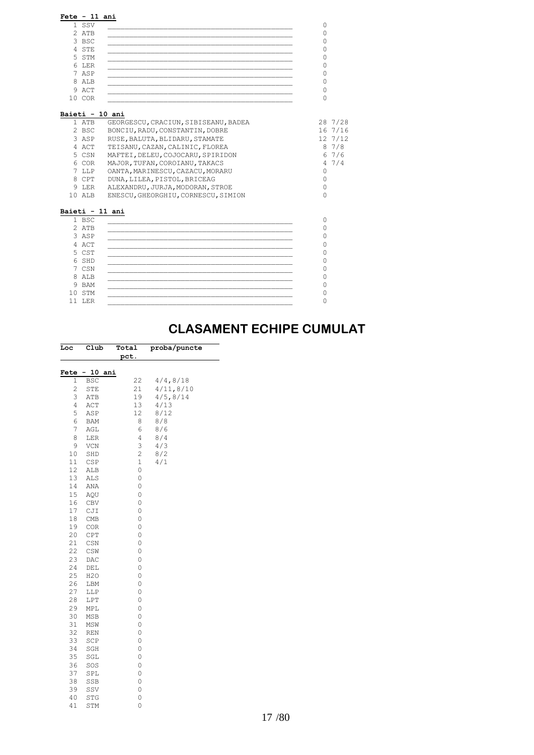|    | $Fete - 11 ani$ |  |
|----|-----------------|--|
|    | 1 SSV           |  |
|    | 2 ATB           |  |
|    | 3 BSC           |  |
|    | 4 STE           |  |
|    | 5 STM           |  |
|    | 6 LER           |  |
|    | 7 ASP           |  |
|    | 8 ALB           |  |
|    | 9 ACT           |  |
| 10 | COR             |  |

| 1 ATB           | GEORGESCU, CRACIUN, SIBISEANU, BADEA |          | 28 7/28 |
|-----------------|--------------------------------------|----------|---------|
| 2 BSC           | BONCIU, RADU, CONSTANTIN, DOBRE      |          | 16 7/16 |
| 3 ASP           | RUSE, BALUTA, BLIDARU, STAMATE       |          | 12 7/12 |
| 4 ACT           | TEISANU, CAZAN, CALINIC, FLOREA      |          | 87/8    |
| 5 CSN           | MAFTEI, DELEU, COJOCARU, SPIRIDON    |          | 67/6    |
| 6 COR           | MAJOR, TUFAN, COROIANU, TAKACS       |          | 47/4    |
| 7 LLP           | OANTA, MARINESCU, CAZACU, MORARU     | $\Omega$ |         |
| 8 CPT           | DUNA, LILEA, PISTOL, BRICEAG         | 0        |         |
| 9 LER           | ALEXANDRU, JURJA, MODORAN, STROE     | 0        |         |
| 10 ALB          |                                      |          |         |
|                 | ENESCU, GHEORGHIU, CORNESCU, SIMION  | O        |         |
| Baieti - 11 ani |                                      |          |         |
| 1 BSC           |                                      | $\Omega$ |         |
| $2$ $ATB$       |                                      | 0        |         |
| 3 ASP           |                                      | 0        |         |
| 4 ACT           |                                      | O        |         |
| 5 CST           |                                      | 0        |         |
| 6 SHD           |                                      | 0        |         |
| 7 CSN<br>8 ALB  |                                      |          |         |
| 9 BAM           |                                      | O        |         |

 $11$  LER  $\hskip10mm 0$ 

### **CLASAMENT ECHIPE CUMULAT**

| Loc            | Club       | Total               | proba/puncte |
|----------------|------------|---------------------|--------------|
|                |            | pct.                |              |
|                |            |                     |              |
| Fete           | 10<br>ani  |                     |              |
| 1              | <b>BSC</b> | 22                  | 4/4,8/18     |
| $\overline{c}$ | STE        | 21                  | 4/11, 8/10   |
| 3              | ATB        | 19                  | 4/5, 8/14    |
| $\overline{4}$ | ACT        | 13                  | 4/13         |
| 5              | ASP        | 12                  | 8/12         |
| 6              | BAM        | 8                   | 8/8          |
| 7              | AGL        | 6                   | 8/6          |
| 8              | LER        | 4                   | 8/4          |
| 9              | VCN        | 3                   | 4/3          |
| 10             | SHD        | $\overline{c}$      | 8/2          |
| 11             | CSP        | 1                   | 4/1          |
| 12             | ALB        | $\mathsf{O}\xspace$ |              |
| 13             | ALS        | $\circ$             |              |
| 14             | ANA        | $\circ$             |              |
| 15             | AQU        | $\circ$             |              |
| 16             | CBV        | $\circ$             |              |
| 17             | CJI        | $\circ$             |              |
| 18             | CMB        | 0                   |              |
| 19             | COR        | $\circ$             |              |
| 20             | <b>CPT</b> | $\circ$             |              |
| 21             | CSN        | 0                   |              |
| 22             | CSW        | $\circ$             |              |
| 23             | DAC        | $\circ$             |              |
| 24             | DEL        | 0                   |              |
| 25             | H2O        | $\circ$             |              |
| 26             | LBM        | $\circ$             |              |
| 27             | LLP        | 0                   |              |
| 28             | LPT        | $\circ$             |              |
| 29             | MPL        | $\circ$             |              |
| 30             | MSB        | 0                   |              |
| 31             | MSW        | $\circ$             |              |
| 32             | REN        | $\circ$             |              |
| 33             | SCP        | $\circ$             |              |
| 34             | SGH        | $\circ$             |              |
| 35             | SGL        | $\circ$             |              |
| 36             | SOS        | $\circ$             |              |
| 37             | SPL        | 0                   |              |
| 38             | SSB        | 0                   |              |
| 39             | SSV        | $\circ$             |              |
| 40             | STG        | 0                   |              |
| 41             | STM        | 0                   |              |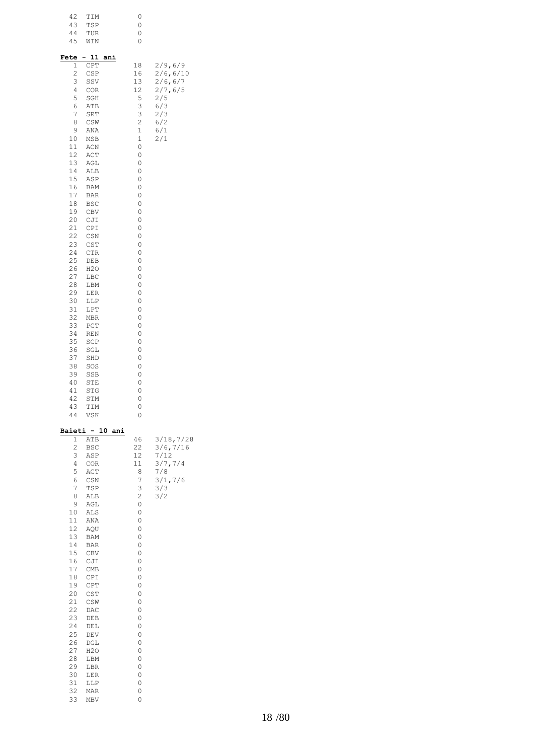| 42<br>43<br>44<br>45                                                                                                                                                                                                                                                | TIM<br>TSP<br>TUR<br>WIN                                                                                                                                                                                                                                                                                                               |                 | 0<br>0<br>0<br>0                                                                                                                                                                                                                                              |                                                                                        |
|---------------------------------------------------------------------------------------------------------------------------------------------------------------------------------------------------------------------------------------------------------------------|----------------------------------------------------------------------------------------------------------------------------------------------------------------------------------------------------------------------------------------------------------------------------------------------------------------------------------------|-----------------|---------------------------------------------------------------------------------------------------------------------------------------------------------------------------------------------------------------------------------------------------------------|----------------------------------------------------------------------------------------|
| Fete<br>1<br>2<br>3<br>4<br>5<br>6<br>7<br>8<br>9<br>10<br>11<br>12<br>13<br>14<br>15<br>16<br>17<br>18<br>19<br>20<br>21<br>22<br>23<br>24<br>25<br>26<br>27<br>28<br>29<br>30<br>31<br>32<br>33<br>34<br>35<br>36<br>37<br>38<br>39<br>40<br>41<br>42<br>43<br>44 | - 11<br>CPT<br>CSP<br>SSV<br>COR<br>SGH<br>ATB<br>SRT<br>CSW<br>ANA<br>MSB<br>ACN<br>ACT<br>AGL<br>ALB<br>ASP<br>BAM<br>BAR<br><b>BSC</b><br>CBV<br>CJI<br>CPI<br>CSN<br>CST<br><b>CTR</b><br>DEB<br>H2O<br>LBC<br>LBM<br>LER<br>LLP<br>LPT<br>MBR<br>PCT<br>REN<br>SCP<br>SGL<br>SHD<br>SOS<br>SSB<br>STE<br>STG<br>STM<br>TIM<br>VSK | ani             | 18<br>16<br>13<br>12<br>5<br>3<br>3<br>$\overline{c}$<br>$\mathbf 1$<br>$\mathbf 1$<br>0<br>0<br>0<br>0<br>0<br>0<br>0<br>0<br>0<br>0<br>0<br>0<br>0<br>0<br>0<br>0<br>0<br>0<br>0<br>0<br>0<br>0<br>0<br>0<br>0<br>0<br>0<br>0<br>0<br>0<br>0<br>0<br>0<br>0 | 2/9,6/9<br>2/6, 6/10<br>2/6, 6/7<br>2/7, 6/5<br>2/5<br>6/3<br>2/3<br>6/2<br>6/1<br>2/1 |
| 1<br>$\overline{c}$<br>3<br>4<br>5<br>6<br>7<br>8<br>9<br>10<br>11<br>12<br>13<br>14<br>15<br>16<br>17<br>18<br>19<br>20<br>21<br>22<br>23<br>24<br>25<br>26<br>27<br>28<br>29<br>30<br>31<br>32<br>33                                                              | ATB<br><b>BSC</b><br>ASP<br>COR<br>ACT<br>CSN<br>TSP<br>ALB<br>AGL<br>ALS<br>ANA<br>AQU<br><b>BAM</b><br>BAR<br>CBV<br>CJI<br>CMB<br>CPI<br>CPT<br>CST<br>CSW<br>DAC<br>DEB<br>DEL<br>DEV<br>DGL<br>H2O<br>LBM<br>LBR<br>LER<br>LLP<br>MAR<br>MBV                                                                                      | Baieti - 10 ani | 46<br>22<br>12<br>11<br>8<br>7<br>3<br>2<br>0<br>0<br>0<br>0<br>0<br>0<br>0<br>0<br>0<br>0<br>0<br>0<br>0<br>0<br>0<br>0<br>0<br>0<br>0<br>0<br>0<br>0<br>0<br>0<br>0                                                                                         | 3/18,7/28<br>3/6, 7/16<br>7/12<br>3/7,7/4<br>7/8<br>3/1, 7/6<br>3/3<br>3/2             |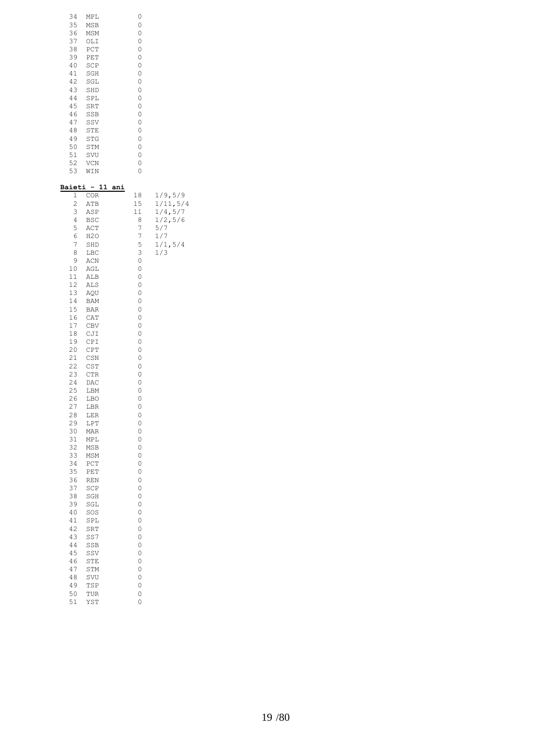| 34 | MPL        | 0 |
|----|------------|---|
| 35 | <b>MSB</b> | 0 |
| 36 | <b>MSM</b> | 0 |
| 37 | OLI        | 0 |
| 38 | PCT        | 0 |
| 39 | PET        | 0 |
| 40 | SCP        | 0 |
| 41 | SGH        | 0 |
| 42 | SGL        | 0 |
| 43 | SHD        | 0 |
| 44 | SPL        | 0 |
| 45 | SRT        | 0 |
| 46 | SSB        | 0 |
| 47 | SSV        | 0 |
| 48 | STE        | 0 |
| 49 | STG        | 0 |
| 50 | STM        | 0 |
| 51 | SVU        | 0 |
| 52 | <b>VCN</b> | 0 |
| 53 | WIN        | 0 |

| <u>Baieti</u>  | $\sim$<br>11 | ani |         |           |
|----------------|--------------|-----|---------|-----------|
| 1              | <b>COR</b>   |     | 18      | 1/9, 5/9  |
| $\overline{c}$ | ATB          |     | 15      | 1/11, 5/4 |
| 3              | ASP          |     | 11      | 1/4, 5/7  |
| 4              | <b>BSC</b>   |     | 8       | 1/2, 5/6  |
| 5              | ACT          |     | 7       | 5/7       |
| 6              | H2O          |     | 7       | 1/7       |
| 7              | SHD          |     | 5       | 1/1, 5/4  |
| 8              | LBC          |     | 3       | 1/3       |
| 9              | ACN          |     | 0       |           |
| 10             | AGL          |     | 0       |           |
| 11             | ALB          |     | 0       |           |
| 12             | ALS          |     | 0       |           |
| 13             | AQU          |     | 0       |           |
| 14             | BAM          |     | 0       |           |
| 15             | <b>BAR</b>   |     | 0       |           |
| 16             | CAT          |     | $\circ$ |           |
| 17             | CBV          |     | 0       |           |
| 18             | CJI          |     | 0       |           |
| 19             | CPI          |     | 0       |           |
| 20             | CPT          |     | 0       |           |
| 21             | CSN          |     | 0       |           |
| 22             | <b>CST</b>   |     | 0       |           |
| 23             | <b>CTR</b>   |     | 0       |           |
| 24             | DAC          |     | 0       |           |
| 25             | LBM          |     | $\circ$ |           |
| 26             | LBO          |     | 0       |           |
| 27             | LBR          |     | 0       |           |
| 28             | LER          |     | 0       |           |
| 29             | LPT          |     | 0       |           |
| 30             | MAR          |     | 0       |           |
| 31             | MPL          |     | 0       |           |
| 32             | MSB          |     | 0       |           |
| 33             | MSM          |     | $\circ$ |           |
| 34             | PCT          |     | 0       |           |
| 35             | PET          |     | 0       |           |
| 36             | REN          |     | 0       |           |
| 37             | SCP          |     | 0       |           |
| 38             | SGH          |     | 0       |           |
| 39             | SGL          |     | 0       |           |
| 40             | SOS          |     | 0       |           |
| 41             | SPL          |     | 0       |           |
| 42             | SRT          |     | $\circ$ |           |
| 43             | SS7          |     | 0       |           |
| 44             | SSB          |     | 0<br>0  |           |
| 45             | SSV          |     |         |           |
| 46             | STE          |     | 0       |           |
| 47             | STM          |     | 0       |           |
| 48<br>49       | SVU          |     | 0<br>0  |           |
| 50             | TSP<br>TUR   |     | 0       |           |
| 51             | YST          |     | 0       |           |
|                |              |     |         |           |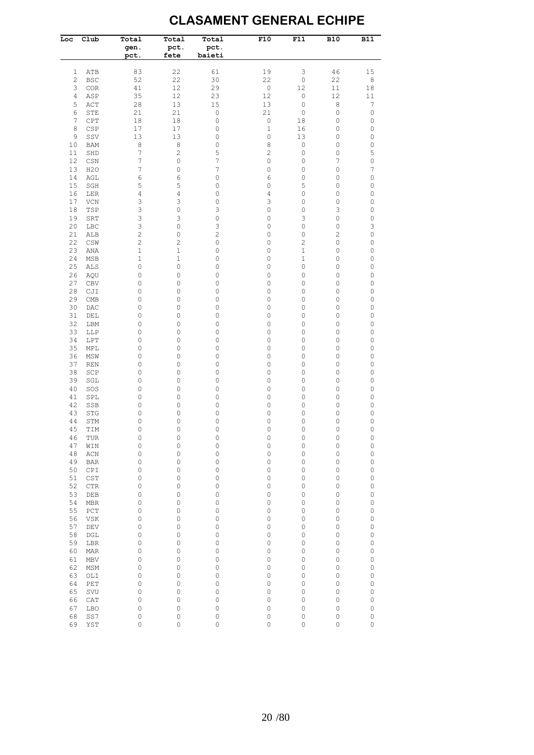#### **CLASAMENT GENERAL ECHIPE**

| Loc            | Club       | Total<br>gen.<br>pct. | Total<br>pct.<br>fete | Total<br>pct.<br>baieti | F10                       | F11                    | <b>B10</b>     | <b>B11</b>                |
|----------------|------------|-----------------------|-----------------------|-------------------------|---------------------------|------------------------|----------------|---------------------------|
| 1              | ATB        | 83                    | 22                    | 61                      | 19                        | 3                      | 46             | 15                        |
| $\overline{c}$ | <b>BSC</b> | 52                    | 22                    | 30                      | 22                        | $\mathbb O$            | 22             | $\,8\,$                   |
| 3              | COR        | 41                    | 12                    | 29                      | $\mathbb O$               | 12                     | $1\,1$         | 18                        |
| 4              | ASP        | 35                    | 12                    | 23                      | 12                        | 0                      | 12             | 11                        |
| 5              | ACT        | 28                    | 13                    | 15                      | 13                        | $\mathbb O$            | 8              | $\boldsymbol{7}$          |
| 6              | STE        | 21                    | 21                    | $\mathsf O$             | 21                        | $\mathbb O$            | $\mathbb O$    | $\mathbb O$               |
| $\overline{7}$ | CPT        | 18                    | 18                    | $\mathsf O$             | $\mathbb O$               | 18                     | 0              | $\mathbb O$               |
| 8              | CSP        | 17                    | 17                    | 0                       | $\mathbf 1$               | 16                     | 0              | $\mathbb O$               |
| 9              | SSV        | 13                    | 13                    | 0                       | $\mathbb O$               | 13                     | 0              | 0                         |
| 10             | BAM        | $\,8\,$               | 8                     | 0                       | 8                         | $\mathbb O$            | 0              | $\mathbb O$               |
| 11<br>12       | SHD<br>CSN | 7<br>7                | $\overline{c}$<br>0   | 5<br>7                  | $\overline{c}$<br>$\circ$ | $\mathsf O$<br>$\circ$ | 0<br>7         | 5<br>$\mathsf O$          |
| 13             | H2O        | 7                     | 0                     | 7                       | $\circ$                   | 0                      | 0              | 7                         |
| 14             | AGL        | 6                     | 6                     | 0                       | 6                         | 0                      | 0              | $\mathsf O$               |
| 15             | SGH        | 5                     | 5                     | 0                       | 0                         | 5                      | 0              | 0                         |
| 16             | LER        | 4                     | 4                     | 0                       | 4                         | 0                      | 0              | 0                         |
| 17             | VCN        | 3                     | 3                     | $\mathsf O$             | 3                         | 0                      | 0              | $\mathsf O$               |
| 18             | TSP        | 3                     | 0                     | 3                       | 0                         | $\circ$                | 3              | 0                         |
| 19             | SRT        | 3                     | 3                     | $\mathsf O$             | 0                         | 3                      | 0              | $\mathbb O$               |
| 20             | LBC        | 3                     | 0                     | 3                       | 0                         | 0                      | 0              | $\ensuremath{\mathsf{3}}$ |
| 21             | ALB        | $\overline{c}$        | 0                     | $\mathbf{2}$            | 0                         | 0                      | $\overline{c}$ | $\mathbb O$               |
| 22             | CSW        | $\overline{c}$        | 2                     | $\mathsf O$             | $\circ$                   | 2                      | $\mathbb O$    | $\mathbb O$               |
| 23             | ANA        | $\mathbf 1$           | 1                     | $\mathsf O$             | $\circ$                   | $\mathbf 1$            | 0              | $\mathbb O$               |
| 24             | MSB        | $\mathbf 1$           | 1                     | 0                       | $\circ$                   | $\mathbf 1$            | 0              | 0                         |
| 25             | <b>ALS</b> | 0                     | 0                     | $\mathsf O$             | $\circ$                   | 0                      | 0              | $\mathsf O$               |
| 26             | AQU        | 0                     | 0                     | 0                       | $\circ$                   | 0                      | 0              | 0                         |
| 27             | <b>CBV</b> | 0                     | 0                     | $\mathsf O$             | 0                         | 0                      | 0              | $\mathbb O$               |
| 28             | CJI        | 0                     | 0                     | 0                       | $\circ$                   | 0                      | 0              | $\mathsf O$               |
| 29             | CMB        | 0                     | 0                     | 0                       | $\circ$                   | 0                      | 0              | 0                         |
| 30             | DAC        | 0                     | 0                     | 0                       | $\circ$                   | 0                      | 0              | 0                         |
| 31             | DEL        | 0                     | 0                     | 0                       | $\circ$                   | 0                      | 0              | $\mathbb O$               |
| 32             | LBM        | 0                     | 0                     | 0                       | $\circ$                   | 0                      | 0              | 0                         |
| 33             | LLP        | 0                     | 0                     | 0                       | $\circ$                   | 0                      | 0              | $\mathbb O$               |
| 34<br>35       | LPT        | 0<br>0                | 0                     | 0                       | $\circ$<br>$\circ$        | 0                      | 0<br>0         | 0                         |
| 36             | MPL<br>MSW | 0                     | 0<br>0                | 0<br>0                  | $\circ$                   | 0<br>0                 | 0              | $\mathbb O$<br>0          |
| 37             | <b>REN</b> | 0                     | 0                     | 0                       | $\circ$                   | 0                      | 0              | $\mathbb O$               |
| 38             | SCP        | 0                     | 0                     | 0                       | $\circ$                   | 0                      | 0              | $\mathbb O$               |
| 39             | SGL        | 0                     | 0                     | 0                       | $\circ$                   | 0                      | 0              | $\mathbb O$               |
| 40             | SOS        | 0                     | 0                     | 0                       | $\circ$                   | 0                      | 0              | $\mathsf O$               |
| 41             | SPL        | 0                     | 0                     | 0                       | $\circ$                   | 0                      | 0              | $\mathbb O$               |
| 42             | SSB        | 0                     | 0                     | 0                       | $\circ$                   | 0                      | 0              | 0                         |
| 43             | STG        | 0                     | 0                     | 0                       | $\mathbb O$               | $\mathbb O$            | 0              | $\mathbb O$               |
| 44             | STM        | 0                     | 0                     | 0                       | $\circ$                   | 0                      | 0              | 0                         |
| 45             | TIM        | 0                     | 0                     | $\mathbf 0$             | $\mathbf 0$               | 0                      | 0              | $\circ$                   |
| 46             | TUR        | $\circ$               | 0                     | 0                       | $\mathbb O$               | $\mathbb O$            | 0              | $\mathbb O$               |
| 47             | WIN        | $\circ$               | 0                     | $\mathsf O$             | $\mathbb O$               | 0                      | 0              | $\mathbb O$               |
| 48             | ACN        | 0                     | 0                     | $\mathsf O$             | 0                         | 0                      | 0              | $\mathsf O$               |
| 49             | <b>BAR</b> | 0                     | 0                     | 0                       | $\mathbb O$               | 0                      | 0              | $\mathsf O$               |
| 50             | CPI        | 0                     | 0                     | $\mathsf O$             | 0                         | 0                      | 0              | $\mathbb O$               |
| 51             | CST        | 0                     | 0                     | 0                       | 0                         | 0                      | 0              | $\mathsf O$               |
| 52             | CTR        | 0                     | 0                     | 0                       | 0                         | 0                      | 0              | 0                         |
| 53             | DEB        | 0                     | 0                     | 0                       | 0                         | 0                      | 0              | 0                         |
| 54             | MBR        | 0                     | 0                     | 0                       | 0                         | 0                      | 0              | $\mathbb O$               |
| 55<br>56       | PCT        | 0<br>0                | 0<br>0                | 0<br>0                  | 0<br>0                    | 0<br>0                 | 0<br>0         | 0<br>0                    |
| 57             | VSK<br>DEV | 0                     | 0                     | 0                       | 0                         | 0                      | 0              | 0                         |
| 58             | DGL        | 0                     | 0                     | 0                       | 0                         | 0                      | 0              | 0                         |
| 59             | LBR        | 0                     | 0                     | 0                       | 0                         | 0                      | 0              | 0                         |
| 60             | MAR        | 0                     | 0                     | 0                       | 0                         | 0                      | 0              | 0                         |
| 61             | MBV        | 0                     | 0                     | 0                       | 0                         | 0                      | 0              | 0                         |
| 62             | MSM        | 0                     | 0                     | 0                       | 0                         | 0                      | 0              | 0                         |
| 63             | OLI        | 0                     | 0                     | 0                       | 0                         | 0                      | 0              | 0                         |
| 64             | PET        | 0                     | 0                     | 0                       | 0                         | 0                      | 0              | 0                         |
| 65             | SVU        | 0                     | 0                     | 0                       | 0                         | 0                      | 0              | 0                         |
| 66             | CAT        | 0                     | 0                     | 0                       | 0                         | 0                      | 0              | 0                         |
| 67             | <b>LBO</b> | 0                     | 0                     | 0                       | 0                         | 0                      | 0              | 0                         |
| 68             | SS7        | 0                     | 0                     | $\mathbb O$             | 0                         | 0                      | 0              | 0                         |
| 69             | YST        | 0                     | 0                     | 0                       | $\circ$                   | 0                      | $\circ$        | $\mathsf O$               |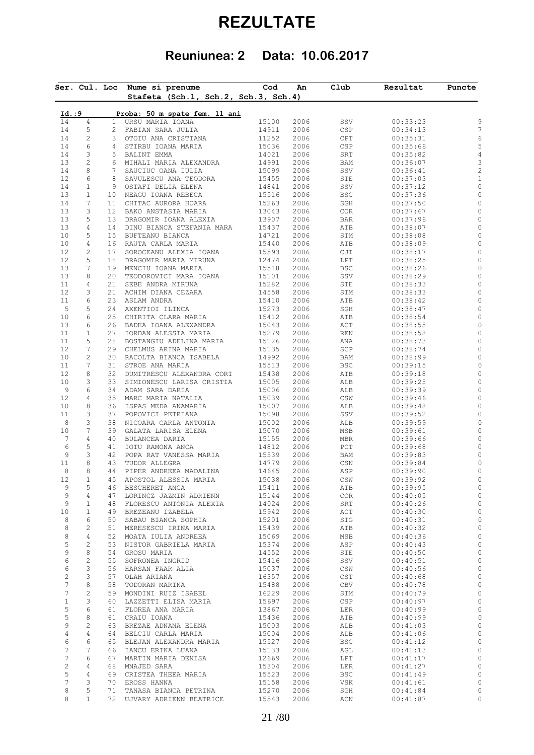# **REZULTATE**

## **Reuniunea: 2 Data: 10.06.2017**

|                     |                     | Ser. Cul. Loc         | Nume si prenume                               | Cod            | An           | Club              | Rezultat             | Puncte |
|---------------------|---------------------|-----------------------|-----------------------------------------------|----------------|--------------|-------------------|----------------------|--------|
|                     |                     |                       | Stafeta (Sch.1, Sch.2, Sch.3, Sch.4)          |                |              |                   |                      |        |
| Id. : 9             |                     |                       | Proba: 50 m spate fem. 11 ani                 |                |              |                   |                      |        |
| 14                  | $\overline{4}$      | $\mathbf{1}$          | URSU MARIA IOANA                              | 15100          | 2006         | SSV               | 00:33:23             |        |
| 14                  | 5                   | $\overline{2}$        | FABIAN SARA JULIA                             | 14911          | 2006         | CSP               | 00:34:13             |        |
| 14                  | $\sqrt{2}$          | 3                     | OTOIU ANA CRISTIANA                           | 11252          | 2006         | CPT               | 00:35:31             |        |
| 14                  | $\epsilon$          | 4                     | STIRBU IOANA MARIA                            | 15036          | 2006         | CSP               | 00:35:66             |        |
| 14<br>13            | 3<br>$\mathbf{2}$   | 5<br>6                | BALINT EMMA<br>MIHALI MARIA ALEXANDRA         | 14021<br>14991 | 2006<br>2006 | SRT<br>BAM        | 00:35:82<br>00:36:07 |        |
| 14                  | 8                   | 7                     | SAUCIUC OANA IULIA                            | 15099          | 2006         | SSV               | 00:36:41             |        |
| 12                  | 6                   | 8                     | SAVULESCU ANA TEODORA                         | 15455          | 2006         | STE               | 00:37:03             |        |
| 14                  | $\mathbf{1}$        | 9                     | OSTAFI DELIA ELENA                            | 14841          | 2006         | SSV               | 00:37:12             |        |
| 13                  | $\mathbf{1}$        | 10                    | NEAGU IOANA REBECA                            | 15516          | 2006         | BSC               | 00:37:36             |        |
| 14                  | 7                   | 11                    | CHITAC AURORA HOARA                           | 15263          | 2006         | SGH               | 00:37:50             |        |
| 13                  | 3                   | 12 <sub>1</sub>       | BAKO ANSTASIA MARIA                           | 13043          | 2006         | COR               | 00:37:67             |        |
| 13                  | 5                   | 13                    | DRAGOMIR IOANA ALEXIA                         | 13907          | 2006         | BAR               | 00:37:96             |        |
| 13                  | $\overline{4}$      | 14                    | DINU BIANCA STEFANIA MARA                     | 15437          | 2006         | ATB               | 00:38:07             |        |
| 10<br>10            | 5<br>4              | 15 <sub>1</sub><br>16 | BUFTEANU BIANCA<br>RAUTA CARLA MARIA          | 14721<br>15440 | 2006<br>2006 | STM<br>ATB        | 00:38:08<br>00:38:09 |        |
| 12                  | $\mathbf{2}$        | 17                    | SOROCEANU ALEXIA IOANA                        | 15593          | 2006         | CJI               | 00:38:17             |        |
| 12                  | 5                   | 18                    | DRAGOMIR MARIA MIRUNA                         | 12474          | 2006         | LPT               | 00:38:25             |        |
| 13                  | 7                   | 19                    | MENCIU IOANA MARIA                            | 15518          | 2006         | BSC               | 00:38:26             |        |
| 13                  | 8                   | 20                    | TEODOROVICI MARA IOANA                        | 15101          | 2006         | SSV               | 00:38:29             |        |
| 11                  | $\overline{4}$      | 21                    | SEBE ANDRA MIRUNA                             | 15282          | 2006         | STE               | 00:38:33             |        |
| 12                  | 3                   | 21                    | ACHIM DIANA CEZARA                            | 14558          | 2006         | STM               | 00:38:33             |        |
| 11                  | $\epsilon$          | 23                    | ASLAM ANDRA                                   | 15410          | 2006         | ATB               | 00:38:42             |        |
| 5                   | 5                   | 24                    | AXENTIOI ILINCA                               | 15273          | 2006         | SGH               | 00:38:47             |        |
| 10                  | 6<br>6              | 25<br>26              | CHIRITA CLARA MARIA                           | 15412<br>15043 | 2006<br>2006 | ATB               | 00:38:54             |        |
| 13<br>11            | $\mathbf{1}$        | 27                    | BADEA IOANA ALEXANDRA<br>IORDAN ALESSIA MARIA | 15279          | 2006         | ACT<br>REN        | 00:38:55<br>00:38:58 |        |
| 11                  | 5                   | 28                    | BOSTANGIU ADELINA MARIA                       | 15126          | 2006         | ANA               | 00:38:73             |        |
| 12                  | 7                   | 29                    | CHELMUS ARINA MARIA                           | 15135          | 2006         | SCP               | 00:38:74             |        |
| 10                  | 2                   | 30                    | RACOLTA BIANCA ISABELA                        | 14992          | 2006         | BAM               | 00:38:99             |        |
| 11                  | $\boldsymbol{7}$    | 31                    | STROE ANA MARIA                               | 15513          | 2006         | BSC               | 00:39:15             |        |
| 12                  | 8                   | 32                    | DUMITRESCU ALEXANDRA CORI                     | 15438          | 2006         | ATB               | 00:39:18             |        |
| 10                  | 3                   | 33                    | SIMIONESCU LARISA CRISTIA                     | 15005          | 2006         | ALB               | 00:39:25             |        |
| 9                   | 6                   | 34                    | ADAM SARA DARIA                               | 15006          | 2006         | ALB               | 00:39:39             |        |
| 12                  | $\overline{4}$      | 35                    | MARC MARIA NATALIA                            | 15039          | 2006         | $\mathbb{CSW}$    | 00:39:46             |        |
| 10<br>11            | 8<br>3              | 36<br>37              | ISPAS MEDA ANAMARIA<br>POPOVICI PETRIANA      | 15007<br>15098 | 2006<br>2006 | ALB<br>SSV        | 00:39:48<br>00:39:52 |        |
| 8                   | 3                   | 38                    | NICOARA CARLA ANTONIA                         | 15002          | 2006         | ALB               | 00:39:59             |        |
| 10                  | $\boldsymbol{7}$    | 39                    | GALATA LARISA ELENA                           | 15070          | 2006         | MSB               | 00:39:61             |        |
| 7                   | $\overline{4}$      | 40                    | BULANCEA DARIA                                | 15155          | 2006         | MBR               | 00:39:66             |        |
| $\epsilon$          | 5                   | 41                    | IOTU RAMONA ANCA                              | 14812          | 2006         | PCT               | 00:39:68             |        |
| 9                   | 3                   | 42                    | POPA RAT VANESSA MARIA                        | 15539          | 2006         | BAM               | 00:39:83             |        |
| 11                  | $\,8\,$             | 43                    | TUDOR ALLEGRA                                 | 14779          | 2006         | CSN               | 00:39:84             |        |
| 8                   | 8                   | 44                    | PIPER ANDREEA MADALINA                        | 14645          | 2006         | ASP               | 00:39:90             |        |
| 12<br>9             | $\mathbf{1}$<br>5   | 45<br>46              | APOSTOL ALESSIA MARIA<br>BESCHERET ANCA       | 15038<br>15411 | 2006<br>2006 | CSW<br>ATB        | 00:39:92<br>00:39:95 |        |
| 9                   | $\overline{4}$      | 47                    | LORINCZ JAZMIN ADRIENN                        | 15144          | 2006         | COR               | 00:40:05             |        |
| 9                   | $\mathbf{1}$        | 48                    | FLORESCU ANTONIA ALEXIA                       | 14024          | 2006         | SRT               | 00:40:26             |        |
| 10                  | $\mathbf{1}$        | 49                    | BREZEANU IZABELA                              | 15942          | 2006         | ACT               | 00:40:30             |        |
| 8                   | 6                   | 50                    | SABAU BIANCA SOPHIA                           | 15201          | 2006         | STG               | 00:40:31             |        |
| 8                   | 2                   | 51                    | MERESESCU IRINA MARIA                         | 15439          | 2006         | ATB               | 00:40:32             |        |
| 8                   | 4                   | 52                    | MOATA IULIA ANDREEA                           | 15069          | 2006         | MSB               | 00:40:36             |        |
| 5                   | $\mathbf{2}$        | 53                    | NISTOR GABRIELA MARIA                         | 15374          | 2006         | ASP               | 00:40:43             |        |
| 9<br>6              | 8<br>$\mathbf{2}$   | 54<br>55              | GROSU MARIA<br>SOFRONEA INGRID                | 14552<br>15416 | 2006<br>2006 | STE<br>SSV        | 00:40:50<br>00:40:51 |        |
| 6                   | 3                   | 56                    | HARSAN FAAR ALIA                              | 15037          | 2006         | $\mathbb{CSW}$    | 00:40:56             |        |
| $\mathbf{2}$        | 3                   | 57                    | OLAH ARIANA                                   | 16357          | 2006         | CST               | 00:40:68             |        |
| 7                   | $\,8\,$             | 58                    | TODORAN MARINA                                | 15488          | 2006         | CBV               | 00:40:78             |        |
| $\overline{7}$      | $\mathbf{2}$        | 59                    | MONDINI RUIZ ISABEL                           | 16229          | 2006         | STM               | 00:40:79             |        |
| $\mathbf{1}$        | 3                   | 60                    | LAZZETTI ELISA MARIA                          | 15697          | 2006         | CSP               | 00:40:97             |        |
| 5                   | 6                   | 61                    | FLOREA ANA MARIA                              | 13867          | 2006         | LER               | 00:40:99             |        |
| 5                   | 8                   | 61                    | CRAIU IOANA                                   | 15436          | 2006         | ATB               | 00:40:99             |        |
| 9                   | $\overline{c}$      | 63                    | BREZAE ADNANA ELENA                           | 15003          | 2006         | ALB               | 00:41:03             |        |
| $\overline{4}$      | 4                   | 64                    | BELCIU CARLA MARIA                            | 15004          | 2006         | ALB               | 00:41:06             |        |
| 6<br>$\overline{7}$ | 6<br>$\overline{7}$ | 65<br>66              | BLEJAN ALEXANDRA MARIA<br>IANCU ERIKA LUANA   | 15527<br>15133 | 2006<br>2006 | <b>BSC</b><br>AGL | 00:41:12<br>00:41:13 |        |
| $\overline{7}$      | 6                   | 67                    | MARTIN MARIA DENISA                           | 12669          | 2006         | LPT               | 00:41:17             |        |
| $\overline{c}$      | 4                   | 68                    | MNAJED SARA                                   | 15304          | 2006         | LER               | 00:41:27             |        |
| 5                   | 4                   | 69                    | CRISTEA THEEA MARIA                           | 15523          | 2006         | <b>BSC</b>        | 00:41:49             |        |
| $\overline{7}$      | 3                   | 70                    | EROSS HANNA                                   | 15158          | 2006         | VSK               | 00:41:61             |        |
| 8                   | 5                   | 71                    | TANASA BIANCA PETRINA                         | 15270          | 2006         | SGH               | 00:41:84             |        |
| 8                   | $\mathbf{1}$        | 72                    | UJVARY ADRIENN BEATRICE                       | 15543          | 2006         | ACN               | 00:41:87             |        |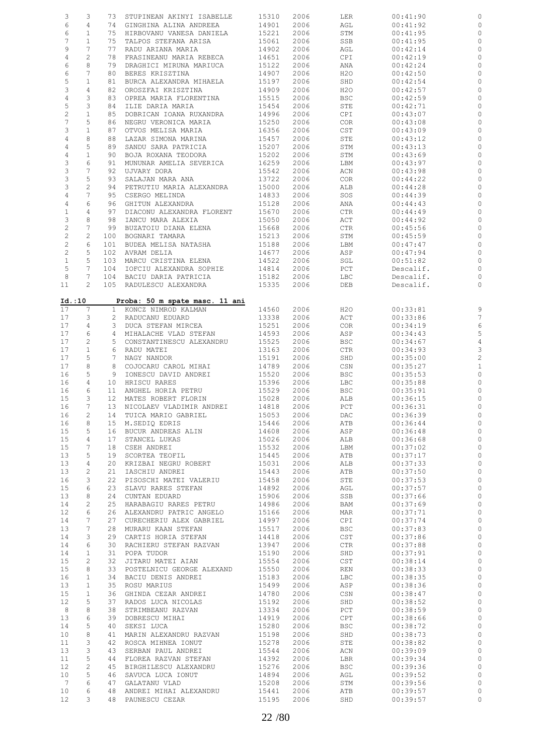| 3                         | 3              | 73              | STUPINEAN AKINYI ISABELLE      | 15310 | 2006 | LER            | 00:41:90  | 0              |
|---------------------------|----------------|-----------------|--------------------------------|-------|------|----------------|-----------|----------------|
| 6                         | 4              |                 | 74 GINGHINA ALINA ANDREEA      | 14901 | 2006 | AGL            | 00:41:92  | 0              |
| 6                         | $\mathbf{1}$   | 75              | HIRBOVANU VANESA DANIELA       | 15221 | 2006 | STM            | 00:41:95  | 0              |
| 7                         | $\mathbf{1}$   | 75              |                                |       | 2006 |                |           | $\circ$        |
|                           |                |                 | TALPOS STEFANA ARISA           | 15061 |      | SSB            | 00:41:95  |                |
| 9                         | 7              | 77              | RADU ARIANA MARIA              | 14902 | 2006 | AGL            | 00:42:14  | 0              |
| $\,4$                     | $\mathbf{2}$   | 78              | FRASINEANU MARIA REBECA        | 14651 | 2006 | CPI            | 00:42:19  | $\circ$        |
| 6                         | 8              | 79              | DRAGHICI MIRUNA MARIUCA        | 15122 | 2006 | ANA            | 00:42:24  | 0              |
| 6                         | 7              | 80              | BERES KRISZTINA                | 14907 | 2006 | H2O            | 00:42:50  | $\circ$        |
| 5                         | $\mathbf 1$    | 81              | BURCA ALEXANDRA MIHAELA        | 15197 | 2006 | SHD            | 00:42:54  | 0              |
|                           |                |                 |                                |       |      |                |           |                |
| 3                         | 4              | 82              | OROSZFAI KRISZTINA             | 14909 | 2006 | H2O            | 00:42:57  | 0              |
| $\sqrt{4}$                | 3              | 83              | OPREA MARIA FLORENTINA         | 15515 | 2006 | <b>BSC</b>     | 00:42:59  | 0              |
| 5                         | 3              | 84              | ILIE DARIA MARIA               | 15454 | 2006 | STE            | 00:42:71  | $\circ$        |
| $\overline{c}$            | $\mathbf 1$    | 85              | DOBRICAN IOANA RUXANDRA        | 14996 | 2006 | CPI            | 00:43:07  | 0              |
| $\boldsymbol{7}$          | 5              | 86              | NEGRU VERONICA MARIA           | 15250 | 2006 | COR            | 00:43:08  | 0              |
|                           |                |                 |                                |       |      |                |           |                |
| 3                         | $1\,$          | 87              | OTVOS MELISA MARIA             | 16356 | 2006 | $\mathsf{CST}$ | 00:43:09  | 0              |
| $\sqrt{4}$                | $\,8\,$        | 88              | LAZAR SIMONA MARINA            | 15457 | 2006 | STE            | 00:43:12  | $\circ$        |
| $\sqrt{4}$                | 5              | 89              | SANDU SARA PATRICIA            | 15207 | 2006 | STM            | 00:43:13  | 0              |
| $\,4$                     | $\mathbf 1$    | 90              | BOJA ROXANA TEODORA            | 15202 | 2006 | STM            | 00:43:69  | 0              |
| 3                         | 6              | 91              | MUNUNAR AMELIA SEVERICA        | 16259 | 2006 | LBM            | 00:43:97  | 0              |
| $\ensuremath{\mathsf{3}}$ | 7              | 92              |                                | 15542 |      |                |           | $\circ$        |
|                           |                |                 | UJVARY DORA                    |       | 2006 | ACN            | 00:43:98  |                |
| 3                         | 5              | 93              | SALAJAN MARA ANA               | 13722 | 2006 | <b>COR</b>     | 00:44:22  | 0              |
| $\ensuremath{\mathsf{3}}$ | $\overline{c}$ | 94              | PETRUTIU MARIA ALEXANDRA       | 15000 | 2006 | ALB            | 00:44:28  | $\circ$        |
| 4                         | $\overline{7}$ | 95              | CSERGO MELINDA                 | 14833 | 2006 | SOS            | 00:44:39  | 0              |
| 4                         | 6              | 96              | GHITUN ALEXANDRA               | 15128 | 2006 | ANA            | 00:44:43  | 0              |
| $\mathbf{1}$              | 4              | 97              | DIACONU ALEXANDRA FLORENT      | 15670 | 2006 | <b>CTR</b>     | 00:44:49  | 0              |
|                           |                |                 |                                |       |      |                |           |                |
| 3                         | 8              | 98              | IANCU MARA ALEXIA              | 15050 | 2006 | ACT            | 00:44:92  | 0              |
| $\overline{c}$            | 7              | 99              | BUZATOIU DIANA ELENA           | 15668 | 2006 | CTR            | 00:45:56  | 0              |
| $\sqrt{2}$                | $\mathbf{2}$   | 100             | BOGNARI TAMARA                 | 15213 | 2006 | STM            | 00:45:59  | 0              |
| $\sqrt{2}$                | 6              | 101             | BUDEA MELISA NATASHA           | 15188 | 2006 | LBM            | 00:47:47  | 0              |
| 2                         | 5              | 102             | AVRAM DELIA                    | 14677 | 2006 | ASP            | 00:47:94  | 0              |
|                           |                |                 |                                |       |      |                |           |                |
| $\mathbf{1}$              | 5              | 103             | MARCU CRISTINA ELENA           | 14522 | 2006 | SGL            | 00:51:82  | 0              |
| 5                         | 7              | 104             | IOFCIU ALEXANDRA SOPHIE        | 14814 | 2006 | PCT            | Descalif. | 0              |
| 8                         | 7              | 104             | BACIU DARIA PATRICIA           | 15182 | 2006 | LBC            | Descalif. | 0              |
| 11                        | $\overline{2}$ |                 | 105 RADULESCU ALEXANDRA        | 15335 | 2006 | DEB            | Descalif. | $\circ$        |
|                           |                |                 |                                |       |      |                |           |                |
|                           | Id.:10         |                 | Proba: 50 m spate masc. 11 ani |       |      |                |           |                |
| 17                        | 7              |                 |                                | 14560 |      |                |           |                |
|                           |                |                 | 1 KONCZ NIMROD KALMAN          |       | 2006 | H20            | 00:33:81  | 9              |
| 17                        | 3              | $\mathbf{2}$    | RADUCANU EDUARD                | 13338 | 2006 | ACT            | 00:33:86  | 7              |
| 17                        | 4              | 3               | DUCA STEFAN MIRCEA             | 15251 | 2006 | <b>COR</b>     | 00:34:19  | 6              |
| 17                        | 6              | 4               | MIHALACHE VLAD STEFAN          | 14593 | 2006 | ASP            | 00:34:43  | 5              |
| 17                        | $\mathbf{2}$   | 5               | CONSTANTINESCU ALEXANDRU       | 15525 | 2006 | <b>BSC</b>     | 00:34:67  | 4              |
| 17                        | $\mathbf{1}$   | 6               | RADU MATEI                     | 13163 | 2006 | CTR            | 00:34:93  | 3              |
|                           |                |                 |                                |       |      |                |           |                |
| 17                        | 5              | 7               | NAGY NANDOR                    | 15191 | 2006 | SHD            | 00:35:00  | $\overline{c}$ |
| 17                        | 8              | 8               | COJOCARU CAROL MIHAI           | 14789 | 2006 | CSN            | 00:35:27  | $\mathbf{1}$   |
| 16                        | 5              | 9               | IONESCU DAVID ANDREI           | 15520 | 2006 | <b>BSC</b>     | 00:35:53  | $\circ$        |
| 16                        | 4              | 10              | HRISCU RARES                   | 15396 | 2006 | LBC            | 00:35:88  | 0              |
| 16                        | 6              | 11              | ANGHEL HORIA PETRU             | 15529 | 2006 | <b>BSC</b>     | 00:35:91  | $\circ$        |
|                           | 3              | 12 <sup>°</sup> | MATES ROBERT FLORIN            |       |      |                |           |                |
| 15                        |                |                 |                                | 15028 | 2006 | ALB            | 00:36:15  | 0              |
| 16                        | 7              |                 | 13 NICOLAEV VLADIMIR ANDREI    | 14818 | 2006 | PCT            | 00:36:31  | $\circ$        |
| 16                        | 2              | 14              | TUICA MARIO GABRIEL            | 15053 | 2006 | DAC            | 00:36:39  | 0              |
| 16                        | 8              |                 | 15 M.SEDIQ EDRIS               | 15446 | 2006 | ATB            | 00:36:44  | $\circ$        |
| 15                        | 5              | 16              | BUCUR ANDREAS ALIN             | 14608 | 2006 | ASP            | 00:36:48  | $\circ$        |
| 15                        | 4              | 17              | STANCEL LUKAS                  | 15026 | 2006 | ALB            | 00:36:68  | $\circ$        |
|                           |                |                 |                                |       |      |                |           |                |
| 15                        | 7              | 18              | CSEH ANDREI                    | 15532 | 2006 | LBM            | 00:37:02  | $\mathbb{O}$   |
| 13                        | 5              | 19              | SCORTEA TEOFIL                 | 15445 | 2006 | ATB            | 00:37:17  | $\circ$        |
| 13                        | 4              | 20              | KRIZBAI NEGRU ROBERT           | 15031 | 2006 | ALB            | 00:37:33  | $\circ$        |
| 13                        | $\mathbf{2}$   | 21              | IASCHIU ANDREI                 | 15443 | 2006 | ATB            | 00:37:50  | $\circ$        |
| 16                        | 3              | 22              | PISOSCHI MATEI VALERIU         | 15458 | 2006 | STE            | 00:37:53  | $\mathbb O$    |
| 15                        | 6              | 23              | SLAVU RARES STEFAN             | 14892 | 2006 | AGL            | 00:37:57  | $\circ$        |
|                           |                |                 |                                |       |      |                |           |                |
| 13                        | 8              | 24              | CUNTAN EDUARD                  | 15906 | 2006 | SSB            | 00:37:66  | $\mathbb O$    |
| 14                        | $\mathbf{2}$   | 25              | HARABAGIU RARES PETRU          | 14986 | 2006 | BAM            | 00:37:69  | $\mathbb{C}$   |
| 12                        | 6              | 26              | ALEXANDRU PATRIC ANGELO        | 15166 | 2006 | MAR            | 00:37:71  | $\mathbb O$    |
| 14                        | 7              | 27              | CURECHERIU ALEX GABRIEL        | 14997 | 2006 | CPI            | 00:37:74  | $\mathbb{C}$   |
| 13                        | 7              | 28              | MURARU KAAN STEFAN             | 15517 | 2006 | <b>BSC</b>     | 00:37:83  | $\mathbb O$    |
| 14                        | 3              | 29              | CARTIS HORIA STEFAN            | 14418 | 2006 | $\mathsf{CST}$ | 00:37:86  | $\circ$        |
|                           |                |                 |                                |       |      |                |           |                |
| 14                        | 6              | 30              | RACHIERU STEFAN RAZVAN         | 13947 | 2006 | CTR            | 00:37:88  | $\mathbb{O}$   |
| 14                        | $\mathbf{1}$   | 31              | POPA TUDOR                     | 15190 | 2006 | SHD            | 00:37:91  | $\mathbb O$    |
| 15                        | $\mathbf{2}$   | 32              | JITARU MATEI AIAN              | 15554 | 2006 | $\mathsf{CST}$ | 00:38:14  | $\mathbb{O}$   |
| 15                        | 8              | 33              | POSTELNICU GEORGE ALEXAND      | 15550 | 2006 | REN            | 00:38:33  | $\mathbb O$    |
| 16                        | $\mathbf{1}$   | 34              | BACIU DENIS ANDREI             | 15183 | 2006 | LBC            | 00:38:35  | $\circ$        |
|                           |                |                 |                                |       |      |                |           |                |
| 13                        | $\mathbf{1}$   | 35              | ROSU MARIUS                    | 15499 | 2006 | ASP            | 00:38:36  | $\circ$        |
| 15                        | $\mathbf{1}$   | 36              | GHINDA CEZAR ANDREI            | 14780 | 2006 | CSN            | 00:38:47  | $\circ$        |
| 12                        | 5              | 37              | RADOS LUCA NICOLAS             | 15192 | 2006 | SHD            | 00:38:52  | $\mathbb{C}$   |
| $\,8\,$                   | 8              | 38              | STRIMBEANU RAZVAN              | 13334 | 2006 | PCT            | 00:38:59  | $\circ$        |
| 13                        | 6              | 39              | DOBRESCU MIHAI                 | 14919 | 2006 | CPT            | 00:38:66  | $\mathbb{C}$   |
|                           | 5              |                 |                                |       |      |                |           | $\circ$        |
| 14                        |                | 40              | SEKSI LUCA                     | 15280 | 2006 | <b>BSC</b>     | 00:38:72  |                |
| 10                        | 8              | 41              | MARIN ALEXANDRU RAZVAN         | 15198 | 2006 | SHD            | 00:38:73  | $\circ$        |
| 11                        | 3              | 42              | ROSCA MIHNEA IONUT             | 15278 | 2006 | STE            | 00:38:82  | $\mathbb{C}$   |
| 13                        | 3              | 43              | SERBAN PAUL ANDREI             | 15544 | 2006 | ACN            | 00:39:09  | $\circ$        |
| 11                        | 5              | 44              | FLOREA RAZVAN STEFAN           | 14392 | 2006 | LBR            | 00:39:34  | $\circ$        |
| 12                        | $\mathbf{2}$   | 45              |                                |       |      |                |           | $\circ$        |
|                           |                |                 | BIRGHILESCU ALEXANDRU          | 15276 | 2006 | <b>BSC</b>     | 00:39:36  |                |
| 10                        | 5              | 46              | SAVUCA LUCA IONUT              | 14894 | 2006 | AGL            | 00:39:52  | $\circ$        |
| $7\phantom{.0}$           | 6              | 47              | GALATANU VLAD                  | 15208 | 2006 | STM            | 00:39:56  | $\circ$        |
| 10                        | 6              | 48              | ANDREI MIHAI ALEXANDRU         | 15441 | 2006 | ATB            | 00:39:57  | $\circ$        |
| $12 \,$                   | 3              | 48              | PAUNESCU CEZAR                 | 15195 | 2006 | SHD            | 00:39:57  | $\circ$        |
|                           |                |                 |                                |       |      |                |           |                |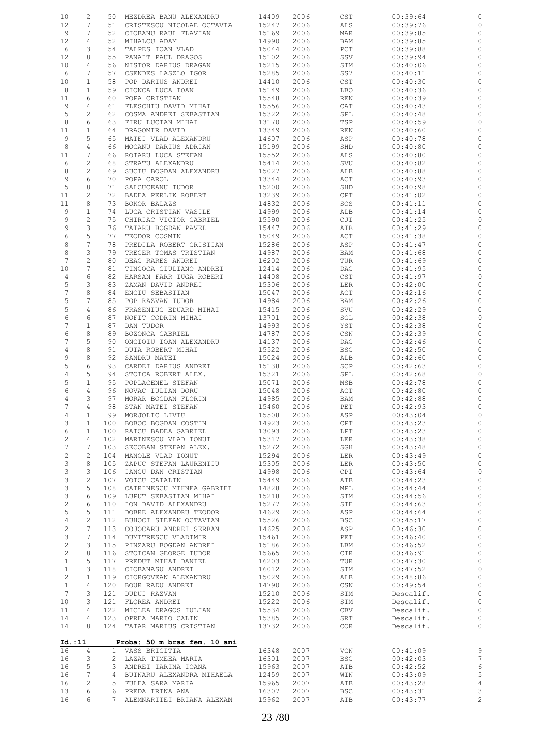| 10              | 2               |     | 50 MEZDREA BANU ALEXANDRU                                           | 14409      | 2006 | $\mathop{\tt CST}\nolimits$ | 00:39:64  | 0              |
|-----------------|-----------------|-----|---------------------------------------------------------------------|------------|------|-----------------------------|-----------|----------------|
| 12              | 7               | 51  | CRISTESCU NICOLAE OCTAVIA                                           | 15247      | 2006 | ALS                         | 00:39:76  | 0              |
| 9               | 7               | 52  | CIOBANU RAUL FLAVIAN                                                | 15169      | 2006 | MAR                         | 00:39:85  | $\circ$        |
| 12              | 4               | 52  | MIHALCU ADAM                                                        | 14990      | 2006 | BAM                         | 00:39:85  | 0              |
| 6               | 3               | 54  | TALPES IOAN VLAD                                                    | 15044      | 2006 | PCT                         | 00:39:88  | $\circ$        |
|                 |                 |     |                                                                     |            |      |                             |           |                |
| 12              | 8               | 55  | PANAIT PAUL DRAGOS                                                  | 15102      | 2006 | SSV                         | 00:39:94  | 0              |
| 10              | 4               | 56  | NISTOR DARIUS DRAGAN                                                | 15215      | 2006 | STM                         | 00:40:06  | $\circ$        |
| 6               | 7               | 57  | CSENDES LASZLO IGOR                                                 | 15285      | 2006 | SS7                         | 00:40:11  | 0              |
| 10              | $\mathbf{1}$    | 58  | POP DARIUS ANDREI                                                   | 14410      | 2006 | CST                         | 00:40:30  | $\circ$        |
| 8               | 1               | 59  | CIONCA LUCA IOAN                                                    | 15149      | 2006 | LBO                         | 00:40:36  | 0              |
|                 |                 |     |                                                                     |            |      |                             |           |                |
| 11              | 6               | 60  | POPA CRISTIAN                                                       | 15548      | 2006 | REN                         | 00:40:39  | 0              |
| 9               | 4               | 61  | FLESCHIU DAVID MIHAI                                                | 15556      | 2006 | CAT                         | 00:40:43  | 0              |
| 5               | 2               | 62  | COSMA ANDREI SEBASTIAN                                              | 15322      | 2006 | SPL                         | 00:40:48  | $\circ$        |
| 8               | 6               | 63  | FIRU LUCIAN MIHAI                                                   | 13170      | 2006 | TSP                         | 00:40:59  | 0              |
| 11              | 1               | 64  | DRAGOMIR DAVID                                                      | 13349      | 2006 | REN                         | 00:40:60  | $\circ$        |
|                 |                 |     |                                                                     |            |      |                             |           |                |
| 9               | 5               | 65  | MATEI VLAD ALEXANDRU                                                | 14607      | 2006 | ASP                         | 00:40:78  | 0              |
| 8               | 4               | 66  | MOCANU DARIUS ADRIAN                                                | 15199      | 2006 | SHD                         | 00:40:80  | $\circ$        |
| 11              | 7               | 66  | ROTARU LUCA STEFAN                                                  | 15552      | 2006 | ALS                         | 00:40:80  | 0              |
| 6               | 2               | 68  | STRATU ALEXANDRU                                                    | 15414      | 2006 | SVU                         | 00:40:82  | 0              |
| 8               | 2               | 69  | SUCIU BOGDAN ALEXANDRU                                              | 15027      | 2006 | ALB                         | 00:40:88  | 0              |
| 9               | 6               | 70  | POPA CAROL                                                          | 13344      | 2006 |                             |           |                |
|                 |                 |     |                                                                     |            |      | ACT                         | 00:40:93  | 0              |
| 5               | 8               | 71  | SALCUCEANU TUDOR                                                    | 15200      | 2006 | SHD                         | 00:40:98  | 0              |
| 11              | 2               | 72  | BADEA PERLIK ROBERT                                                 | 13239      | 2006 | CPT                         | 00:41:02  | 0              |
| 11              | 8               | 73  | BOKOR BALAZS                                                        | 14832      | 2006 | SOS                         | 00:41:11  | 0              |
| 9               | 1               | 74  | LUCA CRISTIAN VASILE                                                | 14999      | 2006 | ALB                         | 00:41:14  | 0              |
| 9               | $\mathbf{2}$    | 75  |                                                                     | 15590      | 2006 |                             |           |                |
|                 |                 |     | CHIRIAC VICTOR GABRIEL                                              |            |      | CJI                         | 00:41:25  | 0              |
| 9               | 3               | 76  | TATARU BOGDAN PAVEL                                                 | 15447      | 2006 | ATB                         | 00:41:29  | 0              |
| 6               | 5               | 77  | TEODOR COSMIN                                                       | 15049      | 2006 | ACT                         | 00:41:38  | 0              |
| 8               | 7               | 78  | PREDILA ROBERT CRISTIAN                                             | 15286      | 2006 | ASP                         | 00:41:47  | 0              |
| 8               | 3               | 79  | TREGER TOMAS TRISTIAN                                               | 14987      | 2006 | BAM                         | 00:41:68  | 0              |
| $7\phantom{.0}$ | 2               |     |                                                                     |            |      |                             |           |                |
|                 |                 | 80  | DEAC RARES ANDREI                                                   | 16202      | 2006 | TUR                         | 00:41:69  | 0              |
| 10              | 7               | 81  | TINCOCA GIULIANO ANDREI                                             | 12414      | 2006 | DAC                         | 00:41:95  | 0              |
| 4               | 6               | 82  | HARSAN FARR IUGA ROBERT                                             | 14408      | 2006 | CST                         | 00:41:97  | 0              |
| 5               | 3               | 83  | ZAMAN DAVID ANDREI                                                  | 15306      | 2006 | LER                         | 00:42:00  | 0              |
| $\overline{7}$  | 8               | 84  | ENCIU SEBASTIAN                                                     | 15047      | 2006 | ACT                         | 00:42:16  | 0              |
|                 | 7               |     |                                                                     |            |      |                             |           |                |
| $\mathsf S$     |                 | 85  | POP RAZVAN TUDOR                                                    | 14984      | 2006 | BAM                         | 00:42:26  | 0              |
| 5               | 4               | 86  | FRASENIUC EDUARD MIHAI                                              | 15415      | 2006 | SVU                         | 00:42:29  | 0              |
| 6               | 6               | 87  | NOFIT CODRIN MIHAI                                                  | 13701      | 2006 | SGL                         | 00:42:38  | 0              |
| $\overline{7}$  | $\mathbf{1}$    | 87  | DAN TUDOR                                                           | 14993      | 2006 | YST                         | 00:42:38  | 0              |
| 6               | 8               | 89  | BOZONCA GABRIEL                                                     | 14787      | 2006 | CSN                         | 00:42:39  | $\circ$        |
|                 | 5               | 90  |                                                                     |            |      |                             |           |                |
| 7               |                 |     | ONCIOIU IOAN ALEXANDRU                                              | 14137      | 2006 | DAC                         | 00:42:46  | 0              |
| $\,4$           | 8               | 91  | DUTA ROBERT MIHAI                                                   | 15522      | 2006 | <b>BSC</b>                  | 00:42:50  | $\circ$        |
| 9               | 8               | 92  | SANDRU MATEI                                                        | 15024      | 2006 | ALB                         | 00:42:60  | 0              |
| 5               | 6               | 93  | CARDEI DARIUS ANDREI                                                | 15138      | 2006 | SCP                         | 00:42:63  | $\circ$        |
| 4               | 5               | 94  | STOICA ROBERT ALEX.                                                 | 15321      | 2006 | SPL                         | 00:42:68  | 0              |
|                 |                 |     |                                                                     |            |      |                             |           |                |
| 5               | $\mathbf 1$     | 95  | POPLACENEL STEFAN                                                   | 15071      | 2006 | MSB                         | 00:42:78  | $\circ$        |
| 6               | 4               | 96  | NOVAC IULIAN DORU                                                   | 15048      | 2006 | ACT                         | 00:42:80  | 0              |
| $\sqrt{4}$      | 3               | 97  | MORAR BOGDAN FLORIN                                                 | 14985      | 2006 | BAM                         | 00:42:88  | $\circ$        |
| $7\overline{ }$ | $\overline{4}$  | 98  | STAN MATEI STEFAN                                                   | 15460      | 2006 | PET                         | 00:42:93  | $\circ$        |
| 4               | $\mathbf{1}$    |     | 99 MORJOLIC LIVIU                                                   | 15508 2006 |      | ASP                         | 00:43:04  | $\circ$        |
|                 |                 |     |                                                                     |            |      |                             |           |                |
| 3               | $\mathbf{1}$    |     | 100 BOBOC BOGDAN COSTIN                                             | 14923      | 2006 | CPT                         | 00:43:23  | 0              |
| 6               | $\mathbf{1}$    |     | 100 RAICU BADEA GABRIEL                                             | 13093      | 2006 | LPT                         | 00:43:23  | $\circ$        |
| $\overline{c}$  | $\overline{4}$  |     | 102 MARINESCU VLAD IONUT                                            | 15317      | 2006 | LER                         | 00:43:38  | $\mathbb O$    |
| $\sqrt{ }$      | 7               |     | 103 SECOBAN STEFAN ALEX.                                            | 15272      | 2006 | SGH                         | 00:43:48  | $\circ$        |
| $\overline{c}$  | $\overline{c}$  |     | 104 MANOLE VLAD IONUT                                               | 15294      | 2006 | LER                         | 00:43:49  | $\mathbb{O}$   |
| $\mathcal{E}$   | 8               | 105 |                                                                     | 15305      | 2006 |                             |           | $\circ$        |
|                 |                 |     | ZAPUC STEFAN LAURENTIU                                              |            |      | LER                         | 00:43:50  |                |
| $\mathsf 3$     | 3               | 106 | IANCU DAN CRISTIAN                                                  | 14998      | 2006 | CPI                         | 00:43:64  | $\mathbb{C}$   |
| $\mathfrak{Z}$  | 2               |     | 107 VOICU CATALIN                                                   | 15449      | 2006 | ATB                         | 00:44:23  | $\circ$        |
| $\mathcal{E}$   | 5               |     | 108 CATRINESCU MIHNEA GABRIEL                                       | 14828      | 2006 | MPL                         | 00:44:44  | $\mathbb O$    |
| $\mathfrak{Z}$  | 6               |     | 109 LUPUT SEBASTIAN MIHAI                                           | 15218      | 2006 | STM                         | 00:44:56  | $\circ$        |
|                 | 6               |     |                                                                     |            |      |                             | 00:44:63  |                |
| $\sqrt{2}$      |                 |     | 110 ION DAVID ALEXANDRU                                             | 15277      | 2006 | STE                         |           | $\circ$        |
| $\mathsf S$     | 5               | 111 | DOBRE ALEXANDRU TEODOR                                              | 14629      | 2006 | ASP                         | 00:44:64  | $\mathbb{C}$   |
| $\overline{4}$  | $\overline{c}$  |     | 112 BUHOCI STEFAN OCTAVIAN                                          | 15526      | 2006 | BSC                         | 00:45:17  | $\circ$        |
| $\sqrt{2}$      | $7\phantom{.0}$ |     | 113 COJOCARU ANDREI SERBAN                                          | 14625      | 2006 | ASP                         | 00:46:30  | $\mathbb O$    |
| 3               | 7               |     | 114 DUMITRESCU VLADIMIR                                             | 15461      | 2006 | PET                         | 00:46:40  | $\circ$        |
| $\overline{c}$  |                 |     |                                                                     |            |      |                             |           |                |
|                 | 3               | 115 | PINZARU BOGDAN ANDREI<br>116 STOICAN GEORGE TUDOR<br>117 DERETTE LE | 15186      | 2006 | LBM                         | 00:46:52  | $\mathbb O$    |
| $\overline{2}$  | 8               |     |                                                                     | 15665      | 2006 | CTR                         | 00:46:91  | $\mathbb{C}$   |
| $\mathbf{1}$    | 5               | 117 | PREDUT MIHAI DANIEL                                                 | 16203      | 2006 | TUR                         | 00:47:30  | $\mathbb O$    |
| $\mathbf{1}$    | 3               |     | 118 CIOBANASU ANDREI                                                | 16012      | 2006 | STM                         | 00:47:52  | $\mathbb{C}$   |
| $\overline{c}$  | $\mathbf{1}$    |     | 119 CIORGOVEAN ALEXANDRU                                            | 15029      | 2006 | ALB                         | 00:48:86  | $\circ$        |
|                 |                 |     |                                                                     |            |      |                             |           |                |
| $\mathbf{1}$    | $\overline{4}$  |     | 120 BOUR RADU ANDREI                                                | 14790      | 2006 | CSN                         | 00:49:54  | $\mathbb O$    |
| $7\phantom{.0}$ | 3               | 121 | DUDUI RAZVAN                                                        | 15210      | 2006 | STM                         | Descalif. | $\mathbb O$    |
| 10              | 3               |     | 121 FLOREA ANDREI                                                   | 15222      | 2006 | STM                         | Descalif. | $\mathbb O$    |
| 11              | 4               |     | 122 MICLEA DRAGOS IULIAN                                            | 15534      | 2006 | CBV                         | Descalif. | $\circ$        |
| 14              | $\overline{4}$  |     | 123 OPREA MARIO CALIN                                               | 15385      | 2006 | SRT                         | Descalif. | $\circ$        |
|                 |                 |     |                                                                     |            |      |                             |           |                |
| 14              | 8               |     | 124 TATAR MARIUS CRISTIAN 13732                                     |            | 2006 | COR                         | Descalif. | $\circ$        |
|                 |                 |     |                                                                     |            |      |                             |           |                |
| Id.:11          |                 |     | Proba: 50 m bras fem. 10 ani                                        |            |      |                             |           |                |
| 16              | $\overline{4}$  |     | 1 VASS BRIGITTA                                                     | 16348      | 2007 | VCN                         | 00:41:09  | 9              |
| 16              | 3               |     | 2 LAZAR TIMEEA MARIA                                                | 16301      | 2007 | BSC                         | 00:42:03  | $\overline{7}$ |
|                 |                 |     |                                                                     |            |      |                             |           |                |
| 16              | 5               |     | 3 ANDREI IARINA IOANA                                               | 15963      | 2007 | ATB                         | 00:42:52  | $\epsilon$     |
| 16              | $\overline{7}$  |     | 4 BUTNARU ALEXANDRA MIHAELA                                         | 12459      | 2007 | WIN                         | 00:43:09  | 5              |
| 16              | 2               |     | 5 FULEA SARA MARIA                                                  | 15965      | 2007 | ATB                         | 00:43:28  | $\overline{4}$ |
| 13              | 6               |     | 6 PREDA IRINA ANA                                                   | 16307      | 2007 | <b>BSC</b>                  | 00:43:31  | 3              |
| 16              | 6               |     | 7 ALEMNARITEI BRIANA ALEXAN                                         | 15962      | 2007 | ATB                         | 00:43:77  | $\overline{c}$ |
|                 |                 |     |                                                                     |            |      |                             |           |                |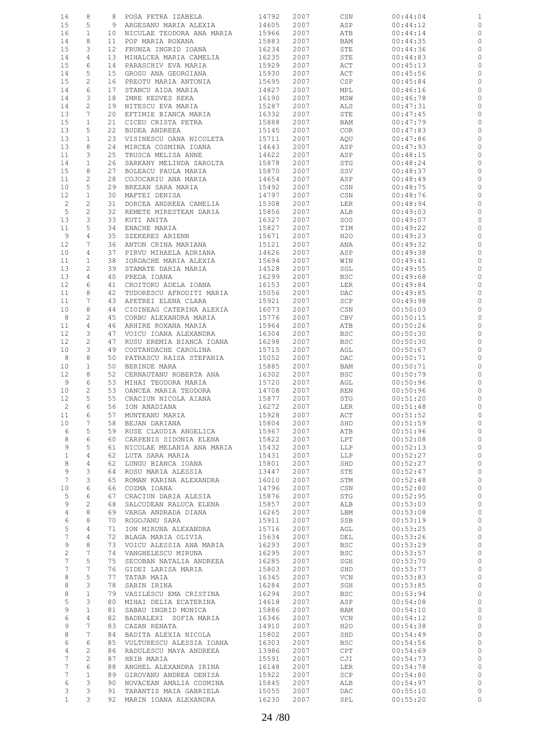| 16              | 8               | 8               | POSA PETRA IZABELA          | 14792 | 2007 | CSN        | 00:44:04 | $\mathbf 1$  |
|-----------------|-----------------|-----------------|-----------------------------|-------|------|------------|----------|--------------|
| 15              | 5               | 9               | ARGESANU MARIA ALEXIA       | 14605 | 2007 | ASP        | 00:44:12 | 0            |
| 16              | $\mathbf{1}$    | 10              | NICULAE TEODORA ANA MARIA   | 15966 | 2007 | ATB        | 00:44:14 | $\circ$      |
|                 |                 |                 |                             |       |      |            |          |              |
| 14              | 8               | 11              | POP MARIA ROXANA            | 15883 | 2007 | BAM        | 00:44:35 | 0            |
| 15              | 3               | 12 <sup>°</sup> | FRUNZA INGRID IOANA         | 16234 | 2007 | STE        | 00:44:36 | $\circ$      |
| 14              | $\overline{4}$  | 13              | MIHALCEA MARIA CAMELIA      | 16235 | 2007 | STE        | 00:44:83 | $\circ$      |
| 15              | 6               | 14              | PARASCHIV EVA MARIA         | 15929 | 2007 | ACT        | 00:45:13 | 0            |
| 14              | 5               | 15 <sub>1</sub> | GROSU ANA GEORGIANA         | 15930 | 2007 | ACT        | 00:45:56 | $\circ$      |
|                 |                 |                 |                             |       |      |            |          |              |
| 15              | $\mathbf{2}$    | 16              | PREOTU MARIA ANTONIA        | 15695 | 2007 | CSP        | 00:45:84 | $\circ$      |
| 14              | 6               | 17              | STANCU AIDA MARIA           | 14827 | 2007 | MPL        | 00:46:16 | $\circ$      |
| 14              | 3               | 18              | IMRE KEDVES REKA            | 16190 | 2007 | MSW        | 00:46:78 | 0            |
|                 | $\overline{c}$  |                 |                             |       |      |            |          |              |
| 14              |                 | 19              | NITESCU EVA MARIA           | 15287 | 2007 | ALS        | 00:47:31 | $\circ$      |
| 13              | 7               | 20              | EFTIMIE BIANCA MARIA        | 16332 | 2007 | STE        | 00:47:45 | 0            |
| 15              | 1               | 21              | CICEU CRISTA PETRA          | 15888 | 2007 | BAM        | 00:47:79 | $\circ$      |
| 13              | 5               | 22              | BUDEA ANDREEA               | 15145 | 2007 | <b>COR</b> | 00:47:83 | $\circ$      |
|                 |                 |                 |                             |       |      |            |          |              |
| 13              | $\mathbf{1}$    | 23              | VISINESCU OANA NICOLETA     | 15711 | 2007 | AQU        | 00:47:86 | $\circ$      |
| 13              | 8               | 24              | MIRCEA COSMINA IOANA        | 14643 | 2007 | ASP        | 00:47:93 | 0            |
| 11              | 3               | 25              | TRUSCA MELISA ANNE          | 14622 | 2007 | ASP        | 00:48:15 | $\circ$      |
| 14              | $\mathbf{1}$    | 26              | SARKANY MELINDA SAROLTA     | 15878 | 2007 | STG        | 00:48:24 | 0            |
|                 | 8               |                 |                             |       |      |            |          |              |
| 15              |                 | 27              | BOLEACU PAULA MARIA         | 15870 | 2007 | SSV        | 00:48:37 | $\circ$      |
| 11              | 2               | 28              | COJOCARIU ANA MARIA         | 14654 | 2007 | ASP        | 00:48:49 | $\circ$      |
| 10              | 5               | 29              | BREZAN SARA MARIA           | 15492 | 2007 | CSN        | 00:48:75 | $\circ$      |
| 12              | $\mathbf{1}$    | 30              | MAFTEI DENISA               | 14797 | 2007 | CSN        | 00:48:76 | 0            |
|                 | $\overline{c}$  |                 |                             |       |      |            |          | $\circ$      |
| $\overline{c}$  |                 | 31              | DORCEA ANDREEA CAMELIA      | 15308 | 2007 | LER        | 00:48:94 |              |
| 5               | $\mathbf{2}$    | 32              | REMETE MIRESTEAN DARIA      | 15856 | 2007 | ALB        | 00:49:03 | 0            |
| 13              | 3               | 33              | KUTI ANITA                  | 16327 | 2007 | SOS        | 00:49:07 | $\circ$      |
| 11              | 5               | 34              | ENACHE MARIA                | 15827 | 2007 | TIM        | 00:49:22 | $\circ$      |
|                 |                 |                 |                             |       |      |            |          |              |
| 9               | 4               | 35              | SZEKERES ARIENN             | 15671 | 2007 | H20        | 00:49:23 | $\circ$      |
| 12              | 7               | 36              | ANTON CRINA MARIANA         | 15121 | 2007 | ANA        | 00:49:32 | 0            |
| 10              | 4               | 37              | PIRVU MIHAELA ADRIANA       | 14626 | 2007 | ASP        | 00:49:38 | $\circ$      |
| 11              | $\mathbf{1}$    | 38              | IORDACHE MARIA ALEXIA       | 15694 | 2007 | WIN        | 00:49:41 | $\circ$      |
|                 |                 |                 |                             |       |      |            |          |              |
| 13              | 2               | 39              | STAMATE DARIA MARIA         | 14528 | 2007 | SGL        | 00:49:55 | $\circ$      |
| 13              | 4               | 40              | PREDA IOANA                 | 16299 | 2007 | <b>BSC</b> | 00:49:68 | 0            |
| 12              | 6               | 41              | CROITORU ADELA IOANA        | 16153 | 2007 | LER        | 00:49:84 | $\circ$      |
| 11              | 8               | 42              | TUDORESCU AFRODITI MARIA    | 15056 | 2007 | DAC        | 00:49:85 | $\circ$      |
|                 |                 |                 |                             |       |      |            |          |              |
| 11              | 7               | 43              | APETREI ELENA CLARA         | 15921 | 2007 | SCP        | 00:49:98 | $\mathbb{O}$ |
| 10              | 8               | 44              | CIOINEAG CATERINA ALEXIA    | 16073 | 2007 | CSN        | 00:50:03 | $\circ$      |
| 8               | $\mathbf{2}$    | 45              | CORBU ALEXANDRA MARIA       | 15776 | 2007 | CBV        | 00:50:15 | $\mathbb{O}$ |
| 11              | $\overline{4}$  | 46              | ARHIRE ROXANA MARIA         | 15964 | 2007 | ATB        | 00:50:26 | $\circ$      |
|                 |                 |                 |                             |       |      |            |          |              |
| 12              | 3               | 47              | VOICU IOANA ALEXANDRA       | 16304 | 2007 | <b>BSC</b> | 00:50:30 | $\circ$      |
| 12              | $\mathbf{2}$    | 47              | RUSU EREMIA BIANCA IOANA    | 16298 | 2007 | <b>BSC</b> | 00:50:30 | $\circ$      |
| 10              | 3               | 49              | COSTANDACHE CAROLINA        | 15715 | 2007 | AGL        | 00:50:67 | $\circ$      |
| 8               | 8               | 50              | PATRASCU RAISA STEFANIA     | 15052 | 2007 | DAC        | 00:50:71 | $\circ$      |
|                 |                 |                 |                             |       |      |            |          |              |
| 10              | 1               | 50              | BERINDE MARA                | 15885 | 2007 | BAM        | 00:50:71 | $\circ$      |
| 12              | 8               | 52              | CERNAUTANU ROBERTA ANA      | 16302 | 2007 | <b>BSC</b> | 00:50:79 | $\circ$      |
| 9               | 6               | 53              | MIHAI TEODORA MARIA         | 15720 | 2007 | AGL        | 00:50:96 | $\circ$      |
|                 |                 |                 |                             |       |      |            | 00:50:96 |              |
| 10              | $\mathbf{2}$    | 53              | OANCEA MARIA TEODORA        | 14708 | 2007 | REN        |          | $\circ$      |
| 12              | 5               | 55              | CRACIUN NICOLA AIANA        | 15877 | 2007 | STG        | 00:51:20 | $\mathbb{C}$ |
| 2               | 6               | 56              | ION ANADIANA                | 16272 | 2007 | LER        | 00:51:48 | $\circ$      |
| 11              | 6               |                 | 57 MUNTEANU MARIA           | 15928 | 2007 | ACT        | 00:51:52 | $\circ$      |
| 10              | 7               |                 | 58 BEJAN DARIANA            | 15804 | 2007 | SHD        | 00:51:59 | 0            |
|                 |                 |                 |                             |       |      |            |          |              |
| 6               | 5               |                 | 59 RUSE CLAUDIA ANGELICA    | 15967 | 2007 | ATB        | 00:51:96 | $\circ$      |
| 8               | 6               | 60              | CARPENIS SIDONIA ELENA      | 15822 | 2007 | LPT        | 00:52:08 | $\circ$      |
| 9               | 5               | 61              | NICOLAE MELANIA ANA MARIA   | 15432 | 2007 | LLP        | 00:52:13 | $\circ$      |
| $\mathbf{1}$    | 4               | 62              | LUTA SARA MARIA             | 15431 | 2007 | LLP        | 00:52:27 | $\circ$      |
|                 |                 |                 |                             |       |      |            |          |              |
| 8               | 4               | 62              | LUNGU BIANCA IOANA          | 15801 | 2007 | SHD        | 00:52:27 | $\circ$      |
| 9               | 3               | 64              | ROSU MARIA ALESSIA          | 13447 | 2007 | STE        | 00:52:47 | $\circ$      |
| $7\phantom{.0}$ | 3               | 65              | ROMAN KARINA ALEXANDRA      | 16010 | 2007 | STM        | 00:52:48 | $\circ$      |
| 10              | 6               | 66              |                             | 14796 |      |            |          | $\circ$      |
|                 |                 |                 | COZMA IOANA                 |       | 2007 | CSN        | 00:52:80 |              |
| 5               | 6               | 67              | CRACIUN DARIA ALESIA        | 15876 | 2007 | STG        | 00:52:95 | $\circ$      |
| 9               | 2               | 68              | SALCUDEAN RALUCA ELENA      | 15857 | 2007 | ALB        | 00:53:03 | $\mathbb O$  |
| $\overline{4}$  | 8               | 69              | VARGA ANDRADA DIANA         | 16265 | 2007 | LBM        | 00:53:08 | $\circ$      |
| 6               | 8               | 70              | ROGOJANU SARA               | 15911 | 2007 | SSB        | 00:53:19 | $\circ$      |
| 5               | $\overline{4}$  | 71              | ION MIRUNA ALEXANDRA        |       |      |            |          | $\circ$      |
|                 |                 |                 |                             | 15716 | 2007 | AGL        | 00:53:25 |              |
| $7\overline{ }$ | 4               | 72              | BLAGA MARIA OLIVIA          | 15634 | 2007 | DEL        | 00:53:26 | $\circ$      |
| 9               | 8               | 73              | VOICU ALESSIA ANA MARIA     | 16293 | 2007 | <b>BSC</b> | 00:53:29 | $\circ$      |
| $\sqrt{2}$      | 7               |                 | 74 VANGHELESCU MIRUNA       | 16295 | 2007 | BSC        | 00:53:57 | $\circ$      |
|                 |                 |                 |                             |       |      |            |          |              |
| $7\phantom{.0}$ | 5               | 75              | SECOBAN NATALIA ANDREEA     | 16285 | 2007 | SGH        | 00:53:70 | $\circ$      |
| 7               | $7\phantom{.0}$ |                 | 76 GIDEI LARISA MARIA       | 15803 | 2007 | SHD        | 00:53:77 | $\circ$      |
| 8               | 5               | 77              | TATAR MAIA                  | 16345 | 2007 | VCN        | 00:53:83 | $\circ$      |
| 8               | 3               | 78              | SABIN IRINA                 | 16284 | 2007 | SGH        | 00:53:85 | $\circ$      |
| 8               | $\mathbf{1}$    | 79              |                             | 16294 |      |            |          | $\circ$      |
|                 |                 |                 | VASILESCU EMA CRISTINA      |       | 2007 | <b>BSC</b> | 00:53:94 |              |
| 5               | 3               |                 | 80 MIHAI DELIA ECATERINA    | 14618 | 2007 | ASP        | 00:54:08 | $\circ$      |
| 9               | $\mathbf{1}$    | 81              | SABAU INGRID MONICA         | 15886 | 2007 | BAM        | 00:54:10 | $\mathbb{C}$ |
| 6               | 4               | 82              | BADRALEXI SOFIA MARIA       | 16346 | 2007 | VCN        | 00:54:12 | $\circ$      |
| 9               | $7\phantom{.0}$ |                 |                             |       | 2007 | H2O        |          | $\circ$      |
|                 |                 |                 | 83 CAZAN RENATA             | 14910 |      |            | 00:54:38 |              |
| 8               | $7\phantom{.0}$ |                 | 84 BADITA ALEXIA NICOLA     | 15802 | 2007 | SHD        | 00:54:49 | $\circ$      |
| 6               | 6               |                 | 85 VULTURESCU ALESSIA IOANA | 16303 | 2007 | <b>BSC</b> | 00:54:56 | $\mathbb O$  |
| 4               | $\overline{c}$  |                 | 86 RADULESCU MAYA ANDREEA   | 13986 | 2007 | CPT        | 00:54:69 | $\mathbb{C}$ |
| $7\phantom{.0}$ | 2               | 87              |                             |       |      |            |          | $\mathbb O$  |
|                 |                 |                 | HRIB MARIA                  | 15591 | 2007 | CJI        | 00:54:73 |              |
| 7               | 6               | 88              | ANGHEL ALEXANDRA IRINA      | 16148 | 2007 | LER        | 00:54:78 | $\mathbb{C}$ |
| $7\phantom{.0}$ | $\mathbf{1}$    | 89              | GIROVANU ANDREA DENISA      | 15922 | 2007 | SCP        | 00:54:80 | $\circ$      |
| 6               | 3               | 90              | NOVACEAN AMALIA COSMINA     | 15845 | 2007 | ALB        | 00:54:97 | $\circ$      |
| 3               | 3               | 91              | TARANTIS MAIA GABRIELA      | 15055 | 2007 | DAC        | 00:55:10 | $\circ$      |
|                 |                 |                 |                             |       |      |            |          |              |
| $\mathbf{1}$    | 3               |                 | 92 MARIN IOANA ALEXANDRA    | 16230 | 2007 | SPL        | 00:55:20 | $\circ$      |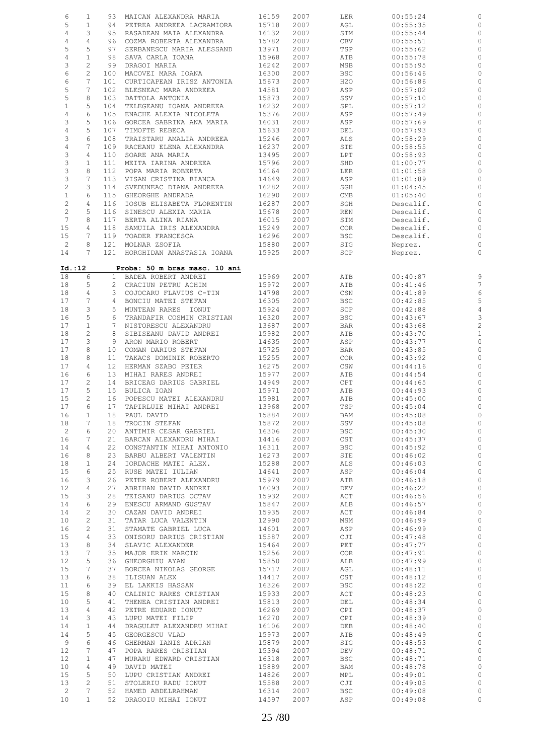| 6                         | $\mathbf{1}$    |                 | 93 MAICAN ALEXANDRA MARIA     | 16159 | 2007 | LER            | 00:55:24  |                         |
|---------------------------|-----------------|-----------------|-------------------------------|-------|------|----------------|-----------|-------------------------|
| 5                         | $\mathbf{1}$    | 94              | PETREA ANDREEA LACRAMIORA     | 15718 | 2007 | AGL            | 00:55:35  |                         |
|                           |                 |                 |                               |       |      |                |           |                         |
| 4                         | 3               | 95              | RASADEAN MAIA ALEXANDRA       | 16132 | 2007 | STM            | 00:55:44  | 0                       |
| 4                         | $\overline{4}$  | 96              | COZMA ROBERTA ALEXANDRA       | 15782 | 2007 | CBV            | 00:55:51  | 0                       |
| 5                         | 5               | 97              | SERBANESCU MARIA ALESSAND     | 13971 | 2007 | TSP            | 00:55:62  | 0                       |
| $\sqrt{4}$                | $\mathbf{1}$    | 98              | SAVA CARLA IOANA              | 15968 | 2007 | ATB            | 00:55:78  | $\circ$                 |
|                           | 2               |                 |                               |       |      |                |           |                         |
| 3                         |                 | 99              | DRAGOI MARIA                  | 16242 | 2007 | MSB            | 00:55:95  | 0                       |
| 6                         | $\mathbf{2}$    | 100             | MACOVEI MARA IOANA            | 16300 | 2007 | <b>BSC</b>     | 00:56:46  | 0                       |
| 6                         | 7               | 101             | CURTICAPEAN IRISZ ANTONIA     | 15673 | 2007 | H2O            | 00:56:86  | 0                       |
| 5                         | $7\phantom{.0}$ | 102             | BLESNEAC MARA ANDREEA         | 14581 | 2007 | ASP            | 00:57:02  | 0                       |
| 5                         | 8               | 103             | DATTOLA ANTONIA               | 15873 | 2007 | SSV            | 00:57:10  | 0                       |
|                           |                 |                 |                               |       |      |                |           |                         |
| $1\,$                     | 5               | 104             | TELEGEANU IOANA ANDREEA       | 16232 | 2007 | SPL            | 00:57:12  | $\circ$                 |
| $\,4$                     | 6               | 105             | ENACHE ALEXIA NICOLETA        | 15376 | 2007 | ASP            | 00:57:49  | 0                       |
| 3                         | 5               | 106             | GORCEA SABRINA ANA MARIA      | 16031 | 2007 | ASP            | 00:57:69  | $\circ$                 |
| $\sqrt{4}$                | 5               | 107             | TIMOFTE REBECA                | 15633 | 2007 | DEL            | 00:57:93  | 0                       |
| 3                         | 6               | 108             | TRAISTARU AMALIA ANDREEA      | 15246 | 2007 | ALS            | 00:58:29  | $\circ$                 |
| $\,4$                     | 7               | 109             | RACEANU ELENA ALEXANDRA       | 16237 | 2007 | ${\tt STE}$    | 00:58:55  | 0                       |
|                           |                 |                 |                               |       |      |                |           |                         |
| 3                         | 4               | 110             | SOARE ANA MARIA               | 13495 | 2007 | LPT            | 00:58:93  | 0                       |
| 3                         | $\mathbf{1}$    | 111             | MEITA IARINA ANDREEA          | 15796 | 2007 | SHD            | 01:00:77  | 0                       |
| $\ensuremath{\mathsf{3}}$ | 8               | 112             | POPA MARIA ROBERTA            | 16164 | 2007 | LER            | 01:01:58  | $\circ$                 |
| 3                         | 7               | 113             | VISAN CRISTINA BIANCA         | 14649 | 2007 | ASP            | 01:01:89  | 0                       |
| $\sqrt{2}$                | 3               | 114             | SVEDUNEAC DIANA ANDREEA       | 16282 | 2007 | SGH            | 01:04:45  | 0                       |
|                           |                 |                 |                               |       |      |                |           |                         |
| $\mathbf{1}$              | 6               | 115             | GHEORGHE ANDRADA              | 16290 | 2007 | CMB            | 01:05:40  | 0                       |
| $\mathbf{2}$              | $\overline{4}$  | 116             | IOSUB ELISABETA FLORENTIN     | 16287 | 2007 | SGH            | Descalif. | $\circ$                 |
| $\mathbf{2}$              | 5               | 116             | SINESCU ALEXIA MARIA          | 15678 | 2007 | REN            | Descalif. | 0                       |
| $7\phantom{.0}$           | 8               | 117             | BERTA ALINA RIANA             | 16015 | 2007 | STM            | Descalif. | $\circ$                 |
| 15                        | 4               | 118             | SAMUILA IRIS ALEXANDRA        | 15249 | 2007 | <b>COR</b>     | Descalif. | 0                       |
|                           |                 |                 |                               |       |      |                |           |                         |
| 15                        | 7               | 119             | TOADER FRANCESCA              | 16296 | 2007 | BSC            | Descalif. | 0                       |
| $\overline{c}$            | 8               | 121             | MOLNAR ZSOFIA                 | 15880 | 2007 | STG            | Neprez.   | 0                       |
| 14                        | 7               | 121             | HORGHIDAN ANASTASIA IOANA     | 15925 | 2007 | SCP            | Neprez.   | 0                       |
|                           |                 |                 |                               |       |      |                |           |                         |
| Id. : 12                  |                 |                 | Proba: 50 m bras masc. 10 ani |       |      |                |           |                         |
| 18                        | 6               | $\mathbf{1}$    | BADEA ROBERT ANDREI           | 15969 | 2007 | ATB            | 00:40:87  | 9                       |
| 18                        | 5               |                 | 2 CRACIUN PETRU ACHIM         | 15972 | 2007 | ATB            | 00:41:46  | 7                       |
| 18                        | $\overline{4}$  | 3               | COJOCARU FLAVIUS C-TIN        | 14798 | 2007 | CSN            | 00:41:89  | $\epsilon$              |
| 17                        | 7               | 4               | BONCIU MATEI STEFAN           | 16305 | 2007 | <b>BSC</b>     | 00:42:85  | 5                       |
| 18                        | 3               | 5               | MUNTEAN RARES IONUT           | 15924 | 2007 | SCP            | 00:42:88  | 4                       |
| 16                        | 5               | 6               | TRANDAFIR COSMIN CRISTIAN     | 16320 | 2007 | <b>BSC</b>     | 00:43:67  | 3                       |
|                           |                 |                 |                               |       |      |                |           |                         |
| 17                        | $\mathbf{1}$    | 7               | NISTORESCU ALEXANDRU          | 13687 | 2007 | <b>BAR</b>     | 00:43:68  | $\overline{\mathbf{c}}$ |
| 18                        | $\overline{c}$  | 8               | SIBISEANU DAVID ANDREI        | 15982 | 2007 | ATB            | 00:43:70  | $\mathbf{1}$            |
| 17                        | 3               | 9               | ARON MARIO ROBERT             | 14635 | 2007 | ASP            | 00:43:77  | $\circ$                 |
| 17                        | 8               | 10              | COMAN DARIUS STEFAN           | 15725 | 2007 | <b>BAR</b>     | 00:43:85  | 0                       |
| 18                        | 8               | 11              | TAKACS DOMINIK ROBERTO        | 15255 | 2007 | COR            | 00:43:92  | $\circ$                 |
| 17                        | 4               | 12 <sup>°</sup> | HERMAN SZABO PETER            | 16275 | 2007 | CSW            | 00:44:16  | 0                       |
| 16                        | 6               | 13              | MIHAI RARES ANDREI            | 15977 | 2007 | ATB            | 00:44:54  | 0                       |
| 17                        | $\mathbf{2}$    | 14              | BRICEAG DARIUS GABRIEL        | 14949 | 2007 | CPT            | 00:44:65  | 0                       |
|                           | 5               | 15 <sub>2</sub> |                               | 15971 | 2007 |                |           | $\circ$                 |
| 17                        |                 |                 | BULICA IOAN                   |       |      | ATB            | 00:44:93  |                         |
| 15                        | $\mathbf{2}$    | 16              | POPESCU MATEI ALEXANDRU       | 15981 | 2007 | ATB            | 00:45:00  | 0                       |
| 17                        | 6               | 17              | TAPIRLUIE MIHAI ANDREI        | 13968 | 2007 | TSP            | 00:45:04  | $\circ$                 |
| 16                        | 1               | 18              | PAUL DAVID                    | 15884 | 2007 | BAM            | 00:45:08  |                         |
| 18                        | 7               | 18              | TROCIN STEFAN                 | 15872 | 2007 | SSV            | 00:45:08  | $\circ$                 |
| $\overline{c}$            | 6               | 20              | ANTIMIR CESAR GABRIEL         | 16306 | 2007 | <b>BSC</b>     | 00:45:30  | $\circ$                 |
| 16                        | 7               | 21              | BARCAN ALEXANDRU MIHAI        | 14416 | 2007 | CST            | 00:45:37  | $\circ$                 |
| 14                        | 4               | 22              | CONSTANTIN MIHAI ANTONIO      | 16311 | 2007 | <b>BSC</b>     | 00:45:92  | $\circ$                 |
| 16                        | 8               | 23              | BARBU ALBERT VALENTIN         | 16273 | 2007 | STE            | 00:46:02  | $\mathbb{O}$            |
|                           |                 |                 |                               |       |      |                |           |                         |
| 18                        | $\mathbf{1}$    | 24              | IORDACHE MATEI ALEX.          | 15288 | 2007 | ALS            | 00:46:03  | $\circ$                 |
| 15                        | 6               | 25              | RUSE MATEI IULIAN             | 14641 | 2007 | ASP            | 00:46:04  | $\circ$                 |
| 16                        | 3               | 26              | PETER ROBERT ALEXANDRU        | 15979 | 2007 | ATB            | 00:46:18  | $\mathbb O$             |
| 12                        | 4               | 27              | ABRIHAN DAVID ANDREI          | 16093 | 2007 | DEV            | 00:46:22  | $\circ$                 |
| 15                        | 3               | 28              | TEISANU DARIUS OCTAV          | 15932 | 2007 | ACT            | 00:46:56  | $\circ$                 |
| 14                        | 6               | 29              | ENESCU ARMAND GUSTAV          | 15847 | 2007 | ALB            | 00:46:57  | $\circ$                 |
| 14                        | $\mathbf{2}$    | 30              | CAZAN DAVID ANDREI            | 15935 | 2007 |                |           | $\mathbb{O}$            |
|                           |                 |                 |                               |       |      | ACT            | 00:46:84  |                         |
| 10                        | $\mathbf{2}$    | 31              | TATAR LUCA VALENTIN           | 12990 | 2007 | MSM            | 00:46:99  | $\circ$                 |
| 16                        | $\mathbf{2}$    | 31              | STAMATE GABRIEL LUCA          | 14601 | 2007 | ASP            | 00:46:99  | $\mathbb O$             |
| 15                        | 4               | 33              | ONISORU DARIUS CRISTIAN       | 15587 | 2007 | CJI            | 00:47:48  | $\mathbb O$             |
| 13                        | 8               | 34              | SLAVIC ALEXANDER              | 15464 | 2007 | PET            | 00:47:77  | $\mathbb O$             |
| 13                        | 7               | 35              | MAJOR ERIK MARCIN             | 15256 | 2007 | <b>COR</b>     | 00:47:91  | $\mathbb{C}$            |
| 12                        | 5               | 36              | GHEORGHIU AYAN                | 15850 | 2007 | ALB            | 00:47:99  | $\mathbb O$             |
| 15                        | 7               | 37              | BORCEA NIKOLAS GEORGE         | 15717 | 2007 | AGL            | 00:48:11  | $\mathbb O$             |
| 13                        | 6               | 38              | ILISUAN ALEX                  | 14417 | 2007 | $\mathsf{CST}$ | 00:48:12  | $\mathbb O$             |
|                           |                 |                 |                               |       |      |                |           | $\circ$                 |
| 11                        | 6               | 39              | EL LAKKIS HASSAN              | 16326 | 2007 | <b>BSC</b>     | 00:48:22  |                         |
| 15                        | 8               | 40              | CALINIC RARES CRISTIAN        | 15933 | 2007 | ACT            | 00:48:23  | $\mathbb{C}$            |
| 10                        | 5               | 41              | THENEA CRISTIAN ANDREI        | 15813 | 2007 | DEL            | 00:48:34  | $\circ$                 |
|                           | 4               | 42              | PETRE EDUARD IONUT            | 16269 | 2007 | CPI            | 00:48:37  | $\mathbb{O}$            |
|                           | 3               | 43              | LUPU MATEI FILIP              | 16270 | 2007 | CPI            | 00:48:39  | $\circ$                 |
|                           |                 | 44              | DRAGULET ALEXANDRU MIHAI      | 16106 | 2007 | DEB            | 00:48:40  | $\circ$                 |
|                           | $\mathbf{1}$    |                 | GEORGESCU VLAD                | 15973 | 2007 | ATB            | 00:48:49  | $\circ$                 |
|                           | 5               | 45              |                               | 15879 | 2007 | STG            | 00:48:53  | $\circ$                 |
| 9                         | 6               | 46              | GHERMAN IANIS ADRIAN          |       |      |                |           |                         |
| 13<br>14<br>14<br>14      |                 |                 |                               |       |      |                |           |                         |
| 12                        | 7               | 47              | POPA RARES CRISTIAN           | 15394 | 2007 | DEV            | 00:48:71  | $\mathbb{C}$            |
| 12                        | $\mathbf{1}$    | 47              | MURARU EDWARD CRISTIAN        | 16318 | 2007 | BSC            | 00:48:71  | $\circ$                 |
| 10                        | 4               | 49              | DAVID MATEI                   | 15889 | 2007 | BAM            | 00:48:78  | $\circ$                 |
|                           | 5               | 50              | LUPU CRISTIAN ANDREI          | 14826 | 2007 | MPL            | 00:49:01  | $\circ$                 |
| 15<br>13                  | 2               | 51              | STOLERIU RADU IONUT           | 15588 | 2007 | CJI            | 00:49:05  | $\circ$                 |
| $\overline{c}$            | 7               | 52              | HAMED ABDELRAHMAN             | 16314 | 2007 | BSC            | 00:49:08  | $\circ$                 |
| 10                        | $\mathbf{1}$    | 52              | DRAGOIU MIHAI IONUT           | 14597 | 2007 | ASP            | 00:49:08  | $\circ$                 |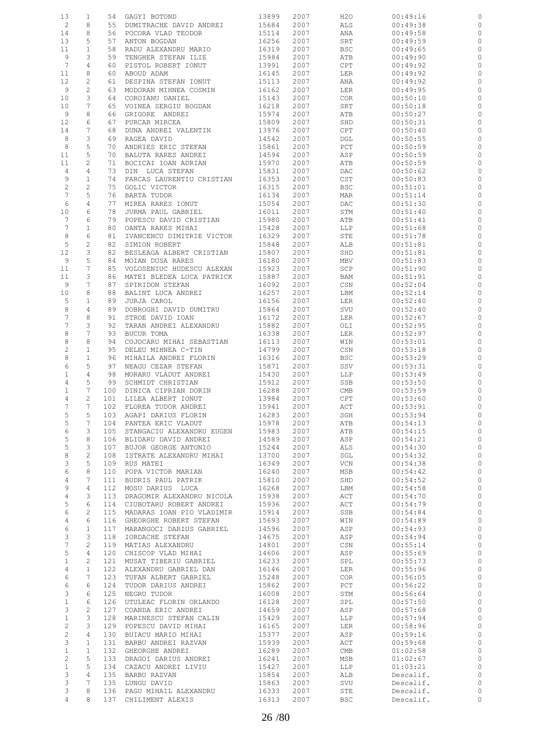| 13              | 1              | 54  | GAGYI BOTOND              | 13899 | 2007 | H2O                         | 00:49:16  |              |
|-----------------|----------------|-----|---------------------------|-------|------|-----------------------------|-----------|--------------|
| $\overline{c}$  | 8              | 55  | DUMITRACHE DAVID ANDREI   | 15684 | 2007 | ALS                         | 00:49:38  | 0            |
|                 | 8              | 56  |                           |       |      |                             |           |              |
| 14              |                |     | POCORA VLAD TEODOR        | 15114 | 2007 | ANA                         | 00:49:58  | 0            |
| 13              | 5              | 57  | ANTON BOGDAN              | 16256 | 2007 | SRT                         | 00:49:59  | 0            |
| 11              | 1              | 58  | RADU ALEXANDRU MARIO      | 16319 | 2007 | <b>BSC</b>                  | 00:49:65  | 0            |
| 9               | 3              | 59  | TENGHER STEFAN ILIE       | 15984 | 2007 | ATB                         | 00:49:90  | 0            |
| $7\phantom{.0}$ | 4              | 60  | PISTOL ROBERT IONUT       | 13991 | 2007 | CPT                         | 00:49:92  | 0            |
| 11              | 8              | 60  | ABOUD ADAM                | 16145 | 2007 | LER                         | 00:49:92  | 0            |
|                 | 2              | 61  | DESPINA STEFAN IONUT      | 15113 | 2007 | ANA                         | 00:49:92  | 0            |
| 12              |                |     |                           |       |      |                             |           |              |
| 9               | $\mathbf{2}$   | 63  | MODORAN MIHNEA COSMIN     | 16162 | 2007 | LER                         | 00:49:95  | 0            |
| 10              | 3              | 64  | COROIANU DANIEL           | 15143 | 2007 | <b>COR</b>                  | 00:50:10  | 0            |
| 10              | 7              | 65  | VOINEA SERGIU BOGDAN      | 16218 | 2007 | SRT                         | 00:50:18  | 0            |
| 9               | 8              | 66  | GRIGORE ANDREI            | 15974 | 2007 | ATB                         | 00:50:27  | 0            |
| 12              | 6              | 67  | PURCAR MIRCEA             | 15809 | 2007 | SHD                         | 00:50:31  | 0            |
| 14              | 7              | 68  | DUNA ANDREI VALENTIN      | 13976 | 2007 | CPT                         | 00:50:40  | 0            |
| 8               | 3              | 69  | RAGEA DAVID               | 14542 | 2007 | DGL                         | 00:50:55  | 0            |
| 8               | 5              | 70  | ANDRIES ERIC STEFAN       | 15861 | 2007 | PCT                         | 00:50:59  | 0            |
|                 |                |     |                           |       |      |                             |           |              |
| 11              | 5              | 70  | BALUTA RARES ANDREI       | 14594 | 2007 | ASP                         | 00:50:59  | 0            |
| 11              | $\overline{c}$ | 71  | BOCICAI IOAN ADRIAN       | 15970 | 2007 | ATB                         | 00:50:59  | 0            |
| $\overline{4}$  | 4              | 73  | DIN LUCA STEFAN           | 15831 | 2007 | DAC                         | 00:50:62  | 0            |
| 9               | $\mathbf 1$    | 74  | FARCAS LAURENTIU CRISTIAN | 16353 | 2007 | $\mathop{\tt CST}\nolimits$ | 00:50:83  | 0            |
| $\sqrt{2}$      | $\overline{c}$ | 75  | GOLIC VICTOR              | 16315 | 2007 | <b>BSC</b>                  | 00:51:01  | 0            |
| $\overline{7}$  | 5              | 76  | BARTA TUDOR               | 16134 | 2007 | MAR                         | 00:51:14  | 0            |
| 6               | $\sqrt{4}$     | 77  | MIREA RARES IONUT         | 15054 | 2007 | DAC                         | 00:51:30  | 0            |
| 10              | 6              | 78  | JURMA PAUL GABRIEL        | 16011 | 2007 | STM                         | 00:51:40  | 0            |
| $7\phantom{.0}$ | 6              | 79  | POPESCU DAVID CRISTIAN    | 15980 | 2007 | ATB                         | 00:51:41  | 0            |
|                 |                |     |                           |       |      |                             |           |              |
| $7\phantom{.0}$ | 1              | 80  | OANTA RARES MIHAI         | 15428 | 2007 | LLP                         | 00:51:68  | 0            |
| 8               | 6              | 81  | IVANCENCU DIMITRIE VICTOR | 16329 | 2007 | STE                         | 00:51:78  | 0            |
| 5               | 2              | 82  | SIMION ROBERT             | 15848 | 2007 | ALB                         | 00:51:81  | 0            |
| 12              | 3              | 82  | BESLEAGA ALBERT CRISTIAN  | 15807 | 2007 | SHD                         | 00:51:81  | 0            |
| 9               | 5              | 84  | MOIAN DUSA RARES          | 16180 | 2007 | MBV                         | 00:51:83  | 0            |
| 11              | 7              | 85  | VOLOSENIUC HUDESCU ALEXAN | 15923 | 2007 | SCP                         | 00:51:90  | 0            |
| 11              | 3              | 86  | MATEI BLEDEA LUCA PATRICK | 15887 | 2007 | BAM                         | 00:51:91  | 0            |
|                 |                |     |                           |       |      |                             |           |              |
| 9               | 7              | 87  | SPIRIDON STEFAN           | 16092 | 2007 | CSN                         | 00:52:04  | 0            |
| 10              | 8              | 88  | BALINT LUCA ANDREI        | 16257 | 2007 | LBM                         | 00:52:14  | 0            |
| 5               | 1              | 89  | JURJA CAROL               | 16156 | 2007 | LER                         | 00:52:40  | 0            |
| 8               | 4              | 89  | DOBROGHI DAVID DUMITRU    | 15864 | 2007 | SVU                         | 00:52:40  | 0            |
| $\overline{7}$  | 8              | 91  | STROE DAVID IOAN          | 16172 | 2007 | LER                         | 00:52:67  | 0            |
| $\overline{7}$  | 3              | 92  | TARAN ANDREI ALEXANDRU    | 15882 | 2007 | OLI                         | 00:52:95  | 0            |
| 8               | 7              | 93  | BUCUR TOMA                | 16338 | 2007 | LER                         | 00:52:97  | 0            |
| 8               | 8              | 94  | COJOCARU MIHAI SEBASTIAN  | 16113 | 2007 | WIN                         | 00:53:01  | 0            |
|                 |                |     |                           |       |      |                             |           |              |
| $\sqrt{2}$      | $\mathbf{1}$   | 95  | DELEU MIHNEA C-TIN        | 14799 | 2007 | CSN                         | 00:53:18  | 0            |
| 8               | $\mathbf 1$    | 96  | MIHAILA ANDREI FLORIN     | 16316 | 2007 | BSC                         | 00:53:29  | 0            |
| 6               | 5              | 97  | NEAGU CEZAR STEFAN        | 15871 | 2007 | SSV                         | 00:53:31  | 0            |
| $\mathbf{1}$    | 4              | 98  | MORARU VLADUT ANDREI      | 15430 | 2007 | LLP                         | 00:53:49  | 0            |
| 4               | 5              | 99  | SCHMIDT CHRISTIAN         | 15912 | 2007 | SSB                         | 00:53:50  | 0            |
| $1\,$           | 7              | 100 | DINICA CIPRIAN DORIN      | 16288 | 2007 | $\mathop{\rm CMB}\nolimits$ | 00:53:59  | 0            |
| 4               | 2              | 101 | LILEA ALBERT IONUT        | 13984 | 2007 | CPT                         | 00:53:60  | 0            |
|                 | 7              |     |                           |       |      |                             |           |              |
| 7               |                | 102 | FLOREA TUDOR ANDREI       | 15941 | 2007 | ACT                         | 00:53:91  | $\circ$      |
| 5               | 5              | 103 | AGAPI DARIUS FLORIN       | 16283 | 2007 | SGH                         | 00:53:94  |              |
| 5               | 7              | 104 | PANTEA ERIC VLADUT        | 15978 | 2007 | ATB                         | 00:54:13  | 0            |
| 6               | 3              | 105 | STANGACIU ALEXANDRU EUGEN | 15983 | 2007 | ATB                         | 00:54:15  | $\circ$      |
| 5               | 8              | 106 | BLIDARU DAVID ANDREI      | 14589 | 2007 | ASP                         | 00:54:21  | $\circ$      |
| 5               | 3              | 107 | BUJOR GEORGE ANTONIO      | 15244 | 2007 | ALS                         | 00:54:30  | $\circ$      |
| $\,8\,$         | $\mathbf{2}$   | 108 | ISTRATE ALEXANDRU MIHAI   | 13700 | 2007 | SGL                         | 00:54:32  | $\circ$      |
| 3               | 5              | 109 | RUS MATEI                 | 16349 | 2007 | VCN                         | 00:54:38  | $\circ$      |
| 6               | 8              | 110 | POPA VICTOR MARIAN        | 16240 | 2007 | MSB                         | 00:54:42  | $\circ$      |
|                 |                |     |                           |       |      |                             |           |              |
| $\overline{4}$  | 7              | 111 | BUDRIS PAUL PATRIK        | 15810 | 2007 | SHD                         | 00:54:52  | $\circ$      |
| 9               | 4              | 112 | MOSU DARIUS LUCA          | 16268 | 2007 | LBM                         | 00:54:58  | $\circ$      |
| $\overline{4}$  | 3              | 113 | DRAGOMIR ALEXANDRU NICOLA | 15938 | 2007 | ACT                         | 00:54:70  | $\circ$      |
| 5               | 6              | 114 | CIUBOTARU ROBERT ANDREI   | 15936 | 2007 | ACT                         | 00:54:79  | $\circ$      |
| 6               | $\mathbf{2}$   | 115 | MADARAS IOAN PIO VLADIMIR | 15914 | 2007 | SSB                         | 00:54:84  | $\circ$      |
| $\overline{4}$  | 6              | 116 | GHEORGHE ROBERT STEFAN    | 15693 | 2007 | WIN                         | 00:54:89  | $\mathbb{O}$ |
| 6               | $\mathbf{1}$   | 117 | MARANGOCI DARIUS GABRIEL  | 14596 | 2007 | ASP                         | 00:54:93  | $\circ$      |
| $\mathsf 3$     | 3              | 118 | IORDACHE STEFAN           | 14675 | 2007 | ASP                         | 00:54:94  | $\circ$      |
| $\overline{7}$  | $\mathbf{2}$   | 119 | MATIAS ALEXANDRU          | 14801 | 2007 | CSN                         | 00:55:14  | $\mathbb{O}$ |
| $\mathsf S$     | 4              | 120 | CHISCOP VLAD MIHAI        | 14606 | 2007 | ASP                         | 00:55:69  | $\circ$      |
|                 |                |     |                           |       |      |                             |           |              |
| $\mathbf{1}$    | $\mathbf{2}$   | 121 | MUSAT TIBERIU GABRIEL     | 16233 | 2007 | SPL                         | 00:55:73  | $\circ$      |
| 4               | $\mathbf 1$    | 122 | ALEXANDRU GABRIEL DAN     | 16146 | 2007 | LER                         | 00:55:96  | $\circ$      |
| 6               | 7              | 123 | TUFAN ALBERT GABRIEL      | 15248 | 2007 | <b>COR</b>                  | 00:56:05  | $\circ$      |
| 6               | 6              | 124 | TUDOR DARIUS ANDREI       | 15862 | 2007 | PCT                         | 00:56:22  | $\circ$      |
| 3               | 6              | 125 | NEGRU TUDOR               | 16008 | 2007 | STM                         | 00:56:64  | $\circ$      |
| $\mathbf{1}$    | 6              | 126 | UTULEAC FLORIN ORLANDO    | 16128 | 2007 | SPL                         | 00:57:50  | $\mathbb{O}$ |
| 3               | $\mathbf{2}$   | 127 | COANDA ERIC ANDREI        | 14659 | 2007 | ASP                         | 00:57:68  | $\circ$      |
| $\mathbf{1}$    | 3              | 128 | MARINESCU STEFAN CALIN    | 15429 | 2007 | LLP                         | 00:57:94  | $\circ$      |
|                 |                |     |                           |       |      |                             |           |              |
| 2               | 3              | 129 | POPESCU DAVID MIHAI       | 16165 | 2007 | LER                         | 00:58:96  | $\circ$      |
| 2               | 4              | 130 | BUIACU MARIO MIHAI        | 15377 | 2007 | ASP                         | 00:59:16  | $\circ$      |
| 3               | $\mathbf{1}$   | 131 | BARBU ANDREI RAZVAN       | 15939 | 2007 | ACT                         | 00:59:68  | $\circ$      |
| $\mathbf{1}$    | $\mathbf{1}$   | 132 | GHEORGHE ANDREI           | 16289 | 2007 | CMB                         | 01:02:58  | $\circ$      |
| 2               | 5              | 133 | DRAGOI DARIUS ANDREI      | 16241 | 2007 | MSB                         | 01:02:67  | $\circ$      |
| $\mathbf{1}$    | 5              | 134 | CAZACU ANDREI LIVIU       | 15427 | 2007 | LLP                         | 01:03:21  | $\circ$      |
| 3               | 4              | 135 | BARBU RAZVAN              | 15854 | 2007 | ALB                         | Descalif. | $\circ$      |
| 3               | 7              | 135 | LUNGU DAVID               | 15863 | 2007 | SVU                         | Descalif. | $\circ$      |
| 3               | 8              | 136 | PAGU MIHAIL ALEXANDRU     | 16333 | 2007 | STE                         | Descalif. | 0            |
|                 |                |     |                           |       |      |                             |           |              |
| 4               | 8              | 137 | CHILIMENT ALEXIS          | 16313 | 2007 | BSC                         | Descalif. | $\circ$      |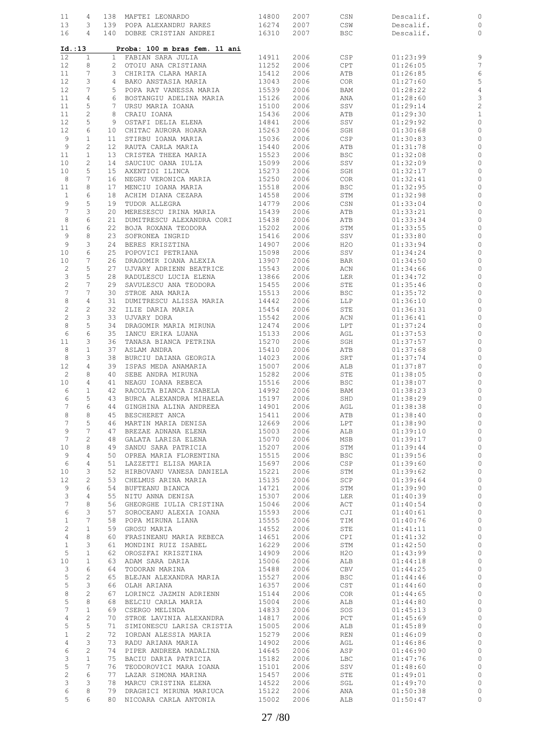| 11              | 4              |              | 138 MAFTEI LEONARDO           | 14800 | 2007 | CSN                         | Descalif.            | 0              |
|-----------------|----------------|--------------|-------------------------------|-------|------|-----------------------------|----------------------|----------------|
| 13              | 3              |              | 139 POPA ALEXANDRU RARES      | 16274 | 2007 | CSW                         | Descalif.            | 0              |
| 16              | $\overline{4}$ |              | 140 DOBRE CRISTIAN ANDREI     | 16310 | 2007 | <b>BSC</b>                  | Descalif.            | $\circ$        |
|                 |                |              |                               |       |      |                             |                      |                |
| Id. : 13        |                |              | Proba: 100 m bras fem. 11 ani |       |      |                             |                      |                |
| 12              | $\mathbf{1}$   | $\mathbf{1}$ | FABIAN SARA JULIA             | 14911 | 2006 | CSP                         | 01:23:99             | 9              |
| 12              | 8              | $\mathbf{2}$ | OTOIU ANA CRISTIANA           | 11252 | 2006 | CPT                         | 01:26:05             | $\overline{7}$ |
| 11              | 7              | 3            | CHIRITA CLARA MARIA           | 15412 | 2006 | ATB                         | 01:26:85             | 6              |
| 12              | 3              | 4            | BAKO ANSTASIA MARIA           | 13043 | 2006 | <b>COR</b>                  | 01:27:60             | 5              |
| 12              | 7              | 5            | POPA RAT VANESSA MARIA        | 15539 | 2006 | BAM                         | 01:28:22             | $\overline{4}$ |
| 11              | 4              | 6            | BOSTANGIU ADELINA MARIA       | 15126 | 2006 | ANA                         | 01:28:60             | 3              |
| 11              | 5              | 7            | URSU MARIA IOANA              | 15100 | 2006 | SSV                         | 01:29:14             | $\overline{c}$ |
| 11              | $\mathbf{2}$   | 8            | CRAIU IOANA                   | 15436 | 2006 | ATB                         | 01:29:30             | $\mathbf{1}$   |
| 12              | 5              | 9            | OSTAFI DELIA ELENA            | 14841 | 2006 |                             |                      | $\circ$        |
|                 |                |              |                               | 15263 |      | SSV                         | 01:29:92<br>01:30:68 |                |
| 12              | 6              | 10           | CHITAC AURORA HOARA           |       | 2006 | SGH                         |                      | 0              |
| 9               | 1              | 11           | STIRBU IOANA MARIA            | 15036 | 2006 | CSP                         | 01:30:83             | $\circ$        |
| 9               | 2              | 12           | RAUTA CARLA MARIA             | 15440 | 2006 | ATB                         | 01:31:78             | 0              |
| 11              | $\mathbf{1}$   | 13           | CRISTEA THEEA MARIA           | 15523 | 2006 | <b>BSC</b>                  | 01:32:08             | 0              |
| 10              | 2              | 14           | SAUCIUC OANA IULIA            | 15099 | 2006 | SSV                         | 01:32:09             | 0              |
| 10              | 5              | 15           | AXENTIOI ILINCA               | 15273 | 2006 | SGH                         | 01:32:17             | 0              |
| 8               | 7              | 16           | NEGRU VERONICA MARIA          | 15250 | 2006 | <b>COR</b>                  | 01:32:41             | 0              |
| 11              | 8              | 17           | MENCIU IOANA MARIA            | 15518 | 2006 | <b>BSC</b>                  | 01:32:95             | 0              |
| $\mathbf{1}$    | 6              | 18           | ACHIM DIANA CEZARA            | 14558 | 2006 | STM                         | 01:32:98             | 0              |
| 9               | 5              | 19           | TUDOR ALLEGRA                 | 14779 | 2006 | CSN                         | 01:33:04             | 0              |
| $7\phantom{.0}$ | 3              | 20           | MERESESCU IRINA MARIA         | 15439 | 2006 | ATB                         | 01:33:21             | 0              |
| 8               | 6              | 21           | DUMITRESCU ALEXANDRA CORI     | 15438 | 2006 | ATB                         | 01:33:34             | 0              |
| 11              | 6              | 22           | BOJA ROXANA TEODORA           | 15202 | 2006 | STM                         | 01:33:55             | 0              |
| 9               | 8              | 23           | SOFRONEA INGRID               | 15416 | 2006 | SSV                         | 01:33:80             | 0              |
| 9               | 3              | 24           | BERES KRISZTINA               | 14907 | 2006 | H2O                         | 01:33:94             | 0              |
| 10              | 6              | 25           | POPOVICI PETRIANA             | 15098 | 2006 | SSV                         | 01:34:24             | 0              |
| 10              | 7              | 26           | DRAGOMIR IOANA ALEXIA         | 13907 | 2006 | <b>BAR</b>                  | 01:34:50             | 0              |
| $\overline{c}$  | 5              | 27           | UJVARY ADRIENN BEATRICE       | 15543 | 2006 | ACN                         | 01:34:66             | 0              |
| 3               | 5              | 28           | RADULESCU LUCIA ELENA         | 13866 | 2006 | LER                         | 01:34:72             | 0              |
| $\mathbf{2}$    | 7              | 29           | SAVULESCU ANA TEODORA         | 15455 | 2006 | STE                         | 01:35:46             | 0              |
| $\overline{7}$  | 7              | 30           | STROE ANA MARIA               | 15513 | 2006 | <b>BSC</b>                  | 01:35:72             | $\circ$        |
| $\,8\,$         | 4              | 31           | DUMITRESCU ALISSA MARIA       | 14442 | 2006 | LLP                         | 01:36:10             | 0              |
| $\sqrt{2}$      | $\mathbf{2}$   | 32           | ILIE DARIA MARIA              | 15454 | 2006 | STE                         | 01:36:31             | 0              |
| $\sqrt{2}$      | 3              | 33           | UJVARY DORA                   | 15542 | 2006 | ACN                         | 01:36:41             | 0              |
| $\,8\,$         | 5              | 34           | DRAGOMIR MARIA MIRUNA         | 12474 | 2006 | LPT                         | 01:37:24             | $\circ$        |
| 6               | 6              | 35           | IANCU ERIKA LUANA             | 15133 | 2006 | AGL                         | 01:37:53             | 0              |
| 11              | 3              | 36           | TANASA BIANCA PETRINA         | 15270 | 2006 | SGH                         | 01:37:57             | 0              |
| 8               | $\mathbf 1$    | 37           | ASLAM ANDRA                   | 15410 | 2006 | ATB                         | 01:37:68             | 0              |
| 8               | 3              | 38           | BURCIU DAIANA GEORGIA         | 14023 | 2006 | SRT                         | 01:37:74             | $\circ$        |
| 12              | 4              | 39           | ISPAS MEDA ANAMARIA           | 15007 | 2006 | ALB                         | 01:37:87             | 0              |
| $\overline{c}$  | 8              | 40           | SEBE ANDRA MIRUNA             | 15282 | 2006 | STE                         | 01:38:05             | $\circ$        |
| 10              | 4              | 41           | NEAGU IOANA REBECA            | 15516 | 2006 | <b>BSC</b>                  | 01:38:07             | 0              |
|                 | $\mathbf{1}$   |              |                               |       |      |                             |                      |                |
| 6               |                | 42           | RACOLTA BIANCA ISABELA        | 14992 | 2006 | BAM                         | 01:38:23             | $\circ$        |
| 6               | 5<br>6         | 43           | BURCA ALEXANDRA MIHAELA       | 15197 | 2006 | SHD                         | 01:38:29             | 0              |
| 7               |                | 44           | GINGHINA ALINA ANDREEA        | 14901 | 2006 | AGL                         | 01:38:38             | $\circ$        |
| 8               | 8              | 45           | BESCHERET ANCA                | 15411 | 2006 | ATB                         | 01:38:40             | $\circ$        |
| $\overline{7}$  | 5              | 46           | MARTIN MARIA DENISA           | 12669 | 2006 | LPT                         | 01:38:90             | $\circ$        |
| 9               | 7              | 47           | BREZAE ADNANA ELENA           | 15003 | 2006 | ALB                         | 01:39:10             | $\circ$        |
| 7               | $\overline{c}$ | 48           | GALATA LARISA ELENA           | 15070 | 2006 | MSB                         | 01:39:17             | $\circ$        |
| 10              | 8              | 49           | SANDU SARA PATRICIA           | 15207 | 2006 | STM                         | 01:39:44             | $\mathbb{O}$   |
| 9               | 4              | 50           | OPREA MARIA FLORENTINA        | 15515 | 2006 | <b>BSC</b>                  | 01:39:56             | $\circ$        |
| 6               | 4              | 51           | LAZZETTI ELISA MARIA          | 15697 | 2006 | CSP                         | 01:39:60             | $\circ$        |
| 10              | 3              | 52           | HIRBOVANU VANESA DANIELA      | 15221 | 2006 | STM                         | 01:39:62             | $\circ$        |
| 12              | $\mathbf{2}$   | 53           | CHELMUS ARINA MARIA           | 15135 | 2006 | SCP                         | 01:39:64             | $\circ$        |
| 9               | 6              | 54           | BUFTEANU BIANCA               | 14721 | 2006 | STM                         | 01:39:90             | $\circ$        |
| 3               | 4              | 55           | NITU ANNA DENISA              | 15307 | 2006 | LER                         | 01:40:39             | $\circ$        |
| $\sqrt{ }$      | 8              | 56           | GHEORGHE IULIA CRISTINA       | 15046 | 2006 | ACT                         | 01:40:54             | $\circ$        |
| 6               | 3              | 57           | SOROCEANU ALEXIA IOANA        | 15593 | 2006 | CJI                         | 01:40:61             | $\circ$        |
| $\mathbf{1}$    | 7              | 58           | POPA MIRUNA LIANA             | 15555 | 2006 | TIM                         | 01:40:76             | $\circ$        |
| 2               | $\mathbf{1}$   | 59           | GROSU MARIA                   | 14552 | 2006 | STE                         | 01:41:11             | $\circ$        |
| $\overline{4}$  | 8              | 60           | FRASINEANU MARIA REBECA       | 14651 | 2006 | CPI                         | 01:41:32             | $\circ$        |
| $\mathbf{1}$    | 3              | 61           | MONDINI RUIZ ISABEL           | 16229 | 2006 | STM                         | 01:42:50             | $\circ$        |
| 5               | $\mathbf{1}$   | 62           | OROSZFAI KRISZTINA            | 14909 | 2006 | H20                         | 01:43:99             | $\circ$        |
| 10              | $\mathbf{1}$   | 63           | ADAM SARA DARIA               | 15006 | 2006 | ALB                         | 01:44:18             | $\circ$        |
| 3               | 6              | 64           | TODORAN MARINA                | 15488 | 2006 | CBV                         | 01:44:25             | $\circ$        |
| 5               | $\mathbf{2}$   | 65           | BLEJAN ALEXANDRA MARIA        | 15527 | 2006 | BSC                         | 01:44:46             | $\circ$        |
| 5               | 3              | 66           | OLAH ARIANA                   | 16357 | 2006 | $\mathop{\tt CST}\nolimits$ | 01:44:60             | $\circ$        |
| 8               | $\mathbf{2}$   | 67           | LORINCZ JAZMIN ADRIENN        | 15144 | 2006 | COR                         | 01:44:65             | $\circ$        |
| 5               | 8              | 68           | BELCIU CARLA MARIA            | 15004 | 2006 | ALB                         | 01:44:80             | $\circ$        |
| 7               | $\mathbf{1}$   | 69           | CSERGO MELINDA                | 14833 | 2006 | SOS                         | 01:45:13             | $\circ$        |
| 4               | $\mathbf{2}$   | 70           | STROE LAVINIA ALEXANDRA       | 14817 | 2006 | PCT                         | 01:45:69             | $\circ$        |
| 5               | 5              | 71           | SIMIONESCU LARISA CRISTIA     | 15005 | 2006 | ALB                         | 01:45:89             | $\circ$        |
| $\mathbf{1}$    | $\mathbf{2}$   | 72           | IORDAN ALESSIA MARIA          | 15279 | 2006 | REN                         | 01:46:09             | $\circ$        |
| $\overline{4}$  | 3              | 73           | RADU ARIANA MARIA             | 14902 | 2006 | AGL                         | 01:46:86             | $\circ$        |
| 6               | $\mathbf{2}$   | 74           | PIPER ANDREEA MADALINA        | 14645 | 2006 | ASP                         | 01:46:90             | $\circ$        |
| 3               | $\mathbf{1}$   | 75           | BACIU DARIA PATRICIA          | 15182 | 2006 | LBC                         | 01:47:76             | $\circ$        |
| 5               | 7              | 76           | TEODOROVICI MARA IOANA        | 15101 | 2006 | SSV                         | 01:48:60             | $\circ$        |
| $\overline{c}$  | 6              | 77           | LAZAR SIMONA MARINA           | 15457 | 2006 | STE                         | 01:49:01             | $\circ$        |
| 3               | 3              | 78           | MARCU CRISTINA ELENA          | 14522 | 2006 | SGL                         | 01:49:70             | 0              |
| 6               | 8              | 79           | DRAGHICI MIRUNA MARIUCA       | 15122 | 2006 | ANA                         | 01:50:38             | $\circ$        |
| 5               | 6              | 80           | NICOARA CARLA ANTONIA         | 15002 | 2006 | ALB                         | 01:50:47             | $\circ$        |
|                 |                |              |                               |       |      |                             |                      |                |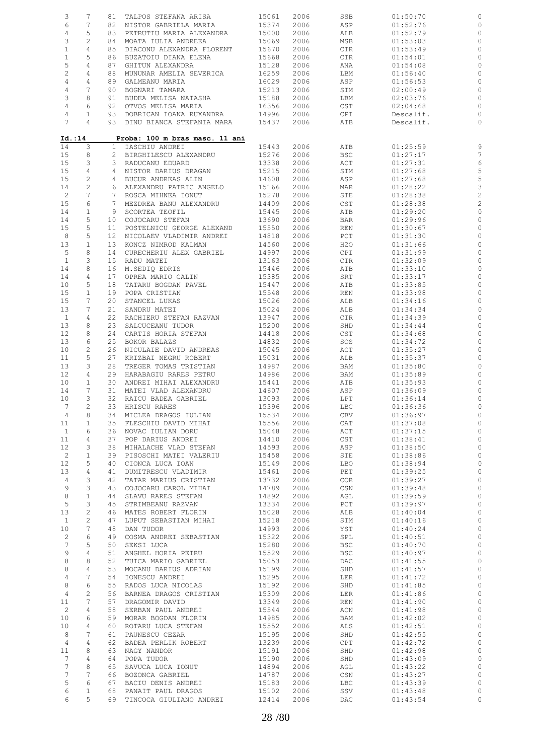| 3<br>7<br>TALPOS STEFANA ARISA<br>15061<br>2006<br>SSB<br>01:50:70<br>81<br>6<br>7<br>15374<br>2006<br>ASP<br>82<br>NISTOR GABRIELA MARIA<br>01:52:76<br>$\overline{4}$<br>5<br>15000<br>2006<br>83<br>PETRUTIU MARIA ALEXANDRA<br>ALB<br>01:52:79<br>3<br>$\mathbf{2}$<br>84<br>15069<br>2006<br>MSB<br>01:53:03<br>MOATA IULIA ANDREEA<br>$\mathbf{1}$<br>4<br>85<br>DIACONU ALEXANDRA FLORENT<br>15670<br>2006<br><b>CTR</b><br>01:53:49<br>$\mathbf{1}$<br>5<br>15668<br>2006<br>86<br>BUZATOIU DIANA ELENA<br><b>CTR</b><br>01:54:01<br>5<br>4<br>87<br>GHITUN ALEXANDRA<br>15128<br>2006<br>ANA<br>01:54:08<br>$\overline{c}$<br>4<br>88<br>MUNUNAR AMELIA SEVERICA<br>16259<br>2006<br>01:56:40<br>LBM<br>$\overline{4}$<br>4<br>89<br>GALMEANU MARIA<br>16029<br>2006<br>ASP<br>01:56:53<br>$\overline{7}$<br>$\overline{4}$<br>90<br>BOGNARI TAMARA<br>15213<br>2006<br>STM<br>02:00:49<br>3<br>8<br>BUDEA MELISA NATASHA<br>15188<br>2006<br>02:03:76<br>91<br>LBM<br>$\overline{4}$<br>6<br>16356<br>92<br>OTVOS MELISA MARIA<br>2006<br>CST<br>02:04:68<br>14996<br>4<br>1<br>93<br>DOBRICAN IOANA RUXANDRA<br>2006<br>CPI<br>Descalif.<br>7<br>4<br>93 DINU BIANCA STEFANIA MARA<br>15437<br>2006<br>ATB<br>Descalif.<br>Proba: 100 m bras masc. 11 ani<br>Id.:14<br>3<br>14<br>IASCHIU ANDREI<br>15443<br>2006<br>ATB<br>01:25:59<br>$\mathbf{1}$<br>15<br>8<br>15276<br>2006<br><b>BSC</b><br>01:27:17<br>2<br>BIRGHILESCU ALEXANDRU<br>15<br>3<br>13338<br>2006<br>ACT<br>01:27:31<br>3<br>RADUCANU EDUARD<br>15<br>4<br>15215<br>2006<br>4 NISTOR DARIUS DRAGAN<br>STM<br>01:27:68<br>$\overline{c}$<br>15<br>14608<br>2006<br>BUCUR ANDREAS ALIN<br>ASP<br>01:27:68<br>4<br>$\sqrt{2}$<br>15166<br>2006<br>14<br>ALEXANDRU PATRIC ANGELO<br>MAR<br>01:28:22<br>6<br>7<br>$\overline{c}$<br>15278<br>2006<br>STE<br>7<br>ROSCA MIHNEA IONUT<br>01:28:38<br>6<br>15<br>$7^{\circ}$<br>MEZDREA BANU ALEXANDRU<br>14409<br>2006<br>CST<br>01:28:38<br>$\mathbf{1}$<br>15445<br>2006<br>01:29:20<br>14<br>9<br>SCORTEA TEOFIL<br>ATB<br>5<br>13690<br>2006<br>14<br>COJOCARU STEFAN<br><b>BAR</b><br>01:29:96<br>10<br>15<br>5<br>15550<br>2006<br>POSTELNICU GEORGE ALEXAND<br>REN<br>01:30:67<br>11<br>8<br>5<br>14818<br>2006<br>12<br>NICOLAEV VLADIMIR ANDREI<br>PCT<br>01:31:30<br>13<br>$\mathbf 1$<br>14560<br>2006<br>13<br>KONCZ NIMROD KALMAN<br>H2O<br>01:31:66<br>8<br>5<br>14997<br>2006<br>14<br>CURECHERIU ALEX GABRIEL<br>CPI<br>01:31:99<br>3<br>$\mathbf{1}$<br>15<br>RADU MATEI<br>13163<br>2006<br>CTR<br>01:32:09<br>8<br>15446<br>14<br>16<br>M.SEDIO EDRIS<br>2006<br>ATB<br>01:33:10<br>15385<br>14<br>4<br>17<br>OPREA MARIO CALIN<br>2006<br>SRT<br>01:33:17<br>5<br>15447<br>10<br>18<br>TATARU BOGDAN PAVEL<br>2006<br>ATB<br>01:33:85<br>15<br>$\mathbf{1}$<br>15548<br>2006<br>19<br>POPA CRISTIAN<br>REN<br>01:33:98<br>15026<br>2006<br>15<br>7<br>20<br>STANCEL LUKAS<br>ALB<br>01:34:16<br>13<br>7<br>15024<br>21<br>SANDRU MATEI<br>2006<br>ALB<br>01:34:34<br>$\mathbf{1}$<br>13947<br>2006<br>4<br>22<br>RACHIERU STEFAN RAZVAN<br>CTR<br>01:34:39<br>13<br>8<br>15200<br>23<br>SALCUCEANU TUDOR<br>2006<br>SHD<br>01:34:44<br>12<br>8<br>24<br>CARTIS HORIA STEFAN<br>14418<br>2006<br>$\mathop{\tt CST}\nolimits$<br>01:34:68<br>13<br>6<br>25<br>14832<br>2006<br>BOKOR BALAZS<br>SOS<br>01:34:72<br>10<br>2<br>15045<br>2006<br>26<br>NICULAIE DAVID ANDREAS<br>ACT<br>01:35:27<br>11<br>5<br>27<br>15031<br>2006<br>KRIZBAI NEGRU ROBERT<br>ALB<br>01:35:37<br>13<br>3<br>14987<br>2006<br>28<br>TREGER TOMAS TRISTIAN<br>BAM<br>01:35:80<br>12<br>4<br>29<br>HARABAGIU RARES PETRU<br>14986<br>2006<br>01:35:89<br>BAM<br>10<br>$\mathbf{1}$<br>30<br>ANDREI MIHAI ALEXANDRU<br>15441<br>2006<br>ATB<br>01:35:93<br>14<br>7<br>2006<br>31<br>MATEI VLAD ALEXANDRU<br>14607<br>ASP<br>01:36:09<br>10<br>3<br>32<br>RAICU BADEA GABRIEL<br>13093<br>2006<br>LPT<br>01:36:14<br>2<br>$7\phantom{.0}$<br>15396<br>2006<br>33 HRISCU RARES<br>LBC<br>01:36:36<br>4<br>8<br>34 MICLEA DRAGOS IULIAN<br>15534<br>2006<br>CBV<br>01:36:97<br>15556<br>11<br>$\mathbf{1}$<br>35<br>FLESCHIU DAVID MIHAI<br>2006<br>CAT<br>01:37:08<br>$\mathbf{1}$<br>6<br>15048<br>2006<br>ACT<br>36<br>NOVAC IULIAN DORU<br>01:37:15<br>4<br>11<br>37<br>POP DARIUS ANDREI<br>14410<br>2006<br>CST<br>01:38:41<br>12<br>3<br>38<br>MIHALACHE VLAD STEFAN<br>14593<br>2006<br>ASP<br>01:38:50<br>$\overline{c}$<br>$\mathbf{1}$<br>39<br>PISOSCHI MATEI VALERIU<br>15458<br>2006<br>STE<br>01:38:86<br>12<br>5<br>CIONCA LUCA IOAN<br>15149<br>2006<br>LBO<br>01:38:94<br>40<br>4<br>13<br>DUMITRESCU VLADIMIR<br>15461<br>2006<br>PET<br>01:39:25<br>41<br>$\overline{4}$<br>3<br>13732<br>42<br>TATAR MARIUS CRISTIAN<br>2006<br><b>COR</b><br>01:39:27<br>9<br>3<br>14789<br>43<br>COJOCARU CAROL MIHAI<br>2006<br>CSN<br>01:39:48<br>8<br>$\mathbf{1}$<br>14892<br>44<br>SLAVU RARES STEFAN<br>2006<br>AGL<br>01:39:59<br>5<br>3<br>13334<br>45<br>STRIMBEANU RAZVAN<br>2006<br>PCT<br>01:39:97<br>13<br>$\mathbf{2}$<br>MATES ROBERT FLORIN<br>15028<br>2006<br>ALB<br>01:40:04<br>46<br>$\mathbf{2}$<br>$\mathbf{1}$<br>47<br>LUPUT SEBASTIAN MIHAI<br>15218<br>2006<br>STM<br>01:40:16<br>$7\phantom{.0}$<br>10<br>14993<br>2006<br>48<br>DAN TUDOR<br>YST<br>01:40:24<br>2<br>6<br>15322<br>2006<br>49<br>COSMA ANDREI SEBASTIAN<br>SPL<br>01:40:51<br>7<br>5<br>15280<br>2006<br><b>BSC</b><br>50<br>SEKSI LUCA<br>01:40:70<br>9<br>4<br>15529<br>2006<br>51<br>ANGHEL HORIA PETRU<br><b>BSC</b><br>01:40:97<br>8<br>8<br>15053<br>2006<br>52<br>TUICA MARIO GABRIEL<br>DAC<br>01:41:55<br>$\,8\,$<br>4<br>15199<br>2006<br>53<br>MOCANU DARIUS ADRIAN<br>SHD<br>01:41:57<br>$\overline{4}$<br>7<br>15295<br>2006<br>54<br>IONESCU ANDREI<br>LER<br>01:41:72<br>6<br>8<br>15192<br>55<br>RADOS LUCA NICOLAS<br>2006<br>SHD<br>01:41:85<br>$\overline{4}$<br>$\mathbf{2}$<br>15309<br>BARNEA DRAGOS CRISTIAN<br>2006<br>01:41:86<br>56<br>LER<br>7<br>13349<br>11<br>57<br>DRAGOMIR DAVID<br>2006<br>REN<br>01:41:90<br>2<br>4<br>15544<br>2006<br>58<br>SERBAN PAUL ANDREI<br>ACN<br>01:41:98<br>14985<br>10 <sub>o</sub><br>6<br>59<br>MORAR BOGDAN FLORIN<br>2006<br>BAM<br>01:42:02<br>10<br>4<br>ROTARU LUCA STEFAN<br>15552<br>2006<br>ALS<br>01:42:51<br>60<br>8<br>7<br>PAUNESCU CEZAR<br>15195<br>2006<br>SHD<br>01:42:55<br>61<br>$\overline{4}$<br>4<br>62<br>BADEA PERLIK ROBERT<br>13239<br>2006<br>CPT<br>01:42:72<br>8<br>15191<br>2006<br>11<br>63<br>NAGY NANDOR<br>SHD<br>01:42:98<br>4<br>15190<br>7<br>64<br>POPA TUDOR<br>2006<br>SHD<br>01:43:09<br>7<br>8<br>14894<br>65<br>SAVUCA LUCA IONUT<br>2006<br>AGL<br>01:43:22<br>7<br>7<br>14787<br>BOZONCA GABRIEL<br>2006<br>CSN<br>01:43:27<br>66<br>5<br>6<br>15183<br>67<br>BACIU DENIS ANDREI<br>2006<br>LBC<br>01:43:39<br>6<br>$\mathbf{1}$<br>68<br>PANAIT PAUL DRAGOS<br>15102<br>2006<br>SSV<br>01:43:48 |  |  |  |  |                         |
|--------------------------------------------------------------------------------------------------------------------------------------------------------------------------------------------------------------------------------------------------------------------------------------------------------------------------------------------------------------------------------------------------------------------------------------------------------------------------------------------------------------------------------------------------------------------------------------------------------------------------------------------------------------------------------------------------------------------------------------------------------------------------------------------------------------------------------------------------------------------------------------------------------------------------------------------------------------------------------------------------------------------------------------------------------------------------------------------------------------------------------------------------------------------------------------------------------------------------------------------------------------------------------------------------------------------------------------------------------------------------------------------------------------------------------------------------------------------------------------------------------------------------------------------------------------------------------------------------------------------------------------------------------------------------------------------------------------------------------------------------------------------------------------------------------------------------------------------------------------------------------------------------------------------------------------------------------------------------------------------------------------------------------------------------------------------------------------------------------------------------------------------------------------------------------------------------------------------------------------------------------------------------------------------------------------------------------------------------------------------------------------------------------------------------------------------------------------------------------------------------------------------------------------------------------------------------------------------------------------------------------------------------------------------------------------------------------------------------------------------------------------------------------------------------------------------------------------------------------------------------------------------------------------------------------------------------------------------------------------------------------------------------------------------------------------------------------------------------------------------------------------------------------------------------------------------------------------------------------------------------------------------------------------------------------------------------------------------------------------------------------------------------------------------------------------------------------------------------------------------------------------------------------------------------------------------------------------------------------------------------------------------------------------------------------------------------------------------------------------------------------------------------------------------------------------------------------------------------------------------------------------------------------------------------------------------------------------------------------------------------------------------------------------------------------------------------------------------------------------------------------------------------------------------------------------------------------------------------------------------------------------------------------------------------------------------------------------------------------------------------------------------------------------------------------------------------------------------------------------------------------------------------------------------------------------------------------------------------------------------------------------------------------------------------------------------------------------------------------------------------------------------------------------------------------------------------------------------------------------------------------------------------------------------------------------------------------------------------------------------------------------------------------------------------------------------------------------------------------------------------------------------------------------------------------------------------------------------------------------------------------------------------------------------------------------------------------------------------------------------------------------------------------------------------------------------------------------------------------------------------------------------------------------------------------------------------------------------------------------------------------------------------------------------------------------------------------------------------------------------------------------------------------------------------------------------------------------------------------------------------------------------------------------------------------------------------------------------------------------------------------------------------------------------------------------------------------------------------------------------------------------------------------------------------------------------------------------------------------------------------------------------------------------------------------------------------------------------------------------------------------------------------------------------------------------------------------------------------------------------------------------------------------------------------------------------------------------------------------------------------------------------------------------------------------------------------------------------------------------------------------------------------------------------------------------------------------------------------------------------------------------------------------------------------------|--|--|--|--|-------------------------|
|                                                                                                                                                                                                                                                                                                                                                                                                                                                                                                                                                                                                                                                                                                                                                                                                                                                                                                                                                                                                                                                                                                                                                                                                                                                                                                                                                                                                                                                                                                                                                                                                                                                                                                                                                                                                                                                                                                                                                                                                                                                                                                                                                                                                                                                                                                                                                                                                                                                                                                                                                                                                                                                                                                                                                                                                                                                                                                                                                                                                                                                                                                                                                                                                                                                                                                                                                                                                                                                                                                                                                                                                                                                                                                                                                                                                                                                                                                                                                                                                                                                                                                                                                                                                                                                                                                                                                                                                                                                                                                                                                                                                                                                                                                                                                                                                                                                                                                                                                                                                                                                                                                                                                                                                                                                                                                                                                                                                                                                                                                                                                                                                                                                                                                                                                                                                                                                                                                                                                                                                                                                                                                                                                                                                                                                                                                                                                                                                                                                                                                                                                                                                                                                                                                                                                                                                                                                                                                                                |  |  |  |  |                         |
|                                                                                                                                                                                                                                                                                                                                                                                                                                                                                                                                                                                                                                                                                                                                                                                                                                                                                                                                                                                                                                                                                                                                                                                                                                                                                                                                                                                                                                                                                                                                                                                                                                                                                                                                                                                                                                                                                                                                                                                                                                                                                                                                                                                                                                                                                                                                                                                                                                                                                                                                                                                                                                                                                                                                                                                                                                                                                                                                                                                                                                                                                                                                                                                                                                                                                                                                                                                                                                                                                                                                                                                                                                                                                                                                                                                                                                                                                                                                                                                                                                                                                                                                                                                                                                                                                                                                                                                                                                                                                                                                                                                                                                                                                                                                                                                                                                                                                                                                                                                                                                                                                                                                                                                                                                                                                                                                                                                                                                                                                                                                                                                                                                                                                                                                                                                                                                                                                                                                                                                                                                                                                                                                                                                                                                                                                                                                                                                                                                                                                                                                                                                                                                                                                                                                                                                                                                                                                                                                |  |  |  |  | 0                       |
|                                                                                                                                                                                                                                                                                                                                                                                                                                                                                                                                                                                                                                                                                                                                                                                                                                                                                                                                                                                                                                                                                                                                                                                                                                                                                                                                                                                                                                                                                                                                                                                                                                                                                                                                                                                                                                                                                                                                                                                                                                                                                                                                                                                                                                                                                                                                                                                                                                                                                                                                                                                                                                                                                                                                                                                                                                                                                                                                                                                                                                                                                                                                                                                                                                                                                                                                                                                                                                                                                                                                                                                                                                                                                                                                                                                                                                                                                                                                                                                                                                                                                                                                                                                                                                                                                                                                                                                                                                                                                                                                                                                                                                                                                                                                                                                                                                                                                                                                                                                                                                                                                                                                                                                                                                                                                                                                                                                                                                                                                                                                                                                                                                                                                                                                                                                                                                                                                                                                                                                                                                                                                                                                                                                                                                                                                                                                                                                                                                                                                                                                                                                                                                                                                                                                                                                                                                                                                                                                |  |  |  |  | 0                       |
|                                                                                                                                                                                                                                                                                                                                                                                                                                                                                                                                                                                                                                                                                                                                                                                                                                                                                                                                                                                                                                                                                                                                                                                                                                                                                                                                                                                                                                                                                                                                                                                                                                                                                                                                                                                                                                                                                                                                                                                                                                                                                                                                                                                                                                                                                                                                                                                                                                                                                                                                                                                                                                                                                                                                                                                                                                                                                                                                                                                                                                                                                                                                                                                                                                                                                                                                                                                                                                                                                                                                                                                                                                                                                                                                                                                                                                                                                                                                                                                                                                                                                                                                                                                                                                                                                                                                                                                                                                                                                                                                                                                                                                                                                                                                                                                                                                                                                                                                                                                                                                                                                                                                                                                                                                                                                                                                                                                                                                                                                                                                                                                                                                                                                                                                                                                                                                                                                                                                                                                                                                                                                                                                                                                                                                                                                                                                                                                                                                                                                                                                                                                                                                                                                                                                                                                                                                                                                                                                |  |  |  |  |                         |
|                                                                                                                                                                                                                                                                                                                                                                                                                                                                                                                                                                                                                                                                                                                                                                                                                                                                                                                                                                                                                                                                                                                                                                                                                                                                                                                                                                                                                                                                                                                                                                                                                                                                                                                                                                                                                                                                                                                                                                                                                                                                                                                                                                                                                                                                                                                                                                                                                                                                                                                                                                                                                                                                                                                                                                                                                                                                                                                                                                                                                                                                                                                                                                                                                                                                                                                                                                                                                                                                                                                                                                                                                                                                                                                                                                                                                                                                                                                                                                                                                                                                                                                                                                                                                                                                                                                                                                                                                                                                                                                                                                                                                                                                                                                                                                                                                                                                                                                                                                                                                                                                                                                                                                                                                                                                                                                                                                                                                                                                                                                                                                                                                                                                                                                                                                                                                                                                                                                                                                                                                                                                                                                                                                                                                                                                                                                                                                                                                                                                                                                                                                                                                                                                                                                                                                                                                                                                                                                                |  |  |  |  | 0                       |
|                                                                                                                                                                                                                                                                                                                                                                                                                                                                                                                                                                                                                                                                                                                                                                                                                                                                                                                                                                                                                                                                                                                                                                                                                                                                                                                                                                                                                                                                                                                                                                                                                                                                                                                                                                                                                                                                                                                                                                                                                                                                                                                                                                                                                                                                                                                                                                                                                                                                                                                                                                                                                                                                                                                                                                                                                                                                                                                                                                                                                                                                                                                                                                                                                                                                                                                                                                                                                                                                                                                                                                                                                                                                                                                                                                                                                                                                                                                                                                                                                                                                                                                                                                                                                                                                                                                                                                                                                                                                                                                                                                                                                                                                                                                                                                                                                                                                                                                                                                                                                                                                                                                                                                                                                                                                                                                                                                                                                                                                                                                                                                                                                                                                                                                                                                                                                                                                                                                                                                                                                                                                                                                                                                                                                                                                                                                                                                                                                                                                                                                                                                                                                                                                                                                                                                                                                                                                                                                                |  |  |  |  | 0                       |
|                                                                                                                                                                                                                                                                                                                                                                                                                                                                                                                                                                                                                                                                                                                                                                                                                                                                                                                                                                                                                                                                                                                                                                                                                                                                                                                                                                                                                                                                                                                                                                                                                                                                                                                                                                                                                                                                                                                                                                                                                                                                                                                                                                                                                                                                                                                                                                                                                                                                                                                                                                                                                                                                                                                                                                                                                                                                                                                                                                                                                                                                                                                                                                                                                                                                                                                                                                                                                                                                                                                                                                                                                                                                                                                                                                                                                                                                                                                                                                                                                                                                                                                                                                                                                                                                                                                                                                                                                                                                                                                                                                                                                                                                                                                                                                                                                                                                                                                                                                                                                                                                                                                                                                                                                                                                                                                                                                                                                                                                                                                                                                                                                                                                                                                                                                                                                                                                                                                                                                                                                                                                                                                                                                                                                                                                                                                                                                                                                                                                                                                                                                                                                                                                                                                                                                                                                                                                                                                                |  |  |  |  | $\circ$                 |
|                                                                                                                                                                                                                                                                                                                                                                                                                                                                                                                                                                                                                                                                                                                                                                                                                                                                                                                                                                                                                                                                                                                                                                                                                                                                                                                                                                                                                                                                                                                                                                                                                                                                                                                                                                                                                                                                                                                                                                                                                                                                                                                                                                                                                                                                                                                                                                                                                                                                                                                                                                                                                                                                                                                                                                                                                                                                                                                                                                                                                                                                                                                                                                                                                                                                                                                                                                                                                                                                                                                                                                                                                                                                                                                                                                                                                                                                                                                                                                                                                                                                                                                                                                                                                                                                                                                                                                                                                                                                                                                                                                                                                                                                                                                                                                                                                                                                                                                                                                                                                                                                                                                                                                                                                                                                                                                                                                                                                                                                                                                                                                                                                                                                                                                                                                                                                                                                                                                                                                                                                                                                                                                                                                                                                                                                                                                                                                                                                                                                                                                                                                                                                                                                                                                                                                                                                                                                                                                                |  |  |  |  | 0                       |
|                                                                                                                                                                                                                                                                                                                                                                                                                                                                                                                                                                                                                                                                                                                                                                                                                                                                                                                                                                                                                                                                                                                                                                                                                                                                                                                                                                                                                                                                                                                                                                                                                                                                                                                                                                                                                                                                                                                                                                                                                                                                                                                                                                                                                                                                                                                                                                                                                                                                                                                                                                                                                                                                                                                                                                                                                                                                                                                                                                                                                                                                                                                                                                                                                                                                                                                                                                                                                                                                                                                                                                                                                                                                                                                                                                                                                                                                                                                                                                                                                                                                                                                                                                                                                                                                                                                                                                                                                                                                                                                                                                                                                                                                                                                                                                                                                                                                                                                                                                                                                                                                                                                                                                                                                                                                                                                                                                                                                                                                                                                                                                                                                                                                                                                                                                                                                                                                                                                                                                                                                                                                                                                                                                                                                                                                                                                                                                                                                                                                                                                                                                                                                                                                                                                                                                                                                                                                                                                                |  |  |  |  | $\circ$                 |
|                                                                                                                                                                                                                                                                                                                                                                                                                                                                                                                                                                                                                                                                                                                                                                                                                                                                                                                                                                                                                                                                                                                                                                                                                                                                                                                                                                                                                                                                                                                                                                                                                                                                                                                                                                                                                                                                                                                                                                                                                                                                                                                                                                                                                                                                                                                                                                                                                                                                                                                                                                                                                                                                                                                                                                                                                                                                                                                                                                                                                                                                                                                                                                                                                                                                                                                                                                                                                                                                                                                                                                                                                                                                                                                                                                                                                                                                                                                                                                                                                                                                                                                                                                                                                                                                                                                                                                                                                                                                                                                                                                                                                                                                                                                                                                                                                                                                                                                                                                                                                                                                                                                                                                                                                                                                                                                                                                                                                                                                                                                                                                                                                                                                                                                                                                                                                                                                                                                                                                                                                                                                                                                                                                                                                                                                                                                                                                                                                                                                                                                                                                                                                                                                                                                                                                                                                                                                                                                                |  |  |  |  | 0                       |
|                                                                                                                                                                                                                                                                                                                                                                                                                                                                                                                                                                                                                                                                                                                                                                                                                                                                                                                                                                                                                                                                                                                                                                                                                                                                                                                                                                                                                                                                                                                                                                                                                                                                                                                                                                                                                                                                                                                                                                                                                                                                                                                                                                                                                                                                                                                                                                                                                                                                                                                                                                                                                                                                                                                                                                                                                                                                                                                                                                                                                                                                                                                                                                                                                                                                                                                                                                                                                                                                                                                                                                                                                                                                                                                                                                                                                                                                                                                                                                                                                                                                                                                                                                                                                                                                                                                                                                                                                                                                                                                                                                                                                                                                                                                                                                                                                                                                                                                                                                                                                                                                                                                                                                                                                                                                                                                                                                                                                                                                                                                                                                                                                                                                                                                                                                                                                                                                                                                                                                                                                                                                                                                                                                                                                                                                                                                                                                                                                                                                                                                                                                                                                                                                                                                                                                                                                                                                                                                                |  |  |  |  | $\circ$                 |
|                                                                                                                                                                                                                                                                                                                                                                                                                                                                                                                                                                                                                                                                                                                                                                                                                                                                                                                                                                                                                                                                                                                                                                                                                                                                                                                                                                                                                                                                                                                                                                                                                                                                                                                                                                                                                                                                                                                                                                                                                                                                                                                                                                                                                                                                                                                                                                                                                                                                                                                                                                                                                                                                                                                                                                                                                                                                                                                                                                                                                                                                                                                                                                                                                                                                                                                                                                                                                                                                                                                                                                                                                                                                                                                                                                                                                                                                                                                                                                                                                                                                                                                                                                                                                                                                                                                                                                                                                                                                                                                                                                                                                                                                                                                                                                                                                                                                                                                                                                                                                                                                                                                                                                                                                                                                                                                                                                                                                                                                                                                                                                                                                                                                                                                                                                                                                                                                                                                                                                                                                                                                                                                                                                                                                                                                                                                                                                                                                                                                                                                                                                                                                                                                                                                                                                                                                                                                                                                                |  |  |  |  | 0                       |
|                                                                                                                                                                                                                                                                                                                                                                                                                                                                                                                                                                                                                                                                                                                                                                                                                                                                                                                                                                                                                                                                                                                                                                                                                                                                                                                                                                                                                                                                                                                                                                                                                                                                                                                                                                                                                                                                                                                                                                                                                                                                                                                                                                                                                                                                                                                                                                                                                                                                                                                                                                                                                                                                                                                                                                                                                                                                                                                                                                                                                                                                                                                                                                                                                                                                                                                                                                                                                                                                                                                                                                                                                                                                                                                                                                                                                                                                                                                                                                                                                                                                                                                                                                                                                                                                                                                                                                                                                                                                                                                                                                                                                                                                                                                                                                                                                                                                                                                                                                                                                                                                                                                                                                                                                                                                                                                                                                                                                                                                                                                                                                                                                                                                                                                                                                                                                                                                                                                                                                                                                                                                                                                                                                                                                                                                                                                                                                                                                                                                                                                                                                                                                                                                                                                                                                                                                                                                                                                                |  |  |  |  | $\circ$                 |
|                                                                                                                                                                                                                                                                                                                                                                                                                                                                                                                                                                                                                                                                                                                                                                                                                                                                                                                                                                                                                                                                                                                                                                                                                                                                                                                                                                                                                                                                                                                                                                                                                                                                                                                                                                                                                                                                                                                                                                                                                                                                                                                                                                                                                                                                                                                                                                                                                                                                                                                                                                                                                                                                                                                                                                                                                                                                                                                                                                                                                                                                                                                                                                                                                                                                                                                                                                                                                                                                                                                                                                                                                                                                                                                                                                                                                                                                                                                                                                                                                                                                                                                                                                                                                                                                                                                                                                                                                                                                                                                                                                                                                                                                                                                                                                                                                                                                                                                                                                                                                                                                                                                                                                                                                                                                                                                                                                                                                                                                                                                                                                                                                                                                                                                                                                                                                                                                                                                                                                                                                                                                                                                                                                                                                                                                                                                                                                                                                                                                                                                                                                                                                                                                                                                                                                                                                                                                                                                                |  |  |  |  |                         |
|                                                                                                                                                                                                                                                                                                                                                                                                                                                                                                                                                                                                                                                                                                                                                                                                                                                                                                                                                                                                                                                                                                                                                                                                                                                                                                                                                                                                                                                                                                                                                                                                                                                                                                                                                                                                                                                                                                                                                                                                                                                                                                                                                                                                                                                                                                                                                                                                                                                                                                                                                                                                                                                                                                                                                                                                                                                                                                                                                                                                                                                                                                                                                                                                                                                                                                                                                                                                                                                                                                                                                                                                                                                                                                                                                                                                                                                                                                                                                                                                                                                                                                                                                                                                                                                                                                                                                                                                                                                                                                                                                                                                                                                                                                                                                                                                                                                                                                                                                                                                                                                                                                                                                                                                                                                                                                                                                                                                                                                                                                                                                                                                                                                                                                                                                                                                                                                                                                                                                                                                                                                                                                                                                                                                                                                                                                                                                                                                                                                                                                                                                                                                                                                                                                                                                                                                                                                                                                                                |  |  |  |  | 0                       |
|                                                                                                                                                                                                                                                                                                                                                                                                                                                                                                                                                                                                                                                                                                                                                                                                                                                                                                                                                                                                                                                                                                                                                                                                                                                                                                                                                                                                                                                                                                                                                                                                                                                                                                                                                                                                                                                                                                                                                                                                                                                                                                                                                                                                                                                                                                                                                                                                                                                                                                                                                                                                                                                                                                                                                                                                                                                                                                                                                                                                                                                                                                                                                                                                                                                                                                                                                                                                                                                                                                                                                                                                                                                                                                                                                                                                                                                                                                                                                                                                                                                                                                                                                                                                                                                                                                                                                                                                                                                                                                                                                                                                                                                                                                                                                                                                                                                                                                                                                                                                                                                                                                                                                                                                                                                                                                                                                                                                                                                                                                                                                                                                                                                                                                                                                                                                                                                                                                                                                                                                                                                                                                                                                                                                                                                                                                                                                                                                                                                                                                                                                                                                                                                                                                                                                                                                                                                                                                                                |  |  |  |  | $\circ$                 |
|                                                                                                                                                                                                                                                                                                                                                                                                                                                                                                                                                                                                                                                                                                                                                                                                                                                                                                                                                                                                                                                                                                                                                                                                                                                                                                                                                                                                                                                                                                                                                                                                                                                                                                                                                                                                                                                                                                                                                                                                                                                                                                                                                                                                                                                                                                                                                                                                                                                                                                                                                                                                                                                                                                                                                                                                                                                                                                                                                                                                                                                                                                                                                                                                                                                                                                                                                                                                                                                                                                                                                                                                                                                                                                                                                                                                                                                                                                                                                                                                                                                                                                                                                                                                                                                                                                                                                                                                                                                                                                                                                                                                                                                                                                                                                                                                                                                                                                                                                                                                                                                                                                                                                                                                                                                                                                                                                                                                                                                                                                                                                                                                                                                                                                                                                                                                                                                                                                                                                                                                                                                                                                                                                                                                                                                                                                                                                                                                                                                                                                                                                                                                                                                                                                                                                                                                                                                                                                                                |  |  |  |  |                         |
|                                                                                                                                                                                                                                                                                                                                                                                                                                                                                                                                                                                                                                                                                                                                                                                                                                                                                                                                                                                                                                                                                                                                                                                                                                                                                                                                                                                                                                                                                                                                                                                                                                                                                                                                                                                                                                                                                                                                                                                                                                                                                                                                                                                                                                                                                                                                                                                                                                                                                                                                                                                                                                                                                                                                                                                                                                                                                                                                                                                                                                                                                                                                                                                                                                                                                                                                                                                                                                                                                                                                                                                                                                                                                                                                                                                                                                                                                                                                                                                                                                                                                                                                                                                                                                                                                                                                                                                                                                                                                                                                                                                                                                                                                                                                                                                                                                                                                                                                                                                                                                                                                                                                                                                                                                                                                                                                                                                                                                                                                                                                                                                                                                                                                                                                                                                                                                                                                                                                                                                                                                                                                                                                                                                                                                                                                                                                                                                                                                                                                                                                                                                                                                                                                                                                                                                                                                                                                                                                |  |  |  |  |                         |
|                                                                                                                                                                                                                                                                                                                                                                                                                                                                                                                                                                                                                                                                                                                                                                                                                                                                                                                                                                                                                                                                                                                                                                                                                                                                                                                                                                                                                                                                                                                                                                                                                                                                                                                                                                                                                                                                                                                                                                                                                                                                                                                                                                                                                                                                                                                                                                                                                                                                                                                                                                                                                                                                                                                                                                                                                                                                                                                                                                                                                                                                                                                                                                                                                                                                                                                                                                                                                                                                                                                                                                                                                                                                                                                                                                                                                                                                                                                                                                                                                                                                                                                                                                                                                                                                                                                                                                                                                                                                                                                                                                                                                                                                                                                                                                                                                                                                                                                                                                                                                                                                                                                                                                                                                                                                                                                                                                                                                                                                                                                                                                                                                                                                                                                                                                                                                                                                                                                                                                                                                                                                                                                                                                                                                                                                                                                                                                                                                                                                                                                                                                                                                                                                                                                                                                                                                                                                                                                                |  |  |  |  | 9                       |
|                                                                                                                                                                                                                                                                                                                                                                                                                                                                                                                                                                                                                                                                                                                                                                                                                                                                                                                                                                                                                                                                                                                                                                                                                                                                                                                                                                                                                                                                                                                                                                                                                                                                                                                                                                                                                                                                                                                                                                                                                                                                                                                                                                                                                                                                                                                                                                                                                                                                                                                                                                                                                                                                                                                                                                                                                                                                                                                                                                                                                                                                                                                                                                                                                                                                                                                                                                                                                                                                                                                                                                                                                                                                                                                                                                                                                                                                                                                                                                                                                                                                                                                                                                                                                                                                                                                                                                                                                                                                                                                                                                                                                                                                                                                                                                                                                                                                                                                                                                                                                                                                                                                                                                                                                                                                                                                                                                                                                                                                                                                                                                                                                                                                                                                                                                                                                                                                                                                                                                                                                                                                                                                                                                                                                                                                                                                                                                                                                                                                                                                                                                                                                                                                                                                                                                                                                                                                                                                                |  |  |  |  | $\overline{7}$          |
|                                                                                                                                                                                                                                                                                                                                                                                                                                                                                                                                                                                                                                                                                                                                                                                                                                                                                                                                                                                                                                                                                                                                                                                                                                                                                                                                                                                                                                                                                                                                                                                                                                                                                                                                                                                                                                                                                                                                                                                                                                                                                                                                                                                                                                                                                                                                                                                                                                                                                                                                                                                                                                                                                                                                                                                                                                                                                                                                                                                                                                                                                                                                                                                                                                                                                                                                                                                                                                                                                                                                                                                                                                                                                                                                                                                                                                                                                                                                                                                                                                                                                                                                                                                                                                                                                                                                                                                                                                                                                                                                                                                                                                                                                                                                                                                                                                                                                                                                                                                                                                                                                                                                                                                                                                                                                                                                                                                                                                                                                                                                                                                                                                                                                                                                                                                                                                                                                                                                                                                                                                                                                                                                                                                                                                                                                                                                                                                                                                                                                                                                                                                                                                                                                                                                                                                                                                                                                                                                |  |  |  |  | 6                       |
|                                                                                                                                                                                                                                                                                                                                                                                                                                                                                                                                                                                                                                                                                                                                                                                                                                                                                                                                                                                                                                                                                                                                                                                                                                                                                                                                                                                                                                                                                                                                                                                                                                                                                                                                                                                                                                                                                                                                                                                                                                                                                                                                                                                                                                                                                                                                                                                                                                                                                                                                                                                                                                                                                                                                                                                                                                                                                                                                                                                                                                                                                                                                                                                                                                                                                                                                                                                                                                                                                                                                                                                                                                                                                                                                                                                                                                                                                                                                                                                                                                                                                                                                                                                                                                                                                                                                                                                                                                                                                                                                                                                                                                                                                                                                                                                                                                                                                                                                                                                                                                                                                                                                                                                                                                                                                                                                                                                                                                                                                                                                                                                                                                                                                                                                                                                                                                                                                                                                                                                                                                                                                                                                                                                                                                                                                                                                                                                                                                                                                                                                                                                                                                                                                                                                                                                                                                                                                                                                |  |  |  |  | 5                       |
|                                                                                                                                                                                                                                                                                                                                                                                                                                                                                                                                                                                                                                                                                                                                                                                                                                                                                                                                                                                                                                                                                                                                                                                                                                                                                                                                                                                                                                                                                                                                                                                                                                                                                                                                                                                                                                                                                                                                                                                                                                                                                                                                                                                                                                                                                                                                                                                                                                                                                                                                                                                                                                                                                                                                                                                                                                                                                                                                                                                                                                                                                                                                                                                                                                                                                                                                                                                                                                                                                                                                                                                                                                                                                                                                                                                                                                                                                                                                                                                                                                                                                                                                                                                                                                                                                                                                                                                                                                                                                                                                                                                                                                                                                                                                                                                                                                                                                                                                                                                                                                                                                                                                                                                                                                                                                                                                                                                                                                                                                                                                                                                                                                                                                                                                                                                                                                                                                                                                                                                                                                                                                                                                                                                                                                                                                                                                                                                                                                                                                                                                                                                                                                                                                                                                                                                                                                                                                                                                |  |  |  |  | 5                       |
|                                                                                                                                                                                                                                                                                                                                                                                                                                                                                                                                                                                                                                                                                                                                                                                                                                                                                                                                                                                                                                                                                                                                                                                                                                                                                                                                                                                                                                                                                                                                                                                                                                                                                                                                                                                                                                                                                                                                                                                                                                                                                                                                                                                                                                                                                                                                                                                                                                                                                                                                                                                                                                                                                                                                                                                                                                                                                                                                                                                                                                                                                                                                                                                                                                                                                                                                                                                                                                                                                                                                                                                                                                                                                                                                                                                                                                                                                                                                                                                                                                                                                                                                                                                                                                                                                                                                                                                                                                                                                                                                                                                                                                                                                                                                                                                                                                                                                                                                                                                                                                                                                                                                                                                                                                                                                                                                                                                                                                                                                                                                                                                                                                                                                                                                                                                                                                                                                                                                                                                                                                                                                                                                                                                                                                                                                                                                                                                                                                                                                                                                                                                                                                                                                                                                                                                                                                                                                                                                |  |  |  |  | 3                       |
|                                                                                                                                                                                                                                                                                                                                                                                                                                                                                                                                                                                                                                                                                                                                                                                                                                                                                                                                                                                                                                                                                                                                                                                                                                                                                                                                                                                                                                                                                                                                                                                                                                                                                                                                                                                                                                                                                                                                                                                                                                                                                                                                                                                                                                                                                                                                                                                                                                                                                                                                                                                                                                                                                                                                                                                                                                                                                                                                                                                                                                                                                                                                                                                                                                                                                                                                                                                                                                                                                                                                                                                                                                                                                                                                                                                                                                                                                                                                                                                                                                                                                                                                                                                                                                                                                                                                                                                                                                                                                                                                                                                                                                                                                                                                                                                                                                                                                                                                                                                                                                                                                                                                                                                                                                                                                                                                                                                                                                                                                                                                                                                                                                                                                                                                                                                                                                                                                                                                                                                                                                                                                                                                                                                                                                                                                                                                                                                                                                                                                                                                                                                                                                                                                                                                                                                                                                                                                                                                |  |  |  |  | $\overline{\mathbf{c}}$ |
|                                                                                                                                                                                                                                                                                                                                                                                                                                                                                                                                                                                                                                                                                                                                                                                                                                                                                                                                                                                                                                                                                                                                                                                                                                                                                                                                                                                                                                                                                                                                                                                                                                                                                                                                                                                                                                                                                                                                                                                                                                                                                                                                                                                                                                                                                                                                                                                                                                                                                                                                                                                                                                                                                                                                                                                                                                                                                                                                                                                                                                                                                                                                                                                                                                                                                                                                                                                                                                                                                                                                                                                                                                                                                                                                                                                                                                                                                                                                                                                                                                                                                                                                                                                                                                                                                                                                                                                                                                                                                                                                                                                                                                                                                                                                                                                                                                                                                                                                                                                                                                                                                                                                                                                                                                                                                                                                                                                                                                                                                                                                                                                                                                                                                                                                                                                                                                                                                                                                                                                                                                                                                                                                                                                                                                                                                                                                                                                                                                                                                                                                                                                                                                                                                                                                                                                                                                                                                                                                |  |  |  |  | $\overline{c}$          |
|                                                                                                                                                                                                                                                                                                                                                                                                                                                                                                                                                                                                                                                                                                                                                                                                                                                                                                                                                                                                                                                                                                                                                                                                                                                                                                                                                                                                                                                                                                                                                                                                                                                                                                                                                                                                                                                                                                                                                                                                                                                                                                                                                                                                                                                                                                                                                                                                                                                                                                                                                                                                                                                                                                                                                                                                                                                                                                                                                                                                                                                                                                                                                                                                                                                                                                                                                                                                                                                                                                                                                                                                                                                                                                                                                                                                                                                                                                                                                                                                                                                                                                                                                                                                                                                                                                                                                                                                                                                                                                                                                                                                                                                                                                                                                                                                                                                                                                                                                                                                                                                                                                                                                                                                                                                                                                                                                                                                                                                                                                                                                                                                                                                                                                                                                                                                                                                                                                                                                                                                                                                                                                                                                                                                                                                                                                                                                                                                                                                                                                                                                                                                                                                                                                                                                                                                                                                                                                                                |  |  |  |  |                         |
|                                                                                                                                                                                                                                                                                                                                                                                                                                                                                                                                                                                                                                                                                                                                                                                                                                                                                                                                                                                                                                                                                                                                                                                                                                                                                                                                                                                                                                                                                                                                                                                                                                                                                                                                                                                                                                                                                                                                                                                                                                                                                                                                                                                                                                                                                                                                                                                                                                                                                                                                                                                                                                                                                                                                                                                                                                                                                                                                                                                                                                                                                                                                                                                                                                                                                                                                                                                                                                                                                                                                                                                                                                                                                                                                                                                                                                                                                                                                                                                                                                                                                                                                                                                                                                                                                                                                                                                                                                                                                                                                                                                                                                                                                                                                                                                                                                                                                                                                                                                                                                                                                                                                                                                                                                                                                                                                                                                                                                                                                                                                                                                                                                                                                                                                                                                                                                                                                                                                                                                                                                                                                                                                                                                                                                                                                                                                                                                                                                                                                                                                                                                                                                                                                                                                                                                                                                                                                                                                |  |  |  |  | $\circ$                 |
|                                                                                                                                                                                                                                                                                                                                                                                                                                                                                                                                                                                                                                                                                                                                                                                                                                                                                                                                                                                                                                                                                                                                                                                                                                                                                                                                                                                                                                                                                                                                                                                                                                                                                                                                                                                                                                                                                                                                                                                                                                                                                                                                                                                                                                                                                                                                                                                                                                                                                                                                                                                                                                                                                                                                                                                                                                                                                                                                                                                                                                                                                                                                                                                                                                                                                                                                                                                                                                                                                                                                                                                                                                                                                                                                                                                                                                                                                                                                                                                                                                                                                                                                                                                                                                                                                                                                                                                                                                                                                                                                                                                                                                                                                                                                                                                                                                                                                                                                                                                                                                                                                                                                                                                                                                                                                                                                                                                                                                                                                                                                                                                                                                                                                                                                                                                                                                                                                                                                                                                                                                                                                                                                                                                                                                                                                                                                                                                                                                                                                                                                                                                                                                                                                                                                                                                                                                                                                                                                |  |  |  |  | $\circ$                 |
|                                                                                                                                                                                                                                                                                                                                                                                                                                                                                                                                                                                                                                                                                                                                                                                                                                                                                                                                                                                                                                                                                                                                                                                                                                                                                                                                                                                                                                                                                                                                                                                                                                                                                                                                                                                                                                                                                                                                                                                                                                                                                                                                                                                                                                                                                                                                                                                                                                                                                                                                                                                                                                                                                                                                                                                                                                                                                                                                                                                                                                                                                                                                                                                                                                                                                                                                                                                                                                                                                                                                                                                                                                                                                                                                                                                                                                                                                                                                                                                                                                                                                                                                                                                                                                                                                                                                                                                                                                                                                                                                                                                                                                                                                                                                                                                                                                                                                                                                                                                                                                                                                                                                                                                                                                                                                                                                                                                                                                                                                                                                                                                                                                                                                                                                                                                                                                                                                                                                                                                                                                                                                                                                                                                                                                                                                                                                                                                                                                                                                                                                                                                                                                                                                                                                                                                                                                                                                                                                |  |  |  |  | $\circ$                 |
|                                                                                                                                                                                                                                                                                                                                                                                                                                                                                                                                                                                                                                                                                                                                                                                                                                                                                                                                                                                                                                                                                                                                                                                                                                                                                                                                                                                                                                                                                                                                                                                                                                                                                                                                                                                                                                                                                                                                                                                                                                                                                                                                                                                                                                                                                                                                                                                                                                                                                                                                                                                                                                                                                                                                                                                                                                                                                                                                                                                                                                                                                                                                                                                                                                                                                                                                                                                                                                                                                                                                                                                                                                                                                                                                                                                                                                                                                                                                                                                                                                                                                                                                                                                                                                                                                                                                                                                                                                                                                                                                                                                                                                                                                                                                                                                                                                                                                                                                                                                                                                                                                                                                                                                                                                                                                                                                                                                                                                                                                                                                                                                                                                                                                                                                                                                                                                                                                                                                                                                                                                                                                                                                                                                                                                                                                                                                                                                                                                                                                                                                                                                                                                                                                                                                                                                                                                                                                                                                |  |  |  |  | $\circ$                 |
|                                                                                                                                                                                                                                                                                                                                                                                                                                                                                                                                                                                                                                                                                                                                                                                                                                                                                                                                                                                                                                                                                                                                                                                                                                                                                                                                                                                                                                                                                                                                                                                                                                                                                                                                                                                                                                                                                                                                                                                                                                                                                                                                                                                                                                                                                                                                                                                                                                                                                                                                                                                                                                                                                                                                                                                                                                                                                                                                                                                                                                                                                                                                                                                                                                                                                                                                                                                                                                                                                                                                                                                                                                                                                                                                                                                                                                                                                                                                                                                                                                                                                                                                                                                                                                                                                                                                                                                                                                                                                                                                                                                                                                                                                                                                                                                                                                                                                                                                                                                                                                                                                                                                                                                                                                                                                                                                                                                                                                                                                                                                                                                                                                                                                                                                                                                                                                                                                                                                                                                                                                                                                                                                                                                                                                                                                                                                                                                                                                                                                                                                                                                                                                                                                                                                                                                                                                                                                                                                |  |  |  |  | $\circ$                 |
|                                                                                                                                                                                                                                                                                                                                                                                                                                                                                                                                                                                                                                                                                                                                                                                                                                                                                                                                                                                                                                                                                                                                                                                                                                                                                                                                                                                                                                                                                                                                                                                                                                                                                                                                                                                                                                                                                                                                                                                                                                                                                                                                                                                                                                                                                                                                                                                                                                                                                                                                                                                                                                                                                                                                                                                                                                                                                                                                                                                                                                                                                                                                                                                                                                                                                                                                                                                                                                                                                                                                                                                                                                                                                                                                                                                                                                                                                                                                                                                                                                                                                                                                                                                                                                                                                                                                                                                                                                                                                                                                                                                                                                                                                                                                                                                                                                                                                                                                                                                                                                                                                                                                                                                                                                                                                                                                                                                                                                                                                                                                                                                                                                                                                                                                                                                                                                                                                                                                                                                                                                                                                                                                                                                                                                                                                                                                                                                                                                                                                                                                                                                                                                                                                                                                                                                                                                                                                                                                |  |  |  |  | $\circ$                 |
|                                                                                                                                                                                                                                                                                                                                                                                                                                                                                                                                                                                                                                                                                                                                                                                                                                                                                                                                                                                                                                                                                                                                                                                                                                                                                                                                                                                                                                                                                                                                                                                                                                                                                                                                                                                                                                                                                                                                                                                                                                                                                                                                                                                                                                                                                                                                                                                                                                                                                                                                                                                                                                                                                                                                                                                                                                                                                                                                                                                                                                                                                                                                                                                                                                                                                                                                                                                                                                                                                                                                                                                                                                                                                                                                                                                                                                                                                                                                                                                                                                                                                                                                                                                                                                                                                                                                                                                                                                                                                                                                                                                                                                                                                                                                                                                                                                                                                                                                                                                                                                                                                                                                                                                                                                                                                                                                                                                                                                                                                                                                                                                                                                                                                                                                                                                                                                                                                                                                                                                                                                                                                                                                                                                                                                                                                                                                                                                                                                                                                                                                                                                                                                                                                                                                                                                                                                                                                                                                |  |  |  |  | $\circ$                 |
|                                                                                                                                                                                                                                                                                                                                                                                                                                                                                                                                                                                                                                                                                                                                                                                                                                                                                                                                                                                                                                                                                                                                                                                                                                                                                                                                                                                                                                                                                                                                                                                                                                                                                                                                                                                                                                                                                                                                                                                                                                                                                                                                                                                                                                                                                                                                                                                                                                                                                                                                                                                                                                                                                                                                                                                                                                                                                                                                                                                                                                                                                                                                                                                                                                                                                                                                                                                                                                                                                                                                                                                                                                                                                                                                                                                                                                                                                                                                                                                                                                                                                                                                                                                                                                                                                                                                                                                                                                                                                                                                                                                                                                                                                                                                                                                                                                                                                                                                                                                                                                                                                                                                                                                                                                                                                                                                                                                                                                                                                                                                                                                                                                                                                                                                                                                                                                                                                                                                                                                                                                                                                                                                                                                                                                                                                                                                                                                                                                                                                                                                                                                                                                                                                                                                                                                                                                                                                                                                |  |  |  |  | $\circ$                 |
|                                                                                                                                                                                                                                                                                                                                                                                                                                                                                                                                                                                                                                                                                                                                                                                                                                                                                                                                                                                                                                                                                                                                                                                                                                                                                                                                                                                                                                                                                                                                                                                                                                                                                                                                                                                                                                                                                                                                                                                                                                                                                                                                                                                                                                                                                                                                                                                                                                                                                                                                                                                                                                                                                                                                                                                                                                                                                                                                                                                                                                                                                                                                                                                                                                                                                                                                                                                                                                                                                                                                                                                                                                                                                                                                                                                                                                                                                                                                                                                                                                                                                                                                                                                                                                                                                                                                                                                                                                                                                                                                                                                                                                                                                                                                                                                                                                                                                                                                                                                                                                                                                                                                                                                                                                                                                                                                                                                                                                                                                                                                                                                                                                                                                                                                                                                                                                                                                                                                                                                                                                                                                                                                                                                                                                                                                                                                                                                                                                                                                                                                                                                                                                                                                                                                                                                                                                                                                                                                |  |  |  |  | 0                       |
|                                                                                                                                                                                                                                                                                                                                                                                                                                                                                                                                                                                                                                                                                                                                                                                                                                                                                                                                                                                                                                                                                                                                                                                                                                                                                                                                                                                                                                                                                                                                                                                                                                                                                                                                                                                                                                                                                                                                                                                                                                                                                                                                                                                                                                                                                                                                                                                                                                                                                                                                                                                                                                                                                                                                                                                                                                                                                                                                                                                                                                                                                                                                                                                                                                                                                                                                                                                                                                                                                                                                                                                                                                                                                                                                                                                                                                                                                                                                                                                                                                                                                                                                                                                                                                                                                                                                                                                                                                                                                                                                                                                                                                                                                                                                                                                                                                                                                                                                                                                                                                                                                                                                                                                                                                                                                                                                                                                                                                                                                                                                                                                                                                                                                                                                                                                                                                                                                                                                                                                                                                                                                                                                                                                                                                                                                                                                                                                                                                                                                                                                                                                                                                                                                                                                                                                                                                                                                                                                |  |  |  |  |                         |
|                                                                                                                                                                                                                                                                                                                                                                                                                                                                                                                                                                                                                                                                                                                                                                                                                                                                                                                                                                                                                                                                                                                                                                                                                                                                                                                                                                                                                                                                                                                                                                                                                                                                                                                                                                                                                                                                                                                                                                                                                                                                                                                                                                                                                                                                                                                                                                                                                                                                                                                                                                                                                                                                                                                                                                                                                                                                                                                                                                                                                                                                                                                                                                                                                                                                                                                                                                                                                                                                                                                                                                                                                                                                                                                                                                                                                                                                                                                                                                                                                                                                                                                                                                                                                                                                                                                                                                                                                                                                                                                                                                                                                                                                                                                                                                                                                                                                                                                                                                                                                                                                                                                                                                                                                                                                                                                                                                                                                                                                                                                                                                                                                                                                                                                                                                                                                                                                                                                                                                                                                                                                                                                                                                                                                                                                                                                                                                                                                                                                                                                                                                                                                                                                                                                                                                                                                                                                                                                                |  |  |  |  | $\circ$                 |
|                                                                                                                                                                                                                                                                                                                                                                                                                                                                                                                                                                                                                                                                                                                                                                                                                                                                                                                                                                                                                                                                                                                                                                                                                                                                                                                                                                                                                                                                                                                                                                                                                                                                                                                                                                                                                                                                                                                                                                                                                                                                                                                                                                                                                                                                                                                                                                                                                                                                                                                                                                                                                                                                                                                                                                                                                                                                                                                                                                                                                                                                                                                                                                                                                                                                                                                                                                                                                                                                                                                                                                                                                                                                                                                                                                                                                                                                                                                                                                                                                                                                                                                                                                                                                                                                                                                                                                                                                                                                                                                                                                                                                                                                                                                                                                                                                                                                                                                                                                                                                                                                                                                                                                                                                                                                                                                                                                                                                                                                                                                                                                                                                                                                                                                                                                                                                                                                                                                                                                                                                                                                                                                                                                                                                                                                                                                                                                                                                                                                                                                                                                                                                                                                                                                                                                                                                                                                                                                                |  |  |  |  | 0                       |
|                                                                                                                                                                                                                                                                                                                                                                                                                                                                                                                                                                                                                                                                                                                                                                                                                                                                                                                                                                                                                                                                                                                                                                                                                                                                                                                                                                                                                                                                                                                                                                                                                                                                                                                                                                                                                                                                                                                                                                                                                                                                                                                                                                                                                                                                                                                                                                                                                                                                                                                                                                                                                                                                                                                                                                                                                                                                                                                                                                                                                                                                                                                                                                                                                                                                                                                                                                                                                                                                                                                                                                                                                                                                                                                                                                                                                                                                                                                                                                                                                                                                                                                                                                                                                                                                                                                                                                                                                                                                                                                                                                                                                                                                                                                                                                                                                                                                                                                                                                                                                                                                                                                                                                                                                                                                                                                                                                                                                                                                                                                                                                                                                                                                                                                                                                                                                                                                                                                                                                                                                                                                                                                                                                                                                                                                                                                                                                                                                                                                                                                                                                                                                                                                                                                                                                                                                                                                                                                                |  |  |  |  | $\circ$                 |
|                                                                                                                                                                                                                                                                                                                                                                                                                                                                                                                                                                                                                                                                                                                                                                                                                                                                                                                                                                                                                                                                                                                                                                                                                                                                                                                                                                                                                                                                                                                                                                                                                                                                                                                                                                                                                                                                                                                                                                                                                                                                                                                                                                                                                                                                                                                                                                                                                                                                                                                                                                                                                                                                                                                                                                                                                                                                                                                                                                                                                                                                                                                                                                                                                                                                                                                                                                                                                                                                                                                                                                                                                                                                                                                                                                                                                                                                                                                                                                                                                                                                                                                                                                                                                                                                                                                                                                                                                                                                                                                                                                                                                                                                                                                                                                                                                                                                                                                                                                                                                                                                                                                                                                                                                                                                                                                                                                                                                                                                                                                                                                                                                                                                                                                                                                                                                                                                                                                                                                                                                                                                                                                                                                                                                                                                                                                                                                                                                                                                                                                                                                                                                                                                                                                                                                                                                                                                                                                                |  |  |  |  | 0                       |
|                                                                                                                                                                                                                                                                                                                                                                                                                                                                                                                                                                                                                                                                                                                                                                                                                                                                                                                                                                                                                                                                                                                                                                                                                                                                                                                                                                                                                                                                                                                                                                                                                                                                                                                                                                                                                                                                                                                                                                                                                                                                                                                                                                                                                                                                                                                                                                                                                                                                                                                                                                                                                                                                                                                                                                                                                                                                                                                                                                                                                                                                                                                                                                                                                                                                                                                                                                                                                                                                                                                                                                                                                                                                                                                                                                                                                                                                                                                                                                                                                                                                                                                                                                                                                                                                                                                                                                                                                                                                                                                                                                                                                                                                                                                                                                                                                                                                                                                                                                                                                                                                                                                                                                                                                                                                                                                                                                                                                                                                                                                                                                                                                                                                                                                                                                                                                                                                                                                                                                                                                                                                                                                                                                                                                                                                                                                                                                                                                                                                                                                                                                                                                                                                                                                                                                                                                                                                                                                                |  |  |  |  | $\circ$                 |
|                                                                                                                                                                                                                                                                                                                                                                                                                                                                                                                                                                                                                                                                                                                                                                                                                                                                                                                                                                                                                                                                                                                                                                                                                                                                                                                                                                                                                                                                                                                                                                                                                                                                                                                                                                                                                                                                                                                                                                                                                                                                                                                                                                                                                                                                                                                                                                                                                                                                                                                                                                                                                                                                                                                                                                                                                                                                                                                                                                                                                                                                                                                                                                                                                                                                                                                                                                                                                                                                                                                                                                                                                                                                                                                                                                                                                                                                                                                                                                                                                                                                                                                                                                                                                                                                                                                                                                                                                                                                                                                                                                                                                                                                                                                                                                                                                                                                                                                                                                                                                                                                                                                                                                                                                                                                                                                                                                                                                                                                                                                                                                                                                                                                                                                                                                                                                                                                                                                                                                                                                                                                                                                                                                                                                                                                                                                                                                                                                                                                                                                                                                                                                                                                                                                                                                                                                                                                                                                                |  |  |  |  | 0                       |
|                                                                                                                                                                                                                                                                                                                                                                                                                                                                                                                                                                                                                                                                                                                                                                                                                                                                                                                                                                                                                                                                                                                                                                                                                                                                                                                                                                                                                                                                                                                                                                                                                                                                                                                                                                                                                                                                                                                                                                                                                                                                                                                                                                                                                                                                                                                                                                                                                                                                                                                                                                                                                                                                                                                                                                                                                                                                                                                                                                                                                                                                                                                                                                                                                                                                                                                                                                                                                                                                                                                                                                                                                                                                                                                                                                                                                                                                                                                                                                                                                                                                                                                                                                                                                                                                                                                                                                                                                                                                                                                                                                                                                                                                                                                                                                                                                                                                                                                                                                                                                                                                                                                                                                                                                                                                                                                                                                                                                                                                                                                                                                                                                                                                                                                                                                                                                                                                                                                                                                                                                                                                                                                                                                                                                                                                                                                                                                                                                                                                                                                                                                                                                                                                                                                                                                                                                                                                                                                                |  |  |  |  | 0                       |
|                                                                                                                                                                                                                                                                                                                                                                                                                                                                                                                                                                                                                                                                                                                                                                                                                                                                                                                                                                                                                                                                                                                                                                                                                                                                                                                                                                                                                                                                                                                                                                                                                                                                                                                                                                                                                                                                                                                                                                                                                                                                                                                                                                                                                                                                                                                                                                                                                                                                                                                                                                                                                                                                                                                                                                                                                                                                                                                                                                                                                                                                                                                                                                                                                                                                                                                                                                                                                                                                                                                                                                                                                                                                                                                                                                                                                                                                                                                                                                                                                                                                                                                                                                                                                                                                                                                                                                                                                                                                                                                                                                                                                                                                                                                                                                                                                                                                                                                                                                                                                                                                                                                                                                                                                                                                                                                                                                                                                                                                                                                                                                                                                                                                                                                                                                                                                                                                                                                                                                                                                                                                                                                                                                                                                                                                                                                                                                                                                                                                                                                                                                                                                                                                                                                                                                                                                                                                                                                                |  |  |  |  | 0                       |
|                                                                                                                                                                                                                                                                                                                                                                                                                                                                                                                                                                                                                                                                                                                                                                                                                                                                                                                                                                                                                                                                                                                                                                                                                                                                                                                                                                                                                                                                                                                                                                                                                                                                                                                                                                                                                                                                                                                                                                                                                                                                                                                                                                                                                                                                                                                                                                                                                                                                                                                                                                                                                                                                                                                                                                                                                                                                                                                                                                                                                                                                                                                                                                                                                                                                                                                                                                                                                                                                                                                                                                                                                                                                                                                                                                                                                                                                                                                                                                                                                                                                                                                                                                                                                                                                                                                                                                                                                                                                                                                                                                                                                                                                                                                                                                                                                                                                                                                                                                                                                                                                                                                                                                                                                                                                                                                                                                                                                                                                                                                                                                                                                                                                                                                                                                                                                                                                                                                                                                                                                                                                                                                                                                                                                                                                                                                                                                                                                                                                                                                                                                                                                                                                                                                                                                                                                                                                                                                                |  |  |  |  |                         |
|                                                                                                                                                                                                                                                                                                                                                                                                                                                                                                                                                                                                                                                                                                                                                                                                                                                                                                                                                                                                                                                                                                                                                                                                                                                                                                                                                                                                                                                                                                                                                                                                                                                                                                                                                                                                                                                                                                                                                                                                                                                                                                                                                                                                                                                                                                                                                                                                                                                                                                                                                                                                                                                                                                                                                                                                                                                                                                                                                                                                                                                                                                                                                                                                                                                                                                                                                                                                                                                                                                                                                                                                                                                                                                                                                                                                                                                                                                                                                                                                                                                                                                                                                                                                                                                                                                                                                                                                                                                                                                                                                                                                                                                                                                                                                                                                                                                                                                                                                                                                                                                                                                                                                                                                                                                                                                                                                                                                                                                                                                                                                                                                                                                                                                                                                                                                                                                                                                                                                                                                                                                                                                                                                                                                                                                                                                                                                                                                                                                                                                                                                                                                                                                                                                                                                                                                                                                                                                                                |  |  |  |  | 0                       |
|                                                                                                                                                                                                                                                                                                                                                                                                                                                                                                                                                                                                                                                                                                                                                                                                                                                                                                                                                                                                                                                                                                                                                                                                                                                                                                                                                                                                                                                                                                                                                                                                                                                                                                                                                                                                                                                                                                                                                                                                                                                                                                                                                                                                                                                                                                                                                                                                                                                                                                                                                                                                                                                                                                                                                                                                                                                                                                                                                                                                                                                                                                                                                                                                                                                                                                                                                                                                                                                                                                                                                                                                                                                                                                                                                                                                                                                                                                                                                                                                                                                                                                                                                                                                                                                                                                                                                                                                                                                                                                                                                                                                                                                                                                                                                                                                                                                                                                                                                                                                                                                                                                                                                                                                                                                                                                                                                                                                                                                                                                                                                                                                                                                                                                                                                                                                                                                                                                                                                                                                                                                                                                                                                                                                                                                                                                                                                                                                                                                                                                                                                                                                                                                                                                                                                                                                                                                                                                                                |  |  |  |  | $\circ$                 |
|                                                                                                                                                                                                                                                                                                                                                                                                                                                                                                                                                                                                                                                                                                                                                                                                                                                                                                                                                                                                                                                                                                                                                                                                                                                                                                                                                                                                                                                                                                                                                                                                                                                                                                                                                                                                                                                                                                                                                                                                                                                                                                                                                                                                                                                                                                                                                                                                                                                                                                                                                                                                                                                                                                                                                                                                                                                                                                                                                                                                                                                                                                                                                                                                                                                                                                                                                                                                                                                                                                                                                                                                                                                                                                                                                                                                                                                                                                                                                                                                                                                                                                                                                                                                                                                                                                                                                                                                                                                                                                                                                                                                                                                                                                                                                                                                                                                                                                                                                                                                                                                                                                                                                                                                                                                                                                                                                                                                                                                                                                                                                                                                                                                                                                                                                                                                                                                                                                                                                                                                                                                                                                                                                                                                                                                                                                                                                                                                                                                                                                                                                                                                                                                                                                                                                                                                                                                                                                                                |  |  |  |  | 0                       |
|                                                                                                                                                                                                                                                                                                                                                                                                                                                                                                                                                                                                                                                                                                                                                                                                                                                                                                                                                                                                                                                                                                                                                                                                                                                                                                                                                                                                                                                                                                                                                                                                                                                                                                                                                                                                                                                                                                                                                                                                                                                                                                                                                                                                                                                                                                                                                                                                                                                                                                                                                                                                                                                                                                                                                                                                                                                                                                                                                                                                                                                                                                                                                                                                                                                                                                                                                                                                                                                                                                                                                                                                                                                                                                                                                                                                                                                                                                                                                                                                                                                                                                                                                                                                                                                                                                                                                                                                                                                                                                                                                                                                                                                                                                                                                                                                                                                                                                                                                                                                                                                                                                                                                                                                                                                                                                                                                                                                                                                                                                                                                                                                                                                                                                                                                                                                                                                                                                                                                                                                                                                                                                                                                                                                                                                                                                                                                                                                                                                                                                                                                                                                                                                                                                                                                                                                                                                                                                                                |  |  |  |  | $\circ$                 |
|                                                                                                                                                                                                                                                                                                                                                                                                                                                                                                                                                                                                                                                                                                                                                                                                                                                                                                                                                                                                                                                                                                                                                                                                                                                                                                                                                                                                                                                                                                                                                                                                                                                                                                                                                                                                                                                                                                                                                                                                                                                                                                                                                                                                                                                                                                                                                                                                                                                                                                                                                                                                                                                                                                                                                                                                                                                                                                                                                                                                                                                                                                                                                                                                                                                                                                                                                                                                                                                                                                                                                                                                                                                                                                                                                                                                                                                                                                                                                                                                                                                                                                                                                                                                                                                                                                                                                                                                                                                                                                                                                                                                                                                                                                                                                                                                                                                                                                                                                                                                                                                                                                                                                                                                                                                                                                                                                                                                                                                                                                                                                                                                                                                                                                                                                                                                                                                                                                                                                                                                                                                                                                                                                                                                                                                                                                                                                                                                                                                                                                                                                                                                                                                                                                                                                                                                                                                                                                                                |  |  |  |  | $\circ$                 |
|                                                                                                                                                                                                                                                                                                                                                                                                                                                                                                                                                                                                                                                                                                                                                                                                                                                                                                                                                                                                                                                                                                                                                                                                                                                                                                                                                                                                                                                                                                                                                                                                                                                                                                                                                                                                                                                                                                                                                                                                                                                                                                                                                                                                                                                                                                                                                                                                                                                                                                                                                                                                                                                                                                                                                                                                                                                                                                                                                                                                                                                                                                                                                                                                                                                                                                                                                                                                                                                                                                                                                                                                                                                                                                                                                                                                                                                                                                                                                                                                                                                                                                                                                                                                                                                                                                                                                                                                                                                                                                                                                                                                                                                                                                                                                                                                                                                                                                                                                                                                                                                                                                                                                                                                                                                                                                                                                                                                                                                                                                                                                                                                                                                                                                                                                                                                                                                                                                                                                                                                                                                                                                                                                                                                                                                                                                                                                                                                                                                                                                                                                                                                                                                                                                                                                                                                                                                                                                                                |  |  |  |  | $\circ$                 |
|                                                                                                                                                                                                                                                                                                                                                                                                                                                                                                                                                                                                                                                                                                                                                                                                                                                                                                                                                                                                                                                                                                                                                                                                                                                                                                                                                                                                                                                                                                                                                                                                                                                                                                                                                                                                                                                                                                                                                                                                                                                                                                                                                                                                                                                                                                                                                                                                                                                                                                                                                                                                                                                                                                                                                                                                                                                                                                                                                                                                                                                                                                                                                                                                                                                                                                                                                                                                                                                                                                                                                                                                                                                                                                                                                                                                                                                                                                                                                                                                                                                                                                                                                                                                                                                                                                                                                                                                                                                                                                                                                                                                                                                                                                                                                                                                                                                                                                                                                                                                                                                                                                                                                                                                                                                                                                                                                                                                                                                                                                                                                                                                                                                                                                                                                                                                                                                                                                                                                                                                                                                                                                                                                                                                                                                                                                                                                                                                                                                                                                                                                                                                                                                                                                                                                                                                                                                                                                                                |  |  |  |  | 0                       |
|                                                                                                                                                                                                                                                                                                                                                                                                                                                                                                                                                                                                                                                                                                                                                                                                                                                                                                                                                                                                                                                                                                                                                                                                                                                                                                                                                                                                                                                                                                                                                                                                                                                                                                                                                                                                                                                                                                                                                                                                                                                                                                                                                                                                                                                                                                                                                                                                                                                                                                                                                                                                                                                                                                                                                                                                                                                                                                                                                                                                                                                                                                                                                                                                                                                                                                                                                                                                                                                                                                                                                                                                                                                                                                                                                                                                                                                                                                                                                                                                                                                                                                                                                                                                                                                                                                                                                                                                                                                                                                                                                                                                                                                                                                                                                                                                                                                                                                                                                                                                                                                                                                                                                                                                                                                                                                                                                                                                                                                                                                                                                                                                                                                                                                                                                                                                                                                                                                                                                                                                                                                                                                                                                                                                                                                                                                                                                                                                                                                                                                                                                                                                                                                                                                                                                                                                                                                                                                                                |  |  |  |  | $\circ$                 |
|                                                                                                                                                                                                                                                                                                                                                                                                                                                                                                                                                                                                                                                                                                                                                                                                                                                                                                                                                                                                                                                                                                                                                                                                                                                                                                                                                                                                                                                                                                                                                                                                                                                                                                                                                                                                                                                                                                                                                                                                                                                                                                                                                                                                                                                                                                                                                                                                                                                                                                                                                                                                                                                                                                                                                                                                                                                                                                                                                                                                                                                                                                                                                                                                                                                                                                                                                                                                                                                                                                                                                                                                                                                                                                                                                                                                                                                                                                                                                                                                                                                                                                                                                                                                                                                                                                                                                                                                                                                                                                                                                                                                                                                                                                                                                                                                                                                                                                                                                                                                                                                                                                                                                                                                                                                                                                                                                                                                                                                                                                                                                                                                                                                                                                                                                                                                                                                                                                                                                                                                                                                                                                                                                                                                                                                                                                                                                                                                                                                                                                                                                                                                                                                                                                                                                                                                                                                                                                                                |  |  |  |  |                         |
|                                                                                                                                                                                                                                                                                                                                                                                                                                                                                                                                                                                                                                                                                                                                                                                                                                                                                                                                                                                                                                                                                                                                                                                                                                                                                                                                                                                                                                                                                                                                                                                                                                                                                                                                                                                                                                                                                                                                                                                                                                                                                                                                                                                                                                                                                                                                                                                                                                                                                                                                                                                                                                                                                                                                                                                                                                                                                                                                                                                                                                                                                                                                                                                                                                                                                                                                                                                                                                                                                                                                                                                                                                                                                                                                                                                                                                                                                                                                                                                                                                                                                                                                                                                                                                                                                                                                                                                                                                                                                                                                                                                                                                                                                                                                                                                                                                                                                                                                                                                                                                                                                                                                                                                                                                                                                                                                                                                                                                                                                                                                                                                                                                                                                                                                                                                                                                                                                                                                                                                                                                                                                                                                                                                                                                                                                                                                                                                                                                                                                                                                                                                                                                                                                                                                                                                                                                                                                                                                |  |  |  |  | 0                       |
|                                                                                                                                                                                                                                                                                                                                                                                                                                                                                                                                                                                                                                                                                                                                                                                                                                                                                                                                                                                                                                                                                                                                                                                                                                                                                                                                                                                                                                                                                                                                                                                                                                                                                                                                                                                                                                                                                                                                                                                                                                                                                                                                                                                                                                                                                                                                                                                                                                                                                                                                                                                                                                                                                                                                                                                                                                                                                                                                                                                                                                                                                                                                                                                                                                                                                                                                                                                                                                                                                                                                                                                                                                                                                                                                                                                                                                                                                                                                                                                                                                                                                                                                                                                                                                                                                                                                                                                                                                                                                                                                                                                                                                                                                                                                                                                                                                                                                                                                                                                                                                                                                                                                                                                                                                                                                                                                                                                                                                                                                                                                                                                                                                                                                                                                                                                                                                                                                                                                                                                                                                                                                                                                                                                                                                                                                                                                                                                                                                                                                                                                                                                                                                                                                                                                                                                                                                                                                                                                |  |  |  |  |                         |
|                                                                                                                                                                                                                                                                                                                                                                                                                                                                                                                                                                                                                                                                                                                                                                                                                                                                                                                                                                                                                                                                                                                                                                                                                                                                                                                                                                                                                                                                                                                                                                                                                                                                                                                                                                                                                                                                                                                                                                                                                                                                                                                                                                                                                                                                                                                                                                                                                                                                                                                                                                                                                                                                                                                                                                                                                                                                                                                                                                                                                                                                                                                                                                                                                                                                                                                                                                                                                                                                                                                                                                                                                                                                                                                                                                                                                                                                                                                                                                                                                                                                                                                                                                                                                                                                                                                                                                                                                                                                                                                                                                                                                                                                                                                                                                                                                                                                                                                                                                                                                                                                                                                                                                                                                                                                                                                                                                                                                                                                                                                                                                                                                                                                                                                                                                                                                                                                                                                                                                                                                                                                                                                                                                                                                                                                                                                                                                                                                                                                                                                                                                                                                                                                                                                                                                                                                                                                                                                                |  |  |  |  | $\circ$                 |
|                                                                                                                                                                                                                                                                                                                                                                                                                                                                                                                                                                                                                                                                                                                                                                                                                                                                                                                                                                                                                                                                                                                                                                                                                                                                                                                                                                                                                                                                                                                                                                                                                                                                                                                                                                                                                                                                                                                                                                                                                                                                                                                                                                                                                                                                                                                                                                                                                                                                                                                                                                                                                                                                                                                                                                                                                                                                                                                                                                                                                                                                                                                                                                                                                                                                                                                                                                                                                                                                                                                                                                                                                                                                                                                                                                                                                                                                                                                                                                                                                                                                                                                                                                                                                                                                                                                                                                                                                                                                                                                                                                                                                                                                                                                                                                                                                                                                                                                                                                                                                                                                                                                                                                                                                                                                                                                                                                                                                                                                                                                                                                                                                                                                                                                                                                                                                                                                                                                                                                                                                                                                                                                                                                                                                                                                                                                                                                                                                                                                                                                                                                                                                                                                                                                                                                                                                                                                                                                                |  |  |  |  | $\circ$                 |
|                                                                                                                                                                                                                                                                                                                                                                                                                                                                                                                                                                                                                                                                                                                                                                                                                                                                                                                                                                                                                                                                                                                                                                                                                                                                                                                                                                                                                                                                                                                                                                                                                                                                                                                                                                                                                                                                                                                                                                                                                                                                                                                                                                                                                                                                                                                                                                                                                                                                                                                                                                                                                                                                                                                                                                                                                                                                                                                                                                                                                                                                                                                                                                                                                                                                                                                                                                                                                                                                                                                                                                                                                                                                                                                                                                                                                                                                                                                                                                                                                                                                                                                                                                                                                                                                                                                                                                                                                                                                                                                                                                                                                                                                                                                                                                                                                                                                                                                                                                                                                                                                                                                                                                                                                                                                                                                                                                                                                                                                                                                                                                                                                                                                                                                                                                                                                                                                                                                                                                                                                                                                                                                                                                                                                                                                                                                                                                                                                                                                                                                                                                                                                                                                                                                                                                                                                                                                                                                                |  |  |  |  | $\circ$                 |
|                                                                                                                                                                                                                                                                                                                                                                                                                                                                                                                                                                                                                                                                                                                                                                                                                                                                                                                                                                                                                                                                                                                                                                                                                                                                                                                                                                                                                                                                                                                                                                                                                                                                                                                                                                                                                                                                                                                                                                                                                                                                                                                                                                                                                                                                                                                                                                                                                                                                                                                                                                                                                                                                                                                                                                                                                                                                                                                                                                                                                                                                                                                                                                                                                                                                                                                                                                                                                                                                                                                                                                                                                                                                                                                                                                                                                                                                                                                                                                                                                                                                                                                                                                                                                                                                                                                                                                                                                                                                                                                                                                                                                                                                                                                                                                                                                                                                                                                                                                                                                                                                                                                                                                                                                                                                                                                                                                                                                                                                                                                                                                                                                                                                                                                                                                                                                                                                                                                                                                                                                                                                                                                                                                                                                                                                                                                                                                                                                                                                                                                                                                                                                                                                                                                                                                                                                                                                                                                                |  |  |  |  | $\circ$                 |
|                                                                                                                                                                                                                                                                                                                                                                                                                                                                                                                                                                                                                                                                                                                                                                                                                                                                                                                                                                                                                                                                                                                                                                                                                                                                                                                                                                                                                                                                                                                                                                                                                                                                                                                                                                                                                                                                                                                                                                                                                                                                                                                                                                                                                                                                                                                                                                                                                                                                                                                                                                                                                                                                                                                                                                                                                                                                                                                                                                                                                                                                                                                                                                                                                                                                                                                                                                                                                                                                                                                                                                                                                                                                                                                                                                                                                                                                                                                                                                                                                                                                                                                                                                                                                                                                                                                                                                                                                                                                                                                                                                                                                                                                                                                                                                                                                                                                                                                                                                                                                                                                                                                                                                                                                                                                                                                                                                                                                                                                                                                                                                                                                                                                                                                                                                                                                                                                                                                                                                                                                                                                                                                                                                                                                                                                                                                                                                                                                                                                                                                                                                                                                                                                                                                                                                                                                                                                                                                                |  |  |  |  | $\circ$                 |
|                                                                                                                                                                                                                                                                                                                                                                                                                                                                                                                                                                                                                                                                                                                                                                                                                                                                                                                                                                                                                                                                                                                                                                                                                                                                                                                                                                                                                                                                                                                                                                                                                                                                                                                                                                                                                                                                                                                                                                                                                                                                                                                                                                                                                                                                                                                                                                                                                                                                                                                                                                                                                                                                                                                                                                                                                                                                                                                                                                                                                                                                                                                                                                                                                                                                                                                                                                                                                                                                                                                                                                                                                                                                                                                                                                                                                                                                                                                                                                                                                                                                                                                                                                                                                                                                                                                                                                                                                                                                                                                                                                                                                                                                                                                                                                                                                                                                                                                                                                                                                                                                                                                                                                                                                                                                                                                                                                                                                                                                                                                                                                                                                                                                                                                                                                                                                                                                                                                                                                                                                                                                                                                                                                                                                                                                                                                                                                                                                                                                                                                                                                                                                                                                                                                                                                                                                                                                                                                                |  |  |  |  | $\circ$                 |
|                                                                                                                                                                                                                                                                                                                                                                                                                                                                                                                                                                                                                                                                                                                                                                                                                                                                                                                                                                                                                                                                                                                                                                                                                                                                                                                                                                                                                                                                                                                                                                                                                                                                                                                                                                                                                                                                                                                                                                                                                                                                                                                                                                                                                                                                                                                                                                                                                                                                                                                                                                                                                                                                                                                                                                                                                                                                                                                                                                                                                                                                                                                                                                                                                                                                                                                                                                                                                                                                                                                                                                                                                                                                                                                                                                                                                                                                                                                                                                                                                                                                                                                                                                                                                                                                                                                                                                                                                                                                                                                                                                                                                                                                                                                                                                                                                                                                                                                                                                                                                                                                                                                                                                                                                                                                                                                                                                                                                                                                                                                                                                                                                                                                                                                                                                                                                                                                                                                                                                                                                                                                                                                                                                                                                                                                                                                                                                                                                                                                                                                                                                                                                                                                                                                                                                                                                                                                                                                                |  |  |  |  | $\circ$                 |
|                                                                                                                                                                                                                                                                                                                                                                                                                                                                                                                                                                                                                                                                                                                                                                                                                                                                                                                                                                                                                                                                                                                                                                                                                                                                                                                                                                                                                                                                                                                                                                                                                                                                                                                                                                                                                                                                                                                                                                                                                                                                                                                                                                                                                                                                                                                                                                                                                                                                                                                                                                                                                                                                                                                                                                                                                                                                                                                                                                                                                                                                                                                                                                                                                                                                                                                                                                                                                                                                                                                                                                                                                                                                                                                                                                                                                                                                                                                                                                                                                                                                                                                                                                                                                                                                                                                                                                                                                                                                                                                                                                                                                                                                                                                                                                                                                                                                                                                                                                                                                                                                                                                                                                                                                                                                                                                                                                                                                                                                                                                                                                                                                                                                                                                                                                                                                                                                                                                                                                                                                                                                                                                                                                                                                                                                                                                                                                                                                                                                                                                                                                                                                                                                                                                                                                                                                                                                                                                                |  |  |  |  | $\mathbb{O}$            |
|                                                                                                                                                                                                                                                                                                                                                                                                                                                                                                                                                                                                                                                                                                                                                                                                                                                                                                                                                                                                                                                                                                                                                                                                                                                                                                                                                                                                                                                                                                                                                                                                                                                                                                                                                                                                                                                                                                                                                                                                                                                                                                                                                                                                                                                                                                                                                                                                                                                                                                                                                                                                                                                                                                                                                                                                                                                                                                                                                                                                                                                                                                                                                                                                                                                                                                                                                                                                                                                                                                                                                                                                                                                                                                                                                                                                                                                                                                                                                                                                                                                                                                                                                                                                                                                                                                                                                                                                                                                                                                                                                                                                                                                                                                                                                                                                                                                                                                                                                                                                                                                                                                                                                                                                                                                                                                                                                                                                                                                                                                                                                                                                                                                                                                                                                                                                                                                                                                                                                                                                                                                                                                                                                                                                                                                                                                                                                                                                                                                                                                                                                                                                                                                                                                                                                                                                                                                                                                                                |  |  |  |  | $\circ$                 |
|                                                                                                                                                                                                                                                                                                                                                                                                                                                                                                                                                                                                                                                                                                                                                                                                                                                                                                                                                                                                                                                                                                                                                                                                                                                                                                                                                                                                                                                                                                                                                                                                                                                                                                                                                                                                                                                                                                                                                                                                                                                                                                                                                                                                                                                                                                                                                                                                                                                                                                                                                                                                                                                                                                                                                                                                                                                                                                                                                                                                                                                                                                                                                                                                                                                                                                                                                                                                                                                                                                                                                                                                                                                                                                                                                                                                                                                                                                                                                                                                                                                                                                                                                                                                                                                                                                                                                                                                                                                                                                                                                                                                                                                                                                                                                                                                                                                                                                                                                                                                                                                                                                                                                                                                                                                                                                                                                                                                                                                                                                                                                                                                                                                                                                                                                                                                                                                                                                                                                                                                                                                                                                                                                                                                                                                                                                                                                                                                                                                                                                                                                                                                                                                                                                                                                                                                                                                                                                                                |  |  |  |  | $\mathbb{O}$            |
|                                                                                                                                                                                                                                                                                                                                                                                                                                                                                                                                                                                                                                                                                                                                                                                                                                                                                                                                                                                                                                                                                                                                                                                                                                                                                                                                                                                                                                                                                                                                                                                                                                                                                                                                                                                                                                                                                                                                                                                                                                                                                                                                                                                                                                                                                                                                                                                                                                                                                                                                                                                                                                                                                                                                                                                                                                                                                                                                                                                                                                                                                                                                                                                                                                                                                                                                                                                                                                                                                                                                                                                                                                                                                                                                                                                                                                                                                                                                                                                                                                                                                                                                                                                                                                                                                                                                                                                                                                                                                                                                                                                                                                                                                                                                                                                                                                                                                                                                                                                                                                                                                                                                                                                                                                                                                                                                                                                                                                                                                                                                                                                                                                                                                                                                                                                                                                                                                                                                                                                                                                                                                                                                                                                                                                                                                                                                                                                                                                                                                                                                                                                                                                                                                                                                                                                                                                                                                                                                |  |  |  |  | $\circ$                 |
|                                                                                                                                                                                                                                                                                                                                                                                                                                                                                                                                                                                                                                                                                                                                                                                                                                                                                                                                                                                                                                                                                                                                                                                                                                                                                                                                                                                                                                                                                                                                                                                                                                                                                                                                                                                                                                                                                                                                                                                                                                                                                                                                                                                                                                                                                                                                                                                                                                                                                                                                                                                                                                                                                                                                                                                                                                                                                                                                                                                                                                                                                                                                                                                                                                                                                                                                                                                                                                                                                                                                                                                                                                                                                                                                                                                                                                                                                                                                                                                                                                                                                                                                                                                                                                                                                                                                                                                                                                                                                                                                                                                                                                                                                                                                                                                                                                                                                                                                                                                                                                                                                                                                                                                                                                                                                                                                                                                                                                                                                                                                                                                                                                                                                                                                                                                                                                                                                                                                                                                                                                                                                                                                                                                                                                                                                                                                                                                                                                                                                                                                                                                                                                                                                                                                                                                                                                                                                                                                |  |  |  |  |                         |
|                                                                                                                                                                                                                                                                                                                                                                                                                                                                                                                                                                                                                                                                                                                                                                                                                                                                                                                                                                                                                                                                                                                                                                                                                                                                                                                                                                                                                                                                                                                                                                                                                                                                                                                                                                                                                                                                                                                                                                                                                                                                                                                                                                                                                                                                                                                                                                                                                                                                                                                                                                                                                                                                                                                                                                                                                                                                                                                                                                                                                                                                                                                                                                                                                                                                                                                                                                                                                                                                                                                                                                                                                                                                                                                                                                                                                                                                                                                                                                                                                                                                                                                                                                                                                                                                                                                                                                                                                                                                                                                                                                                                                                                                                                                                                                                                                                                                                                                                                                                                                                                                                                                                                                                                                                                                                                                                                                                                                                                                                                                                                                                                                                                                                                                                                                                                                                                                                                                                                                                                                                                                                                                                                                                                                                                                                                                                                                                                                                                                                                                                                                                                                                                                                                                                                                                                                                                                                                                                |  |  |  |  | $\circ$                 |
|                                                                                                                                                                                                                                                                                                                                                                                                                                                                                                                                                                                                                                                                                                                                                                                                                                                                                                                                                                                                                                                                                                                                                                                                                                                                                                                                                                                                                                                                                                                                                                                                                                                                                                                                                                                                                                                                                                                                                                                                                                                                                                                                                                                                                                                                                                                                                                                                                                                                                                                                                                                                                                                                                                                                                                                                                                                                                                                                                                                                                                                                                                                                                                                                                                                                                                                                                                                                                                                                                                                                                                                                                                                                                                                                                                                                                                                                                                                                                                                                                                                                                                                                                                                                                                                                                                                                                                                                                                                                                                                                                                                                                                                                                                                                                                                                                                                                                                                                                                                                                                                                                                                                                                                                                                                                                                                                                                                                                                                                                                                                                                                                                                                                                                                                                                                                                                                                                                                                                                                                                                                                                                                                                                                                                                                                                                                                                                                                                                                                                                                                                                                                                                                                                                                                                                                                                                                                                                                                |  |  |  |  | $\circ$                 |
|                                                                                                                                                                                                                                                                                                                                                                                                                                                                                                                                                                                                                                                                                                                                                                                                                                                                                                                                                                                                                                                                                                                                                                                                                                                                                                                                                                                                                                                                                                                                                                                                                                                                                                                                                                                                                                                                                                                                                                                                                                                                                                                                                                                                                                                                                                                                                                                                                                                                                                                                                                                                                                                                                                                                                                                                                                                                                                                                                                                                                                                                                                                                                                                                                                                                                                                                                                                                                                                                                                                                                                                                                                                                                                                                                                                                                                                                                                                                                                                                                                                                                                                                                                                                                                                                                                                                                                                                                                                                                                                                                                                                                                                                                                                                                                                                                                                                                                                                                                                                                                                                                                                                                                                                                                                                                                                                                                                                                                                                                                                                                                                                                                                                                                                                                                                                                                                                                                                                                                                                                                                                                                                                                                                                                                                                                                                                                                                                                                                                                                                                                                                                                                                                                                                                                                                                                                                                                                                                |  |  |  |  | $\circ$                 |
|                                                                                                                                                                                                                                                                                                                                                                                                                                                                                                                                                                                                                                                                                                                                                                                                                                                                                                                                                                                                                                                                                                                                                                                                                                                                                                                                                                                                                                                                                                                                                                                                                                                                                                                                                                                                                                                                                                                                                                                                                                                                                                                                                                                                                                                                                                                                                                                                                                                                                                                                                                                                                                                                                                                                                                                                                                                                                                                                                                                                                                                                                                                                                                                                                                                                                                                                                                                                                                                                                                                                                                                                                                                                                                                                                                                                                                                                                                                                                                                                                                                                                                                                                                                                                                                                                                                                                                                                                                                                                                                                                                                                                                                                                                                                                                                                                                                                                                                                                                                                                                                                                                                                                                                                                                                                                                                                                                                                                                                                                                                                                                                                                                                                                                                                                                                                                                                                                                                                                                                                                                                                                                                                                                                                                                                                                                                                                                                                                                                                                                                                                                                                                                                                                                                                                                                                                                                                                                                                |  |  |  |  | $\mathbb{O}$            |
|                                                                                                                                                                                                                                                                                                                                                                                                                                                                                                                                                                                                                                                                                                                                                                                                                                                                                                                                                                                                                                                                                                                                                                                                                                                                                                                                                                                                                                                                                                                                                                                                                                                                                                                                                                                                                                                                                                                                                                                                                                                                                                                                                                                                                                                                                                                                                                                                                                                                                                                                                                                                                                                                                                                                                                                                                                                                                                                                                                                                                                                                                                                                                                                                                                                                                                                                                                                                                                                                                                                                                                                                                                                                                                                                                                                                                                                                                                                                                                                                                                                                                                                                                                                                                                                                                                                                                                                                                                                                                                                                                                                                                                                                                                                                                                                                                                                                                                                                                                                                                                                                                                                                                                                                                                                                                                                                                                                                                                                                                                                                                                                                                                                                                                                                                                                                                                                                                                                                                                                                                                                                                                                                                                                                                                                                                                                                                                                                                                                                                                                                                                                                                                                                                                                                                                                                                                                                                                                                |  |  |  |  | $\circ$                 |
|                                                                                                                                                                                                                                                                                                                                                                                                                                                                                                                                                                                                                                                                                                                                                                                                                                                                                                                                                                                                                                                                                                                                                                                                                                                                                                                                                                                                                                                                                                                                                                                                                                                                                                                                                                                                                                                                                                                                                                                                                                                                                                                                                                                                                                                                                                                                                                                                                                                                                                                                                                                                                                                                                                                                                                                                                                                                                                                                                                                                                                                                                                                                                                                                                                                                                                                                                                                                                                                                                                                                                                                                                                                                                                                                                                                                                                                                                                                                                                                                                                                                                                                                                                                                                                                                                                                                                                                                                                                                                                                                                                                                                                                                                                                                                                                                                                                                                                                                                                                                                                                                                                                                                                                                                                                                                                                                                                                                                                                                                                                                                                                                                                                                                                                                                                                                                                                                                                                                                                                                                                                                                                                                                                                                                                                                                                                                                                                                                                                                                                                                                                                                                                                                                                                                                                                                                                                                                                                                |  |  |  |  | $\mathbb{O}$            |
|                                                                                                                                                                                                                                                                                                                                                                                                                                                                                                                                                                                                                                                                                                                                                                                                                                                                                                                                                                                                                                                                                                                                                                                                                                                                                                                                                                                                                                                                                                                                                                                                                                                                                                                                                                                                                                                                                                                                                                                                                                                                                                                                                                                                                                                                                                                                                                                                                                                                                                                                                                                                                                                                                                                                                                                                                                                                                                                                                                                                                                                                                                                                                                                                                                                                                                                                                                                                                                                                                                                                                                                                                                                                                                                                                                                                                                                                                                                                                                                                                                                                                                                                                                                                                                                                                                                                                                                                                                                                                                                                                                                                                                                                                                                                                                                                                                                                                                                                                                                                                                                                                                                                                                                                                                                                                                                                                                                                                                                                                                                                                                                                                                                                                                                                                                                                                                                                                                                                                                                                                                                                                                                                                                                                                                                                                                                                                                                                                                                                                                                                                                                                                                                                                                                                                                                                                                                                                                                                |  |  |  |  | $\circ$                 |
|                                                                                                                                                                                                                                                                                                                                                                                                                                                                                                                                                                                                                                                                                                                                                                                                                                                                                                                                                                                                                                                                                                                                                                                                                                                                                                                                                                                                                                                                                                                                                                                                                                                                                                                                                                                                                                                                                                                                                                                                                                                                                                                                                                                                                                                                                                                                                                                                                                                                                                                                                                                                                                                                                                                                                                                                                                                                                                                                                                                                                                                                                                                                                                                                                                                                                                                                                                                                                                                                                                                                                                                                                                                                                                                                                                                                                                                                                                                                                                                                                                                                                                                                                                                                                                                                                                                                                                                                                                                                                                                                                                                                                                                                                                                                                                                                                                                                                                                                                                                                                                                                                                                                                                                                                                                                                                                                                                                                                                                                                                                                                                                                                                                                                                                                                                                                                                                                                                                                                                                                                                                                                                                                                                                                                                                                                                                                                                                                                                                                                                                                                                                                                                                                                                                                                                                                                                                                                                                                |  |  |  |  | $\mathbb O$             |
|                                                                                                                                                                                                                                                                                                                                                                                                                                                                                                                                                                                                                                                                                                                                                                                                                                                                                                                                                                                                                                                                                                                                                                                                                                                                                                                                                                                                                                                                                                                                                                                                                                                                                                                                                                                                                                                                                                                                                                                                                                                                                                                                                                                                                                                                                                                                                                                                                                                                                                                                                                                                                                                                                                                                                                                                                                                                                                                                                                                                                                                                                                                                                                                                                                                                                                                                                                                                                                                                                                                                                                                                                                                                                                                                                                                                                                                                                                                                                                                                                                                                                                                                                                                                                                                                                                                                                                                                                                                                                                                                                                                                                                                                                                                                                                                                                                                                                                                                                                                                                                                                                                                                                                                                                                                                                                                                                                                                                                                                                                                                                                                                                                                                                                                                                                                                                                                                                                                                                                                                                                                                                                                                                                                                                                                                                                                                                                                                                                                                                                                                                                                                                                                                                                                                                                                                                                                                                                                                |  |  |  |  | $\circ$                 |
|                                                                                                                                                                                                                                                                                                                                                                                                                                                                                                                                                                                                                                                                                                                                                                                                                                                                                                                                                                                                                                                                                                                                                                                                                                                                                                                                                                                                                                                                                                                                                                                                                                                                                                                                                                                                                                                                                                                                                                                                                                                                                                                                                                                                                                                                                                                                                                                                                                                                                                                                                                                                                                                                                                                                                                                                                                                                                                                                                                                                                                                                                                                                                                                                                                                                                                                                                                                                                                                                                                                                                                                                                                                                                                                                                                                                                                                                                                                                                                                                                                                                                                                                                                                                                                                                                                                                                                                                                                                                                                                                                                                                                                                                                                                                                                                                                                                                                                                                                                                                                                                                                                                                                                                                                                                                                                                                                                                                                                                                                                                                                                                                                                                                                                                                                                                                                                                                                                                                                                                                                                                                                                                                                                                                                                                                                                                                                                                                                                                                                                                                                                                                                                                                                                                                                                                                                                                                                                                                |  |  |  |  |                         |
|                                                                                                                                                                                                                                                                                                                                                                                                                                                                                                                                                                                                                                                                                                                                                                                                                                                                                                                                                                                                                                                                                                                                                                                                                                                                                                                                                                                                                                                                                                                                                                                                                                                                                                                                                                                                                                                                                                                                                                                                                                                                                                                                                                                                                                                                                                                                                                                                                                                                                                                                                                                                                                                                                                                                                                                                                                                                                                                                                                                                                                                                                                                                                                                                                                                                                                                                                                                                                                                                                                                                                                                                                                                                                                                                                                                                                                                                                                                                                                                                                                                                                                                                                                                                                                                                                                                                                                                                                                                                                                                                                                                                                                                                                                                                                                                                                                                                                                                                                                                                                                                                                                                                                                                                                                                                                                                                                                                                                                                                                                                                                                                                                                                                                                                                                                                                                                                                                                                                                                                                                                                                                                                                                                                                                                                                                                                                                                                                                                                                                                                                                                                                                                                                                                                                                                                                                                                                                                                                |  |  |  |  | $\mathbb O$             |
|                                                                                                                                                                                                                                                                                                                                                                                                                                                                                                                                                                                                                                                                                                                                                                                                                                                                                                                                                                                                                                                                                                                                                                                                                                                                                                                                                                                                                                                                                                                                                                                                                                                                                                                                                                                                                                                                                                                                                                                                                                                                                                                                                                                                                                                                                                                                                                                                                                                                                                                                                                                                                                                                                                                                                                                                                                                                                                                                                                                                                                                                                                                                                                                                                                                                                                                                                                                                                                                                                                                                                                                                                                                                                                                                                                                                                                                                                                                                                                                                                                                                                                                                                                                                                                                                                                                                                                                                                                                                                                                                                                                                                                                                                                                                                                                                                                                                                                                                                                                                                                                                                                                                                                                                                                                                                                                                                                                                                                                                                                                                                                                                                                                                                                                                                                                                                                                                                                                                                                                                                                                                                                                                                                                                                                                                                                                                                                                                                                                                                                                                                                                                                                                                                                                                                                                                                                                                                                                                |  |  |  |  | $\mathbb{C}$            |
|                                                                                                                                                                                                                                                                                                                                                                                                                                                                                                                                                                                                                                                                                                                                                                                                                                                                                                                                                                                                                                                                                                                                                                                                                                                                                                                                                                                                                                                                                                                                                                                                                                                                                                                                                                                                                                                                                                                                                                                                                                                                                                                                                                                                                                                                                                                                                                                                                                                                                                                                                                                                                                                                                                                                                                                                                                                                                                                                                                                                                                                                                                                                                                                                                                                                                                                                                                                                                                                                                                                                                                                                                                                                                                                                                                                                                                                                                                                                                                                                                                                                                                                                                                                                                                                                                                                                                                                                                                                                                                                                                                                                                                                                                                                                                                                                                                                                                                                                                                                                                                                                                                                                                                                                                                                                                                                                                                                                                                                                                                                                                                                                                                                                                                                                                                                                                                                                                                                                                                                                                                                                                                                                                                                                                                                                                                                                                                                                                                                                                                                                                                                                                                                                                                                                                                                                                                                                                                                                |  |  |  |  | $\circ$                 |
|                                                                                                                                                                                                                                                                                                                                                                                                                                                                                                                                                                                                                                                                                                                                                                                                                                                                                                                                                                                                                                                                                                                                                                                                                                                                                                                                                                                                                                                                                                                                                                                                                                                                                                                                                                                                                                                                                                                                                                                                                                                                                                                                                                                                                                                                                                                                                                                                                                                                                                                                                                                                                                                                                                                                                                                                                                                                                                                                                                                                                                                                                                                                                                                                                                                                                                                                                                                                                                                                                                                                                                                                                                                                                                                                                                                                                                                                                                                                                                                                                                                                                                                                                                                                                                                                                                                                                                                                                                                                                                                                                                                                                                                                                                                                                                                                                                                                                                                                                                                                                                                                                                                                                                                                                                                                                                                                                                                                                                                                                                                                                                                                                                                                                                                                                                                                                                                                                                                                                                                                                                                                                                                                                                                                                                                                                                                                                                                                                                                                                                                                                                                                                                                                                                                                                                                                                                                                                                                                |  |  |  |  | $\circ$                 |
|                                                                                                                                                                                                                                                                                                                                                                                                                                                                                                                                                                                                                                                                                                                                                                                                                                                                                                                                                                                                                                                                                                                                                                                                                                                                                                                                                                                                                                                                                                                                                                                                                                                                                                                                                                                                                                                                                                                                                                                                                                                                                                                                                                                                                                                                                                                                                                                                                                                                                                                                                                                                                                                                                                                                                                                                                                                                                                                                                                                                                                                                                                                                                                                                                                                                                                                                                                                                                                                                                                                                                                                                                                                                                                                                                                                                                                                                                                                                                                                                                                                                                                                                                                                                                                                                                                                                                                                                                                                                                                                                                                                                                                                                                                                                                                                                                                                                                                                                                                                                                                                                                                                                                                                                                                                                                                                                                                                                                                                                                                                                                                                                                                                                                                                                                                                                                                                                                                                                                                                                                                                                                                                                                                                                                                                                                                                                                                                                                                                                                                                                                                                                                                                                                                                                                                                                                                                                                                                                |  |  |  |  | $\circ$                 |
|                                                                                                                                                                                                                                                                                                                                                                                                                                                                                                                                                                                                                                                                                                                                                                                                                                                                                                                                                                                                                                                                                                                                                                                                                                                                                                                                                                                                                                                                                                                                                                                                                                                                                                                                                                                                                                                                                                                                                                                                                                                                                                                                                                                                                                                                                                                                                                                                                                                                                                                                                                                                                                                                                                                                                                                                                                                                                                                                                                                                                                                                                                                                                                                                                                                                                                                                                                                                                                                                                                                                                                                                                                                                                                                                                                                                                                                                                                                                                                                                                                                                                                                                                                                                                                                                                                                                                                                                                                                                                                                                                                                                                                                                                                                                                                                                                                                                                                                                                                                                                                                                                                                                                                                                                                                                                                                                                                                                                                                                                                                                                                                                                                                                                                                                                                                                                                                                                                                                                                                                                                                                                                                                                                                                                                                                                                                                                                                                                                                                                                                                                                                                                                                                                                                                                                                                                                                                                                                                |  |  |  |  | $\circ$                 |
|                                                                                                                                                                                                                                                                                                                                                                                                                                                                                                                                                                                                                                                                                                                                                                                                                                                                                                                                                                                                                                                                                                                                                                                                                                                                                                                                                                                                                                                                                                                                                                                                                                                                                                                                                                                                                                                                                                                                                                                                                                                                                                                                                                                                                                                                                                                                                                                                                                                                                                                                                                                                                                                                                                                                                                                                                                                                                                                                                                                                                                                                                                                                                                                                                                                                                                                                                                                                                                                                                                                                                                                                                                                                                                                                                                                                                                                                                                                                                                                                                                                                                                                                                                                                                                                                                                                                                                                                                                                                                                                                                                                                                                                                                                                                                                                                                                                                                                                                                                                                                                                                                                                                                                                                                                                                                                                                                                                                                                                                                                                                                                                                                                                                                                                                                                                                                                                                                                                                                                                                                                                                                                                                                                                                                                                                                                                                                                                                                                                                                                                                                                                                                                                                                                                                                                                                                                                                                                                                |  |  |  |  |                         |
|                                                                                                                                                                                                                                                                                                                                                                                                                                                                                                                                                                                                                                                                                                                                                                                                                                                                                                                                                                                                                                                                                                                                                                                                                                                                                                                                                                                                                                                                                                                                                                                                                                                                                                                                                                                                                                                                                                                                                                                                                                                                                                                                                                                                                                                                                                                                                                                                                                                                                                                                                                                                                                                                                                                                                                                                                                                                                                                                                                                                                                                                                                                                                                                                                                                                                                                                                                                                                                                                                                                                                                                                                                                                                                                                                                                                                                                                                                                                                                                                                                                                                                                                                                                                                                                                                                                                                                                                                                                                                                                                                                                                                                                                                                                                                                                                                                                                                                                                                                                                                                                                                                                                                                                                                                                                                                                                                                                                                                                                                                                                                                                                                                                                                                                                                                                                                                                                                                                                                                                                                                                                                                                                                                                                                                                                                                                                                                                                                                                                                                                                                                                                                                                                                                                                                                                                                                                                                                                                |  |  |  |  | $\mathbb{O}$            |
|                                                                                                                                                                                                                                                                                                                                                                                                                                                                                                                                                                                                                                                                                                                                                                                                                                                                                                                                                                                                                                                                                                                                                                                                                                                                                                                                                                                                                                                                                                                                                                                                                                                                                                                                                                                                                                                                                                                                                                                                                                                                                                                                                                                                                                                                                                                                                                                                                                                                                                                                                                                                                                                                                                                                                                                                                                                                                                                                                                                                                                                                                                                                                                                                                                                                                                                                                                                                                                                                                                                                                                                                                                                                                                                                                                                                                                                                                                                                                                                                                                                                                                                                                                                                                                                                                                                                                                                                                                                                                                                                                                                                                                                                                                                                                                                                                                                                                                                                                                                                                                                                                                                                                                                                                                                                                                                                                                                                                                                                                                                                                                                                                                                                                                                                                                                                                                                                                                                                                                                                                                                                                                                                                                                                                                                                                                                                                                                                                                                                                                                                                                                                                                                                                                                                                                                                                                                                                                                                |  |  |  |  | $\circ$                 |
|                                                                                                                                                                                                                                                                                                                                                                                                                                                                                                                                                                                                                                                                                                                                                                                                                                                                                                                                                                                                                                                                                                                                                                                                                                                                                                                                                                                                                                                                                                                                                                                                                                                                                                                                                                                                                                                                                                                                                                                                                                                                                                                                                                                                                                                                                                                                                                                                                                                                                                                                                                                                                                                                                                                                                                                                                                                                                                                                                                                                                                                                                                                                                                                                                                                                                                                                                                                                                                                                                                                                                                                                                                                                                                                                                                                                                                                                                                                                                                                                                                                                                                                                                                                                                                                                                                                                                                                                                                                                                                                                                                                                                                                                                                                                                                                                                                                                                                                                                                                                                                                                                                                                                                                                                                                                                                                                                                                                                                                                                                                                                                                                                                                                                                                                                                                                                                                                                                                                                                                                                                                                                                                                                                                                                                                                                                                                                                                                                                                                                                                                                                                                                                                                                                                                                                                                                                                                                                                                |  |  |  |  | $\circ$                 |
|                                                                                                                                                                                                                                                                                                                                                                                                                                                                                                                                                                                                                                                                                                                                                                                                                                                                                                                                                                                                                                                                                                                                                                                                                                                                                                                                                                                                                                                                                                                                                                                                                                                                                                                                                                                                                                                                                                                                                                                                                                                                                                                                                                                                                                                                                                                                                                                                                                                                                                                                                                                                                                                                                                                                                                                                                                                                                                                                                                                                                                                                                                                                                                                                                                                                                                                                                                                                                                                                                                                                                                                                                                                                                                                                                                                                                                                                                                                                                                                                                                                                                                                                                                                                                                                                                                                                                                                                                                                                                                                                                                                                                                                                                                                                                                                                                                                                                                                                                                                                                                                                                                                                                                                                                                                                                                                                                                                                                                                                                                                                                                                                                                                                                                                                                                                                                                                                                                                                                                                                                                                                                                                                                                                                                                                                                                                                                                                                                                                                                                                                                                                                                                                                                                                                                                                                                                                                                                                                |  |  |  |  | $\mathbb O$             |
|                                                                                                                                                                                                                                                                                                                                                                                                                                                                                                                                                                                                                                                                                                                                                                                                                                                                                                                                                                                                                                                                                                                                                                                                                                                                                                                                                                                                                                                                                                                                                                                                                                                                                                                                                                                                                                                                                                                                                                                                                                                                                                                                                                                                                                                                                                                                                                                                                                                                                                                                                                                                                                                                                                                                                                                                                                                                                                                                                                                                                                                                                                                                                                                                                                                                                                                                                                                                                                                                                                                                                                                                                                                                                                                                                                                                                                                                                                                                                                                                                                                                                                                                                                                                                                                                                                                                                                                                                                                                                                                                                                                                                                                                                                                                                                                                                                                                                                                                                                                                                                                                                                                                                                                                                                                                                                                                                                                                                                                                                                                                                                                                                                                                                                                                                                                                                                                                                                                                                                                                                                                                                                                                                                                                                                                                                                                                                                                                                                                                                                                                                                                                                                                                                                                                                                                                                                                                                                                                |  |  |  |  | $\circ$                 |
|                                                                                                                                                                                                                                                                                                                                                                                                                                                                                                                                                                                                                                                                                                                                                                                                                                                                                                                                                                                                                                                                                                                                                                                                                                                                                                                                                                                                                                                                                                                                                                                                                                                                                                                                                                                                                                                                                                                                                                                                                                                                                                                                                                                                                                                                                                                                                                                                                                                                                                                                                                                                                                                                                                                                                                                                                                                                                                                                                                                                                                                                                                                                                                                                                                                                                                                                                                                                                                                                                                                                                                                                                                                                                                                                                                                                                                                                                                                                                                                                                                                                                                                                                                                                                                                                                                                                                                                                                                                                                                                                                                                                                                                                                                                                                                                                                                                                                                                                                                                                                                                                                                                                                                                                                                                                                                                                                                                                                                                                                                                                                                                                                                                                                                                                                                                                                                                                                                                                                                                                                                                                                                                                                                                                                                                                                                                                                                                                                                                                                                                                                                                                                                                                                                                                                                                                                                                                                                                                |  |  |  |  | $\circ$                 |
|                                                                                                                                                                                                                                                                                                                                                                                                                                                                                                                                                                                                                                                                                                                                                                                                                                                                                                                                                                                                                                                                                                                                                                                                                                                                                                                                                                                                                                                                                                                                                                                                                                                                                                                                                                                                                                                                                                                                                                                                                                                                                                                                                                                                                                                                                                                                                                                                                                                                                                                                                                                                                                                                                                                                                                                                                                                                                                                                                                                                                                                                                                                                                                                                                                                                                                                                                                                                                                                                                                                                                                                                                                                                                                                                                                                                                                                                                                                                                                                                                                                                                                                                                                                                                                                                                                                                                                                                                                                                                                                                                                                                                                                                                                                                                                                                                                                                                                                                                                                                                                                                                                                                                                                                                                                                                                                                                                                                                                                                                                                                                                                                                                                                                                                                                                                                                                                                                                                                                                                                                                                                                                                                                                                                                                                                                                                                                                                                                                                                                                                                                                                                                                                                                                                                                                                                                                                                                                                                |  |  |  |  | $\circ$                 |
| 5<br>6<br>69<br>TINCOCA GIULIANO ANDREI<br>12414<br>2006<br>DAC<br>01:43:54                                                                                                                                                                                                                                                                                                                                                                                                                                                                                                                                                                                                                                                                                                                                                                                                                                                                                                                                                                                                                                                                                                                                                                                                                                                                                                                                                                                                                                                                                                                                                                                                                                                                                                                                                                                                                                                                                                                                                                                                                                                                                                                                                                                                                                                                                                                                                                                                                                                                                                                                                                                                                                                                                                                                                                                                                                                                                                                                                                                                                                                                                                                                                                                                                                                                                                                                                                                                                                                                                                                                                                                                                                                                                                                                                                                                                                                                                                                                                                                                                                                                                                                                                                                                                                                                                                                                                                                                                                                                                                                                                                                                                                                                                                                                                                                                                                                                                                                                                                                                                                                                                                                                                                                                                                                                                                                                                                                                                                                                                                                                                                                                                                                                                                                                                                                                                                                                                                                                                                                                                                                                                                                                                                                                                                                                                                                                                                                                                                                                                                                                                                                                                                                                                                                                                                                                                                                    |  |  |  |  | $\circ$                 |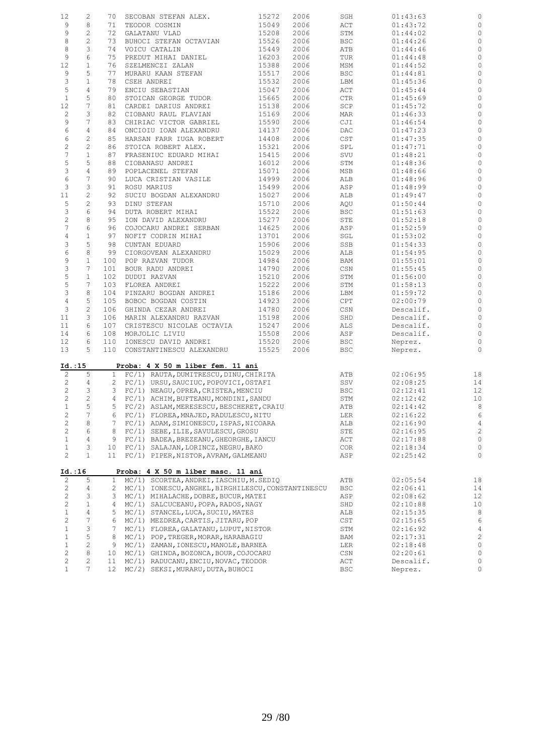| 12               | 2               | 70             | SECOBAN STEFAN ALEX.                               | 15272 | 2006 | SGH                         | 01:43:63  | $\mathbb O$    |
|------------------|-----------------|----------------|----------------------------------------------------|-------|------|-----------------------------|-----------|----------------|
| 9                | 8               | 71             | TEODOR COSMIN                                      | 15049 | 2006 | ACT                         | 01:43:72  | $\mathbb O$    |
| 9                | $\sqrt{2}$      | 72             | GALATANU VLAD                                      | 15208 | 2006 | STM                         | 01:44:02  | $\mathbb O$    |
| $\,8\,$          | $\overline{c}$  | 73             | BUHOCI STEFAN OCTAVIAN                             | 15526 | 2006 | <b>BSC</b>                  | 01:44:26  | $\mathbb O$    |
|                  |                 |                |                                                    |       |      |                             |           |                |
| 8                | 3               | 74             | VOICU CATALIN                                      | 15449 | 2006 | ATB                         | 01:44:46  | $\mathbb O$    |
| 9                | 6               | 75             | PREDUT MIHAI DANIEL                                | 16203 | 2006 | TUR                         | 01:44:48  | $\mathbb O$    |
| 12               | $\mathbf{1}$    | 76             | SZELMENCZI ZALAN                                   | 15388 | 2006 | MSM                         | 01:44:52  | $\mathbb O$    |
| 9                | 5               | 77             | MURARU KAAN STEFAN                                 | 15517 | 2006 | <b>BSC</b>                  | 01:44:81  | $\mathbb O$    |
| 3                | $\mathbf{1}$    | 78             | CSEH ANDREI                                        | 15532 | 2006 | LBM                         | 01:45:36  | $\mathbb O$    |
| 5                | $\sqrt{4}$      | 79             | ENCIU SEBASTIAN                                    | 15047 | 2006 | ACT                         | 01:45:44  | $\mathbb O$    |
| $\mathbf{1}$     | 5               | 80             | STOICAN GEORGE TUDOR                               | 15665 | 2006 | CTR                         | 01:45:69  | $\mathbb O$    |
| 12               | $\overline{7}$  | 81             | CARDEI DARIUS ANDREI                               | 15138 | 2006 | SCP                         | 01:45:72  | $\mathbb O$    |
| $\overline{c}$   | 3               | 82             | CIOBANU RAUL FLAVIAN                               | 15169 | 2006 | MAR                         | 01:46:33  | $\mathbb O$    |
| 9                | 7               | 83             | CHIRIAC VICTOR GABRIEL                             | 15590 | 2006 | CJI                         | 01:46:54  | $\mathbb O$    |
| 6                | $\overline{4}$  | 84             | ONCIOIU IOAN ALEXANDRU                             | 14137 | 2006 | DAC                         | 01:47:23  | $\mathbb O$    |
|                  |                 |                |                                                    |       |      |                             |           |                |
| 6                | $\mathbf{2}$    | 85             | HARSAN FARR IUGA ROBERT                            | 14408 | 2006 | $\mathop{\tt CST}\nolimits$ | 01:47:35  | $\mathbb O$    |
| $\overline{c}$   | $\overline{c}$  | 86             | STOICA ROBERT ALEX.                                | 15321 | 2006 | SPL                         | 01:47:71  | $\mathbb O$    |
| $\boldsymbol{7}$ | $\mathbf{1}$    | 87             | FRASENIUC EDUARD MIHAI                             | 15415 | 2006 | SVU                         | 01:48:21  | $\mathbb O$    |
| 5                | 5               | 88             | CIOBANASU ANDREI                                   | 16012 | 2006 | STM                         | 01:48:36  | $\mathbb O$    |
| 3                | $\sqrt{4}$      | 89             | POPLACENEL STEFAN                                  | 15071 | 2006 | MSB                         | 01:48:66  | $\mathbb O$    |
| 6                | 7               | 90             | LUCA CRISTIAN VASILE                               | 14999 | 2006 | ALB                         | 01:48:96  | $\mathbb O$    |
| 3                | 3               | 91             | ROSU MARIUS                                        | 15499 | 2006 | ASP                         | 01:48:99  | $\mathbb O$    |
| $11\,$           | $\overline{c}$  | 92             | SUCIU BOGDAN ALEXANDRU                             | 15027 | 2006 | ALB                         | 01:49:47  | $\mathbb O$    |
| 5                | $\overline{c}$  | 93             | DINU STEFAN                                        | 15710 | 2006 | AQU                         | 01:50:44  | $\mathbb O$    |
| 3                | 6               | 94             | DUTA ROBERT MIHAI                                  | 15522 | 2006 | <b>BSC</b>                  | 01:51:63  | $\mathbb O$    |
| $\mathbf{2}$     | $\,8\,$         | 95             | ION DAVID ALEXANDRU                                | 15277 | 2006 | STE                         | 01:52:18  | $\mathbb O$    |
| 7                | 6               | 96             | COJOCARU ANDREI SERBAN                             | 14625 | 2006 | ASP                         | 01:52:59  | $\mathbb O$    |
|                  |                 |                |                                                    |       |      |                             |           |                |
| $\overline{4}$   | $\mathbf{1}$    | 97             | NOFIT CODRIN MIHAI                                 | 13701 | 2006 | SGL                         | 01:53:02  | $\mathbb O$    |
| 3                | 5               | 98             | CUNTAN EDUARD                                      | 15906 | 2006 | SSB                         | 01:54:33  | $\mathbb O$    |
| 6                | 8               | 99             | CIORGOVEAN ALEXANDRU                               | 15029 | 2006 | ALB                         | 01:54:95  | $\mathbb O$    |
| 9                | $\mathbf{1}$    | 100            | POP RAZVAN TUDOR                                   | 14984 | 2006 | BAM                         | 01:55:01  | $\mathbb O$    |
| 3                | $7\phantom{.0}$ | 101            | BOUR RADU ANDREI                                   | 14790 | 2006 | CSN                         | 01:55:45  | $\mathbb O$    |
| $\mathsf S$      | $\mathbf{1}$    | 102            | DUDUI RAZVAN                                       | 15210 | 2006 | STM                         | 01:56:00  | $\mathbb O$    |
| 5                | $7\phantom{.0}$ | 103            | FLOREA ANDREI                                      | 15222 | 2006 | STM                         | 01:58:13  | $\mathbb O$    |
| 3                | $\,8\,$         | 104            | PINZARU BOGDAN ANDREI                              | 15186 | 2006 | LBM                         | 01:59:72  | $\mathbb O$    |
| $\overline{4}$   | 5               | 105            | BOBOC BOGDAN COSTIN                                | 14923 | 2006 | CPT                         | 02:00:79  | $\mathbb O$    |
| $\mathsf 3$      | $\overline{c}$  | 106            | GHINDA CEZAR ANDREI                                | 14780 | 2006 | CSN                         | Descalif. | $\mathbb O$    |
| 11               | 3               | 106            | MARIN ALEXANDRU RAZVAN                             | 15198 | 2006 | SHD                         | Descalif. | $\circ$        |
| 11               | 6               | 107            | CRISTESCU NICOLAE OCTAVIA                          | 15247 | 2006 | ALS                         | Descalif. | $\mathbb O$    |
| 14               | 6               | 108            | MORJOLIC LIVIU                                     | 15508 | 2006 | ASP                         | Descalif. | $\circ$        |
|                  |                 |                |                                                    |       |      |                             |           |                |
| 12               | 6               | 110            | IONESCU DAVID ANDREI                               | 15520 | 2006 | <b>BSC</b>                  | Neprez.   | $\mathbb O$    |
| 13               | 5               | 110            | CONSTANTINESCU ALEXANDRU                           | 15525 | 2006 | <b>BSC</b>                  | Neprez.   | $\circ$        |
| Id.:15           |                 |                | Proba: 4 X 50 m liber fem. 11 ani                  |       |      |                             |           |                |
| $\overline{c}$   | 5               |                | 1 FC/1) RAUTA, DUMITRESCU, DINU, CHIRITA           |       |      | ATB                         | 02:06:95  | 18             |
| $\mathbf{2}$     | 4               | $\overline{2}$ | FC/1) URSU, SAUCIUC, POPOVICI, OSTAFI              |       |      | SSV                         | 02:08:25  | 14             |
| $\overline{c}$   | 3               | 3              | FC/1) NEAGU, OPREA, CRISTEA, MENCIU                |       |      | <b>BSC</b>                  | 02:12:41  | 12             |
| $\mathbf{2}$     | $\overline{c}$  | 4              | FC/1) ACHIM, BUFTEANU, MONDINI, SANDU              |       |      | STM                         | 02:12:42  | 10             |
| $\mathbf{1}$     | 5               | 5              | FC/2) ASLAM, MERESESCU, BESCHERET, CRAIU           |       |      | ATB                         | 02:14:42  | 8              |
| $\sqrt{2}$       | 7               | 6              | FC/1) FLOREA, MNAJED, RADULESCU, NITU              |       |      | LER                         | 02:16:22  | $\epsilon$     |
| $\sqrt{2}$       | 8               | 7              | FC/1) ADAM, SIMIONESCU, ISPAS, NICOARA             |       |      | ALB                         | 02:16:90  | $\overline{4}$ |
| $\sqrt{2}$       | 6               | 8              | FC/1) SEBE, ILIE, SAVULESCU, GROSU                 |       |      | STE                         | 02:16:95  | $\sqrt{2}$     |
| $\mathbf 1$      | 4               | 9              | FC/1) BADEA, BREZEANU, GHEORGHE, IANCU             |       |      | ACT                         | 02:17:88  | $\mathbb O$    |
|                  | 3               |                |                                                    |       |      |                             |           | $\mathbb O$    |
| $\mathbf{1}$     |                 | 10             | FC/1) SALAJAN, LORINCZ, NEGRU, BAKO                |       |      | COR                         | 02:18:34  |                |
| $\mathbf{2}$     | $\mathbf{1}$    | 11             | FC/1) PIPER, NISTOR, AVRAM, GALMEANU               |       |      | ASP                         | 02:25:42  | 0              |
| Id.:16           |                 |                | Proba: 4 X 50 m liber masc. 11 ani                 |       |      |                             |           |                |
| 2                | 5               | 1              | MC/1) SCORTEA, ANDREI, IASCHIU, M. SEDIQ           |       |      | ATB                         | 02:05:54  | 18             |
| 2                | 4               | 2              | MC/1) IONESCU, ANGHEL, BIRGHILESCU, CONSTANTINESCU |       |      | <b>BSC</b>                  | 02:06:41  | 14             |
| $\sqrt{2}$       | 3               | 3              | MC/1) MIHALACHE, DOBRE, BUCUR, MATEI               |       |      | ASP                         | 02:08:62  | 12             |
| 2                | $\mathbf{1}$    | 4              | MC/1) SALCUCEANU, POPA, RADOS, NAGY                |       |      | SHD                         | 02:10:88  | 10             |
| $\mathbf{1}$     | 4               | 5              | MC/1) STANCEL, LUCA, SUCIU, MATES                  |       |      | ALB                         | 02:15:35  | 8              |
| $\sqrt{2}$       | $\overline{7}$  | 6              | MC/1) MEZDREA, CARTIS, JITARU, POP                 |       |      | $\mathsf{CST}$              | 02:15:65  | $\epsilon$     |
| $\mathbf{1}$     | 3               | 7              | MC/1) FLOREA, GALATANU, LUPUT, NISTOR              |       |      | STM                         | 02:16:92  | $\overline{4}$ |
| $\mathbf{1}$     | 5               | 8              | MC/1) POP, TREGER, MORAR, HARABAGIU                |       |      | BAM                         | 02:17:31  | $\sqrt{2}$     |
| $\mathbf 1$      | $\overline{c}$  | 9              | MC/1) ZAMAN, IONESCU, MANOLE, BARNEA               |       |      | LER                         | 02:18:48  | $\mathbb O$    |
| $\sqrt{2}$       | 8               | 10             | MC/1) GHINDA, BOZONCA, BOUR, COJOCARU              |       |      | CSN                         | 02:20:61  | $\mathbb O$    |
| $\sqrt{2}$       | $\overline{c}$  |                |                                                    |       |      |                             |           | $\mathbb O$    |
|                  |                 | 11             | MC/1) RADUCANU, ENCIU, NOVAC, TEODOR               |       |      | ACT                         | Descalif. |                |
| $\mathbf{1}$     | 7               | 12             | MC/2) SEKSI, MURARU, DUTA, BUHOCI                  |       |      | <b>BSC</b>                  | Neprez.   | 0              |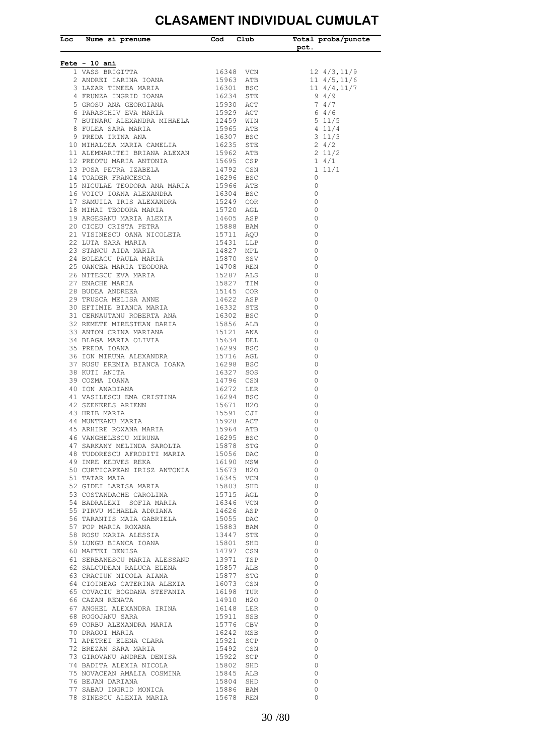## **CLASAMENT INDIVIDUAL CUMULAT**

i.

| Loc Nume si prenume Cod Club                                                                                                                                                                                                               |  | Total proba/puncte<br>${\tt pot.}$                                                            |
|--------------------------------------------------------------------------------------------------------------------------------------------------------------------------------------------------------------------------------------------|--|-----------------------------------------------------------------------------------------------|
| Fete - 10 ani                                                                                                                                                                                                                              |  |                                                                                               |
|                                                                                                                                                                                                                                            |  |                                                                                               |
|                                                                                                                                                                                                                                            |  |                                                                                               |
|                                                                                                                                                                                                                                            |  |                                                                                               |
|                                                                                                                                                                                                                                            |  | $\begin{array}{rr} 12 & 4/3, 11/9 \\ 11 & 4/5, 11/6 \\ 11 & 4/4, 11/7 \\ 9 & 4/9 \end{array}$ |
|                                                                                                                                                                                                                                            |  |                                                                                               |
|                                                                                                                                                                                                                                            |  |                                                                                               |
|                                                                                                                                                                                                                                            |  |                                                                                               |
|                                                                                                                                                                                                                                            |  |                                                                                               |
|                                                                                                                                                                                                                                            |  |                                                                                               |
|                                                                                                                                                                                                                                            |  |                                                                                               |
|                                                                                                                                                                                                                                            |  |                                                                                               |
|                                                                                                                                                                                                                                            |  |                                                                                               |
|                                                                                                                                                                                                                                            |  |                                                                                               |
|                                                                                                                                                                                                                                            |  |                                                                                               |
|                                                                                                                                                                                                                                            |  |                                                                                               |
|                                                                                                                                                                                                                                            |  |                                                                                               |
|                                                                                                                                                                                                                                            |  |                                                                                               |
|                                                                                                                                                                                                                                            |  |                                                                                               |
|                                                                                                                                                                                                                                            |  |                                                                                               |
|                                                                                                                                                                                                                                            |  |                                                                                               |
|                                                                                                                                                                                                                                            |  |                                                                                               |
|                                                                                                                                                                                                                                            |  |                                                                                               |
|                                                                                                                                                                                                                                            |  |                                                                                               |
|                                                                                                                                                                                                                                            |  |                                                                                               |
|                                                                                                                                                                                                                                            |  |                                                                                               |
|                                                                                                                                                                                                                                            |  |                                                                                               |
|                                                                                                                                                                                                                                            |  |                                                                                               |
|                                                                                                                                                                                                                                            |  |                                                                                               |
|                                                                                                                                                                                                                                            |  |                                                                                               |
|                                                                                                                                                                                                                                            |  |                                                                                               |
|                                                                                                                                                                                                                                            |  |                                                                                               |
|                                                                                                                                                                                                                                            |  |                                                                                               |
|                                                                                                                                                                                                                                            |  |                                                                                               |
|                                                                                                                                                                                                                                            |  |                                                                                               |
|                                                                                                                                                                                                                                            |  |                                                                                               |
|                                                                                                                                                                                                                                            |  |                                                                                               |
|                                                                                                                                                                                                                                            |  |                                                                                               |
|                                                                                                                                                                                                                                            |  |                                                                                               |
|                                                                                                                                                                                                                                            |  |                                                                                               |
|                                                                                                                                                                                                                                            |  |                                                                                               |
|                                                                                                                                                                                                                                            |  |                                                                                               |
|                                                                                                                                                                                                                                            |  |                                                                                               |
|                                                                                                                                                                                                                                            |  |                                                                                               |
|                                                                                                                                                                                                                                            |  |                                                                                               |
|                                                                                                                                                                                                                                            |  |                                                                                               |
|                                                                                                                                                                                                                                            |  |                                                                                               |
|                                                                                                                                                                                                                                            |  |                                                                                               |
|                                                                                                                                                                                                                                            |  | $\overline{0}$                                                                                |
| 50 CURTICAPEAN IRISZ ANTONIA 15673 H2O<br>51 TATAR MAIA 16345 VCN<br>52 GIDEI LARISA MARIA 15803 SHD<br>53 COSTANDACHE CAROLINA 15715 AGL                                                                                                  |  | $\overline{0}$                                                                                |
|                                                                                                                                                                                                                                            |  | $\overline{0}$                                                                                |
|                                                                                                                                                                                                                                            |  | $\overline{0}$                                                                                |
| 53 COSTANDACHE CAROLINA 15715 AGL<br>54 BADRALEXI SOFIA MARIA 16346 VCN<br>55 PIRVU MHHAELA ADRIANA 14626 ASP<br>56 TARANTIS MAIA GABRIELA 15055 DAC<br>57 POP MARIA ROXANA 15883 BAM<br>58 ROSU MARIA ALESSIA 13447 STE<br>59 LUNGU BIANC |  | $\overline{0}$                                                                                |
|                                                                                                                                                                                                                                            |  | $\overline{0}$                                                                                |
|                                                                                                                                                                                                                                            |  | $\overline{0}$                                                                                |
|                                                                                                                                                                                                                                            |  | $\overline{0}$                                                                                |
|                                                                                                                                                                                                                                            |  | $\overline{0}$                                                                                |
|                                                                                                                                                                                                                                            |  | $\overline{0}$                                                                                |
|                                                                                                                                                                                                                                            |  | $\overline{0}$                                                                                |
|                                                                                                                                                                                                                                            |  | $\overline{0}$                                                                                |
|                                                                                                                                                                                                                                            |  | $\overline{0}$                                                                                |
|                                                                                                                                                                                                                                            |  | $\overline{0}$                                                                                |
|                                                                                                                                                                                                                                            |  | $\overline{0}$                                                                                |
|                                                                                                                                                                                                                                            |  | $\overline{0}$                                                                                |
|                                                                                                                                                                                                                                            |  | $\overline{0}$                                                                                |
|                                                                                                                                                                                                                                            |  | $\overline{0}$                                                                                |
|                                                                                                                                                                                                                                            |  | $\overline{0}$                                                                                |
|                                                                                                                                                                                                                                            |  | $\overline{0}$                                                                                |
|                                                                                                                                                                                                                                            |  | $\overline{0}$                                                                                |
|                                                                                                                                                                                                                                            |  | $\overline{0}$                                                                                |
|                                                                                                                                                                                                                                            |  | $\overline{0}$                                                                                |
|                                                                                                                                                                                                                                            |  | $\overline{0}$                                                                                |
|                                                                                                                                                                                                                                            |  | $\overline{0}$<br>$\overline{0}$                                                              |
| 63 CRACIUN NICOLA AIANA 15877 STG<br>64 CIOINEAG CATERINA ALEXIA 16073 CSN<br>65 COVACIU BOGDANA STEFANIA 16198 TUR<br>66 CAZAN RENATA 14910 H2O<br>67 ANGHEL ALEXANDRA IRINA 16148 LER<br>68 ROGOJANU SARA<br>69 CORBU ALEXANDRA MARIA 15 |  | $\overline{0}$                                                                                |
|                                                                                                                                                                                                                                            |  | $\overline{0}$                                                                                |
| 78 SINESCU ALEXIA MARIA 15678 REN                                                                                                                                                                                                          |  | $\bigcirc$                                                                                    |
|                                                                                                                                                                                                                                            |  |                                                                                               |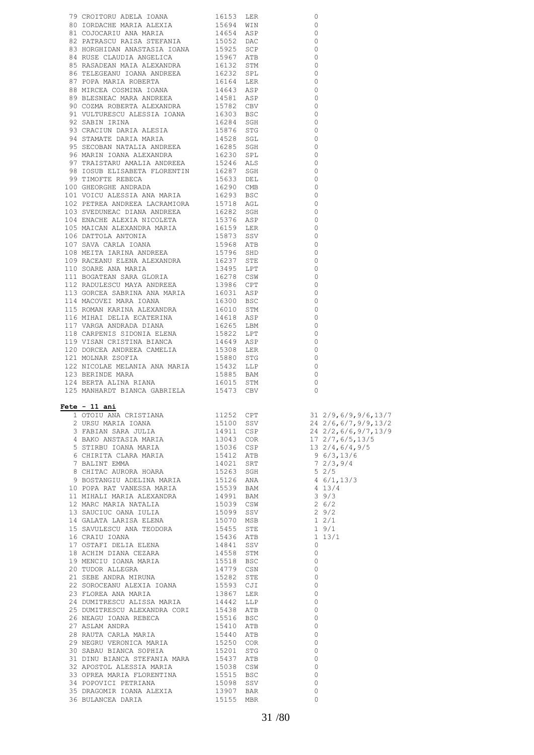| 1.25 MANIMARDT RIANCA GABRIELLA<br>1.9475 MANIARDT RIANCA CRISTIANA 1.1252 CPT 31 2/9,6/9,9/6,13/7<br>2.953 MANIARD AND ANN 15100 SW 24 2/6,6/7,9/31/5<br>4 MANO ANNE ARRIA MARIA 1.1300 SW 24 2/6,6/7,9/31/5<br>4 MANO ANNE ARRIA MA |  |  |
|---------------------------------------------------------------------------------------------------------------------------------------------------------------------------------------------------------------------------------------|--|--|
|                                                                                                                                                                                                                                       |  |  |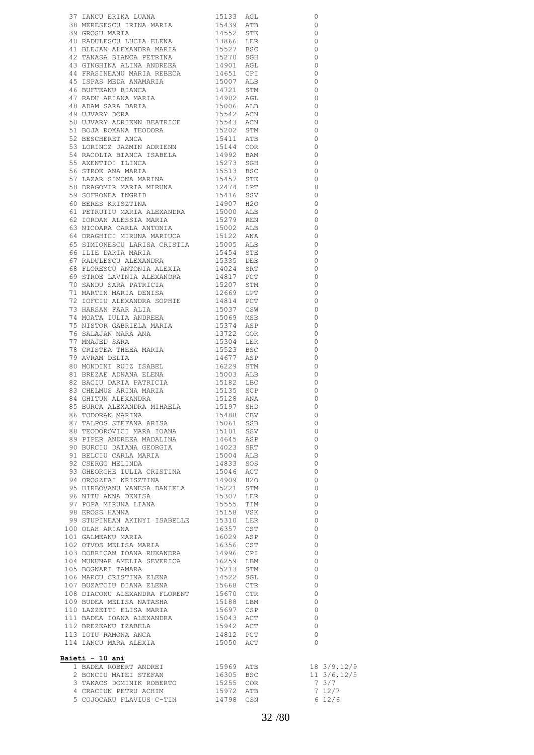| 37 IANOU ERIKA LUANA (1913) AGU<br>18 MERESERCU IRNA MARIA 19453 ACE<br>19 MERESERCU IRNA MARIA 19452 STE<br>40 DADULESCU IACIA KIENA 19565 ETE 39 GROSU MARIA 19566 ELER<br>40 PADIGHEADA ALEXANDEA MARIA 19527 BSC BER 44<br>44 FRASTIKEAN         |  | $\overline{0}$                        |
|------------------------------------------------------------------------------------------------------------------------------------------------------------------------------------------------------------------------------------------------------|--|---------------------------------------|
|                                                                                                                                                                                                                                                      |  | $\frac{1}{2}$                         |
|                                                                                                                                                                                                                                                      |  | $\overline{0}$                        |
|                                                                                                                                                                                                                                                      |  | $\overline{\phantom{0}}$              |
|                                                                                                                                                                                                                                                      |  | $\overline{\phantom{0}}$              |
|                                                                                                                                                                                                                                                      |  | $\overline{\phantom{0}}$              |
|                                                                                                                                                                                                                                                      |  | $\overline{\phantom{0}}$              |
|                                                                                                                                                                                                                                                      |  | $\overline{\phantom{0}}$              |
|                                                                                                                                                                                                                                                      |  | $\overline{\phantom{0}}$              |
|                                                                                                                                                                                                                                                      |  | $\overline{\phantom{0}}$              |
|                                                                                                                                                                                                                                                      |  | $\overline{\phantom{0}}$              |
|                                                                                                                                                                                                                                                      |  | $\overline{\phantom{0}}$              |
|                                                                                                                                                                                                                                                      |  | $\overline{\phantom{0}}$              |
|                                                                                                                                                                                                                                                      |  | $\overline{\phantom{0}}$              |
|                                                                                                                                                                                                                                                      |  | $\overline{\phantom{0}}$              |
|                                                                                                                                                                                                                                                      |  | $\overline{\phantom{0}}$              |
|                                                                                                                                                                                                                                                      |  | $\circ$                               |
|                                                                                                                                                                                                                                                      |  | $\overline{\phantom{0}}$              |
|                                                                                                                                                                                                                                                      |  | $\overline{\phantom{0}}$              |
|                                                                                                                                                                                                                                                      |  | $\circ$                               |
|                                                                                                                                                                                                                                                      |  | $\overline{\phantom{0}}$              |
|                                                                                                                                                                                                                                                      |  | $\circ$                               |
|                                                                                                                                                                                                                                                      |  | $\overline{\phantom{0}}$              |
|                                                                                                                                                                                                                                                      |  | $\Omega$                              |
|                                                                                                                                                                                                                                                      |  | $\overline{\phantom{0}}$              |
|                                                                                                                                                                                                                                                      |  | $\Omega$                              |
|                                                                                                                                                                                                                                                      |  | $\circ$                               |
|                                                                                                                                                                                                                                                      |  | $\Omega$                              |
|                                                                                                                                                                                                                                                      |  | $\circ$                               |
|                                                                                                                                                                                                                                                      |  | $\circ$                               |
|                                                                                                                                                                                                                                                      |  | $\circ$                               |
|                                                                                                                                                                                                                                                      |  | $\circ$                               |
|                                                                                                                                                                                                                                                      |  | $\circ$                               |
|                                                                                                                                                                                                                                                      |  | $\circ$                               |
|                                                                                                                                                                                                                                                      |  | $\circ$                               |
|                                                                                                                                                                                                                                                      |  | $\circ$                               |
|                                                                                                                                                                                                                                                      |  | $\circ$                               |
|                                                                                                                                                                                                                                                      |  | $\circ$                               |
|                                                                                                                                                                                                                                                      |  | $\circ$                               |
|                                                                                                                                                                                                                                                      |  | $\circ$                               |
|                                                                                                                                                                                                                                                      |  | $\circ$                               |
|                                                                                                                                                                                                                                                      |  | $\circ$                               |
|                                                                                                                                                                                                                                                      |  | $\circ$                               |
|                                                                                                                                                                                                                                                      |  | $\circ$                               |
|                                                                                                                                                                                                                                                      |  | $\circ$<br>$\circ$                    |
| 82 BACIU DARIA PATRICIA 15182 LBC<br>83 CHELMUS ARINA MARIA 15135 SCP<br>84 GHITUN ALEXANDRA 15128 ANA 85 BURCA ALEXANDRA MIHAELA 15197 SHD                                                                                                          |  |                                       |
|                                                                                                                                                                                                                                                      |  | $\overline{0}$                        |
|                                                                                                                                                                                                                                                      |  | $\begin{array}{c} 0 \\ 0 \end{array}$ |
|                                                                                                                                                                                                                                                      |  |                                       |
|                                                                                                                                                                                                                                                      |  |                                       |
|                                                                                                                                                                                                                                                      |  |                                       |
|                                                                                                                                                                                                                                                      |  |                                       |
|                                                                                                                                                                                                                                                      |  |                                       |
|                                                                                                                                                                                                                                                      |  |                                       |
|                                                                                                                                                                                                                                                      |  |                                       |
|                                                                                                                                                                                                                                                      |  |                                       |
|                                                                                                                                                                                                                                                      |  |                                       |
|                                                                                                                                                                                                                                                      |  |                                       |
|                                                                                                                                                                                                                                                      |  |                                       |
|                                                                                                                                                                                                                                                      |  |                                       |
|                                                                                                                                                                                                                                                      |  |                                       |
|                                                                                                                                                                                                                                                      |  |                                       |
|                                                                                                                                                                                                                                                      |  |                                       |
|                                                                                                                                                                                                                                                      |  |                                       |
|                                                                                                                                                                                                                                                      |  |                                       |
|                                                                                                                                                                                                                                                      |  |                                       |
|                                                                                                                                                                                                                                                      |  | $\overline{0}$                        |
|                                                                                                                                                                                                                                                      |  | $\overline{0}$                        |
|                                                                                                                                                                                                                                                      |  | $\overline{\phantom{0}}$              |
| 1999 UP1 104 NUNUNAR AMELIA SEVERICA 16259 LBM<br>105 BOGNARI TAMARA 15213 STM<br>106 MARCU CRISTINA ELENA 14522 SGL<br>107 BUZATOIU DIANA ELENA 1566 CTR<br>108 DIACONU ALEXANDRA FLORENT 15670 CTR<br>109 BUDEA MELISA NATASHA 15188 T             |  | $\overline{0}$                        |
|                                                                                                                                                                                                                                                      |  | $\overline{0}$                        |
|                                                                                                                                                                                                                                                      |  | $\overline{0}$                        |
|                                                                                                                                                                                                                                                      |  | $\overline{0}$                        |
|                                                                                                                                                                                                                                                      |  |                                       |
|                                                                                                                                                                                                                                                      |  | $\overline{0}$<br>$\overline{0}$      |
| 109 BUDEA MELISA NATASHA<br>100 BUDEA MELISA NATASHA<br>15697 CSP<br>111 BADEA IOANA ALEXANDRA<br>15697 CSP<br>111 BADEA IOANA ALEXANDRA<br>15043 ACT<br>112 BREZEANU IZABELA<br>15942 ACT<br>113 IOTU RAMONA ANCA<br>14812 PCT<br>14 IANCU MARA ALE |  | $\overline{0}$                        |
|                                                                                                                                                                                                                                                      |  | $\bigcirc$                            |
|                                                                                                                                                                                                                                                      |  |                                       |
| Baieti - 10 ani                                                                                                                                                                                                                                      |  |                                       |
|                                                                                                                                                                                                                                                      |  |                                       |
| <u>eti – 10 ani</u><br>1 BADEA ROBERT ANDREI<br>2 BONCIU MATEI STEFAN 16305 BSC 11 3/6,12/5<br>3 TAKACS DOMINIK ROBERTO 15255 COR 7 3/7<br>4 CRACIUN PETRU ACHIM 15972 ATB 7 12/7                                                                    |  |                                       |
|                                                                                                                                                                                                                                                      |  |                                       |
|                                                                                                                                                                                                                                                      |  |                                       |
| 5 COJOCARU FLAVIUS C-TIN 14798 CSN 6 12/6                                                                                                                                                                                                            |  |                                       |
|                                                                                                                                                                                                                                                      |  |                                       |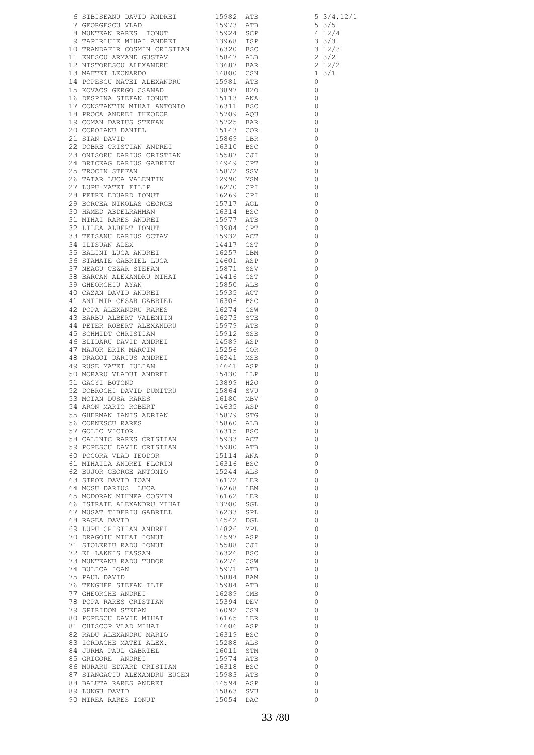| 6 STRIERANNO DATES 1989<br>1980 - ANGELIA (1989)<br>1980 - ANGELIA (1989 - ANGELIA 1982<br>1980 - ANGELIA (1989 - ANGELIA 1982<br>1980 - ANGELIA (1989 - ANGELIA 1989 - ANGELIA 1989 - ANGELIA (1989 - ANGELIA 1989 - ANGELIA 1989 -       |  |                                            |
|--------------------------------------------------------------------------------------------------------------------------------------------------------------------------------------------------------------------------------------------|--|--------------------------------------------|
|                                                                                                                                                                                                                                            |  |                                            |
|                                                                                                                                                                                                                                            |  |                                            |
|                                                                                                                                                                                                                                            |  |                                            |
|                                                                                                                                                                                                                                            |  |                                            |
|                                                                                                                                                                                                                                            |  |                                            |
|                                                                                                                                                                                                                                            |  |                                            |
|                                                                                                                                                                                                                                            |  |                                            |
|                                                                                                                                                                                                                                            |  |                                            |
|                                                                                                                                                                                                                                            |  |                                            |
|                                                                                                                                                                                                                                            |  |                                            |
|                                                                                                                                                                                                                                            |  |                                            |
|                                                                                                                                                                                                                                            |  |                                            |
|                                                                                                                                                                                                                                            |  |                                            |
|                                                                                                                                                                                                                                            |  |                                            |
|                                                                                                                                                                                                                                            |  |                                            |
|                                                                                                                                                                                                                                            |  |                                            |
|                                                                                                                                                                                                                                            |  |                                            |
|                                                                                                                                                                                                                                            |  |                                            |
|                                                                                                                                                                                                                                            |  |                                            |
|                                                                                                                                                                                                                                            |  |                                            |
|                                                                                                                                                                                                                                            |  |                                            |
|                                                                                                                                                                                                                                            |  |                                            |
|                                                                                                                                                                                                                                            |  |                                            |
|                                                                                                                                                                                                                                            |  |                                            |
|                                                                                                                                                                                                                                            |  |                                            |
|                                                                                                                                                                                                                                            |  |                                            |
|                                                                                                                                                                                                                                            |  |                                            |
|                                                                                                                                                                                                                                            |  |                                            |
|                                                                                                                                                                                                                                            |  |                                            |
|                                                                                                                                                                                                                                            |  |                                            |
|                                                                                                                                                                                                                                            |  |                                            |
|                                                                                                                                                                                                                                            |  |                                            |
|                                                                                                                                                                                                                                            |  |                                            |
|                                                                                                                                                                                                                                            |  |                                            |
|                                                                                                                                                                                                                                            |  |                                            |
|                                                                                                                                                                                                                                            |  |                                            |
|                                                                                                                                                                                                                                            |  |                                            |
|                                                                                                                                                                                                                                            |  |                                            |
|                                                                                                                                                                                                                                            |  |                                            |
|                                                                                                                                                                                                                                            |  |                                            |
|                                                                                                                                                                                                                                            |  |                                            |
|                                                                                                                                                                                                                                            |  |                                            |
|                                                                                                                                                                                                                                            |  |                                            |
|                                                                                                                                                                                                                                            |  | $\overline{0}$                             |
| 54 ARON MARIO ROBERT 14635 ASP<br>55 GHERMAN IANIS ADRIAN 15879 STG<br>56 CORNESCU RARES CRISTIAN 15933 ACT<br>57 GOLIC VICTOR 1680 ALB<br>57 GOLIC VICTOR 16815 BSC<br>58 CALINIC RARES CRISTIAN 15933 ACT<br>59 POPESCU DAVID CRISTIAN 1 |  | $\overline{\phantom{0}}$                   |
|                                                                                                                                                                                                                                            |  | $\circ$                                    |
|                                                                                                                                                                                                                                            |  | $\overline{0}$                             |
|                                                                                                                                                                                                                                            |  | $\overline{0}$                             |
|                                                                                                                                                                                                                                            |  | $\overline{\phantom{0}}$                   |
|                                                                                                                                                                                                                                            |  | $\overline{0}$                             |
|                                                                                                                                                                                                                                            |  | $\overline{0}$<br>$\circ$                  |
|                                                                                                                                                                                                                                            |  | $\overline{0}$                             |
|                                                                                                                                                                                                                                            |  | $\circ$                                    |
|                                                                                                                                                                                                                                            |  | $\overline{0}$                             |
|                                                                                                                                                                                                                                            |  | $\circ$                                    |
|                                                                                                                                                                                                                                            |  | $\overline{0}$                             |
|                                                                                                                                                                                                                                            |  | $\circ$                                    |
|                                                                                                                                                                                                                                            |  | $\circ$                                    |
|                                                                                                                                                                                                                                            |  | $\circ$<br>$\circ$                         |
|                                                                                                                                                                                                                                            |  | $\circ$                                    |
|                                                                                                                                                                                                                                            |  | $\overline{0}$                             |
|                                                                                                                                                                                                                                            |  | $\circ$                                    |
|                                                                                                                                                                                                                                            |  | $\overline{0}$                             |
| 65 MODONAM MHANEA COSMIN 16162 LER<br>66 ISTRATE ALEXANDRU MIHAI 16162 LER<br>67 MUSAT TIBERIU GABRIEL 16233 SPL<br>67 MUSAT TIBERIU GABRIEL 16233 SPL<br>68 RAGEA DAVID 1482 DGL<br>70 DRAGOIU MIHAI IONUT 14826 MPL<br>71 STOLERIU RADU  |  | $\circ$                                    |
|                                                                                                                                                                                                                                            |  | $\overline{0}$                             |
|                                                                                                                                                                                                                                            |  | $\overline{0}$                             |
|                                                                                                                                                                                                                                            |  | $\overline{\phantom{0}}$<br>$\overline{0}$ |
|                                                                                                                                                                                                                                            |  | $\overline{0}$                             |
|                                                                                                                                                                                                                                            |  | $\overline{0}$                             |
|                                                                                                                                                                                                                                            |  | $\overline{\phantom{0}}$                   |
|                                                                                                                                                                                                                                            |  | $\overline{\phantom{0}}$                   |
|                                                                                                                                                                                                                                            |  | $\overline{0}$                             |
|                                                                                                                                                                                                                                            |  | $\overline{0}$                             |
|                                                                                                                                                                                                                                            |  | $\overline{\phantom{0}}$                   |
|                                                                                                                                                                                                                                            |  | $\overline{0}$<br>$\overline{\phantom{0}}$ |
|                                                                                                                                                                                                                                            |  |                                            |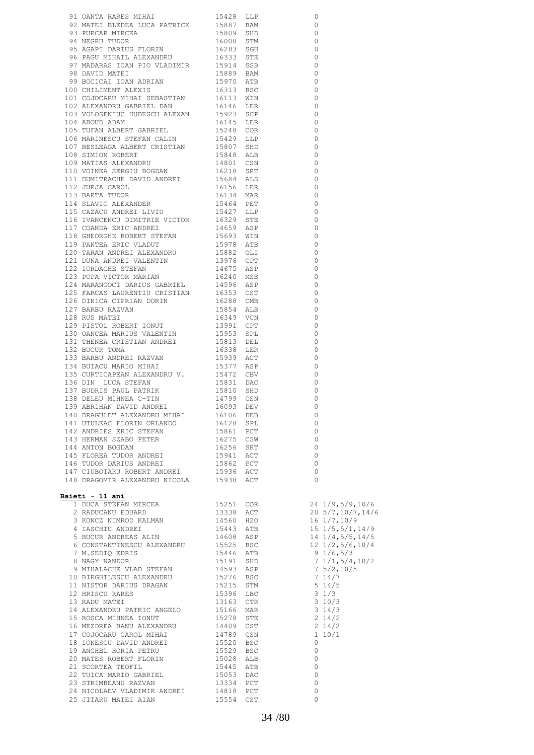| 91 OANTA RARES MIHAI 15428 LLP<br>92 MATEI BEDEXA LUCA PATRICK 155819 BAN (1978)<br>93 PURGAR MIRCEA<br>93 PURGAR MIRCEA 15609 SHO (1978)<br>94 NGARJ TORNIUS FLORINI 16283 SGR<br>96 PAGU MIHAIL ALEXANDRU 16333 STR (1978)<br>97 MADARA                  |  |                          |
|------------------------------------------------------------------------------------------------------------------------------------------------------------------------------------------------------------------------------------------------------------|--|--------------------------|
|                                                                                                                                                                                                                                                            |  | $\circ$                  |
|                                                                                                                                                                                                                                                            |  | $\circ$                  |
|                                                                                                                                                                                                                                                            |  | $\overline{0}$           |
|                                                                                                                                                                                                                                                            |  | $\overline{0}$           |
|                                                                                                                                                                                                                                                            |  | $\overline{0}$           |
|                                                                                                                                                                                                                                                            |  | $\overline{0}$           |
|                                                                                                                                                                                                                                                            |  | $\overline{0}$           |
|                                                                                                                                                                                                                                                            |  | $\overline{0}$           |
|                                                                                                                                                                                                                                                            |  | $\overline{0}$           |
|                                                                                                                                                                                                                                                            |  | $\circ$                  |
|                                                                                                                                                                                                                                                            |  | $\overline{0}$           |
|                                                                                                                                                                                                                                                            |  | $\overline{0}$           |
|                                                                                                                                                                                                                                                            |  | $\overline{0}$           |
|                                                                                                                                                                                                                                                            |  | $\overline{\phantom{0}}$ |
|                                                                                                                                                                                                                                                            |  | $\overline{0}$           |
|                                                                                                                                                                                                                                                            |  | $\overline{0}$           |
|                                                                                                                                                                                                                                                            |  | $\overline{0}$           |
|                                                                                                                                                                                                                                                            |  | $\overline{\phantom{0}}$ |
|                                                                                                                                                                                                                                                            |  | $\overline{\phantom{0}}$ |
|                                                                                                                                                                                                                                                            |  | $\overline{0}$           |
|                                                                                                                                                                                                                                                            |  |                          |
|                                                                                                                                                                                                                                                            |  | $\overline{\phantom{0}}$ |
|                                                                                                                                                                                                                                                            |  | $\overline{\phantom{0}}$ |
|                                                                                                                                                                                                                                                            |  | $\overline{\phantom{0}}$ |
|                                                                                                                                                                                                                                                            |  | $\overline{0}$           |
|                                                                                                                                                                                                                                                            |  | $\overline{0}$           |
|                                                                                                                                                                                                                                                            |  | $\overline{\phantom{0}}$ |
|                                                                                                                                                                                                                                                            |  | $\overline{0}$           |
|                                                                                                                                                                                                                                                            |  | $\overline{0}$           |
|                                                                                                                                                                                                                                                            |  | $\overline{0}$           |
|                                                                                                                                                                                                                                                            |  | $\overline{\phantom{0}}$ |
|                                                                                                                                                                                                                                                            |  | $\overline{0}$           |
|                                                                                                                                                                                                                                                            |  | $\overline{0}$           |
|                                                                                                                                                                                                                                                            |  | $\overline{0}$           |
|                                                                                                                                                                                                                                                            |  | $\overline{0}$           |
|                                                                                                                                                                                                                                                            |  | $\Omega$                 |
|                                                                                                                                                                                                                                                            |  | $\overline{\phantom{0}}$ |
|                                                                                                                                                                                                                                                            |  | $\Omega$                 |
|                                                                                                                                                                                                                                                            |  | $\Omega$                 |
|                                                                                                                                                                                                                                                            |  | $\Omega$                 |
|                                                                                                                                                                                                                                                            |  | $\overline{0}$           |
|                                                                                                                                                                                                                                                            |  | $\Omega$                 |
| 131 THENEA CRISTIAN ANDREI<br>132 BUCUR TOMA                                                                                                                                                                                                               |  |                          |
|                                                                                                                                                                                                                                                            |  | $\Omega$                 |
| 130 OANCEA MARIOS VALENTIN<br>131 THENEA CRISTIAN ANDREI<br>132 BUCUR TOMA<br>16338 LER<br>133 BARBU ANDREI RAZVAN<br>16338 LER<br>15813 DEL<br>174 BUIACU MARIO MIHAI<br>15939 ACT<br>15939 ACT<br>15939 ACT<br>15939 ACT<br>15932 CEV<br>1582 CBV<br>160 |  | $\Omega$                 |
|                                                                                                                                                                                                                                                            |  | $\overline{0}$           |
|                                                                                                                                                                                                                                                            |  | $\circ$                  |
|                                                                                                                                                                                                                                                            |  | $\overline{\phantom{0}}$ |
|                                                                                                                                                                                                                                                            |  | $\mathbf 0$              |
|                                                                                                                                                                                                                                                            |  | $\Omega$                 |
|                                                                                                                                                                                                                                                            |  | $\overline{0}$           |
|                                                                                                                                                                                                                                                            |  | 0                        |
|                                                                                                                                                                                                                                                            |  | $\overline{0}$           |
|                                                                                                                                                                                                                                                            |  | $\overline{0}$           |
|                                                                                                                                                                                                                                                            |  | $\overline{0}$           |
|                                                                                                                                                                                                                                                            |  | $\overline{0}$           |
|                                                                                                                                                                                                                                                            |  | $\overline{\phantom{0}}$ |
|                                                                                                                                                                                                                                                            |  | $\overline{0}$           |
|                                                                                                                                                                                                                                                            |  | $\overline{\phantom{0}}$ |
| 138 DELEU MIHNEA C-TIN<br>14799 CSN<br>139 ABRIHAN DAVID ANDREI<br>140 DRAGULET ALEXANDRU MIHAI 16003 DEB<br>141 UTULEAC FLORIN ORLANDO 16128 SPL<br>142 ANDRIES ERIC STEFAN 15861 PCT<br>143 HERMAN SZABO PETER 16275 CSW<br>144 ANTON BOGD               |  | $\bigcirc$               |
|                                                                                                                                                                                                                                                            |  |                          |
| Baieti - 11 ani                                                                                                                                                                                                                                            |  |                          |
|                                                                                                                                                                                                                                                            |  |                          |
|                                                                                                                                                                                                                                                            |  |                          |
|                                                                                                                                                                                                                                                            |  |                          |
|                                                                                                                                                                                                                                                            |  |                          |
|                                                                                                                                                                                                                                                            |  |                          |
|                                                                                                                                                                                                                                                            |  |                          |
|                                                                                                                                                                                                                                                            |  |                          |
|                                                                                                                                                                                                                                                            |  |                          |
|                                                                                                                                                                                                                                                            |  |                          |
|                                                                                                                                                                                                                                                            |  |                          |
|                                                                                                                                                                                                                                                            |  |                          |
|                                                                                                                                                                                                                                                            |  |                          |
|                                                                                                                                                                                                                                                            |  |                          |
|                                                                                                                                                                                                                                                            |  |                          |
|                                                                                                                                                                                                                                                            |  |                          |
|                                                                                                                                                                                                                                                            |  |                          |
|                                                                                                                                                                                                                                                            |  |                          |
|                                                                                                                                                                                                                                                            |  |                          |
|                                                                                                                                                                                                                                                            |  |                          |
|                                                                                                                                                                                                                                                            |  |                          |
|                                                                                                                                                                                                                                                            |  |                          |
|                                                                                                                                                                                                                                                            |  |                          |
|                                                                                                                                                                                                                                                            |  |                          |
|                                                                                                                                                                                                                                                            |  |                          |
|                                                                                                                                                                                                                                                            |  |                          |
|                                                                                                                                                                                                                                                            |  |                          |
| 25 JITARU MATEI AIAN 6 15554 CST                                                                                                                                                                                                                           |  | $\mathbf 0$              |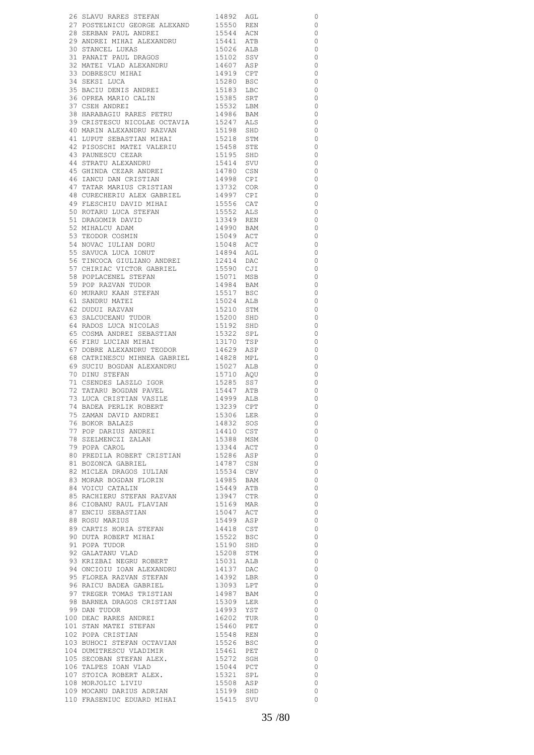|                                                                                                                                                                                                                                        |                                                                                                      |     | 0                        |
|----------------------------------------------------------------------------------------------------------------------------------------------------------------------------------------------------------------------------------------|------------------------------------------------------------------------------------------------------|-----|--------------------------|
|                                                                                                                                                                                                                                        |                                                                                                      |     | $\circ$                  |
|                                                                                                                                                                                                                                        |                                                                                                      |     | $\overline{0}$           |
|                                                                                                                                                                                                                                        |                                                                                                      |     | $\overline{\phantom{0}}$ |
| 26 SLAVU RARES STEFAN 14892 AGL<br>27 POSTELNICU GEORGE ALEXAND 15550 REN 28 SERBAN PAUL ANDREI 15544 ACN 29 ANDREI MIHAI ALEXANDRU 15441 ATB<br>30 STANCEL LUKAS 15026 ALB<br>31 PANAIT PAUL DRAGOS 15102 SSV<br>32 MATEI VLAD ALEXAN |                                                                                                      |     | $\overline{0}$           |
|                                                                                                                                                                                                                                        |                                                                                                      |     | $\overline{0}$           |
|                                                                                                                                                                                                                                        |                                                                                                      |     |                          |
|                                                                                                                                                                                                                                        |                                                                                                      |     | $\overline{0}$           |
| 32 PRILLE VEHE MELLETING 1919 CPT<br>33 DOBRESCU MIHAI 15280 BSC<br>35 BACIU DENIS ANDREI 15383 LBC<br>36 OPREA MARIO CALIN 15385 SRT<br>37 CSEH ANDREI 15532 LBM<br>15363 LBC<br>14006 PM                                             |                                                                                                      |     | $\overline{\phantom{0}}$ |
|                                                                                                                                                                                                                                        |                                                                                                      |     | $\overline{\phantom{0}}$ |
|                                                                                                                                                                                                                                        |                                                                                                      |     | $\circ$                  |
|                                                                                                                                                                                                                                        |                                                                                                      |     | $\circ$                  |
|                                                                                                                                                                                                                                        | 15532 LBM                                                                                            |     | $\overline{0}$           |
| 37 COBIL ANDILLI<br>38 HARABAGIU RARES PETRU                                                                                                                                                                                           |                                                                                                      |     | $\overline{\phantom{0}}$ |
|                                                                                                                                                                                                                                        |                                                                                                      |     | $\overline{0}$           |
|                                                                                                                                                                                                                                        |                                                                                                      |     |                          |
|                                                                                                                                                                                                                                        |                                                                                                      |     | $\overline{0}$           |
|                                                                                                                                                                                                                                        |                                                                                                      |     | $\overline{0}$           |
|                                                                                                                                                                                                                                        |                                                                                                      |     | $\overline{\phantom{0}}$ |
|                                                                                                                                                                                                                                        |                                                                                                      |     | $\overline{\phantom{0}}$ |
|                                                                                                                                                                                                                                        |                                                                                                      |     | $\overline{\phantom{0}}$ |
|                                                                                                                                                                                                                                        |                                                                                                      |     | $\overline{\phantom{0}}$ |
|                                                                                                                                                                                                                                        |                                                                                                      |     | $\overline{\phantom{0}}$ |
| 47 TATAR MARIUS CRISTIAN 13732 COR<br>48 CURECHERIU ALEX GABRIEL 14997 CPI                                                                                                                                                             |                                                                                                      |     | $\overline{\phantom{0}}$ |
|                                                                                                                                                                                                                                        |                                                                                                      |     | $\overline{\phantom{0}}$ |
|                                                                                                                                                                                                                                        |                                                                                                      |     | $\overline{\phantom{0}}$ |
|                                                                                                                                                                                                                                        | 15556 CAT<br>15552 ALS                                                                               |     |                          |
|                                                                                                                                                                                                                                        |                                                                                                      |     | $\overline{\phantom{0}}$ |
|                                                                                                                                                                                                                                        | 13349 REN<br>14990 BAM                                                                               |     | $\overline{\phantom{0}}$ |
|                                                                                                                                                                                                                                        |                                                                                                      |     | $\overline{0}$           |
|                                                                                                                                                                                                                                        | 15049 ACT<br>15048 ACT                                                                               |     | $\overline{\phantom{0}}$ |
| - CONDUCTED AND MEAN SERVICE TO RESCRIBE THE SCRIPT OF STREAM STREAM STREAM STREAM STREAM STREAM STREAM STREAM STREAM STREAM STREAM STREAM STREAM STREAM STREAM STREAM STREAM STREAM STREAM STREAM STREAM STREAM STREAM STREAM         |                                                                                                      |     | $\overline{\phantom{0}}$ |
|                                                                                                                                                                                                                                        | 14894 AGL<br>12414 DAC                                                                               |     | $\overline{\phantom{0}}$ |
| 56 TINCOCA GIULIANO ANDREI                                                                                                                                                                                                             |                                                                                                      |     | $\overline{\phantom{0}}$ |
|                                                                                                                                                                                                                                        |                                                                                                      |     | $\overline{\phantom{0}}$ |
|                                                                                                                                                                                                                                        | 15590 CJI<br>15071 MSB                                                                               |     | $\overline{\phantom{0}}$ |
|                                                                                                                                                                                                                                        |                                                                                                      |     | $\overline{\phantom{0}}$ |
|                                                                                                                                                                                                                                        | 14984 BAM<br>15517 BSC                                                                               |     |                          |
|                                                                                                                                                                                                                                        |                                                                                                      |     | $\overline{\phantom{0}}$ |
|                                                                                                                                                                                                                                        | 15024 ALB                                                                                            |     | $\overline{\phantom{0}}$ |
|                                                                                                                                                                                                                                        | 15210 STM                                                                                            |     | $\overline{\phantom{0}}$ |
| 50 TINCOLA GIULIANO ANDREI<br>58 POPLACENEL STEFAN<br>59 POP RAZVAN TUDOR<br>60 MURARU KAAN STEFAN<br>61 SANDRU MATEI<br>62 DUDUI RAZVAN<br>63 SALCUCEANU TUDOR<br>64 RADOS LUCA NICOLAS<br>65 COSMA ANDREI SERASTIAN                  | 15200 SHD<br>15192 SHD                                                                               |     | $\overline{0}$           |
|                                                                                                                                                                                                                                        |                                                                                                      |     | $\overline{0}$           |
| 65 COSMA ANDREI SEBASTIAN                                                                                                                                                                                                              |                                                                                                      |     | $\overline{0}$           |
| 65 COSTAI INTERNATIONALE<br>66 FIRU LUCIAN MIHAI<br>67 DOBRE ALEXANDRU TEODOR                                                                                                                                                          | 15322 SPL<br>13170 TSP                                                                               |     | $\overline{\phantom{0}}$ |
|                                                                                                                                                                                                                                        |                                                                                                      |     | $\overline{\phantom{0}}$ |
|                                                                                                                                                                                                                                        | 14629 ASP<br>14828 MPL<br>15027 ALB                                                                  |     | $\overline{0}$           |
| 68 CATRINESCU MIHNEA GABRIEL                                                                                                                                                                                                           |                                                                                                      |     |                          |
| 69 SUCIU BOGDAN ALEXANDRU<br>70 DINU OEELIN                                                                                                                                                                                            |                                                                                                      |     | $\overline{0}$           |
|                                                                                                                                                                                                                                        | 15710 AQU                                                                                            |     | $\overline{\phantom{0}}$ |
| 70 DINU STEFAN<br>71 CSENDES LASZLO IGOR<br>71 CSENDES LASZLO IGOR 15285 SS7<br>72 TATARU BOGDAN PAVEL 15447 ATB<br>73 LUCA CRISTIAN VASILE 14999 ALB<br>74 BADEA PERLIK NOBERT 13239 CPT                                              |                                                                                                      |     | $\overline{\phantom{0}}$ |
|                                                                                                                                                                                                                                        |                                                                                                      |     | $\overline{0}$           |
|                                                                                                                                                                                                                                        |                                                                                                      |     | $\circ$                  |
|                                                                                                                                                                                                                                        |                                                                                                      |     | $\circ$                  |
|                                                                                                                                                                                                                                        | 15306                                                                                                | LER | $\overline{\phantom{0}}$ |
| 75 ZAMAN DAVID ANDREI<br>75 ZAMAN DAVID ANDREI<br>77 POP DARIUS ANDREI<br>78 SZELMENCZI ZALAN<br>79 POPA CAROL                                                                                                                         | 14832 SOS                                                                                            |     | $\overline{\phantom{0}}$ |
|                                                                                                                                                                                                                                        | 14410 CST<br>15388 MSM<br>13344 ACT<br>15286 ASP<br>14787 CSN<br>15534 CBV<br>19449 ATB<br>15449 ATB |     | $\overline{0}$           |
|                                                                                                                                                                                                                                        |                                                                                                      |     | $\overline{\phantom{0}}$ |
|                                                                                                                                                                                                                                        |                                                                                                      |     | $\overline{\phantom{0}}$ |
|                                                                                                                                                                                                                                        |                                                                                                      |     |                          |
| 80 PREDILA ROBERT CRISTIAN                                                                                                                                                                                                             |                                                                                                      |     | $\overline{\phantom{0}}$ |
| 81 BOZONCA GABRIEL<br>82 MICLEA DRAGOS IULIAN<br>83 MORAD DAGOS IULIAN                                                                                                                                                                 |                                                                                                      |     | $\overline{\phantom{0}}$ |
|                                                                                                                                                                                                                                        |                                                                                                      |     | $\overline{\phantom{0}}$ |
| 83 MORAR BOGDAN FLORIN<br>93 MORAR BOGDAN FIRMAN:<br>84 VOICU CATALIN 19445 119445 119445 119445 119445 119447 CTR<br>86 CIOBANU RAUL FLAVIAN 15169 MAR<br>15047 ACT                                                                   |                                                                                                      |     | $\overline{\phantom{0}}$ |
|                                                                                                                                                                                                                                        |                                                                                                      |     | $\overline{\phantom{0}}$ |
|                                                                                                                                                                                                                                        |                                                                                                      |     | $\overline{\phantom{0}}$ |
| 86 CIOBANU RAUL FLAVIAN<br>87 ENCIU SEBASTIAN<br>88 ROSU MARIUS                                                                                                                                                                        |                                                                                                      |     | $\overline{\phantom{0}}$ |
|                                                                                                                                                                                                                                        |                                                                                                      |     | $\overline{\phantom{0}}$ |
|                                                                                                                                                                                                                                        | 15499 ASP                                                                                            |     | $\overline{\phantom{0}}$ |
| 88 KUSU MARILUS<br>89 CARTIS HORIA STEFAN                                                                                                                                                                                              | 14418 CST<br>15522 BSC<br>15190 SHD                                                                  |     | $\overline{0}$           |
|                                                                                                                                                                                                                                        |                                                                                                      |     | $\overline{\phantom{0}}$ |
| 90 DUTA ROBERT MIHAI<br>91 POPA TUDOR<br>92 GALATANU VLAD                                                                                                                                                                              |                                                                                                      |     | $\overline{\phantom{0}}$ |
|                                                                                                                                                                                                                                        |                                                                                                      |     |                          |
|                                                                                                                                                                                                                                        | 15208 STM<br>15031 ALB                                                                               |     | $\overline{\phantom{0}}$ |
| 93 KRIZBAI NEGRU ROBERT                                                                                                                                                                                                                |                                                                                                      |     | $\overline{0}$           |
| $\begin{tabular}{llllll} 94 & \texttt{ONCIOU} & \texttt{IOAN} & \texttt{ALEXANDRU} & & & 14137 & \texttt{DAC} \\ 95 & \texttt{FLOREA} & \texttt{RAZVAN} & \texttt{STEFAN} & & & 14392 & \texttt{LBR} \end{tabular}$                    |                                                                                                      |     | $\overline{\phantom{0}}$ |
|                                                                                                                                                                                                                                        |                                                                                                      |     | $\overline{\phantom{0}}$ |
|                                                                                                                                                                                                                                        |                                                                                                      |     | $\overline{\phantom{0}}$ |
| 96 RAICU BADEA GABRIEL<br>97 TREGER TOMAS TRISTIAN                                                                                                                                                                                     | 13093 LPT<br>14987 BAM                                                                               |     | $\overline{0}$           |
|                                                                                                                                                                                                                                        |                                                                                                      |     | $\overline{\phantom{0}}$ |
| 98 BARNEA DRAGOS CRISTIAN<br>99 DAN TUDOR<br>99 DAN TUDOR                                                                                                                                                                              | 15309 LER<br>14993 YST                                                                               |     | $\overline{\phantom{0}}$ |
|                                                                                                                                                                                                                                        |                                                                                                      |     | $\overline{0}$           |
|                                                                                                                                                                                                                                        |                                                                                                      |     | $\overline{0}$           |
| 14993 YST 16202 TUR<br>100 DEAC RARES ANDREI 16202 TUR<br>101 STAN MATEI STEFAN 15460 PET<br>102 POPA CRISTIAN 15548 REN                                                                                                               |                                                                                                      |     | $\overline{0}$           |
|                                                                                                                                                                                                                                        | ירטב<br>15526 BSC<br>חִקֵּת בּי                                                                      |     |                          |
| 103 BUHOCI STEFAN OCTAVIAN                                                                                                                                                                                                             |                                                                                                      |     | $\overline{0}$           |
|                                                                                                                                                                                                                                        | 15461 PET<br>15272 SGH                                                                               |     | $\overline{\phantom{0}}$ |
|                                                                                                                                                                                                                                        |                                                                                                      |     | $\overline{0}$           |
|                                                                                                                                                                                                                                        | 15044 PCT<br>15321 SPL                                                                               |     | $\overline{0}$           |
|                                                                                                                                                                                                                                        |                                                                                                      |     | $\overline{0}$           |
| 104 DUMITRESCU VLADIMIR<br>105 SECOBAN STEFAN ALEX.<br>106 TALPES IOAN VLAD<br>107 STOICA ROBERT ALEX.<br>108 MORJOLIC LIVIU<br>109 MOCANU DARIUS ADRIAN<br>109 MOCANU DARIUS ADRIAN                                                   | 15508 ASP<br>15199 SHD                                                                               |     | $\overline{\phantom{0}}$ |
|                                                                                                                                                                                                                                        |                                                                                                      |     | $\overline{\phantom{0}}$ |
| 110 FRASENIUC EDUARD MIHAI 15415 SVU                                                                                                                                                                                                   |                                                                                                      |     | $\circ$                  |
|                                                                                                                                                                                                                                        |                                                                                                      |     |                          |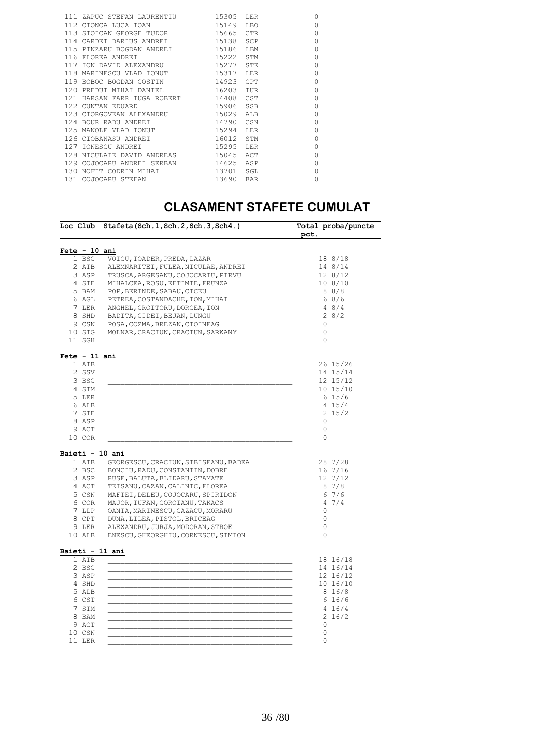|  | 111 ZAPUC STEFAN LAURENTIU        | 15305     | LER        | $\Omega$ |
|--|-----------------------------------|-----------|------------|----------|
|  | 112 CIONCA LUCA IOAN              | 15149     | <b>LBO</b> | $\Omega$ |
|  | 113 STOICAN GEORGE TUDOR          | 15665     | <b>CTR</b> | $\Omega$ |
|  | 114 CARDEI DARIUS ANDREI          | 15138 SCP |            | $\Omega$ |
|  | 115 PINZARU BOGDAN ANDREI 15186   |           | LBM        | $\Omega$ |
|  | 116 FLOREA ANDREI                 | 15222     | STM        | $\Omega$ |
|  | 117 ION DAVID ALEXANDRU           | 15277     | STE        | $\Omega$ |
|  | 118 MARINESCU VLAD IONUT          | 15317     | T.ER       | $\Omega$ |
|  | 119 BOBOC BOGDAN COSTIN 14923 CPT |           |            | $\Omega$ |
|  | 120 PREDUT MIHAI DANIEL           | 16203     | TUR        | $\Omega$ |
|  | 121 HARSAN FARR IUGA ROBERT 14408 |           | CST        | $\Omega$ |
|  | 122 CUNTAN EDUARD                 | 15906     | SSB        | $\Omega$ |
|  | 123 CIORGOVEAN ALEXANDRU          | 15029     | ALB        | $\Omega$ |
|  | 124 BOUR RADU ANDREI              | 14790     | CSN        | $\Omega$ |
|  | 125 MANOLE VLAD IONUT             | 15294     | LER        | $\Omega$ |
|  | 126 CIOBANASU ANDREI              | 16012     | STM        | $\Omega$ |
|  | 127 IONESCU ANDREI                | 15295     | LER        | $\Omega$ |
|  | 128 NICULAIE DAVID ANDREAS        | 15045     | ACT        | $\Omega$ |
|  | 129 COJOCARU ANDREI SERBAN        | 14625     | ASP        | $\Omega$ |
|  | 130 NOFIT CODRIN MIHAI            | 13701     | SGL        | $\Omega$ |
|  | 131 COJOCARU STEFAN               | 13690     | <b>BAR</b> | $\Omega$ |
|  |                                   |           |            |          |

#### **CLASAMENT STAFETE CUMULAT**

|                                                                                                            | Loc Club Stafeta(Sch.1,Sch.2,Sch.3,Sch4.)                                                                                                                                                                                                                                                                                                                          | Total proba/puncte<br>pct.                                                         |
|------------------------------------------------------------------------------------------------------------|--------------------------------------------------------------------------------------------------------------------------------------------------------------------------------------------------------------------------------------------------------------------------------------------------------------------------------------------------------------------|------------------------------------------------------------------------------------|
| Fete - 10 ani                                                                                              |                                                                                                                                                                                                                                                                                                                                                                    |                                                                                    |
| 1 BSC                                                                                                      | VOICU, TOADER, PREDA, LAZAR                                                                                                                                                                                                                                                                                                                                        | 18 8/18                                                                            |
| 2 ATB                                                                                                      | ALEMNARITEI, FULEA, NICULAE, ANDREI                                                                                                                                                                                                                                                                                                                                | 14 8/14                                                                            |
| 3 ASP                                                                                                      | TRUSCA, ARGESANU, COJOCARIU, PIRVU                                                                                                                                                                                                                                                                                                                                 | 12 8/12                                                                            |
| 4 STE                                                                                                      | MIHALCEA, ROSU, EFTIMIE, FRUNZA                                                                                                                                                                                                                                                                                                                                    | 108/10                                                                             |
| 5 BAM                                                                                                      | POP, BERINDE, SABAU, CICEU                                                                                                                                                                                                                                                                                                                                         | 88/8                                                                               |
| 6 AGL                                                                                                      | PETREA, COSTANDACHE, ION, MIHAI                                                                                                                                                                                                                                                                                                                                    | 68/6                                                                               |
| 7 LER                                                                                                      | ANGHEL, CROITORU, DORCEA, ION                                                                                                                                                                                                                                                                                                                                      | 48/4                                                                               |
| 8 SHD                                                                                                      | BADITA, GIDEI, BEJAN, LUNGU                                                                                                                                                                                                                                                                                                                                        | 28/2                                                                               |
| 9 CSN                                                                                                      | POSA, COZMA, BREZAN, CIOINEAG                                                                                                                                                                                                                                                                                                                                      | $\Omega$                                                                           |
| 10 STG                                                                                                     | MOLNAR, CRACIUN, CRACIUN, SARKANY                                                                                                                                                                                                                                                                                                                                  | 0                                                                                  |
| 11 SGH                                                                                                     |                                                                                                                                                                                                                                                                                                                                                                    | 0                                                                                  |
| Fete - 11 ani                                                                                              |                                                                                                                                                                                                                                                                                                                                                                    |                                                                                    |
| 1 ATB                                                                                                      |                                                                                                                                                                                                                                                                                                                                                                    | 26 15/26                                                                           |
| 2 SSV                                                                                                      |                                                                                                                                                                                                                                                                                                                                                                    | 14 15/14                                                                           |
| 3 BSC                                                                                                      |                                                                                                                                                                                                                                                                                                                                                                    | 12 15/12                                                                           |
| 4 STM                                                                                                      |                                                                                                                                                                                                                                                                                                                                                                    | 10 15/10                                                                           |
| 5 LER                                                                                                      |                                                                                                                                                                                                                                                                                                                                                                    | 6 15/6                                                                             |
| 6 ALB                                                                                                      |                                                                                                                                                                                                                                                                                                                                                                    | 4 15/4                                                                             |
| 7 STE                                                                                                      |                                                                                                                                                                                                                                                                                                                                                                    | $2\;15/2$                                                                          |
| 8 ASP                                                                                                      |                                                                                                                                                                                                                                                                                                                                                                    | $\circ$                                                                            |
| 9 ACT                                                                                                      |                                                                                                                                                                                                                                                                                                                                                                    | $\circ$                                                                            |
| 10 COR                                                                                                     |                                                                                                                                                                                                                                                                                                                                                                    | 0                                                                                  |
| Baieti - 10 ani<br>1 ATB<br>2 BSC<br>3 ASP<br>4 ACT<br>5 CSN<br>6 COR<br>7 LLP<br>8 CPT<br>9 LER<br>10 ALB | GEORGESCU, CRACIUN, SIBISEANU, BADEA<br>BONCIU, RADU, CONSTANTIN, DOBRE<br>RUSE, BALUTA, BLIDARU, STAMATE<br>TEISANU, CAZAN, CALINIC, FLOREA<br>MAFTEI, DELEU, COJOCARU, SPIRIDON<br>MAJOR, TUFAN, COROIANU, TAKACS<br>OANTA, MARINESCU, CAZACU, MORARU<br>DUNA, LILEA, PISTOL, BRICEAG<br>ALEXANDRU, JURJA, MODORAN, STROE<br>ENESCU, GHEORGHIU, CORNESCU, SIMION | 28 7/28<br>167/16<br>12 7/12<br>87/8<br>67/6<br>47/4<br>0<br>0<br>0<br>$\mathbf 0$ |
| Baieti - 11 ani                                                                                            |                                                                                                                                                                                                                                                                                                                                                                    |                                                                                    |
| 1 ATB                                                                                                      |                                                                                                                                                                                                                                                                                                                                                                    | 18 16/18                                                                           |
| 2 BSC                                                                                                      |                                                                                                                                                                                                                                                                                                                                                                    | 14 16/14                                                                           |
| 3 ASP                                                                                                      |                                                                                                                                                                                                                                                                                                                                                                    | 12 16/12                                                                           |
| 4 SHD                                                                                                      |                                                                                                                                                                                                                                                                                                                                                                    | 10 16/10                                                                           |
| 5 ALB                                                                                                      |                                                                                                                                                                                                                                                                                                                                                                    | 8 16/8                                                                             |
| 6 CST                                                                                                      |                                                                                                                                                                                                                                                                                                                                                                    | 6 16/6                                                                             |
| 7 STM                                                                                                      |                                                                                                                                                                                                                                                                                                                                                                    | 4 16/4                                                                             |
| 8 BAM                                                                                                      |                                                                                                                                                                                                                                                                                                                                                                    | 2 16/2                                                                             |
| 9 ACT                                                                                                      |                                                                                                                                                                                                                                                                                                                                                                    | 0                                                                                  |
| 10 CSN                                                                                                     |                                                                                                                                                                                                                                                                                                                                                                    | 0                                                                                  |
| 11 LER                                                                                                     |                                                                                                                                                                                                                                                                                                                                                                    | $\Omega$                                                                           |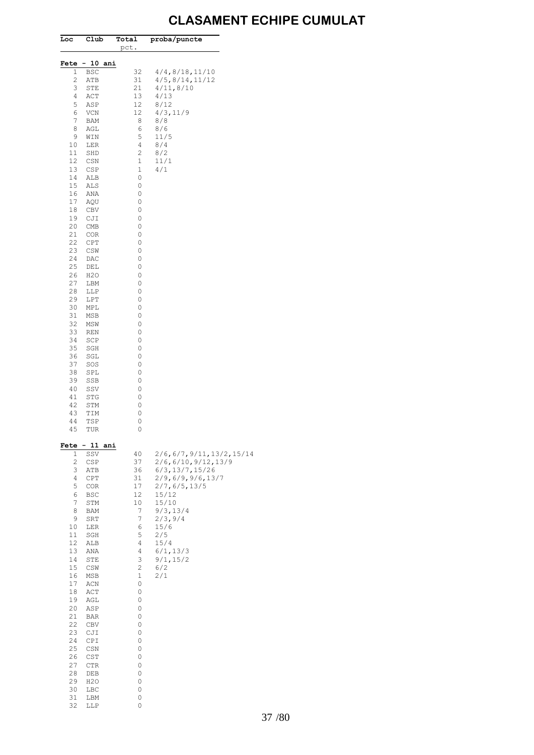### **CLASAMENT ECHIPE CUMULAT**

| Loc       | Club               | Total<br>pct.                                                                                                      | proba/puncte            |
|-----------|--------------------|--------------------------------------------------------------------------------------------------------------------|-------------------------|
| Fete      | $-10$<br>ani       |                                                                                                                    |                         |
| 1         | BSC                | 32                                                                                                                 | 4/4, 8/18, 11/10        |
| 2<br>3    | ATB                | 31<br>21                                                                                                           | 4/5, 8/14, 11/12        |
| 4         | STE<br>ACT         | 13                                                                                                                 | 4/11,8/10<br>4/13       |
| 5         | ASP                | 12                                                                                                                 | 8/12                    |
| 6         | VCN                | 12                                                                                                                 | 4/3, 11/9               |
| 7         | BAM                | 8                                                                                                                  | 8/8                     |
| 8         | AGL                | 6                                                                                                                  | 8/6                     |
| 9<br>10   | WIN<br>LER         | 5<br>4                                                                                                             | 11/5<br>8/4             |
| 11        | SHD                | $\mathbf{2}$                                                                                                       | 8/2                     |
| 12        | CSN                | $1\,$                                                                                                              | 11/1                    |
| 13        | CSP                | $1\,$                                                                                                              | 4/1                     |
| 14<br>15  | ALB                | 0<br>0                                                                                                             |                         |
| 16        | ALS<br>ANA         | 0                                                                                                                  |                         |
| 17        | AQU                | 0                                                                                                                  |                         |
| 18        | CBV                | 0                                                                                                                  |                         |
| 19        | CJI                | 0                                                                                                                  |                         |
| 20<br>21  | CMB                | 0<br>0                                                                                                             |                         |
| 22        | COR<br>CPT         | 0                                                                                                                  |                         |
| 23        | CSW                | 0                                                                                                                  |                         |
| 24        | DAC                | 0                                                                                                                  |                         |
| 25        | DEL                | 0                                                                                                                  |                         |
| 26<br>27  | H <sub>2</sub> O   | 0<br>0                                                                                                             |                         |
| 28        | LBM<br>LLP         | 0                                                                                                                  |                         |
| 29        | LPT                | 0                                                                                                                  |                         |
| 30        | MPL                | 0                                                                                                                  |                         |
| 31        | MSB                | 0                                                                                                                  |                         |
| 32<br>33  | MSW<br>REN         | 0<br>0                                                                                                             |                         |
| 34        | SCP                | 0                                                                                                                  |                         |
| 35        | SGH                | 0                                                                                                                  |                         |
| 36        | SGL                | 0                                                                                                                  |                         |
| 37<br>38  | SOS<br>SPL         | 0<br>0                                                                                                             |                         |
| 39        | SSB                | 0                                                                                                                  |                         |
| 40        | SSV                | 0                                                                                                                  |                         |
| 41        | STG                | 0                                                                                                                  |                         |
| 42        | STM                | 0                                                                                                                  |                         |
| 43<br>44  | TIM<br>TSP         | 0<br>0                                                                                                             |                         |
| 45        | TUR                | 0                                                                                                                  |                         |
| Fete<br>1 | - 11<br>ani<br>SSV | 40                                                                                                                 | 2/6,6/7,9/11,13/2,15/14 |
| 2         | CSP                | 37                                                                                                                 | 2/6, 6/10, 9/12, 13/9   |
| 3         | ATB                | 36                                                                                                                 | 6/3, 13/7, 15/26        |
| 4         | CPT                | 31                                                                                                                 | 2/9, 6/9, 9/6, 13/7     |
| 5<br>6    | COR<br>BSC         | 17<br>12                                                                                                           | 2/7, 6/5, 13/5<br>15/12 |
| 7         | STM                | 10                                                                                                                 | 15/10                   |
| 8         | BAM                | 7                                                                                                                  | 9/3, 13/4               |
| 9         | SRT                | 7                                                                                                                  | 2/3,9/4                 |
| 10        | LER                | 6                                                                                                                  | 15/6                    |
| 11<br>12  | SGH<br>ALB         | 5<br>4                                                                                                             | 2/5<br>15/4             |
| 13        | ANA                | 4                                                                                                                  | 6/1, 13/3               |
| 14        | STE                | 3                                                                                                                  | 9/1, 15/2               |
| 15        | CSW                | $\mathfrak{2}% _{T}=\mathfrak{2}_{T}\!\left( a,b\right) ,\ \mathfrak{2}_{T}=\mathfrak{2}_{T}\!\left( a,b\right) ,$ | 6/2                     |
| 16<br>17  | MSB<br>ACN         | $\mathbf 1$<br>0                                                                                                   | 2/1                     |
| 18        | ACT                | 0                                                                                                                  |                         |
| 19        | AGL                | 0                                                                                                                  |                         |
| 20        | ASP                | 0                                                                                                                  |                         |
| 21<br>22  | BAR<br>CBV         | 0<br>0                                                                                                             |                         |
| 23        | CJI                | 0                                                                                                                  |                         |
| 24        | CPI                | 0                                                                                                                  |                         |
| 25        | CSN                | 0                                                                                                                  |                         |
| 26<br>27  | CST<br>CTR         | 0<br>0                                                                                                             |                         |
| 28        | DEB                | 0                                                                                                                  |                         |
| 29        | H <sub>2</sub> O   | 0                                                                                                                  |                         |
| 30        | LBC                | 0                                                                                                                  |                         |
| 31<br>32  | LBM<br>LLP         | 0<br>0                                                                                                             |                         |
|           |                    |                                                                                                                    |                         |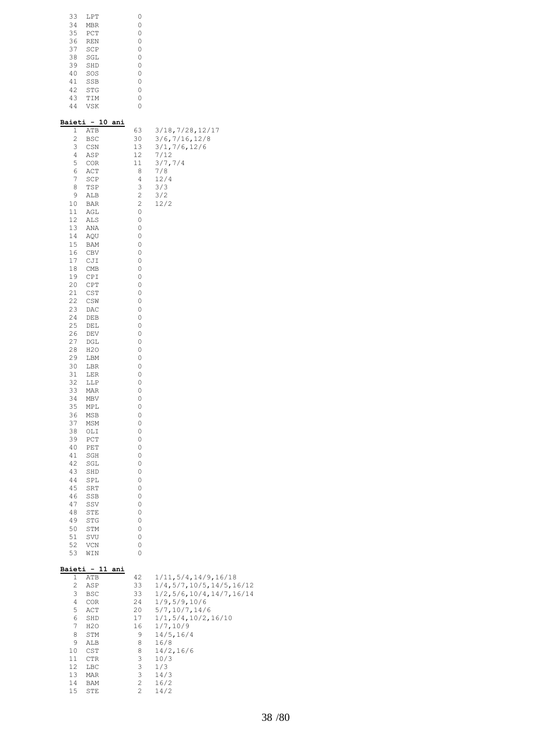| 33 | LPT        | Λ |
|----|------------|---|
| 34 | <b>MBR</b> | 0 |
| 35 | PCT        | 0 |
| 36 | <b>REN</b> | 0 |
| 37 | SCP        | 0 |
| 38 | SGL        | Ω |
| 39 | SHD        | Ω |
| 40 | SOS        | Ω |
| 41 | SSB        | Ω |
| 42 | <b>STG</b> | Ω |
| 43 | TIM        | 0 |
| 44 | <b>VSK</b> |   |

|                              | Baieti - 10 ani             |                                                                                                                    |                                   |
|------------------------------|-----------------------------|--------------------------------------------------------------------------------------------------------------------|-----------------------------------|
| 1                            | ATB                         | 63                                                                                                                 | 3/18, 7/28, 12/17                 |
| $\overline{\mathbf{c}}$<br>3 | BSC                         | 30<br>13                                                                                                           | 3/6, 7/16, 12/8<br>3/1, 7/6, 12/6 |
| 4                            | CSN<br>ASP                  | 12                                                                                                                 | 7/12                              |
| 5                            | COR                         | 11                                                                                                                 | 3/7, 7/4                          |
| 6                            | ACT                         | 8                                                                                                                  | 7/8                               |
| 7                            | SCP                         | 4                                                                                                                  | 12/4                              |
| 8                            | TSP                         | 3                                                                                                                  | 3/3                               |
| 9                            | ALB                         | $\mathfrak{2}% _{T}=\mathfrak{2}_{T}\!\left( a,b\right) ,\ \mathfrak{2}_{T}=\mathfrak{2}_{T}\!\left( a,b\right) ,$ | 3/2                               |
| 10                           | BAR                         | $\overline{c}$                                                                                                     | 12/2                              |
| 11                           | AGL                         | 0                                                                                                                  |                                   |
| 12                           | ALS                         | 0                                                                                                                  |                                   |
| 13                           | ANA                         | 0                                                                                                                  |                                   |
| 14                           | AQU                         | 0                                                                                                                  |                                   |
| 15                           | BAM                         | 0                                                                                                                  |                                   |
| 16<br>17                     | CBV<br>CJI                  | 0<br>0                                                                                                             |                                   |
| 18                           | CMB                         | 0                                                                                                                  |                                   |
| 19                           | CPI                         | 0                                                                                                                  |                                   |
| 20                           | CPT                         | 0                                                                                                                  |                                   |
| 21                           | CST                         | 0                                                                                                                  |                                   |
| 22                           | CSW                         | 0                                                                                                                  |                                   |
| 23                           | DAC                         | 0                                                                                                                  |                                   |
| 24                           | DEB                         | 0                                                                                                                  |                                   |
| 25                           | DEL                         | 0                                                                                                                  |                                   |
| 26                           | DEV                         | 0                                                                                                                  |                                   |
| 27                           | DGL                         | 0                                                                                                                  |                                   |
| 28                           | H2O                         | 0                                                                                                                  |                                   |
| 29<br>30                     | LBM                         | 0<br>0                                                                                                             |                                   |
| 31                           | LBR<br>LER                  | 0                                                                                                                  |                                   |
| 32                           | LLP                         | 0                                                                                                                  |                                   |
| 33                           | MAR                         | 0                                                                                                                  |                                   |
| 34                           | MBV                         | 0                                                                                                                  |                                   |
| 35                           | MPL                         | 0                                                                                                                  |                                   |
| 36                           | MSB                         | 0                                                                                                                  |                                   |
| 37                           | MSM                         | 0                                                                                                                  |                                   |
| 38                           | OLI                         | 0                                                                                                                  |                                   |
| 39                           | PCT                         | 0                                                                                                                  |                                   |
| 40                           | PET                         | 0                                                                                                                  |                                   |
| 41                           | SGH                         | 0                                                                                                                  |                                   |
| 42<br>43                     | SGL                         | 0<br>0                                                                                                             |                                   |
| 44                           | SHD<br>SPL                  | 0                                                                                                                  |                                   |
| 45                           | SRT                         | 0                                                                                                                  |                                   |
| 46                           | SSB                         | 0                                                                                                                  |                                   |
| 47                           | SSV                         | 0                                                                                                                  |                                   |
| 48                           | STE                         | 0                                                                                                                  |                                   |
| 49                           | <b>STG</b>                  | 0                                                                                                                  |                                   |
| 50                           | STM                         | 0                                                                                                                  |                                   |
| 51                           | SVU                         | 0                                                                                                                  |                                   |
| 52                           | VCN                         | 0                                                                                                                  |                                   |
| 53                           | WIN                         | 0                                                                                                                  |                                   |
|                              |                             |                                                                                                                    |                                   |
| 1                            | Baieti - 11 ani<br>ATB      | 42                                                                                                                 | 1/11, 5/4, 14/9, 16/18            |
| $\overline{c}$               | ASP                         | 33                                                                                                                 | 1/4,5/7,10/5,14/5,16/12           |
| 3                            | BSC                         | 33                                                                                                                 | $1/2$ , 5/6, 10/4, 14/7, 16/14    |
| 4                            | COR                         | 24                                                                                                                 | 1/9, 5/9, 10/6                    |
| 5                            | ACT                         | 20                                                                                                                 | 5/7, 10/7, 14/6                   |
| 6                            | SHD                         | 17                                                                                                                 | 1/1, 5/4, 10/2, 16/10             |
| 7                            | H2O                         | 16                                                                                                                 | 1/7, 10/9                         |
| 8                            | STM                         | 9                                                                                                                  | 14/5, 16/4                        |
| 9                            | ALB                         | 8                                                                                                                  | 16/8                              |
| 10                           | $\mathop{\tt CST}\nolimits$ | 8                                                                                                                  | 14/2, 16/6                        |
| 11                           | CTR                         | 3                                                                                                                  | 10/3                              |
| 12                           | LBC                         | 3<br>3                                                                                                             | 1/3                               |
| 13<br>14                     | MAR<br>BAM                  | 2                                                                                                                  | 14/3<br>16/2                      |
| 15                           | STE                         | 2                                                                                                                  | 14/2                              |
|                              |                             |                                                                                                                    |                                   |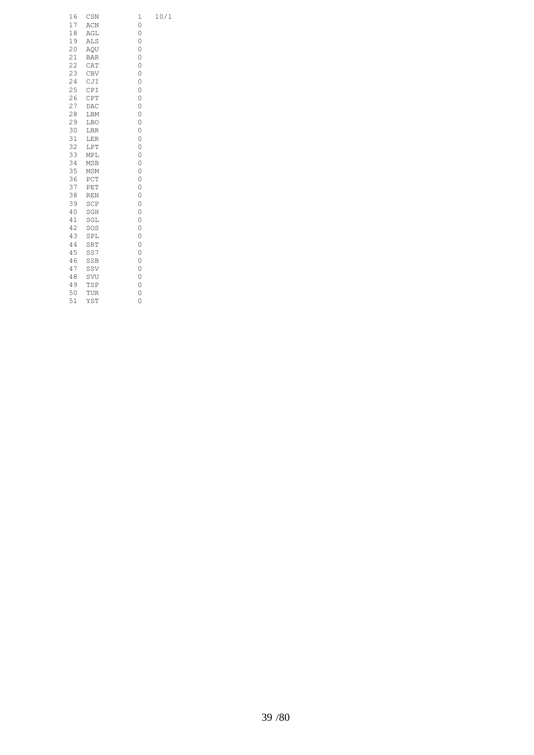| 16       | CSN               | 1<br>0 | 10/1 |
|----------|-------------------|--------|------|
| 17<br>18 | ACN               | 0      |      |
| 19       | AGL<br><b>ALS</b> | 0      |      |
| 20       |                   | 0      |      |
| 21       | AQU               | 0      |      |
|          | <b>BAR</b>        |        |      |
| 22       | CAT               | 0      |      |
| 23       | CBV               | 0      |      |
| 24       | CJI               | 0      |      |
| 25       | CPI               | 0      |      |
| 26       | CPT               | 0      |      |
| 27       | DAC               | 0      |      |
| 28       | LBM               | 0      |      |
| 29       | LBO               | 0      |      |
| 30       | LBR               | 0      |      |
| 31       | $_{\rm LER}$      | 0      |      |
| 32       | LPT               | 0      |      |
| 33       | MPL               | 0      |      |
| 34       | MSB               | 0      |      |
| 35       | MSM               | 0      |      |
| 36       | PCT               | 0      |      |
| 37       | PET               | 0      |      |
| 38       | $\mathbb{REN}$    | 0      |      |
| 39       | SCP               | 0      |      |
| 40       | SGH               | 0      |      |
| 41       | SGL               | 0      |      |
| 42       | SOS               | 0      |      |
| 43       | SPL               | 0      |      |
| 44       | SRT               | 0      |      |
| 45       | SS7               | 0      |      |
| 46       | SSB               | 0      |      |
| 47       | SSV               | 0      |      |
| 48       | SVU               | 0      |      |
| 49       | TSP               | 0      |      |
| 50       | TUR               | 0      |      |
| 51       | YST               | 0      |      |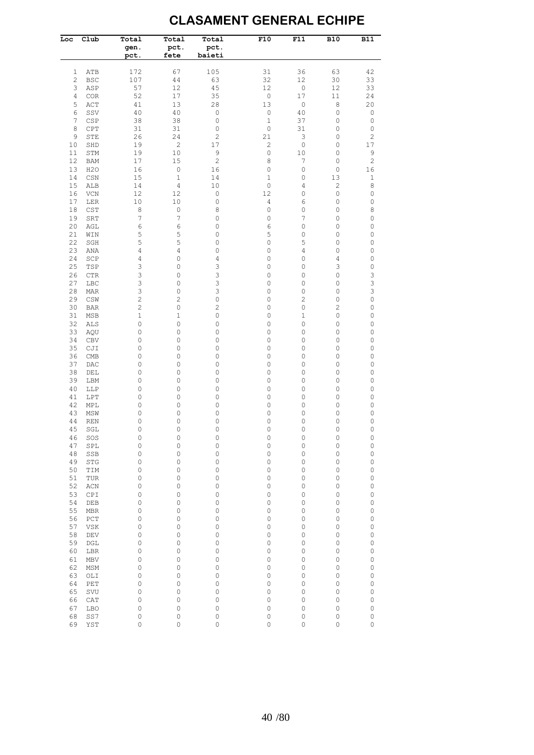#### **CLASAMENT GENERAL ECHIPE**

| Loc            | Club              | Total<br>gen.<br>pct. | Total<br>pct.<br>fete | Total<br>pct.<br>baieti | F10                  | F11               | <b>B10</b>     | $\overline{B11}$                   |
|----------------|-------------------|-----------------------|-----------------------|-------------------------|----------------------|-------------------|----------------|------------------------------------|
| 1              | ATB               | 172                   | 67                    | 105                     | 31                   | 36                | 63             | 42                                 |
| $\overline{c}$ | <b>BSC</b>        | 107                   | 44                    | 63                      | 32                   | 12                | 30             | 33                                 |
| 3              | ASP               | 57                    | 12                    | 45                      | 12                   | $\mathbb O$       | 12             | 33                                 |
| 4              | COR               | 52                    | 17                    | 35                      | $\mathbb O$          | 17                | $1\,1$         | 24                                 |
| 5              | ACT               | 41                    | 13                    | 28                      | 13                   | $\mathbb O$       | 8              | 20                                 |
| 6              | SSV               | 40                    | 40                    | $\mathbb O$             | $\mathsf O$          | 40                | 0              | $\mathbb O$                        |
| $\overline{7}$ | CSP               | 38                    | 38                    | $\mathbb O$             | $\mathbf 1$          | 37                | 0              | $\mathbb O$                        |
| 8              | CPT               | 31                    | 31<br>24              | $\mathbb O$             | $\circ$              | 31<br>$\mathsf 3$ | 0              | $\mathbb O$                        |
| 9<br>10        | STE<br>SHD        | 26<br>19              | $\overline{c}$        | $\overline{c}$<br>17    | 21<br>$\overline{c}$ | $\mathbb O$       | 0<br>0         | $\mathbf{2}$<br>$17$               |
| 11             | STM               | 19                    | 10                    | $\mathsf 9$             | 0                    | 10                | 0              | 9                                  |
| 12             | <b>BAM</b>        | 17                    | 15                    | $\mathbf{2}$            | 8                    | 7                 | 0              | $\sqrt{2}$                         |
| 13             | H2O               | 16                    | $\mathbb O$           | 16                      | 0                    | 0                 | 0              | 16                                 |
| 14             | CSN               | 15                    | $\mathbf{1}$          | 14                      | 1                    | 0                 | 13             | $\,1$                              |
| 15             | ALB               | 14                    | 4                     | 10                      | 0                    | 4                 | 2              | $\,8\,$                            |
| 16             | VCN               | 12                    | 12                    | $\mathbb O$             | 12                   | 0                 | 0              | 0                                  |
| 17             | LER               | $10$                  | 10                    | $\mathbb O$             | 4                    | 6                 | $\circ$        | $\mathbb O$                        |
| 18             | CST               | 8                     | $\mathbb O$           | 8                       | $\circ$              | 0                 | 0              | 8                                  |
| 19             | SRT               | $\boldsymbol{7}$      | $\overline{7}$        | 0                       | 0                    | $\overline{7}$    | 0              | $\mathbb O$                        |
| 20             | AGL               | 6                     | 6                     | 0                       | 6                    | 0                 | 0              | 0                                  |
| 21<br>22       | WIN               | 5                     | 5                     | 0                       | 5<br>$\circ$         | 0                 | 0              | 0                                  |
| 23             | SGH<br>ANA        | 5<br>4                | 5<br>4                | 0<br>$\mathbb O$        | 0                    | 5<br>4            | 0<br>$\circ$   | $\mathbb O$<br>$\mathsf{O}\xspace$ |
| 24             | SCP               | 4                     | 0                     | 4                       | 0                    | 0                 | 4              | 0                                  |
| 25             | TSP               | 3                     | 0                     | 3                       | 0                    | 0                 | 3              | $\mathsf{O}\xspace$                |
| 26             | <b>CTR</b>        | 3                     | 0                     | 3                       | 0                    | 0                 | 0              | 3                                  |
| 27             | LBC               | 3                     | 0                     | 3                       | 0                    | 0                 | $\circ$        | 3                                  |
| 28             | MAR               | 3                     | $\circ$               | 3                       | 0                    | 0                 | 0              | 3                                  |
| 29             | CSW               | $\overline{c}$        | $\overline{c}$        | $\mathbb O$             | 0                    | $\overline{c}$    | 0              | $\mathsf{O}\xspace$                |
| 30             | <b>BAR</b>        | $\overline{c}$        | 0                     | $\overline{c}$          | 0                    | 0                 | $\overline{c}$ | 0                                  |
| 31             | MSB               | 1                     | $\mathbf 1$           | $\mathbb O$             | 0                    | $\mathbf 1$       | 0              | $\mathbb O$                        |
| 32             | ALS               | 0                     | 0                     | 0                       | 0                    | 0                 | 0              | 0                                  |
| 33             | AQU               | 0                     | 0                     | 0                       | 0                    | 0                 | 0              | 0                                  |
| 34             | <b>CBV</b>        | 0                     | 0                     | 0                       | 0                    | 0                 | 0              | 0                                  |
| 35<br>36       | CJI               | 0<br>0                | 0<br>0                | 0<br>0                  | 0<br>0               | 0<br>0            | 0<br>0         | 0<br>0                             |
| 37             | <b>CMB</b><br>DAC | 0                     | 0                     | 0                       | 0                    | 0                 | 0              | 0                                  |
| 38             | DEL               | 0                     | 0                     | 0                       | 0                    | 0                 | 0              | 0                                  |
| 39             | LBM               | 0                     | 0                     | 0                       | 0                    | 0                 | 0              | 0                                  |
| 40             | LLP               | 0                     | 0                     | 0                       | 0                    | 0                 | 0              | 0                                  |
| 41             | LPT               | 0                     | 0                     | $\mathbb O$             | 0                    | 0                 | 0              | 0                                  |
| 42             | MPL               | 0                     | 0                     | 0                       | 0                    | 0                 | 0              | 0                                  |
| 43             | MSW               | 0                     | 0                     | 0                       | 0                    | 0                 | 0              | 0                                  |
| 44             | <b>REN</b>        | 0                     | 0                     | 0                       | 0                    | 0                 | 0              | 0                                  |
| 45             | SGL               | 0                     | $\circ$               | $\mathbf 0$             | 0                    | 0                 | 0              | $\mathsf{O}\xspace$                |
| 46             | SOS               | $\circ$               | $\mathbb O$           | $\mathbb O$             | 0                    | $\mathbb O$       | 0              | 0                                  |
| 47             | SPL               | $\circ$               | $\mathsf O$           | $\mathsf O$             | 0                    | 0                 | $\circ$        | $\mathsf O$                        |
| 48<br>49       | SSB<br><b>STG</b> | 0<br>0                | 0<br>0                | $\mathsf O$<br>0        | 0<br>0               | 0<br>0            | 0<br>0         | $\mathbb O$<br>0                   |
| 50             | TIM               | 0                     | 0                     | $\mathsf O$             | 0                    | 0                 | 0              | 0                                  |
| 51             | TUR               | 0                     | 0                     | 0                       | 0                    | 0                 | 0              | 0                                  |
| 52             | ACN               | 0                     | 0                     | 0                       | 0                    | 0                 | 0              | 0                                  |
| 53             | CPI               | 0                     | 0                     | 0                       | 0                    | 0                 | 0              | 0                                  |
| 54             | DEB               | 0                     | 0                     | 0                       | 0                    | 0                 | 0              | 0                                  |
| 55             | MBR               | 0                     | 0                     | 0                       | 0                    | 0                 | 0              | 0                                  |
| 56             | PCT               | 0                     | 0                     | 0                       | 0                    | 0                 | 0              | 0                                  |
| 57             | VSK               | 0                     | 0                     | 0                       | 0                    | 0                 | 0              | 0                                  |
| 58             | DEV               | 0                     | 0                     | 0                       | 0                    | 0                 | 0              | 0                                  |
| 59             | DGL               | 0                     | 0                     | 0                       | 0                    | 0                 | 0              | 0                                  |
| 60             | LBR               | 0                     | 0                     | 0                       | 0                    | 0                 | 0              | 0                                  |
| 61             | MBV               | 0                     | 0                     | 0                       | 0                    | 0                 | 0              | 0                                  |
| 62             | MSM               | 0                     | 0                     | 0                       | 0                    | 0                 | 0              | 0                                  |
| 63             | OLI               | 0                     | 0                     | 0                       | 0                    | 0                 | 0              | 0                                  |
| 64<br>65       | PET<br>SVU        | 0<br>0                | 0<br>0                | 0<br>0                  | 0<br>0               | 0<br>0            | 0<br>0         | 0<br>0                             |
| 66             | CAT               | 0                     | 0                     | 0                       | 0                    | 0                 | 0              | 0                                  |
| 67             | <b>LBO</b>        | 0                     | 0                     | 0                       | 0                    | 0                 | 0              | 0                                  |
| 68             | SS7               | 0                     | 0                     | 0                       | 0                    | 0                 | $\circ$        | 0                                  |
| 69             | YST               | 0                     | 0                     | $\mathsf O$             | 0                    | 0                 | $\circ$        | $\mathbb O$                        |
|                |                   |                       |                       |                         |                      |                   |                |                                    |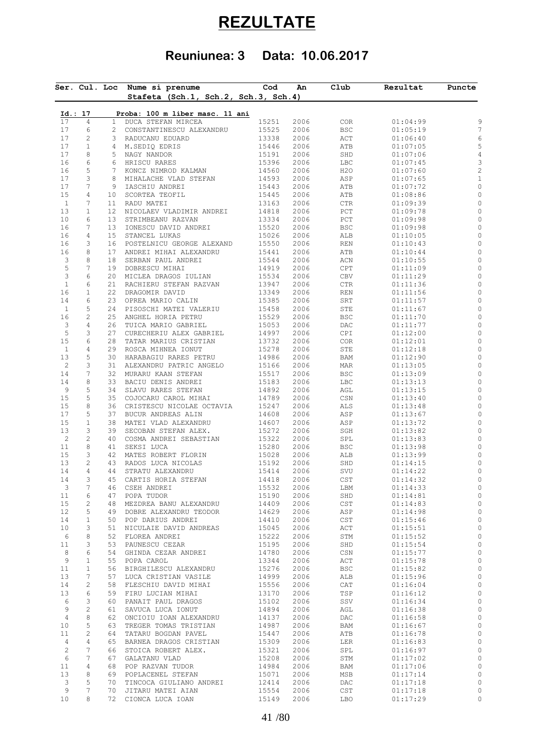# **REZULTATE**

## **Reuniunea: 3 Data: 10.06.2017**

|                | Ser. Cul. Loc  |                 | Nume si prenume<br>Stafeta (Sch.1, Sch.2, Sch.3, Sch.4) | $\mathsf{cod}$ | An   | Club             | Rezultat | Puncte |
|----------------|----------------|-----------------|---------------------------------------------------------|----------------|------|------------------|----------|--------|
|                |                |                 |                                                         |                |      |                  |          |        |
|                | Id.: 17        |                 | Proba: 100 m liber masc. 11 ani                         |                |      |                  |          |        |
| 17             | $\overline{4}$ | $\mathbf{1}$    | DUCA STEFAN MIRCEA                                      | 15251          | 2006 | COR              | 01:04:99 |        |
| 17             | 6              | $\overline{c}$  | CONSTANTINESCU ALEXANDRU                                | 15525          | 2006 | BSC              | 01:05:19 |        |
| 17             | 2              | 3               | RADUCANU EDUARD                                         | 13338          | 2006 | ACT              | 01:06:40 |        |
| 17             | $\mathbf{1}$   | 4               | M.SEDIQ EDRIS                                           | 15446          | 2006 | ATB              | 01:07:05 |        |
| 17             | 8              | 5               | NAGY NANDOR                                             | 15191          | 2006 | SHD              | 01:07:06 |        |
| 16             | 6              | 6               | HRISCU RARES                                            | 15396          | 2006 | LBC              | 01:07:45 |        |
| 16             | 5              | $7^{\circ}$     | KONCZ NIMROD KALMAN                                     | 14560          | 2006 | H <sub>2</sub> O | 01:07:60 |        |
| 17             | 3              | 8               | MIHALACHE VLAD STEFAN                                   | 14593          | 2006 | ASP              | 01:07:65 |        |
| 17             | 7              | 9               | IASCHIU ANDREI                                          | 15443          | 2006 | ATB              | 01:07:72 |        |
| 15             | 4              | 10 <sub>o</sub> | SCORTEA TEOFIL                                          | 15445          | 2006 | ATB              | 01:08:86 |        |
| $\mathbf{1}$   | 7              | 11              | RADU MATEI                                              | 13163          | 2006 | <b>CTR</b>       | 01:09:39 |        |
| 13             | 1              | 12 <sup>°</sup> | NICOLAEV VLADIMIR ANDREI                                | 14818          | 2006 | $_{\rm PCT}$     | 01:09:78 |        |
| 10             | 6              | 13              | STRIMBEANU RAZVAN                                       | 13334          | 2006 | PCT              | 01:09:98 |        |
| 16             | 7              | 13              | IONESCU DAVID ANDREI                                    | 15520          | 2006 | BSC              | 01:09:98 |        |
| 16             | $\overline{4}$ | 15              | STANCEL LUKAS                                           | 15026          | 2006 | ALB              | 01:10:05 |        |
| 16             | 3              | 16              | POSTELNICU GEORGE ALEXAND                               | 15550          | 2006 | REN              | 01:10:43 |        |
| 16             | 8              | 17              | ANDREI MIHAI ALEXANDRU                                  | 15441          | 2006 | ATB              | 01:10:44 |        |
| 3              | 8              | 18              | SERBAN PAUL ANDREI                                      | 15544          | 2006 | ACN              | 01:10:55 |        |
| 5              | 7              | 19              | DOBRESCU MIHAI                                          | 14919          | 2006 | CPT              | 01:11:09 |        |
| 3              | 6              | 20              | MICLEA DRAGOS IULIAN                                    | 15534          | 2006 | CBV              | 01:11:29 |        |
| $\mathbf{1}$   | 6              | 21              | RACHIERU STEFAN RAZVAN                                  | 13947          | 2006 | CTR              | 01:11:36 |        |
| 16             | $\mathbf{1}$   | 22              | DRAGOMIR DAVID                                          | 13349          | 2006 | REN              | 01:11:56 |        |
| 14             | 6              | 23              | OPREA MARIO CALIN                                       | 15385          | 2006 | SRT              | 01:11:57 |        |
| $\mathbf{1}$   | 5              | 24              | PISOSCHI MATEI VALERIU                                  | 15458          | 2006 | STE              | 01:11:67 |        |
| 16             | $\mathbf{2}$   | 25              | ANGHEL HORIA PETRU                                      | 15529          | 2006 | BSC              | 01:11:70 |        |
| 3              | $\overline{4}$ | 26              | TUICA MARIO GABRIEL                                     | 15053          | 2006 | DAC              | 01:11:77 |        |
| 5              | 3              | 27              | CURECHERIU ALEX GABRIEL                                 | 14997          | 2006 | CPI              | 01:12:00 |        |
| 15             | 6              | 28              | TATAR MARIUS CRISTIAN                                   | 13732          | 2006 | COR              | 01:12:01 |        |
| $\mathbf{1}$   | $\overline{4}$ | 29              | ROSCA MIHNEA IONUT                                      | 15278          | 2006 | STE              | 01:12:18 |        |
| 13             | 5              | 30              | HARABAGIU RARES PETRU                                   | 14986          | 2006 | BAM              | 01:12:90 |        |
| $\overline{c}$ | 3              | 31              | ALEXANDRU PATRIC ANGELO                                 | 15166          | 2006 | MAR              | 01:13:05 |        |
| 14             | 7              | 32              | MURARU KAAN STEFAN                                      | 15517          | 2006 | $_{\rm BSC}$     | 01:13:09 |        |
| 14             | $\,8\,$        | 33              | BACIU DENIS ANDREI                                      | 15183          | 2006 | LBC              | 01:13:13 |        |
| 9              | 5              | 34              | SLAVU RARES STEFAN                                      | 14892          | 2006 | AGL              | 01:13:15 |        |
| 15             | 5              | 35              | COJOCARU CAROL MIHAI                                    | 14789          | 2006 | CSN              | 01:13:40 |        |
| 15             | $\,8\,$        | 36              | CRISTESCU NICOLAE OCTAVIA                               | 15247          | 2006 | ALS              | 01:13:48 |        |
| 17             | 5              | 37              | BUCUR ANDREAS ALIN                                      | 14608          | 2006 | ASP              | 01:13:67 |        |
| 15             | $\mathbf{1}$   | 38              | MATEI VLAD ALEXANDRU                                    | 14607          | 2006 | ASP              | 01:13:72 |        |
| 13             | 3              | 39              | SECOBAN STEFAN ALEX.                                    | 15272          | 2006 | SGH              | 01:13:82 |        |
| $\overline{c}$ | $\mathbf{2}$   | 40              | COSMA ANDREI SEBASTIAN                                  | 15322          | 2006 | SPL              | 01:13:83 |        |
| 11             | $\,8\,$        | 41              | SEKSI LUCA                                              | 15280          | 2006 | BSC              | 01:13:98 |        |
| 15             | 3              | 42              | MATES ROBERT FLORIN                                     | 15028          | 2006 | ALB              | 01:13:99 |        |
| 13             | $\sqrt{2}$     | 43              | RADOS LUCA NICOLAS                                      | 15192          | 2006 | SHD              | 01:14:15 |        |
| 14             | $\overline{4}$ | 44              | STRATU ALEXANDRU                                        | 15414          | 2006 | SVU              |          |        |
| 14             | 3              | 45              |                                                         | 14418          | 2006 | CST              | 01:14:22 |        |
|                |                |                 | CARTIS HORIA STEFAN                                     |                |      |                  | 01:14:32 |        |
| 3              | 7              | 46              | CSEH ANDREI                                             | 15532          | 2006 | LBM              | 01:14:33 |        |
| 11             | 6              | 47              | POPA TUDOR                                              | 15190          | 2006 | SHD              | 01:14:81 |        |
| 15             | 2              | 48              | MEZDREA BANU ALEXANDRU                                  | 14409          | 2006 | CST              | 01:14:83 |        |
| 12             | 5              | 49              | DOBRE ALEXANDRU TEODOR                                  | 14629          | 2006 | ASP              | 01:14:98 |        |
| 14             | $\mathbf{1}$   | 50              | POP DARIUS ANDREI                                       | 14410          | 2006 | $\mathsf{CST}$   | 01:15:46 |        |
| 10             | 3              | 51              | NICULAIE DAVID ANDREAS                                  | 15045          | 2006 | ACT              | 01:15:51 |        |
| 6              | 8              | 52              | FLOREA ANDREI                                           | 15222          | 2006 | STM              | 01:15:52 |        |
| 11             | 3              | 53              | PAUNESCU CEZAR                                          | 15195          | 2006 | SHD              | 01:15:54 |        |
| 8              | 6              | 54              | GHINDA CEZAR ANDREI                                     | 14780          | 2006 | CSN              | 01:15:77 |        |
| 9              | $\mathbf{1}$   | 55              | POPA CAROL                                              | 13344          | 2006 | ACT              | 01:15:78 |        |
| 11             | $\mathbf{1}$   | 56              | BIRGHILESCU ALEXANDRU                                   | 15276          | 2006 | <b>BSC</b>       | 01:15:82 |        |
| 13             | 7              | 57              | LUCA CRISTIAN VASILE                                    | 14999          | 2006 | ALB              | 01:15:96 |        |
| 14             | $\mathbf{2}$   | 58              | FLESCHIU DAVID MIHAI                                    | 15556          | 2006 | CAT              | 01:16:04 |        |
| 13             | 6              | 59              | FIRU LUCIAN MIHAI                                       | 13170          | 2006 | TSP              | 01:16:12 |        |
| 6              | 3              | 60              | PANAIT PAUL DRAGOS                                      | 15102          | 2006 | SSV              | 01:16:34 |        |
| 9              | $\mathbf{2}$   | 61              | SAVUCA LUCA IONUT                                       | 14894          | 2006 | AGL              | 01:16:38 |        |
| $\overline{4}$ | 8              | 62              | ONCIOIU IOAN ALEXANDRU                                  | 14137          | 2006 | DAC              | 01:16:58 |        |
| 10             | 5              | 63              | TREGER TOMAS TRISTIAN                                   | 14987          | 2006 | BAM              | 01:16:67 |        |
| 11             | $\overline{c}$ | 64              | TATARU BOGDAN PAVEL                                     | 15447          | 2006 | ATB              | 01:16:78 |        |
| 4              | 4              | 65              | BARNEA DRAGOS CRISTIAN                                  | 15309          | 2006 | LER              | 01:16:83 |        |
| 2              | 7              | 66              | STOICA ROBERT ALEX.                                     | 15321          | 2006 | SPL              | 01:16:97 |        |
| 6              | 7              | 67              | GALATANU VLAD                                           | 15208          | 2006 | STM              | 01:17:02 |        |
| 11             | 4              | 68              | POP RAZVAN TUDOR                                        | 14984          | 2006 | BAM              | 01:17:06 |        |
| 13             | 8              | 69              | POPLACENEL STEFAN                                       | 15071          | 2006 | MSB              | 01:17:14 |        |
|                | 5              | 70              | TINCOCA GIULIANO ANDREI                                 | 12414          | 2006 | DAC              | 01:17:18 |        |
|                |                |                 |                                                         |                |      |                  |          |        |
| 3<br>9         | 7              | 70              | JITARU MATEI AIAN                                       | 15554          | 2006 | $\mathsf{CST}$   | 01:17:18 |        |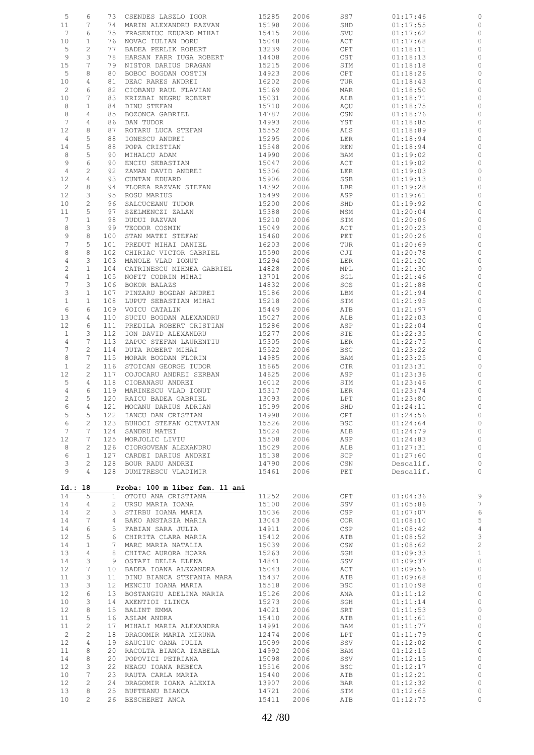| 5                 | 6                   | 73              | CSENDES LASZLO IGOR               | 15285          | 2006         | SS7                         | 01:17:46             | 0                  |
|-------------------|---------------------|-----------------|-----------------------------------|----------------|--------------|-----------------------------|----------------------|--------------------|
| 11                | 7                   | 74              | MARIN ALEXANDRU RAZVAN            | 15198          | 2006         | SHD                         | 01:17:55             | 0                  |
| $7\phantom{.0}$   | 6                   | 75              | FRASENIUC EDUARD MIHAI            | 15415          | 2006         | SVU                         | 01:17:62             | 0                  |
| 10                | $\mathbf 1$         | 76              | NOVAC IULIAN DORU                 | 15048          | 2006         | ACT                         | 01:17:68             | 0                  |
| 5                 | 2                   | 77              | BADEA PERLIK ROBERT               | 13239          | 2006         | CPT                         | 01:18:11             | 0                  |
| $\overline{9}$    | 3                   | 78              | HARSAN FARR IUGA ROBERT           | 14408          | 2006         | $\mathop{\tt CST}\nolimits$ | 01:18:13             | $\circ$            |
| 15                | 7                   | 79              | NISTOR DARIUS DRAGAN              | 15215          | 2006         | STM                         | 01:18:18             | 0                  |
| 5                 | 8                   | 80              | BOBOC BOGDAN COSTIN               | 14923          | 2006         | CPT                         | 01:18:26             | 0                  |
| 10                | 4                   | 81              | DEAC RARES ANDREI                 | 16202          | 2006         | TUR                         | 01:18:43             | 0                  |
| $\overline{c}$    | 6                   | 82              | CIOBANU RAUL FLAVIAN              | 15169          | 2006         | MAR                         | 01:18:50             | 0                  |
| 10                | 7                   | 83              | KRIZBAI NEGRU ROBERT              | 15031          | 2006         | ALB                         | 01:18:71             | 0                  |
| 8                 | $\mathbf{1}$        | 84              | DINU STEFAN                       | 15710          | 2006         | AQU                         | 01:18:75             | 0                  |
| 8                 | 4                   | 85              | BOZONCA GABRIEL                   | 14787          | 2006         | CSN                         | 01:18:76             | 0                  |
| $7\phantom{.0}$   | 4                   | 86              | DAN TUDOR                         | 14993          | 2006         | YST                         | 01:18:85             | 0                  |
| 12                | 8                   | 87              | ROTARU LUCA STEFAN                | 15552          | 2006         | ALS                         | 01:18:89             | 0                  |
|                   | 5                   | 88              |                                   | 15295          | 2006         |                             |                      | 0                  |
| 4<br>14           | 5                   | 88              | IONESCU ANDREI                    | 15548          |              | LER                         | 01:18:94             | 0                  |
|                   |                     |                 | POPA CRISTIAN                     |                | 2006         | REN                         | 01:18:94             |                    |
| 8                 | 5                   | 90              | MIHALCU ADAM                      | 14990          | 2006         | BAM                         | 01:19:02             | 0                  |
| 9                 | 6                   | 90              | ENCIU SEBASTIAN                   | 15047          | 2006         | ACT                         | 01:19:02             | 0                  |
| $\overline{4}$    | 2                   | 92              | ZAMAN DAVID ANDREI                | 15306          | 2006         | LER                         | 01:19:03             | 0                  |
| 12                | $\overline{4}$      | 93              | CUNTAN EDUARD                     | 15906          | 2006         | SSB                         | 01:19:13             | 0                  |
| $\overline{c}$    | 8                   | 94              | FLOREA RAZVAN STEFAN              | 14392          | 2006         | LBR                         | 01:19:28             | 0                  |
| 12                | 3                   | 95              | ROSU MARIUS                       | 15499          | 2006         | ASP                         | 01:19:61             | 0                  |
| 10                | $\mathbf{2}$        | 96              | SALCUCEANU TUDOR                  | 15200          | 2006         | SHD                         | 01:19:92             | 0                  |
| 11                | 5                   | 97              | SZELMENCZI ZALAN                  | 15388          | 2006         | MSM                         | 01:20:04             | 0                  |
| $7\phantom{.0}$   | $\mathbf{1}$        | 98              | DUDUI RAZVAN                      | 15210          | 2006         | STM                         | 01:20:06             | 0                  |
| 8                 | 3                   | 99              | TEODOR COSMIN                     | 15049          | 2006         | ACT                         | 01:20:23             | 0                  |
| 9                 | 8                   | 100             | STAN MATEI STEFAN                 | 15460          | 2006         | PET                         | 01:20:26             | 0                  |
| $\overline{7}$    | 5                   | 101             | PREDUT MIHAI DANIEL               | 16203          | 2006         | TUR                         | 01:20:69             | 0                  |
| 8                 | 8                   | 102             | CHIRIAC VICTOR GABRIEL            | 15590          | 2006         | CJI                         | 01:20:78             | 0                  |
| $\sqrt{4}$        | 3                   | 103             | MANOLE VLAD IONUT                 | 15294          | 2006         | LER                         | 01:21:20             | 0                  |
| $\sqrt{2}$        | $\mathbf{1}$        | 104             | CATRINESCU MIHNEA GABRIEL         | 14828          | 2006         | MPL                         | 01:21:30             | 0                  |
| $\sqrt{4}$        | $\mathbf{1}$        | 105             | NOFIT CODRIN MIHAI                | 13701          | 2006         | SGL                         | 01:21:46             | 0                  |
| $\overline{7}$    | 3                   | 106             | BOKOR BALAZS                      | 14832          | 2006         | SOS                         | 01:21:88             | 0                  |
| 3                 | $\mathbf{1}$        | 107             | PINZARU BOGDAN ANDREI             | 15186          | 2006         | LBM                         | 01:21:94             | 0                  |
| $\mathbf{1}$      | $\mathbf{1}$        | 108             | LUPUT SEBASTIAN MIHAI             | 15218          | 2006         | STM                         | 01:21:95             | 0                  |
| 6                 | 6                   | 109             | VOICU CATALIN                     | 15449          | 2006         | ATB                         | 01:21:97             | 0                  |
| 13                | 4                   | 110             | SUCIU BOGDAN ALEXANDRU            | 15027          | 2006         | ALB                         | 01:22:03             | 0                  |
| 12                | 6                   | 111             | PREDILA ROBERT CRISTIAN           | 15286          | 2006         | ASP                         | 01:22:04             | 0                  |
| $\mathbf{1}$      | 3                   | 112             | ION DAVID ALEXANDRU               | 15277          | 2006         | STE                         | 01:22:35             | 0                  |
| $\overline{4}$    | 7                   | 113             | ZAPUC STEFAN LAURENTIU            | 15305          | 2006         | LER                         | 01:22:75             | 0                  |
| 7                 | 2                   | 114             | DUTA ROBERT MIHAI                 | 15522          | 2006         | BSC                         | 01:23:22             | 0                  |
| 8                 | 7                   | 115             | MORAR BOGDAN FLORIN               | 14985          | 2006         | BAM                         | 01:23:25             | 0                  |
| $\mathbf{1}$      | $\mathbf{2}$        | 116             | STOICAN GEORGE TUDOR              | 15665          | 2006         | CTR                         | 01:23:31             | 0                  |
| 12                | 2                   | 117             | COJOCARU ANDREI SERBAN            | 14625          | 2006         | ASP                         | 01:23:36             | $\circ$            |
| 5                 | 4                   | 118             | CIOBANASU ANDREI                  | 16012          | 2006         | STM                         | 01:23:46             | 0                  |
| 4                 | 6                   | 119             | MARINESCU VLAD IONUT              | 15317          | 2006         | LER                         | 01:23:74             | $\circ$            |
| 2                 | 5                   | 120             | RAICU BADEA GABRIEL               | 13093          | 2006         | LPT                         | 01:23:80             | 0                  |
| 6                 | $\overline{4}$      | 121             | MOCANU DARIUS ADRIAN              | 15199          | 2006         | SHD                         | 01:24:11             | $\circ$            |
| 5                 | 5                   | 122             | IANCU DAN CRISTIAN                | 14998          | 2006         | CPI                         | 01:24:56             | $\circ$            |
| 6                 | $\mathbf{2}$        | 123             | BUHOCI STEFAN OCTAVIAN            | 15526          | 2006         | <b>BSC</b>                  | 01:24:64             | $\circ$            |
| $7\phantom{.0}$   | 7                   | 124             | SANDRU MATEI                      | 15024          | 2006         | ALB                         | 01:24:79             | $\circ$            |
| 12                | 7                   | 125             | MORJOLIC LIVIU                    |                | 2006         | ASP                         | 01:24:83             | $\circ$            |
| 8                 |                     |                 |                                   |                |              |                             |                      |                    |
|                   |                     |                 |                                   | 15508          |              |                             |                      |                    |
|                   | $\mathbf{2}$        | 126             | CIORGOVEAN ALEXANDRU              | 15029          | 2006         | ALB                         | 01:27:31             | $\mathbb{O}$       |
| 6                 | $\mathbf 1$         | 127             | CARDEI DARIUS ANDREI              | 15138          | 2006         | SCP                         | 01:27:60             | $\circ$            |
| 3                 | $\mathbf{2}$        | 128             | BOUR RADU ANDREI                  | 14790          | 2006         | CSN                         | Descalif.            | $\circ$            |
| 9                 | $\overline{4}$      | 128             | DUMITRESCU VLADIMIR               | 15461          | 2006         | PET                         | Descalif.            | $\circ$            |
|                   |                     |                 |                                   |                |              |                             |                      |                    |
| Id.: 18           |                     |                 | Proba: 100 m liber fem. 11 ani    |                |              |                             |                      |                    |
| 14                | 5                   | $\mathbf{1}$    | OTOIU ANA CRISTIANA               | 11252          | 2006         | CPT                         | 01:04:36             | 9                  |
| 14                | $\overline{4}$      |                 | 2 URSU MARIA IOANA                | 15100          | 2006         | SSV                         | 01:05:86             | $\overline{7}$     |
| 14                | $\mathbf{2}$        | 3               | STIRBU IOANA MARIA                | 15036          | 2006         | CSP                         | 01:07:07             | $\epsilon$         |
| 14                | 7                   | 4               | BAKO ANSTASIA MARIA               | 13043          | 2006         | <b>COR</b>                  | 01:08:10             | 5                  |
| 14                | 6                   | 5               | FABIAN SARA JULIA                 | 14911          | 2006         | CSP                         | 01:08:42             | $\overline{4}$     |
| 12                | 5                   | 6               | CHIRITA CLARA MARIA               | 15412          | 2006         | ATB                         | 01:08:52             | $\mathbf{3}$       |
| 14                | $\mathbf{1}$        | 7               | MARC MARIA NATALIA                | 15039          | 2006         | CSW                         | 01:08:62             | $\overline{c}$     |
| 13                | 4                   | 8               | CHITAC AURORA HOARA               | 15263          | 2006         | SGH                         | 01:09:33             | $\mathbf{1}$       |
| 14                | 3                   | 9               | OSTAFI DELIA ELENA                | 14841          | 2006         | SSV                         | 01:09:37             | $\circ$            |
| 12                | 7                   | 10              | BADEA IOANA ALEXANDRA             | 15043          | 2006         | ACT                         | 01:09:56             | $\circ$            |
| 11                | 3                   | 11              | DINU BIANCA STEFANIA MARA         | 15437          | 2006         | ATB                         | 01:09:68             | $\circ$            |
| 13                | 3                   | 12 <sup>°</sup> | MENCIU IOANA MARIA                | 15518          | 2006         | <b>BSC</b>                  | 01:10:98             | $\circ$            |
| 12                | 6                   | 13              | BOSTANGIU ADELINA MARIA           | 15126          | 2006         | ANA                         | 01:11:12             | $\circ$            |
| 10                | 3                   | 14              | AXENTIOI ILINCA                   | 15273          | 2006         | SGH                         | 01:11:14             | $\circ$            |
| 12                | 8                   | 15 <sub>1</sub> | BALINT EMMA                       | 14021          | 2006         | SRT                         | 01:11:53             | $\mathbb{O}$       |
| 11                | 5                   | 16              | ASLAM ANDRA                       | 15410          | 2006         | ATB                         | 01:11:61             | $\circ$            |
| 11                | $\mathbf{2}$        | 17              | MIHALI MARIA ALEXANDRA            | 14991          | 2006         | BAM                         | 01:11:77             | $\circ$            |
| $\overline{c}$    | 2                   | 18              | DRAGOMIR MARIA MIRUNA             | 12474          | 2006         | LPT                         | 01:11:79             | $\circ$            |
| 12                | 4                   | 19              | SAUCIUC OANA IULIA                | 15099          | 2006         | SSV                         | 01:12:02             | $\mathbb O$        |
| 11                | 8                   | 20              | RACOLTA BIANCA ISABELA            | 14992          | 2006         | BAM                         | 01:12:15             | $\circ$            |
| 14                | 8                   | 20              | POPOVICI PETRIANA                 | 15098          | 2006         | SSV                         | 01:12:15             | $\circ$            |
| $12 \overline{ }$ | 3                   | 22              | NEAGU IOANA REBECA                | 15516          | 2006         | <b>BSC</b>                  | 01:12:17             | $\circ$            |
| 10                | 7                   | 23              | RAUTA CARLA MARIA                 | 15440          | 2006         | ATB                         | 01:12:21             | $\circ$            |
| $12 \overline{ }$ | $\mathbf{2}$        | 24              | DRAGOMIR IOANA ALEXIA             | 13907          | 2006         | BAR                         | 01:12:32             | $\circ$            |
| 13<br>10          | 8<br>$\overline{2}$ | 25<br>26        | BUFTEANU BIANCA<br>BESCHERET ANCA | 14721<br>15411 | 2006<br>2006 | STM<br>ATB                  | 01:12:65<br>01:12:75 | $\circ$<br>$\circ$ |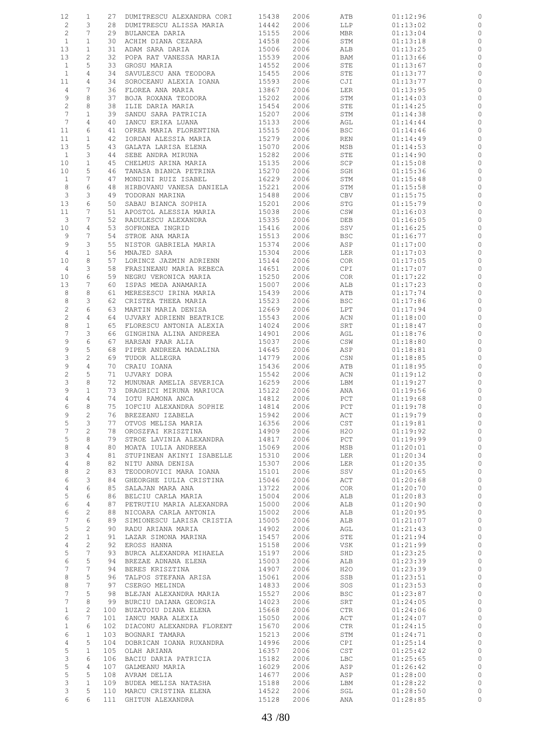| 12              | 1                     | 27  | DUMITRESCU ALEXANDRA CORI | 15438 | 2006 | ATB        | 01:12:96             |                             |
|-----------------|-----------------------|-----|---------------------------|-------|------|------------|----------------------|-----------------------------|
| $\overline{c}$  | 3                     | 28  | DUMITRESCU ALISSA MARIA   | 14442 | 2006 | LLP        | 01:13:02             | 0                           |
| 2               | 7                     | 29  | BULANCEA DARIA            | 15155 | 2006 | MBR        | 01:13:04             | 0                           |
| $\mathbf{1}$    | 1                     | 30  | ACHIM DIANA CEZARA        | 14558 | 2006 | STM        | 01:13:18             | 0                           |
| 13              | $\mathbf{1}$          | 31  | ADAM SARA DARIA           | 15006 | 2006 | ALB        | 01:13:25             | 0                           |
|                 |                       |     |                           |       |      |            |                      |                             |
| 13              | $\mathbf{2}$          | 32  | POPA RAT VANESSA MARIA    | 15539 | 2006 | BAM        | 01:13:66             | $\circ$                     |
| $\mathbf{1}$    | 5                     | 33  | GROSU MARIA               | 14552 | 2006 | STE        | 01:13:67             | 0                           |
| $\mathbf{1}$    | 4                     | 34  | SAVULESCU ANA TEODORA     | 15455 | 2006 | STE        | 01:13:77             | 0                           |
| 11              | 4                     | 34  | SOROCEANU ALEXIA IOANA    | 15593 | 2006 | CJI        | 01:13:77             | 0                           |
| 4               | 7                     | 36  | FLOREA ANA MARIA          | 13867 | 2006 | LER        | 01:13:95             | 0                           |
| 9               | 8                     | 37  | BOJA ROXANA TEODORA       | 15202 | 2006 | STM        | 01:14:03             | 0                           |
| $\mathbf{2}$    | 8                     | 38  | ILIE DARIA MARIA          | 15454 | 2006 | STE        | 01:14:25             | $\circ$                     |
| $7\phantom{.0}$ | $\mathbf{1}$          | 39  | SANDU SARA PATRICIA       | 15207 | 2006 | STM        | 01:14:38             | 0                           |
| 7               | 4                     | 40  | IANCU ERIKA LUANA         | 15133 | 2006 | AGL        | 01:14:44             | $\circ$                     |
| 11              | 6                     | 41  | OPREA MARIA FLORENTINA    | 15515 | 2006 | <b>BSC</b> | 01:14:46             | 0                           |
| 11              | $\mathbf{1}$          | 42  | IORDAN ALESSIA MARIA      | 15279 | 2006 | REN        | 01:14:49             | 0                           |
|                 | 5                     | 43  |                           | 15070 |      |            |                      | 0                           |
| 13              |                       |     | GALATA LARISA ELENA       |       | 2006 | MSB        | 01:14:53             |                             |
| $\mathbf{1}$    | 3                     | 44  | SEBE ANDRA MIRUNA         | 15282 | 2006 | STE        | 01:14:90             | $\circ$                     |
| 10              | $\mathbf{1}$          | 45  | CHELMUS ARINA MARIA       | 15135 | 2006 | SCP        | 01:15:08             | 0                           |
| 10              | 5                     | 46  | TANASA BIANCA PETRINA     | 15270 | 2006 | SGH        | 01:15:36             | $\circ$                     |
| $\mathbf{1}$    | 7                     | 47  | MONDINI RUIZ ISABEL       | 16229 | 2006 | STM        | 01:15:48             | 0                           |
| 8               | 6                     | 48  | HIRBOVANU VANESA DANIELA  | 15221 | 2006 | STM        | 01:15:58             | 0                           |
| $\mathcal{E}$   | 3                     | 49  | TODORAN MARINA            | 15488 | 2006 | CBV        | 01:15:75             | 0                           |
| 13              | 6                     | 50  | SABAU BIANCA SOPHIA       | 15201 | 2006 | STG        | 01:15:79             | $\circ$                     |
| 11              | 7                     | 51  | APOSTOL ALESSIA MARIA     | 15038 | 2006 | CSW        | 01:16:03             | 0                           |
| 3               | 7                     | 52  | RADULESCU ALEXANDRA       | 15335 | 2006 | DEB        | 01:16:05             | $\circ$                     |
| 10              | 4                     | 53  | SOFRONEA INGRID           | 15416 | 2006 | SSV        | 01:16:25             | 0                           |
| 9               | 7                     | 54  | STROE ANA MARIA           | 15513 | 2006 | <b>BSC</b> | 01:16:77             | $\circ$                     |
| 9               | 3                     | 55  | NISTOR GABRIELA MARIA     | 15374 | 2006 | ASP        | 01:17:00             | 0                           |
| $\overline{4}$  | $\mathbf{1}$          | 56  | MNAJED SARA               | 15304 | 2006 | LER        | 01:17:03             | 0                           |
| 10              | 8                     | 57  | LORINCZ JAZMIN ADRIENN    | 15144 | 2006 | <b>COR</b> | 01:17:05             | 0                           |
| 4               | 3                     | 58  | FRASINEANU MARIA REBECA   | 14651 | 2006 | CPI        | 01:17:07             | 0                           |
| 10              | 6                     | 59  | NEGRU VERONICA MARIA      | 15250 | 2006 | <b>COR</b> | 01:17:22             | 0                           |
| 13              | 7                     | 60  |                           | 15007 |      |            |                      |                             |
|                 |                       |     | ISPAS MEDA ANAMARIA       |       | 2006 | ALB        | 01:17:23             | 0                           |
| 8               | 8                     | 61  | MERESESCU IRINA MARIA     | 15439 | 2006 | ATB        | 01:17:74             | 0                           |
| 8               | 3                     | 62  | CRISTEA THEEA MARIA       | 15523 | 2006 | <b>BSC</b> | 01:17:86             | 0                           |
| $\overline{c}$  | 6                     | 63  | MARTIN MARIA DENISA       | 12669 | 2006 | LPT        | 01:17:94             | 0                           |
| $\overline{c}$  | 4                     | 64  | UJVARY ADRIENN BEATRICE   | 15543 | 2006 | ACN        | 01:18:00             | 0                           |
| $\,8\,$         | $\mathbf{1}$          | 65  | FLORESCU ANTONIA ALEXIA   | 14024 | 2006 | SRT        | 01:18:47             | 0                           |
| $\overline{7}$  | 3                     | 66  | GINGHINA ALINA ANDREEA    | 14901 | 2006 | AGL        | 01:18:76             | 0                           |
| 9               | 6                     | 67  | HARSAN FAAR ALIA          | 15037 | 2006 | CSW        | 01:18:80             | 0                           |
| 9               | 5                     | 68  | PIPER ANDREEA MADALINA    | 14645 | 2006 | ASP        | 01:18:81             | 0                           |
| 3               | $\mathbf{2}$          | 69  | TUDOR ALLEGRA             | 14779 | 2006 | CSN        | 01:18:85             | 0                           |
| 9               | 4                     | 70  | CRAIU IOANA               | 15436 | 2006 | ATB        | 01:18:95             | 0                           |
| $\sqrt{2}$      | 5                     | 71  | UJVARY DORA               | 15542 | 2006 | ACN        | 01:19:12             | 0                           |
| 3               | 8                     | 72  | MUNUNAR AMELIA SEVERICA   | 16259 | 2006 | LBM        | 01:19:27             | 0                           |
| 9               | $\mathbf{1}$          | 73  | DRAGHICI MIRUNA MARIUCA   | 15122 | 2006 | ANA        | 01:19:56             | 0                           |
| 4               | 4                     | 74  | IOTU RAMONA ANCA          | 14812 | 2006 | PCT        |                      | 0                           |
| 6               | 8                     | 75  |                           |       |      |            | 01:19:68<br>01:19:78 |                             |
|                 |                       |     | IOFCIU ALEXANDRA SOPHIE   | 14814 | 2006 | PCT        |                      | $\circ$                     |
| 9               | 2                     |     | 76 BREZEANU IZABELA       | 15942 | 2006 | ACT        | 01:19:79             |                             |
| 5               | 3                     | 77  | OTVOS MELISA MARIA        | 16356 | 2006 | CST        | 01:19:81             | $\circ$                     |
| 7               | $\mathbf{2}^{\prime}$ | 78  | OROSZFAI KRISZTINA        | 14909 | 2006 | H2O        | 01:19:92             | $\circ$                     |
| 5               | 8                     | 79  | STROE LAVINIA ALEXANDRA   | 14817 | 2006 | PCT        | 01:19:99             | $\circ$                     |
| 8               | 4                     | 80  | MOATA IULIA ANDREEA       | 15069 | 2006 | MSB        | 01:20:01             | $\circ$                     |
| 3               | 4                     | 81  | STUPINEAN AKINYI ISABELLE | 15310 | 2006 | LER        | 01:20:34             | $\mathbb O$                 |
| 4               | 8                     | 82  | NITU ANNA DENISA          | 15307 | 2006 | LER        | 01:20:35             | $\circ$                     |
| 8               | 2                     | 83  | TEODOROVICI MARA IOANA    | 15101 | 2006 | SSV        | 01:20:65             | $\circ$                     |
| 6               | 3                     | 84  | GHEORGHE IULIA CRISTINA   | 15046 | 2006 | ACT        | 01:20:68             | $\circ$                     |
| 4               | 6                     | 85  | SALAJAN MARA ANA          | 13722 | 2006 | COR.       | 01:20:70             | $\circ$                     |
| 5               | 6                     | 86  | BELCIU CARLA MARIA        | 15004 | 2006 | ALB        | 01:20:83             | $\circ$                     |
| 6               | 4                     | 87  | PETRUTIU MARIA ALEXANDRA  | 15000 | 2006 | ALB        | 01:20:90             | $\circ$                     |
| 6               | 2                     | 88  | NICOARA CARLA ANTONIA     | 15002 | 2006 | ALB        | 01:20:95             | $\circ$                     |
| $\overline{7}$  | 6                     | 89  | SIMIONESCU LARISA CRISTIA | 15005 | 2006 | ALB        | 01:21:07             | $\circ$                     |
| 5               | $\overline{c}$        | 90  | RADU ARIANA MARIA         | 14902 | 2006 | AGL        | 01:21:43             | $\circ$                     |
| $\overline{c}$  | $\mathbf{1}$          | 91  | LAZAR SIMONA MARINA       | 15457 | 2006 | STE        | 01:21:94             | $\circ$                     |
| 4               | $\overline{c}$        | 92  | EROSS HANNA               | 15158 | 2006 | VSK        | 01:21:99             | $\circ$                     |
| $\mathsf S$     | $7\phantom{.0}$       | 93  | BURCA ALEXANDRA MIHAELA   | 15197 | 2006 | SHD        | 01:23:25             | $\circ$                     |
| 6               | 5                     | 94  |                           |       |      |            |                      |                             |
| $7\phantom{.0}$ | $7\phantom{.0}$       |     | BREZAE ADNANA ELENA       | 15003 | 2006 | ALB        | 01:23:39             | $\mathbb{C}$<br>$\mathbb O$ |
|                 |                       | 94  | BERES KRISZTINA           | 14907 | 2006 | H2O        | 01:23:39             |                             |
| 8               | 5                     | 96  | TALPOS STEFANA ARISA      | 15061 | 2006 | SSB        | 01:23:51             | $\circ$                     |
| 8               | 7                     | 97  | CSERGO MELINDA            | 14833 | 2006 | SOS        | 01:23:53             | $\mathbb O$                 |
| $7\phantom{.0}$ | 5                     | 98  | BLEJAN ALEXANDRA MARIA    | 15527 | 2006 | <b>BSC</b> | 01:23:87             | $\mathbb O$                 |
| 7               | 8                     | 99  | BURCIU DAIANA GEORGIA     | 14023 | 2006 | SRT        | 01:24:05             | $\mathbb{C}$                |
| $\mathbf{1}$    | $\mathbf{2}$          | 100 | BUZATOIU DIANA ELENA      | 15668 | 2006 | CTR        | 01:24:06             | $\mathbb O$                 |
| 6               | 7                     | 101 | IANCU MARA ALEXIA         | 15050 | 2006 | ACT        | 01:24:07             | $\mathbb{C}$                |
| $\mathbf{1}$    | 6                     | 102 | DIACONU ALEXANDRA FLORENT | 15670 | 2006 | CTR        | 01:24:15             | $\circ$                     |
| 6               | $\mathbf{1}$          | 103 | BOGNARI TAMARA            | 15213 | 2006 | STM        | 01:24:71             | $\circ$                     |
| 4               | 5                     | 104 | DOBRICAN IOANA RUXANDRA   | 14996 | 2006 | CPI        | 01:25:14             | $\circ$                     |
| 5               | $\mathbf{1}$          | 105 | OLAH ARIANA               | 16357 | 2006 | <b>CST</b> | 01:25:42             | $\mathbb O$                 |
| 3               | 6                     |     | 106 BACIU DARIA PATRICIA  | 15182 | 2006 | LBC        | 01:25:65             | $\circ$                     |
| $\mathsf S$     | 4                     | 107 | GALMEANU MARIA            | 16029 | 2006 | ASP        | 01:26:42             | $\circ$                     |
| 5               | 5                     |     | 108 AVRAM DELIA           | 14677 | 2006 | ASP        | 01:28:00             | $\circ$                     |
| 3               | $\mathbf{1}$          | 109 | BUDEA MELISA NATASHA      | 15188 | 2006 | LBM        | 01:28:22             | $\circ$                     |
| 3               | 5                     |     | 110 MARCU CRISTINA ELENA  | 14522 | 2006 | SGL        | 01:28:50             | $\circ$                     |
| 6               | 6                     |     | 111 GHITUN ALEXANDRA      | 15128 | 2006 | ANA        | 01:28:85             | $\circ$                     |
|                 |                       |     |                           |       |      |            |                      |                             |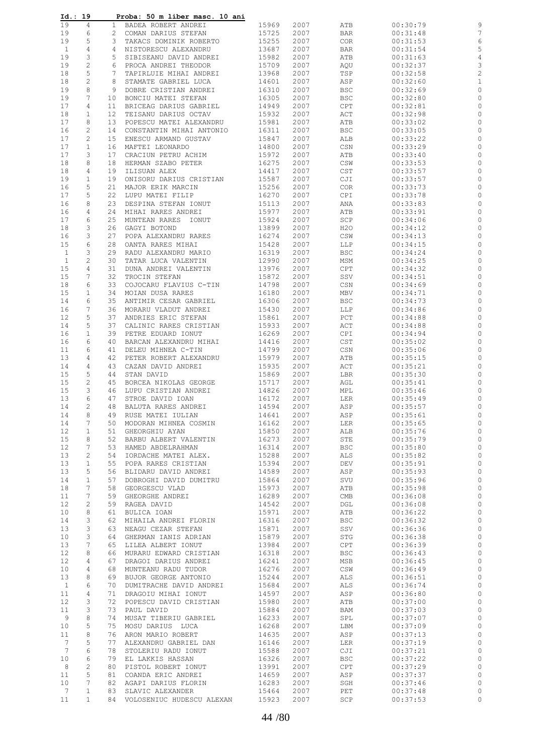| Id.: 19                      |                 | Proba: 50 m liber masc. 10 ani                      |                |              |                                    |                      |                    |
|------------------------------|-----------------|-----------------------------------------------------|----------------|--------------|------------------------------------|----------------------|--------------------|
| 19<br>4                      | $\mathbf{1}$    | BADEA ROBERT ANDREI                                 | 15969          | 2007         | ATB                                | 00:30:79             | 9                  |
| 6<br>19                      |                 | 2 COMAN DARIUS STEFAN                               | 15725          | 2007         | <b>BAR</b>                         | 00:31:48             | 7                  |
| 19<br>5                      | 3               | TAKACS DOMINIK ROBERTO                              | 15255          | 2007         | <b>COR</b>                         | 00:31:53             | 6                  |
| $\mathbf{1}$<br>4            | 4               | NISTORESCU ALEXANDRU                                | 13687          | 2007         | <b>BAR</b>                         | 00:31:54             | 5                  |
| 3<br>19                      | 5               | SIBISEANU DAVID ANDREI                              | 15982          | 2007         | ATB                                | 00:31:63             | 4                  |
| $\mathbf{2}$<br>19           | 6               | PROCA ANDREI THEODOR                                | 15709          | 2007         | AQU                                | 00:32:37             | 3                  |
| 5<br>18                      | 7               | TAPIRLUIE MIHAI ANDREI                              | 13968          | 2007         | TSP                                | 00:32:58             | $\overline{c}$     |
| 2<br>18                      | 8               | STAMATE GABRIEL LUCA                                | 14601          | 2007         | ASP                                | 00:32:60             | 1                  |
| 8<br>19                      | 9               | DOBRE CRISTIAN ANDREI                               | 16310          | 2007         | BSC                                | 00:32:69             | 0                  |
| 19<br>7                      | 10              | BONCIU MATEI STEFAN                                 | 16305          | 2007         | <b>BSC</b>                         | 00:32:80             | 0                  |
| 17<br>4                      | 11              | BRICEAG DARIUS GABRIEL                              | 14949          | 2007         | CPT                                | 00:32:81             | 0                  |
| 18<br>1                      | 12 <sup>°</sup> | TEISANU DARIUS OCTAV                                | 15932          | 2007         | ACT                                | 00:32:98             | 0                  |
| 17<br>8<br>2<br>16           | 13<br>14        | POPESCU MATEI ALEXANDRU<br>CONSTANTIN MIHAI ANTONIO | 15981<br>16311 | 2007<br>2007 | ATB<br><b>BSC</b>                  | 00:33:02<br>00:33:05 | 0<br>0             |
| 17<br>2                      | 15              | ENESCU ARMAND GUSTAV                                | 15847          | 2007         | ALB                                | 00:33:22             | 0                  |
| 17<br>$\mathbf{1}$           | 16              | MAFTEI LEONARDO                                     | 14800          | 2007         | CSN                                | 00:33:29             | 0                  |
| 17<br>3                      | 17              | CRACIUN PETRU ACHIM                                 | 15972          | 2007         | ATB                                | 00:33:40             | 0                  |
| 18<br>8                      | 18              | HERMAN SZABO PETER                                  | 16275          | 2007         | CSW                                | 00:33:53             | 0                  |
| 18<br>4                      | 19              | ILISUAN ALEX                                        | 14417          | 2007         | $\mathsf{CST}$                     | 00:33:57             | 0                  |
| 19<br>$\mathbf{1}$           | 19              | ONISORU DARIUS CRISTIAN                             | 15587          | 2007         | CJI                                | 00:33:57             | 0                  |
| 16<br>5                      | 21              | MAJOR ERIK MARCIN                                   | 15256          | 2007         | COR                                | 00:33:73             | 0                  |
| 5<br>17                      | 22              | LUPU MATEI FILIP                                    | 16270          | 2007         | CPI                                | 00:33:78             | 0                  |
| 16<br>8                      | 23              | DESPINA STEFAN IONUT                                | 15113          | 2007         | ANA                                | 00:33:83             | 0                  |
| 16<br>4                      | 24              | MIHAI RARES ANDREI                                  | 15977          | 2007         | ATB                                | 00:33:91             | 0                  |
| 17<br>6                      | 25              | MUNTEAN RARES IONUT                                 | 15924          | 2007         | SCP                                | 00:34:06             | 0                  |
| 3<br>18                      | 26              | GAGYI BOTOND                                        | 13899          | 2007         | H2O                                | 00:34:12             | 0                  |
| 16<br>3                      | 27              | POPA ALEXANDRU RARES                                | 16274          | 2007         | CSW                                | 00:34:13             | 0                  |
| 6<br>15                      | 28              | OANTA RARES MIHAI                                   | 15428          | 2007         | LLP                                | 00:34:15             | 0                  |
| $\mathbf{1}$<br>3            | 29              | RADU ALEXANDRU MARIO                                | 16319          | 2007         | <b>BSC</b>                         | 00:34:24             | 0                  |
| 2<br>$\mathbf{1}$<br>15<br>4 | 30<br>31        | TATAR LUCA VALENTIN<br>DUNA ANDREI VALENTIN         | 12990<br>13976 | 2007<br>2007 | MSM<br>CPT                         | 00:34:25<br>00:34:32 | 0<br>0             |
| 7<br>15                      | 32              | TROCIN STEFAN                                       | 15872          | 2007         | SSV                                | 00:34:51             | 0                  |
| 18<br>6                      | 33              | COJOCARU FLAVIUS C-TIN                              | 14798          | 2007         | CSN                                | 00:34:69             | 0                  |
| 15<br>$\mathbf{1}$           | 34              | MOIAN DUSA RARES                                    | 16180          | 2007         | MBV                                | 00:34:71             | 0                  |
| 14<br>6                      | 35              | ANTIMIR CESAR GABRIEL                               | 16306          | 2007         | <b>BSC</b>                         | 00:34:73             | 0                  |
| 7<br>16                      | 36              | MORARU VLADUT ANDREI                                | 15430          | 2007         | LLP                                | 00:34:86             | 0                  |
| 12<br>5                      | 37              | ANDRIES ERIC STEFAN                                 | 15861          | 2007         | PCT                                | 00:34:88             | 0                  |
| 5<br>14                      | 37              | CALINIC RARES CRISTIAN                              | 15933          | 2007         | ACT                                | 00:34:88             | 0                  |
| 16<br>$\mathbf{1}$           | 39              | PETRE EDUARD IONUT                                  | 16269          | 2007         | <b>CPI</b>                         | 00:34:94             | 0                  |
| 6<br>16                      | 40              | BARCAN ALEXANDRU MIHAI                              | 14416          | 2007         | $\mathop{\tt CST}\nolimits$        | 00:35:02             | 0                  |
| 11<br>6                      | 41              | DELEU MIHNEA C-TIN                                  | 14799          | 2007         | CSN                                | 00:35:06             | 0                  |
| 13<br>4                      | 42              | PETER ROBERT ALEXANDRU                              | 15979          | 2007         | ATB                                | 00:35:15             | $\circ$            |
| 14<br>4                      | 43              | CAZAN DAVID ANDREI                                  | 15935          | 2007         | ACT                                | 00:35:21             | 0                  |
| 5<br>15<br>2<br>15           | 44<br>45        | STAN DAVID<br>BORCEA NIKOLAS GEORGE                 | 15869<br>15717 | 2007<br>2007 | LBR<br>AGL                         | 00:35:30<br>00:35:41 | 0<br>0             |
| 3<br>15                      | 46              | LUPU CRISTIAN ANDREI                                | 14826          | 2007         | MPL                                | 00:35:46             | 0                  |
| 13<br>6                      | 47              | STROE DAVID IOAN                                    | 16172          | 2007         | LER                                | 00:35:49             | 0                  |
| $\overline{2}$<br>14         | 48              | BALUTA RARES ANDREI                                 | 14594          | 2007         | ASP                                | 00:35:57             | $\circ$            |
| 14<br>8                      | 49              | RUSE MATEI IULIAN                                   | 14641          | 2007         | ASP                                | 00:35:61             | 0                  |
| 14<br>7                      | 50              | MODORAN MIHNEA COSMIN                               | 16162          | 2007         | LER                                | 00:35:65             | $\circ$            |
| 12<br>$\mathbf{1}$           | 51              | GHEORGHIU AYAN                                      | 15850          | 2007         | ALB                                | 00:35:76             | 0                  |
| 15<br>8                      | 52              | BARBU ALBERT VALENTIN                               | 16273          | 2007         | STE                                | 00:35:79             | $\circ$            |
| 12<br>7                      | 53              | HAMED ABDELRAHMAN                                   | 16314          | 2007         | BSC                                | 00:35:80             | $\circ$            |
| 13<br>2                      | 54              | IORDACHE MATEI ALEX.                                | 15288          | 2007         | ALS                                | 00:35:82             | $\circ$            |
| 13<br>$\mathbf{1}$           | 55              | POPA RARES CRISTIAN                                 | 15394          | 2007         | DEV                                | 00:35:91             | $\circ$            |
| 13<br>5                      | 56              | BLIDARU DAVID ANDREI                                | 14589          | 2007         | ASP                                | 00:35:93             | $\circ$            |
| 14<br>$\mathbf{1}$           | 57              | DOBROGHI DAVID DUMITRU                              | 15864          | 2007         | SVU                                | 00:35:96             | $\circ$            |
| 18<br>7<br>7<br>11           | 58<br>59        | GEORGESCU VLAD<br>GHEORGHE ANDREI                   | 15973<br>16289 | 2007<br>2007 | ATB<br>$\mathop{\rm CMB}\nolimits$ | 00:35:98<br>00:36:08 | $\circ$<br>$\circ$ |
| 12<br>2                      | 59              | RAGEA DAVID                                         | 14542          | 2007         | DGL                                | 00:36:08             | $\circ$            |
| 10<br>8                      | 61              | BULICA IOAN                                         | 15971          | 2007         | ATB                                | 00:36:22             | $\circ$            |
| 14<br>3                      | 62              | MIHAILA ANDREI FLORIN                               | 16316          | 2007         | <b>BSC</b>                         | 00:36:32             | $\circ$            |
| 13<br>3                      | 63              | NEAGU CEZAR STEFAN                                  | 15871          | 2007         | SSV                                | 00:36:36             | $\circ$            |
| 10<br>3                      | 64              | GHERMAN IANIS ADRIAN                                | 15879          | 2007         | STG                                | 00:36:38             | $\circ$            |
| 7<br>13                      | 65              | LILEA ALBERT IONUT                                  | 13984          | 2007         | CPT                                | 00:36:39             | $\circ$            |
| 12<br>8                      | 66              | MURARU EDWARD CRISTIAN                              | 16318          | 2007         | BSC                                | 00:36:43             | $\circ$            |
| 12<br>4                      | 67              | DRAGOI DARIUS ANDREI                                | 16241          | 2007         | MSB                                | 00:36:45             | $\circ$            |
| 10<br>4                      | 68              | MUNTEANU RADU TUDOR                                 | 16276          | 2007         | CSW                                | 00:36:49             | $\circ$            |
| 8<br>13                      | 69              | BUJOR GEORGE ANTONIO                                | 15244          | 2007         | ALS                                | 00:36:51             | $\circ$            |
| $\mathbf{1}$<br>6            | 70              | DUMITRACHE DAVID ANDREI                             | 15684          | 2007         | ALS                                | 00:36:74             | $\circ$            |
| 11<br>4                      | 71              | DRAGOIU MIHAI IONUT                                 | 14597          | 2007         | ASP                                | 00:36:80             | $\circ$            |
| 3<br>$12 \overline{ }$<br>3  | 72              | POPESCU DAVID CRISTIAN                              | 15980          | 2007         | ATB                                | 00:37:00             | $\circ$            |
| 11<br>9<br>8                 | 73<br>74        | PAUL DAVID<br>MUSAT TIBERIU GABRIEL                 | 15884<br>16233 | 2007<br>2007 | BAM<br>SPL                         | 00:37:03<br>00:37:07 | $\circ$<br>$\circ$ |
| 5<br>10                      | 75              | MOSU DARIUS LUCA                                    | 16268          | 2007         | LBM                                | 00:37:09             | $\circ$            |
| 8<br>11                      | 76              | ARON MARIO ROBERT                                   | 14635          | 2007         | ASP                                | 00:37:13             | $\circ$            |
| 5<br>$7\phantom{.0}$         | 77              | ALEXANDRU GABRIEL DAN                               | 16146          | 2007         | LER                                | 00:37:19             | $\circ$            |
| $7\phantom{.0}$<br>6         | 78              | STOLERIU RADU IONUT                                 | 15588          | 2007         | CJI                                | 00:37:21             | $\circ$            |
| 6<br>10                      | 79              | EL LAKKIS HASSAN                                    | 16326          | 2007         | <b>BSC</b>                         | 00:37:22             | $\circ$            |
| 2<br>8                       | 80              | PISTOL ROBERT IONUT                                 | 13991          | 2007         | CPT                                | 00:37:29             | $\circ$            |
| 5<br>11                      | 81              | COANDA ERIC ANDREI                                  | 14659          | 2007         | ASP                                | 00:37:37             | $\circ$            |
| 7<br>10                      | 82              | AGAPI DARIUS FLORIN                                 | 16283          | 2007         | SGH                                | 00:37:46             | 0                  |
| 7<br>$\mathbf{1}$            | 83              | SLAVIC ALEXANDER                                    | 15464          | 2007         | PET                                | 00:37:48             | $\circ$            |
| 11<br>$\mathbf{1}$           | 84              | VOLOSENIUC HUDESCU ALEXAN                           | 15923          | 2007         | SCP                                | 00:37:53             | $\circ$            |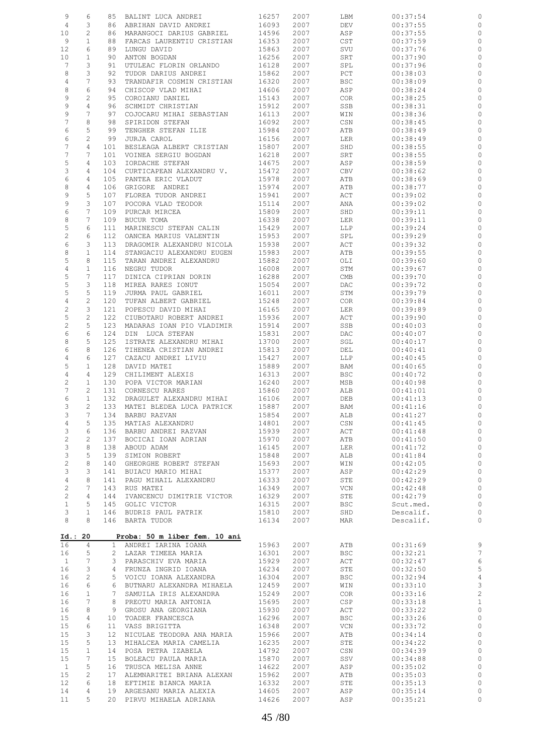| 9                       | 6              | 85              | BALINT LUCA ANDREI                                | 16257          | 2007         | LBM        | 00:37:54             | 0                  |
|-------------------------|----------------|-----------------|---------------------------------------------------|----------------|--------------|------------|----------------------|--------------------|
| 4                       | 3              | 86              | ABRIHAN DAVID ANDREI                              | 16093          | 2007         | DEV        | 00:37:55             | 0                  |
| 10                      | 2              | 86              | MARANGOCI DARIUS GABRIEL                          | 14596          | 2007         | ASP        | 00:37:55             | 0                  |
| 9                       | $\mathbf{1}$   | 88              | FARCAS LAURENTIU CRISTIAN                         | 16353          | 2007         | CST        | 00:37:59             | 0                  |
| 12                      | 6              | 89              | LUNGU DAVID                                       | 15863          | 2007         | SVU        | 00:37:76             | 0                  |
| 10                      | $\mathbf{1}$   | 90              | ANTON BOGDAN                                      | 16256          | 2007         | SRT        | 00:37:90             | 0                  |
| $7\phantom{.0}$         | 3              | 91              | UTULEAC FLORIN ORLANDO                            | 16128          | 2007         | SPL        | 00:37:96             | 0                  |
| 8                       | 3              | 92              | TUDOR DARIUS ANDREI                               | 15862          | 2007         | PCT        | 00:38:03             | 0                  |
| $\sqrt{4}$              | 7              | 93              | TRANDAFIR COSMIN CRISTIAN                         | 16320          | 2007         | <b>BSC</b> | 00:38:09             | 0                  |
| 8                       | 6              | 94              | CHISCOP VLAD MIHAI                                | 14606          | 2007         | ASP        | 00:38:24             | 0                  |
| 9                       | 2              | 95              | COROIANU DANIEL                                   | 15143          | 2007         | <b>COR</b> | 00:38:25             |                    |
|                         |                |                 |                                                   |                | 2007         |            |                      | 0                  |
| 9                       | 4              | 96              | SCHMIDT CHRISTIAN                                 | 15912          |              | SSB        | 00:38:31             | 0                  |
| 9                       | 7              | 97              | COJOCARU MIHAI SEBASTIAN                          | 16113          | 2007         | WIN        | 00:38:36             | 0                  |
| 7                       | 8              | 98              | SPIRIDON STEFAN                                   | 16092          | 2007         | CSN        | 00:38:45             | 0                  |
| 6                       | 5              | 99              | TENGHER STEFAN ILIE                               | 15984          | 2007         | ATB        | 00:38:49             | 0                  |
| 6                       | $\mathbf{2}$   | 99              | JURJA CAROL                                       | 16156          | 2007         | LER        | 00:38:49             | 0                  |
| 7                       | 4              | 101             | BESLEAGA ALBERT CRISTIAN                          | 15807          | 2007         | SHD        | 00:38:55             | 0                  |
| 7                       | 7              | 101             | VOINEA SERGIU BOGDAN                              | 16218          | 2007         | SRT        | 00:38:55             | 0                  |
| 5                       | 4              | 103             | IORDACHE STEFAN                                   | 14675          | 2007         | ASP        | 00:38:59             | 0                  |
| 3                       | 4              | 104             | CURTICAPEAN ALEXANDRU V.                          | 15472          | 2007         | CBV        | 00:38:62             | 0                  |
| 6                       | 4              | 105             | PANTEA ERIC VLADUT                                | 15978          | 2007         | ATB        | 00:38:69             | 0                  |
| 8                       | 4              | 106             | GRIGORE ANDREI                                    | 15974          | 2007         | ATB        | 00:38:77             | 0                  |
| 9                       | 5              | 107             | FLOREA TUDOR ANDREI                               | 15941          | 2007         | ACT        | 00:39:02             | 0                  |
| 9                       | 3              | 107             | POCORA VLAD TEODOR                                | 15114          | 2007         | ANA        | 00:39:02             | 0                  |
| 6                       | 7              | 109             | PURCAR MIRCEA                                     | 15809          | 2007         | SHD        | 00:39:11             | 0                  |
| 8                       | 7              | 109             | BUCUR TOMA                                        | 16338          | 2007         | LER        | 00:39:11             | 0                  |
| 5                       | 6              | 111             | MARINESCU STEFAN CALIN                            | 15429          | 2007         | LLP        | 00:39:24             | 0                  |
| $\mathbf{2}$            | 6              | 112             | OANCEA MARIUS VALENTIN                            | 15953          | 2007         | SPL        | 00:39:29             | 0                  |
| 6                       | 3              | 113             | DRAGOMIR ALEXANDRU NICOLA                         | 15938          | 2007         | ACT        | 00:39:32             | 0                  |
| 8                       | $\mathbf{1}$   | 114             | STANGACIU ALEXANDRU EUGEN                         | 15983          | 2007         | ATB        | 00:39:55             | 0                  |
| 5                       | 8              | 115             | TARAN ANDREI ALEXANDRU                            | 15882          | 2007         | OLI        | 00:39:60             | 0                  |
| $\sqrt{4}$              | $\mathbf{1}$   | 116             | NEGRU TUDOR                                       | 16008          | 2007         | STM        | 00:39:67             | 0                  |
| 5                       | 7              | 117             | DINICA CIPRIAN DORIN                              | 16288          | 2007         | CMB        | 00:39:70             | 0                  |
| 5                       | 3              | 118             | MIREA RARES IONUT                                 | 15054          | 2007         | DAC        | 00:39:72             | 0                  |
| 5                       | 5              | 119             | JURMA PAUL GABRIEL                                | 16011          | 2007         | STM        | 00:39:79             | $\circ$            |
| $\sqrt{4}$              | $\mathbf{2}$   | 120             | TUFAN ALBERT GABRIEL                              | 15248          | 2007         | <b>COR</b> | 00:39:84             | 0                  |
| $\overline{\mathbf{c}}$ | 3              | 121             | POPESCU DAVID MIHAI                               | 16165          | 2007         | LER        | 00:39:89             | 0                  |
| 5                       | $\mathbf{2}$   | 122             | CIUBOTARU ROBERT ANDREI                           | 15936          | 2007         | ACT        | 00:39:90             | 0                  |
| $\overline{\mathbf{c}}$ | 5              | 123             | MADARAS IOAN PIO VLADIMIR                         | 15914          | 2007         | SSB        | 00:40:03             | 0                  |
| 6                       | 6              | 124             | DIN LUCA STEFAN                                   | 15831          | 2007         | DAC        | 00:40:07             | 0                  |
| 8                       | 5              | 125             | ISTRATE ALEXANDRU MIHAI                           | 13700          | 2007         | SGL        | 00:40:17             | 0                  |
| 6                       | 8              | 126             | TIHENEA CRISTIAN ANDREI                           | 15813          | 2007         | DEL        | 00:40:41             | 0                  |
| $\sqrt{4}$              | 6              | 127             | CAZACU ANDREI LIVIU                               | 15427          | 2007         | LLP        | 00:40:45             | 0                  |
| 5                       | $\mathbf{1}$   | 128             | DAVID MATEI                                       | 15889          | 2007         | BAM        | 00:40:65             | 0                  |
| 4                       | 4              | 129             | CHILIMENT ALEXIS                                  | 16313          | 2007         | <b>BSC</b> | 00:40:72             | $\circ$            |
| 2                       | $\mathbf 1$    | 130             | POPA VICTOR MARIAN                                | 16240          | 2007         | MSB        | 00:40:98             | 0                  |
| $\overline{7}$          | 2              | 131             | CORNESCU RARES                                    | 15860          | 2007         | ALB        | 00:41:01             | 0                  |
| 6                       | $\mathbf{1}$   | 132             | DRAGULET ALEXANDRU MIHAI                          | 16106          | 2007         | DEB        | 00:41:13             | 0                  |
| 3                       | $\overline{2}$ | 133             | MATEI BLEDEA LUCA PATRICK                         | 15887          | 2007         | <b>BAM</b> | 00:41:16             | $\circ$            |
| 3                       | 7              |                 | 134 BARBU RAZVAN                                  | 15854          | 2007         | ALB        | 00:41:27             | 0                  |
| 4                       | 5              | 135             | MATIAS ALEXANDRU                                  | 14801          | 2007         | CSN        | 00:41:45             | $\circ$            |
| 3                       | 6              | 136             | BARBU ANDREI RAZVAN                               | 15939          | 2007         | ACT        | 00:41:48             | $\circ$            |
| $\overline{c}$          | $\mathbf{2}$   | 137             | BOCICAI IOAN ADRIAN                               | 15970          | 2007         | ATB        | 00:41:50             | $\circ$            |
| $\mathsf 3$             | 8              | 138             | ABOUD ADAM                                        | 16145          | 2007         | LER        | 00:41:72             | $\mathbb{C}$       |
| $\mathsf 3$             | 5              | 139             | SIMION ROBERT                                     | 15848          | 2007         | ALB        | 00:41:84             | $\circ$            |
| $\overline{c}$          | 8              | 140             | GHEORGHE ROBERT STEFAN                            | 15693          | 2007         | WIN        | 00:42:05             | $\circ$            |
| $\mathsf 3$             | 3              | 141             | BUIACU MARIO MIHAI                                | 15377          | 2007         | ASP        | 00:42:29             | $\circ$            |
| $\overline{4}$          | 8              | 141             | PAGU MIHAIL ALEXANDRU                             | 16333          | 2007         | STE        | 00:42:29             | $\circ$            |
| $\overline{c}$          | 7              | 143             | RUS MATEI                                         | 16349          | 2007         | VCN        | 00:42:48             | $\mathbb{C}$       |
| $\overline{c}$          | 4              | 144             | IVANCENCU DIMITRIE VICTOR                         | 16329          | 2007         | STE        | 00:42:79             | $\circ$            |
| $\mathbf{1}$            | 5              | 145             | GOLIC VICTOR                                      | 16315          | 2007         | BSC        | Scut.med.            | $\circ$            |
| 3                       | $\mathbf{1}$   | 146             | BUDRIS PAUL PATRIK                                | 15810          | 2007         | SHD        | Descalif.            | $\circ$            |
| 8                       | 8              |                 | 146 BARTA TUDOR                                   | 16134          | 2007         | MAR        | Descalif.            | $\circ$            |
|                         |                |                 |                                                   |                |              |            |                      |                    |
| Id.: 20                 |                |                 | Proba: 50 m liber fem. 10 ani                     |                |              |            |                      |                    |
| 16                      | $\overline{4}$ | $\mathbf{1}$    | ANDREI IARINA IOANA                               | 15963          | 2007         | ATB        | 00:31:69             | 9                  |
| 16                      | 5              |                 | 2 LAZAR TIMEEA MARIA                              | 16301          | 2007         | <b>BSC</b> | 00:32:21             | $\overline{7}$     |
| $\mathbf{1}$            | 7              |                 | 3 PARASCHIV EVA MARIA                             | 15929          | 2007         | ACT        | 00:32:47             | $\epsilon$         |
| 16                      | 3              | 4               | FRUNZA INGRID IOANA                               | 16234          | 2007         | STE        | 00:32:50             | 5                  |
| 16                      | $\mathbf{2}$   | 5               | VOICU IOANA ALEXANDRA                             | 16304          | 2007         | BSC        | 00:32:94             | $\overline{4}$     |
| 16                      | 6              | 6               | BUTNARU ALEXANDRA MIHAELA                         | 12459          | 2007         | WIN        | 00:33:10             | 3                  |
| 16                      | $\mathbf{1}$   | 7               | SAMUILA IRIS ALEXANDRA                            | 15249          | 2007         | COR        | 00:33:16             | $\overline{c}$     |
| 16                      | 7              | 8               | PREOTU MARIA ANTONIA                              | 15695          | 2007         | CSP        | 00:33:18             | $\mathbf{1}$       |
|                         | 8              | 9               |                                                   |                |              |            |                      | $\circ$            |
| 16                      |                |                 | GROSU ANA GEORGIANA                               | 15930          | 2007         | ACT        | 00:33:22             |                    |
| 15                      | 4              | 10              | TOADER FRANCESCA                                  | 16296          | 2007         | <b>BSC</b> | 00:33:26             | $\circ$            |
| 15                      | 6              | 11              | VASS BRIGITTA                                     | 16348          | 2007         | VCN        | 00:33:72             | $\circ$            |
| 15                      | 3              | 12 <sup>°</sup> | NICULAE TEODORA ANA MARIA                         | 15966          | 2007         | ATB        | 00:34:14             | $\circ$            |
| 15                      | 5              | 13              | MIHALCEA MARIA CAMELIA                            | 16235          | 2007         | STE        | 00:34:22             | $\circ$            |
| 15                      | $\mathbf{1}$   | 14              | POSA PETRA IZABELA                                | 14792          | 2007         | CSN        | 00:34:39             | $\mathbb{O}$       |
| 15                      | 7              | 15              | BOLEACU PAULA MARIA                               | 15870          | 2007         | SSV        | 00:34:88             | $\circ$            |
|                         | 5              | 16              | TRUSCA MELISA ANNE                                | 14622          | 2007         | ASP        | 00:35:02             | $\circ$            |
| $\mathbf{1}$            |                |                 | ALEMNARITEI BRIANA ALEXAN                         | 15962          | 2007         | ATB        | 00:35:03             | $\circ$            |
| 15                      | $\mathbf{2}$   | 17              |                                                   |                |              |            |                      |                    |
| 12                      | 6              | 18              | EFTIMIE BIANCA MARIA                              | 16332          | 2007         | STE        | 00:35:13             | $\circ$            |
| 14<br>11                | 4<br>5         | 19              | ARGESANU MARIA ALEXIA<br>20 PIRVU MIHAELA ADRIANA | 14605<br>14626 | 2007<br>2007 | ASP<br>ASP | 00:35:14<br>00:35:21 | $\circ$<br>$\circ$ |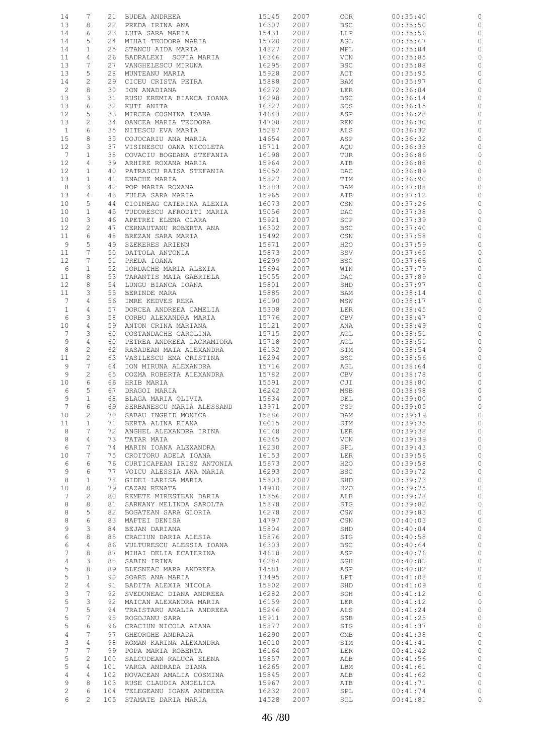| 14                | 7               | 21  | BUDEA ANDREEA               | 15145 | 2007 | <b>COR</b>                       | 00:35:40 |              |
|-------------------|-----------------|-----|-----------------------------|-------|------|----------------------------------|----------|--------------|
| 13                | 8               | 22  | PREDA IRINA ANA             | 16307 | 2007 | <b>BSC</b>                       | 00:35:50 | 0            |
| 14                | 6               | 23  | LUTA SARA MARIA             | 15431 | 2007 | LLP                              | 00:35:56 | 0            |
| 14                | 5               | 24  |                             | 15720 | 2007 |                                  |          |              |
|                   |                 |     | MIHAI TEODORA MARIA         |       |      | AGL                              | 00:35:67 | 0            |
| 14                | $\mathbf{1}$    | 25  | STANCU AIDA MARIA           | 14827 | 2007 | MPL                              | 00:35:84 | 0            |
| 11                | 4               | 26  | BADRALEXI SOFIA MARIA       | 16346 | 2007 | VCN                              | 00:35:85 | $\circ$      |
| 13                | 7               | 27  | VANGHELESCU MIRUNA          | 16295 | 2007 | <b>BSC</b>                       | 00:35:88 | 0            |
| 13                | 5               | 28  | MUNTEANU MARIA              | 15928 | 2007 | ACT                              | 00:35:95 | 0            |
| 14                | 2               | 29  | CICEU CRISTA PETRA          | 15888 | 2007 | BAM                              | 00:35:97 | 0            |
|                   |                 |     |                             |       |      |                                  |          |              |
| 2                 | 8               | 30  | ION ANADIANA                | 16272 | 2007 | LER                              | 00:36:04 | 0            |
| 13                | 3               | 31  | RUSU EREMIA BIANCA IOANA    | 16298 | 2007 | BSC                              | 00:36:14 | 0            |
| 13                | 6               | 32  | KUTI ANITA                  | 16327 | 2007 | SOS                              | 00:36:15 | $\circ$      |
| $12 \overline{ }$ | 5               | 33  | MIRCEA COSMINA IOANA        | 14643 | 2007 | ASP                              | 00:36:28 | 0            |
| 13                | $\mathbf{2}$    | 34  | OANCEA MARIA TEODORA        | 14708 | 2007 | REN                              | 00:36:30 | $\circ$      |
|                   |                 |     |                             |       |      |                                  |          |              |
| $\mathbf{1}$      | 6               | 35  | NITESCU EVA MARIA           | 15287 | 2007 | ALS                              | 00:36:32 | 0            |
| 15                | 8               | 35  | COJOCARIU ANA MARIA         | 14654 | 2007 | ASP                              | 00:36:32 | $\circ$      |
| 12                | 3               | 37  | VISINESCU OANA NICOLETA     | 15711 | 2007 | AQU                              | 00:36:33 | 0            |
| $7\phantom{.0}$   | $\mathbf{1}$    | 38  | COVACIU BOGDANA STEFANIA    | 16198 | 2007 | TUR                              | 00:36:86 | $\circ$      |
| 12                | 4               | 39  | ARHIRE ROXANA MARIA         | 15964 | 2007 | ATB                              | 00:36:88 | 0            |
| $12 \overline{ }$ | $\mathbf{1}$    | 40  | PATRASCU RAISA STEFANIA     | 15052 | 2007 | DAC                              | 00:36:89 | $\circ$      |
|                   |                 |     |                             |       |      |                                  |          |              |
| 13                | $\mathbf{1}$    | 41  | ENACHE MARIA                | 15827 | 2007 | TIM                              | 00:36:90 | 0            |
| 8                 | 3               | 42  | POP MARIA ROXANA            | 15883 | 2007 | BAM                              | 00:37:08 | $\circ$      |
| 13                | 4               | 43  | FULEA SARA MARIA            | 15965 | 2007 | ATB                              | 00:37:12 | 0            |
| 10                | 5               | 44  | CIOINEAG CATERINA ALEXIA    | 16073 | 2007 | CSN                              | 00:37:26 | $\circ$      |
| 10                | $\mathbf 1$     | 45  | TUDORESCU AFRODITI MARIA    | 15056 | 2007 | DAC                              | 00:37:38 | 0            |
| 10                | 3               |     |                             | 15921 | 2007 | SCP                              |          | $\circ$      |
|                   |                 | 46  | APETREI ELENA CLARA         |       |      |                                  | 00:37:39 |              |
| 12                | $\mathbf{2}$    | 47  | CERNAUTANU ROBERTA ANA      | 16302 | 2007 | <b>BSC</b>                       | 00:37:40 | 0            |
| 11                | 6               | 48  | BREZAN SARA MARIA           | 15492 | 2007 | $\mathbb{C}\mathbb{S}\mathbb{N}$ | 00:37:58 | $\circ$      |
| 9                 | 5               | 49  | SZEKERES ARIENN             | 15671 | 2007 | H2O                              | 00:37:59 | 0            |
| 11                | 7               | 50  | DATTOLA ANTONIA             | 15873 | 2007 | SSV                              | 00:37:65 | $\circ$      |
| 12                | 7               | 51  |                             | 16299 | 2007 | <b>BSC</b>                       | 00:37:66 | $\circ$      |
|                   |                 |     | PREDA IOANA                 |       |      |                                  |          |              |
| 6                 | $\mathbf{1}$    | 52  | IORDACHE MARIA ALEXIA       | 15694 | 2007 | WIN                              | 00:37:79 | $\circ$      |
| 11                | 8               | 53  | TARANTIS MAIA GABRIELA      | 15055 | 2007 | DAC                              | 00:37:89 | 0            |
| 12                | 8               | 54  | LUNGU BIANCA IOANA          | 15801 | 2007 | SHD                              | 00:37:97 | $\circ$      |
| 11                | 3               | 55  | BERINDE MARA                | 15885 | 2007 | BAM                              | 00:38:14 | $\circ$      |
| $7\phantom{.0}$   | 4               | 56  | IMRE KEDVES REKA            | 16190 | 2007 | MSW                              | 00:38:17 | $\circ$      |
|                   |                 |     |                             |       |      |                                  |          |              |
| $\mathbf{1}$      | 4               | 57  | DORCEA ANDREEA CAMELIA      | 15308 | 2007 | LER                              | 00:38:45 | 0            |
| 6                 | 3               | 58  | CORBU ALEXANDRA MARIA       | 15776 | 2007 | CBV                              | 00:38:47 | $\circ$      |
| 10                | 4               | 59  | ANTON CRINA MARIANA         | 15121 | 2007 | ANA                              | 00:38:49 | 0            |
| $7\phantom{.0}$   | 3               | 60  | COSTANDACHE CAROLINA        | 15715 | 2007 | AGL                              | 00:38:51 | 0            |
| 9                 | 4               | 60  | PETREA ANDREEA LACRAMIORA   | 15718 | 2007 | AGL                              | 00:38:51 | 0            |
| 8                 | 2               | 62  |                             | 16132 | 2007 |                                  |          | $\circ$      |
|                   |                 |     | RASADEAN MAIA ALEXANDRA     |       |      | STM                              | 00:38:54 |              |
| 11                | 2               | 63  | VASILESCU EMA CRISTINA      | 16294 | 2007 | <b>BSC</b>                       | 00:38:56 | $\circ$      |
| 9                 | 7               | 64  | ION MIRUNA ALEXANDRA        | 15716 | 2007 | AGL                              | 00:38:64 | 0            |
| 9                 | $\mathbf{2}$    | 65  | COZMA ROBERTA ALEXANDRA     | 15782 | 2007 | CBV                              | 00:38:78 | 0            |
| 10                | 6               | 66  | HRIB MARIA                  | 15591 | 2007 | CJI                              | 00:38:80 | $\circ$      |
| 6                 | 5               | 67  | DRAGOI MARIA                | 16242 | 2007 | MSB                              | 00:38:98 | 0            |
|                   |                 |     |                             |       |      |                                  |          |              |
| 9                 | $\mathbf{1}$    | 68  | BLAGA MARIA OLIVIA          | 15634 | 2007 | DEL                              | 00:39:00 | 0            |
| $7\phantom{.0}$   | 6               | 69  | SERBANESCU MARIA ALESSAND   | 13971 | 2007 | TSP                              | 00:39:05 | $\circ$      |
| 10 <sub>1</sub>   | $\overline{c}$  |     | 70 SABAU INGRID MONICA      | 15886 | 2007 | BAM                              | 00:39:19 |              |
| 11                | $\mathbf{1}$    |     | 71 BERTA ALINA RIANA        | 16015 | 2007 | STM                              | 00:39:35 | 0            |
| 8                 | $7\phantom{.0}$ | 72  | ANGHEL ALEXANDRA IRINA      | 16148 | 2007 | <b>LER</b>                       | 00:39:38 | $\circ$      |
| 8                 | 4               | 73  | TATAR MAIA                  | 16345 | 2007 | VCN                              | 00:39:39 | $\circ$      |
|                   |                 |     |                             |       |      |                                  |          |              |
| $\epsilon$        | 7               | 74  | MARIN IOANA ALEXANDRA       | 16230 | 2007 | SPL                              | 00:39:43 | $\circ$      |
| 10                | 7               | 75  | CROITORU ADELA IOANA        | 16153 | 2007 | LER                              | 00:39:56 | $\circ$      |
| 6                 | 6               | 76  | CURTICAPEAN IRISZ ANTONIA   | 15673 | 2007 | H2O                              | 00:39:58 | $\circ$      |
| 9                 | 6               | 77  | VOICU ALESSIA ANA MARIA     | 16293 | 2007 | <b>BSC</b>                       | 00:39:72 | $\circ$      |
| 8                 | $\mathbf{1}$    | 78  | GIDEI LARISA MARIA          | 15803 | 2007 | SHD                              | 00:39:73 | $\circ$      |
| 10                | 8               | 79  | CAZAN RENATA                | 14910 | 2007 | H20                              | 00:39:75 | $\circ$      |
|                   |                 |     |                             |       |      |                                  |          |              |
| 7                 | 2               | 80  | REMETE MIRESTEAN DARIA      | 15856 | 2007 | ALB                              | 00:39:78 | $\circ$      |
| 8                 | $\,8\,$         | 81  | SARKANY MELINDA SAROLTA     | 15878 | 2007 | STG                              | 00:39:82 | $\circ$      |
| 8                 | 5               | 82  | BOGATEAN SARA GLORIA        | 16278 | 2007 | CSW                              | 00:39:83 | $\circ$      |
| 8                 | 6               |     | 83 MAFTEI DENISA            | 14797 | 2007 | CSN                              | 00:40:03 | $\mathbb O$  |
| 9                 | 3               | 84  | BEJAN DARIANA               | 15804 | 2007 | SHD                              | 00:40:04 | $\circ$      |
| 6                 | 8               | 85  | CRACIUN DARIA ALESIA        | 15876 | 2007 | STG                              | 00:40:58 | $\circ$      |
|                   |                 |     |                             |       |      |                                  |          |              |
| 6                 | 4               | 86  | VULTURESCU ALESSIA IOANA    | 16303 | 2007 | <b>BSC</b>                       | 00:40:64 | $\circ$      |
| $7\phantom{.0}$   | 8               | 87  | MIHAI DELIA ECATERINA       | 14618 | 2007 | ASP                              | 00:40:76 | $\circ$      |
| $\overline{4}$    | 3               | 88  | SABIN IRINA                 | 16284 | 2007 | SGH                              | 00:40:81 | $\circ$      |
| $\mathsf S$       | 8               | 89  | BLESNEAC MARA ANDREEA       | 14581 | 2007 | ASP                              | 00:40:82 | $\circ$      |
|                   |                 |     |                             |       |      |                                  |          |              |
| 5                 | $\mathbf{1}$    | 90  | SOARE ANA MARIA             | 13495 | 2007 | LPT                              | 00:41:08 | $\circ$      |
| $\sqrt{2}$        | 4               | 91  | BADITA ALEXIA NICOLA        | 15802 | 2007 | SHD                              | 00:41:09 | $\circ$      |
| 3                 | $7\phantom{.0}$ | 92  | SVEDUNEAC DIANA ANDREEA     | 16282 | 2007 | SGH                              | 00:41:12 | $\circ$      |
| $\mathsf S$       | 3               | 92  | MAICAN ALEXANDRA MARIA      | 16159 | 2007 | LER                              | 00:41:12 | $\mathbb{C}$ |
| $\overline{7}$    | 5               | 94  | TRAISTARU AMALIA ANDREEA    | 15246 | 2007 | ALS                              | 00:41:24 | $\mathbb O$  |
| 5                 | 7               | 95  |                             |       | 2007 |                                  |          | $\mathbb O$  |
|                   |                 |     | ROGOJANU SARA               | 15911 |      | SSB                              | 00:41:25 |              |
| 5                 | 6               | 96  | CRACIUN NICOLA AIANA        | 15877 | 2007 | STG                              | 00:41:37 | $\mathbb O$  |
| $\overline{4}$    | 7               | 97  | GHEORGHE ANDRADA            | 16290 | 2007 | CMB                              | 00:41:38 | $\mathbb O$  |
| 3                 | 4               | 98  | ROMAN KARINA ALEXANDRA      | 16010 | 2007 | STM                              | 00:41:41 | $\mathbb{C}$ |
| $\sqrt{ }$        | 7               | 99  | POPA MARIA ROBERTA          | 16164 | 2007 | LER                              | 00:41:42 | $\mathbb O$  |
| 5                 | $\overline{c}$  | 100 |                             |       |      |                                  |          | $\mathbb O$  |
|                   |                 |     | SALCUDEAN RALUCA ELENA      | 15857 | 2007 | ALB                              | 00:41:56 |              |
| $\mathsf S$       | 4               | 101 | VARGA ANDRADA DIANA         | 16265 | 2007 | LBM                              | 00:41:61 | $\mathbb O$  |
| 4                 | 4               | 102 | NOVACEAN AMALIA COSMINA     | 15845 | 2007 | ALB                              | 00:41:62 | $\mathbb O$  |
| 9                 | 8               | 103 | RUSE CLAUDIA ANGELICA       | 15967 | 2007 | ATB                              | 00:41:71 | $\circ$      |
| $\overline{c}$    | 6               |     | 104 TELEGEANU IOANA ANDREEA | 16232 | 2007 | SPL                              | 00:41:74 | $\circ$      |
| 6                 | $\overline{2}$  |     | 105 STAMATE DARIA MARIA     | 14528 | 2007 | SGL                              | 00:41:81 | $\circ$      |
|                   |                 |     |                             |       |      |                                  |          |              |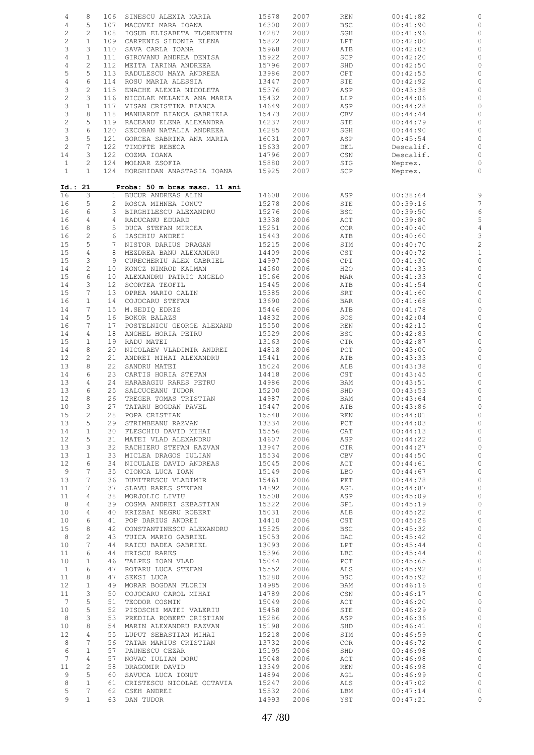| $\sqrt{4}$                | 8               |                 | 106 SINESCU ALEXIA MARIA      | 15678      | 2007 | REN                         | 00:41:82  |                |
|---------------------------|-----------------|-----------------|-------------------------------|------------|------|-----------------------------|-----------|----------------|
| $\,4$                     | 5               |                 | 107 MACOVEI MARA IOANA        | 16300      | 2007 | <b>BSC</b>                  | 00:41:90  | 0              |
| $\sqrt{2}$                | $\overline{c}$  | 108             | IOSUB ELISABETA FLORENTIN     | 16287      | 2007 | SGH                         | 00:41:96  | $\circ$        |
| $\sqrt{2}$                | $\mathbf{1}$    | 109             | CARPENIS SIDONIA ELENA        | 15822      | 2007 | LPT                         | 00:42:00  | 0              |
|                           |                 |                 |                               |            |      |                             |           |                |
| $\ensuremath{\mathsf{3}}$ | 3               | 110             | SAVA CARLA IOANA              | 15968      | 2007 | ATB                         | 00:42:03  | $\circ$        |
| $\,4$                     | $\mathbf{1}$    | 111             | GIROVANU ANDREA DENISA        | 15922      | 2007 | SCP                         | 00:42:20  | 0              |
| $\,4$                     | $\overline{c}$  | 112             | MEITA IARINA ANDREEA          | 15796      | 2007 | SHD                         | 00:42:50  | 0              |
| 5                         | 5               | 113             | RADULESCU MAYA ANDREEA        | 13986      | 2007 | CPT                         | 00:42:55  | 0              |
| $\sqrt{4}$                | 6               | 114             | ROSU MARIA ALESSIA            | 13447      | 2007 | STE                         | 00:42:92  | 0              |
| 3                         | 2               | 115             | ENACHE ALEXIA NICOLETA        | 15376      | 2007 | ASP                         | 00:43:38  | 0              |
|                           |                 |                 |                               |            |      |                             |           |                |
| $\sqrt{2}$                | 3               | 116             | NICOLAE MELANIA ANA MARIA     | 15432      | 2007 | LLP                         | 00:44:06  | $\circ$        |
| $\ensuremath{\mathsf{3}}$ | $1\,$           | 117             | VISAN CRISTINA BIANCA         | 14649      | 2007 | ASP                         | 00:44:28  | 0              |
| $\mathfrak{Z}$            | 8               | 118             | MANHARDT BIANCA GABRIELA      | 15473      | 2007 | CBV                         | 00:44:44  | 0              |
| $\sqrt{2}$                | 5               | 119             | RACEANU ELENA ALEXANDRA       | 16237      | 2007 | STE                         | 00:44:79  | 0              |
| $\mathsf 3$               | 6               | 120             | SECOBAN NATALIA ANDREEA       | 16285      | 2007 | SGH                         | 00:44:90  | 0              |
| $\ensuremath{\mathsf{3}}$ | 5               | 121             | GORCEA SABRINA ANA MARIA      | 16031      | 2007 | ASP                         | 00:45:54  | 0              |
| $\sqrt{2}$                | $7\phantom{.0}$ | 122             | TIMOFTE REBECA                | 15633      | 2007 | DEL                         | Descalif. | 0              |
|                           |                 |                 |                               |            |      |                             |           |                |
| 14                        | 3               | 122             | COZMA IOANA                   | 14796      | 2007 | CSN                         | Descalif. | $\circ$        |
| $\mathbf{1}$              | 2               | 124             | MOLNAR ZSOFIA                 | 15880      | 2007 | STG                         | Neprez.   | 0              |
| $\mathbf{1}$              | $\mathbf{1}$    |                 | 124 HORGHIDAN ANASTASIA IOANA | 15925      | 2007 | SCP                         | Neprez.   | $\circ$        |
|                           |                 |                 |                               |            |      |                             |           |                |
|                           | Id.: 21         |                 | Proba: 50 m bras masc. 11 ani |            |      |                             |           |                |
| 16                        | 3               |                 | 1 BUCUR ANDREAS ALIN          | 14608      | 2006 | ASP                         | 00:38:64  | 9              |
|                           | 5               |                 | 2 ROSCA MIHNEA IONUT          |            |      |                             | 00:39:16  | $\overline{7}$ |
| 16                        |                 |                 |                               | 15278      | 2006 | STE                         |           |                |
| 16                        | 6               |                 | 3 BIRGHILESCU ALEXANDRU       | 15276      | 2006 | <b>BSC</b>                  | 00:39:50  | 6              |
| 16                        | $\overline{4}$  |                 | 4 RADUCANU EDUARD             | 13338      | 2006 | ACT                         | 00:39:80  | 5              |
| 16                        | 8               | 5               | DUCA STEFAN MIRCEA            | 15251      | 2006 | COR                         | 00:40:40  | $\overline{4}$ |
| 16                        | $\overline{c}$  |                 | 6 IASCHIU ANDREI              | 15443      | 2006 | ATB                         | 00:40:60  | 3              |
| 15                        | 5               | $7\phantom{.0}$ | NISTOR DARIUS DRAGAN          | 15215      | 2006 | STM                         | 00:40:70  | $\overline{c}$ |
| 15                        | $\overline{4}$  |                 | 8 MEZDREA BANU ALEXANDRU      | 14409      | 2006 | CST                         | 00:40:72  | $\mathbf{1}$   |
|                           |                 |                 |                               |            |      |                             |           |                |
| 15                        | 3               | 9               | CURECHERIU ALEX GABRIEL       | 14997      | 2006 | CPI                         | 00:41:30  | $\circ$        |
| 14                        | $\mathbf{2}$    |                 | 10 KONCZ NIMROD KALMAN        | 14560      | 2006 | H2O                         | 00:41:33  | $\circ$        |
| 15                        | 6               | 10              | ALEXANDRU PATRIC ANGELO       | 15166      | 2006 | MAR                         | 00:41:33  | 0              |
| 14                        | 3               | 12 <sup>°</sup> | SCORTEA TEOFIL                | 15445      | 2006 | ATB                         | 00:41:54  | $\circ$        |
| 15                        | 7               | 13              | OPREA MARIO CALIN             | 15385      | 2006 | SRT                         | 00:41:60  | $\circ$        |
| 16                        | $\mathbf{1}$    | 14              | COJOCARU STEFAN               | 13690      | 2006 | <b>BAR</b>                  | 00:41:68  | $\circ$        |
| 14                        | 7               | 15              | M.SEDIQ EDRIS                 | 15446      | 2006 | ATB                         | 00:41:78  | 0              |
|                           |                 |                 |                               |            |      |                             |           |                |
| 14                        | 5               | 16              | BOKOR BALAZS                  | 14832      | 2006 | SOS                         | 00:42:04  | $\circ$        |
| 16                        | 7               | 17              | POSTELNICU GEORGE ALEXAND     | 15550      | 2006 | REN                         | 00:42:15  | 0              |
| 14                        | 4               | 18              | ANGHEL HORIA PETRU            | 15529      | 2006 | <b>BSC</b>                  | 00:42:83  | $\circ$        |
| 15                        | $\mathbf{1}$    | 19              | RADU MATEI                    | 13163      | 2006 | CTR                         | 00:42:87  | $\circ$        |
| 14                        | 8               | 20              | NICOLAEV VLADIMIR ANDREI      | 14818      | 2006 | PCT                         | 00:43:00  | $\circ$        |
| 12                        | $\overline{c}$  | 21              | ANDREI MIHAI ALEXANDRU        | 15441      | 2006 | ATB                         | 00:43:33  | $\circ$        |
|                           |                 | 22              | SANDRU MATEI                  |            |      |                             |           |                |
| 13                        | 8               |                 |                               | 15024      | 2006 | ALB                         | 00:43:38  | $\circ$        |
| 14                        | 6               | 23              | CARTIS HORIA STEFAN           | 14418      | 2006 | CST                         | 00:43:45  | $\circ$        |
| 13                        | $\overline{4}$  | 24              | HARABAGIU RARES PETRU         | 14986      | 2006 | BAM                         | 00:43:51  | $\circ$        |
| 13                        | 6               | 25              | SALCUCEANU TUDOR              | 15200      | 2006 | SHD                         | 00:43:53  | $\circ$        |
| 12                        | 8               | 26              | TREGER TOMAS TRISTIAN         | 14987      | 2006 | BAM                         | 00:43:64  | $\mathbb O$    |
| 10                        | 3               |                 | 27 TATARU BOGDAN PAVEL        | 15447      | 2006 | ATB                         | 00:43:86  | $\circ$        |
| 15                        | $\overline{2}$  |                 | 28 POPA CRISTIAN              | 15548 2006 |      | $\mathop{\rm REN}\nolimits$ | 00:44:01  | $\circ$        |
| 13                        | 5               |                 | 29 STRIMBEANU RAZVAN          | 13334      | 2006 | PCT                         | 00:44:03  | 0              |
|                           |                 |                 |                               |            |      |                             |           |                |
| 14                        | $\mathbf{1}$    |                 | 30 FLESCHIU DAVID MIHAI       | 15556      | 2006 | CAT                         | 00:44:13  | $\circ$        |
| 12                        | 5               | 31              | MATEI VLAD ALEXANDRU          | 14607      | 2006 | ASP                         | 00:44:22  | $\circ$        |
| 13                        | 3               | 32              | RACHIERU STEFAN RAZVAN        | 13947      | 2006 | CTR                         | 00:44:27  | $\mathbb{O}$   |
| 13                        | $\mathbf{1}$    | 33              | MICLEA DRAGOS IULIAN          | 15534      | 2006 | CBV                         | 00:44:50  | $\mathbb O$    |
| 12                        | 6               | 34              | NICULAIE DAVID ANDREAS        | 15045      | 2006 | ACT                         | 00:44:61  | $\circ$        |
| 9                         | 7               | 35              | CIONCA LUCA IOAN              | 15149      | 2006 | LBO                         | 00:44:67  | $\circ$        |
| 13                        | 7               | 36              | DUMITRESCU VLADIMIR           | 15461      | 2006 | PET                         | 00:44:78  | $\mathbb O$    |
|                           | 7               |                 |                               |            |      |                             |           |                |
| 11                        |                 | 37              | SLAVU RARES STEFAN            | 14892      | 2006 | AGL                         | 00:44:87  | $\circ$        |
| 11                        | 4               | 38              | MORJOLIC LIVIU                | 15508      | 2006 | ASP                         | 00:45:09  | $\circ$        |
| 8                         | 4               | 39              | COSMA ANDREI SEBASTIAN        | 15322      | 2006 | SPL                         | 00:45:19  | $\circ$        |
| 10                        | 4               | 40              | KRIZBAI NEGRU ROBERT          | 15031      | 2006 | ALB                         | 00:45:22  | $\mathbb O$    |
| 10                        | 6               | 41              | POP DARIUS ANDREI             | 14410      | 2006 | CST                         | 00:45:26  | $\circ$        |
| 15                        | 8               | 42              | CONSTANTINESCU ALEXANDRU      | 15525      | 2006 | <b>BSC</b>                  | 00:45:32  | $\mathbb{C}$   |
| $\,8\,$                   | $\mathbf{2}$    | 43              | TUICA MARIO GABRIEL           | 15053      | 2006 | DAC                         | 00:45:42  | $\mathbb O$    |
| 10                        | 7               | 44              | RAICU BADEA GABRIEL           | 13093      | 2006 | LPT                         | 00:45:44  | $\mathbb{C}$   |
|                           | 6               |                 |                               |            |      |                             |           |                |
| 11                        |                 | 44              | HRISCU RARES                  | 15396      | 2006 | LBC                         | 00:45:44  | $\mathbb O$    |
| 10                        | $\mathbf{1}$    | 46              | TALPES IOAN VLAD              | 15044      | 2006 | PCT                         | 00:45:65  | $\circ$        |
| $\mathbf{1}$              | 6               | 47              | ROTARU LUCA STEFAN            | 15552      | 2006 | ALS                         | 00:45:92  | $\circ$        |
| 11                        | 8               | 47              | SEKSI LUCA                    | 15280      | 2006 | <b>BSC</b>                  | 00:45:92  | $\mathbb O$    |
| $12 \overline{ }$         | $\mathbf{1}$    | 49              | MORAR BOGDAN FLORIN           | 14985      | 2006 | BAM                         | 00:46:16  | $\mathbb{C}$   |
| 11                        | 3               | 50              | COJOCARU CAROL MIHAI          | 14789      | 2006 | CSN                         | 00:46:17  | $\circ$        |
| 7                         | 5               | 51              | TEODOR COSMIN                 | 15049      | 2006 | ACT                         | 00:46:20  | $\mathbb{C}$   |
|                           | 5               |                 |                               |            |      |                             |           |                |
| 10                        |                 | 52              | PISOSCHI MATEI VALERIU        | 15458      | 2006 | STE                         | 00:46:29  | $\mathbb O$    |
| 8                         | 3               | 53              | PREDILA ROBERT CRISTIAN       | 15286      | 2006 | ASP                         | 00:46:36  | $\circ$        |
| 10                        | 8               | 54              | MARIN ALEXANDRU RAZVAN        | 15198      | 2006 | SHD                         | 00:46:41  | $\circ$        |
| 12                        | 4               | 55              | LUPUT SEBASTIAN MIHAI         | 15218      | 2006 | STM                         | 00:46:59  | $\circ$        |
| 8                         | 7               | 56              | TATAR MARIUS CRISTIAN         | 13732      | 2006 | <b>COR</b>                  | 00:46:72  | $\mathbb{C}$   |
| 6                         | $\mathbf{1}$    | 57              | PAUNESCU CEZAR                | 15195      | 2006 | SHD                         | 00:46:98  | $\circ$        |
| $7\phantom{.0}$           | 4               | 57              | NOVAC IULIAN DORU             | 15048      | 2006 | ACT                         | 00:46:98  | $\mathbb O$    |
|                           |                 |                 |                               |            |      |                             |           |                |
| 11                        | $\overline{c}$  | 58              | DRAGOMIR DAVID                | 13349      | 2006 | REN                         | 00:46:98  | $\mathbb O$    |
| 9                         | 5               | 60              | SAVUCA LUCA IONUT             | 14894      | 2006 | AGL                         | 00:46:99  | $\mathbb O$    |
| $\,8\,$                   | $\mathbf{1}$    |                 | 61 CRISTESCU NICOLAE OCTAVIA  | 15247      | 2006 | ALS                         | 00:47:02  | $\circ$        |
| 5                         | $7\phantom{.0}$ |                 | 62 CSEH ANDREI                | 15532      | 2006 | LBM                         | 00:47:14  | $\circ$        |
| 9                         | $\mathbf{1}$    |                 | 63 DAN TUDOR                  | 14993      | 2006 | YST                         | 00:47:21  | $\circ$        |
|                           |                 |                 |                               |            |      |                             |           |                |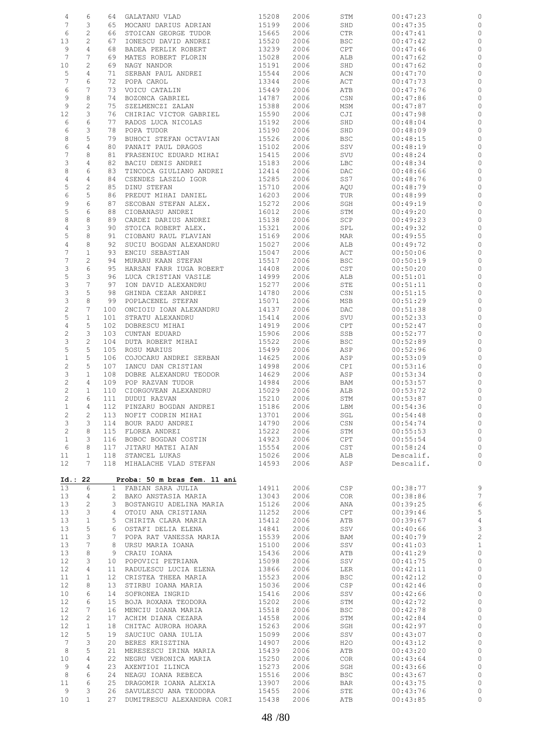| 4                | 6                   | 64                  | GALATANU VLAD                                  | 15208          | 2006         | STM                           | 00:47:23             | 0                   |
|------------------|---------------------|---------------------|------------------------------------------------|----------------|--------------|-------------------------------|----------------------|---------------------|
| 7                | 3                   | 65                  | MOCANU DARIUS ADRIAN                           | 15199          | 2006         | SHD                           | 00:47:35             | $\circ$             |
| 6                | $\mathbf{2}$        | 66                  | STOICAN GEORGE TUDOR                           | 15665          | 2006         | CTR                           | 00:47:41             | $\circ$             |
| 13               | $\overline{c}$      | 67                  | IONESCU DAVID ANDREI                           | 15520          | 2006         | <b>BSC</b>                    | 00:47:42             | $\circ$             |
| 9                | 4                   | 68                  | BADEA PERLIK ROBERT                            | 13239          | 2006         | $\mathtt{CPT}$                | 00:47:46             | 0                   |
| 7                | 7                   | 69                  | MATES ROBERT FLORIN                            | 15028          | 2006         | ALB                           | 00:47:62             | $\circ$             |
| 10               | 2                   | 69                  | NAGY NANDOR                                    | 15191          | 2006         | SHD                           | 00:47:62             | 0                   |
| 5                | 4                   | 71                  | SERBAN PAUL ANDREI                             | 15544          | 2006         | ACN                           | 00:47:70             | $\circ$             |
| $\boldsymbol{7}$ | 6                   | 72                  | POPA CAROL                                     | 13344          | 2006         | ACT                           | 00:47:73             | 0                   |
| 6                | $\overline{7}$      | 73                  | VOICU CATALIN                                  | 15449          | 2006         | ATB                           | 00:47:76             | $\circ$             |
| 9                | 8                   | 74                  | BOZONCA GABRIEL                                | 14787          | 2006         | CSN                           | 00:47:86             | 0                   |
| 9                | $\overline{c}$      | 75                  | SZELMENCZI ZALAN                               | 15388          | 2006         | MSM                           | 00:47:87             | $\circ$             |
| 12               | 3                   | 76                  | CHIRIAC VICTOR GABRIEL                         | 15590          | 2006         | CJI                           | 00:47:98             | 0                   |
| 6                | 6                   | 77                  | RADOS LUCA NICOLAS                             | 15192          | 2006         | SHD                           | 00:48:04             | 0                   |
| 6                | 3                   | 78                  | POPA TUDOR                                     | 15190          | 2006         | SHD                           | 00:48:09             | 0                   |
| 8                | 5                   | 79                  | BUHOCI STEFAN OCTAVIAN                         | 15526          | 2006         | BSC                           | 00:48:15             | 0                   |
| 6                | 4                   | 80                  | PANAIT PAUL DRAGOS                             | 15102          | 2006         | SSV                           | 00:48:19             | 0                   |
| $\boldsymbol{7}$ | 8                   | 81                  | FRASENIUC EDUARD MIHAI                         | 15415          | 2006         | SVU                           | 00:48:24             | 0                   |
| 3                | 4                   | 82                  | BACIU DENIS ANDREI                             | 15183          | 2006         | LBC                           | 00:48:34             | 0                   |
| 8                | 6                   | 83                  | TINCOCA GIULIANO ANDREI                        | 12414          | 2006         | DAC                           | 00:48:66             | $\circ$             |
| 4                | 4                   | 84                  | CSENDES LASZLO IGOR                            | 15285          | 2006         | SS7                           | 00:48:76             | 0                   |
| 5                | $\overline{c}$      | 85                  | DINU STEFAN                                    | 15710          | 2006         | AQU                           | 00:48:79             | 0                   |
| 6                | 5                   | 86                  | PREDUT MIHAI DANIEL                            | 16203          | 2006         | TUR                           | 00:48:99             | 0                   |
| 9                | 6                   | 87                  | SECOBAN STEFAN ALEX.                           | 15272          | 2006         | SGH                           | 00:49:19             | 0                   |
| 5                | 6                   | 88                  | CIOBANASU ANDREI                               | 16012          | 2006         | STM                           | 00:49:20             | 0                   |
| 8                | 8                   | 89                  | CARDEI DARIUS ANDREI                           | 15138          | 2006         | SCP                           | 00:49:23             | 0                   |
| $\overline{4}$   | 3                   | 90                  | STOICA ROBERT ALEX.                            | 15321          | 2006         | SPL                           | 00:49:32             | 0                   |
| 5                | 8                   | 91                  | CIOBANU RAUL FLAVIAN                           | 15169          | 2006         | MAR                           | 00:49:55             | 0                   |
| $\,4$            | 8                   | 92                  | SUCIU BOGDAN ALEXANDRU                         | 15027          | 2006         | ALB                           | 00:49:72             | $\circ$             |
| 7                | $\mathbf{1}$        | 93                  | ENCIU SEBASTIAN                                | 15047          | 2006         | ACT                           | 00:50:06             | 0                   |
| $\overline{7}$   | $\mathbf{2}$        | 94                  | MURARU KAAN STEFAN                             | 15517          | 2006         | <b>BSC</b>                    | 00:50:19             | 0                   |
| 3                | 6                   | 95                  | HARSAN FARR IUGA ROBERT                        | 14408          | 2006         | CST                           | 00:50:20             | 0                   |
| 5                | 3                   | 96                  | LUCA CRISTIAN VASILE                           | 14999          | 2006         | ALB                           | 00:51:01             | 0                   |
| 3                | 7                   | 97                  | ION DAVID ALEXANDRU                            | 15277          | 2006         | STE                           | 00:51:11             | 0                   |
| 3                | 5                   | 98                  | GHINDA CEZAR ANDREI                            | 14780          | 2006         | CSN                           | 00:51:15             | $\circ$             |
| 3                | 8                   | 99                  | POPLACENEL STEFAN                              | 15071          | 2006         | MSB                           | 00:51:29             | 0                   |
| $\sqrt{2}$       | $7\phantom{.0}$     | 100                 | ONCIOIU IOAN ALEXANDRU                         | 14137          | 2006         | DAC                           | 00:51:38             | 0                   |
| 5                | $\mathbf{1}$        | 101                 | STRATU ALEXANDRU                               | 15414          | 2006         | SVU                           | 00:52:33             | 0                   |
| $\overline{4}$   | 5                   | 102                 | DOBRESCU MIHAI                                 | 14919          | 2006         | CPT                           | 00:52:47             | 0                   |
| $\sqrt{2}$       | 3                   | 103                 | CUNTAN EDUARD                                  | 15906          | 2006         | SSB                           | 00:52:77             | 0                   |
| 3                | $\mathbf{2}$        | 104                 | DUTA ROBERT MIHAI                              | 15522          | 2006         | <b>BSC</b>                    | 00:52:89             | $\circ$             |
| 5                | 5                   | 105                 | ROSU MARIUS                                    | 15499          | 2006         | ASP                           | 00:52:96             | 0                   |
| $\mathbf{1}$     | 5                   | 106                 | COJOCARU ANDREI SERBAN                         | 14625          | 2006         | ASP                           | 00:53:09             | $\mathbb O$         |
| 2                | 5                   | 107                 | IANCU DAN CRISTIAN                             | 14998          | 2006         | CPI                           | 00:53:16             | 0                   |
| 3                | $\mathbf{1}$        | 108                 | DOBRE ALEXANDRU TEODOR                         | 14629          | 2006         | ASP                           | 00:53:34             | $\circ$             |
| 2                | 4                   | 109                 | POP RAZVAN TUDOR                               | 14984          | 2006         | BAM                           | 00:53:57             | 0                   |
| $\sqrt{2}$       | $\mathbf{1}$        | 110                 | CIORGOVEAN ALEXANDRU                           | 15029          | 2006         | ALB                           | 00:53:72             | $\mathbb O$         |
| 2                | 6                   | 111                 | DUDUI RAZVAN                                   | 15210          | 2006         | STM                           | 00:53:87             | 0                   |
| $\mathbf{1}$     | 4                   | 112                 | PINZARU BOGDAN ANDREI                          | 15186          | 2006         | LBM                           | 00:54:36             | $\circ$             |
| $\overline{c}$   | 2                   | 113                 | NOFIT CODRIN MIHAI                             | 13701          | 2006         | $\operatorname{\mathsf{SGL}}$ | 00:54:48             | $\circ$             |
| 3                | 3                   | 114                 | BOUR RADU ANDREI                               | 14790          | 2006         | $_{\mbox{\tiny{CSN}}}$        | 00:54:74             | $\circ$             |
| $\mathbf{2}$     | 8                   | 115                 | FLOREA ANDREI                                  | 15222          | 2006         | STM                           | 00:55:53             | $\circ$             |
| $\mathbf{1}$     | 3                   | 116                 | BOBOC BOGDAN COSTIN                            | 14923          | 2006         | CPT                           | 00:55:54             | $\circ$             |
| 6                | 8                   | 117                 | JITARU MATEI AIAN                              | 15554          | 2006         | $\mathsf{CST}$                | 00:58:24             | $\circ$             |
| 11               | $\mathbf{1}$        | 118                 | STANCEL LUKAS                                  | 15026          | 2006         | ALB                           | Descalif.            | $\circ$             |
| 12               | 7                   |                     | 118 MIHALACHE VLAD STEFAN                      | 14593          | 2006         | ASP                           | Descalif.            | $\circ$             |
|                  |                     |                     |                                                |                |              |                               |                      |                     |
|                  | Id.: 22             |                     | Proba: 50 m bras fem. 11 ani                   |                |              |                               |                      |                     |
| 13               | 6                   | $\mathbf{1}$        | FABIAN SARA JULIA                              | 14911          | 2006         | CSP                           | 00:38:77             | 9                   |
| 13<br>13         | 4<br>$\overline{c}$ | $\overline{2}$<br>3 | BAKO ANSTASIA MARIA<br>BOSTANGIU ADELINA MARIA | 13043<br>15126 | 2006<br>2006 | COR<br>ANA                    | 00:38:86<br>00:39:25 | $\overline{7}$<br>6 |
| 13               | 3                   | 4                   | OTOIU ANA CRISTIANA                            | 11252          | 2006         | CPT                           | 00:39:46             | 5                   |
| 13               | $\mathbf{1}$        | 5                   | CHIRITA CLARA MARIA                            | 15412          | 2006         | ATB                           | 00:39:67             | $\overline{4}$      |
| 13               | 5                   | 6                   | OSTAFI DELIA ELENA                             |                |              |                               |                      | 3                   |
| 11               | 3                   | 7                   |                                                | 14841<br>15539 | 2006         | SSV                           | 00:40:66             | $\overline{c}$      |
| 13               | 7                   | 8                   | POPA RAT VANESSA MARIA<br>URSU MARIA IOANA     | 15100          | 2006<br>2006 | BAM<br>SSV                    | 00:40:79<br>00:41:03 | $1\,$               |
| 13               | 8                   | 9                   | CRAIU IOANA                                    | 15436          | 2006         | ATB                           | 00:41:29             | $\circ$             |
| 12               | 3                   | 10 <sup>°</sup>     | POPOVICI PETRIANA                              | 15098          | 2006         | SSV                           | 00:41:75             | $\circ$             |
| 12               | 4                   | 11                  | RADULESCU LUCIA ELENA                          | 13866          | 2006         | LER                           | 00:42:11             | $\circ$             |
| 11               | $\mathbf{1}$        | 12 <sup>°</sup>     | CRISTEA THEEA MARIA                            | 15523          | 2006         | <b>BSC</b>                    | 00:42:12             | $\mathbb O$         |
| 12               | 8                   | 13                  | STIRBU IOANA MARIA                             | 15036          | 2006         | CSP                           | 00:42:46             | $\circ$             |
| 10               | 6                   | 14                  | SOFRONEA INGRID                                | 15416          | 2006         | SSV                           | 00:42:66             | $\circ$             |
| 12               | 6                   | 15                  | BOJA ROXANA TEODORA                            | 15202          | 2006         | STM                           | 00:42:72             | $\circ$             |
| 12               | 7                   | 16                  | MENCIU IOANA MARIA                             | 15518          | 2006         | <b>BSC</b>                    | 00:42:78             | $\circ$             |
| 12               | $\mathbf{2}$        | 17                  | ACHIM DIANA CEZARA                             | 14558          | 2006         | STM                           | 00:42:84             | $\circ$             |
| 12               | $\mathbf{1}$        | 18                  | CHITAC AURORA HOARA                            | 15263          | 2006         | SGH                           | 00:42:97             | $\circ$             |
| 12               | 5                   | 19                  | SAUCIUC OANA IULIA                             | 15099          | 2006         | SSV                           | 00:43:07             | $\circ$             |
| $7\phantom{.0}$  | 3                   | 20                  | BERES KRISZTINA                                | 14907          | 2006         | H20                           | 00:43:12             | $\circ$             |
| $\,8\,$          | 5                   | 21                  | MERESESCU IRINA MARIA                          | 15439          | 2006         | ATB                           | 00:43:20             | $\circ$             |
| 10               | 4                   | 22                  | NEGRU VERONICA MARIA                           | 15250          | 2006         | <b>COR</b>                    | 00:43:64             | $\circ$             |
| 9                | 4                   | 23                  | AXENTIOI ILINCA                                | 15273          | 2006         | SGH                           | 00:43:66             | $\circ$             |
| 8                | 6                   | 24                  | NEAGU IOANA REBECA                             | 15516          | 2006         | BSC                           | 00:43:67             | $\circ$             |
| 11               | 6                   | 25                  | DRAGOMIR IOANA ALEXIA                          | 13907          | 2006         | BAR                           | 00:43:75             | 0                   |
| 9                | 3                   | 26                  | SAVULESCU ANA TEODORA                          | 15455          | 2006         | STE                           | 00:43:76             | 0                   |
| 10               | $\mathbf{1}$        | 27                  | DUMITRESCU ALEXANDRA CORI                      | 15438          | 2006         | ATB                           | 00:43:85             | $\mathbf 0$         |
|                  |                     |                     |                                                |                |              |                               |                      |                     |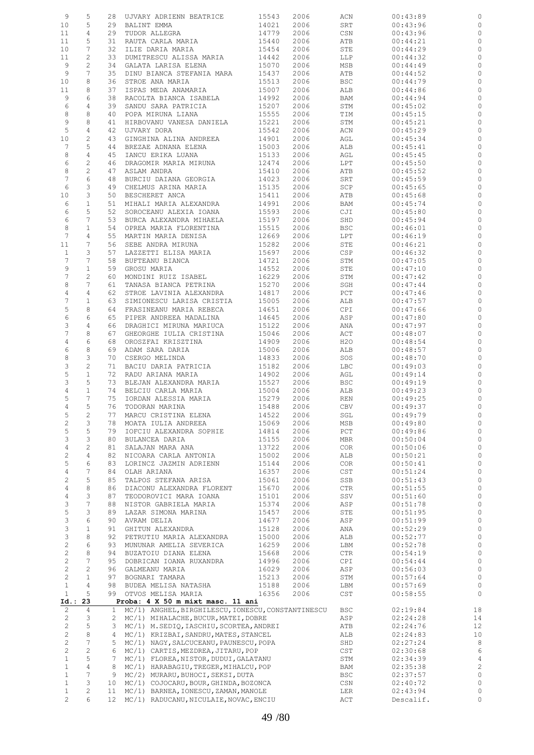| 9                              | 5               | 28              | UJVARY ADRIENN BEATRICE                            | 15543 | 2006 | ACN                         | 00:43:89  |                |
|--------------------------------|-----------------|-----------------|----------------------------------------------------|-------|------|-----------------------------|-----------|----------------|
| 10                             | 5               | 29              | BALINT EMMA                                        | 14021 | 2006 | SRT                         | 00:43:96  | 0              |
| 11                             | $\overline{4}$  | 29              | TUDOR ALLEGRA                                      | 14779 | 2006 | CSN                         | 00:43:96  | 0              |
| 11                             | 5               | 31              | RAUTA CARLA MARIA                                  | 15440 | 2006 | ATB                         | 00:44:21  | 0              |
| 10                             | 7               | 32              | ILIE DARIA MARIA                                   | 15454 | 2006 | STE                         | 00:44:29  | 0              |
| 11                             | 2               | 33              | DUMITRESCU ALISSA MARIA                            | 14442 | 2006 | LLP                         | 00:44:32  | $\circ$        |
| 9                              | $\mathbf{2}$    | 34              | GALATA LARISA ELENA                                | 15070 | 2006 | MSB                         | 00:44:49  | 0              |
| 9                              | $7\phantom{.0}$ | 35              | DINU BIANCA STEFANIA MARA                          | 15437 | 2006 | ATB                         | 00:44:52  | 0              |
| 10                             | 8               | 36              | STROE ANA MARIA                                    | 15513 | 2006 | <b>BSC</b>                  | 00:44:79  | 0              |
| 11                             | 8               | 37              | ISPAS MEDA ANAMARIA                                | 15007 | 2006 | ALB                         | 00:44:86  | 0              |
| 9                              | 6               | 38              | RACOLTA BIANCA ISABELA                             | 14992 | 2006 | BAM                         | 00:44:94  | 0              |
|                                |                 |                 |                                                    |       |      |                             |           |                |
| 6                              | 4               | 39              | SANDU SARA PATRICIA                                | 15207 | 2006 | STM                         | 00:45:02  | $\circ$        |
| 8                              | 8               | 40              | POPA MIRUNA LIANA                                  | 15555 | 2006 | TIM                         | 00:45:15  | 0              |
| 9                              | 8               | 41              | HIRBOVANU VANESA DANIELA                           | 15221 | 2006 | STM                         | 00:45:21  | $\circ$        |
| 5                              | $\overline{4}$  | 42              | UJVARY DORA                                        | 15542 | 2006 | ACN                         | 00:45:29  | 0              |
| 10                             | $\overline{c}$  | 43              | GINGHINA ALINA ANDREEA                             | 14901 | 2006 | AGL                         | 00:45:34  | $\circ$        |
| 7                              | 5               | 44              | BREZAE ADNANA ELENA                                | 15003 | 2006 | ALB                         | 00:45:41  | 0              |
| 8                              | 4               | 45              | IANCU ERIKA LUANA                                  | 15133 | 2006 | AGL                         | 00:45:45  | $\circ$        |
| 6                              | $\overline{c}$  | 46              | DRAGOMIR MARIA MIRUNA                              | 12474 | 2006 | LPT                         | 00:45:50  | 0              |
| $\,8\,$                        | 2               | 47              | ASLAM ANDRA                                        | 15410 | 2006 | ATB                         | 00:45:52  | $\circ$        |
| 7                              | 6               | 48              | BURCIU DAIANA GEORGIA                              | 14023 | 2006 | SRT                         | 00:45:59  | 0              |
| 6                              | 3               | 49              | CHELMUS ARINA MARIA                                | 15135 | 2006 | SCP                         | 00:45:65  | $\circ$        |
| 10                             | 3               | 50              | BESCHERET ANCA                                     | 15411 | 2006 | ATB                         | 00:45:68  | 0              |
| 6                              | $\mathbf{1}$    | 51              | MIHALI MARIA ALEXANDRA                             | 14991 | 2006 | BAM                         | 00:45:74  | $\circ$        |
| 6                              | 5               | 52              | SOROCEANU ALEXIA IOANA                             | 15593 | 2006 | CJI                         | 00:45:80  | 0              |
| 6                              | 7               | 53              | BURCA ALEXANDRA MIHAELA                            | 15197 | 2006 | SHD                         | 00:45:94  | 0              |
| 8                              | $\mathbf{1}$    | 54              | OPREA MARIA FLORENTINA                             | 15515 | 2006 | <b>BSC</b>                  | 00:46:01  | 0              |
| $7\phantom{.0}$                | 4               | 55              | MARTIN MARIA DENISA                                | 12669 | 2006 | LPT                         | 00:46:19  | $\circ$        |
|                                | 7               |                 |                                                    |       |      |                             |           |                |
| 11                             |                 | 56              | SEBE ANDRA MIRUNA                                  | 15282 | 2006 | STE                         | 00:46:21  | 0              |
| $\mathbf{1}$                   | 3               | 57              | LAZZETTI ELISA MARIA                               | 15697 | 2006 | <b>CSP</b>                  | 00:46:32  | $\circ$        |
| $7\phantom{.0}$                | 7               | 58              | BUFTEANU BIANCA                                    | 14721 | 2006 | STM                         | 00:47:05  | 0              |
| 9                              | $\mathbf{1}$    | 59              | GROSU MARIA                                        | 14552 | 2006 | STE                         | 00:47:10  | 0              |
| 7                              | $\mathbf{2}$    | 60              | MONDINI RUIZ ISABEL                                | 16229 | 2006 | STM                         | 00:47:42  | 0              |
| 8                              | 7               | 61              | TANASA BIANCA PETRINA                              | 15270 | 2006 | SGH                         | 00:47:44  | 0              |
| $\overline{4}$                 | 4               | 62              | STROE LAVINIA ALEXANDRA                            | 14817 | 2006 | PCT                         | 00:47:46  | 0              |
| $\overline{7}$                 | $\mathbf{1}$    | 63              | SIMIONESCU LARISA CRISTIA                          | 15005 | 2006 | ALB                         | 00:47:57  | 0              |
| 5                              | 8               | 64              | FRASINEANU MARIA REBECA                            | 14651 | 2006 | CPI                         | 00:47:66  | 0              |
| 6                              | 6               | 65              | PIPER ANDREEA MADALINA                             | 14645 | 2006 | ASP                         | 00:47:80  | 0              |
| 3                              | 4               | 66              | DRAGHICI MIRUNA MARIUCA                            | 15122 | 2006 | ANA                         | 00:47:97  | 0              |
| 7                              | 8               | 67              | GHEORGHE IULIA CRISTINA                            | 15046 | 2006 | ACT                         | 00:48:07  | 0              |
| 4                              | 6               | 68              | OROSZFAI KRISZTINA                                 | 14909 | 2006 | H2O                         | 00:48:54  | 0              |
| 6                              | 8               | 69              | ADAM SARA DARIA                                    | 15006 | 2006 | ALB                         | 00:48:57  | 0              |
| 8                              | 3               | 70              | CSERGO MELINDA                                     | 14833 | 2006 | SOS                         | 00:48:70  | 0              |
| 3                              | $\mathbf{2}$    | 71              | BACIU DARIA PATRICIA                               | 15182 | 2006 | LBC                         | 00:49:03  | 0              |
| $\mathsf S$                    | $\mathbf{1}$    | 72              | RADU ARIANA MARIA                                  | 14902 | 2006 | AGL                         | 00:49:14  | 0              |
| 3                              | 5               | 73              | BLEJAN ALEXANDRA MARIA                             | 15527 |      |                             |           |                |
|                                |                 |                 |                                                    |       | 2006 | <b>BSC</b>                  | 00:49:19  | 0              |
| 4                              | $\mathbf{1}$    | 74              | BELCIU CARLA MARIA                                 | 15004 | 2006 | ALB                         | 00:49:23  | $\circ$        |
| 5                              | 7               | 75              | IORDAN ALESSIA MARIA                               | 15279 | 2006 | REN                         | 00:49:25  | 0              |
| 4                              | 5               | 76              | TODORAN MARINA                                     | 15488 | 2006 | CBV                         | 00:49:37  | $\circ$        |
| 5                              | 2               | 77              | MARCU CRISTINA ELENA                               | 14522 | 2006 | SGL                         | 00:49:79  |                |
| $\mathbf{2}$                   | 3               | 78              | MOATA IULIA ANDREEA                                | 15069 | 2006 | MSB                         | 00:49:80  | 0              |
| 5                              | 5               | 79              | IOFCIU ALEXANDRA SOPHIE                            | 14814 | 2006 | PCT                         | 00:49:86  | 0              |
| 3                              | 3               | 80              | BULANCEA DARIA                                     | 15155 | 2006 | <b>MBR</b>                  | 00:50:04  | $\circ$        |
| 4                              | $\mathbf{2}$    | 81              | SALAJAN MARA ANA                                   | 13722 | 2006 | <b>COR</b>                  | 00:50:06  | $\circ$        |
| $\mathbf{2}$                   | 4               | 82              | NICOARA CARLA ANTONIA                              | 15002 | 2006 | ALB                         | 00:50:21  | $\circ$        |
| 5                              | 6               | 83              | LORINCZ JAZMIN ADRIENN                             | 15144 | 2006 | <b>COR</b>                  | 00:50:41  | $\circ$        |
| $\overline{4}$                 | 7               | 84              | OLAH ARIANA                                        | 16357 | 2006 | $\mathsf{CST}$              | 00:51:24  | $\circ$        |
| 2                              | 5               | 85              | TALPOS STEFANA ARISA                               | 15061 | 2006 | SSB                         | 00:51:43  | $\circ$        |
| $\,4$                          | $\,8\,$         | 86              | DIACONU ALEXANDRA FLORENT                          | 15670 | 2006 | CTR                         | 00:51:55  | $\circ$        |
| 4                              | 3               | 87              | TEODOROVICI MARA IOANA                             | 15101 | 2006 | SSV                         | 00:51:60  | $\circ$        |
| 3                              | $\overline{7}$  | 88              | NISTOR GABRIELA MARIA                              | 15374 | 2006 | ASP                         | 00:51:78  | $\circ$        |
| 5                              | 3               | 89              | LAZAR SIMONA MARINA                                | 15457 | 2006 | STE                         | 00:51:95  | $\circ$        |
| 3                              | 6               | 90              | AVRAM DELIA                                        | 14677 | 2006 | ASP                         | 00:51:99  | $\circ$        |
|                                |                 |                 |                                                    | 15128 | 2006 |                             |           |                |
| 3                              | $\mathbf 1$     | 91              | GHITUN ALEXANDRA                                   |       |      | ANA                         | 00:52:29  | $\circ$        |
| $\ensuremath{\mathsf{3}}$      | 8               | 92              | PETRUTIU MARIA ALEXANDRA                           | 15000 | 2006 | ALB                         | 00:52:77  | $\circ$        |
| $\mathbf{2}$                   | 6               | 93              | MUNUNAR AMELIA SEVERICA                            | 16259 | 2006 | LBM                         | 00:52:78  | $\circ$        |
| $\sqrt{2}$                     | 8               | 94              | BUZATOIU DIANA ELENA                               | 15668 | 2006 | CTR                         | 00:54:19  | $\circ$        |
| $\overline{c}$                 | 7               | 95              | DOBRICAN IOANA RUXANDRA                            | 14996 | 2006 | CPI                         | 00:54:44  | $\circ$        |
| $\overline{c}$                 | $\mathbf{2}$    | 96              | GALMEANU MARIA                                     | 16029 | 2006 | ASP                         | 00:56:03  | $\circ$        |
| $\mathbf{2}$                   | $\mathbf{1}$    | 97              | BOGNARI TAMARA                                     | 15213 | 2006 | STM                         | 00:57:64  | $\circ$        |
| $\mathbf{1}$                   | 4               | 98              | BUDEA MELISA NATASHA                               | 15188 | 2006 | LBM                         | 00:57:69  | $\circ$        |
| $\mathbf{1}$                   | 5               | 99              | OTVOS MELISA MARIA                                 | 16356 | 2006 | $\mathop{\tt CST}\nolimits$ | 00:58:55  | $\circ$        |
| $Id.$ :                        | 23              |                 | Proba: 4 X 50 m mixt masc. 11 ani                  |       |      |                             |           |                |
| $\overline{c}$                 | 4               | $\mathbf{1}$    | MC/1) ANGHEL, BIRGHILESCU, IONESCU, CONSTANTINESCU |       |      | <b>BSC</b>                  | 02:19:84  | 18             |
| $\overline{c}$                 | 3               | 2               | MC/1) MIHALACHE, BUCUR, MATEI, DOBRE               |       |      | ASP                         | 02:24:28  | 14             |
| $\overline{c}$                 | 5               | 3               | MC/1) M.SEDIQ, IASCHIU, SCORTEA, ANDREI            |       |      | ATB                         | 02:24:76  | 12             |
| $\overline{c}$                 | 8               | 4               | MC/1) KRIZBAI, SANDRU, MATES, STANCEL              |       |      | ALB                         | 02:24:83  | 10             |
| $\overline{c}$                 | $\overline{7}$  | 5               | MC/1) NAGY, SALCUCEANU, PAUNESCU, POPA             |       |      | SHD                         | 02:27:24  | 8              |
| $\mathbf{2}$                   | $\overline{c}$  | 6               | MC/1) CARTIS, MEZDREA, JITARU, POP                 |       |      | CST                         | 02:30:68  | $\epsilon$     |
| $\mathbf{1}$                   | 5               | 7               | MC/1) FLOREA, NISTOR, DUDUI, GALATANU              |       |      | STM                         | 02:34:39  | $\overline{4}$ |
| $\mathbf{1}$                   | $\overline{4}$  | 8               | MC/1) HARABAGIU, TREGER, MIHALCU, POP              |       |      | BAM                         | 02:35:38  | $\overline{c}$ |
| $\mathbf{1}$                   | $\overline{7}$  | 9               | MC/2) MURARU, BUHOCI, SEKSI, DUTA                  |       |      | BSC                         | 02:37:57  | $\circ$        |
| $\mathbf{1}$                   | 3               | 10 <sup>°</sup> | MC/1) COJOCARU, BOUR, GHINDA, BOZONCA              |       |      | CSN                         | 02:40:72  | $\circ$        |
|                                | $\mathbf{2}$    |                 |                                                    |       |      |                             |           |                |
| $\mathbf{1}$<br>$\overline{c}$ | 6               | 11              | MC/1) BARNEA, IONESCU, ZAMAN, MANOLE               |       |      | LER                         | 02:43:94  | 0              |
|                                |                 | 12              | MC/1) RADUCANU, NICULAIE, NOVAC, ENCIU             |       |      | ACT                         | Descalif. | 0              |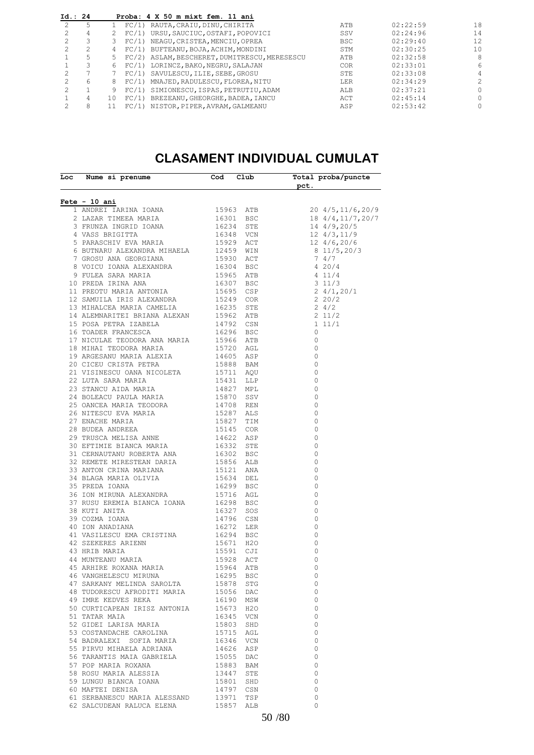| Id.: 24 |    | Proba: 4 X 50 m mixt fem. 11 ani |                                                                                                                                                                                                                                                                                                                                                                                                                                                               |          |          |
|---------|----|----------------------------------|---------------------------------------------------------------------------------------------------------------------------------------------------------------------------------------------------------------------------------------------------------------------------------------------------------------------------------------------------------------------------------------------------------------------------------------------------------------|----------|----------|
|         |    |                                  | ATB                                                                                                                                                                                                                                                                                                                                                                                                                                                           | 02:22:59 | 18       |
| 4       |    |                                  | SSV                                                                                                                                                                                                                                                                                                                                                                                                                                                           | 02:24:96 | 14       |
|         |    |                                  | <b>BSC</b>                                                                                                                                                                                                                                                                                                                                                                                                                                                    | 02:29:40 | 12       |
| ↷       | 4  |                                  | STM                                                                                                                                                                                                                                                                                                                                                                                                                                                           | 02:30:25 | 10       |
| 5       |    |                                  | ATB                                                                                                                                                                                                                                                                                                                                                                                                                                                           | 02:32:58 | 8        |
|         | 6. |                                  | <b>COR</b>                                                                                                                                                                                                                                                                                                                                                                                                                                                    | 02:33:01 | 6        |
|         |    |                                  | STE                                                                                                                                                                                                                                                                                                                                                                                                                                                           | 02:33:08 | 4        |
| 6       | 8  |                                  | LER                                                                                                                                                                                                                                                                                                                                                                                                                                                           | 02:34:29 | 2        |
|         |    |                                  | ALB                                                                                                                                                                                                                                                                                                                                                                                                                                                           | 02:37:21 | 0        |
| 4       | 10 |                                  | ACT                                                                                                                                                                                                                                                                                                                                                                                                                                                           | 02:45:14 | 0        |
| 8       |    |                                  | ASP                                                                                                                                                                                                                                                                                                                                                                                                                                                           | 02:53:42 | $\Omega$ |
|         |    |                                  | FC/1) RAUTA, CRAIU, DINU, CHIRITA<br>FC/1) URSU, SAUCIUC, OSTAFI, POPOVICI<br>FC/1) NEAGU, CRISTEA, MENCIU, OPREA<br>FC/1) BUFTEANU, BOJA, ACHIM, MONDINI<br>FC/2) ASLAM, BESCHERET, DUMITRESCU, MERESESCU<br>FC/1) LORINCZ, BAKO, NEGRU, SALAJAN<br>FC/1) SAVULESCU, ILIE, SEBE, GROSU<br>FC/1) MNAJED, RADULESCU, FLOREA, NITU<br>FC/1) SIMIONESCU, ISPAS, PETRUTIU, ADAM<br>FC/1) BREZEANU, GHEORGHE, BADEA, IANCU<br>FC/1) NISTOR, PIPER, AVRAM, GALMEANU |          |          |

#### **CLASAMENT INDIVIDUAL CUMULAT**

| Fete - 10 ani<br>20 4/5, 11/6, 20/9<br>18 4/4, 11/7, 20/7<br>$\circ$<br>$\circ$<br>$\overline{0}$<br>$\overline{\phantom{0}}$<br>$\circ$<br>$\circ$<br>$\overline{0}$<br>$\overline{\phantom{0}}$<br>$\circ$<br>$\overline{0}$<br>$\overline{0}$<br>$\circ$<br>$\circ$<br>$\mathbf 0$<br>46 VANGHELESCU MIRUNA<br>16295<br><b>BSC</b><br>- 0<br>$\overline{0}$<br>47 SARKANY MELINDA SAROLTA<br>15878 STG<br>48 TUDORESCU AFRODITI MARIA 15056 DAC<br>$\overline{0}$<br>49 IMRE KEDVES REKA<br>$\overline{0}$<br>16190 MSW<br>50 CURTICAPEAN IRISZ ANTONIA 15673 H2O<br>$\overline{0}$<br>51 TATAR MAIA<br>16345 VCN<br>$\overline{0}$<br>52 GIDEI LARISA MARIA<br>15803<br>SHD<br>$\circ$<br>53 COSTANDACHE CAROLINA<br>15715 AGL<br>$\circ$<br>54 BADRALEXI SOFIA MARIA<br>$\circ$<br>16346 VCN<br>55 PIRVU MIHAELA ADRIANA<br>$\circ$<br>14626<br>ASP<br>56 TARANTIS MAIA GABRIELA 15055 DAC<br>$\circ$<br>57 POP MARIA ROXANA<br>15883 BAM<br>$\circ$<br>13447<br>58 ROSU MARIA ALESSIA<br>STE<br>$\circ$<br>59 LUNGU BIANCA IOANA<br>$\circ$<br>15801<br>SHD<br>60 MAFTEI DENISA<br>14797 CSN<br>$\circ$<br>61 SERBANESCU MARIA ALESSAND<br>TSP<br>$\circ$<br>13971<br>$\Omega$<br>62 SALCUDEAN RALUCA ELENA<br>15857<br>ALB | Loc Nume si prenume | Cod Club | Total proba/puncte<br>${\sf pct.}$ |
|-----------------------------------------------------------------------------------------------------------------------------------------------------------------------------------------------------------------------------------------------------------------------------------------------------------------------------------------------------------------------------------------------------------------------------------------------------------------------------------------------------------------------------------------------------------------------------------------------------------------------------------------------------------------------------------------------------------------------------------------------------------------------------------------------------------------------------------------------------------------------------------------------------------------------------------------------------------------------------------------------------------------------------------------------------------------------------------------------------------------------------------------------------------------------------------------------------------------------------------|---------------------|----------|------------------------------------|
|                                                                                                                                                                                                                                                                                                                                                                                                                                                                                                                                                                                                                                                                                                                                                                                                                                                                                                                                                                                                                                                                                                                                                                                                                                   |                     |          |                                    |
|                                                                                                                                                                                                                                                                                                                                                                                                                                                                                                                                                                                                                                                                                                                                                                                                                                                                                                                                                                                                                                                                                                                                                                                                                                   |                     |          |                                    |
|                                                                                                                                                                                                                                                                                                                                                                                                                                                                                                                                                                                                                                                                                                                                                                                                                                                                                                                                                                                                                                                                                                                                                                                                                                   |                     |          |                                    |
|                                                                                                                                                                                                                                                                                                                                                                                                                                                                                                                                                                                                                                                                                                                                                                                                                                                                                                                                                                                                                                                                                                                                                                                                                                   |                     |          |                                    |
|                                                                                                                                                                                                                                                                                                                                                                                                                                                                                                                                                                                                                                                                                                                                                                                                                                                                                                                                                                                                                                                                                                                                                                                                                                   |                     |          |                                    |
|                                                                                                                                                                                                                                                                                                                                                                                                                                                                                                                                                                                                                                                                                                                                                                                                                                                                                                                                                                                                                                                                                                                                                                                                                                   |                     |          |                                    |
|                                                                                                                                                                                                                                                                                                                                                                                                                                                                                                                                                                                                                                                                                                                                                                                                                                                                                                                                                                                                                                                                                                                                                                                                                                   |                     |          |                                    |
|                                                                                                                                                                                                                                                                                                                                                                                                                                                                                                                                                                                                                                                                                                                                                                                                                                                                                                                                                                                                                                                                                                                                                                                                                                   |                     |          |                                    |
|                                                                                                                                                                                                                                                                                                                                                                                                                                                                                                                                                                                                                                                                                                                                                                                                                                                                                                                                                                                                                                                                                                                                                                                                                                   |                     |          |                                    |
|                                                                                                                                                                                                                                                                                                                                                                                                                                                                                                                                                                                                                                                                                                                                                                                                                                                                                                                                                                                                                                                                                                                                                                                                                                   |                     |          |                                    |
|                                                                                                                                                                                                                                                                                                                                                                                                                                                                                                                                                                                                                                                                                                                                                                                                                                                                                                                                                                                                                                                                                                                                                                                                                                   |                     |          |                                    |
|                                                                                                                                                                                                                                                                                                                                                                                                                                                                                                                                                                                                                                                                                                                                                                                                                                                                                                                                                                                                                                                                                                                                                                                                                                   |                     |          |                                    |
|                                                                                                                                                                                                                                                                                                                                                                                                                                                                                                                                                                                                                                                                                                                                                                                                                                                                                                                                                                                                                                                                                                                                                                                                                                   |                     |          |                                    |
|                                                                                                                                                                                                                                                                                                                                                                                                                                                                                                                                                                                                                                                                                                                                                                                                                                                                                                                                                                                                                                                                                                                                                                                                                                   |                     |          |                                    |
|                                                                                                                                                                                                                                                                                                                                                                                                                                                                                                                                                                                                                                                                                                                                                                                                                                                                                                                                                                                                                                                                                                                                                                                                                                   |                     |          |                                    |
|                                                                                                                                                                                                                                                                                                                                                                                                                                                                                                                                                                                                                                                                                                                                                                                                                                                                                                                                                                                                                                                                                                                                                                                                                                   |                     |          |                                    |
|                                                                                                                                                                                                                                                                                                                                                                                                                                                                                                                                                                                                                                                                                                                                                                                                                                                                                                                                                                                                                                                                                                                                                                                                                                   |                     |          |                                    |
|                                                                                                                                                                                                                                                                                                                                                                                                                                                                                                                                                                                                                                                                                                                                                                                                                                                                                                                                                                                                                                                                                                                                                                                                                                   |                     |          |                                    |
|                                                                                                                                                                                                                                                                                                                                                                                                                                                                                                                                                                                                                                                                                                                                                                                                                                                                                                                                                                                                                                                                                                                                                                                                                                   |                     |          |                                    |
|                                                                                                                                                                                                                                                                                                                                                                                                                                                                                                                                                                                                                                                                                                                                                                                                                                                                                                                                                                                                                                                                                                                                                                                                                                   |                     |          |                                    |
|                                                                                                                                                                                                                                                                                                                                                                                                                                                                                                                                                                                                                                                                                                                                                                                                                                                                                                                                                                                                                                                                                                                                                                                                                                   |                     |          |                                    |
|                                                                                                                                                                                                                                                                                                                                                                                                                                                                                                                                                                                                                                                                                                                                                                                                                                                                                                                                                                                                                                                                                                                                                                                                                                   |                     |          |                                    |
|                                                                                                                                                                                                                                                                                                                                                                                                                                                                                                                                                                                                                                                                                                                                                                                                                                                                                                                                                                                                                                                                                                                                                                                                                                   |                     |          |                                    |
|                                                                                                                                                                                                                                                                                                                                                                                                                                                                                                                                                                                                                                                                                                                                                                                                                                                                                                                                                                                                                                                                                                                                                                                                                                   |                     |          |                                    |
|                                                                                                                                                                                                                                                                                                                                                                                                                                                                                                                                                                                                                                                                                                                                                                                                                                                                                                                                                                                                                                                                                                                                                                                                                                   |                     |          |                                    |
|                                                                                                                                                                                                                                                                                                                                                                                                                                                                                                                                                                                                                                                                                                                                                                                                                                                                                                                                                                                                                                                                                                                                                                                                                                   |                     |          |                                    |
|                                                                                                                                                                                                                                                                                                                                                                                                                                                                                                                                                                                                                                                                                                                                                                                                                                                                                                                                                                                                                                                                                                                                                                                                                                   |                     |          |                                    |
|                                                                                                                                                                                                                                                                                                                                                                                                                                                                                                                                                                                                                                                                                                                                                                                                                                                                                                                                                                                                                                                                                                                                                                                                                                   |                     |          |                                    |
|                                                                                                                                                                                                                                                                                                                                                                                                                                                                                                                                                                                                                                                                                                                                                                                                                                                                                                                                                                                                                                                                                                                                                                                                                                   |                     |          |                                    |
|                                                                                                                                                                                                                                                                                                                                                                                                                                                                                                                                                                                                                                                                                                                                                                                                                                                                                                                                                                                                                                                                                                                                                                                                                                   |                     |          |                                    |
|                                                                                                                                                                                                                                                                                                                                                                                                                                                                                                                                                                                                                                                                                                                                                                                                                                                                                                                                                                                                                                                                                                                                                                                                                                   |                     |          |                                    |
|                                                                                                                                                                                                                                                                                                                                                                                                                                                                                                                                                                                                                                                                                                                                                                                                                                                                                                                                                                                                                                                                                                                                                                                                                                   |                     |          |                                    |
|                                                                                                                                                                                                                                                                                                                                                                                                                                                                                                                                                                                                                                                                                                                                                                                                                                                                                                                                                                                                                                                                                                                                                                                                                                   |                     |          |                                    |
|                                                                                                                                                                                                                                                                                                                                                                                                                                                                                                                                                                                                                                                                                                                                                                                                                                                                                                                                                                                                                                                                                                                                                                                                                                   |                     |          |                                    |
|                                                                                                                                                                                                                                                                                                                                                                                                                                                                                                                                                                                                                                                                                                                                                                                                                                                                                                                                                                                                                                                                                                                                                                                                                                   |                     |          |                                    |
|                                                                                                                                                                                                                                                                                                                                                                                                                                                                                                                                                                                                                                                                                                                                                                                                                                                                                                                                                                                                                                                                                                                                                                                                                                   |                     |          |                                    |
|                                                                                                                                                                                                                                                                                                                                                                                                                                                                                                                                                                                                                                                                                                                                                                                                                                                                                                                                                                                                                                                                                                                                                                                                                                   |                     |          |                                    |
|                                                                                                                                                                                                                                                                                                                                                                                                                                                                                                                                                                                                                                                                                                                                                                                                                                                                                                                                                                                                                                                                                                                                                                                                                                   |                     |          |                                    |
|                                                                                                                                                                                                                                                                                                                                                                                                                                                                                                                                                                                                                                                                                                                                                                                                                                                                                                                                                                                                                                                                                                                                                                                                                                   |                     |          |                                    |
|                                                                                                                                                                                                                                                                                                                                                                                                                                                                                                                                                                                                                                                                                                                                                                                                                                                                                                                                                                                                                                                                                                                                                                                                                                   |                     |          |                                    |
|                                                                                                                                                                                                                                                                                                                                                                                                                                                                                                                                                                                                                                                                                                                                                                                                                                                                                                                                                                                                                                                                                                                                                                                                                                   |                     |          |                                    |
|                                                                                                                                                                                                                                                                                                                                                                                                                                                                                                                                                                                                                                                                                                                                                                                                                                                                                                                                                                                                                                                                                                                                                                                                                                   |                     |          |                                    |
|                                                                                                                                                                                                                                                                                                                                                                                                                                                                                                                                                                                                                                                                                                                                                                                                                                                                                                                                                                                                                                                                                                                                                                                                                                   |                     |          |                                    |
|                                                                                                                                                                                                                                                                                                                                                                                                                                                                                                                                                                                                                                                                                                                                                                                                                                                                                                                                                                                                                                                                                                                                                                                                                                   |                     |          |                                    |
|                                                                                                                                                                                                                                                                                                                                                                                                                                                                                                                                                                                                                                                                                                                                                                                                                                                                                                                                                                                                                                                                                                                                                                                                                                   |                     |          |                                    |
|                                                                                                                                                                                                                                                                                                                                                                                                                                                                                                                                                                                                                                                                                                                                                                                                                                                                                                                                                                                                                                                                                                                                                                                                                                   |                     |          |                                    |
|                                                                                                                                                                                                                                                                                                                                                                                                                                                                                                                                                                                                                                                                                                                                                                                                                                                                                                                                                                                                                                                                                                                                                                                                                                   |                     |          |                                    |
|                                                                                                                                                                                                                                                                                                                                                                                                                                                                                                                                                                                                                                                                                                                                                                                                                                                                                                                                                                                                                                                                                                                                                                                                                                   |                     |          |                                    |
|                                                                                                                                                                                                                                                                                                                                                                                                                                                                                                                                                                                                                                                                                                                                                                                                                                                                                                                                                                                                                                                                                                                                                                                                                                   |                     |          |                                    |
|                                                                                                                                                                                                                                                                                                                                                                                                                                                                                                                                                                                                                                                                                                                                                                                                                                                                                                                                                                                                                                                                                                                                                                                                                                   |                     |          |                                    |
|                                                                                                                                                                                                                                                                                                                                                                                                                                                                                                                                                                                                                                                                                                                                                                                                                                                                                                                                                                                                                                                                                                                                                                                                                                   |                     |          |                                    |
|                                                                                                                                                                                                                                                                                                                                                                                                                                                                                                                                                                                                                                                                                                                                                                                                                                                                                                                                                                                                                                                                                                                                                                                                                                   |                     |          |                                    |
|                                                                                                                                                                                                                                                                                                                                                                                                                                                                                                                                                                                                                                                                                                                                                                                                                                                                                                                                                                                                                                                                                                                                                                                                                                   |                     |          |                                    |
|                                                                                                                                                                                                                                                                                                                                                                                                                                                                                                                                                                                                                                                                                                                                                                                                                                                                                                                                                                                                                                                                                                                                                                                                                                   |                     |          |                                    |
|                                                                                                                                                                                                                                                                                                                                                                                                                                                                                                                                                                                                                                                                                                                                                                                                                                                                                                                                                                                                                                                                                                                                                                                                                                   |                     |          |                                    |
|                                                                                                                                                                                                                                                                                                                                                                                                                                                                                                                                                                                                                                                                                                                                                                                                                                                                                                                                                                                                                                                                                                                                                                                                                                   |                     |          |                                    |
|                                                                                                                                                                                                                                                                                                                                                                                                                                                                                                                                                                                                                                                                                                                                                                                                                                                                                                                                                                                                                                                                                                                                                                                                                                   |                     |          |                                    |
|                                                                                                                                                                                                                                                                                                                                                                                                                                                                                                                                                                                                                                                                                                                                                                                                                                                                                                                                                                                                                                                                                                                                                                                                                                   |                     |          |                                    |
|                                                                                                                                                                                                                                                                                                                                                                                                                                                                                                                                                                                                                                                                                                                                                                                                                                                                                                                                                                                                                                                                                                                                                                                                                                   |                     |          |                                    |
|                                                                                                                                                                                                                                                                                                                                                                                                                                                                                                                                                                                                                                                                                                                                                                                                                                                                                                                                                                                                                                                                                                                                                                                                                                   |                     |          |                                    |
|                                                                                                                                                                                                                                                                                                                                                                                                                                                                                                                                                                                                                                                                                                                                                                                                                                                                                                                                                                                                                                                                                                                                                                                                                                   |                     |          |                                    |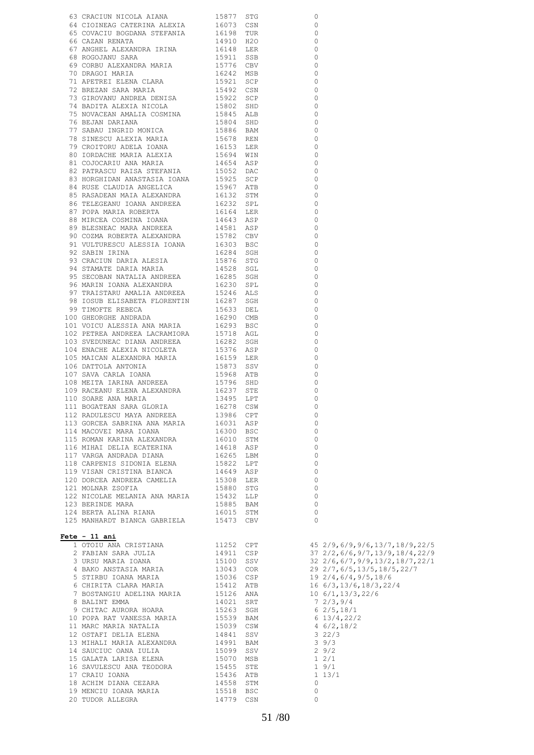| 63 CRACINN NICOLA AIANA 19877 STO<br>64 CRACINN NICOLA AIANA 19877 STO<br>64 CONAMEA GEREANIXA 16071 CSM<br>64 CONAME GEREANIXA 16071 CSM<br>64 CONAME STEERANIXA 1997 TON<br>66 CONSUMINGA MARIA 1997 TON<br>66 MOGENE MARIANA AIANA 1997 TON                                                                                                                                                                                                   |           | 0                                                                |
|--------------------------------------------------------------------------------------------------------------------------------------------------------------------------------------------------------------------------------------------------------------------------------------------------------------------------------------------------------------------------------------------------------------------------------------------------|-----------|------------------------------------------------------------------|
|                                                                                                                                                                                                                                                                                                                                                                                                                                                  |           | $\circ$                                                          |
|                                                                                                                                                                                                                                                                                                                                                                                                                                                  |           | $\overline{0}$                                                   |
|                                                                                                                                                                                                                                                                                                                                                                                                                                                  |           | $\circ$                                                          |
|                                                                                                                                                                                                                                                                                                                                                                                                                                                  |           | $\overline{\phantom{0}}$<br>$\circ$                              |
|                                                                                                                                                                                                                                                                                                                                                                                                                                                  |           | $\overline{\phantom{0}}$                                         |
|                                                                                                                                                                                                                                                                                                                                                                                                                                                  |           | $\overline{\phantom{0}}$                                         |
|                                                                                                                                                                                                                                                                                                                                                                                                                                                  |           | $\overline{\phantom{0}}$                                         |
|                                                                                                                                                                                                                                                                                                                                                                                                                                                  |           | $\circ$                                                          |
|                                                                                                                                                                                                                                                                                                                                                                                                                                                  |           | $\overline{0}$                                                   |
|                                                                                                                                                                                                                                                                                                                                                                                                                                                  |           | $\overline{\phantom{0}}$                                         |
|                                                                                                                                                                                                                                                                                                                                                                                                                                                  |           | $\overline{\phantom{0}}$                                         |
|                                                                                                                                                                                                                                                                                                                                                                                                                                                  |           | $\overline{\phantom{0}}$<br>$\overline{0}$                       |
|                                                                                                                                                                                                                                                                                                                                                                                                                                                  |           | $\overline{\phantom{0}}$                                         |
|                                                                                                                                                                                                                                                                                                                                                                                                                                                  |           | $\overline{\phantom{0}}$                                         |
|                                                                                                                                                                                                                                                                                                                                                                                                                                                  |           | $\overline{\phantom{0}}$                                         |
|                                                                                                                                                                                                                                                                                                                                                                                                                                                  |           | $\overline{0}$                                                   |
|                                                                                                                                                                                                                                                                                                                                                                                                                                                  |           | $\overline{\phantom{0}}$                                         |
|                                                                                                                                                                                                                                                                                                                                                                                                                                                  |           | $\overline{0}$                                                   |
|                                                                                                                                                                                                                                                                                                                                                                                                                                                  |           | $\overline{0}$                                                   |
|                                                                                                                                                                                                                                                                                                                                                                                                                                                  |           | $\overline{0}$<br>$\overline{\phantom{0}}$                       |
|                                                                                                                                                                                                                                                                                                                                                                                                                                                  |           | $\overline{\phantom{0}}$                                         |
|                                                                                                                                                                                                                                                                                                                                                                                                                                                  |           | $\overline{\phantom{0}}$                                         |
|                                                                                                                                                                                                                                                                                                                                                                                                                                                  |           | $\overline{0}$                                                   |
|                                                                                                                                                                                                                                                                                                                                                                                                                                                  |           | $\overline{\phantom{0}}$                                         |
|                                                                                                                                                                                                                                                                                                                                                                                                                                                  |           | $\overline{0}$                                                   |
|                                                                                                                                                                                                                                                                                                                                                                                                                                                  |           | $\overline{0}$                                                   |
|                                                                                                                                                                                                                                                                                                                                                                                                                                                  |           | $\overline{0}$                                                   |
|                                                                                                                                                                                                                                                                                                                                                                                                                                                  |           | $\overline{\phantom{0}}$                                         |
|                                                                                                                                                                                                                                                                                                                                                                                                                                                  |           | $\overline{0}$<br>$\overline{\phantom{0}}$                       |
|                                                                                                                                                                                                                                                                                                                                                                                                                                                  |           | $\overline{0}$                                                   |
|                                                                                                                                                                                                                                                                                                                                                                                                                                                  |           | $\overline{\phantom{0}}$                                         |
|                                                                                                                                                                                                                                                                                                                                                                                                                                                  |           | $\overline{\phantom{0}}$                                         |
|                                                                                                                                                                                                                                                                                                                                                                                                                                                  |           | $\overline{\phantom{0}}$                                         |
|                                                                                                                                                                                                                                                                                                                                                                                                                                                  |           | $\overline{\phantom{0}}$                                         |
|                                                                                                                                                                                                                                                                                                                                                                                                                                                  |           | $\overline{\phantom{0}}$                                         |
|                                                                                                                                                                                                                                                                                                                                                                                                                                                  |           | $\overline{\phantom{0}}$                                         |
|                                                                                                                                                                                                                                                                                                                                                                                                                                                  |           | $\overline{\phantom{0}}$<br>$\overline{\phantom{0}}$             |
|                                                                                                                                                                                                                                                                                                                                                                                                                                                  |           | $\overline{\phantom{0}}$                                         |
|                                                                                                                                                                                                                                                                                                                                                                                                                                                  |           | $\bigcirc$                                                       |
|                                                                                                                                                                                                                                                                                                                                                                                                                                                  |           | $\bigcirc$                                                       |
|                                                                                                                                                                                                                                                                                                                                                                                                                                                  |           | $\circ$                                                          |
|                                                                                                                                                                                                                                                                                                                                                                                                                                                  |           | $\Omega$                                                         |
|                                                                                                                                                                                                                                                                                                                                                                                                                                                  |           |                                                                  |
| 112 RADULESCU MAYA ANDREEA 13986 CPT<br>112 RADULESCU MAYA ANDREEA 13986 CPT<br>113 GORCEA SABRINA ANA MARIA 16031 ASP<br>114 MACOVEI MARA IOANA 16300 BSC<br>115 ROMAN KARINA ALEXANDRA 16100 BTM<br>116 MIHAI DELIA ECATERINA 1618 ASP<br>117 VARGA ANDRADA DIANA 16265 LBM<br>1                                                                                                                                                               |           | 0                                                                |
|                                                                                                                                                                                                                                                                                                                                                                                                                                                  |           | 0                                                                |
|                                                                                                                                                                                                                                                                                                                                                                                                                                                  |           | 0<br>$\circ$                                                     |
|                                                                                                                                                                                                                                                                                                                                                                                                                                                  |           | $\circ$                                                          |
|                                                                                                                                                                                                                                                                                                                                                                                                                                                  |           | $\circ$                                                          |
|                                                                                                                                                                                                                                                                                                                                                                                                                                                  |           | $\circ$                                                          |
|                                                                                                                                                                                                                                                                                                                                                                                                                                                  |           | $\circ$                                                          |
|                                                                                                                                                                                                                                                                                                                                                                                                                                                  |           | $\circ$                                                          |
|                                                                                                                                                                                                                                                                                                                                                                                                                                                  |           | $\overline{0}$                                                   |
|                                                                                                                                                                                                                                                                                                                                                                                                                                                  |           | $\circ$                                                          |
|                                                                                                                                                                                                                                                                                                                                                                                                                                                  |           | $\overline{0}$<br>$\circ$                                        |
| 122 NICOLAE MELANIA ANA MARIA 15432 LLP<br>123 BERINDE MARA 15885 BAM<br>124 BERTA ALINA RIANA 16015 STM<br>125 MANHARDT BIANCA GABRIELA 15473 CBV                                                                                                                                                                                                                                                                                               |           | $\circ$                                                          |
|                                                                                                                                                                                                                                                                                                                                                                                                                                                  |           |                                                                  |
| Fete - 11 ani                                                                                                                                                                                                                                                                                                                                                                                                                                    |           |                                                                  |
|                                                                                                                                                                                                                                                                                                                                                                                                                                                  |           | 45 2/9,6/9,9/0,1,1,1,1,1,1,22/9<br>37 2/2,6/6,9/7,13/9,18/4,22/9 |
|                                                                                                                                                                                                                                                                                                                                                                                                                                                  |           |                                                                  |
|                                                                                                                                                                                                                                                                                                                                                                                                                                                  |           | 32 2/6, 6/7, 9/9, 13/2, 18/7, 22/1                               |
|                                                                                                                                                                                                                                                                                                                                                                                                                                                  |           | 29 2/7,6/5,13/5,18/5,22/7                                        |
|                                                                                                                                                                                                                                                                                                                                                                                                                                                  |           | 19 2/4, 6/4, 9/5, 18/6                                           |
| $\begin{tabular}{l c c c} \bf \texttt{ate - 11 ani} & \color{red}{10\, \text{TOJU ANA CRISTIANA}} & \color{red}{11252} & \color{red}{CPT} \\ \hline 1 & \color{red}{0\, \text{TOJU ANA}} & \color{red}{0\, \text{ARIA}} & \color{red}{0\, \text{14911}} & \color{red}{CSP} \\ \hline 3 & \color{red}{\, \text{URSU}~ \text{MARIA}} & \color{red}{10\, \text{ANA}} & \color{red}{15100} & \color{red}{SSV} \\ \hline 4 & \color{red}{\, \text{BA$ |           | 16 6/3, 13/6, 18/3, 22/4<br>10 6/1, 13/3, 22/6                   |
|                                                                                                                                                                                                                                                                                                                                                                                                                                                  |           | 72/3,9/4                                                         |
|                                                                                                                                                                                                                                                                                                                                                                                                                                                  |           | $6\;\;2/5$ , 18/1                                                |
|                                                                                                                                                                                                                                                                                                                                                                                                                                                  |           | 6 13/4,22/2                                                      |
|                                                                                                                                                                                                                                                                                                                                                                                                                                                  |           | $4\ \ 6/2,18/2$                                                  |
|                                                                                                                                                                                                                                                                                                                                                                                                                                                  |           | 322/3                                                            |
|                                                                                                                                                                                                                                                                                                                                                                                                                                                  |           | $3 \frac{9}{3}$                                                  |
|                                                                                                                                                                                                                                                                                                                                                                                                                                                  |           | 29/2                                                             |
|                                                                                                                                                                                                                                                                                                                                                                                                                                                  |           | $1 \t2/1$<br>$1 \t9/1$                                           |
|                                                                                                                                                                                                                                                                                                                                                                                                                                                  |           | $1 \t13/1$                                                       |
|                                                                                                                                                                                                                                                                                                                                                                                                                                                  |           | $\overline{0}$                                                   |
|                                                                                                                                                                                                                                                                                                                                                                                                                                                  |           | 0                                                                |
| 20 TUDOR ALLEGRA                                                                                                                                                                                                                                                                                                                                                                                                                                 | 14779 CSN | $\circ$                                                          |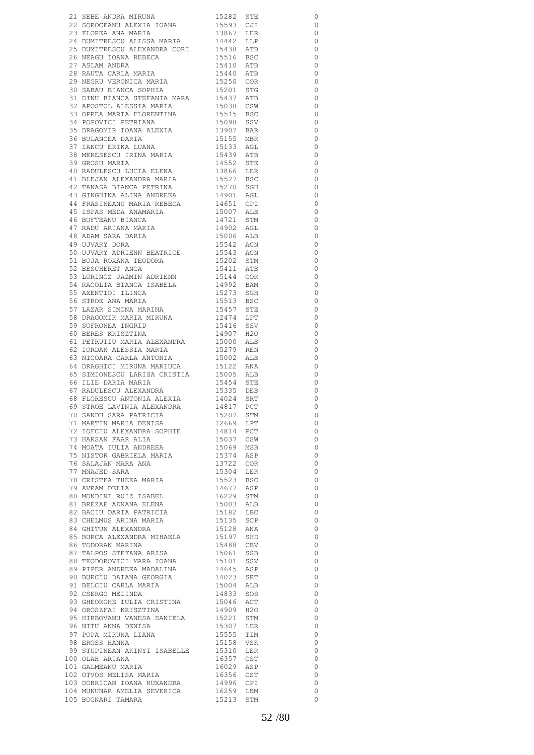|                                                                                                                                                                                                                                                                            |                                     | 0                        |
|----------------------------------------------------------------------------------------------------------------------------------------------------------------------------------------------------------------------------------------------------------------------------|-------------------------------------|--------------------------|
|                                                                                                                                                                                                                                                                            |                                     |                          |
| 21 SEBE ANDRA MIRUNA 15282 STE<br>22 SOROCEANU ALEXIA IOANA 15593 CJI<br>23 FLOREA ANA MARIA 13867 LER<br>24 DIMITTRESCU ALISSA MARIA 14442 LIP                                                                                                                            |                                     | $\circ$                  |
|                                                                                                                                                                                                                                                                            |                                     |                          |
|                                                                                                                                                                                                                                                                            |                                     | $\overline{0}$           |
| 24 DUMITRESCU ALISSA MARIA<br>25 DUMITRESCU ALISSA MARIA                                                                                                                                                                                                                   |                                     | $\overline{\phantom{0}}$ |
| EN DOMITRESCU ALEXANDRA CORI 19438 ATB<br>26 NEAGU IOANA REBECA 19516 BSC<br>27 ASLAM ANDRA 19410 ATB<br>28 RAUTA CARLA MARIA 1940 ATB<br>29 NEGRU VERONICA MARIA 19520 COR<br>30 SABAU BIANCA SOPHIA 195201 STG                                                           |                                     | $\overline{\phantom{0}}$ |
|                                                                                                                                                                                                                                                                            |                                     | $\overline{\phantom{0}}$ |
|                                                                                                                                                                                                                                                                            |                                     | $\overline{0}$           |
|                                                                                                                                                                                                                                                                            |                                     |                          |
|                                                                                                                                                                                                                                                                            |                                     | $\overline{\phantom{0}}$ |
|                                                                                                                                                                                                                                                                            |                                     | $\overline{\phantom{0}}$ |
|                                                                                                                                                                                                                                                                            |                                     | $\overline{0}$           |
| 30 SABAO BIANCA STEFANIA MARA 15437 ATB                                                                                                                                                                                                                                    |                                     | $\overline{0}$           |
|                                                                                                                                                                                                                                                                            |                                     |                          |
|                                                                                                                                                                                                                                                                            |                                     | $\overline{\phantom{0}}$ |
|                                                                                                                                                                                                                                                                            |                                     | $\overline{\phantom{0}}$ |
|                                                                                                                                                                                                                                                                            |                                     | $\overline{\phantom{0}}$ |
|                                                                                                                                                                                                                                                                            |                                     | $\overline{\phantom{0}}$ |
|                                                                                                                                                                                                                                                                            |                                     |                          |
|                                                                                                                                                                                                                                                                            |                                     | $\overline{\phantom{0}}$ |
|                                                                                                                                                                                                                                                                            |                                     | $\overline{\phantom{0}}$ |
|                                                                                                                                                                                                                                                                            |                                     | $\overline{0}$           |
|                                                                                                                                                                                                                                                                            |                                     | $\overline{0}$           |
| 31 DINU BIANCA STEFANIA MARA 19437 ATB<br>32 APOSTOL ALESSIA MARIA 15038 CSW<br>33 OPREA MARIA 15038 CSW<br>34 POPOVICI PETRIANA 15515 BSC<br>35 DRAGOMIR IOANA ALEXIA 13907 BAR<br>36 BULANCEA DARIA 15155 MBR<br>37 IANCU ERIKA LUANA 15                                 |                                     |                          |
|                                                                                                                                                                                                                                                                            |                                     | $\overline{\phantom{0}}$ |
|                                                                                                                                                                                                                                                                            |                                     | $\overline{\phantom{0}}$ |
|                                                                                                                                                                                                                                                                            |                                     | $\overline{0}$           |
| 43 GINGHINA ALINA ANDREEA                                                                                                                                                                                                                                                  | 14901 AGL                           | $\overline{0}$           |
|                                                                                                                                                                                                                                                                            |                                     |                          |
|                                                                                                                                                                                                                                                                            | 14651 CPI<br>15007 ALB              | $\overline{\phantom{0}}$ |
|                                                                                                                                                                                                                                                                            |                                     | $\overline{\phantom{0}}$ |
|                                                                                                                                                                                                                                                                            | 14721 STM                           | $\overline{\phantom{0}}$ |
|                                                                                                                                                                                                                                                                            | 14721 51M                           | $\overline{\phantom{0}}$ |
|                                                                                                                                                                                                                                                                            |                                     |                          |
|                                                                                                                                                                                                                                                                            | 15006 ALB                           | $\overline{\phantom{0}}$ |
| 19 TRASINEANU MARIA REBECA<br>44 FRASINEANU MARIA REBECA<br>45 ISPAS MEDA ANAMARIA<br>46 BUFTEANU BIANCA<br>47 RADU ARIANA MARIA<br>49 ADAM SARA DARIA<br>49 UJVARY DORA                                                                                                   | 15542 ACN                           | $\overline{\phantom{0}}$ |
|                                                                                                                                                                                                                                                                            |                                     | $\overline{\phantom{0}}$ |
| 50 UJVARY ADRIENN BEATRICE<br>51 BOJA ROXANA TEODORA<br>52 BESCHERET ANCA                                                                                                                                                                                                  | 15543 ACN<br>15202 STM              | $\overline{\phantom{0}}$ |
|                                                                                                                                                                                                                                                                            |                                     |                          |
|                                                                                                                                                                                                                                                                            | 15411 ATB                           | $\overline{\phantom{0}}$ |
| 53 LORINCZ JAZMIN ADRIENN 15144 COR                                                                                                                                                                                                                                        |                                     | $\overline{\phantom{0}}$ |
| 54 RACOLTA BIANCA ISABELA<br>55 AXENTIOI ILINCA<br>56 STROE ANA MARIA<br>57 LAZAR SIMONA MARINA                                                                                                                                                                            | 14992 BAM<br>15273 SGH              | $\overline{\phantom{0}}$ |
|                                                                                                                                                                                                                                                                            |                                     | $\overline{\phantom{0}}$ |
|                                                                                                                                                                                                                                                                            |                                     |                          |
|                                                                                                                                                                                                                                                                            | 15513 BSC<br>15457 STE              | $\overline{\phantom{0}}$ |
|                                                                                                                                                                                                                                                                            |                                     | $\overline{\phantom{0}}$ |
| 58 DRAGOMIR MARIA MIRUNA                                                                                                                                                                                                                                                   | 12474 LPT<br>15416 SSV              | $\overline{\phantom{0}}$ |
| 59 SOFRONEA INGRID<br>60 BERES KRISZTINA<br>61 PETRUTIU MARIA ALEXANDRA                                                                                                                                                                                                    |                                     | $\overline{0}$           |
|                                                                                                                                                                                                                                                                            |                                     |                          |
|                                                                                                                                                                                                                                                                            | 14907 H2O<br>15000 ALB              | $\overline{\phantom{0}}$ |
|                                                                                                                                                                                                                                                                            |                                     | $\overline{\phantom{0}}$ |
|                                                                                                                                                                                                                                                                            | 15279 REN<br>15002 ALB              | $\overline{0}$           |
| 62 IORDAN ALESSIA MARIA<br>63 NICOARA CARLA ANTONIA                                                                                                                                                                                                                        |                                     | $\overline{0}$           |
| 64 DRAGHICI MIRUNA MARIUCA 15122 ANA<br>65 SIMIONESCU LARISA CRISTIA 15005 ALB<br>66 ILIE DARIA MARIA 15454 STE<br>67 RADULESCU ALEXANDRA 15335 DEB<br>68 FLORESCU ANTONIA ALEXIA 14024 SRT<br>69 STROE LAVINIA ALEXANDRA 14817 PCT<br>70 SANDU                            |                                     |                          |
|                                                                                                                                                                                                                                                                            |                                     | $\overline{0}$           |
|                                                                                                                                                                                                                                                                            |                                     | $\overline{\phantom{0}}$ |
|                                                                                                                                                                                                                                                                            |                                     | $\overline{0}$           |
|                                                                                                                                                                                                                                                                            |                                     | $\overline{0}$           |
|                                                                                                                                                                                                                                                                            |                                     |                          |
|                                                                                                                                                                                                                                                                            |                                     | $\overline{\phantom{0}}$ |
|                                                                                                                                                                                                                                                                            |                                     | $\circ$                  |
|                                                                                                                                                                                                                                                                            |                                     | $\overline{\phantom{0}}$ |
| 09 SINUS BARA PATRICIA<br>70 SANDU SARA PATRICIA 15207 STM<br>71 MARTIN MARTA DENISA 12669 LPT                                                                                                                                                                             |                                     | $\overline{\phantom{0}}$ |
|                                                                                                                                                                                                                                                                            |                                     |                          |
|                                                                                                                                                                                                                                                                            |                                     | $\overline{\phantom{0}}$ |
|                                                                                                                                                                                                                                                                            |                                     |                          |
|                                                                                                                                                                                                                                                                            |                                     | $\overline{\phantom{0}}$ |
|                                                                                                                                                                                                                                                                            |                                     |                          |
|                                                                                                                                                                                                                                                                            |                                     | $\overline{\phantom{0}}$ |
|                                                                                                                                                                                                                                                                            |                                     | $\overline{\phantom{0}}$ |
|                                                                                                                                                                                                                                                                            |                                     | $\overline{\phantom{0}}$ |
| 12009 LPT<br>2009 LPT<br>2009 LPT<br>2009 LPT<br>2009 LPT<br>2009 LPT<br>2009 LPT<br>2009 LPT<br>2009 MPT<br>2009 MPT<br>2009 MPT<br>2009 MPT<br>2009 MPT<br>2009 MPT<br>2009 MPT<br>2009 MPT<br>2009 MPT<br>2009 MPT<br>2009 MPT<br>2009 MPT<br>2009 MPT<br>2009 MPT<br>2 |                                     | $\overline{\phantom{0}}$ |
|                                                                                                                                                                                                                                                                            |                                     |                          |
|                                                                                                                                                                                                                                                                            |                                     | $\overline{\phantom{0}}$ |
| 75 NISTOR GABRIELA FLANTA 13722 COR 77 MNAJED SARA 15304 LER 78 CRISTEA THEEA MARIA 15523 BSC 1977 MARIA 14677 ASP                                                                                                                                                         |                                     | $\overline{\phantom{0}}$ |
|                                                                                                                                                                                                                                                                            |                                     | $\overline{\phantom{0}}$ |
| 79 AVRAM DELIA<br>80 MONDINI RUIZ ISABEL                                                                                                                                                                                                                                   |                                     | $\overline{\phantom{0}}$ |
|                                                                                                                                                                                                                                                                            |                                     | $\overline{\phantom{0}}$ |
|                                                                                                                                                                                                                                                                            |                                     |                          |
|                                                                                                                                                                                                                                                                            |                                     | $\overline{\phantom{0}}$ |
|                                                                                                                                                                                                                                                                            |                                     | $\overline{\phantom{0}}$ |
|                                                                                                                                                                                                                                                                            |                                     | $\overline{\phantom{0}}$ |
|                                                                                                                                                                                                                                                                            |                                     | $\overline{\phantom{0}}$ |
|                                                                                                                                                                                                                                                                            |                                     |                          |
|                                                                                                                                                                                                                                                                            |                                     | $\overline{\phantom{0}}$ |
|                                                                                                                                                                                                                                                                            |                                     | $\overline{0}$           |
|                                                                                                                                                                                                                                                                            |                                     | $\overline{\phantom{0}}$ |
|                                                                                                                                                                                                                                                                            |                                     | $\overline{\phantom{0}}$ |
|                                                                                                                                                                                                                                                                            |                                     | $\overline{\phantom{0}}$ |
|                                                                                                                                                                                                                                                                            |                                     |                          |
|                                                                                                                                                                                                                                                                            |                                     | $\overline{\phantom{0}}$ |
|                                                                                                                                                                                                                                                                            |                                     | $\overline{\phantom{0}}$ |
|                                                                                                                                                                                                                                                                            | 15046 ACT<br>14909 H2O              | $\overline{\phantom{0}}$ |
| 93 GHEORGHE IULIA CRISTINA<br>94 OROSZFAI KRISZTINA                                                                                                                                                                                                                        |                                     | $\overline{\phantom{0}}$ |
| 95 HIRBOVANU VANESA DANIELA                                                                                                                                                                                                                                                |                                     |                          |
|                                                                                                                                                                                                                                                                            | 15221 STM<br>15307 LER              | $\overline{\phantom{0}}$ |
|                                                                                                                                                                                                                                                                            |                                     | $\overline{\phantom{0}}$ |
| 96 NITU ANNA DENISA<br>97 POPA MIRUNA LIANA<br>98 EROSS HANNA                                                                                                                                                                                                              | 15555 TIM<br>15158 VSK              | $\overline{\phantom{0}}$ |
|                                                                                                                                                                                                                                                                            |                                     | $\overline{\phantom{0}}$ |
|                                                                                                                                                                                                                                                                            |                                     |                          |
| 99 STUPINEAN AKINYI ISABELLE 15310 LER<br>00 OLAH ARIANA 16357 CST                                                                                                                                                                                                         |                                     | $\overline{0}$           |
|                                                                                                                                                                                                                                                                            |                                     | $\overline{0}$           |
| 100 OLAH ARIANA<br>101 GALMEANU MARIA<br>102 OTVOS MELISA MARIA                                                                                                                                                                                                            | 16029 ASP<br>16356 CST              | $\overline{\phantom{0}}$ |
|                                                                                                                                                                                                                                                                            |                                     | $\overline{0}$           |
|                                                                                                                                                                                                                                                                            |                                     |                          |
| 103 DOBRICAN IOANA RUXANDRA<br>104 MUNUNAR AMELIA SEVERICA<br>105 BOGNARI TAMARA                                                                                                                                                                                           | 14996 CPI<br>16259 LBM<br>15213 STM | $\circ$<br>$\circ$       |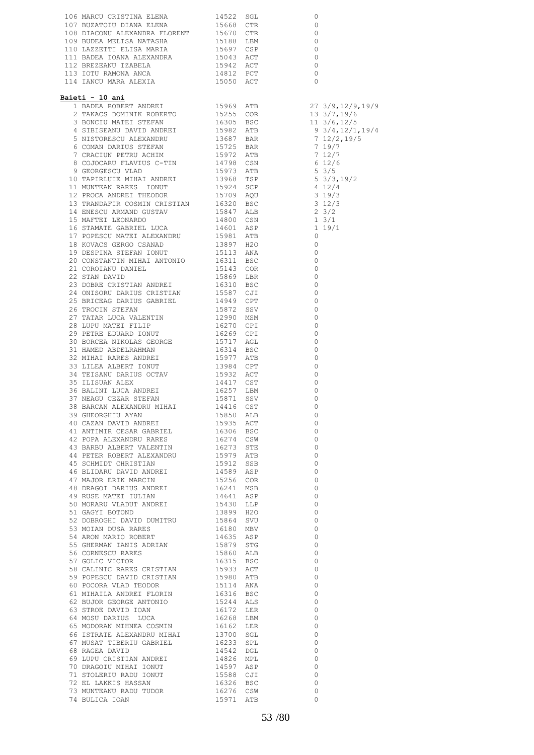|                                                                                                                                                                                                                                                      |  | 0                                              |
|------------------------------------------------------------------------------------------------------------------------------------------------------------------------------------------------------------------------------------------------------|--|------------------------------------------------|
|                                                                                                                                                                                                                                                      |  | $\begin{matrix} 0 \\ 0 \end{matrix}$           |
|                                                                                                                                                                                                                                                      |  | $\begin{matrix} 0 \\ 0 \\ 0 \\ 0 \end{matrix}$ |
|                                                                                                                                                                                                                                                      |  |                                                |
|                                                                                                                                                                                                                                                      |  |                                                |
|                                                                                                                                                                                                                                                      |  | $\begin{array}{c} 0 \\ 0 \end{array}$          |
|                                                                                                                                                                                                                                                      |  | $\begin{array}{c} 0 \\ 0 \end{array}$          |
| 114 IANCU NARA ALEXTA (1905) ACT (1908) AND 1908 AND 21 1908) AND 112 IANUS (1908) 113 1/4112 (1908) 113 1/412 (1908) 113 1/412 (1908) 113 1/412 (1908) 113 1/412 (1908) 113 1/412 (1908) 113 1/412 (1908) 113 1/412 (1908) 1                        |  |                                                |
| Baieti - 10 ani                                                                                                                                                                                                                                      |  |                                                |
|                                                                                                                                                                                                                                                      |  |                                                |
|                                                                                                                                                                                                                                                      |  |                                                |
|                                                                                                                                                                                                                                                      |  |                                                |
|                                                                                                                                                                                                                                                      |  |                                                |
|                                                                                                                                                                                                                                                      |  |                                                |
|                                                                                                                                                                                                                                                      |  |                                                |
|                                                                                                                                                                                                                                                      |  |                                                |
|                                                                                                                                                                                                                                                      |  |                                                |
|                                                                                                                                                                                                                                                      |  |                                                |
|                                                                                                                                                                                                                                                      |  |                                                |
|                                                                                                                                                                                                                                                      |  |                                                |
|                                                                                                                                                                                                                                                      |  |                                                |
|                                                                                                                                                                                                                                                      |  |                                                |
|                                                                                                                                                                                                                                                      |  |                                                |
|                                                                                                                                                                                                                                                      |  |                                                |
|                                                                                                                                                                                                                                                      |  |                                                |
|                                                                                                                                                                                                                                                      |  |                                                |
|                                                                                                                                                                                                                                                      |  |                                                |
|                                                                                                                                                                                                                                                      |  |                                                |
|                                                                                                                                                                                                                                                      |  |                                                |
|                                                                                                                                                                                                                                                      |  |                                                |
|                                                                                                                                                                                                                                                      |  |                                                |
|                                                                                                                                                                                                                                                      |  |                                                |
|                                                                                                                                                                                                                                                      |  |                                                |
|                                                                                                                                                                                                                                                      |  |                                                |
|                                                                                                                                                                                                                                                      |  |                                                |
|                                                                                                                                                                                                                                                      |  |                                                |
|                                                                                                                                                                                                                                                      |  |                                                |
|                                                                                                                                                                                                                                                      |  |                                                |
|                                                                                                                                                                                                                                                      |  |                                                |
|                                                                                                                                                                                                                                                      |  |                                                |
|                                                                                                                                                                                                                                                      |  |                                                |
|                                                                                                                                                                                                                                                      |  |                                                |
|                                                                                                                                                                                                                                                      |  |                                                |
|                                                                                                                                                                                                                                                      |  |                                                |
|                                                                                                                                                                                                                                                      |  | $\overline{0}$                                 |
|                                                                                                                                                                                                                                                      |  | $\overline{0}$<br>$\overline{0}$               |
|                                                                                                                                                                                                                                                      |  | $\overline{0}$                                 |
|                                                                                                                                                                                                                                                      |  | $\overline{0}$                                 |
|                                                                                                                                                                                                                                                      |  | $\overline{0}$                                 |
|                                                                                                                                                                                                                                                      |  | $\circ$                                        |
|                                                                                                                                                                                                                                                      |  | $\overline{0}$                                 |
|                                                                                                                                                                                                                                                      |  | $\overline{0}$                                 |
|                                                                                                                                                                                                                                                      |  | $\overline{0}$                                 |
|                                                                                                                                                                                                                                                      |  | $\overline{0}$                                 |
|                                                                                                                                                                                                                                                      |  | $\overline{0}$                                 |
|                                                                                                                                                                                                                                                      |  | $\overline{0}$<br>$\overline{0}$               |
|                                                                                                                                                                                                                                                      |  | $\circ$                                        |
|                                                                                                                                                                                                                                                      |  | $\circ$                                        |
|                                                                                                                                                                                                                                                      |  | $\overline{0}$                                 |
|                                                                                                                                                                                                                                                      |  | $\circ$                                        |
|                                                                                                                                                                                                                                                      |  | $\overline{0}$                                 |
|                                                                                                                                                                                                                                                      |  | $\circ$                                        |
|                                                                                                                                                                                                                                                      |  | $\overline{0}$                                 |
|                                                                                                                                                                                                                                                      |  | $\circ$                                        |
|                                                                                                                                                                                                                                                      |  | $\overline{0}$                                 |
|                                                                                                                                                                                                                                                      |  | $\overline{0}$<br>$\overline{0}$               |
|                                                                                                                                                                                                                                                      |  | $\overline{0}$                                 |
|                                                                                                                                                                                                                                                      |  | $\circ$                                        |
|                                                                                                                                                                                                                                                      |  | $\overline{0}$                                 |
|                                                                                                                                                                                                                                                      |  | $\overline{0}$                                 |
|                                                                                                                                                                                                                                                      |  | $\overline{0}$                                 |
|                                                                                                                                                                                                                                                      |  | $\overline{0}$                                 |
|                                                                                                                                                                                                                                                      |  | $\overline{0}$                                 |
|                                                                                                                                                                                                                                                      |  | $\circ$                                        |
| PURANCY VALUOT ANDEE<br>SI GAGYI BOTOND<br>SI GAGYI BOTOND<br>SI GAGYI BOTOND<br>SI MOIAN UUSA RARES<br>SI MOIAN USA RARES<br>SE MERNAN IANIS ADRIAN<br>SI 1636 ALD MEV<br>SE GERENAN IANIS ADRIAN<br>SI 1637 ASP<br>SE GERENAN IANIS ADRIAN<br>SI 1 |  | $\circ$<br>$\Omega$                            |
|                                                                                                                                                                                                                                                      |  |                                                |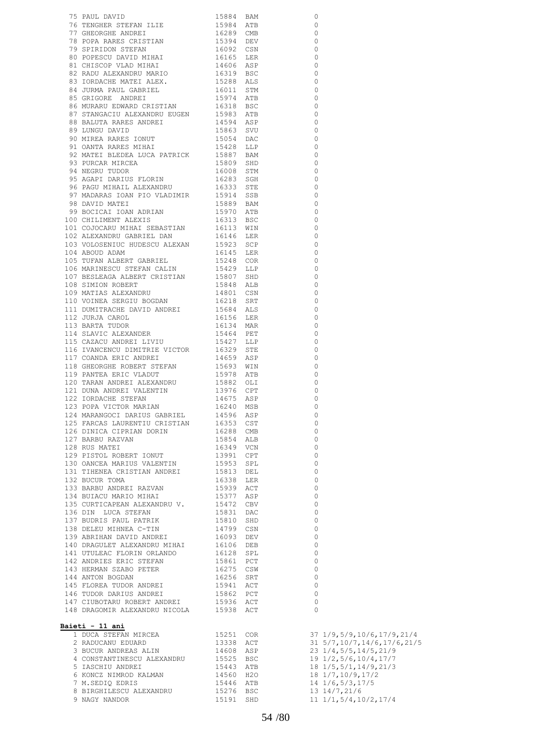| 75 PAUL DAVID                                                                                                                                                                                                                                   |                                                  |                                              |
|-------------------------------------------------------------------------------------------------------------------------------------------------------------------------------------------------------------------------------------------------|--------------------------------------------------|----------------------------------------------|
| 75 PAUL DAVID MEST AND 1994 SEP 1998 SM 1997<br>178 PAUL DAVID MEST 1998 SM 200<br>179 GENERAL STEFAN LILE<br>179 GENERAL STEFAN 115 1698 ARE<br>179 SPOR ARES CRISTIAN 16032 CSN 0 0<br>179 SPOR ARES CRISTIAN 16032 CSN 0 0<br>1992 CSN 0 201 |                                                  |                                              |
|                                                                                                                                                                                                                                                 |                                                  |                                              |
|                                                                                                                                                                                                                                                 |                                                  |                                              |
|                                                                                                                                                                                                                                                 |                                                  |                                              |
|                                                                                                                                                                                                                                                 |                                                  |                                              |
|                                                                                                                                                                                                                                                 |                                                  |                                              |
|                                                                                                                                                                                                                                                 |                                                  |                                              |
|                                                                                                                                                                                                                                                 |                                                  |                                              |
|                                                                                                                                                                                                                                                 |                                                  |                                              |
|                                                                                                                                                                                                                                                 |                                                  |                                              |
|                                                                                                                                                                                                                                                 |                                                  |                                              |
|                                                                                                                                                                                                                                                 |                                                  |                                              |
|                                                                                                                                                                                                                                                 |                                                  |                                              |
|                                                                                                                                                                                                                                                 |                                                  |                                              |
|                                                                                                                                                                                                                                                 |                                                  |                                              |
|                                                                                                                                                                                                                                                 |                                                  |                                              |
|                                                                                                                                                                                                                                                 |                                                  |                                              |
|                                                                                                                                                                                                                                                 |                                                  |                                              |
|                                                                                                                                                                                                                                                 |                                                  |                                              |
|                                                                                                                                                                                                                                                 |                                                  |                                              |
|                                                                                                                                                                                                                                                 |                                                  |                                              |
|                                                                                                                                                                                                                                                 |                                                  |                                              |
|                                                                                                                                                                                                                                                 |                                                  |                                              |
|                                                                                                                                                                                                                                                 |                                                  |                                              |
|                                                                                                                                                                                                                                                 |                                                  |                                              |
|                                                                                                                                                                                                                                                 |                                                  |                                              |
|                                                                                                                                                                                                                                                 |                                                  |                                              |
|                                                                                                                                                                                                                                                 |                                                  |                                              |
|                                                                                                                                                                                                                                                 |                                                  |                                              |
|                                                                                                                                                                                                                                                 |                                                  |                                              |
|                                                                                                                                                                                                                                                 |                                                  |                                              |
|                                                                                                                                                                                                                                                 |                                                  |                                              |
|                                                                                                                                                                                                                                                 |                                                  |                                              |
|                                                                                                                                                                                                                                                 |                                                  |                                              |
|                                                                                                                                                                                                                                                 |                                                  |                                              |
|                                                                                                                                                                                                                                                 |                                                  |                                              |
|                                                                                                                                                                                                                                                 |                                                  |                                              |
|                                                                                                                                                                                                                                                 |                                                  |                                              |
|                                                                                                                                                                                                                                                 |                                                  |                                              |
|                                                                                                                                                                                                                                                 |                                                  |                                              |
|                                                                                                                                                                                                                                                 |                                                  |                                              |
|                                                                                                                                                                                                                                                 |                                                  |                                              |
|                                                                                                                                                                                                                                                 |                                                  |                                              |
|                                                                                                                                                                                                                                                 |                                                  |                                              |
|                                                                                                                                                                                                                                                 |                                                  |                                              |
|                                                                                                                                                                                                                                                 |                                                  |                                              |
|                                                                                                                                                                                                                                                 |                                                  |                                              |
|                                                                                                                                                                                                                                                 |                                                  |                                              |
|                                                                                                                                                                                                                                                 |                                                  |                                              |
|                                                                                                                                                                                                                                                 |                                                  |                                              |
|                                                                                                                                                                                                                                                 |                                                  |                                              |
|                                                                                                                                                                                                                                                 |                                                  |                                              |
|                                                                                                                                                                                                                                                 |                                                  |                                              |
|                                                                                                                                                                                                                                                 |                                                  |                                              |
|                                                                                                                                                                                                                                                 |                                                  |                                              |
|                                                                                                                                                                                                                                                 |                                                  |                                              |
|                                                                                                                                                                                                                                                 |                                                  |                                              |
|                                                                                                                                                                                                                                                 |                                                  |                                              |
|                                                                                                                                                                                                                                                 |                                                  |                                              |
| 124 MARANGOCI DARIUS GABRIEL                                                                                                                                                                                                                    | 14596 ASP                                        | 0                                            |
| 125 FARCAS LAURENTIU CRISTIAN 16353 CST                                                                                                                                                                                                         |                                                  | 0                                            |
| 126 DINICA CIPRIAN DORIN                                                                                                                                                                                                                        | 16288 CMB                                        | 0                                            |
|                                                                                                                                                                                                                                                 |                                                  |                                              |
| 127 BARBU RAZVAN                                                                                                                                                                                                                                | 15854 ALB<br>16349 VCN                           | 0                                            |
| 128 RUS MATEI                                                                                                                                                                                                                                   |                                                  | 0                                            |
| 129 PISTOL ROBERT IONUT                                                                                                                                                                                                                         | 13991 CPT<br>15953 SPL                           | 0                                            |
| 130 OANCEA MARIUS VALENTIN                                                                                                                                                                                                                      |                                                  | 0                                            |
|                                                                                                                                                                                                                                                 |                                                  |                                              |
| 131 TIHENEA CRISTIAN ANDREI 15813 DEL                                                                                                                                                                                                           |                                                  | 0                                            |
| 132 BUCUR TOMA                                                                                                                                                                                                                                  | 16338 LER                                        | 0                                            |
| 133 BARBU ANDREI RAZVAN                                                                                                                                                                                                                         |                                                  | 0                                            |
| 134 BUIACU MARIO MIHAI                                                                                                                                                                                                                          | 15939 ACT<br>15377 ASP                           | 0                                            |
|                                                                                                                                                                                                                                                 |                                                  | 0                                            |
| 135 CURTICAPEAN ALEXANDRU V. 15472 CBV<br>136 DIN LUCA STEFAN                                                                                                                                                                                   |                                                  | 0                                            |
|                                                                                                                                                                                                                                                 | 15831 DAC                                        |                                              |
| 137 BUDRIS PAUL PATRIK                                                                                                                                                                                                                          | 15810 SHD<br>14799 CSN                           | 0                                            |
| 138 DELEU MIHNEA C-TIN                                                                                                                                                                                                                          |                                                  | 0                                            |
|                                                                                                                                                                                                                                                 |                                                  | 0                                            |
|                                                                                                                                                                                                                                                 |                                                  | 0                                            |
|                                                                                                                                                                                                                                                 |                                                  |                                              |
|                                                                                                                                                                                                                                                 |                                                  | 0                                            |
|                                                                                                                                                                                                                                                 |                                                  | 0                                            |
|                                                                                                                                                                                                                                                 |                                                  |                                              |
|                                                                                                                                                                                                                                                 |                                                  | 0                                            |
|                                                                                                                                                                                                                                                 |                                                  |                                              |
|                                                                                                                                                                                                                                                 |                                                  | $\circ$                                      |
|                                                                                                                                                                                                                                                 |                                                  | $\circ$                                      |
|                                                                                                                                                                                                                                                 |                                                  | $\circ$                                      |
|                                                                                                                                                                                                                                                 |                                                  | $\circ$                                      |
|                                                                                                                                                                                                                                                 |                                                  | $\Omega$                                     |
|                                                                                                                                                                                                                                                 |                                                  |                                              |
|                                                                                                                                                                                                                                                 |                                                  |                                              |
| Baieti - 11 ani                                                                                                                                                                                                                                 |                                                  |                                              |
| 1 DUCA STEFAN MIRCEA                                                                                                                                                                                                                            | 15251 COR                                        | 37 1/9,5/9,10/6,17/9,21/4                    |
| 2 RADUCANU EDUARD                                                                                                                                                                                                                               | 13338 ACT                                        | 31 5/7, 10/7, 14/6, 17/6, 21/5               |
|                                                                                                                                                                                                                                                 |                                                  |                                              |
| 3 BUCUR ANDREAS ALIN                                                                                                                                                                                                                            | 14608 ASP                                        | 23 1/4,5/5,14/5,21/9                         |
| 4 CONSTANTINESCU ALEXANDRU                                                                                                                                                                                                                      |                                                  |                                              |
| 5 IASCHIU ANDREI                                                                                                                                                                                                                                |                                                  | 19 1/2,5/6,10/4,17/7<br>18 1/5,5/1,14/9,21/3 |
| 6 KONCZ NIMROD KALMAN                                                                                                                                                                                                                           |                                                  |                                              |
| 7 M.SEDIQ EDRIS                                                                                                                                                                                                                                 |                                                  | 18 1/7,10/9,17/2<br>14 1/6,5/3,17/5          |
|                                                                                                                                                                                                                                                 | 15525 BSC<br>15443 ATB<br>14560 H2O<br>15446 ATB |                                              |
| 8 BIRGHILESCU ALEXANDRU<br>9 NAGY NANDOR                                                                                                                                                                                                        | 15276 BSC<br>15191 SHD                           | 13 14/7,21/6<br>$11 \t1/1, 5/4, 10/2, 17/4$  |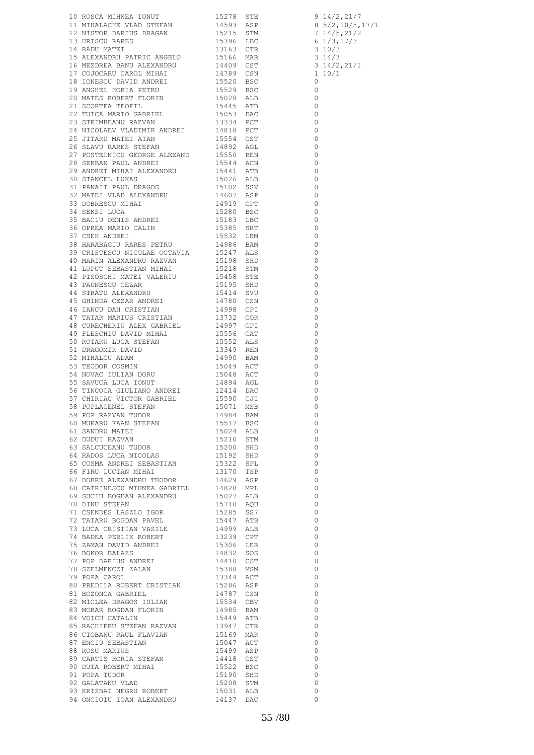| 10 NOGO MITRIPA TONIT<br>11 SURA MERICINA 10 1572, 2013 821<br>11 SURA MERICINA 114533 821<br>12 STEPHE PARKIS BRASAN<br>12 STEPHE PARKIS BRASAN<br>13 SIS 6 THE CARD 112 STEPHE 10 14469 12<br>13 STEPHE PARKIS 112 STEPHE 10 14469 12<br> |  |  |
|---------------------------------------------------------------------------------------------------------------------------------------------------------------------------------------------------------------------------------------------|--|--|
|                                                                                                                                                                                                                                             |  |  |
|                                                                                                                                                                                                                                             |  |  |
|                                                                                                                                                                                                                                             |  |  |
|                                                                                                                                                                                                                                             |  |  |
|                                                                                                                                                                                                                                             |  |  |
|                                                                                                                                                                                                                                             |  |  |
|                                                                                                                                                                                                                                             |  |  |
|                                                                                                                                                                                                                                             |  |  |
|                                                                                                                                                                                                                                             |  |  |
|                                                                                                                                                                                                                                             |  |  |
|                                                                                                                                                                                                                                             |  |  |
|                                                                                                                                                                                                                                             |  |  |
|                                                                                                                                                                                                                                             |  |  |
|                                                                                                                                                                                                                                             |  |  |
|                                                                                                                                                                                                                                             |  |  |
|                                                                                                                                                                                                                                             |  |  |
|                                                                                                                                                                                                                                             |  |  |
|                                                                                                                                                                                                                                             |  |  |
|                                                                                                                                                                                                                                             |  |  |
|                                                                                                                                                                                                                                             |  |  |
|                                                                                                                                                                                                                                             |  |  |
|                                                                                                                                                                                                                                             |  |  |
|                                                                                                                                                                                                                                             |  |  |
|                                                                                                                                                                                                                                             |  |  |
|                                                                                                                                                                                                                                             |  |  |
|                                                                                                                                                                                                                                             |  |  |
|                                                                                                                                                                                                                                             |  |  |
|                                                                                                                                                                                                                                             |  |  |
|                                                                                                                                                                                                                                             |  |  |
|                                                                                                                                                                                                                                             |  |  |
|                                                                                                                                                                                                                                             |  |  |
|                                                                                                                                                                                                                                             |  |  |
|                                                                                                                                                                                                                                             |  |  |
|                                                                                                                                                                                                                                             |  |  |
|                                                                                                                                                                                                                                             |  |  |
|                                                                                                                                                                                                                                             |  |  |
|                                                                                                                                                                                                                                             |  |  |
|                                                                                                                                                                                                                                             |  |  |
|                                                                                                                                                                                                                                             |  |  |
|                                                                                                                                                                                                                                             |  |  |
|                                                                                                                                                                                                                                             |  |  |
|                                                                                                                                                                                                                                             |  |  |
|                                                                                                                                                                                                                                             |  |  |
|                                                                                                                                                                                                                                             |  |  |
|                                                                                                                                                                                                                                             |  |  |
|                                                                                                                                                                                                                                             |  |  |
|                                                                                                                                                                                                                                             |  |  |
|                                                                                                                                                                                                                                             |  |  |
|                                                                                                                                                                                                                                             |  |  |
|                                                                                                                                                                                                                                             |  |  |
|                                                                                                                                                                                                                                             |  |  |
|                                                                                                                                                                                                                                             |  |  |
|                                                                                                                                                                                                                                             |  |  |
|                                                                                                                                                                                                                                             |  |  |
|                                                                                                                                                                                                                                             |  |  |
|                                                                                                                                                                                                                                             |  |  |
|                                                                                                                                                                                                                                             |  |  |
|                                                                                                                                                                                                                                             |  |  |
|                                                                                                                                                                                                                                             |  |  |
|                                                                                                                                                                                                                                             |  |  |
|                                                                                                                                                                                                                                             |  |  |
|                                                                                                                                                                                                                                             |  |  |
|                                                                                                                                                                                                                                             |  |  |
|                                                                                                                                                                                                                                             |  |  |
|                                                                                                                                                                                                                                             |  |  |
|                                                                                                                                                                                                                                             |  |  |
|                                                                                                                                                                                                                                             |  |  |
|                                                                                                                                                                                                                                             |  |  |
|                                                                                                                                                                                                                                             |  |  |
|                                                                                                                                                                                                                                             |  |  |
|                                                                                                                                                                                                                                             |  |  |
|                                                                                                                                                                                                                                             |  |  |
|                                                                                                                                                                                                                                             |  |  |
|                                                                                                                                                                                                                                             |  |  |
|                                                                                                                                                                                                                                             |  |  |
|                                                                                                                                                                                                                                             |  |  |
|                                                                                                                                                                                                                                             |  |  |
|                                                                                                                                                                                                                                             |  |  |
|                                                                                                                                                                                                                                             |  |  |
|                                                                                                                                                                                                                                             |  |  |
|                                                                                                                                                                                                                                             |  |  |
|                                                                                                                                                                                                                                             |  |  |
|                                                                                                                                                                                                                                             |  |  |
|                                                                                                                                                                                                                                             |  |  |
|                                                                                                                                                                                                                                             |  |  |
|                                                                                                                                                                                                                                             |  |  |
|                                                                                                                                                                                                                                             |  |  |
|                                                                                                                                                                                                                                             |  |  |
|                                                                                                                                                                                                                                             |  |  |
|                                                                                                                                                                                                                                             |  |  |
|                                                                                                                                                                                                                                             |  |  |
|                                                                                                                                                                                                                                             |  |  |
|                                                                                                                                                                                                                                             |  |  |
|                                                                                                                                                                                                                                             |  |  |
|                                                                                                                                                                                                                                             |  |  |
|                                                                                                                                                                                                                                             |  |  |
|                                                                                                                                                                                                                                             |  |  |
|                                                                                                                                                                                                                                             |  |  |
|                                                                                                                                                                                                                                             |  |  |
| 57 CHIRAK VICTOR GABRIEL 15590 CJI<br>67 CHIRAK VICTOR GABRIEL 15590 CJI 0<br>69 POPLACEMEL STEFAN 15071 8581 0<br>60 MORARU MATDIC 1998 ALEX<br>61 SANDRU MATDIC 1998 ALEX<br>61 SANDRU MATDIC 1000 STEPAN 15024 ALEX<br>63 SALCUCEANU T   |  |  |
|                                                                                                                                                                                                                                             |  |  |
|                                                                                                                                                                                                                                             |  |  |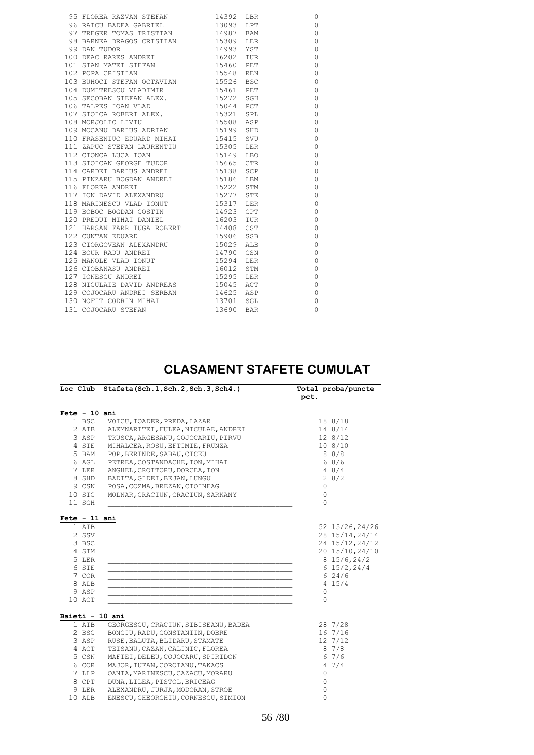| 95 FLOREA RAZVAN STEFAN 14392 LBR     |           |     | $\circ$     |
|---------------------------------------|-----------|-----|-------------|
| 96 RAICU BADEA GABRIEL 13093 LPT      |           |     | $\mathbf 0$ |
| 97 TREGER TOMAS TRISTIAN 14987 BAM    |           |     | $\circ$     |
| 98 BARNEA DRAGOS CRISTIAN 15309 LER   |           |     | $\circ$     |
| 99 DAN TUDOR                          | 14993 YST |     | $\circ$     |
| 100 DEAC RARES ANDREI 16202 TUR       |           |     | $\mathbf 0$ |
| 101 STAN MATEI STEFAN 15460 PET       |           |     | $\circ$     |
| 102 POPA CRISTIAN                     | 15548 REN |     | $\mathbf 0$ |
|                                       |           |     | $\circ$     |
| 104 DUMITRESCU VLADIMIR 15461 PET     |           |     | $\circ$     |
| 105 SECOBAN STEFAN ALEX. 15272 SGH    |           |     | $\circ$     |
| 106 TALPES IOAN VLAD                  | 15044 PCT |     | $\circ$     |
| 107 STOICA ROBERT ALEX. 15321 SPL     |           |     | $\circ$     |
| 108 MORJOLIC LIVIU                    | 15508 ASP |     | $\circ$     |
| 109 MOCANU DARIUS ADRIAN 15199 SHD    |           |     | $\circ$     |
| 110 FRASENIUC EDUARD MIHAI 15415 SVU  |           |     | $\mathbf 0$ |
| 111 ZAPUC STEFAN LAURENTIU 15305 LER  |           |     | $\circ$     |
| 112 CIONCA LUCA IOAN                  | 15149 LBO |     | $\circ$     |
| 113 STOICAN GEORGE TUDOR 15665 CTR    |           |     | $\circ$     |
| 114 CARDEI DARIUS ANDREI 15138 SCP    |           |     | $\circ$     |
| 115 PINZARU BOGDAN ANDREI 15186 LBM   |           |     | $\circ$     |
| 116 FLOREA ANDREI                     | 15222 STM |     | $\circ$     |
| 117 ION DAVID ALEXANDRU 15277 STE     |           |     | 0           |
| 118 MARINESCU VLAD IONUT 15317 LER    |           |     | $\circ$     |
| 119 BOBOC BOGDAN COSTIN 14923 CPT     |           |     | $\circ$     |
| 120 PREDUT MIHAI DANIEL 16203 TUR     |           |     | 0           |
| 121 HARSAN FARR IUGA ROBERT 14408 CST |           |     | $\mathbf 0$ |
| 122 CUNTAN EDUARD                     | 15906 SSB |     | $\mathbf 0$ |
| 123 CIORGOVEAN ALEXANDRU 15029 ALB    |           |     | $\circ$     |
| 124 BOUR RADU ANDREI                  | 14790 CSN |     | $\mathbf 0$ |
| 125 MANOLE VLAD IONUT 15294           |           | LER | $\mathbf 0$ |
| 126 CIOBANASU ANDREI                  | 16012     | STM | $\mathbf 0$ |
| 127 IONESCU ANDREI                    | 15295     | LER | $\mathbf 0$ |
| 128 NICULAIE DAVID ANDREAS 15045      |           | ACT | $\mathbf 0$ |
| 129 COJOCARU ANDREI SERBAN 14625 ASP  |           |     | $\mathbf 0$ |
| 130 NOFIT CODRIN MIHAI 13701 SGL      |           |     | $\circ$     |
| 131 COJOCARU STEFAN                   | 13690 BAR |     | $\circ$     |
|                                       |           |     |             |

#### **CLASAMENT STAFETE CUMULAT**

| VOICU, TOADER, PREDA, LAZAR         | 18 8/18                                                                                                                                                                                                                                                                                                                                          |                                                                                                                                                         |
|-------------------------------------|--------------------------------------------------------------------------------------------------------------------------------------------------------------------------------------------------------------------------------------------------------------------------------------------------------------------------------------------------|---------------------------------------------------------------------------------------------------------------------------------------------------------|
| ALEMNARITEI, FULEA, NICULAE, ANDREI | 14 8/14                                                                                                                                                                                                                                                                                                                                          |                                                                                                                                                         |
| TRUSCA, ARGESANU, COJOCARIU, PIRVU  | 128/12                                                                                                                                                                                                                                                                                                                                           |                                                                                                                                                         |
| MIHALCEA, ROSU, EFTIMIE, FRUNZA     | 108/10                                                                                                                                                                                                                                                                                                                                           |                                                                                                                                                         |
| POP, BERINDE, SABAU, CICEU          | 88/8                                                                                                                                                                                                                                                                                                                                             |                                                                                                                                                         |
| PETREA, COSTANDACHE, ION, MIHAI     | 68/6                                                                                                                                                                                                                                                                                                                                             |                                                                                                                                                         |
| ANGHEL, CROITORU, DORCEA, ION       | 48/4                                                                                                                                                                                                                                                                                                                                             |                                                                                                                                                         |
| BADITA, GIDEI, BEJAN, LUNGU         | 28/2                                                                                                                                                                                                                                                                                                                                             |                                                                                                                                                         |
| POSA, COZMA, BREZAN, CIOINEAG       | $\circ$                                                                                                                                                                                                                                                                                                                                          |                                                                                                                                                         |
| MOLNAR, CRACIUN, CRACIUN, SARKANY   | $\circ$                                                                                                                                                                                                                                                                                                                                          |                                                                                                                                                         |
|                                     | $\Omega$                                                                                                                                                                                                                                                                                                                                         |                                                                                                                                                         |
|                                     | 815/6, 24/2<br>$6\;15/2,24/4$<br>624/6<br>4 15/4<br>0<br>$\Omega$                                                                                                                                                                                                                                                                                |                                                                                                                                                         |
|                                     |                                                                                                                                                                                                                                                                                                                                                  |                                                                                                                                                         |
|                                     |                                                                                                                                                                                                                                                                                                                                                  |                                                                                                                                                         |
|                                     |                                                                                                                                                                                                                                                                                                                                                  |                                                                                                                                                         |
|                                     |                                                                                                                                                                                                                                                                                                                                                  |                                                                                                                                                         |
|                                     |                                                                                                                                                                                                                                                                                                                                                  |                                                                                                                                                         |
|                                     |                                                                                                                                                                                                                                                                                                                                                  |                                                                                                                                                         |
|                                     |                                                                                                                                                                                                                                                                                                                                                  |                                                                                                                                                         |
|                                     |                                                                                                                                                                                                                                                                                                                                                  |                                                                                                                                                         |
| ALEXANDRU, JURJA, MODORAN, STROE    | 0                                                                                                                                                                                                                                                                                                                                                |                                                                                                                                                         |
|                                     |                                                                                                                                                                                                                                                                                                                                                  |                                                                                                                                                         |
|                                     | $Fete - 10 ani$<br>$Fete - 11 ani$<br>Baieti - 10 ani<br>GEORGESCU, CRACIUN, SIBISEANU, BADEA<br>BONCIU, RADU, CONSTANTIN, DOBRE<br>RUSE, BALUTA, BLIDARU, STAMATE<br>TEISANU, CAZAN, CALINIC, FLOREA<br>MAFTEI, DELEU, COJOCARU, SPIRIDON<br>MAJOR, TUFAN, COROIANU, TAKACS<br>OANTA, MARINESCU, CAZACU, MORARU<br>DUNA, LILEA, PISTOL, BRICEAG | 52 15/26, 24/26<br>28 15/14, 24/14<br>24 15/12, 24/12<br>20 15/10, 24/10<br>28 7/28<br>16 7/16<br>12 7/12<br>87/8<br>67/6<br>47/4<br>$\circ$<br>$\circ$ |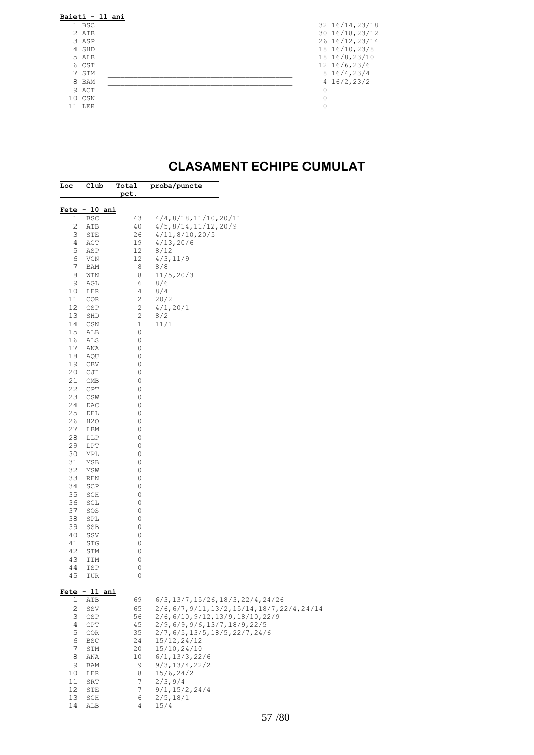| 1 BSC  | 32 16/14, 23/18 |
|--------|-----------------|
| 2 ATB  | 30 16/18, 23/12 |
| 3 ASP  | 26 16/12, 23/14 |
| 4 SHD  | 18 16/10, 23/8  |
| 5 ALB  | 18 16/8,23/10   |
| 6 CST  | 12 16/6,23/6    |
| 7 STM  | 816/4, 23/4     |
| 8 BAM  | 4 16/2, 23/2    |
| 9 ACT  |                 |
| 10 CSN |                 |
| 11 LER |                 |

#### **CLASAMENT ECHIPE CUMULAT**

| Loc          | Club                        | Total<br><u>pct.</u> | proba/puncte                                                     |
|--------------|-----------------------------|----------------------|------------------------------------------------------------------|
|              |                             |                      |                                                                  |
| 1            | Fete - 10 ani<br><b>BSC</b> | 43                   | 4/4, 8/18, 11/10, 20/11                                          |
| 2            | ATB                         | 40                   | 4/5, 8/14, 11/12, 20/9                                           |
| 3            | STE                         | 26                   | 4/11, 8/10, 20/5                                                 |
| 4            | ACT                         | 19                   | 4/13, 20/6                                                       |
| 5            | ASP                         | 12                   | 8/12                                                             |
| 6            | VCN                         | 12                   | 4/3, 11/9                                                        |
| 7<br>8       | BAM                         | 8<br>8               | 8/8<br>11/5, 20/3                                                |
| 9            | WIN<br>AGL                  | 6                    | 8/6                                                              |
| 10           | LER                         | 4                    | 8/4                                                              |
| 11           | COR                         | $\mathbf{2}$         | 20/2                                                             |
| 12           | CSP                         | 2                    | 4/1, 20/1                                                        |
| 13           | SHD                         | 2                    | 8/2                                                              |
| 14           | CSN                         | $\mathbf{1}$         | 11/1                                                             |
| 15           | ALB                         | 0                    |                                                                  |
| 16<br>17     | ALS<br>ANA                  | 0<br>0               |                                                                  |
| 18           | AQU                         | 0                    |                                                                  |
| 19           | CBV                         | 0                    |                                                                  |
| 20           | CJI                         | 0                    |                                                                  |
| 21           | CMB                         | 0                    |                                                                  |
| 22           | CPT                         | 0                    |                                                                  |
| 23           | CSW                         | 0                    |                                                                  |
| 24           | DAC                         | 0                    |                                                                  |
| 25<br>26     | DEL<br>H <sub>2</sub> O     | 0<br>0               |                                                                  |
| 27           | LBM                         | 0                    |                                                                  |
| 28           | LLP                         | 0                    |                                                                  |
| 29           | LPT                         | 0                    |                                                                  |
| 30           | MPL                         | 0                    |                                                                  |
| 31           | MSB                         | 0                    |                                                                  |
| 32           | MSW                         | 0                    |                                                                  |
| 33<br>34     | REN<br>SCP                  | 0<br>0               |                                                                  |
| 35           | SGH                         | 0                    |                                                                  |
| 36           | SGL                         | 0                    |                                                                  |
| 37           | SOS                         | 0                    |                                                                  |
| 38           | SPL                         | 0                    |                                                                  |
| 39           | SSB                         | 0                    |                                                                  |
| 40           | SSV                         | 0                    |                                                                  |
| 41<br>42     | STG<br>STM                  | 0<br>0               |                                                                  |
| 43           | TIM                         | 0                    |                                                                  |
| 44           | TSP                         | 0                    |                                                                  |
| 45           | TUR                         | 0                    |                                                                  |
|              | <b>Fete - 11 ani</b>        |                      |                                                                  |
| $\mathbf{1}$ | ATB                         | 69                   | $6/3$ , 13/7, 15/26, 18/3, 22/4, 24/26                           |
| 2            | SSV                         | 65                   | 2/6, 6/7, 9/11, 13/2, 15/14, 18/7, 22/4, 24/14                   |
| 3<br>4       | CSP<br>CPT                  | 56<br>45             | 2/6,6/10,9/12,13/9,18/10,22/9<br>2/9, 6/9, 9/6, 13/7, 18/9, 22/5 |
| 5            | COR                         | 35                   | 2/7, 6/5, 13/5, 18/5, 22/7, 24/6                                 |
| 6            | BSC                         | 24                   | 15/12, 24/12                                                     |
| 7            | STM                         | 20                   | 15/10,24/10                                                      |
| 8            | ANA                         | 10                   | 6/1, 13/3, 22/6                                                  |
| 9            | BAM                         | 9                    | 9/3, 13/4, 22/2                                                  |
| 10<br>11     | LER                         | 8<br>7               | 15/6, 24/2<br>2/3,9/4                                            |
| 12           | SRT<br>STE                  | 7                    | 9/1, 15/2, 24/4                                                  |
| 13           | SGH                         | 6                    | 2/5, 18/1                                                        |
| 14           | ALB                         | 4                    | 15/4                                                             |
|              |                             |                      |                                                                  |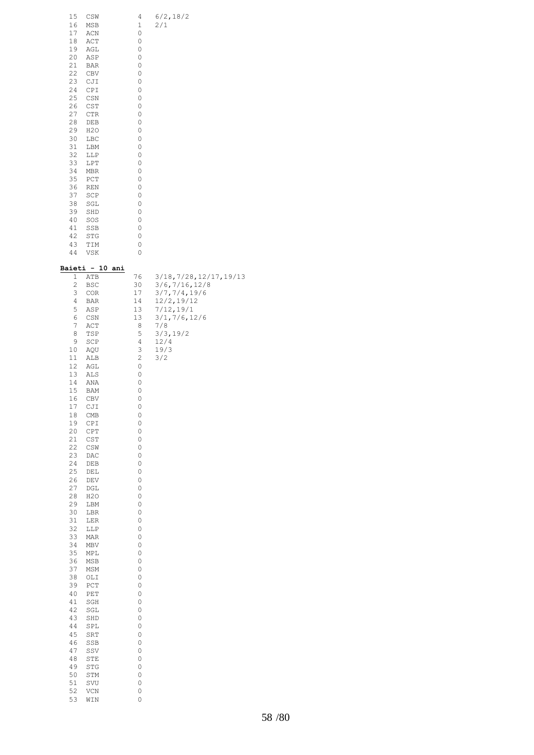| 15<br>CSW<br>16<br>MSB<br>17<br>ACN<br>18<br>ACT<br>19<br>AGL<br>20<br>ASP<br>21<br>BAR<br>22<br>CBV<br>23<br>CJI<br>24<br>CPI<br>25<br>CSN<br>26<br>CST<br>27<br>CTR<br>28<br>DEB<br>29<br>H2O<br>30<br>LBC<br>31<br>LBM<br>32<br>LLP<br>33<br>LPT<br>34<br>MBR<br>35<br>PCT<br>36<br><b>REN</b><br>37<br>SCP<br>38<br>SGL<br>39<br>SHD<br>40<br>SOS<br>41<br>SSB<br>42<br>STG<br>43<br>TIM<br>44<br>VSK                                                                                                                                                                                                                                                                                                                                                                                                                                                                                                                                              | 4<br>1<br>0<br>0<br>0<br>0<br>0<br>0<br>0<br>0<br>0<br>0<br>0<br>0<br>0<br>0<br>0<br>0<br>0<br>0<br>0<br>0<br>0<br>0<br>0<br>0<br>0<br>0<br>0<br>0                                                                                                                                               | 6/2, 18/2<br>2/1                                                                                                                                       |
|--------------------------------------------------------------------------------------------------------------------------------------------------------------------------------------------------------------------------------------------------------------------------------------------------------------------------------------------------------------------------------------------------------------------------------------------------------------------------------------------------------------------------------------------------------------------------------------------------------------------------------------------------------------------------------------------------------------------------------------------------------------------------------------------------------------------------------------------------------------------------------------------------------------------------------------------------------|--------------------------------------------------------------------------------------------------------------------------------------------------------------------------------------------------------------------------------------------------------------------------------------------------|--------------------------------------------------------------------------------------------------------------------------------------------------------|
| <u> Baieti - 10</u><br>ani<br>$\mathbf 1$<br>ATB<br>2<br>BSC<br>3<br>COR<br>4<br>BAR<br>5<br>ASP<br>6<br>CSN<br>7<br>ACT<br>8<br>TSP<br>9<br>SCP<br>10<br>AQU<br>11<br>ALB<br>12<br>AGL<br>13<br>ALS<br>14<br>ANA<br>15<br>BAM<br>16<br>CBV<br>17<br>CJI<br>18<br>CMB<br>19<br>CPI<br>20<br>CPT<br>21<br>$\mathbb{C}\mathbb{S}\mathbb{T}$<br>22<br>CSW<br>23<br>DAC<br>24<br>${\rm DEB}$<br>25<br>$\rm{DEL}$<br>26<br>$\mathop{\rm DEV}\nolimits$<br>27<br>$_{\rm DGL}$<br>28<br>H2O<br>29<br>$_{\rm LBM}$<br>30<br>LBR<br>31<br>$\mbox{LER}$<br>32<br>$_{\rm LLP}$<br>33<br>MAR<br>34<br>$\ensuremath{\mathsf{MBV}}$<br>35<br>$\tt MPI$<br>36<br>MSB<br>37<br>MSM<br>38<br>OLI<br>39<br>${\tt PCT}$<br>40<br>PET<br>41<br>SGH<br>42<br>SGL<br>43<br>SHD<br>44<br>SPL<br>45<br>${\tt SRT}$<br>46<br>SSB<br>47<br>SSV<br>48<br>STE<br>49<br>$\operatorname{\mathsf{STG}}$<br>50<br>STM<br>$51\,$<br>SVU<br>52<br>$\ensuremath{\text{VCN}}$<br>53<br>WIN | 76<br>30<br>17<br>14<br>13<br>13<br>8<br>5<br>4<br>3<br>$\sqrt{2}$<br>0<br>0<br>0<br>0<br>0<br>0<br>0<br>0<br>0<br>0<br>0<br>0<br>0<br>0<br>0<br>0<br>0<br>0<br>0<br>0<br>0<br>0<br>0<br>0<br>0<br>0<br>0<br>0<br>0<br>0<br>0<br>0<br>0<br>0<br>0<br>0<br>0<br>0<br>0<br>$\circ$<br>0<br>$\circ$ | 3/18, 7/28, 12/17, 19/13<br>3/6, 7/16, 12/8<br>3/7, 7/4, 19/6<br>12/2,19/12<br>7/12, 19/1<br>3/1, 7/6, 12/6<br>7/8<br>3/3, 19/2<br>12/4<br>19/3<br>3/2 |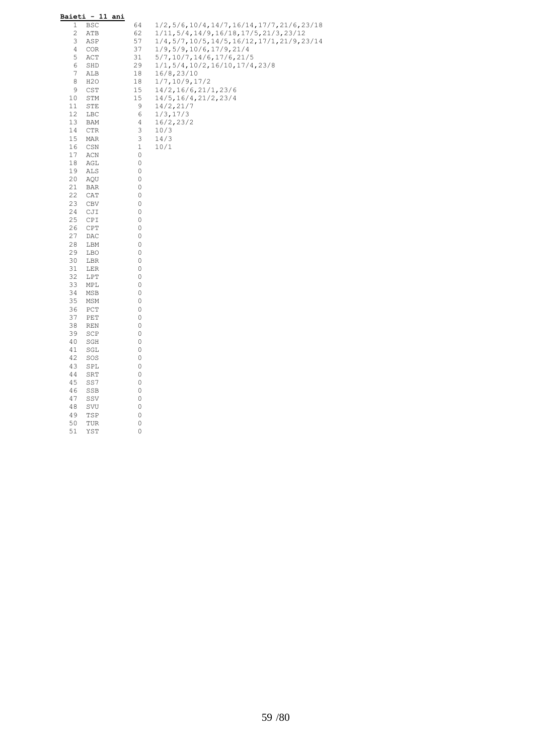| Baieti - 11 ani       |             |                                                  |
|-----------------------|-------------|--------------------------------------------------|
| 1<br>BSC              | 64          | $1/2, 5/6, 10/4, 14/7, 16/14, 17/7, 21/6, 23/18$ |
| 2<br>ATB              | 62          | 1/11, 5/4, 14/9, 16/18, 17/5, 21/3, 23/12        |
| 3<br>ASP              | 57          | 1/4,5/7,10/5,14/5,16/12,17/1,21/9,23/14          |
| 4<br>COR              | 37          | 1/9,5/9,10/6,17/9,21/4                           |
| 5<br>ACT              | 31          | 5/7, 10/7, 14/6, 17/6, 21/5                      |
| 6<br>SHD              | 29          | 1/1, 5/4, 10/2, 16/10, 17/4, 23/8                |
| 7<br>ALB              | 18          | 16/8,23/10                                       |
| 8<br>H <sub>2</sub> O | 18          | 1/7, 10/9, 17/2                                  |
| 9<br>CST              | 15          | 14/2, 16/6, 21/1, 23/6                           |
| 10<br>STM             | 15          | 14/5, 16/4, 21/2, 23/4                           |
| 11<br>STE             | 9           | 14/2, 21/7                                       |
| 12<br>LBC             | 6           | 1/3, 17/3                                        |
| 13<br>BAM             | 4           | 16/2, 23/2                                       |
| 14<br>CTR             | 3           | 10/3                                             |
| 15<br>MAR             | 3           | 14/3                                             |
| 16<br>CSN             | $\mathbf 1$ | 10/1                                             |
| 17<br>ACN             | 0           |                                                  |
| 18<br>AGL             | 0           |                                                  |
| 19<br>ALS             | 0           |                                                  |
| 20                    | 0           |                                                  |
| AQU<br>21             | 0           |                                                  |
| BAR                   | 0           |                                                  |
| 22<br>CAT             |             |                                                  |
| 23<br>CBV             | 0           |                                                  |
| 24<br>CJI             | 0           |                                                  |
| 25<br>CPI             | 0           |                                                  |
| 26<br>CPT             | 0           |                                                  |
| 27<br>DAC             | 0           |                                                  |
| 28<br>LBM             | 0           |                                                  |
| 29<br>LBO             | 0           |                                                  |
| 30<br>LBR             | 0           |                                                  |
| 31<br>LER             | 0           |                                                  |
| 32<br>LPT             | 0           |                                                  |
| 33<br>MPL             | 0           |                                                  |
| 34<br>MSB             | 0           |                                                  |
| 35<br>MSM             | 0           |                                                  |
| 36<br>PCT             | 0           |                                                  |
| 37<br>PET             | 0           |                                                  |
| 38<br>REN             | 0           |                                                  |
| 39<br>SCP             | 0           |                                                  |
| 40<br>SGH             | 0           |                                                  |
| 41<br>SGL             | 0           |                                                  |
| 42<br>SOS             | 0           |                                                  |
| 43<br>SPL             | 0           |                                                  |
| 44<br>SRT             | 0           |                                                  |
| 45<br>SS7             | 0           |                                                  |
| 46<br>SSB             | 0           |                                                  |
| 47<br>SSV             | 0           |                                                  |
| 48<br>SVU             | 0           |                                                  |
| 49<br>TSP             | 0           |                                                  |
| 50<br>TUR             | 0           |                                                  |
| 51<br>YST             | 0           |                                                  |
|                       |             |                                                  |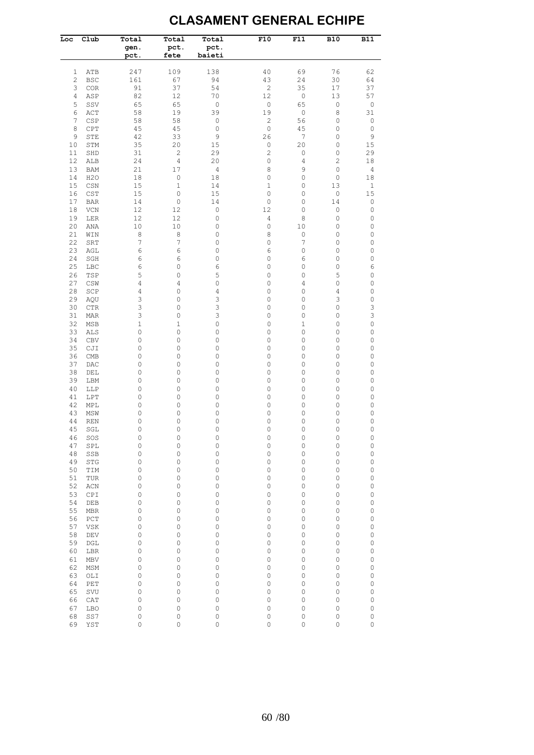#### **CLASAMENT GENERAL ECHIPE**

| Loc            | Club              | Total<br>gen.<br>pct. | Total<br>pct.<br>fete | Total<br>pct.<br>baieti | F10            | F11                    | <b>B10</b>     | $\overline{B11}$           |
|----------------|-------------------|-----------------------|-----------------------|-------------------------|----------------|------------------------|----------------|----------------------------|
| 1              | ATB               | 247                   | 109                   | 138                     | 40             | 69                     | 76             | 62                         |
| $\overline{c}$ | <b>BSC</b>        | 161                   | 67                    | 94                      | 43             | 24                     | 30             | 64                         |
| 3              | COR               | 91                    | 37                    | 54                      | $\mathbf{2}$   | 35                     | $17$           | 37                         |
| 4              | ASP               | 82                    | 12                    | 70                      | 12             | $\mathbb O$            | 13             | 57                         |
| 5              | SSV               | 65                    | 65                    | $\mathbb O$             | $\mathbb O$    | 65                     | $\mathbb O$    | $\mathbb O$                |
| 6              | ACT               | 58                    | 19                    | 39                      | 19             | $\mathbb O$            | 8              | 31                         |
| $\overline{7}$ | CSP               | 58                    | 58                    | $\mathbb O$             | $\overline{c}$ | 56                     | 0              | $\mathbb O$                |
| 8              | CPT               | 45                    | 45                    | $\mathbb O$             | $\mathbb O$    | 45<br>$\boldsymbol{7}$ | 0              | $\mathbb O$                |
| 9<br>10        | STE<br>STM        | 42<br>35              | 33<br>20              | $\mathsf 9$<br>15       | 26<br>0        | 20                     | 0<br>0         | 9<br>15                    |
| 11             | SHD               | 31                    | $\overline{c}$        | 29                      | $\overline{c}$ | $\mathbb O$            | 0              | 29                         |
| 12             | ALB               | 24                    | $\overline{4}$        | 20                      | 0              | 4                      | $\overline{c}$ | 18                         |
| 13             | <b>BAM</b>        | 21                    | 17                    | $\overline{4}$          | 8              | 9                      | 0              | $\overline{4}$             |
| 14             | H2O               | 18                    | $\mathbb O$           | 18                      | 0              | 0                      | 0              | 18                         |
| 15             | CSN               | 15                    | 1                     | 14                      | 1              | 0                      | 13             | $\mathbf{1}$               |
| 16             | CST               | 15                    | $\circ$               | 15                      | 0              | 0                      | 0              | 15                         |
| 17             | <b>BAR</b>        | 14                    | $\mathbb O$           | 14                      | 0              | 0                      | 14             | $\mathbb O$                |
| 18             | VCN               | 12                    | 12                    | $\mathbb O$             | 12             | 0                      | 0              | 0                          |
| 19             | LER               | 12                    | 12                    | $\mathbb O$             | 4              | 8                      | 0              | 0                          |
| 20             | ANA               | $10$                  | 10                    | 0                       | 0              | 10                     | 0              | 0                          |
| 21<br>22       | WIN               | 8<br>7                | $\,8\,$               | 0                       | 8<br>$\circ$   | 0                      | 0              | 0                          |
| 23             | SRT<br>AGL        | 6                     | 7<br>6                | 0<br>0                  | 6              | $\boldsymbol{7}$<br>0  | 0<br>$\circ$   | $\mathbb O$<br>$\mathbb O$ |
| 24             | SGH               | 6                     | 6                     | 0                       | 0              | 6                      | 0              | 0                          |
| 25             | LBC               | 6                     | 0                     | 6                       | 0              | 0                      | 0              | 6                          |
| 26             | TSP               | 5                     | 0                     | 5                       | 0              | 0                      | 5              | $\mathbb O$                |
| 27             | CSW               | 4                     | 4                     | $\mathbb O$             | 0              | 4                      | $\circ$        | $\mathsf{O}\xspace$        |
| 28             | SCP               | 4                     | 0                     | $\overline{4}$          | 0              | 0                      | 4              | $\mathbb O$                |
| 29             | AQU               | 3                     | 0                     | 3                       | 0              | 0                      | 3              | $\mathsf{O}\xspace$        |
| 30             | <b>CTR</b>        | 3                     | 0                     | 3                       | 0              | 0                      | 0              | 3                          |
| 31             | MAR               | 3                     | 0                     | 3                       | 0              | 0                      | 0              | 3                          |
| 32             | MSB               | 1                     | 1                     | 0                       | 0              | 1                      | 0              | 0                          |
| 33             | ALS               | 0                     | 0                     | 0                       | 0              | 0                      | 0              | 0                          |
| 34             | <b>CBV</b>        | 0                     | 0                     | 0                       | 0              | 0                      | 0              | 0                          |
| 35             | CJI               | 0                     | 0                     | 0                       | 0              | 0                      | 0              | 0                          |
| 36<br>37       | <b>CMB</b><br>DAC | 0<br>0                | 0<br>0                | 0<br>0                  | 0<br>0         | 0<br>0                 | 0<br>0         | 0<br>0                     |
| 38             | DEL               | 0                     | 0                     | 0                       | 0              | 0                      | 0              | 0                          |
| 39             | LBM               | 0                     | 0                     | 0                       | 0              | 0                      | 0              | 0                          |
| 40             | LLP               | 0                     | 0                     | 0                       | 0              | 0                      | 0              | 0                          |
| 41             | LPT               | 0                     | 0                     | $\mathbb O$             | 0              | 0                      | 0              | 0                          |
| 42             | MPL               | 0                     | 0                     | 0                       | 0              | 0                      | 0              | 0                          |
| 43             | MSW               | 0                     | 0                     | 0                       | 0              | 0                      | 0              | 0                          |
| 44             | <b>REN</b>        | 0                     | 0                     | 0                       | 0              | 0                      | 0              | 0                          |
| 45             | SGL               | 0                     | $\mathbf 0$           | $\mathbf 0$             | 0              | 0                      | 0              | $\mathsf{O}\xspace$        |
| 46             | SOS               | $\circ$               | $\mathbb O$           | $\mathbb O$             | 0              | $\mathbb O$            | 0              | 0                          |
| 47             | SPL               | $\circ$               | $\mathsf O$           | $\mathsf O$             | 0              | 0                      | $\circ$        | $\mathsf O$                |
| 48             | SSB               | 0                     | 0                     | $\mathsf O$             | 0              | 0                      | 0              | $\mathbb O$                |
| 49<br>50       | <b>STG</b><br>TIM | 0<br>0                | 0<br>0                | 0<br>$\mathsf O$        | 0<br>0         | 0<br>0                 | 0<br>0         | 0<br>0                     |
| 51             | TUR               | 0                     | 0                     | 0                       | 0              | 0                      | 0              | 0                          |
| 52             | ACN               | 0                     | 0                     | 0                       | 0              | 0                      | 0              | 0                          |
| 53             | CPI               | 0                     | 0                     | 0                       | 0              | 0                      | 0              | 0                          |
| 54             | DEB               | 0                     | 0                     | 0                       | 0              | 0                      | 0              | 0                          |
| 55             | MBR               | 0                     | 0                     | 0                       | 0              | 0                      | 0              | 0                          |
| 56             | PCT               | 0                     | 0                     | 0                       | 0              | 0                      | 0              | 0                          |
| 57             | VSK               | 0                     | 0                     | 0                       | 0              | 0                      | 0              | 0                          |
| 58             | DEV               | 0                     | 0                     | 0                       | 0              | 0                      | 0              | 0                          |
| 59             | DGL               | 0                     | 0                     | 0                       | 0              | 0                      | 0              | 0                          |
| 60             | LBR               | 0                     | 0                     | 0                       | 0              | 0                      | 0              | 0                          |
| 61             | MBV               | 0                     | 0                     | 0                       | 0              | 0                      | 0              | 0                          |
| 62             | MSM               | 0                     | 0                     | 0                       | 0              | 0                      | 0              | 0                          |
| 63             | OLI               | 0                     | 0                     | 0                       | 0              | 0                      | 0              | 0                          |
| 64<br>65       | PET<br>SVU        | 0<br>0                | 0<br>0                | 0<br>0                  | 0<br>0         | 0<br>0                 | 0<br>0         | 0                          |
| 66             | CAT               | 0                     | 0                     | 0                       | 0              | 0                      | 0              | 0<br>$\mathbb O$           |
| 67             | <b>LBO</b>        | 0                     | 0                     | 0                       | 0              | 0                      | 0              | 0                          |
| 68             | SS7               | 0                     | 0                     | 0                       | 0              | 0                      | $\circ$        | 0                          |
| 69             | YST               | 0                     | 0                     | $\mathsf O$             | 0              | 0                      | $\circ$        | $\mathbb O$                |
|                |                   |                       |                       |                         |                |                        |                |                            |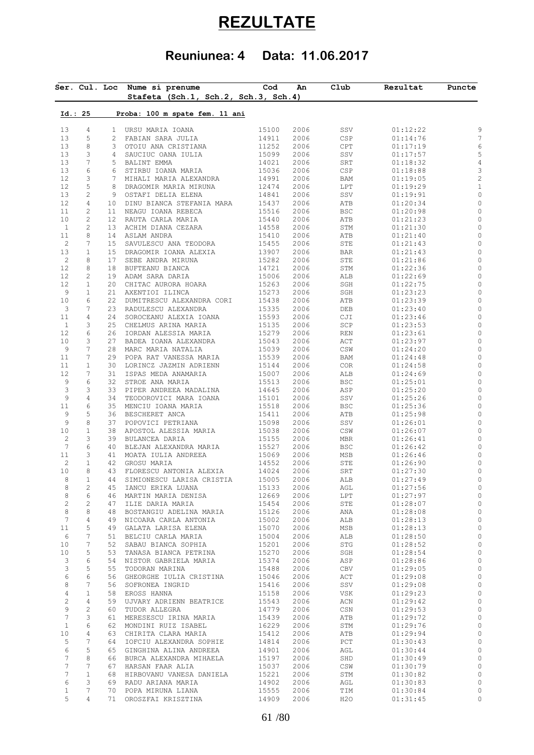# **REZULTATE**

## **Reuniunea: 4 Data: 11.06.2017**

|                   |                               |                 | Ser. Cul. Loc Nume si prenume<br>Stafeta (Sch.1, Sch.2, Sch.3, Sch.4) | $\mathsf{Cod}$ | An           | Club        | Rezultat             | Puncte |
|-------------------|-------------------------------|-----------------|-----------------------------------------------------------------------|----------------|--------------|-------------|----------------------|--------|
|                   |                               |                 |                                                                       |                |              |             |                      |        |
|                   | Id.: 25                       |                 | Proba: 100 m spate fem. 11 ani                                        |                |              |             |                      |        |
| 13                | 4                             |                 | 1 URSU MARIA IOANA                                                    | 15100          | 2006         | SSV         | 01:12:22             |        |
| 13                | 5                             |                 | 2 FABIAN SARA JULIA                                                   | 14911          | 2006         | CSP         | 01:14:76             |        |
| 13                | 8                             |                 | 3 OTOIU ANA CRISTIANA                                                 | 11252          | 2006         | CPT         | 01:17:19             |        |
| 13                | 3                             |                 | 4 SAUCIUC OANA IULIA                                                  | 15099          | 2006         | SSV         | 01:17:57             |        |
| 13                | $7\phantom{.0}$<br>$\epsilon$ |                 | 5 BALINT EMMA                                                         | 14021          | 2006         | ${\tt SRT}$ | 01:18:32             |        |
| 13<br>12          | 3                             | 7 <sup>7</sup>  | 6 STIRBU IOANA MARIA<br>MIHALI MARIA ALEXANDRA                        | 15036<br>14991 | 2006<br>2006 | CSP<br>BAM  | 01:18:88<br>01:19:05 |        |
| 12                | $\mathsf S$                   |                 | 8 DRAGOMIR MARIA MIRUNA                                               | 12474          | 2006         | LPT         | 01:19:29             |        |
| 13                | $\overline{c}$                | 9               | OSTAFI DELIA ELENA                                                    | 14841          | 2006         | SSV         | 01:19:91             |        |
| 12                | $\overline{4}$                | 10              | DINU BIANCA STEFANIA MARA                                             | 15437          | 2006         | ATB         | 01:20:34             |        |
| 11                | 2                             | 11              | NEAGU IOANA REBECA                                                    | 15516          | 2006         | BSC         | 01:20:98             |        |
| 10                | $\sqrt{2}$                    | 12              | RAUTA CARLA MARIA                                                     | 15440          | 2006         | ATB         | 01:21:23             |        |
| $\mathbf{1}$      | $\overline{c}$                | 13 <sup>°</sup> | ACHIM DIANA CEZARA                                                    | 14558          | 2006         | STM         | 01:21:30             |        |
| 11                | $\,8\,$                       | 14              | ASLAM ANDRA                                                           | 15410          | 2006         | ATB         | 01:21:40             |        |
| $\overline{c}$    | 7                             | 15 <sub>1</sub> | SAVULESCU ANA TEODORA                                                 | 15455          | 2006         | STE         | 01:21:43             |        |
| 13                | $\mathbf{1}$                  | 15              | DRAGOMIR IOANA ALEXIA                                                 | 13907          | 2006         | BAR         | 01:21:43             |        |
| $\overline{c}$    | 8                             | 17              | SEBE ANDRA MIRUNA                                                     | 15282          | 2006         | STE         | 01:21:86             |        |
| 12                | $\,8\,$                       | 18              | BUFTEANU BIANCA                                                       | 14721          | 2006         | STM         | 01:22:36             |        |
| 12                | $\overline{c}$                | 19              | ADAM SARA DARIA                                                       | 15006          | 2006         | ALB         | 01:22:69             |        |
| $12 \overline{ }$ | $\mathbf{1}$                  | 20              | CHITAC AURORA HOARA                                                   | 15263          | 2006         | SGH         | 01:22:75             |        |
| 9<br>10           | $\mathbf{1}$<br>6             | 21<br>22        | AXENTIOI ILINCA                                                       | 15273<br>15438 | 2006         | SGH         | 01:23:23             |        |
| 3                 | 7                             | 23              | DUMITRESCU ALEXANDRA CORI<br>RADULESCU ALEXANDRA                      | 15335          | 2006<br>2006 | ATB<br>DEB  | 01:23:39<br>01:23:40 |        |
| 11                | $\overline{4}$                | 24              | SOROCEANU ALEXIA IOANA                                                | 15593          | 2006         | CJI         | 01:23:46             |        |
| $\mathbf{1}$      | 3                             | 25              | CHELMUS ARINA MARIA                                                   | 15135          | 2006         | SCP         | 01:23:53             |        |
| $12 \overline{ }$ | $\epsilon$                    | 26              | IORDAN ALESSIA MARIA                                                  | 15279          | 2006         | REN         | 01:23:61             |        |
| 10                | 3                             | 27              | BADEA IOANA ALEXANDRA                                                 | 15043          | 2006         | ACT         | 01:23:97             |        |
| 9                 | $\overline{7}$                | 28              | MARC MARIA NATALIA                                                    | 15039          | 2006         | CSW         | 01:24:20             |        |
| 11                | 7                             | 29              | POPA RAT VANESSA MARIA                                                | 15539          | 2006         | BAM         | 01:24:48             |        |
| 11                | $\mathbf{1}$                  | 30              | LORINCZ JAZMIN ADRIENN                                                | 15144          | 2006         | COR         | 01:24:58             |        |
| 12                | 7                             | 31              | ISPAS MEDA ANAMARIA                                                   | 15007          | 2006         | ALB         | 01:24:69             |        |
| 9                 | $6\,$                         | 32              | STROE ANA MARIA                                                       | 15513          | 2006         | BSC         | 01:25:01             |        |
| 3                 | 3                             | 33              | PIPER ANDREEA MADALINA                                                | 14645          | 2006         | ASP         | 01:25:20             |        |
| 9                 | $\overline{4}$                | 34              | TEODOROVICI MARA IOANA                                                | 15101          | 2006         | SSV         | 01:25:26             |        |
| 11                | $\epsilon$                    | 35              | MENCIU IOANA MARIA                                                    | 15518          | 2006         | <b>BSC</b>  | 01:25:36             |        |
| 9<br>9            | 5<br>$\,8\,$                  | 36              | BESCHERET ANCA                                                        | 15411          | 2006         | ATB         | 01:25:98             |        |
| 10                | $\,1\,$                       | 37<br>38        | POPOVICI PETRIANA<br>APOSTOL ALESSIA MARIA                            | 15098<br>15038 | 2006<br>2006 | SSV<br>CSW  | 01:26:01<br>01:26:07 |        |
| $\overline{c}$    | 3                             | 39              | BULANCEA DARIA                                                        | 15155          | 2006         | MBR         | 01:26:41             |        |
| $7\phantom{.0}$   | $\epsilon$                    | 40              | BLEJAN ALEXANDRA MARIA                                                | 15527          | 2006         | BSC         | 01:26:42             |        |
| 11                | $\ensuremath{\mathsf{3}}$     | 41              | MOATA IULIA ANDREEA                                                   | 15069          | 2006         | MSB         | 01:26:46             |        |
| $\overline{c}$    | $\mathbf{1}$                  | 42              | GROSU MARIA                                                           | 14552          | 2006         | STE         | 01:26:90             |        |
| 10                | 8                             | 43              | FLORESCU ANTONIA ALEXIA                                               | 14024          | 2006         | SRT         | 01:27:30             |        |
| 8                 | $\mathbf{1}$                  |                 | 44 SIMIONESCU LARISA CRISTIA                                          | 15005          | 2006         | ALB         | 01:27:49             |        |
| 8                 | 2                             | 45              | IANCU ERIKA LUANA                                                     | 15133          | 2006         | AGL         | 01:27:56             |        |
| 8                 | 6                             | 46              | MARTIN MARIA DENISA                                                   | 12669          | 2006         | LPT         | 01:27:97             |        |
| 2                 | 2                             | 47              | ILIE DARIA MARIA                                                      | 15454          | 2006         | STE         | 01:28:07             |        |
| 8                 | 8                             | 48              | BOSTANGIU ADELINA MARIA                                               | 15126          | 2006         | ANA         | 01:28:08             |        |
| $7\phantom{.0}$   | 4                             | 49              | NICOARA CARLA ANTONIA                                                 | 15002          | 2006         | ALB         | 01:28:13             |        |
| 11                | 5<br>7                        | 49<br>51        | GALATA LARISA ELENA<br>BELCIU CARLA MARIA                             | 15070          | 2006         | MSB         | 01:28:13             |        |
| 6<br>10           | 7                             | 52              | SABAU BIANCA SOPHIA                                                   | 15004<br>15201 | 2006<br>2006 | ALB<br>STG  | 01:28:50<br>01:28:52 |        |
| 10                | 5                             | 53              | TANASA BIANCA PETRINA                                                 | 15270          | 2006         | SGH         | 01:28:54             |        |
| 3                 | 6                             | 54              | NISTOR GABRIELA MARIA                                                 | 15374          | 2006         | ASP         | 01:28:86             |        |
| 3                 | 5                             | 55              | TODORAN MARINA                                                        | 15488          | 2006         | CBV         | 01:29:05             |        |
| 6                 | 6                             | 56              | GHEORGHE IULIA CRISTINA                                               | 15046          | 2006         | ACT         | 01:29:08             |        |
| 8                 | 7                             | 56              | SOFRONEA INGRID                                                       | 15416          | 2006         | SSV         | 01:29:08             |        |
| $\overline{4}$    | $\mathbf 1$                   | 58              | EROSS HANNA                                                           | 15158          | 2006         | VSK         | 01:29:23             |        |
| $\overline{c}$    | 4                             | 59              | UJVARY ADRIENN BEATRICE                                               | 15543          | 2006         | ACN         | 01:29:42             |        |
| 9                 | $\overline{c}$                | 60              | TUDOR ALLEGRA                                                         | 14779          | 2006         | CSN         | 01:29:53             |        |
| $7\phantom{.0}$   | 3                             | 61              | MERESESCU IRINA MARIA                                                 | 15439          | 2006         | ATB         | 01:29:72             |        |
| $\mathbf{1}$      | 6                             | 62              | MONDINI RUIZ ISABEL                                                   | 16229          | 2006         | STM         | 01:29:76             |        |
| 10                | 4                             | 63              | CHIRITA CLARA MARIA                                                   | 15412          | 2006         | ATB         | 01:29:94             |        |
| 5                 | 7                             | 64              | IOFCIU ALEXANDRA SOPHIE                                               | 14814          | 2006         | PCT         | 01:30:43             |        |
| 6                 | 5                             | 65              | GINGHINA ALINA ANDREEA                                                | 14901          | 2006         | AGL         | 01:30:44             |        |
| $\overline{7}$    | 8                             | 66              | BURCA ALEXANDRA MIHAELA                                               | 15197          | 2006         | SHD         | 01:30:49             |        |
| 7<br>7            | 7                             | 67              | HARSAN FAAR ALIA                                                      | 15037          | 2006         | CSW         | 01:30:79             |        |
| 6                 | $\mathbf{1}$<br>3             | 68              | HIRBOVANU VANESA DANIELA                                              | 15221          | 2006         | STM         | 01:30:82             |        |
|                   |                               | 69              | RADU ARIANA MARIA<br>POPA MIRUNA LIANA                                | 14902<br>15555 | 2006<br>2006 | AGL<br>TIM  | 01:30:83<br>01:30:84 |        |
| $\mathbf{1}$      | 7                             | 70              |                                                                       |                |              |             |                      |        |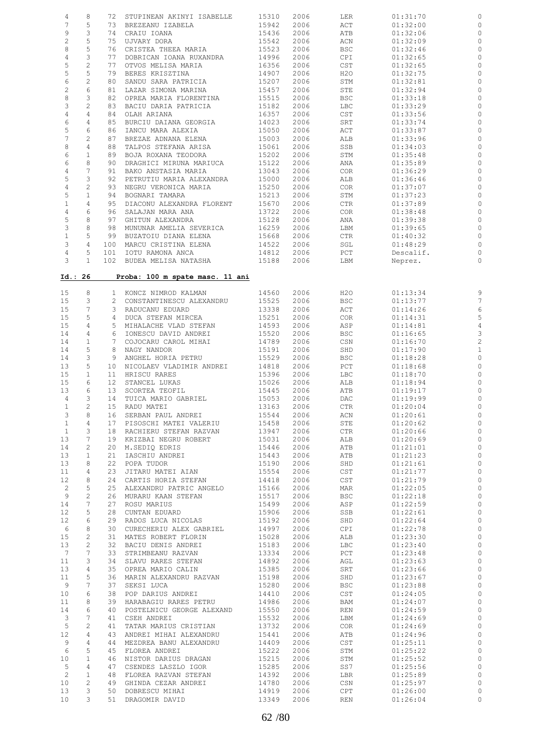| 4                 | 8               | 72          | STUPINEAN AKINYI ISABELLE       | 15310 | 2006 | LER              | 01:31:70  |                         |
|-------------------|-----------------|-------------|---------------------------------|-------|------|------------------|-----------|-------------------------|
| 7                 | 5               |             | 73 BREZEANU IZABELA             | 15942 | 2006 | ACT              | 01:32:00  | 0                       |
|                   |                 |             |                                 |       |      |                  |           |                         |
| 9                 | 3               | 74          | CRAIU IOANA                     | 15436 | 2006 | ATB              | 01:32:06  | 0                       |
| $\sqrt{2}$        | 5               | 75          | UJVARY DORA                     | 15542 | 2006 | ACN              | 01:32:09  | $\circ$                 |
| 8                 | 5               | 76          | CRISTEA THEEA MARIA             | 15523 | 2006 | <b>BSC</b>       | 01:32:46  | $\circ$                 |
| $\overline{4}$    | 3               | 77          | DOBRICAN IOANA RUXANDRA         | 14996 | 2006 | CPI              | 01:32:65  | $\circ$                 |
|                   |                 |             |                                 |       |      |                  |           |                         |
| 5                 | $\overline{c}$  | 77          | OTVOS MELISA MARIA              | 16356 | 2006 | CST              | 01:32:65  | $\circ$                 |
| 5                 | 5               | 79          | BERES KRISZTINA                 | 14907 | 2006 | H20              | 01:32:75  | $\circ$                 |
| 6                 | $\mathbf{2}$    | 80          | SANDU SARA PATRICIA             | 15207 | 2006 | STM              | 01:32:81  | 0                       |
| $\overline{c}$    | $\epsilon$      | 81          | LAZAR SIMONA MARINA             | 15457 | 2006 | STE              | 01:32:94  | $\circ$                 |
| $\,8\,$           | 3               |             |                                 |       |      |                  |           |                         |
|                   |                 | 82          | OPREA MARIA FLORENTINA          | 15515 | 2006 | <b>BSC</b>       | 01:33:18  | $\circ$                 |
| 3                 | $\overline{c}$  |             | 83 BACIU DARIA PATRICIA         | 15182 | 2006 | LBC              | 01:33:29  | $\circ$                 |
| $\overline{4}$    | $\overline{4}$  | 84          | OLAH ARIANA                     | 16357 | 2006 | CST              | 01:33:56  | 0                       |
| $\epsilon$        | $\overline{4}$  | 85          | BURCIU DAIANA GEORGIA           | 14023 | 2006 | SRT              | 01:33:74  | $\circ$                 |
| 5                 | 6               | 86          | IANCU MARA ALEXIA               | 15050 | 2006 | ACT              | 01:33:87  | $\circ$                 |
| $\overline{7}$    |                 |             |                                 |       |      |                  |           |                         |
|                   | 2               | 87          | BREZAE ADNANA ELENA             | 15003 | 2006 | ALB              | 01:33:96  | $\circ$                 |
| 8                 | $\overline{4}$  | 88          | TALPOS STEFANA ARISA            | 15061 | 2006 | SSB              | 01:34:03  | 0                       |
| 6                 | $\mathbf{1}$    | 89          | BOJA ROXANA TEODORA             | 15202 | 2006 | STM              | 01:35:48  | $\circ$                 |
| 6                 | 8               | 90          | DRAGHICI MIRUNA MARIUCA         | 15122 | 2006 | ANA              | 01:35:89  | $\circ$                 |
| $\sqrt{4}$        | $7\phantom{.0}$ | 91          | BAKO ANSTASIA MARIA             | 13043 | 2006 | COR <sub>.</sub> | 01:36:29  | $\circ$                 |
| 5                 | 3               | 92          | PETRUTIU MARIA ALEXANDRA        | 15000 | 2006 | ALB              | 01:36:46  | 0                       |
|                   |                 |             |                                 |       |      |                  |           |                         |
| $\overline{4}$    | $\overline{c}$  | 93          | NEGRU VERONICA MARIA            | 15250 | 2006 | COR              | 01:37:07  | $\circ$                 |
| 5                 | $\mathbf{1}$    | 94          | BOGNARI TAMARA                  | 15213 | 2006 | STM              | 01:37:23  | $\circ$                 |
| $\mathbf{1}$      | $\overline{4}$  | 95          | DIACONU ALEXANDRA FLORENT       | 15670 | 2006 | CTR              | 01:37:89  | $\circ$                 |
| $\overline{4}$    | 6               | 96          | SALAJAN MARA ANA                | 13722 | 2006 | COR              | 01:38:48  | $\circ$                 |
| 5                 | 8               | 97          | GHITUN ALEXANDRA                | 15128 | 2006 |                  | 01:39:38  | $\circ$                 |
|                   |                 |             |                                 |       |      | ANA              |           |                         |
| $\mathbf{3}$      | 8               | 98          | MUNUNAR AMELIA SEVERICA         | 16259 | 2006 | LBM              | 01:39:65  | $\circ$                 |
| $\mathbf{1}$      | 5               | 99          | BUZATOIU DIANA ELENA            | 15668 | 2006 | $\mathtt{CTR}$   | 01:40:32  | $\circ$                 |
| $\mathcal{E}$     | $\overline{4}$  | 100         | MARCU CRISTINA ELENA            | 14522 | 2006 | SGL              | 01:48:29  | $\circ$                 |
| $\overline{4}$    | 5               | 101         | IOTU RAMONA ANCA                | 14812 | 2006 | $_{\rm PCT}$     | Descalif. | $\circ$                 |
| 3                 | $\mathbf{1}$    |             | 102 BUDEA MELISA NATASHA        | 15188 | 2006 |                  |           | $\circ$                 |
|                   |                 |             |                                 |       |      | LBM              | Neprez.   |                         |
| Id.: 26           |                 |             | Proba: 100 m spate masc. 11 ani |       |      |                  |           |                         |
|                   |                 |             |                                 |       |      |                  |           |                         |
| 15                | 8               |             | 1 KONCZ NIMROD KALMAN           | 14560 | 2006 | H2O              | 01:13:34  | $\circ$                 |
| 15                | 3               |             | 2 CONSTANTINESCU ALEXANDRU      | 15525 | 2006 | <b>BSC</b>       | 01:13:77  | $\overline{7}$          |
| 15                | $7\phantom{.0}$ |             | 3 RADUCANU EDUARD               | 13338 | 2006 | ACT              | 01:14:26  | 6                       |
| 15                | 5               |             | 4 DUCA STEFAN MIRCEA            | 15251 | 2006 | <b>COR</b>       | 01:14:31  | 5                       |
| 15                | $\overline{4}$  |             | 5 MIHALACHE VLAD STEFAN         | 14593 | 2006 | ASP              | 01:14:81  | $\overline{4}$          |
| 14                | $\overline{4}$  |             | 6 IONESCU DAVID ANDREI          | 15520 | 2006 | <b>BSC</b>       | 01:16:65  | 3                       |
| 14                | $\mathbf{1}$    | $7^{\circ}$ | COJOCARU CAROL MIHAI            | 14789 | 2006 | CSN              | 01:16:70  | $\overline{\mathbf{c}}$ |
| 14                | 5               |             |                                 |       |      |                  |           |                         |
|                   |                 | 8           | NAGY NANDOR                     | 15191 | 2006 | SHD              | 01:17:90  | $\mathbf{1}$            |
| 14                | 3               | 9           | ANGHEL HORIA PETRU              | 15529 | 2006 | <b>BSC</b>       | 01:18:28  | $\circ$                 |
| 13                | 5               | 10          | NICOLAEV VLADIMIR ANDREI        | 14818 | 2006 | PCT              | 01:18:68  | $\circ$                 |
| 15                | $\mathbf{1}$    | 11          | HRISCU RARES                    | 15396 | 2006 | LBC              | 01:18:70  | $\circ$                 |
| 15                | 6               | 12          | STANCEL LUKAS                   | 15026 | 2006 | ALB              | 01:18:94  | $\circ$                 |
|                   | 6               | 13          | SCORTEA TEOFIL                  |       |      |                  |           |                         |
| 13                |                 |             |                                 | 15445 | 2006 | ATB              | 01:19:17  | $\circ$                 |
| $\overline{4}$    | 3               | 14          | TUICA MARIO GABRIEL             | 15053 | 2006 | DAC              | 01:19:99  | $\circ$                 |
| $\mathbf{1}$      | 2               |             | 15 RADU MATEI                   | 13163 | 2006 | CTR              | 01:20:04  | $\circ$                 |
| 3                 | 8               | 16          | SERBAN PAUL ANDREI              | 15544 | 2006 | ACN              | 01:20:61  |                         |
| $\mathbf{1}$      | 4               | 17          | PISOSCHI MATEI VALERIU          | 15458 | 2006 | STE              | 01:20:62  | 0                       |
| $\mathbf{1}$      | 3               |             | 18 RACHIERU STEFAN RAZVAN       | 13947 | 2006 | <b>CTR</b>       | 01:20:66  | $\circ$                 |
|                   |                 |             |                                 |       |      |                  |           |                         |
| 13                | 7               |             | 19 KRIZBAI NEGRU ROBERT         | 15031 | 2006 | ALB              | 01:20:69  | $\circ$                 |
| 14                | $\overline{c}$  | 20          | M.SEDIQ EDRIS                   | 15446 | 2006 | ATB              | 01:21:01  | $\circ$                 |
| 13                | $\mathbf{1}$    | 21          | IASCHIU ANDREI                  |       | 2006 | ATB              | 01:21:23  | $\circ$                 |
| 13                | 8               |             |                                 | 15443 |      |                  |           |                         |
|                   |                 | 22          | POPA TUDOR                      | 15190 | 2006 | SHD              | 01:21:61  | $\circ$                 |
|                   |                 |             |                                 |       |      |                  |           |                         |
| 11                | 4               | 23          | JITARU MATEI AIAN               | 15554 | 2006 | CST              | 01:21:77  | $\mathbb O$             |
| 12                | 8               | 24          | CARTIS HORIA STEFAN             | 14418 | 2006 | CST              | 01:21:79  | $\circ$                 |
| $\overline{c}$    | 5               | 25          | ALEXANDRU PATRIC ANGELO         | 15166 | 2006 | MAR              | 01:22:05  | $\mathbb O$             |
| 9                 | $\overline{c}$  | 26          | MURARU KAAN STEFAN              | 15517 | 2006 | <b>BSC</b>       | 01:22:18  | $\circ$                 |
| 14                | 7               | 27          | ROSU MARIUS                     | 15499 | 2006 | ASP              | 01:22:59  | $\mathbb O$             |
|                   |                 |             |                                 |       |      |                  |           |                         |
| $12 \overline{ }$ | 5               | 28          | CUNTAN EDUARD                   | 15906 | 2006 | SSB              | 01:22:61  | $\circ$                 |
| $12 \overline{ }$ | 6               | 29          | RADOS LUCA NICOLAS              | 15192 | 2006 | SHD              | 01:22:64  | $\circ$                 |
| 6                 | 8               | 30          | CURECHERIU ALEX GABRIEL         | 14997 | 2006 | CPI              | 01:22:78  | $\circ$                 |
| 15                | 2               | 31          | MATES ROBERT FLORIN             | 15028 | 2006 | ALB              | 01:23:30  | $\circ$                 |
| 13                | $\mathbf{2}$    | 32          | BACIU DENIS ANDREI              | 15183 | 2006 | LBC              | 01:23:40  | $\circ$                 |
| $7\phantom{.0}$   | 7               | 33          | STRIMBEANU RAZVAN               | 13334 | 2006 | PCT              | 01:23:48  | $\circ$                 |
| 11                | 3               | 34          |                                 | 14892 | 2006 | AGL              | 01:23:63  | $\circ$                 |
|                   |                 |             | SLAVU RARES STEFAN              |       |      |                  |           |                         |
| 13                | 4               | 35          | OPREA MARIO CALIN               | 15385 | 2006 | SRT              | 01:23:66  | $\circ$                 |
| 11                | 5               | 36          | MARIN ALEXANDRU RAZVAN          | 15198 | 2006 | SHD              | 01:23:67  | $\circ$                 |
| 9                 | 7               | 37          | SEKSI LUCA                      | 15280 | 2006 | <b>BSC</b>       | 01:23:88  | $\mathbb O$             |
| 10                | 6               | 38          | POP DARIUS ANDREI               | 14410 | 2006 | CST              | 01:24:05  | $\mathbb{C}$            |
| 11                | 8               | 39          | HARABAGIU RARES PETRU           | 14986 | 2006 | BAM              | 01:24:07  | $\mathbb O$             |
| 14                | 6               | 40          | POSTELNICU GEORGE ALEXAND       | 15550 | 2006 | REN              | 01:24:59  | $\,0\,$                 |
| 3                 | 7               | 41          | CSEH ANDREI                     | 15532 | 2006 | LBM              | 01:24:69  |                         |
|                   |                 |             |                                 |       |      |                  |           | $\mathbb O$             |
| 5                 | $\mathbf{2}$    | 41          | TATAR MARIUS CRISTIAN           | 13732 | 2006 | <b>COR</b>       | 01:24:69  | $\mathbb O$             |
| 12                | 4               | 43          | ANDREI MIHAI ALEXANDRU          | 15441 | 2006 | ATB              | 01:24:96  | $\mathbb{C}$            |
| 9                 | 4               | 44          | MEZDREA BANU ALEXANDRU          | 14409 | 2006 | CST              | 01:25:11  | $\,0\,$                 |
| $6\,$             | 5               | 45          | FLOREA ANDREI                   | 15222 | 2006 | STM              | 01:25:22  | $\mathbb{C}$            |
| 10 <sub>o</sub>   | $\mathbf{1}$    | 46          | NISTOR DARIUS DRAGAN            | 15215 | 2006 | STM              | 01:25:52  | $\mathbb O$             |
| 5                 | 4               | 47          | CSENDES LASZLO IGOR             | 15285 | 2006 | SS7              | 01:25:56  | $\mathbb O$             |
| $\overline{c}$    | $\mathbf{1}$    | 48          | FLOREA RAZVAN STEFAN            | 14392 | 2006 | LBR              | 01:25:89  | $\mathbb{C}$            |
| 10 <sub>o</sub>   | 2               | 49          | GHINDA CEZAR ANDREI             | 14780 | 2006 | CSN              | 01:25:97  | $\mathbb O$             |
| 13                | 3               | 50          | DOBRESCU MIHAI                  | 14919 | 2006 | CPT              | 01:26:00  | $\circ$                 |
| 10 <sup>°</sup>   | 3               | 51          | DRAGOMIR DAVID                  | 13349 | 2006 | REN              | 01:26:04  | $\circ$                 |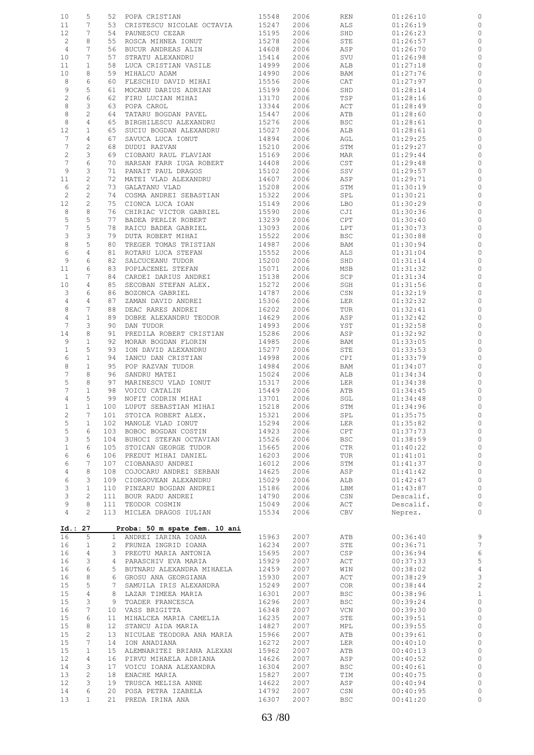| 10                | 5              | 52              | POPA CRISTIAN                            | 15548 | 2006 | REN         | 01:26:10  | 0                       |
|-------------------|----------------|-----------------|------------------------------------------|-------|------|-------------|-----------|-------------------------|
| 11                | 7              | 53              | CRISTESCU NICOLAE OCTAVIA                | 15247 | 2006 | ALS         | 01:26:19  | 0                       |
| 12                | 7              | 54              | PAUNESCU CEZAR                           | 15195 | 2006 | SHD         | 01:26:23  | 0                       |
| $\overline{c}$    | 8              | 55              | ROSCA MIHNEA IONUT                       | 15278 | 2006 | STE         | 01:26:57  | $\circ$                 |
| $\overline{4}$    | 7              | 56              | BUCUR ANDREAS ALIN                       | 14608 | 2006 | ASP         | 01:26:70  | 0                       |
| 10                | 7              | 57              | STRATU ALEXANDRU                         | 15414 | 2006 | SVU         | 01:26:98  | $\circ$                 |
| 11                | $\mathbf{1}$   | 58              | LUCA CRISTIAN VASILE                     | 14999 | 2006 | ALB         | 01:27:18  | 0                       |
| 10                | 8              | 59              | MIHALCU ADAM                             | 14990 | 2006 | BAM         | 01:27:76  | 0                       |
| 8                 | 6              | 60              |                                          | 15556 | 2006 | CAT         |           |                         |
|                   |                |                 | FLESCHIU DAVID MIHAI                     |       |      |             | 01:27:97  | 0                       |
| 9                 | 5              | 61              | MOCANU DARIUS ADRIAN                     | 15199 | 2006 | SHD         | 01:28:14  | 0                       |
| $\sqrt{2}$        | 6              | 62              | FIRU LUCIAN MIHAI                        | 13170 | 2006 | TSP         | 01:28:16  | 0                       |
| $\,8\,$           | 3              | 63              | POPA CAROL                               | 13344 | 2006 | ACT         | 01:28:49  | 0                       |
| 8                 | $\overline{c}$ | 64              | TATARU BOGDAN PAVEL                      | 15447 | 2006 | ATB         | 01:28:60  | 0                       |
| 8                 | 4              | 65              | BIRGHILESCU ALEXANDRU                    | 15276 | 2006 | <b>BSC</b>  | 01:28:61  | 0                       |
| 12                | $\mathbf{1}$   | 65              | SUCIU BOGDAN ALEXANDRU                   | 15027 | 2006 | ALB         | 01:28:61  | 0                       |
| $7\phantom{.0}$   | 4              | 67              | SAVUCA LUCA IONUT                        | 14894 | 2006 | AGL         | 01:29:25  | 0                       |
| $7\phantom{.0}$   | $\mathbf{2}$   | 68              | DUDUI RAZVAN                             | 15210 | 2006 | STM         | 01:29:27  | 0                       |
| $\mathbf{2}$      | 3              | 69              | CIOBANU RAUL FLAVIAN                     | 15169 | 2006 | MAR         | 01:29:44  | $\circ$                 |
| $7\phantom{.0}$   | 6              | 70              | HARSAN FARR IUGA ROBERT                  | 14408 | 2006 | CST         | 01:29:48  | 0                       |
| 9                 | 3              | 71              | PANAIT PAUL DRAGOS                       | 15102 | 2006 | SSV         | 01:29:57  | 0                       |
| 11                | 2              | 72              | MATEI VLAD ALEXANDRU                     | 14607 | 2006 | ASP         | 01:29:71  | 0                       |
| 6                 | 2              | 73              | GALATANU VLAD                            | 15208 | 2006 | STM         | 01:30:19  | 0                       |
| 2                 | $\mathbf{2}$   | 74              | COSMA ANDREI SEBASTIAN                   | 15322 | 2006 | SPL         | 01:30:21  | 0                       |
| 12                | $\mathbf{2}$   | 75              | CIONCA LUCA IOAN                         | 15149 | 2006 | LBO         | 01:30:29  | 0                       |
| 8                 | 8              | 76              | CHIRIAC VICTOR GABRIEL                   | 15590 | 2006 | CJI         | 01:30:36  | 0                       |
| 5                 | 5              | 77              | BADEA PERLIK ROBERT                      | 13239 | 2006 | CPT         | 01:30:40  | 0                       |
| $\overline{7}$    | 5              | 78              | RAICU BADEA GABRIEL                      | 13093 | 2006 | LPT         | 01:30:73  | 0                       |
| 3                 | 3              | 79              | DUTA ROBERT MIHAI                        | 15522 | 2006 | <b>BSC</b>  | 01:30:88  | $\circ$                 |
| 8                 | 5              | 80              | TREGER TOMAS TRISTIAN                    | 14987 | 2006 | BAM         | 01:30:94  | 0                       |
| 6                 | 4              | 81              | ROTARU LUCA STEFAN                       | 15552 | 2006 | ALS         | 01:31:04  | 0                       |
|                   |                |                 |                                          |       |      |             |           |                         |
| 9                 | 6              | 82              | SALCUCEANU TUDOR                         | 15200 | 2006 | SHD         | 01:31:14  | 0                       |
| 11                | 6              | 83              | POPLACENEL STEFAN                        | 15071 | 2006 | MSB         | 01:31:32  | 0                       |
| $\mathbf{1}$      | 7              | 84              | CARDEI DARIUS ANDREI                     | 15138 | 2006 | SCP         | 01:31:34  | 0                       |
| 10                | 4              | 85              | SECOBAN STEFAN ALEX.                     | 15272 | 2006 | SGH         | 01:31:56  | 0                       |
| 3                 | 6              | 86              | BOZONCA GABRIEL                          | 14787 | 2006 | CSN         | 01:32:19  | 0                       |
| 4                 | 4              | 87              | ZAMAN DAVID ANDREI                       | 15306 | 2006 | LER         | 01:32:32  | 0                       |
| 8                 | 7              | 88              | DEAC RARES ANDREI                        | 16202 | 2006 | TUR         | 01:32:41  | 0                       |
| $\sqrt{4}$        | $\mathbf{1}$   | 89              | DOBRE ALEXANDRU TEODOR                   | 14629 | 2006 | ASP         | 01:32:42  | 0                       |
| 7                 | 3              | 90              | DAN TUDOR                                | 14993 | 2006 | YST         | 01:32:58  | 0                       |
| 14                | 8              | 91              | PREDILA ROBERT CRISTIAN                  | 15286 | 2006 | ASP         | 01:32:92  | 0                       |
| 9                 | $\mathbf{1}$   | 92              | MORAR BOGDAN FLORIN                      | 14985 | 2006 | BAM         | 01:33:05  | 0                       |
| $\mathbf{1}$      | 5              | 93              | ION DAVID ALEXANDRU                      | 15277 | 2006 | STE         | 01:33:53  | $\circ$                 |
| 6                 | $\mathbf{1}$   | 94              | IANCU DAN CRISTIAN                       | 14998 | 2006 | CPI         | 01:33:79  | 0                       |
| 8                 | 1              | 95              | POP RAZVAN TUDOR                         | 14984 | 2006 | BAM         | 01:34:07  | 0                       |
| $\boldsymbol{7}$  | 8              | 96              | SANDRU MATEI                             | 15024 | 2006 | ALB         | 01:34:34  | 0                       |
| 5                 | 8              | 97              | MARINESCU VLAD IONUT                     | 15317 | 2006 | LER         | 01:34:38  | 0                       |
| $\overline{7}$    | $\mathbf 1$    | 98              | VOICU CATALIN                            | 15449 | 2006 | ATB         | 01:34:45  | $\circ$                 |
| 4                 | 5              | 99              | NOFIT CODRIN MIHAI                       | 13701 | 2006 | SGL         | 01:34:48  | 0                       |
| $\mathbf{1}$      | $\mathbf{1}$   | 100             | LUPUT SEBASTIAN MIHAI                    | 15218 | 2006 | STM         | 01:34:96  | $\circ$                 |
| 2                 | 7              | 101             |                                          | 15321 | 2006 | ${\tt SPL}$ | 01:35:75  | $\circ$                 |
| 5                 | $\mathbf{1}$   | 102             | STOICA ROBERT ALEX.<br>MANOLE VLAD IONUT | 15294 | 2006 |             |           | $\circ$                 |
|                   |                |                 |                                          |       |      | LER         | 01:35:82  |                         |
| 5                 | 6              | 103             | BOBOC BOGDAN COSTIN                      | 14923 | 2006 | CPT         | 01:37:73  | $\circ$                 |
| 3                 | 5              | 104             | BUHOCI STEFAN OCTAVIAN                   | 15526 | 2006 | <b>BSC</b>  | 01:38:59  | $\circ$                 |
| $\mathbf{1}$      | 6              | 105             | STOICAN GEORGE TUDOR                     | 15665 | 2006 | CTR         | 01:40:22  | $\circ$                 |
| 6                 | 6              | 106             | PREDUT MIHAI DANIEL                      | 16203 | 2006 | TUR         | 01:41:01  | $\circ$                 |
| 6                 | 7              | 107             | CIOBANASU ANDREI                         | 16012 | 2006 | STM         | 01:41:37  | $\mathbb O$             |
| $\overline{4}$    | 8              | 108             | COJOCARU ANDREI SERBAN                   | 14625 | 2006 | ASP         | 01:41:42  | $\mathbb O$             |
| 6                 | 3              | 109             | CIORGOVEAN ALEXANDRU                     | 15029 | 2006 | ALB         | 01:42:47  | $\mathbb O$             |
| 3                 | $\mathbf{1}$   | 110             | PINZARU BOGDAN ANDREI                    | 15186 | 2006 | LBM         | 01:43:87  | $\circ$                 |
| 3                 | $\overline{c}$ | 111             | BOUR RADU ANDREI                         | 14790 | 2006 | CSN         | Descalif. | $\circ$                 |
| 9                 | 8              | 111             | TEODOR COSMIN                            | 15049 | 2006 | ACT         | Descalif. | $\circ$                 |
| 4                 | $\mathbf{2}$   |                 | 113 MICLEA DRAGOS IULIAN                 | 15534 | 2006 | CBV         | Neprez.   | $\circ$                 |
|                   |                |                 |                                          |       |      |             |           |                         |
| Id.: 27           |                |                 | Proba: 50 m spate fem. 10 ani            |       |      |             |           |                         |
| 16                | 5              | $\mathbf{1}$    | ANDREI IARINA IOANA                      | 15963 | 2007 | ATB         | 00:36:40  | 9                       |
| 16                | $\mathbf{1}$   |                 | 2 FRUNZA INGRID IOANA                    | 16234 | 2007 | STE         | 00:36:71  | $\overline{7}$          |
| 16                | 4              | 3               | PREOTU MARIA ANTONIA                     | 15695 | 2007 | CSP         | 00:36:94  | $\epsilon$              |
| 16                | 3              | 4               | PARASCHIV EVA MARIA                      | 15929 | 2007 | ACT         | 00:37:33  | 5                       |
| 16                | 6              | 5               | BUTNARU ALEXANDRA MIHAELA                | 12459 | 2007 | WIN         | 00:38:02  |                         |
| 16                | 8              | 6               |                                          | 15930 |      |             |           | $\overline{4}$          |
|                   |                |                 | GROSU ANA GEORGIANA                      |       | 2007 | ACT         | 00:38:29  | 3                       |
| 15                | 5              | 7               | SAMUILA IRIS ALEXANDRA                   | 15249 | 2007 | <b>COR</b>  | 00:38:44  | $\overline{\mathbf{c}}$ |
| 15                | $\overline{4}$ | 8               | LAZAR TIMEEA MARIA                       | 16301 | 2007 | <b>BSC</b>  | 00:38:96  | $\mathbf{1}$            |
| 15                | 3              | 9               | TOADER FRANCESCA                         | 16296 | 2007 | <b>BSC</b>  | 00:39:24  | $\circ$                 |
| 16                | 7              | 10              | VASS BRIGITTA                            | 16348 | 2007 | VCN         | 00:39:30  | $\circ$                 |
| 15                | 6              | 11              | MIHALCEA MARIA CAMELIA                   | 16235 | 2007 | STE         | 00:39:51  | $\circ$                 |
| 15                | 8              | 12 <sup>°</sup> | STANCU AIDA MARIA                        | 14827 | 2007 | MPL         | 00:39:55  | $\circ$                 |
| 15                | $\mathbf{2}$   | 13              | NICULAE TEODORA ANA MARIA                | 15966 | 2007 | ATB         | 00:39:61  | $\circ$                 |
| 15                | 7              | 14              | ION ANADIANA                             | 16272 | 2007 | LER         | 00:40:10  | $\circ$                 |
| 15                | $\mathbf{1}$   | 15              | ALEMNARITEI BRIANA ALEXAN                | 15962 | 2007 | ATB         | 00:40:13  | $\circ$                 |
| $12 \overline{ }$ | 4              | 16              | PIRVU MIHAELA ADRIANA                    | 14626 | 2007 | ASP         | 00:40:52  | $\circ$                 |
| 14                | 3              | 17              | VOICU IOANA ALEXANDRA                    | 16304 | 2007 | <b>BSC</b>  | 00:40:61  | $\circ$                 |
| 13                | $\mathbf{2}$   | 18              | ENACHE MARIA                             | 15827 | 2007 | TIM         | 00:40:75  | $\circ$                 |
| 12                | 3              | 19              | TRUSCA MELISA ANNE                       | 14622 | 2007 | ASP         | 00:40:94  | $\circ$                 |
| 14                | 6              | 20              | POSA PETRA IZABELA                       | 14792 | 2007 | CSN         | 00:40:95  | $\circ$                 |
|                   | $\mathbf{1}$   | 21              | PREDA IRINA ANA                          | 16307 | 2007 | <b>BSC</b>  | 00:41:20  | $\circ$                 |
| 13                |                |                 |                                          |       |      |             |           |                         |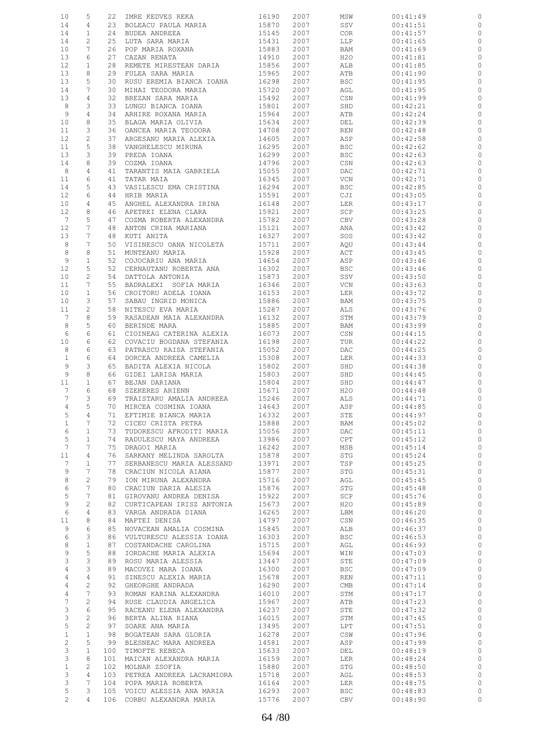| 10                | 5               |     | 22 IMRE KEDVES REKA                                    | 16190      | 2007 | MSW                         | 00:41:49 |              |
|-------------------|-----------------|-----|--------------------------------------------------------|------------|------|-----------------------------|----------|--------------|
| 14                | 4               |     | 23 BOLEACU PAULA MARIA                                 | 15870      | 2007 | SSV                         | 00:41:51 | 0            |
| 14                | $\mathbf{1}$    |     | 24 BUDEA ANDREEA                                       | 15145      | 2007 | COR                         | 00:41:57 | $\circ$      |
| 14                | 2               | 25  | LUTA SARA MARIA                                        | 15431      | 2007 | LLP                         | 00:41:65 | 0            |
|                   |                 |     | POP MARIA ROXANA<br>CAZAN RENATA                       |            |      |                             |          |              |
| 10                | 7               | 26  |                                                        | 15883      | 2007 | BAM                         | 00:41:69 | $\circ$      |
| 13                | 6               | 27  |                                                        | 14910      | 2007 | H2O                         | 00:41:81 | 0            |
| 12                | $\mathbf{1}$    | 28  | REMETE MIRESTEAN DARIA                                 | 15856      | 2007 | ALB                         | 00:41:85 | 0            |
| 13                | 8               | 29  | FULEA SARA MARIA                                       | 15965      | 2007 | ATB                         | 00:41:90 | 0            |
| 13                | 5               | 30  | RUSU EREMIA BIANCA IOANA                               | 16298      | 2007 | <b>BSC</b>                  | 00:41:95 | 0            |
|                   | 7               |     |                                                        |            |      |                             |          |              |
| 14                |                 | 30  | MIHAI TEODORA MARIA                                    | 15720      | 2007 | AGL                         | 00:41:95 | 0            |
| 13                | 4               | 32  | BREZAN SARA MARIA                                      | 15492      | 2007 | CSN                         | 00:41:99 | 0            |
| 8                 | 3               | 33  | LUNGU BIANCA IOANA                                     | 15801      | 2007 | SHD                         | 00:42:21 | 0            |
| 9                 | 4               | 34  | ARHIRE ROXANA MARIA                                    | 15964      | 2007 | ATB                         | 00:42:24 | 0            |
| 10                | 8               | 35  | BLAGA MARIA OLIVIA                                     | 15634      | 2007 | DEL                         | 00:42:39 | 0            |
| 11                | 3               | 36  | OANCEA MARIA TEODORA                                   | 14708      | 2007 | REN                         | 00:42:48 | 0            |
|                   |                 |     |                                                        |            |      |                             |          |              |
| 12                | $\overline{c}$  | 37  | ARGESANU MARIA ALEXIA                                  | 14605      | 2007 | ASP                         | 00:42:58 | 0            |
| 11                | 5               | 38  | VANGHELESCU MIRUNA                                     | 16295      | 2007 | <b>BSC</b>                  | 00:42:62 | 0            |
| 13                | 3               | 39  | PREDA IOANA                                            | 16299      | 2007 | <b>BSC</b>                  | 00:42:63 | $\circ$      |
| 14                | 8               | 39  | COZMA IOANA                                            | 14796      | 2007 | CSN                         | 00:42:63 | 0            |
| 8                 | $\overline{4}$  | 41  | TARANTIS MAIA GABRIELA                                 | 15055      | 2007 | DAC                         | 00:42:71 | 0            |
|                   |                 |     |                                                        |            |      |                             |          |              |
| 11                | 6               | 41  | TATAR MAIA                                             | 16345      | 2007 | VCN                         | 00:42:71 | 0            |
| 14                | 5               | 43  | VASILESCU EMA CRISTINA                                 | 16294      | 2007 | <b>BSC</b>                  | 00:42:85 | $\circ$      |
| 12                | 6               | 44  | HRIB MARIA                                             | 15591      | 2007 | CJI                         | 00:43:05 | 0            |
| 10                | 4               |     | 45 ANGHEL ALEXANDRA IRINA                              | 16148      | 2007 | LER                         | 00:43:17 | $\circ$      |
| $12 \overline{ }$ | 8               | 46  | APETREI ELENA CLARA                                    | 15921      | 2007 | SCP                         | 00:43:25 | 0            |
| 7                 | 5               |     |                                                        |            | 2007 |                             | 00:43:28 | $\circ$      |
|                   |                 | 47  | COZMA ROBERTA ALEXANDRA                                | 15782      |      | CBV                         |          |              |
| 12                | 7               | 48  | ANTON CRINA MARIANA                                    | 15121      | 2007 | ANA                         | 00:43:42 | 0            |
| 13                | 7               | 48  | KUTI ANITA                                             | 16327      | 2007 | SOS                         | 00:43:42 | $\circ$      |
| 8                 | 7               | 50  | VISINESCU OANA NICOLETA                                | 15711      | 2007 | AQU                         | 00:43:44 | 0            |
| 8                 | 8               | 51  | MUNTEANU MARIA                                         | 15928      | 2007 | ACT                         | 00:43:45 | $\circ$      |
| 9                 | $\mathbf{1}$    | 52  | COJOCARIU ANA MARIA                                    | 14654      | 2007 | ASP                         | 00:43:46 | 0            |
|                   |                 |     |                                                        |            |      |                             |          |              |
| 12                | 5               | 52  | CERNAUTANU ROBERTA ANA                                 | 16302      | 2007 | <b>BSC</b>                  | 00:43:46 | $\circ$      |
| 10 <sup>°</sup>   | $\overline{c}$  | 54  | DATTOLA ANTONIA                                        | 15873      | 2007 | SSV                         | 00:43:50 | 0            |
| 11                | $7\phantom{.0}$ | 55  | BADRALEXI SOFIA MARIA                                  | 16346      | 2007 | VCN                         | 00:43:63 | $\circ$      |
| 10                | $\mathbf{1}$    | 56  | CROITORU ADELA IOANA                                   | 16153      | 2007 | LER                         | 00:43:72 | 0            |
| 10                | 3               | 57  | SABAU INGRID MONICA                                    | 15886      | 2007 | BAM                         | 00:43:75 | $\circ$      |
|                   |                 |     |                                                        |            |      |                             |          |              |
| 11                | $\overline{c}$  | 58  | NITESCU EVA MARIA                                      | 15287      | 2007 | ALS                         | 00:43:76 | 0            |
| $7\phantom{.0}$   | 8               | 59  | RASADEAN MAIA ALEXANDRA                                | 16132      | 2007 | STM                         | 00:43:79 | $\circ$      |
| 8                 | 5               | 60  | BERINDE MARA                                           | 15885      | 2007 | BAM                         | 00:43:99 | 0            |
| 6                 | 6               | 61  | CIOINEAG CATERINA ALEXIA                               | 16073      | 2007 | CSN                         | 00:44:15 | $\circ$      |
| 10                | 6               | 62  | COVACIU BOGDANA STEFANIA                               | 16198      | 2007 | TUR                         | 00:44:22 | $\circ$      |
| 8                 | 6               | 63  |                                                        | 15052      | 2007 |                             |          | $\mathbb{O}$ |
|                   |                 |     | PATRASCU RAISA STEFANIA                                |            |      | DAC                         | 00:44:25 |              |
| $\mathbf{1}$      | 6               | 64  | DORCEA ANDREEA CAMELIA                                 | 15308      | 2007 | LER                         | 00:44:33 | $\circ$      |
| 9                 | 3               | 65  | BADITA ALEXIA NICOLA                                   | 15802      | 2007 | SHD                         | 00:44:38 | $\circ$      |
| 9                 | 8               | 66  | GIDEI LARISA MARIA                                     | 15803      | 2007 | SHD                         | 00:44:45 | $\circ$      |
| 11                | $\mathbf{1}$    | 67  | BEJAN DARIANA                                          | 15804      | 2007 | SHD                         | 00:44:47 | $\mathbb O$  |
| $7\phantom{.0}$   | 6               | 68  | SZEKERES ARIENN                                        | 15671      | 2007 | H20                         | 00:44:48 | $\circ$      |
|                   |                 |     |                                                        |            |      |                             |          |              |
| $7\phantom{.0}$   | 3               |     | 69 TRAISTARU AMALIA ANDREEA<br>70 MIRCEA COSMINA IOANA | 15246      | 2007 | ALS                         | 00:44:71 | $\mathbb O$  |
| 4                 | 5               |     |                                                        | 14643      | 2007 | ASP                         | 00:44:85 | $\circ$      |
| 5                 | $\overline{4}$  |     | 71 EFTIMIE BIANCA MARIA                                | 16332 2007 |      | STE                         | 00:44:97 | $\circ$      |
| $\mathbf{1}$      | 7               |     | 72 CICEU CRISTA PETRA                                  | 15888      | 2007 | BAM                         | 00:45:02 | 0            |
| 6                 | $\mathbf{1}$    |     | 73 TUDORESCU AFRODITI MARIA                            | 15056      | 2007 | DAC                         | 00:45:11 | $\circ$      |
|                   |                 |     |                                                        |            |      |                             |          |              |
| 5                 | $\mathbf{1}$    | 74  | RADULESCU MAYA ANDREEA                                 | 13986      | 2007 | CPT                         | 00:45:12 | $\circ$      |
| $7\phantom{.0}$   | 7               | 75  | DRAGOI MARIA                                           | 16242      | 2007 | MSB                         | 00:45:14 | $\circ$      |
| 11                | 4               | 76  | SARKANY MELINDA SAROLTA                                | 15878      | 2007 | STG                         | 00:45:24 | $\circ$      |
| 7                 | $\mathbf{1}$    | 77  | SERBANESCU MARIA ALESSAND                              | 13971      | 2007 | TSP                         | 00:45:25 | $\circ$      |
| 9                 | 7               | 78  | CRACIUN NICOLA AIANA                                   | 15877      | 2007 | STG                         | 00:45:31 | $\circ$      |
|                   | 2               | 79  |                                                        |            |      |                             |          | $\circ$      |
| 8                 | $7\phantom{.0}$ |     | ION MIRUNA ALEXANDRA                                   | 15716      | 2007 | AGL                         | 00:45:45 |              |
| 6                 |                 | 80  | CRACIUN DARIA ALESIA                                   | 15876      | 2007 | STG                         | 00:45:48 | $\circ$      |
| 5                 | 7               | 81  | GIROVANU ANDREA DENISA                                 | 15922      | 2007 | SCP                         | 00:45:76 | $\circ$      |
| 9                 | 2               | 82  | CURTICAPEAN IRISZ ANTONIA                              | 15673      | 2007 | H2O                         | 00:45:89 | $\circ$      |
| 6                 | $\overline{4}$  | 83  | VARGA ANDRADA DIANA                                    | 16265      | 2007 | LBM                         | 00:46:20 | $\circ$      |
| 11                | 8               | 84  | MAFTEI DENISA                                          | 14797      | 2007 | CSN                         | 00:46:35 | $\circ$      |
| 9                 | 6               | 85  | NOVACEAN AMALIA COSMINA                                | 15845      | 2007 | ALB                         | 00:46:37 | $\circ$      |
|                   |                 |     |                                                        |            |      |                             |          |              |
| 6                 | 3               |     | 86 VULTURESCU ALESSIA IOANA                            | 16303      | 2007 | <b>BSC</b>                  | 00:46:53 | $\circ$      |
| 8                 | $\mathbf{1}$    | 87  | COSTANDACHE CAROLINA                                   | 15715      | 2007 | AGL                         | 00:46:93 | $\circ$      |
| 9                 | 5               | 88  | IORDACHE MARIA ALEXIA                                  | 15694      | 2007 | WIN                         | 00:47:03 | $\circ$      |
| 3                 | 3               | 89  | ROSU MARIA ALESSIA                                     | 13447      | 2007 | STE                         | 00:47:09 | $\circ$      |
| $\overline{4}$    | 3               |     | 89 MACOVEI MARA IOANA                                  | 16300      | 2007 | <b>BSC</b>                  | 00:47:09 | $\circ$      |
|                   |                 |     |                                                        |            |      |                             |          |              |
| 4                 | $\overline{4}$  | 91  | SINESCU ALEXIA MARIA                                   | 15678      | 2007 | REN                         | 00:47:11 | $\circ$      |
| 4                 | $\overline{c}$  | 92  | GHEORGHE ANDRADA                                       | 16290      | 2007 | $\mathop{\rm CMB}\nolimits$ | 00:47:14 | $\circ$      |
| 4                 | $7\phantom{.0}$ | 93  | ROMAN KARINA ALEXANDRA                                 | 16010      | 2007 | STM                         | 00:47:17 | $\circ$      |
| $7\phantom{.0}$   | 2               |     | 94 RUSE CLAUDIA ANGELICA                               | 15967      | 2007 | ATB                         | 00:47:23 | $\circ$      |
| 3                 | 6               | 95  | RACEANU ELENA ALEXANDRA                                | 16237      | 2007 | STE                         | 00:47:32 | $\circ$      |
|                   |                 |     |                                                        |            |      |                             |          | $\circ$      |
| $\mathsf 3$       | $\overline{c}$  |     | 96 BERTA ALINA RIANA                                   | 16015      | 2007 | STM                         | 00:47:45 |              |
| 5                 | $\overline{c}$  | 97  | SOARE ANA MARIA                                        | 13495      | 2007 | LPT                         | 00:47:51 | $\circ$      |
| $\mathbf{1}$      | $\mathbf{1}$    |     | 98 BOGATEAN SARA GLORIA                                | 16278      | 2007 | CSW                         | 00:47:96 | $\circ$      |
| 2                 | 5               | 99  | BLESNEAC MARA ANDREEA                                  | 14581      | 2007 | ASP                         | 00:47:99 | $\circ$      |
| $\mathsf 3$       | $\mathbf{1}$    | 100 | TIMOFTE REBECA                                         | 15633      | 2007 | DEL                         | 00:48:19 | $\circ$      |
| $\mathsf 3$       | 8               | 101 | MAICAN ALEXANDRA MARIA                                 | 16159      | 2007 | LER                         | 00:48:24 | $\circ$      |
|                   |                 |     |                                                        |            |      |                             |          |              |
| $\mathbf{1}$      | $\overline{c}$  |     | 102 MOLNAR ZSOFIA                                      | 15880      | 2007 | STG                         | 00:48:50 | $\circ$      |
| 3                 | $\overline{4}$  |     | 103 PETREA ANDREEA LACRAMIORA                          | 15718      | 2007 | AGL                         | 00:48:53 | $\circ$      |
| $\mathsf 3$       | 7               |     | 104 POPA MARIA ROBERTA                                 | 16164      | 2007 | LER                         | 00:48:75 | $\mathbb{O}$ |
| 5                 | 3               |     | 105 VOICU ALESSIA ANA MARIA                            | 16293      | 2007 | <b>BSC</b>                  | 00:48:83 | $\circ$      |
| $\overline{2}$    | $\overline{4}$  |     | 106 CORBU ALEXANDRA MARIA                              | 15776      | 2007 | CBV                         | 00:48:90 | $\circ$      |
|                   |                 |     |                                                        |            |      |                             |          |              |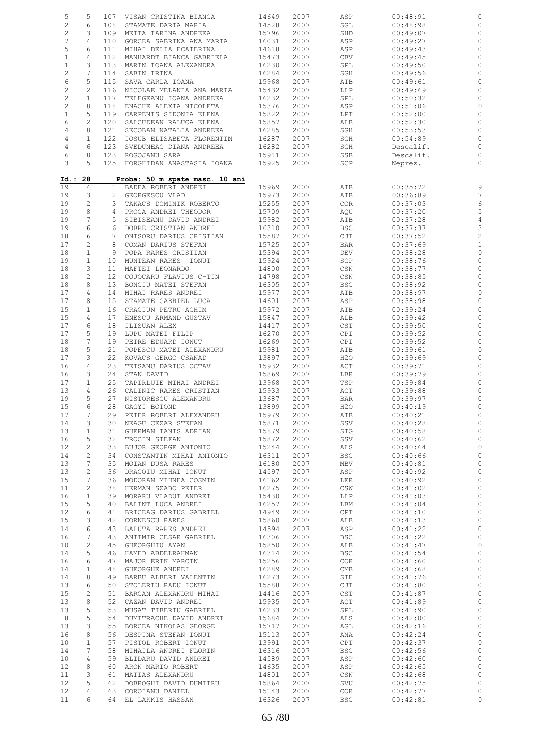| 5              | 5              |                 | 107 VISAN CRISTINA BIANCA      | 14649 | 2007 | ASP                         | 00:48:91  | 0              |
|----------------|----------------|-----------------|--------------------------------|-------|------|-----------------------------|-----------|----------------|
| $\overline{c}$ | 6              | 108             | STAMATE DARIA MARIA            | 14528 | 2007 | SGL                         | 00:48:98  | 0              |
| $\sqrt{2}$     | 3              | 109             | MEITA IARINA ANDREEA           | 15796 | 2007 | SHD                         | 00:49:07  | 0              |
| 7              | 4              | 110             | GORCEA SABRINA ANA MARIA       | 16031 | 2007 | ASP                         | 00:49:27  | 0              |
|                |                |                 |                                |       |      |                             |           |                |
| 5              | 6              | 111             | MIHAI DELIA ECATERINA          | 14618 | 2007 | ASP                         | 00:49:43  | $\circ$        |
| $\mathbf{1}$   | $\overline{4}$ | 112             | MANHARDT BIANCA GABRIELA       | 15473 | 2007 | CBV                         | 00:49:45  | $\circ$        |
| $\mathbf{1}$   | 3              | 113             | MARIN IOANA ALEXANDRA          | 16230 | 2007 | SPL                         | 00:49:50  | $\circ$        |
| $\overline{c}$ | 7              | 114             | SABIN IRINA                    | 16284 | 2007 | SGH                         | 00:49:56  | 0              |
| 6              | 5              | 115             | SAVA CARLA IOANA               | 15968 | 2007 | ATB                         | 00:49:61  | 0              |
|                |                |                 |                                |       |      |                             |           |                |
| $\overline{c}$ | 2              | 116             | NICOLAE MELANIA ANA MARIA      | 15432 | 2007 | LLP                         | 00:49:69  | 0              |
| $\mathbf{2}$   | $\mathbf{1}$   | 117             | TELEGEANU IOANA ANDREEA        | 16232 | 2007 | SPL                         | 00:50:32  | $\circ$        |
| $\sqrt{2}$     | 8              | 118             | ENACHE ALEXIA NICOLETA         | 15376 | 2007 | ASP                         | 00:51:06  | $\circ$        |
| $\mathbf{1}$   | 5              | 119             | CARPENIS SIDONIA ELENA         | 15822 | 2007 | LPT                         | 00:52:00  | 0              |
| 6              | 2              | 120             | SALCUDEAN RALUCA ELENA         | 15857 | 2007 | ALB                         | 00:52:30  | $\circ$        |
|                | 8              |                 | SECOBAN NATALIA ANDREEA        | 16285 |      |                             |           |                |
| 4              |                | 121             |                                |       | 2007 | SGH                         | 00:53:53  | 0              |
| $\,4$          | $\mathbf{1}$   | 122             | IOSUB ELISABETA FLORENTIN      | 16287 | 2007 | SGH                         | 00:54:89  | $\circ$        |
| $\sqrt{4}$     | 6              | 123             | SVEDUNEAC DIANA ANDREEA        | 16282 | 2007 | SGH                         | Descalif. | 0              |
| 6              | 8              |                 | 123 ROGOJANU SARA              | 15911 | 2007 | SSB                         | Descalif. | $\circ$        |
| 3              | 5              |                 | 125 HORGHIDAN ANASTASIA IOANA  | 15925 | 2007 | SCP                         | Neprez.   | $\circ$        |
|                |                |                 |                                |       |      |                             |           |                |
| Id.: 28        |                |                 |                                |       |      |                             |           |                |
|                |                |                 | Proba: 50 m spate masc. 10 ani |       |      |                             |           |                |
| 19             | $\overline{4}$ |                 | 1 BADEA ROBERT ANDREI          | 15969 | 2007 | ATB                         | 00:35:72  | 9              |
| 19             | 3              |                 | 2 GEORGESCU VLAD               | 15973 | 2007 | ATB                         | 00:36:89  | $\overline{7}$ |
| 19             | $\overline{c}$ |                 | 3 TAKACS DOMINIK ROBERTO       | 15255 | 2007 | COR                         | 00:37:03  | $\epsilon$     |
| 19             | 8              | 4               | PROCA ANDREI THEODOR           | 15709 | 2007 | AQU                         | 00:37:20  | 5              |
| 19             | 7              |                 | 5 SIBISEANU DAVID ANDREI       | 15982 | 2007 | ATB                         | 00:37:28  | $\overline{4}$ |
|                | 6              |                 |                                |       |      |                             |           |                |
| 19             |                | 6               | DOBRE CRISTIAN ANDREI          | 16310 | 2007 | <b>BSC</b>                  | 00:37:37  | 3              |
| 18             | 6              |                 | 7 ONISORU DARIUS CRISTIAN      | 15587 | 2007 | CJI                         | 00:37:52  | $\overline{c}$ |
| 17             | $\overline{c}$ | 8               | COMAN DARIUS STEFAN            | 15725 | 2007 | <b>BAR</b>                  | 00:37:69  | $\mathbf{1}$   |
| 18             | $1\,$          |                 | 9 POPA RARES CRISTIAN          | 15394 | 2007 | <b>DEV</b>                  | 00:38:28  | $\circ$        |
| 19             | $\mathbf{1}$   |                 | 10 MUNTEAN RARES IONUT         | 15924 | 2007 | SCP                         | 00:38:76  | $\circ$        |
|                | 3              |                 |                                |       |      |                             | 00:38:77  |                |
| 18             |                | 11              | MAFTEI LEONARDO                | 14800 | 2007 | $\mathbb{CSN}{}$            |           | $\circ$        |
| 18             | $\overline{c}$ | 12 <sup>7</sup> | COJOCARU FLAVIUS C-TIN         | 14798 | 2007 | CSN                         | 00:38:85  | 0              |
| 18             | 8              | 13              | BONCIU MATEI STEFAN            | 16305 | 2007 | <b>BSC</b>                  | 00:38:92  | $\circ$        |
| 17             | 4              | 14              | MIHAI RARES ANDREI             | 15977 | 2007 | ATB                         | 00:38:97  | $\circ$        |
| 17             | 8              | 15 <sub>2</sub> | STAMATE GABRIEL LUCA           | 14601 | 2007 | ASP                         | 00:38:98  | $\circ$        |
| 15             | $\mathbf{1}$   | 16              | CRACIUN PETRU ACHIM            | 15972 | 2007 | ATB                         | 00:39:24  | 0              |
|                |                |                 |                                |       |      |                             |           |                |
| 15             | 4              | 17              | ENESCU ARMAND GUSTAV           | 15847 | 2007 | ALB                         | 00:39:42  | $\circ$        |
| 17             | 6              | 18              | ILISUAN ALEX                   | 14417 | 2007 | CST                         | 00:39:50  | $\circ$        |
| 17             | 5              | 19              | LUPU MATEI FILIP               | 16270 | 2007 | CPI                         | 00:39:52  | $\circ$        |
| 18             | 7              | 19              | PETRE EDUARD IONUT             | 16269 | 2007 | CPI                         | 00:39:52  | $\circ$        |
| 18             | 5              | 21              | POPESCU MATEI ALEXANDRU        | 15981 | 2007 | ATB                         | 00:39:61  | $\circ$        |
| 17             | 3              | 22              | KOVACS GERGO CSANAD            | 13897 | 2007 | H2O                         | 00:39:69  | $\circ$        |
|                |                |                 |                                |       |      |                             |           |                |
| 16             | $\overline{4}$ | 23              | TEISANU DARIUS OCTAV           | 15932 | 2007 | ACT                         | 00:39:71  | $\circ$        |
| 16             | 3              | 24              | STAN DAVID                     | 15869 | 2007 | LBR                         | 00:39:79  | $\circ$        |
| 17             | $\mathbf{1}$   | 25              | TAPIRLUIE MIHAI ANDREI         | 13968 | 2007 | TSP                         | 00:39:84  | $\circ$        |
| 13             | 4              | 26              | CALINIC RARES CRISTIAN         | 15933 | 2007 | ACT                         | 00:39:88  | $\circ$        |
| 19             | 5              | 27              | NISTORESCU ALEXANDRU           | 13687 | 2007 | BAR                         | 00:39:97  | $\circ$        |
|                |                |                 |                                |       |      |                             |           |                |
| 15             | 6              |                 | 28 GAGYI BOTOND                | 13899 | 2007 | H2O                         | 00:40:19  | $\circ$        |
| 17             | $\overline{7}$ |                 | 29 PETER ROBERT ALEXANDRU      | 15979 | 2007 | ATB                         | 00:40:21  | $\circ$        |
| 14             | 3              |                 | 30 NEAGU CEZAR STEFAN          | 15871 | 2007 | SSV                         | 00:40:28  | 0              |
| 13             | $\mathbf{1}$   |                 | 31 GHERMAN IANIS ADRIAN        | 15879 | 2007 | STG                         | 00:40:58  | $\circ$        |
| 16             | 5              | 32              | TROCIN STEFAN                  | 15872 | 2007 | SSV                         | 00:40:62  | $\circ$        |
| 12             | $\overline{c}$ | 33              | BUJOR GEORGE ANTONIO           | 15244 | 2007 | ALS                         | 00:40:64  | $\mathbb{C}$   |
|                | 2              | 34              | CONSTANTIN MIHAI ANTONIO       |       |      |                             |           |                |
| 14             |                |                 |                                | 16311 | 2007 | <b>BSC</b>                  | 00:40:66  | $\circ$        |
| 13             | 7              | 35              | MOIAN DUSA RARES               | 16180 | 2007 | MBV                         | 00:40:81  | $\circ$        |
| 13             | 2              | 36              | DRAGOIU MIHAI IONUT            | 14597 | 2007 | ASP                         | 00:40:92  | $\circ$        |
| 15             | 7              | 36              | MODORAN MIHNEA COSMIN          | 16162 | 2007 | LER                         | 00:40:92  | $\circ$        |
| 11             | 2              | 38              | HERMAN SZABO PETER             | 16275 | 2007 | CSW                         | 00:41:02  | $\circ$        |
| 16             | $\mathbf{1}$   | 39              | MORARU VLADUT ANDREI           | 15430 | 2007 | LLP                         | 00:41:03  | $\circ$        |
| 15             | 5              | 40              |                                | 16257 | 2007 |                             | 00:41:04  | $\mathbb O$    |
|                |                |                 | BALINT LUCA ANDREI             |       |      | LBM                         |           |                |
| 12             | 6              | 41              | BRICEAG DARIUS GABRIEL         | 14949 | 2007 | CPT                         | 00:41:10  | $\circ$        |
| 15             | 3              |                 | 42 CORNESCU RARES              | 15860 | 2007 | ALB                         | 00:41:13  | $\mathbb O$    |
| 14             | 6              | 43              | BALUTA RARES ANDREI            | 14594 | 2007 | ASP                         | 00:41:22  | $\circ$        |
| 16             | 7              | 43              | ANTIMIR CESAR GABRIEL          | 16306 | 2007 | <b>BSC</b>                  | 00:41:22  | $\,0\,$        |
| 10             | 2              | 45              | GHEORGHIU AYAN                 | 15850 | 2007 | ALB                         | 00:41:47  | $\circ$        |
| 14             | 5              |                 |                                | 16314 | 2007 | <b>BSC</b>                  | 00:41:54  | $\,0\,$        |
|                |                |                 | 46 HAMED ABDELRAHMAN           |       |      |                             |           |                |
| 16             | 6              | 47              | MAJOR ERIK MARCIN              | 15256 | 2007 | COR <sub>.</sub>            | 00:41:60  | $\mathbb O$    |
| 14             | $\mathbf{1}$   |                 | 48 GHEORGHE ANDREI             | 16289 | 2007 | $\mathop{\rm CMB}\nolimits$ | 00:41:68  | $\circ$        |
| 14             | 8              | 49              | BARBU ALBERT VALENTIN          | 16273 | 2007 | STE                         | 00:41:76  | $\circ$        |
| 13             | 6              |                 | 50 STOLERIU RADU IONUT         | 15588 | 2007 | CJI                         | 00:41:80  | $\,$ $\,$      |
| 15             | $\overline{c}$ | 51              | BARCAN ALEXANDRU MIHAI         | 14416 | 2007 | CST                         | 00:41:87  | $\mathbb O$    |
|                |                |                 |                                |       |      |                             |           |                |
| 13             | 8              |                 | 52 CAZAN DAVID ANDREI          | 15935 | 2007 | ACT                         | 00:41:89  | $\circ$        |
| 13             | 5              | 53              | MUSAT TIBERIU GABRIEL          | 16233 | 2007 | SPL                         | 00:41:90  | $\mathbb O$    |
| 8              | 5              | 54              | DUMITRACHE DAVID ANDREI        | 15684 | 2007 | ALS                         | 00:42:00  | $\circ$        |
| 13             | $\mathbf{3}$   | 55              | BORCEA NIKOLAS GEORGE          | 15717 | 2007 | AGL                         | 00:42:16  | $\mathbb{C}$   |
| 16             | 8              | 56              | DESPINA STEFAN IONUT           | 15113 | 2007 | ANA                         | 00:42:24  | $\circ$        |
| 10             | $\mathbf{1}$   | 57              | PISTOL ROBERT IONUT            | 13991 | 2007 | CPT                         | 00:42:37  | $\mathbb{C}$   |
|                |                |                 |                                |       |      |                             |           |                |
| 14             | 7              |                 | 58 MIHAILA ANDREI FLORIN       | 16316 | 2007 | <b>BSC</b>                  | 00:42:56  | $\circ$        |
| 10             | 4              |                 | 59 BLIDARU DAVID ANDREI        | 14589 | 2007 | ASP                         | 00:42:60  | $\circ$        |
| 12             | 8              | 60              | ARON MARIO ROBERT              | 14635 | 2007 | ASP                         | 00:42:65  | $\circ$        |
| 11             | 3              | 61              | MATIAS ALEXANDRU               | 14801 | 2007 | CSN                         | 00:42:68  | $\,0\,$        |
| 12             | 5              |                 | 62 DOBROGHI DAVID DUMITRU      | 15864 | 2007 | SVU                         | 00:42:75  | $\mathbb{C}$   |
|                |                |                 |                                |       |      |                             |           |                |
| 12             | 4              |                 | 63 COROIANU DANIEL             | 15143 | 2007 | <b>COR</b>                  | 00:42:77  | $\circ$        |
| 11             | 6              |                 | 64 EL LAKKIS HASSAN            | 16326 | 2007 | <b>BSC</b>                  | 00:42:81  | $\circ$        |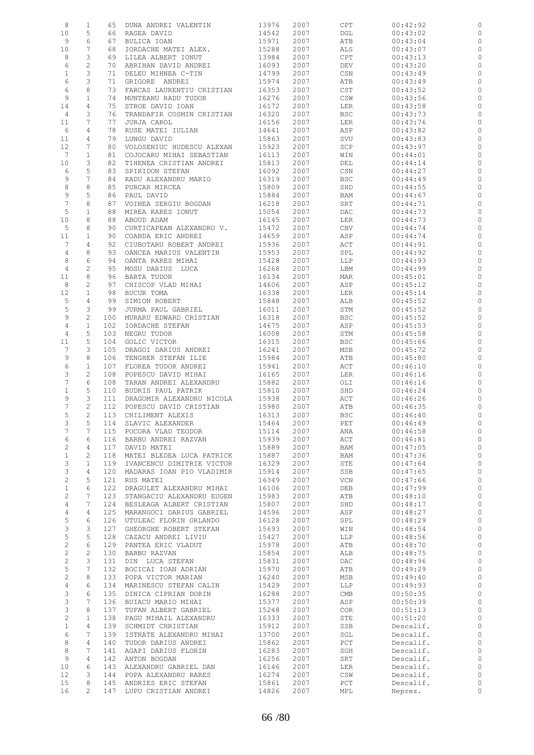| 8                         | $\mathbf{1}$    | 65  | DUNA ANDREI VALENTIN      | 13976 | 2007 | CPT        | 00:42:92  |                |
|---------------------------|-----------------|-----|---------------------------|-------|------|------------|-----------|----------------|
| 10                        | 5               | 66  | RAGEA DAVID               | 14542 | 2007 | DGL        | 00:43:02  | 0              |
| 9                         | 6               | 67  | BULICA IOAN               | 15971 | 2007 | ATB        | 00:43:04  | 0              |
| 10                        | $7\phantom{.0}$ | 68  | IORDACHE MATEI ALEX.      | 15288 | 2007 | ALS        | 00:43:07  | 0              |
| 8                         | 3               | 69  | LILEA ALBERT IONUT        | 13984 | 2007 | CPT        | 00:43:13  | 0              |
| 6                         | $\mathbf{2}$    | 70  | ABRIHAN DAVID ANDREI      | 16093 | 2007 | <b>DEV</b> | 00:43:20  | 0              |
| $\mathbf{1}$              | 3               | 71  | DELEU MIHNEA C-TIN        | 14799 | 2007 | CSN        | 00:43:49  | 0              |
| 6                         | 3               | 71  | GRIGORE ANDREI            | 15974 | 2007 | ATB        | 00:43:49  | 0              |
| 6                         | 8               | 73  | FARCAS LAURENTIU CRISTIAN | 16353 | 2007 | CST        | 00:43:52  | 0              |
| 9                         | $\mathbf{1}$    | 74  | MUNTEANU RADU TUDOR       | 16276 | 2007 | CSW        | 00:43:56  | 0              |
|                           | 4               | 75  |                           |       | 2007 |            |           | 0              |
| 14                        | 3               |     | STROE DAVID IOAN          | 16172 |      | LER        | 00:43:58  |                |
| 4                         |                 | 76  | TRANDAFIR COSMIN CRISTIAN | 16320 | 2007 | <b>BSC</b> | 00:43:73  | 0              |
| 11                        | 7               | 77  | JURJA CAROL               | 16156 | 2007 | LER        | 00:43:76  | 0              |
| 6                         | 4               | 78  | RUSE MATEI IULIAN         | 14641 | 2007 | ASP        | 00:43:82  | 0              |
| 11                        | 4               | 79  | LUNGU DAVID               | 15863 | 2007 | SVU        | 00:43:83  | 0              |
| $12 \overline{ }$         | 7               | 80  | VOLOSENIUC HUDESCU ALEXAN | 15923 | 2007 | SCP        | 00:43:97  | 0              |
| $7\phantom{.0}$           | $\mathbf{1}$    | 81  | COJOCARU MIHAI SEBASTIAN  | 16113 | 2007 | WIN        | 00:44:01  | 0              |
| 10                        | 3               | 82  | TIHENEA CRISTIAN ANDREI   | 15813 | 2007 | DEL        | 00:44:14  | 0              |
| 6                         | 5               | 83  | SPIRIDON STEFAN           | 16092 | 2007 | CSN        | 00:44:27  | 0              |
| 9                         | 7               | 84  | RADU ALEXANDRU MARIO      | 16319 | 2007 | <b>BSC</b> | 00:44:49  | 0              |
| 8                         | 8               | 85  | PURCAR MIRCEA             | 15809 | 2007 | SHD        | 00:44:55  | 0              |
| 9                         | 5               | 86  | PAUL DAVID                | 15884 | 2007 | BAM        | 00:44:67  | 0              |
| $\boldsymbol{7}$          | 8               | 87  | VOINEA SERGIU BOGDAN      | 16218 | 2007 | SRT        | 00:44:71  | 0              |
| 5                         | $\mathbf{1}$    | 88  | MIREA RARES IONUT         | 15054 | 2007 | <b>DAC</b> | 00:44:73  | $\circ$        |
| 10                        | 8               | 88  | ABOUD ADAM                | 16145 | 2007 | LER        | 00:44:73  | 0              |
| 5                         | 8               | 90  | CURTICAPEAN ALEXANDRU V.  | 15472 | 2007 | CBV        | 00:44:74  | 0              |
| 11                        | $\mathbf{1}$    | 90  | COANDA ERIC ANDREI        | 14659 | 2007 | ASP        | 00:44:74  | 0              |
| $7\phantom{.0}$           | 4               | 92  | CIUBOTARU ROBERT ANDREI   | 15936 | 2007 | ACT        | 00:44:91  | 0              |
| $\overline{4}$            | 8               | 93  | OANCEA MARIUS VALENTIN    | 15953 | 2007 | SPL        | 00:44:92  | 0              |
| 8                         | 6               | 94  | OANTA RARES MIHAI         | 15428 | 2007 | LLP        | 00:44:93  | 0              |
| 4                         | $\sqrt{2}$      | 95  | MOSU DARIUS LUCA          | 16268 | 2007 | LBM        | 00:44:99  | 0              |
| 11                        | 8               | 96  | BARTA TUDOR               | 16134 | 2007 | MAR        | 00:45:01  | 0              |
| 8                         | $\mathbf{2}$    | 97  | CHISCOP VLAD MIHAI        | 14606 | 2007 | ASP        | 00:45:12  | 0              |
|                           |                 |     |                           |       |      |            |           |                |
| 12                        | $\mathbf{1}$    | 98  | BUCUR TOMA                | 16338 | 2007 | LER        | 00:45:14  | 0              |
| 5                         | $\overline{4}$  | 99  | SIMION ROBERT             | 15848 | 2007 | ALB        | 00:45:52  | 0              |
| 5                         | 3               | 99  | JURMA PAUL GABRIEL        | 16011 | 2007 | STM        | 00:45:52  | 0              |
| 9                         | $\overline{c}$  | 100 | MURARU EDWARD CRISTIAN    | 16318 | 2007 | <b>BSC</b> | 00:45:52  | 0              |
| 4                         | $1\,$           | 102 | IORDACHE STEFAN           | 14675 | 2007 | ASP        | 00:45:53  | 0              |
| 4                         | 5               | 103 | NEGRU TUDOR               | 16008 | 2007 | STM        | 00:45:58  | 0              |
| 11                        | 5               | 104 | GOLIC VICTOR              | 16315 | 2007 | <b>BSC</b> | 00:45:66  | 0              |
| 7                         | 3               | 105 | DRAGOI DARIUS ANDREI      | 16241 | 2007 | MSB        | 00:45:72  | 0              |
| 9                         | 8               | 106 | TENGHER STEFAN ILIE       | 15984 | 2007 | ATB        | 00:45:80  | 0              |
| 6                         | $\mathbf{1}$    | 107 | FLOREA TUDOR ANDREI       | 15941 | 2007 | ACT        | 00:46:10  | 0              |
| 3                         | $\mathbf{2}$    | 108 | POPESCU DAVID MIHAI       | 16165 | 2007 | LER        | 00:46:16  | 0              |
| 7                         | 6               | 108 | TARAN ANDREI ALEXANDRU    | 15882 | 2007 | OLI        | 00:46:16  | 0              |
| $\mathbf{1}$              | 5               | 110 | BUDRIS PAUL PATRIK        | 15810 | 2007 | SHD        | 00:46:24  | 0              |
| 9                         | 3               | 111 | DRAGOMIR ALEXANDRU NICOLA | 15938 | 2007 | ACT        | 00:46:26  | 0              |
| 7                         | $\overline{c}$  | 112 | POPESCU DAVID CRISTIAN    | 15980 | 2007 | ATB        | 00:46:35  | 0              |
| 5                         | 2               |     | 113 CHILIMENT ALEXIS      | 16313 | 2007 | <b>BSC</b> | 00:46:40  | $\circ$        |
| 3                         | 5               | 114 | SLAVIC ALEXANDER          | 15464 | 2007 | PET        | 00:46:49  |                |
| 7                         | 7               | 115 | POCORA VLAD TEODOR        | 15114 | 2007 | ANA        | 00:46:58  | 0              |
| 6                         | 6               | 116 | BARBU ANDREI RAZVAN       | 15939 | 2007 | ACT        | 00:46:81  | $\circ$        |
| $\sqrt{2}$                | 4               | 117 | DAVID MATEI               | 15889 | 2007 | BAM        | 00:47:05  | $\circ$        |
| $\mathbf{1}$              | $\mathbf{2}$    | 118 | MATEI BLEDEA LUCA PATRICK | 15887 | 2007 | BAM        | 00:47:36  | $\circ$        |
| 3                         | $\mathbf{1}$    | 119 | IVANCENCU DIMITRIE VICTOR | 16329 | 2007 | STE        | 00:47:64  | $\circ$        |
| $\mathfrak{Z}$            | 4               | 120 | MADARAS IOAN PIO VLADIMIR | 15914 | 2007 | SSB        | 00:47:65  | $\circ$        |
| $\sqrt{2}$                | 5               | 121 | RUS MATEI                 | 16349 | 2007 | VCN        | 00:47:66  | $\circ$        |
| $\mathbf{1}$              | 6               | 122 | DRAGULET ALEXANDRU MIHAI  | 16106 | 2007 | DEB        | 00:47:99  | $\circ$        |
| $\overline{c}$            | 7               | 123 | STANGACIU ALEXANDRU EUGEN | 15983 | 2007 | ATB        | 00:48:10  | $\circ$        |
| 4                         | 7               | 124 | BESLEAGA ALBERT CRISTIAN  | 15807 | 2007 | SHD        | 00:48:17  | $\circ$        |
| $\overline{4}$            | 4               | 125 | MARANGOCI DARIUS GABRIEL  | 14596 | 2007 | ASP        | 00:48:27  | $\circ$        |
| 5                         | 6               | 126 | UTULEAC FLORIN ORLANDO    | 16128 | 2007 | SPL        | 00:48:29  | $\circ$        |
|                           | 3               | 127 | GHEORGHE ROBERT STEFAN    |       |      |            |           | $\circ$        |
| 3                         |                 |     |                           | 15693 | 2007 | WIN        | 00:48:54  |                |
| 5                         | 5               | 128 | CAZACU ANDREI LIVIU       | 15427 | 2007 | LLP        | 00:48:56  | $\circ$        |
| $\sqrt{2}$                | 6               | 129 | PANTEA ERIC VLADUT        | 15978 | 2007 | ATB        | 00:48:70  | $\circ$        |
| $\overline{c}$            | $\mathbf{2}$    | 130 | BARBU RAZVAN              | 15854 | 2007 | ALB        | 00:48:75  | $\circ$        |
| $\sqrt{2}$                | 3               | 131 | DIN LUCA STEFAN           | 15831 | 2007 | DAC        | 00:48:96  | $\circ$        |
| 5                         | $7\phantom{.0}$ | 132 | BOCICAI IOAN ADRIAN       | 15970 | 2007 | ATB        | 00:49:29  | $\circ$        |
| $\mathbf{2}$              | 8               | 133 | POPA VICTOR MARIAN        | 16240 | 2007 | MSB        | 00:49:40  | $\circ$        |
| $\overline{4}$            | 6               | 134 | MARINESCU STEFAN CALIN    | 15429 | 2007 | LLP        | 00:49:93  | $\circ$        |
| $\mathsf 3$               | 6               | 135 | DINICA CIPRIAN DORIN      | 16288 | 2007 | CMB        | 00:50:35  | $\circ$        |
| $\mathsf 3$               | 7               | 136 | BUIACU MARIO MIHAI        | 15377 | 2007 | ASP        | 00:50:39  | $\circ$        |
| $\ensuremath{\mathsf{3}}$ | 8               | 137 | TUFAN ALBERT GABRIEL      | 15248 | 2007 | <b>COR</b> | 00:51:13  | $\circ$        |
| $\mathbf{2}$              | $\mathbf{1}$    | 138 | PAGU MIHAIL ALEXANDRU     | 16333 | 2007 | STE        | 00:51:20  | $\circ$        |
| $\mathbf{1}$              | 4               | 139 | SCHMIDT CHRISTIAN         | 15912 | 2007 | SSB        | Descalif. | $\circ$        |
| 6                         | 7               | 139 | ISTRATE ALEXANDRU MIHAI   | 13700 | 2007 | SGL        | Descalif. | $\circ$        |
| 8                         | 4               | 140 | TUDOR DARIUS ANDREI       | 15862 | 2007 | PCT        | Descalif. | $\circ$        |
| 8                         | 7               | 141 | AGAPI DARIUS FLORIN       | 16283 | 2007 | SGH        | Descalif. | $\circ$        |
| 9                         | 4               | 142 | ANTON BOGDAN              | 16256 | 2007 | SRT        | Descalif. | $\circ$        |
| 10                        | 6               | 143 | ALEXANDRU GABRIEL DAN     | 16146 | 2007 | LER        | Descalif. | $\circ$        |
| 12                        | 3               | 144 | POPA ALEXANDRU RARES      | 16274 | 2007 | CSW        | Descalif. | $\circ$        |
| 15                        | 8               | 145 | ANDRIES ERIC STEFAN       | 15861 | 2007 | PCT        | Descalif. | $\circ$        |
| 16                        | $\overline{2}$  | 147 | LUPU CRISTIAN ANDREI      | 14826 | 2007 | MPL        | Neprez.   | $\overline{0}$ |
|                           |                 |     |                           |       |      |            |           |                |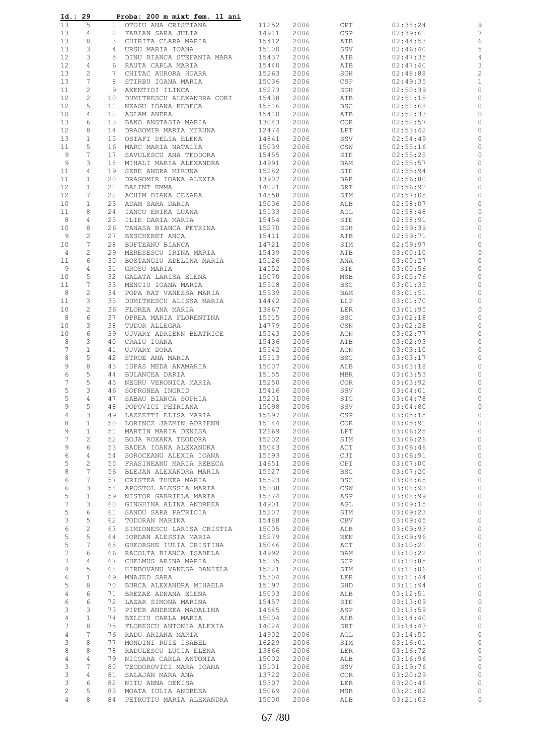| Id.: 29        |                     |                | Proba: 200 m mixt fem. 11 ani                     |                |              |                   |                      |                    |
|----------------|---------------------|----------------|---------------------------------------------------|----------------|--------------|-------------------|----------------------|--------------------|
| 13             | 5                   |                | 1 OTOIU ANA CRISTIANA                             | 11252          | 2006         | CPT               | 02:38:24             | 9                  |
| 13             | 4                   |                | 2 FABIAN SARA JULIA                               | 14911          | 2006         | CSP               | 02:39:61             | 7                  |
| 13             | 8                   |                | 3 CHIRITA CLARA MARIA                             | 15412          | 2006         | ATB               | 02:44:53             | 6                  |
| 13             | 3<br>3              | 4              | URSU MARIA IOANA<br>DINU BIANCA STEFANIA MARA     | 15100          | 2006<br>2006 | SSV               | 02:46:40             | 5                  |
| 12<br>12       | $\overline{4}$      | 5<br>6         | RAUTA CARLA MARIA                                 | 15437<br>15440 | 2006         | ATB<br>ATB        | 02:47:35<br>02:47:40 | 4<br>3             |
| 13             | $\mathbf{2}$        | 7 <sup>7</sup> | CHITAC AURORA HOARA                               | 15263          | 2006         | SGH               | 02:48:88             | $\overline{c}$     |
| 13             | $7\phantom{.0}$     | 8              | STIRBU IOANA MARIA                                | 15036          | 2006         | CSP               | 02:49:35             | 1                  |
| 11             | 2                   | 9              | AXENTIOI ILINCA                                   | 15273          | 2006         | SGH               | 02:50:39             | 0                  |
| 12             | $\mathbf{2}$        | 10             | DUMITRESCU ALEXANDRA CORI                         | 15438          | 2006         | ATB               | 02:51:15             | 0                  |
| 12             | 5                   | 11             | NEAGU IOANA REBECA                                | 15516          | 2006         | <b>BSC</b>        | 02:51:68             | 0                  |
| 10             | 4                   | 12             | ASLAM ANDRA                                       | 15410          | 2006         | ATB               | 02:52:33             | 0                  |
| 13             | 6                   | 13             | BAKO ANSTASIA MARIA                               | 13043          | 2006         | <b>COR</b>        | 02:52:57             | 0                  |
| 12             | 8                   | 14             | DRAGOMIR MARIA MIRUNA                             | 12474          | 2006         | LPT               | 02:53:42             | 0                  |
| 13             | 1                   | 15             | OSTAFI DELIA ELENA                                | 14841          | 2006         | SSV               | 02:54:49             | 0                  |
| 11             | 5                   | 16             | MARC MARIA NATALIA                                | 15039          | 2006         | CSW               | 02:55:16             | 0                  |
| 9              | 7                   | 17             | SAVULESCU ANA TEODORA                             | 15455          | 2006         | STE               | 02:55:25             | 0                  |
| 9<br>11        | 3<br>4              | 18<br>19       | MIHALI MARIA ALEXANDRA                            | 14991<br>15282 | 2006<br>2006 | BAM<br>STE        | 02:55:57<br>02:55:94 | 0<br>0             |
| 11             | $\mathbf{1}$        | 20             | SEBE ANDRA MIRUNA<br>DRAGOMIR IOANA ALEXIA        | 13907          | 2006         | BAR               | 02:56:80             | 0                  |
| 12             | $\mathbf{1}$        | 21             | BALINT EMMA                                       | 14021          | 2006         | SRT               | 02:56:92             | 0                  |
| 12             | 7                   | 22             | ACHIM DIANA CEZARA                                | 14558          | 2006         | STM               | 02:57:05             | 0                  |
| 10             | $\mathbf{1}$        | 23             | ADAM SARA DARIA                                   | 15006          | 2006         | ALB               | 02:58:07             | 0                  |
| 11             | 8                   | 24             | IANCU ERIKA LUANA                                 | 15133          | 2006         | AGL               | 02:58:48             | 0                  |
| 8              | 4                   | 25             | ILIE DARIA MARIA                                  | 15454          | 2006         | STE               | 02:58:91             | 0                  |
| 10             | 8                   | 26             | TANASA BIANCA PETRINA                             | 15270          | 2006         | SGH               | 02:59:39             | 0                  |
| 9              | 2                   | 27             | BESCHERET ANCA                                    | 15411          | 2006         | ATB               | 02:59:71             | 0                  |
| 10             | 7                   | 28             | BUFTEANU BIANCA                                   | 14721          | 2006         | STM               | 02:59:97             | 0                  |
| 4              | 2                   | 29             | MERESESCU IRINA MARIA                             | 15439          | 2006         | ATB               | 03:00:10             | 0                  |
| 11             | 6<br>4              | 30<br>31       | BOSTANGIU ADELINA MARIA<br>GROSU MARIA            | 15126          | 2006         | ANA               | 03:00:27             | 0<br>0             |
| 9<br>10        | 5                   | 32             | GALATA LARISA ELENA                               | 14552<br>15070 | 2006<br>2006 | STE<br>MSB        | 03:00:56<br>03:00:76 | 0                  |
| 11             | 7                   | 33             | MENCIU IOANA MARIA                                | 15518          | 2006         | <b>BSC</b>        | 03:01:35             | 0                  |
| 8              | $\overline{c}$      | 34             | POPA RAT VANESSA MARIA                            | 15539          | 2006         | BAM               | 03:01:51             | 0                  |
| 11             | 3                   | 35             | DUMITRESCU ALISSA MARIA                           | 14442          | 2006         | LLP               | 03:01:70             | 0                  |
| 10             | 2                   | 36             | FLOREA ANA MARIA                                  | 13867          | 2006         | LER               | 03:01:95             | 0                  |
| 8              | 6                   | 37             | OPREA MARIA FLORENTINA                            | 15515          | 2006         | <b>BSC</b>        | 03:02:18             | 0                  |
| 10             | 3<br>6              | 38             | TUDOR ALLEGRA                                     | 14779          | 2006         | CSN               | 03:02:28             | 0                  |
| 10<br>8        | 3                   | 39<br>40       | UJVARY ADRIENN BEATRICE<br>CRAIU IOANA            | 15543<br>15436 | 2006<br>2006 | ACN<br>ATB        | 03:02:77<br>03:02:93 | 0<br>0             |
| 7              | $\mathbf 1$         | 41             | UJVARY DORA                                       | 15542          | 2006         | ACN               | 03:03:10             | 0                  |
| 8              | 5                   | 42             | STROE ANA MARIA                                   | 15513          | 2006         | <b>BSC</b>        | 03:03:17             | $\circ$            |
| 9              | 8                   | 43             | ISPAS MEDA ANAMARIA                               | 15007          | 2006         | ALB               | 03:03:18             | 0                  |
| 6              | 5                   | 44             | BULANCEA DARIA                                    | 15155          | 2006         | MBR               | 03:03:53             | $\circ$            |
| 7              | 5                   | 45             | NEGRU VERONICA MARIA                              | 15250          | 2006         | COR               | 03:03:92             | 0                  |
| 5              | 3                   | 46             | SOFRONEA INGRID                                   | 15416          | 2006         | SSV               | 03:04:01             | $\circ$            |
| 5<br>9         | 4<br>5              | 47<br>48       | SABAU BIANCA SOPHIA<br>POPOVICI PETRIANA          | 15201<br>15098 | 2006<br>2006 | STG<br>SSV        | 03:04:78<br>03:04:80 | 0<br>$\mathbb{O}$  |
| 4              | 3                   | 49             | LAZZETTI ELISA MARIA                              | 15697          | 2006         | CSP               | 03:05:15             | 0                  |
| 8              | $\mathbf 1$         | 50             | LORINCZ JAZMIN ADRIENN                            | 15144          | 2006         | <b>COR</b>        | 03:05:91             | $\circ$            |
| 9              | $\mathbf 1$         | 51             | MARTIN MARIA DENISA                               | 12669          | 2006         | LPT               | 03:06:25             | $\circ$            |
| $\overline{7}$ | $\mathbf{2}$        | 52             | BOJA ROXANA TEODORA                               | 15202          | 2006         | STM               | 03:06:26             | $\circ$            |
| 9              | 6                   | 53             | BADEA IOANA ALEXANDRA                             | 15043          | 2006         | ACT               | 03:06:46             | $\circ$            |
| 6              | 4                   | 54             | SOROCEANU ALEXIA IOANA                            | 15593          | 2006         | CJI               | 03:06:91             | $\circ$            |
| 5<br>8         | $\overline{c}$<br>7 | 55<br>56       | FRASINEANU MARIA REBECA<br>BLEJAN ALEXANDRA MARIA | 14651<br>15527 | 2006<br>2006 | CPI<br><b>BSC</b> | 03:07:00<br>03:07:20 | $\circ$<br>$\circ$ |
| 6              | 7                   | 57             | CRISTEA THEEA MARIA                               | 15523          | 2006         | <b>BSC</b>        | 03:08:65             | $\circ$            |
| 6              | 3                   | 58             | APOSTOL ALESSIA MARIA                             | 15038          | 2006         | CSW               | 03:08:98             | $\circ$            |
| 5              | $\mathbf{1}$        | 59             | NISTOR GABRIELA MARIA                             | 15374          | 2006         | ASP               | 03:08:99             | $\circ$            |
| 7              | 3                   | 60             | GINGHINA ALINA ANDREEA                            | 14901          | 2006         | AGL               | 03:09:15             | $\circ$            |
| 5              | 6                   | 61             | SANDU SARA PATRICIA                               | 15207          | 2006         | STM               | 03:09:23             | $\circ$            |
| 3              | 5                   | 62             | TODORAN MARINA                                    | 15488          | 2006         | CBV               | 03:09:45             | $\circ$            |
| 6              | $\mathbf{2}$        | 63             | SIMIONESCU LARISA CRISTIA                         | 15005          | 2006         | ALB               | 03:09:93             | $\circ$            |
| 5              | 5<br>7              | 64             | IORDAN ALESSIA MARIA                              | 15279          | 2006         | REN               | 03:09:96             | $\circ$            |
| 5<br>7         | 6                   | 65<br>66       | GHEORGHE IULIA CRISTINA<br>RACOLTA BIANCA ISABELA | 15046<br>14992 | 2006<br>2006 | ACT<br>BAM        | 03:10:21<br>03:10:22 | $\circ$<br>$\circ$ |
| 7              | 4                   | 67             | CHELMUS ARINA MARIA                               | 15135          | 2006         | SCP               | 03:10:85             | $\circ$            |
| 4              | 5                   | 68             | HIRBOVANU VANESA DANIELA                          | 15221          | 2006         | STM               | 03:11:06             | $\circ$            |
| 6              | $\mathbf 1$         | 69             | MNAJED SARA                                       | 15304          | 2006         | LER               | 03:11:44             | $\circ$            |
| 5              | 8                   | 70             | BURCA ALEXANDRA MIHAELA                           | 15197          | 2006         | SHD               | 03:11:94             | $\circ$            |
| $\sqrt{4}$     | 6                   | 71             | BREZAE ADNANA ELENA                               | 15003          | 2006         | ALB               | 03:12:51             | $\circ$            |
| 6              | 6                   | 72             | LAZAR SIMONA MARINA                               | 15457          | 2006         | STE               | 03:13:09             | $\circ$            |
| 3              | 3                   | 73             | PIPER ANDREEA MADALINA                            | 14645          | 2006         | ASP               | 03:13:59             | $\circ$            |
| 4<br>7         | $\mathbf 1$<br>8    | 74<br>75       | BELCIU CARLA MARIA<br>FLORESCU ANTONIA ALEXIA     | 15004<br>14024 | 2006<br>2006 | ALB<br>SRT        | 03:14:40<br>03:14:43 | $\circ$<br>$\circ$ |
| 4              | 7                   | 76             | RADU ARIANA MARIA                                 | 14902          | 2006         | AGL               | 03:14:55             | $\circ$            |
| 3              | 8                   | 77             | MONDINI RUIZ ISABEL                               | 16229          | 2006         | STM               | 03:16:01             | $\circ$            |
| 8              | 8                   | 78             | RADULESCU LUCIA ELENA                             | 13866          | 2006         | LER               | 03:16:72             | $\circ$            |
| 4              | 4                   | 79             | NICOARA CARLA ANTONIA                             | 15002          | 2006         | ALB               | 03:16:96             | $\circ$            |
| 3              | 7                   | 80             | TEODOROVICI MARA IOANA                            | 15101          | 2006         | SSV               | 03:19:76             | $\circ$            |
| $\mathsf 3$    | 4                   | 81             | SALAJAN MARA ANA                                  | 13722          | 2006         | COR               | 03:20:29             | $\circ$            |
| 3<br>2         | 6<br>5              | 82<br>83       | NITU ANNA DENISA<br>MOATA IULIA ANDREEA           | 15307<br>15069 | 2006<br>2006 | LER<br>MSB        | 03:20:46<br>03:21:02 | 0<br>$\circ$       |
| 4              | 8                   | 84             | PETRUTIU MARIA ALEXANDRA                          | 15000          | 2006         | ALB               | 03:21:03             | $\circ$            |
|                |                     |                |                                                   |                |              |                   |                      |                    |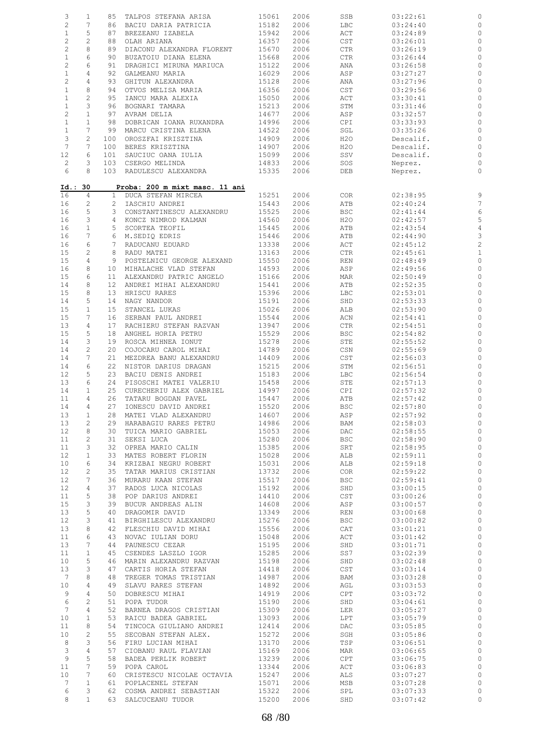| 3               | $\mathbf{1}$   |                 | 85 TALPOS STEFANA ARISA        | 15061 | 2006 | SSB          | 03:22:61  |                         |
|-----------------|----------------|-----------------|--------------------------------|-------|------|--------------|-----------|-------------------------|
| $\overline{c}$  | 7              | 86              | BACIU DARIA PATRICIA           | 15182 | 2006 | LBC          | 03:24:40  | 0                       |
| $\mathbf{1}$    | 5              | 87              | BREZEANU IZABELA               | 15942 | 2006 | ACT          | 03:24:89  | $\circ$                 |
|                 |                |                 |                                |       |      |              |           |                         |
| $\mathbf{2}$    | $\mathbf{2}$   | 88              | OLAH ARIANA                    | 16357 | 2006 | CST          | 03:26:01  | 0                       |
| $\mathbf{2}$    | 8              | 89              | DIACONU ALEXANDRA FLORENT      | 15670 | 2006 | CTR          | 03:26:19  | 0                       |
| $\mathbf{1}$    | 6              | 90              | BUZATOIU DIANA ELENA           | 15668 | 2006 | CTR          | 03:26:44  | $\circ$                 |
| $\overline{c}$  | 6              | 91              | DRAGHICI MIRUNA MARIUCA        | 15122 | 2006 | ANA          | 03:26:58  | 0                       |
|                 |                |                 |                                |       |      |              |           |                         |
| $\mathbf{1}$    | 4              | 92              | GALMEANU MARIA                 | 16029 | 2006 | ASP          | 03:27:27  | 0                       |
| $\mathbf{2}$    | 4              | 93              | GHITUN ALEXANDRA               | 15128 | 2006 | ANA          | 03:27:96  | 0                       |
| $\mathbf{1}$    | 8              | 94              | OTVOS MELISA MARIA             | 16356 | 2006 | CST          | 03:29:56  | 0                       |
|                 |                |                 |                                |       |      |              |           |                         |
| $\mathbf{1}$    | $\mathbf{2}$   | 95              | IANCU MARA ALEXIA              | 15050 | 2006 | ACT          | 03:30:41  | 0                       |
| $\mathbf{1}$    | 3              | 96              | BOGNARI TAMARA                 | 15213 | 2006 | STM          | 03:31:46  | 0                       |
| $\mathbf{2}$    | $\mathbf{1}$   | 97              | AVRAM DELIA                    | 14677 | 2006 | ASP          | 03:32:57  | 0                       |
| $\mathbf{1}$    | $\mathbf{1}$   | 98              | DOBRICAN IOANA RUXANDRA        | 14996 | 2006 | CPI          | 03:33:93  | $\circ$                 |
|                 |                |                 |                                |       |      |              |           |                         |
| $\mathbf{1}$    | 7              | 99              | MARCU CRISTINA ELENA           | 14522 | 2006 | SGL          | 03:35:26  | 0                       |
| 3               | $\mathbf{2}$   | 100             | OROSZFAI KRISZTINA             | 14909 | 2006 | H2O          | Descalif. | $\circ$                 |
| $7\phantom{.0}$ | 7              | 100             | BERES KRISZTINA                | 14907 | 2006 | H2O          | Descalif. | $\circ$                 |
|                 |                |                 |                                |       |      |              |           |                         |
| 12              | 6              | 101             | SAUCIUC OANA IULIA             | 15099 | 2006 | SSV          | Descalif. | $\circ$                 |
| $\overline{c}$  | 3              |                 | 103 CSERGO MELINDA             | 14833 | 2006 | SOS          | Neprez.   | $\circ$                 |
| 6               | 8              |                 | 103 RADULESCU ALEXANDRA        | 15335 | 2006 | DEB          | Neprez.   | $\circ$                 |
|                 |                |                 |                                |       |      |              |           |                         |
|                 |                |                 |                                |       |      |              |           |                         |
|                 | Id.: 30        |                 | Proba: 200 m mixt masc. 11 ani |       |      |              |           |                         |
| 16              | 4              |                 | 1 DUCA STEFAN MIRCEA           | 15251 | 2006 | <b>COR</b>   | 02:38:95  |                         |
| 16              | $\overline{c}$ |                 | 2 IASCHIU ANDREI               | 15443 | 2006 | ATB          | 02:40:24  | $\overline{7}$          |
|                 |                |                 |                                |       |      |              |           |                         |
| 16              | 5              |                 | 3 CONSTANTINESCU ALEXANDRU     | 15525 | 2006 | <b>BSC</b>   | 02:41:44  | $\epsilon$              |
| 16              | 3              |                 | 4 KONCZ NIMROD KALMAN          | 14560 | 2006 | H2O          | 02:42:57  | 5                       |
| 16              | $\mathbf{1}$   | 5 <sup>5</sup>  | SCORTEA TEOFIL                 | 15445 | 2006 | ATB          | 02:43:54  | $\overline{4}$          |
| 16              | 7              |                 |                                |       |      |              |           | 3                       |
|                 |                |                 | 6 M.SEDIQ EDRIS                | 15446 | 2006 | ATB          | 02:44:90  |                         |
| 16              | 6              | $7^{\circ}$     | RADUCANU EDUARD                | 13338 | 2006 | ACT          | 02:45:12  | $\overline{\mathbf{c}}$ |
| 15              | $\overline{c}$ |                 | 8 RADU MATEI                   | 13163 | 2006 | $_{\rm CTR}$ | 02:45:61  | $\mathbf{1}$            |
| 15              | 4              | 9               | POSTELNICU GEORGE ALEXAND      | 15550 | 2006 |              | 02:48:49  |                         |
|                 |                |                 |                                |       |      | REN          |           | $\circ$                 |
| 16              | 8              |                 | 10 MIHALACHE VLAD STEFAN       | 14593 | 2006 | ASP          | 02:49:56  | $\circ$                 |
| 15              | 6              | 11              | ALEXANDRU PATRIC ANGELO        | 15166 | 2006 | MAR          | 02:50:49  | 0                       |
| 14              | 8              | 12 <sup>°</sup> | ANDREI MIHAI ALEXANDRU         | 15441 | 2006 | ATB          | 02:52:35  | $\circ$                 |
|                 |                |                 |                                |       |      |              |           |                         |
| 15              | 8              | 13              | HRISCU RARES                   | 15396 | 2006 | LBC          | 02:53:01  | $\circ$                 |
| 14              | 5              | 14              | NAGY NANDOR                    | 15191 | 2006 | SHD          | 02:53:33  | $\circ$                 |
| 15              | $\mathbf{1}$   | 15              | STANCEL LUKAS                  | 15026 | 2006 | ALB          | 02:53:90  | 0                       |
|                 |                |                 |                                |       |      |              |           |                         |
| 15              | 7              | 16              | SERBAN PAUL ANDREI             | 15544 | 2006 | ACN          | 02:54:41  | $\circ$                 |
| 13              | $\overline{4}$ | 17              | RACHIERU STEFAN RAZVAN         | 13947 | 2006 | CTR          | 02:54:51  | $\circ$                 |
| 15              | 5              | 18              | ANGHEL HORIA PETRU             | 15529 | 2006 | BSC          | 02:54:82  | $\circ$                 |
|                 |                |                 |                                |       |      |              |           |                         |
| 14              | 3              | 19              | ROSCA MIHNEA IONUT             | 15278 | 2006 | STE          | 02:55:52  | $\circ$                 |
| 14              | $\mathbf{2}$   | 20              | COJOCARU CAROL MIHAI           | 14789 | 2006 | CSN          | 02:55:69  | $\circ$                 |
| 14              | 7              | 21              | MEZDREA BANU ALEXANDRU         | 14409 | 2006 | CST          | 02:56:03  | $\circ$                 |
|                 |                |                 |                                |       |      |              |           |                         |
| 14              | 6              | 22              | NISTOR DARIUS DRAGAN           | 15215 | 2006 | STM          | 02:56:51  | $\circ$                 |
| 12              | 5              | 23              | BACIU DENIS ANDREI             | 15183 | 2006 | LBC          | 02:56:54  | 0                       |
| 13              | 6              | 24              | PISOSCHI MATEI VALERIU         | 15458 | 2006 | STE          | 02:57:13  | $\circ$                 |
|                 | $\mathbf{1}$   | 25              |                                |       |      |              | 02:57:32  |                         |
| 14              |                |                 | CURECHERIU ALEX GABRIEL        | 14997 | 2006 | CPI          |           | 0                       |
| 11              | 4              | 26              | TATARU BOGDAN PAVEL            | 15447 | 2006 | ATB          | 02:57:42  | $\circ$                 |
| 14              | $\overline{4}$ | 27              | IONESCU DAVID ANDREI           | 15520 | 2006 | <b>BSC</b>   | 02:57:80  | $\mathbb{C}$            |
| 13              | $\mathbf{1}$   |                 | 28 MATEI VLAD ALEXANDRU        | 14607 | 2006 | ASP          | 02:57:92  | $\circ$                 |
|                 |                |                 |                                |       |      |              |           |                         |
| 13              | 2              | 29              | HARABAGIU RARES PETRU          | 14986 | 2006 | BAM          | 02:58:03  | 0                       |
| 12              | 8              | 30              | TUICA MARIO GABRIEL            | 15053 | 2006 | DAC          | 02:58:55  | $\circ$                 |
| 11              | 2              | 31              | SEKSI LUCA                     | 15280 | 2006 | <b>BSC</b>   | 02:58:90  | $\circ$                 |
|                 |                |                 |                                |       |      |              |           |                         |
| 11              | 3              | 32              | OPREA MARIO CALIN              | 15385 | 2006 | SRT          | 02:58:95  | $\mathbb{C}$            |
| 12              | $\mathbf{1}$   | 33              | MATES ROBERT FLORIN            | 15028 | 2006 | ALB          | 02:59:11  | $\mathbb O$             |
| 10              | 6              | 34              | KRIZBAI NEGRU ROBERT           | 15031 | 2006 | ALB          | 02:59:18  | $\mathbb O$             |
|                 |                |                 |                                |       |      |              |           |                         |
| 12              | 2              | 35              | TATAR MARIUS CRISTIAN          | 13732 | 2006 | <b>COR</b>   | 02:59:22  | $\mathbb O$             |
| 12              | 7              | 36              | MURARU KAAN STEFAN             | 15517 | 2006 | <b>BSC</b>   | 02:59:41  | $\mathbb O$             |
| 12              | 4              | 37              | RADOS LUCA NICOLAS             | 15192 | 2006 | SHD          | 03:00:15  | $\circ$                 |
| 11              | 5              | 38              | POP DARIUS ANDREI              | 14410 | 2006 | CST          | 03:00:26  | $\mathbb O$             |
|                 |                |                 |                                |       |      |              |           |                         |
| 15              | 3              | 39              | BUCUR ANDREAS ALIN             | 14608 | 2006 | ASP          | 03:00:57  | $\mathbb{C}$            |
| 13              | 5              | 40              | DRAGOMIR DAVID                 | 13349 | 2006 | REN          | 03:00:68  | $\mathbb O$             |
| 12              | 3              | 41              | BIRGHILESCU ALEXANDRU          | 15276 | 2006 | <b>BSC</b>   | 03:00:82  | $\mathbb O$             |
|                 |                |                 |                                |       |      |              |           |                         |
| 13              | 8              | 42              | FLESCHIU DAVID MIHAI           | 15556 | 2006 | CAT          | 03:01:21  | $\circ$                 |
| 11              | 6              | 43              | NOVAC IULIAN DORU              | 15048 | 2006 | ACT          | 03:01:42  | $\mathbb O$             |
| 13              | 7              | 44              | PAUNESCU CEZAR                 | 15195 | 2006 | SHD          | 03:01:71  | $\circ$                 |
|                 | $\mathbf{1}$   |                 |                                |       |      |              |           |                         |
| 11              |                | 45              | CSENDES LASZLO IGOR            | 15285 | 2006 | SS7          | 03:02:39  | $\mathbb O$             |
| 10              | 5              | 46              | MARIN ALEXANDRU RAZVAN         | 15198 | 2006 | SHD          | 03:02:48  | $\circ$                 |
| 13              | 3              | 47              | CARTIS HORIA STEFAN            | 14418 | 2006 | CST          | 03:03:14  | $\mathbb O$             |
| $7\phantom{.0}$ | 8              | 48              | TREGER TOMAS TRISTIAN          | 14987 | 2006 | BAM          | 03:03:28  | $\mathbb O$             |
|                 |                |                 |                                |       |      |              |           |                         |
| 10              | 4              | 49              | SLAVU RARES STEFAN             | 14892 | 2006 | AGL          | 03:03:53  | $\mathbb{O}$            |
| 9               | 4              | 50              | DOBRESCU MIHAI                 | 14919 | 2006 | CPT          | 03:03:72  | $\circ$                 |
| 6               | 2              | 51              | POPA TUDOR                     | 15190 | 2006 | SHD          | 03:04:61  | $\mathbb{O}$            |
|                 |                |                 |                                |       |      |              |           |                         |
| $7\phantom{.0}$ | $\overline{4}$ | 52              | BARNEA DRAGOS CRISTIAN         | 15309 | 2006 | LER          | 03:05:27  | $\mathbb O$             |
| 10              | $\mathbf{1}$   | 53              | RAICU BADEA GABRIEL            | 13093 | 2006 | LPT          | 03:05:79  | $\mathbb O$             |
| 11              | 8              | 54              | TINCOCA GIULIANO ANDREI        | 12414 | 2006 | DAC          | 03:05:85  | $\mathbb O$             |
|                 |                |                 |                                |       |      |              |           |                         |
| 10              | $\mathbf{2}$   | 55              | SECOBAN STEFAN ALEX.           | 15272 | 2006 | SGH          | 03:05:86  | $\mathbb O$             |
| 8               | 3              | 56              | FIRU LUCIAN MIHAI              | 13170 | 2006 | TSP          | 03:06:51  | $\mathbb{C}$            |
| $\mathcal{S}$   | 4              | 57              | CIOBANU RAUL FLAVIAN           | 15169 | 2006 | MAR          | 03:06:65  | $\mathbb O$             |
|                 |                |                 |                                |       |      |              |           |                         |
| 9               | 5              | 58              | BADEA PERLIK ROBERT            | 13239 | 2006 | CPT          | 03:06:75  | $\circ$                 |
| 11              | 7              | 59              | POPA CAROL                     | 13344 | 2006 | ACT          | 03:06:83  | $\circ$                 |
| 10              | 7              | 60              | CRISTESCU NICOLAE OCTAVIA      | 15247 | 2006 | ALS          | 03:07:27  | $\mathbb O$             |
|                 | $\mathbf{1}$   |                 |                                |       |      |              |           |                         |
| $7\phantom{.0}$ |                | 61              | POPLACENEL STEFAN              | 15071 | 2006 | MSB          | 03:07:28  | $\mathbb{C}$            |
| 6               | 3              |                 | 62 COSMA ANDREI SEBASTIAN      | 15322 | 2006 | SPL          | 03:07:33  | $\circ$                 |
| 8               | $\mathbf{1}$   |                 | 63 SALCUCEANU TUDOR            | 15200 | 2006 | SHD          | 03:07:42  | $\circ$                 |
|                 |                |                 |                                |       |      |              |           |                         |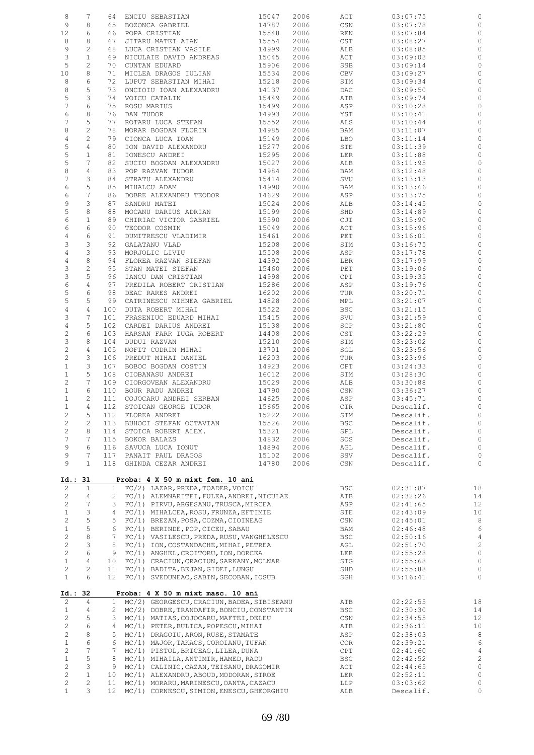| 8                 | 7                              | 64                | ENCIU SEBASTIAN                                                                  | 15047          | 2006         | ACT               | 03:07:75             | $\mathbf 0$                        |
|-------------------|--------------------------------|-------------------|----------------------------------------------------------------------------------|----------------|--------------|-------------------|----------------------|------------------------------------|
| 9                 | 8                              | 65                | BOZONCA GABRIEL                                                                  | 14787          | 2006         | CSN               | 03:07:78             | $\mathbb O$                        |
| 12                | 6                              | 66                | POPA CRISTIAN                                                                    | 15548          | 2006         | REN               | 03:07:84             | $\circ$                            |
| 8                 | 8                              | 67                | JITARU MATEI AIAN                                                                | 15554          | 2006         | $\mathsf{CST}$    | 03:08:27             | $\mathbb O$                        |
| 9                 | 2                              | 68                | LUCA CRISTIAN VASILE                                                             | 14999          | 2006         | ALB               | 03:08:85             | $\circ$                            |
| 3<br>5            | $\mathbf{1}$<br>$\overline{c}$ | 69<br>70          | NICULAIE DAVID ANDREAS                                                           | 15045          | 2006         | ACT               | 03:09:03             | $\mathbb O$<br>$\circ$             |
| 10                | 8                              | 71                | CUNTAN EDUARD<br>MICLEA DRAGOS IULIAN                                            | 15906<br>15534 | 2006<br>2006 | SSB<br>CBV        | 03:09:14<br>03:09:27 | $\mathbb O$                        |
| 8                 | 6                              | 72                | LUPUT SEBASTIAN MIHAI                                                            | 15218          | 2006         | STM               | 03:09:34             | $\circ$                            |
| 8                 | 5                              | 73                | ONCIOIU IOAN ALEXANDRU                                                           | 14137          | 2006         | DAC               | 03:09:50             | $\mathbb O$                        |
| 5                 | 3                              | 74                | VOICU CATALIN                                                                    | 15449          | 2006         | ATB               | 03:09:74             | $\circ$                            |
| 7                 | 6                              | 75                | ROSU MARIUS                                                                      | 15499          | 2006         | ASP               | 03:10:28             | $\mathbb O$                        |
| 6                 | 8                              | 76                | DAN TUDOR                                                                        | 14993          | 2006         | YST               | 03:10:41             | 0                                  |
| 7                 | 5                              | 77                | ROTARU LUCA STEFAN                                                               | 15552          | 2006         | ALS               | 03:10:44             | $\mathbb O$                        |
| 8                 | $\overline{c}$                 | 78                | MORAR BOGDAN FLORIN                                                              | 14985          | 2006         | BAM               | 03:11:07             | $\circ$                            |
| $\overline{4}$    | $\overline{c}$                 | 79                | CIONCA LUCA IOAN                                                                 | 15149          | 2006         | LBO               | 03:11:14             | $\mathbb O$                        |
| 5                 | 4                              | 80                | ION DAVID ALEXANDRU                                                              | 15277          | 2006         | STE               | 03:11:39             | $\circ$                            |
| $\mathsf S$       | $\mathbf{1}$                   | 81                | IONESCU ANDREI                                                                   | 15295          | 2006         | LER               | 03:11:88             | $\mathbb O$                        |
| 5                 | 7                              | 82                | SUCIU BOGDAN ALEXANDRU                                                           | 15027          | 2006         | ALB               | 03:11:95             | $\circ$                            |
| $\,8\,$           | 4                              | 83                | POP RAZVAN TUDOR                                                                 | 14984          | 2006         | BAM               | 03:12:48             | $\mathbb O$                        |
| $\overline{7}$    | 3                              | 84                | STRATU ALEXANDRU                                                                 | 15414          | 2006         | SVU               | 03:13:13             | 0                                  |
| 6<br>6            | 5<br>7                         | 85<br>86          | MIHALCU ADAM<br>DOBRE ALEXANDRU TEODOR                                           | 14990<br>14629 | 2006         | BAM               | 03:13:66<br>03:13:75 | $\mathbb O$<br>$\mathbb O$         |
| $\mathsf 9$       | 3                              | 87                | SANDRU MATEI                                                                     |                | 2006         | ASP               |                      |                                    |
| 5                 | 8                              | 88                | MOCANU DARIUS ADRIAN                                                             | 15024<br>15199 | 2006<br>2006 | ALB<br>SHD        | 03:14:45<br>03:14:89 | $\mathbb O$<br>$\mathbb O$         |
| 6                 | $\mathbf{1}$                   | 89                | CHIRIAC VICTOR GABRIEL                                                           | 15590          | 2006         | CJI               | 03:15:90             | $\mathbb O$                        |
| 6                 | 6                              | 90                | TEODOR COSMIN                                                                    | 15049          | 2006         | ACT               | 03:15:96             | $\mathbb O$                        |
| 4                 | 6                              | 91                | DUMITRESCU VLADIMIR                                                              | 15461          | 2006         | PET               | 03:16:01             | $\mathbb O$                        |
| 3                 | 3                              | 92                | GALATANU VLAD                                                                    | 15208          | 2006         | STM               | 03:16:75             | $\mathbb O$                        |
| $\,4$             | 3                              | 93                | MORJOLIC LIVIU                                                                   | 15508          | 2006         | ASP               | 03:17:78             | $\circ$                            |
| 4                 | 8                              | 94                | FLOREA RAZVAN STEFAN                                                             | 14392          | 2006         | LBR               | 03:17:99             | $\mathbb O$                        |
| 3                 | $\overline{c}$                 | 95                | STAN MATEI STEFAN                                                                | 15460          | 2006         | PET               | 03:19:06             | $\circ$                            |
| 3                 | 5                              | 96                | IANCU DAN CRISTIAN                                                               | 14998          | 2006         | CPI               | 03:19:35             | 0                                  |
| 6                 | 4                              | 97                | PREDILA ROBERT CRISTIAN                                                          | 15286          | 2006         | ASP               | 03:19:76             | $\mathbb O$                        |
| 5                 | 6                              | 98                | DEAC RARES ANDREI                                                                | 16202          | 2006         | TUR               | 03:20:71             | $\mathsf{O}\xspace$                |
| 5<br>4            | 5<br>4                         | 99<br>100         | CATRINESCU MIHNEA GABRIEL<br>DUTA ROBERT MIHAI                                   | 14828<br>15522 | 2006<br>2006 | MPL<br><b>BSC</b> | 03:21:07<br>03:21:15 | $\mathbb O$<br>$\mathsf{O}\xspace$ |
| 3                 | 7                              | 101               | FRASENIUC EDUARD MIHAI                                                           | 15415          | 2006         | SVU               | 03:21:59             | $\mathbb O$                        |
| 4                 | 5                              | 102               | CARDEI DARIUS ANDREI                                                             | 15138          | 2006         | SCP               | 03:21:80             | $\mathbb O$                        |
| $\sqrt{2}$        | 6                              | 103               | HARSAN FARR IUGA ROBERT                                                          | 14408          | 2006         | $\mathsf{CST}$    | 03:22:29             | $\mathbb O$                        |
| 3                 | 8                              | 104               | DUDUI RAZVAN                                                                     | 15210          | 2006         | STM               | 03:23:02             | $\mathbb O$                        |
| $\sqrt{2}$        | 4                              | 105               | NOFIT CODRIN MIHAI                                                               | 13701          | 2006         | SGL               | 03:23:56             | $\mathbb O$                        |
| $\sqrt{2}$        | 3                              | 106               | PREDUT MIHAI DANIEL                                                              | 16203          | 2006         | TUR               | 03:23:96             | $\mathbb O$                        |
| $\mathbf{1}$      | 3                              | 107               | BOBOC BOGDAN COSTIN                                                              | 14923          | 2006         | CPT               | 03:24:33             | $\mathbb O$                        |
| $\mathbf{1}$      | 5                              | 108               | CIOBANASU ANDREI                                                                 | 16012          | 2006         | STM               | 03:28:30             | $\mathbb O$                        |
| 2                 | 7                              | 109               | CIORGOVEAN ALEXANDRU                                                             | 15029          | 2006         | ALB               | 03:30:88             | $\mathbb O$                        |
| $\mathbf{1}$      | 6<br>2                         | 110               | BOUR RADU ANDREI                                                                 | 14790          | 2006         | CSN               | 03:36:27<br>03:45:71 | $\mathbb O$                        |
| $\mathbf{1}$<br>1 | 4                              | 111<br>112        | COJOCARU ANDREI SERBAN<br>STOICAN GEORGE TUDOR                                   | 14625<br>15665 | 2006<br>2006 | ASP<br>CTR        | Descalif.            | $\circ$<br>$\mathbb O$             |
| 2                 | 5                              | 112               | FLOREA ANDREI                                                                    | 15222          | 2006         | STM               | Descalif.            | $\circ$                            |
| $\sqrt{2}$        | $\overline{c}$                 | 113               | BUHOCI STEFAN OCTAVIAN                                                           | 15526          | 2006         | BSC               | Descalif.            | $\circ$                            |
| $\mathbf{2}$      | 8                              | 114               | STOICA ROBERT ALEX.                                                              | 15321          | 2006         | SPL               | Descalif.            | $\circ$                            |
| $\boldsymbol{7}$  | 7                              | 115               | BOKOR BALAZS                                                                     | 14832          | 2006         | SOS               | Descalif.            | $\mathbb O$                        |
| 9                 | 6                              | 116               | SAVUCA LUCA IONUT                                                                | 14894          | 2006         | AGL               | Descalif.            | $\mathbb O$                        |
| 9                 | 7                              | 117               | PANAIT PAUL DRAGOS                                                               | 15102          | 2006         | SSV               | Descalif.            | $\mathbb O$                        |
| 9                 | $\mathbf{1}$                   | 118               | GHINDA CEZAR ANDREI                                                              | 14780          | 2006         | CSN               | Descalif.            | 0                                  |
|                   |                                |                   |                                                                                  |                |              |                   |                      |                                    |
| Id.: 31           |                                |                   | Proba: 4 X 50 m mixt fem. 10 ani                                                 |                |              |                   |                      |                                    |
| 2<br>2            | $\mathbf{1}$<br>4              | $\mathbf{1}$<br>2 | FC/2) LAZAR, PREDA, TOADER, VOICU<br>FC/1) ALEMNARITEI, FULEA, ANDREI, NICULAE   |                |              | <b>BSC</b><br>ATB | 02:31:87<br>02:32:26 | 18<br>14                           |
| $\mathbf{2}$      | $\overline{7}$                 | 3                 | FC/1) PIRVU, ARGESANU, TRUSCA, MIRCEA                                            |                |              | ASP               | 02:41:65             | 12                                 |
| $\mathbf{1}$      | З                              | 4                 | FC/1) MIHALCEA, ROSU, FRUNZA, EFTIMIE                                            |                |              | STE               | 02:43:09             | 10                                 |
| 2                 | 5                              | 5                 | FC/1) BREZAN, POSA, COZMA, CIOINEAG                                              |                |              | CSN               | 02:45:01             | 8                                  |
| $\mathbf 1$       | 5                              | 6                 | FC/1) BERINDE, POP, CICEU, SABAU                                                 |                |              | BAM               | 02:46:48             | 6                                  |
| $\mathbf{2}$      | 8                              | 7                 | FC/1) VASILESCU, PREDA, RUSU, VANGHELESCU                                        |                |              | <b>BSC</b>        | 02:50:16             | $\overline{4}$                     |
| $\mathbf{2}$      | 3                              | 8                 | FC/1) ION, COSTANDACHE, MIHAI, PETREA                                            |                |              | AGL               | 02:51:70             | $\sqrt{2}$                         |
| $\mathbf{2}$      | 6                              | 9                 | FC/1) ANGHEL, CROITORU, ION, DORCEA                                              |                |              | LER               | 02:55:28             | $\mathbb O$                        |
| $\mathbf{1}$      | $\sqrt{4}$                     | 10                | FC/1) CRACIUN, CRACIUN, SARKANY, MOLNAR                                          |                |              | STG               | 02:55:68             | $\mathbb O$                        |
| $\mathbf{2}$      | $\overline{c}$                 | 11                | FC/1) BADITA, BEJAN, GIDEI, LUNGU                                                |                |              | SHD               | 02:55:88             | $\mathbb O$                        |
| $\mathbf{1}$      | 6                              | 12                | FC/1) SVEDUNEAC, SABIN, SECOBAN, IOSUB                                           |                |              | SGH               | 03:16:41             | 0                                  |
|                   |                                |                   | Proba: 4 X 50 m mixt masc. 10 ani                                                |                |              |                   |                      |                                    |
| 2                 | Id.: 32<br>4                   | $\mathbf{1}$      | MC/2) GEORGESCU, CRACIUN, BADEA, SIBISEANU                                       |                |              | ATB               | 02:22:55             | 18                                 |
| $\mathbf{1}$      | 4                              | 2                 | MC/2) DOBRE, TRANDAFIR, BONCIU, CONSTANTIN                                       |                |              | <b>BSC</b>        | 02:30:30             | 14                                 |
| $\overline{c}$    | 5                              | 3                 | MC/1) MATIAS, COJOCARU, MAFTEI, DELEU                                            |                |              | CSN               | 02:34:55             | 12                                 |
| 2                 | 6                              | 4                 | MC/1) PETER, BULICA, POPESCU, MIHAI                                              |                |              | ATB               | 02:36:11             | 10                                 |
| $\mathbf{2}$      | 8                              | 5                 | MC/1) DRAGOIU, ARON, RUSE, STAMATE                                               |                |              | ASP               | 02:38:03             | 8                                  |
| $\mathbf 1$       | 6                              | 6                 | MC/1) MAJOR, TAKACS, COROIANU, TUFAN                                             |                |              | <b>COR</b>        | 02:39:21             | 6                                  |
| $\mathbf{2}$      | $\overline{7}$                 | 7                 | MC/1) PISTOL, BRICEAG, LILEA, DUNA                                               |                |              | CPT               | 02:41:60             | $\overline{4}$                     |
| $\mathbf{1}$      | 5                              | 8                 | MC/1) MIHAILA, ANTIMIR, HAMED, RADU                                              |                |              | <b>BSC</b>        | 02:42:52             | $\sqrt{2}$                         |
| $\overline{c}$    | 3                              | 9                 | MC/1) CALINIC, CAZAN, TEISANU, DRAGOMIR                                          |                |              | ACT               | 02:44:65             | $\circ$                            |
| 2<br>2            | $\mathbf{1}$<br>$\overline{c}$ | 10<br>11          | MC/1) ALEXANDRU, ABOUD, MODORAN, STROE<br>MC/1) MORARU, MARINESCU, OANTA, CAZACU |                |              | LER<br>LLP        | 02:52:11<br>03:03:62 | $\mathbb O$<br>0                   |
|                   |                                |                   |                                                                                  |                |              |                   |                      |                                    |
| $\mathbf{1}$      | 3                              | 12                | MC/1) CORNESCU, SIMION, ENESCU, GHEORGHIU                                        |                |              | ALB               | Descalif.            | $\mathbb O$                        |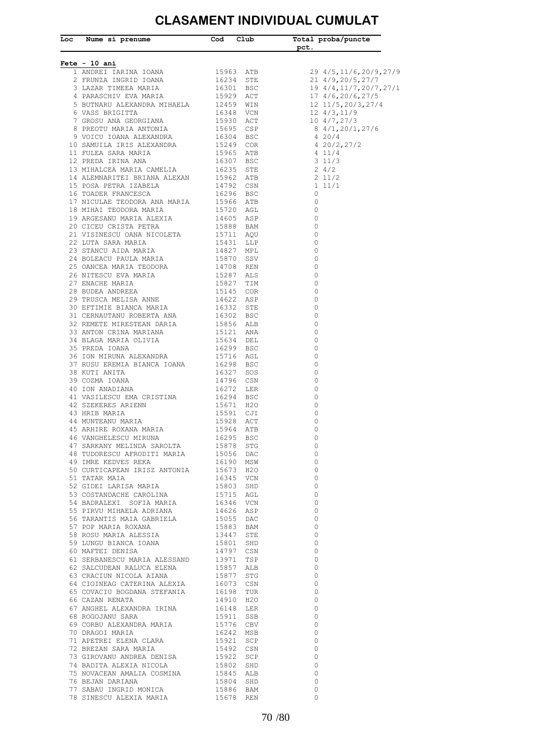## **CLASAMENT INDIVIDUAL CUMULAT**

| <u> Fete - 10 ani</u><br>21 4/9,20/5,27/7<br>19 4/4,11/7,20/7,27/1<br>17 4/6,20/6,27/5<br>12 11/5,20/3,27/4<br>12 4/3,11/9<br>10 4/7,27/3<br>8 4/1,20/1,27/6<br>44 MUNIFERNU MARIA (1928 ACT)<br>1964 ATHER ROXANA MARIA (1929 ACT)<br>1964 ATB SARKAY MELINDA SAROLTA (1929 BSC ATB STAKAY MELINDA SAROLTA (1929 STG 43 TUDORESCU AFRODITI MARIA (1930 MSV)<br>1970 CURTICAPEAN TRISZ ANTONIA (1930 M<br>$\overline{\phantom{0}}$<br>$\overline{\phantom{0}}$<br>$\overline{0}$<br>$\overline{0}$<br>$\overline{0}$<br>$\overline{0}$<br>$\overline{0}$<br>$\overline{0}$<br>$\overline{0}$<br>$\overline{0}$<br>$\overline{0}$<br>$\overline{0}$<br>$\overline{0}$<br>$\overline{0}$<br>$\overline{0}$<br>$\overline{0}$<br>$\overline{0}$<br>$\overline{0}$<br>$\overline{0}$<br>$\overline{0}$<br>$\overline{0}$<br>$\overline{0}$<br>$\overline{0}$<br>$\overline{0}$<br>$\overline{0}$ | Loc Nume si prenume Tood Club |  | Total proba/puncte<br>${\sf pct.}$ |
|----------------------------------------------------------------------------------------------------------------------------------------------------------------------------------------------------------------------------------------------------------------------------------------------------------------------------------------------------------------------------------------------------------------------------------------------------------------------------------------------------------------------------------------------------------------------------------------------------------------------------------------------------------------------------------------------------------------------------------------------------------------------------------------------------------------------------------------------------------------------------------------------|-------------------------------|--|------------------------------------|
|                                                                                                                                                                                                                                                                                                                                                                                                                                                                                                                                                                                                                                                                                                                                                                                                                                                                                              |                               |  |                                    |
|                                                                                                                                                                                                                                                                                                                                                                                                                                                                                                                                                                                                                                                                                                                                                                                                                                                                                              |                               |  | 29 4/5,11/6,20/9,27/9              |
|                                                                                                                                                                                                                                                                                                                                                                                                                                                                                                                                                                                                                                                                                                                                                                                                                                                                                              |                               |  |                                    |
|                                                                                                                                                                                                                                                                                                                                                                                                                                                                                                                                                                                                                                                                                                                                                                                                                                                                                              |                               |  |                                    |
|                                                                                                                                                                                                                                                                                                                                                                                                                                                                                                                                                                                                                                                                                                                                                                                                                                                                                              |                               |  |                                    |
|                                                                                                                                                                                                                                                                                                                                                                                                                                                                                                                                                                                                                                                                                                                                                                                                                                                                                              |                               |  |                                    |
|                                                                                                                                                                                                                                                                                                                                                                                                                                                                                                                                                                                                                                                                                                                                                                                                                                                                                              |                               |  |                                    |
|                                                                                                                                                                                                                                                                                                                                                                                                                                                                                                                                                                                                                                                                                                                                                                                                                                                                                              |                               |  |                                    |
|                                                                                                                                                                                                                                                                                                                                                                                                                                                                                                                                                                                                                                                                                                                                                                                                                                                                                              |                               |  |                                    |
|                                                                                                                                                                                                                                                                                                                                                                                                                                                                                                                                                                                                                                                                                                                                                                                                                                                                                              |                               |  |                                    |
|                                                                                                                                                                                                                                                                                                                                                                                                                                                                                                                                                                                                                                                                                                                                                                                                                                                                                              |                               |  |                                    |
|                                                                                                                                                                                                                                                                                                                                                                                                                                                                                                                                                                                                                                                                                                                                                                                                                                                                                              |                               |  |                                    |
|                                                                                                                                                                                                                                                                                                                                                                                                                                                                                                                                                                                                                                                                                                                                                                                                                                                                                              |                               |  |                                    |
|                                                                                                                                                                                                                                                                                                                                                                                                                                                                                                                                                                                                                                                                                                                                                                                                                                                                                              |                               |  |                                    |
|                                                                                                                                                                                                                                                                                                                                                                                                                                                                                                                                                                                                                                                                                                                                                                                                                                                                                              |                               |  |                                    |
|                                                                                                                                                                                                                                                                                                                                                                                                                                                                                                                                                                                                                                                                                                                                                                                                                                                                                              |                               |  |                                    |
|                                                                                                                                                                                                                                                                                                                                                                                                                                                                                                                                                                                                                                                                                                                                                                                                                                                                                              |                               |  |                                    |
|                                                                                                                                                                                                                                                                                                                                                                                                                                                                                                                                                                                                                                                                                                                                                                                                                                                                                              |                               |  |                                    |
|                                                                                                                                                                                                                                                                                                                                                                                                                                                                                                                                                                                                                                                                                                                                                                                                                                                                                              |                               |  |                                    |
|                                                                                                                                                                                                                                                                                                                                                                                                                                                                                                                                                                                                                                                                                                                                                                                                                                                                                              |                               |  |                                    |
|                                                                                                                                                                                                                                                                                                                                                                                                                                                                                                                                                                                                                                                                                                                                                                                                                                                                                              |                               |  |                                    |
|                                                                                                                                                                                                                                                                                                                                                                                                                                                                                                                                                                                                                                                                                                                                                                                                                                                                                              |                               |  |                                    |
|                                                                                                                                                                                                                                                                                                                                                                                                                                                                                                                                                                                                                                                                                                                                                                                                                                                                                              |                               |  |                                    |
|                                                                                                                                                                                                                                                                                                                                                                                                                                                                                                                                                                                                                                                                                                                                                                                                                                                                                              |                               |  |                                    |
|                                                                                                                                                                                                                                                                                                                                                                                                                                                                                                                                                                                                                                                                                                                                                                                                                                                                                              |                               |  |                                    |
|                                                                                                                                                                                                                                                                                                                                                                                                                                                                                                                                                                                                                                                                                                                                                                                                                                                                                              |                               |  |                                    |
|                                                                                                                                                                                                                                                                                                                                                                                                                                                                                                                                                                                                                                                                                                                                                                                                                                                                                              |                               |  |                                    |
|                                                                                                                                                                                                                                                                                                                                                                                                                                                                                                                                                                                                                                                                                                                                                                                                                                                                                              |                               |  |                                    |
|                                                                                                                                                                                                                                                                                                                                                                                                                                                                                                                                                                                                                                                                                                                                                                                                                                                                                              |                               |  |                                    |
|                                                                                                                                                                                                                                                                                                                                                                                                                                                                                                                                                                                                                                                                                                                                                                                                                                                                                              |                               |  |                                    |
|                                                                                                                                                                                                                                                                                                                                                                                                                                                                                                                                                                                                                                                                                                                                                                                                                                                                                              |                               |  |                                    |
|                                                                                                                                                                                                                                                                                                                                                                                                                                                                                                                                                                                                                                                                                                                                                                                                                                                                                              |                               |  |                                    |
|                                                                                                                                                                                                                                                                                                                                                                                                                                                                                                                                                                                                                                                                                                                                                                                                                                                                                              |                               |  |                                    |
|                                                                                                                                                                                                                                                                                                                                                                                                                                                                                                                                                                                                                                                                                                                                                                                                                                                                                              |                               |  |                                    |
|                                                                                                                                                                                                                                                                                                                                                                                                                                                                                                                                                                                                                                                                                                                                                                                                                                                                                              |                               |  |                                    |
|                                                                                                                                                                                                                                                                                                                                                                                                                                                                                                                                                                                                                                                                                                                                                                                                                                                                                              |                               |  |                                    |
|                                                                                                                                                                                                                                                                                                                                                                                                                                                                                                                                                                                                                                                                                                                                                                                                                                                                                              |                               |  |                                    |
|                                                                                                                                                                                                                                                                                                                                                                                                                                                                                                                                                                                                                                                                                                                                                                                                                                                                                              |                               |  |                                    |
|                                                                                                                                                                                                                                                                                                                                                                                                                                                                                                                                                                                                                                                                                                                                                                                                                                                                                              |                               |  |                                    |
|                                                                                                                                                                                                                                                                                                                                                                                                                                                                                                                                                                                                                                                                                                                                                                                                                                                                                              |                               |  |                                    |
|                                                                                                                                                                                                                                                                                                                                                                                                                                                                                                                                                                                                                                                                                                                                                                                                                                                                                              |                               |  |                                    |
|                                                                                                                                                                                                                                                                                                                                                                                                                                                                                                                                                                                                                                                                                                                                                                                                                                                                                              |                               |  |                                    |
|                                                                                                                                                                                                                                                                                                                                                                                                                                                                                                                                                                                                                                                                                                                                                                                                                                                                                              |                               |  |                                    |
|                                                                                                                                                                                                                                                                                                                                                                                                                                                                                                                                                                                                                                                                                                                                                                                                                                                                                              |                               |  |                                    |
|                                                                                                                                                                                                                                                                                                                                                                                                                                                                                                                                                                                                                                                                                                                                                                                                                                                                                              |                               |  |                                    |
|                                                                                                                                                                                                                                                                                                                                                                                                                                                                                                                                                                                                                                                                                                                                                                                                                                                                                              |                               |  |                                    |
|                                                                                                                                                                                                                                                                                                                                                                                                                                                                                                                                                                                                                                                                                                                                                                                                                                                                                              |                               |  |                                    |
|                                                                                                                                                                                                                                                                                                                                                                                                                                                                                                                                                                                                                                                                                                                                                                                                                                                                                              |                               |  |                                    |
|                                                                                                                                                                                                                                                                                                                                                                                                                                                                                                                                                                                                                                                                                                                                                                                                                                                                                              |                               |  |                                    |
|                                                                                                                                                                                                                                                                                                                                                                                                                                                                                                                                                                                                                                                                                                                                                                                                                                                                                              |                               |  |                                    |
|                                                                                                                                                                                                                                                                                                                                                                                                                                                                                                                                                                                                                                                                                                                                                                                                                                                                                              |                               |  |                                    |
|                                                                                                                                                                                                                                                                                                                                                                                                                                                                                                                                                                                                                                                                                                                                                                                                                                                                                              |                               |  |                                    |
|                                                                                                                                                                                                                                                                                                                                                                                                                                                                                                                                                                                                                                                                                                                                                                                                                                                                                              |                               |  |                                    |
|                                                                                                                                                                                                                                                                                                                                                                                                                                                                                                                                                                                                                                                                                                                                                                                                                                                                                              |                               |  |                                    |
|                                                                                                                                                                                                                                                                                                                                                                                                                                                                                                                                                                                                                                                                                                                                                                                                                                                                                              |                               |  |                                    |
|                                                                                                                                                                                                                                                                                                                                                                                                                                                                                                                                                                                                                                                                                                                                                                                                                                                                                              |                               |  |                                    |
|                                                                                                                                                                                                                                                                                                                                                                                                                                                                                                                                                                                                                                                                                                                                                                                                                                                                                              |                               |  |                                    |
|                                                                                                                                                                                                                                                                                                                                                                                                                                                                                                                                                                                                                                                                                                                                                                                                                                                                                              |                               |  |                                    |
|                                                                                                                                                                                                                                                                                                                                                                                                                                                                                                                                                                                                                                                                                                                                                                                                                                                                                              |                               |  |                                    |
|                                                                                                                                                                                                                                                                                                                                                                                                                                                                                                                                                                                                                                                                                                                                                                                                                                                                                              |                               |  |                                    |
|                                                                                                                                                                                                                                                                                                                                                                                                                                                                                                                                                                                                                                                                                                                                                                                                                                                                                              |                               |  |                                    |
|                                                                                                                                                                                                                                                                                                                                                                                                                                                                                                                                                                                                                                                                                                                                                                                                                                                                                              |                               |  |                                    |
|                                                                                                                                                                                                                                                                                                                                                                                                                                                                                                                                                                                                                                                                                                                                                                                                                                                                                              |                               |  |                                    |
|                                                                                                                                                                                                                                                                                                                                                                                                                                                                                                                                                                                                                                                                                                                                                                                                                                                                                              |                               |  |                                    |
|                                                                                                                                                                                                                                                                                                                                                                                                                                                                                                                                                                                                                                                                                                                                                                                                                                                                                              |                               |  |                                    |
|                                                                                                                                                                                                                                                                                                                                                                                                                                                                                                                                                                                                                                                                                                                                                                                                                                                                                              |                               |  |                                    |
|                                                                                                                                                                                                                                                                                                                                                                                                                                                                                                                                                                                                                                                                                                                                                                                                                                                                                              |                               |  |                                    |
|                                                                                                                                                                                                                                                                                                                                                                                                                                                                                                                                                                                                                                                                                                                                                                                                                                                                                              |                               |  |                                    |
|                                                                                                                                                                                                                                                                                                                                                                                                                                                                                                                                                                                                                                                                                                                                                                                                                                                                                              |                               |  |                                    |
|                                                                                                                                                                                                                                                                                                                                                                                                                                                                                                                                                                                                                                                                                                                                                                                                                                                                                              |                               |  |                                    |
|                                                                                                                                                                                                                                                                                                                                                                                                                                                                                                                                                                                                                                                                                                                                                                                                                                                                                              |                               |  |                                    |
|                                                                                                                                                                                                                                                                                                                                                                                                                                                                                                                                                                                                                                                                                                                                                                                                                                                                                              |                               |  | $\overline{0}$                     |
| $\overline{0}$                                                                                                                                                                                                                                                                                                                                                                                                                                                                                                                                                                                                                                                                                                                                                                                                                                                                               |                               |  |                                    |
| $\overline{0}$                                                                                                                                                                                                                                                                                                                                                                                                                                                                                                                                                                                                                                                                                                                                                                                                                                                                               |                               |  |                                    |
| $\overline{0}$                                                                                                                                                                                                                                                                                                                                                                                                                                                                                                                                                                                                                                                                                                                                                                                                                                                                               |                               |  |                                    |
| $\overline{0}$                                                                                                                                                                                                                                                                                                                                                                                                                                                                                                                                                                                                                                                                                                                                                                                                                                                                               |                               |  |                                    |
| $\overline{0}$                                                                                                                                                                                                                                                                                                                                                                                                                                                                                                                                                                                                                                                                                                                                                                                                                                                                               |                               |  |                                    |
| $\overline{0}$                                                                                                                                                                                                                                                                                                                                                                                                                                                                                                                                                                                                                                                                                                                                                                                                                                                                               |                               |  |                                    |
| $\Omega$                                                                                                                                                                                                                                                                                                                                                                                                                                                                                                                                                                                                                                                                                                                                                                                                                                                                                     |                               |  |                                    |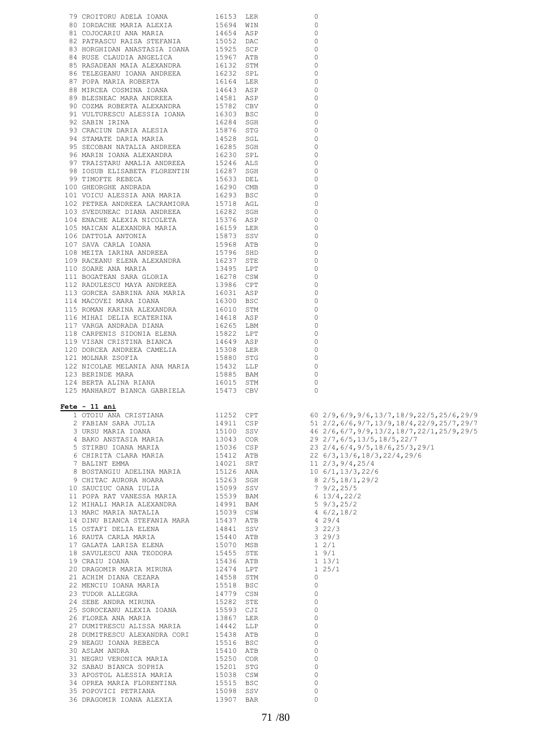| 79 CROITORU ADELA IOANA                                                                                                                                                                                                                      | 16153 LER                                        | $\circ$                                            |                                                                      |
|----------------------------------------------------------------------------------------------------------------------------------------------------------------------------------------------------------------------------------------------|--------------------------------------------------|----------------------------------------------------|----------------------------------------------------------------------|
| 80 IORDACHE MARIA ALEXIA                                                                                                                                                                                                                     | 15694 WIN                                        | 0                                                  |                                                                      |
|                                                                                                                                                                                                                                              |                                                  | $\circ$                                            |                                                                      |
| 01 COJOCARIU ANA MARIA 19654 ASP<br>82 PATRASCU RAISA STEFANIA 15052 DAC<br>83 HORGHIDAN ANASTASIA IOANA 15925 SCP<br>84 RUSE CLAUDIA ANGELICA 15967 ATB<br>85 RASADEAN MAIA ALEXANDRA 16132 STM<br>86 TELEGEANU IOANA ANDREEA 16232 SPL     |                                                  | $\Omega$                                           |                                                                      |
|                                                                                                                                                                                                                                              |                                                  |                                                    |                                                                      |
|                                                                                                                                                                                                                                              |                                                  | $\circ$                                            |                                                                      |
|                                                                                                                                                                                                                                              |                                                  | 0                                                  |                                                                      |
|                                                                                                                                                                                                                                              |                                                  | $\circ$                                            |                                                                      |
|                                                                                                                                                                                                                                              |                                                  | 0                                                  |                                                                      |
|                                                                                                                                                                                                                                              |                                                  |                                                    |                                                                      |
| 87 POPA MARIA ROBERTA                                                                                                                                                                                                                        | 16164 LER<br>14643 ASP<br>14581 ASP<br>15782 CBV | $\circ$                                            |                                                                      |
| 88 MIRCEA COSMINA IOANA                                                                                                                                                                                                                      |                                                  | 0                                                  |                                                                      |
| 89 BLESNEAC MARA ANDREEA                                                                                                                                                                                                                     |                                                  | $\circ$                                            |                                                                      |
| 90 COZMA ROBERTA ALEXANDRA                                                                                                                                                                                                                   |                                                  | $\Omega$                                           |                                                                      |
|                                                                                                                                                                                                                                              |                                                  |                                                    |                                                                      |
| 91 VULTURESCU ALESSIA IOANA 16303 BSC                                                                                                                                                                                                        |                                                  | $\Omega$                                           |                                                                      |
| 92 SABIN IRINA                                                                                                                                                                                                                               | 16284 SGH                                        | $\circ$                                            |                                                                      |
| 93 CRACIUN DARIA ALESIA                                                                                                                                                                                                                      | 15876 STG<br>14528 SGL                           | $\Omega$                                           |                                                                      |
| 94 STAMATE DARIA MARIA                                                                                                                                                                                                                       |                                                  | 0                                                  |                                                                      |
|                                                                                                                                                                                                                                              |                                                  |                                                    |                                                                      |
| $\begin{tabular}{lllllllllll} 95 & SECOBAN NATALIA ANDREEA & 16285 SGH \\ 96 MARIN IOANA ALEXANDRA & 16230 SPL \\ \end{tabular}$                                                                                                             |                                                  | $\Omega$                                           |                                                                      |
|                                                                                                                                                                                                                                              |                                                  | $\Omega$                                           |                                                                      |
|                                                                                                                                                                                                                                              |                                                  | $\Omega$                                           |                                                                      |
| 90 FEARLY LOGINI GEALLER<br>97 TRAISTARU AMALIA ANDREEA 15246 ALS<br>98 TOSUR ELLSABETA FLORENTIN 16287 SGH                                                                                                                                  |                                                  | $\Omega$                                           |                                                                      |
|                                                                                                                                                                                                                                              |                                                  |                                                    |                                                                      |
| $\begin{tabular}{lllllllllll} 99 TIMOFTE REBECA & 15633 DEL \\ 100 GHEORGHE ANDRADA & 16290 CMB \\ 101 VOTCU ALESSIA ANA MARIA & 16293 BSC \\ 102 PETERA ANDREEA LACRAMIORA & 15718 AGL \\ \end{tabular}$                                    |                                                  | $\Omega$                                           |                                                                      |
|                                                                                                                                                                                                                                              |                                                  | $\Omega$                                           |                                                                      |
|                                                                                                                                                                                                                                              |                                                  | $\Omega$                                           |                                                                      |
|                                                                                                                                                                                                                                              |                                                  | $\circ$                                            |                                                                      |
|                                                                                                                                                                                                                                              |                                                  |                                                    |                                                                      |
| $\begin{tabular}{lllllllll} 103 & \text{SVEDUNEAC DIANA} & \text{ANDREEA} & 16282 & \text{SGH} \\ 104 & \text{ENACHE ALEXIA NICOLETA} & 15376 & \text{ASP} \end{tabular}$                                                                    |                                                  | $\Omega$                                           |                                                                      |
|                                                                                                                                                                                                                                              |                                                  | 0                                                  |                                                                      |
| 105 MAICAN ALEXANDRA MARIA                                                                                                                                                                                                                   | 16159 LER<br>15873 SSV                           | $\Omega$                                           |                                                                      |
| 106 DATTOLA ANTONIA                                                                                                                                                                                                                          |                                                  | 0                                                  |                                                                      |
|                                                                                                                                                                                                                                              |                                                  |                                                    |                                                                      |
| 107 SAVA CARLA IOANA                                                                                                                                                                                                                         | 15968 ATB<br>15796 SHD                           | $\Omega$                                           |                                                                      |
| 108 MEITA IARINA ANDREEA                                                                                                                                                                                                                     |                                                  | $\circ$                                            |                                                                      |
| 109 RACEANU ELENA ALEXANDRA                                                                                                                                                                                                                  | 16237 STE                                        | $\Omega$                                           |                                                                      |
| 110 SOARE ANA MARIA                                                                                                                                                                                                                          | 13495 LPT                                        | $\circ$                                            |                                                                      |
|                                                                                                                                                                                                                                              |                                                  |                                                    |                                                                      |
| 111 BOGATEAN SARA GLORIA                                                                                                                                                                                                                     |                                                  | $\Omega$                                           |                                                                      |
| 112 RADULESCU MAYA ANDREEA                                                                                                                                                                                                                   | 16278 CSW<br>13986 CPT                           | $\mathbf 0$                                        |                                                                      |
| 113 GORCEA SABRINA ANA MARIA 16031 ASP                                                                                                                                                                                                       |                                                  | $\Omega$                                           |                                                                      |
|                                                                                                                                                                                                                                              |                                                  |                                                    |                                                                      |
| 114 MACOVEI MARA IOANA                                                                                                                                                                                                                       | 16300 BSC                                        | $\Omega$                                           |                                                                      |
| 115 ROMAN KARINA ALEXANDRA                                                                                                                                                                                                                   | 16010 STM                                        | $\Omega$                                           |                                                                      |
| 116 MIHAI DELIA ECATERINA                                                                                                                                                                                                                    | 14618 ASP                                        | $\Omega$                                           |                                                                      |
| 117 VARGA ANDRADA DIANA                                                                                                                                                                                                                      |                                                  | $\Omega$                                           |                                                                      |
|                                                                                                                                                                                                                                              | 16265 LBM<br>15822 LPT                           | $\Omega$                                           |                                                                      |
| 118 CARPENIS SIDONIA ELENA                                                                                                                                                                                                                   |                                                  |                                                    |                                                                      |
| 119 VISAN CRISTINA BIANCA                                                                                                                                                                                                                    | 14649 ASP                                        | $\Omega$                                           |                                                                      |
| 120 DORCEA ANDREEA CAMELIA                                                                                                                                                                                                                   | 15308 LER                                        | $\Omega$                                           |                                                                      |
|                                                                                                                                                                                                                                              |                                                  |                                                    |                                                                      |
|                                                                                                                                                                                                                                              |                                                  |                                                    |                                                                      |
| 121 MOLNAR ZSOFIA                                                                                                                                                                                                                            | 15880 STG                                        | $\Omega$                                           |                                                                      |
| 122 NICOLAE MELANIA ANA MARIA                                                                                                                                                                                                                | 15432 LLP                                        | $\Omega$                                           |                                                                      |
| 123 BERINDE MARA                                                                                                                                                                                                                             | 15885 BAM                                        | $\Omega$                                           |                                                                      |
| 124 BERTA ALINA RIANA                                                                                                                                                                                                                        |                                                  | $\circ$                                            |                                                                      |
|                                                                                                                                                                                                                                              | 16015 STM                                        | $\Omega$                                           |                                                                      |
| 125 MANHARDT BIANCA GABRIELA 15473 CBV                                                                                                                                                                                                       |                                                  |                                                    |                                                                      |
|                                                                                                                                                                                                                                              |                                                  |                                                    |                                                                      |
| $Fete - 11 ani$                                                                                                                                                                                                                              |                                                  |                                                    |                                                                      |
|                                                                                                                                                                                                                                              |                                                  |                                                    |                                                                      |
|                                                                                                                                                                                                                                              | 11252 CPT                                        |                                                    | 60 2/9,6/9,9/6,13/7,18/9,22/5,25/6,29/9                              |
| 1 OTOIU ANA CRISTIANA<br>2 FABIAN SARA JULIA                                                                                                                                                                                                 |                                                  |                                                    | 51 $2/2$ , 6/6, 9/7, 13/9, 18/4, 22/9, 25/7, 29/7                    |
|                                                                                                                                                                                                                                              |                                                  |                                                    |                                                                      |
|                                                                                                                                                                                                                                              |                                                  |                                                    | 46 2/6,6/7,9/9,13/2,18/7,22/1,25/9,29/5<br>29 2/7,6/5,13/5,18/5,22/7 |
|                                                                                                                                                                                                                                              |                                                  |                                                    |                                                                      |
|                                                                                                                                                                                                                                              |                                                  |                                                    | 23 2/4, 6/4, 9/5, 18/6, 25/3, 29/1                                   |
|                                                                                                                                                                                                                                              |                                                  |                                                    | 22 6/3,13/6,18/3,22/4,29/6                                           |
|                                                                                                                                                                                                                                              |                                                  |                                                    | 11 2/3, 9/4, 25/4                                                    |
|                                                                                                                                                                                                                                              |                                                  |                                                    | $10\;6/1,13/3,22/6$                                                  |
| 2 FABIAN SARA JULIA 11911 CSP<br>3 URSU MARIA IOANA 15100 SSV<br>4 BAKO ANSTASIA MARIA 13043 COR<br>5 STIRBU IOANA MARIA 15036 CSP<br>6 CHIRITA CLARA MARIA 15412 ATB<br>7 BALINT EMMA 14021 SRT<br>8 BOSTANGIU ADELINA MARIA 15126 ANA<br>8 |                                                  |                                                    | 8 2/5, 18/1, 29/2                                                    |
|                                                                                                                                                                                                                                              |                                                  |                                                    |                                                                      |
| 9 CHITAC AURORA HOARA<br>10 SAUCIUC OANA IULIA                                                                                                                                                                                               | 15263 SGH<br>15099 SSV                           |                                                    | 79/2, 25/5                                                           |
|                                                                                                                                                                                                                                              |                                                  |                                                    |                                                                      |
| 11 POPA RAT VANESSA MARIA<br>12 MIHALI MARIA ALEXANDRA                                                                                                                                                                                       | 15539 BAM<br>14991 BAM                           |                                                    | 6 13/4,22/2<br>5 9/3,25/2                                            |
|                                                                                                                                                                                                                                              |                                                  |                                                    |                                                                      |
|                                                                                                                                                                                                                                              |                                                  |                                                    | $4 \frac{6}{2}$ , 18/2<br>4 29/4                                     |
| --<br>13 MARC MARIA NATALIA 15039 CSW<br>14 DINU BIANCA STEFANIA MARA 15437 ATB                                                                                                                                                              |                                                  |                                                    |                                                                      |
|                                                                                                                                                                                                                                              |                                                  |                                                    |                                                                      |
|                                                                                                                                                                                                                                              |                                                  | $322/3$<br>329/3                                   |                                                                      |
|                                                                                                                                                                                                                                              |                                                  |                                                    |                                                                      |
|                                                                                                                                                                                                                                              |                                                  | $\begin{array}{cc} 1 & 2/1 \\ 1 & 9/1 \end{array}$ |                                                                      |
|                                                                                                                                                                                                                                              |                                                  |                                                    |                                                                      |
|                                                                                                                                                                                                                                              |                                                  |                                                    |                                                                      |
| 10 KAOTA URULA LANISA ELENA<br>18 SAVULESCU ANA TEODORA<br>19 CRAIU IOANA<br>20 DRAGOMIR MARIA MIRUNA                                                                                                                                        | 15436 ATB<br>12474 LPT                           | $1 13/1$<br>$1 25/1$                               |                                                                      |
|                                                                                                                                                                                                                                              |                                                  | $\circ$                                            |                                                                      |
| 21 ACHIM DIANA CEZARA                                                                                                                                                                                                                        |                                                  | 0                                                  |                                                                      |
|                                                                                                                                                                                                                                              |                                                  | $\circ$                                            |                                                                      |
|                                                                                                                                                                                                                                              |                                                  |                                                    |                                                                      |
| 22 MENCIU IOANA MARIA<br>23 TUDOR ALLEGRA<br>24 SEBE ANDRA MIRUNA                                                                                                                                                                            | 14558 STM<br>15518 BSC<br>14779 CSN<br>15282 STE | $\circ$                                            |                                                                      |
|                                                                                                                                                                                                                                              |                                                  | $\circ$                                            |                                                                      |
|                                                                                                                                                                                                                                              |                                                  | 0                                                  |                                                                      |
| 24 SEBE ANDRA MIRUNA<br>25 SOROCEANU ALEXIA IOANA 15593 CJI<br>26 FIOREA ANA MARIA 13867 LER                                                                                                                                                 |                                                  | $\circ$                                            |                                                                      |
|                                                                                                                                                                                                                                              |                                                  |                                                    |                                                                      |
| $\begin{tabular}{lllllllll} 27 & DUMITRESCU ALISSA MARIA & 14442 & LLP \\ 28 & DUMITRESCU ALEXANDRA CORI & 15438 ATB \\ \end{tabular}$                                                                                                       |                                                  | $\circ$                                            |                                                                      |
|                                                                                                                                                                                                                                              |                                                  | $\circ$                                            |                                                                      |
|                                                                                                                                                                                                                                              |                                                  | $\circ$                                            |                                                                      |
| 28 DUMITRESCU ALEXANDRA CONTRA 15516 BSC<br>29 NEAGU IOANA REBECA 15516 BSC<br>20 ACLAM ANDRA 15410 ATB                                                                                                                                      |                                                  | $\circ$                                            |                                                                      |
| 31 NEGRU VERONICA MARIA                                                                                                                                                                                                                      |                                                  |                                                    |                                                                      |
| 32 SABAU BIANCA SOPHIA                                                                                                                                                                                                                       | 15250 COR<br>15201 STG                           | $\circ$                                            |                                                                      |
| 33 APOSTOL ALESSIA MARIA                                                                                                                                                                                                                     | 15038 CSW                                        | $\circ$                                            |                                                                      |
| 34 OPREA MARIA FLORENTINA                                                                                                                                                                                                                    |                                                  | $\circ$                                            |                                                                      |
| 35 POPOVICI PETRIANA                                                                                                                                                                                                                         |                                                  | $\circ$                                            |                                                                      |
| 36 DRAGOMIR IOANA ALEXIA                                                                                                                                                                                                                     | 15515 BSC<br>15098 SSV<br>13907 BAR              | $\circ$                                            |                                                                      |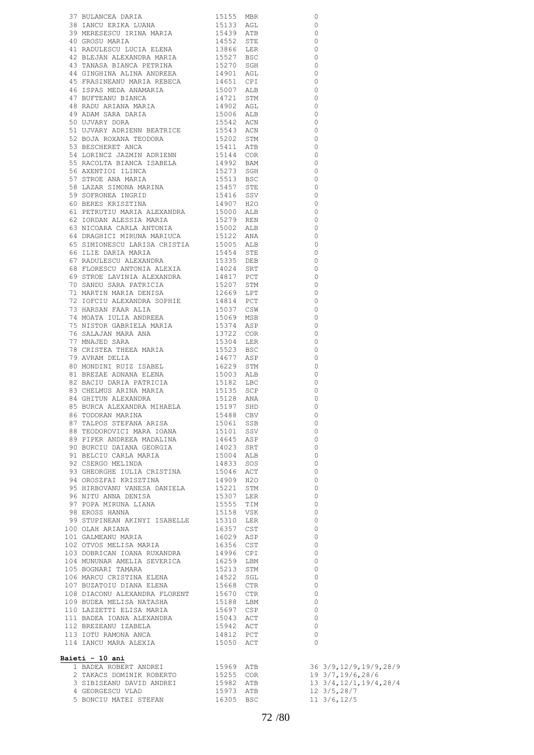|                                                                                                                                                                                                                                                                                                                                                                                                                         |                        |     | $\circ$              |                                           |
|-------------------------------------------------------------------------------------------------------------------------------------------------------------------------------------------------------------------------------------------------------------------------------------------------------------------------------------------------------------------------------------------------------------------------|------------------------|-----|----------------------|-------------------------------------------|
|                                                                                                                                                                                                                                                                                                                                                                                                                         |                        |     | $\circ$              |                                           |
|                                                                                                                                                                                                                                                                                                                                                                                                                         |                        |     | $\circ$<br>$\Omega$  |                                           |
|                                                                                                                                                                                                                                                                                                                                                                                                                         |                        |     | $\circ$              |                                           |
|                                                                                                                                                                                                                                                                                                                                                                                                                         |                        |     | $\Omega$             |                                           |
|                                                                                                                                                                                                                                                                                                                                                                                                                         |                        |     | $\Omega$             |                                           |
|                                                                                                                                                                                                                                                                                                                                                                                                                         |                        |     | $\Omega$             |                                           |
| 45 FRASINEANU MARIA REBECA 14651 CPI<br>46 ISPAS MEDA ANAMARIA 15007 ALB<br>47 BUFTEANU BIANCA 14721 STM<br>48 RADU ARIANA MARIA 14902 AGL                                                                                                                                                                                                                                                                              |                        |     | $\Omega$             |                                           |
|                                                                                                                                                                                                                                                                                                                                                                                                                         |                        |     | $\Omega$             |                                           |
|                                                                                                                                                                                                                                                                                                                                                                                                                         |                        |     | $\Omega$             |                                           |
|                                                                                                                                                                                                                                                                                                                                                                                                                         |                        |     | $\Omega$<br>$\Omega$ |                                           |
| 47 BUFTEANU BIANCA<br>48 RADU ARIANA MARIA<br>49 ADAM SARA DARIA<br>50 UJVARY DORA<br>15542 ACN                                                                                                                                                                                                                                                                                                                         |                        |     | $\Omega$             |                                           |
| 50 UJVARY DORA<br>51 UJVARY ADRIENN BEATRICE<br>52 BOJA ROXANA TEODORA<br>52 BESCHERET ANCA<br>54 LORINCZ JAZMIN ADRIENN<br>54 LORINCZ JAZMIN ADRIENN<br>55 RACOLTA BIANCA ISABELA<br>56 AXENTIOI ILINCA<br>56 AXENTIOI ILINCA<br>57 STROE ANA M                                                                                                                                                                        |                        |     | $\Omega$             |                                           |
|                                                                                                                                                                                                                                                                                                                                                                                                                         |                        |     | $\Omega$             |                                           |
|                                                                                                                                                                                                                                                                                                                                                                                                                         |                        |     | $\Omega$             |                                           |
|                                                                                                                                                                                                                                                                                                                                                                                                                         |                        |     | $\Omega$             |                                           |
|                                                                                                                                                                                                                                                                                                                                                                                                                         |                        |     | $\Omega$             |                                           |
|                                                                                                                                                                                                                                                                                                                                                                                                                         |                        |     | $\circ$              |                                           |
|                                                                                                                                                                                                                                                                                                                                                                                                                         |                        |     | $\Omega$             |                                           |
|                                                                                                                                                                                                                                                                                                                                                                                                                         |                        |     | $\Omega$<br>$\Omega$ |                                           |
|                                                                                                                                                                                                                                                                                                                                                                                                                         |                        |     | $\circ$              |                                           |
|                                                                                                                                                                                                                                                                                                                                                                                                                         |                        |     | $\Omega$             |                                           |
|                                                                                                                                                                                                                                                                                                                                                                                                                         |                        |     | $\circ$              |                                           |
|                                                                                                                                                                                                                                                                                                                                                                                                                         |                        |     | $\Omega$             |                                           |
|                                                                                                                                                                                                                                                                                                                                                                                                                         |                        |     | $\circ$              |                                           |
|                                                                                                                                                                                                                                                                                                                                                                                                                         |                        |     | $\Omega$             |                                           |
|                                                                                                                                                                                                                                                                                                                                                                                                                         |                        |     | $\Omega$             |                                           |
|                                                                                                                                                                                                                                                                                                                                                                                                                         |                        |     | $\Omega$             |                                           |
|                                                                                                                                                                                                                                                                                                                                                                                                                         |                        |     | $\Omega$<br>$\Omega$ |                                           |
|                                                                                                                                                                                                                                                                                                                                                                                                                         |                        |     | $\Omega$             |                                           |
|                                                                                                                                                                                                                                                                                                                                                                                                                         |                        |     | $\Omega$             |                                           |
|                                                                                                                                                                                                                                                                                                                                                                                                                         |                        |     | $\Omega$             |                                           |
|                                                                                                                                                                                                                                                                                                                                                                                                                         |                        |     | $\Omega$             |                                           |
|                                                                                                                                                                                                                                                                                                                                                                                                                         |                        |     | $\Omega$             |                                           |
|                                                                                                                                                                                                                                                                                                                                                                                                                         |                        |     | $\Omega$             |                                           |
| 30 SOFRONIA HISINA 1907 H2O<br>60 BERES KRISZTINA 14907 H2O<br>61 PETRUTIU MARIA ALEXANDRA 15000 ALB<br>62 IORDAN ALESSIA MARIA 15279 REN<br>63 NICOARA CARLA ANTONIA 15002 ALB<br>66 ELIE DARIA MARIUCA 15122 ANA<br>65 SIMIONESCU LARISA                                                                                                                                                                              |                        |     | $\Omega$             |                                           |
|                                                                                                                                                                                                                                                                                                                                                                                                                         |                        |     | $\Omega$             |                                           |
|                                                                                                                                                                                                                                                                                                                                                                                                                         |                        |     | $\Omega$             |                                           |
| 1991 - 1992<br>1992 - 1993 - 1993<br>1992 - 1993 - 1994<br>1993 - 1994<br>1994 - 1994<br>1994 - 1994<br>1993 - 1994<br>1993 - 1994<br>1993 - 1994<br>1993 - 1994<br>1993 - 1994<br>1993 - 1994<br>1993 - 1994<br>1993 - 1994<br>1993 - 1994<br>1993 - 1994<br>                                                                                                                                                          |                        |     | $\Omega$<br>$\Omega$ |                                           |
|                                                                                                                                                                                                                                                                                                                                                                                                                         |                        |     | $\Omega$             |                                           |
|                                                                                                                                                                                                                                                                                                                                                                                                                         |                        |     | $\circ$              |                                           |
|                                                                                                                                                                                                                                                                                                                                                                                                                         |                        |     | $\circ$              |                                           |
| $\begin{tabular}{lllllllllllllllllllll} \texttt{82} & \texttt{BACIU} & \texttt{BARIA} & \texttt{PARTRICIA} & & & & 15182 & \texttt{LBC} \\ \texttt{83} & \texttt{CHELMUS} & \texttt{ARINA} & & & 15135 & \texttt{SCP} \\ \texttt{84} & \texttt{GHITUN} & \texttt{ALEXANDRA} & & & 15128 & \texttt{ANA} \\ \texttt{85} & \texttt{BURCA} & \texttt{ALEXANDRA} & \texttt{MHAELA} & & & 15197 & \texttt{SHD} \end{tabular}$ |                        |     | $\mathbf 0$          |                                           |
|                                                                                                                                                                                                                                                                                                                                                                                                                         |                        |     | $\Omega$             |                                           |
|                                                                                                                                                                                                                                                                                                                                                                                                                         |                        |     | $\overline{0}$       |                                           |
|                                                                                                                                                                                                                                                                                                                                                                                                                         |                        |     | 0                    |                                           |
| 98 TEODOROVICI MARA IOANA 155101 SSV<br>89 TEODOROVICI MARA IOANA 155101 SSV<br>89 PIPER ANDREEA MADALINA 14645 ASP<br>90 BURCIU DAIANA GEORGIA 14023 SRT<br>91 BELCIU CARLA MARIA 15004 ALB<br>92 CSERGO MELINDA 14833 SOS<br>93 GHEORGHE                                                                                                                                                                              |                        |     | $\circ$              |                                           |
|                                                                                                                                                                                                                                                                                                                                                                                                                         |                        |     | $\circ$              |                                           |
|                                                                                                                                                                                                                                                                                                                                                                                                                         |                        |     | $\circ$<br>$\circ$   |                                           |
|                                                                                                                                                                                                                                                                                                                                                                                                                         |                        |     | $\circ$              |                                           |
|                                                                                                                                                                                                                                                                                                                                                                                                                         |                        |     | $\circ$              |                                           |
| 93 GRECKOME IVALIT<br>94 OROSZFAI KRISZTINA<br>95 HIRBOVANU VANESA DANIELA                                                                                                                                                                                                                                                                                                                                              |                        |     | $\circ$              |                                           |
|                                                                                                                                                                                                                                                                                                                                                                                                                         | 14909 H2O<br>15221 STM | STM | $\circ$              |                                           |
| 96 NITU ANNA DENISA<br>27 DODA VIDUUL 171VI                                                                                                                                                                                                                                                                                                                                                                             | 15307 LER<br>15555 TIM |     | $\circ$              |                                           |
| 97 POPA MIRUNA LIANA<br>98 EROSS HANNA                                                                                                                                                                                                                                                                                                                                                                                  |                        |     | $\circ$              |                                           |
|                                                                                                                                                                                                                                                                                                                                                                                                                         | 15158 VSK              |     | $\circ$              |                                           |
| 99 STUPINEAN AKINYI ISABELLE 15310 LER                                                                                                                                                                                                                                                                                                                                                                                  |                        |     | $\circ$              |                                           |
| 100 OLAH ARIANA<br>101 GALMEANU MARIA                                                                                                                                                                                                                                                                                                                                                                                   | 16357 CST<br>16029 ASP |     | $\circ$              |                                           |
| 101 CHEMINING --<br>102 OTVOS MELISA MARIA                                                                                                                                                                                                                                                                                                                                                                              |                        |     | $\circ$<br>$\circ$   |                                           |
| 103 DOBRICAN IOANA RUXANDRA                                                                                                                                                                                                                                                                                                                                                                                             | 16356 CST<br>14996 CPI |     | $\circ$              |                                           |
| 104 MUNUNAR AMELIA SEVERICA 16259 LBM                                                                                                                                                                                                                                                                                                                                                                                   |                        |     | $\circ$              |                                           |
| 105 BOGNARI TAMARA                                                                                                                                                                                                                                                                                                                                                                                                      | 15213 STM              |     | $\circ$              |                                           |
| 106 MARCU CRISTINA ELENA 14522 SGL                                                                                                                                                                                                                                                                                                                                                                                      |                        |     | 0                    |                                           |
| 107 BUZATOIU DIANA ELENA                                                                                                                                                                                                                                                                                                                                                                                                | 15668 CTR              |     | $\circ$              |                                           |
| 108 DIACONU ALEXANDRA FLORENT 15670 CTR                                                                                                                                                                                                                                                                                                                                                                                 |                        |     | $\circ$              |                                           |
| 109 BUDEA MELISA NATASHA                                                                                                                                                                                                                                                                                                                                                                                                | 15188 LBM              |     | $\circ$              |                                           |
| 110 LAZETTI ELISA MARIA 1999 - 1999 - 1999 - 1999 - 1999 - 1999 - 1999 - 1999 - 1999 - 1999 - 1999 - 1999 - 1<br>112 BREZEANU IZABELA 1994 - 1999 - 1999 - 1999 - 1999 - 1999 - 1999 - 1999 - 1999 - 1999 - 1999 - 1999 - 1999                                                                                                                                                                                          |                        |     | 0                    |                                           |
| 111 BADEA IOANA ALEXANDRA<br>112 BREZEANU IZABELA                                                                                                                                                                                                                                                                                                                                                                       |                        |     | $\circ$              |                                           |
| 113 IOTU RAMONA ANCA                                                                                                                                                                                                                                                                                                                                                                                                    | 14812 PCT              |     | $\circ$<br>$\circ$   |                                           |
| 114 IANCU MARA ALEXIA 15050 ACT                                                                                                                                                                                                                                                                                                                                                                                         |                        |     | $\Omega$             |                                           |
|                                                                                                                                                                                                                                                                                                                                                                                                                         |                        |     |                      |                                           |
| Baieti - 10 ani                                                                                                                                                                                                                                                                                                                                                                                                         |                        |     |                      |                                           |
|                                                                                                                                                                                                                                                                                                                                                                                                                         |                        |     |                      |                                           |
| 1 BADEA ROBERT ANDREI 15969 ATB<br>2 TAKACS DOMINIK ROBERTO 15255 COR                                                                                                                                                                                                                                                                                                                                                   |                        |     |                      | 36 3/9,12/9,19/9,28/9<br>19 3/7,19/6,28/6 |
| 3 SIBISEANU DAVID ANDREI                                                                                                                                                                                                                                                                                                                                                                                                | 15982 ATB              |     |                      | 13 3/4, 12/1, 19/4, 28/4                  |
| 4 GEORGESCU VLAD                                                                                                                                                                                                                                                                                                                                                                                                        | 15973 ATB              |     |                      | 12 3/5,28/7                               |
| 5 BONCIU MATEI STEFAN 16305 BSC                                                                                                                                                                                                                                                                                                                                                                                         |                        |     |                      | $11 \frac{3}{6}$ , 12/5                   |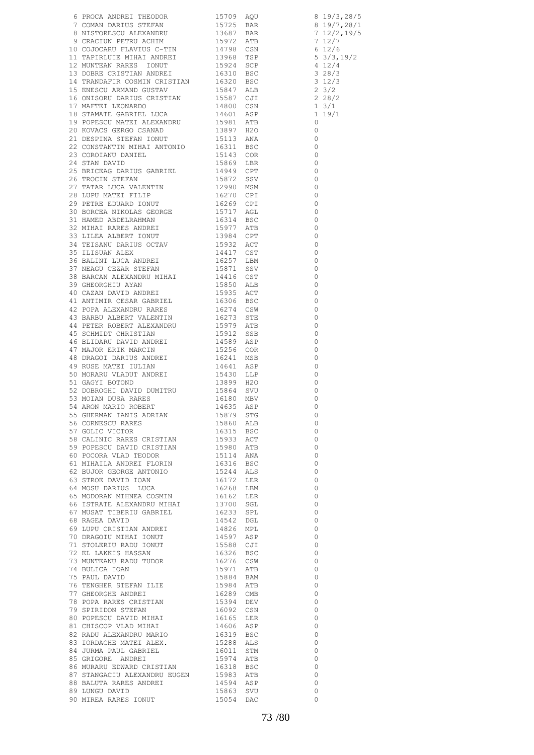|                                                                                                                                                                                                                               |  | $\overline{0}$                   |
|-------------------------------------------------------------------------------------------------------------------------------------------------------------------------------------------------------------------------------|--|----------------------------------|
|                                                                                                                                                                                                                               |  | $\overline{0}$                   |
|                                                                                                                                                                                                                               |  | $\overline{0}$                   |
|                                                                                                                                                                                                                               |  | $\overline{0}$                   |
| 39 MOLAN DUASA NARIO ROBERT 1958 GENERAAN 1958 ARON MARIO ROBERT 1957 GENERAAN 1878 ARON MARIO ROBERT 1958 GOLIE VICTOR 1958 ACCE VICTOR 1993 ACT (TOTOR CONTENT) 1993 ACT (TOTOR GENERAL 1993 ACT 1993 ACT 1993 ACT 1993 ACT |  | $\overline{0}$                   |
|                                                                                                                                                                                                                               |  | $\overline{0}$                   |
|                                                                                                                                                                                                                               |  | $\overline{0}$<br>$\overline{0}$ |
|                                                                                                                                                                                                                               |  | $\overline{0}$                   |
|                                                                                                                                                                                                                               |  | $\overline{0}$                   |
|                                                                                                                                                                                                                               |  | $\overline{0}$                   |
|                                                                                                                                                                                                                               |  | $\overline{0}$                   |
|                                                                                                                                                                                                                               |  | $\overline{0}$                   |
|                                                                                                                                                                                                                               |  | $\overline{0}$                   |
|                                                                                                                                                                                                                               |  | $\overline{0}$<br>$\overline{0}$ |
|                                                                                                                                                                                                                               |  | $\overline{0}$                   |
|                                                                                                                                                                                                                               |  | $\overline{0}$                   |
|                                                                                                                                                                                                                               |  | $\overline{0}$                   |
|                                                                                                                                                                                                                               |  | $\overline{0}$                   |
|                                                                                                                                                                                                                               |  | $\overline{0}$                   |
|                                                                                                                                                                                                                               |  | $\overline{0}$                   |
|                                                                                                                                                                                                                               |  | $\overline{0}$                   |
|                                                                                                                                                                                                                               |  | $\overline{0}$<br>$\overline{0}$ |
|                                                                                                                                                                                                                               |  | $\overline{0}$                   |
|                                                                                                                                                                                                                               |  | $\overline{0}$                   |
|                                                                                                                                                                                                                               |  | $\overline{0}$                   |
|                                                                                                                                                                                                                               |  | $\bigcirc$                       |
|                                                                                                                                                                                                                               |  |                                  |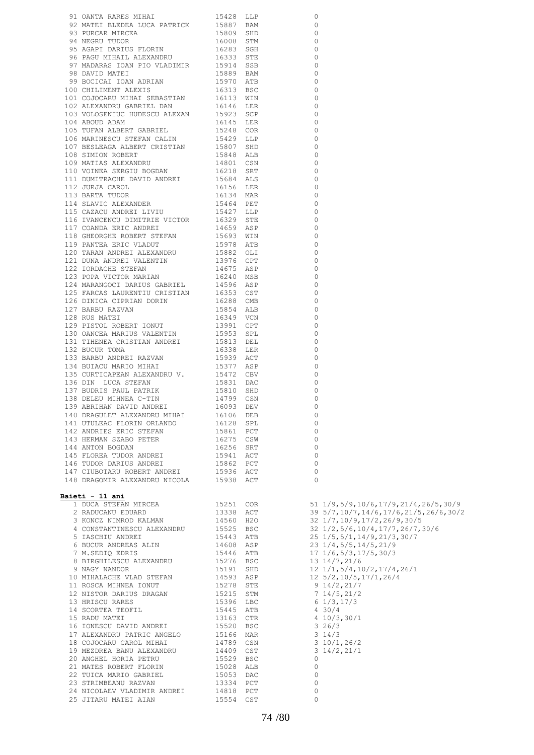| 91 OANTA RARES MIHAI                                                                                                                                                     | 15428 LLP              | $\circ$  |                                            |
|--------------------------------------------------------------------------------------------------------------------------------------------------------------------------|------------------------|----------|--------------------------------------------|
| 92 MATEI BLEDEA LUCA PATRICK                                                                                                                                             | 15887 BAM              | 0        |                                            |
| 93 PURCAR MIRCEA                                                                                                                                                         | 15809 SHD              | $\Omega$ |                                            |
|                                                                                                                                                                          |                        |          |                                            |
| 94 NEGRU TUDOR                                                                                                                                                           | 16008 STM              | $\circ$  |                                            |
|                                                                                                                                                                          |                        | $\Omega$ |                                            |
|                                                                                                                                                                          |                        | $\circ$  |                                            |
| 97 MADARAS IOAN PIO VLADIMIR 15914 SSB                                                                                                                                   |                        | $\Omega$ |                                            |
|                                                                                                                                                                          |                        |          |                                            |
| 98 DAVID MATEI                                                                                                                                                           | 15889 BAM              | 0        |                                            |
| 99 BOCICAI IOAN ADRIAN                                                                                                                                                   | 15970 ATB<br>16313 BSC | $\Omega$ |                                            |
| 100 CHILIMENT ALEXIS                                                                                                                                                     |                        | $\circ$  |                                            |
| 101 COJOCARU MIHAI SEBASTIAN 16113 WIN                                                                                                                                   |                        | $\Omega$ |                                            |
| 102 ALEXANDRU GABRIEL DAN                                                                                                                                                |                        |          |                                            |
|                                                                                                                                                                          | 16146 LER              | $\Omega$ |                                            |
| 103 VOLOSENIUC HUDESCU ALEXAN 15923 SCP                                                                                                                                  |                        | $\Omega$ |                                            |
| 104 ABOUD ADAM                                                                                                                                                           | 16145 LER              | $\Omega$ |                                            |
| 15248 COR<br>15248 COR<br>15248 COR                                                                                                                                      |                        | $\Omega$ |                                            |
|                                                                                                                                                                          | 15429 LLP              | $\Omega$ |                                            |
| 106 MARINESCU STEFAN CALIN                                                                                                                                               |                        |          |                                            |
| 107 BESLEAGA ALBERT CRISTIAN 15807 SHD                                                                                                                                   |                        | $\Omega$ |                                            |
| 108 SIMION ROBERT                                                                                                                                                        | 15848 ALB              | $\Omega$ |                                            |
| 109 MATIAS ALEXANDRU                                                                                                                                                     | 14801 CSN              | $\Omega$ |                                            |
| 110 VOINEA SERGIU BOGDAN                                                                                                                                                 | 16218 SRT              | $\Omega$ |                                            |
| 111 DUMITRACHE DAVID ANDREI 15684 ALS                                                                                                                                    |                        | $\Omega$ |                                            |
|                                                                                                                                                                          |                        |          |                                            |
| 112 JURJA CAROL NAROL                                                                                                                                                    | 16156 LER              | $\Omega$ |                                            |
| 113 BARTA TUDOR                                                                                                                                                          | 16134 MAR              | $\Omega$ |                                            |
|                                                                                                                                                                          |                        | $\Omega$ |                                            |
| $\begin{tabular}{lllllllllll} 114 & SLAVIC ALEXANDER & & & 15464 & PET\\ 115 & CAZACU ANDREI LIVIU & & & 15427 & LLP\\ \end{tabular}$                                    |                        | $\Omega$ |                                            |
|                                                                                                                                                                          |                        |          |                                            |
|                                                                                                                                                                          |                        | $\circ$  |                                            |
| 117 COANDA ERIC ANDREI                                                                                                                                                   |                        | $\Omega$ |                                            |
|                                                                                                                                                                          |                        | $\circ$  |                                            |
| 118 GHEORGHE ROBERT STEFAN<br>119 PANTEA ERIC VLADUT                                                                                                                     | 15693 WIN<br>15978 ATB | $\circ$  |                                            |
|                                                                                                                                                                          |                        |          |                                            |
| $\begin{tabular}{llllll} 120 & \texttt{TRAN ANDREI ALEXANDRU} & & & 15882 & \texttt{OLI}\\ 121 & \texttt{DUNA ANDREI VALENTIN} & & & 13976 & \texttt{CPT} \end{tabular}$ |                        | $\circ$  |                                            |
|                                                                                                                                                                          |                        | 0        |                                            |
| 122 IORDACHE STEFAN                                                                                                                                                      | 14675 ASP              | $\circ$  |                                            |
|                                                                                                                                                                          |                        | 0        |                                            |
|                                                                                                                                                                          |                        |          |                                            |
| 124 MARANGOCI DARIUS GABRIEL 14596 ASP<br>125 FARCAS LAURENTIU CRISTIAN 16353 CST                                                                                        |                        | $\circ$  |                                            |
|                                                                                                                                                                          |                        | $\Omega$ |                                            |
| 126 DINICA CIPRIAN DORIN 16288 CMB                                                                                                                                       |                        | $\Omega$ |                                            |
| 127 BARBU RAZVAN                                                                                                                                                         | 15854 ALB              | $\Omega$ |                                            |
|                                                                                                                                                                          |                        | $\Omega$ |                                            |
| 128 RUS MATEI                                                                                                                                                            | 16349 VCN              |          |                                            |
| 129 PISTOL ROBERT IONUT                                                                                                                                                  | 13991 CPT              | 0        |                                            |
| 130 OANCEA MARIUS VALENTIN<br>131 TIHENEA CRISTIAN ANDREI                                                                                                                | 15953 SPL<br>15813 DEL | $\Omega$ |                                            |
|                                                                                                                                                                          |                        | $\Omega$ |                                            |
|                                                                                                                                                                          |                        | $\Omega$ |                                            |
| 132 BUCUR TOMA                                                                                                                                                           | 16338 LER              |          |                                            |
| 133 BARBU ANDREI RAZVAN                                                                                                                                                  | 15939 ACT              | $\Omega$ |                                            |
| 133 EINES III-I                                                                                                                                                          | 15377 ASP<br>15472 CBV | $\Omega$ |                                            |
| 135 CURTICAPEAN ALEXANDRU V.                                                                                                                                             |                        | $\Omega$ |                                            |
| 136 DIN LUCA STEFAN                                                                                                                                                      | 15831 DAC              | $\Omega$ |                                            |
|                                                                                                                                                                          |                        |          |                                            |
| 137 BUDRIS PAUL PATRIK                                                                                                                                                   | 15810 SHD              | $\circ$  |                                            |
| 137 DODNED 1.00- -<br>138 DELEU MIHNEA C-TIN                                                                                                                             | 14799 CSN              | $\circ$  |                                            |
| 139 ABRIHAN DAVID ANDREI                                                                                                                                                 | 16093 DEV              | $\Omega$ |                                            |
| 140 DRAGULET ALEXANDRU MIHAI                                                                                                                                             | 16106 DEB              | 0        |                                            |
|                                                                                                                                                                          |                        |          |                                            |
| 141 UTULEAC FLORIN ORLANDO                                                                                                                                               | 16128 SPL              | 0        |                                            |
| 142 ANDRIES ERIC STEFAN                                                                                                                                                  | 15861 PCT              | 0        |                                            |
| 143 HERMAN SZABO PETER                                                                                                                                                   | 16275 CSW              | 0        |                                            |
| 144 ANTON BOGDAN                                                                                                                                                         | 16256 SRT              | 0        |                                            |
|                                                                                                                                                                          | 15941 ACT              | 0        |                                            |
| 145 FLOREA TUDOR ANDREI                                                                                                                                                  |                        |          |                                            |
| 146 TUDOR DARIUS ANDREI                                                                                                                                                  | 15862 PCT              | 0        |                                            |
| 147 CIUBOTARU ROBERT ANDREI                                                                                                                                              | 15936 ACT              | 0        |                                            |
| 148 DRAGOMIR ALEXANDRU NICOLA                                                                                                                                            | 15938 ACT              | $\Omega$ |                                            |
|                                                                                                                                                                          |                        |          |                                            |
|                                                                                                                                                                          |                        |          |                                            |
| Baieti - 11 ani                                                                                                                                                          |                        |          |                                            |
| 1 DUCA STEFAN MIRCEA                                                                                                                                                     | 15251 COR              |          | 51 1/9,5/9,10/6,17/9,21/4,26/5,30/9        |
| 2 RADUCANU EDUARD                                                                                                                                                        | 13338 ACT              |          | 39 5/7, 10/7, 14/6, 17/6, 21/5, 26/6, 30/2 |
| 3 KONCZ NIMROD KALMAN                                                                                                                                                    | 14560 H2O              |          | 32 1/7,10/9,17/2,26/9,30/5                 |
| 4 CONSTANTINESCU ALEXANDRU                                                                                                                                               | 15525 BSC              |          | 32 1/2,5/6,10/4,17/7,26/7,30/6             |
|                                                                                                                                                                          |                        |          |                                            |
| 5 IASCHIU ANDREI                                                                                                                                                         | 15443 ATB              |          | 25 1/5,5/1,14/9,21/3,30/7                  |
| 6 BUCUR ANDREAS ALIN                                                                                                                                                     | 14608 ASP              |          | 23 1/4,5/5,14/5,21/9                       |
| 7 M.SEDIQ EDRIS                                                                                                                                                          | 15446 ATB              |          | $17 \frac{1}{6}$ , 5/3, 17/5, 30/3         |
| 8 BIRGHILESCU ALEXANDRU                                                                                                                                                  | 15276 BSC              |          | 13 14/7,21/6                               |
|                                                                                                                                                                          |                        |          |                                            |
| 9 NAGY NANDOR                                                                                                                                                            | 15191 SHD              |          | $12 \t1/1, 5/4, 10/2, 17/4, 26/1$          |
| 10 MIHALACHE VLAD STEFAN                                                                                                                                                 | 14593 ASP              |          | $12\;\;5/2,10/5,17/1,26/4$                 |
| 11 ROSCA MIHNEA IONUT                                                                                                                                                    | 15278 STE              |          | $9\;14/2,21/7$                             |
| 12 NISTOR DARIUS DRAGAN                                                                                                                                                  | 15215 STM              |          | 7 14/5,21/2                                |
| 13 HRISCU RARES                                                                                                                                                          | 15396 LBC              |          | $6\frac{1}{3},\frac{17}{3}$                |
|                                                                                                                                                                          |                        |          |                                            |
| 14 SCORTEA TEOFIL                                                                                                                                                        | 15445 ATB              |          | 4 30/4                                     |
| 15 RADU MATEI                                                                                                                                                            | 13163 CTR              |          | 4 10/3,30/1                                |
| 16 IONESCU DAVID ANDREI                                                                                                                                                  | 15520 BSC              |          | 326/3                                      |
| 17 ALEXANDRU PATRIC ANGELO                                                                                                                                               | 15166 MAR              |          | $3 \t14/3$                                 |
|                                                                                                                                                                          |                        |          |                                            |
| 18 COJOCARU CAROL MIHAI                                                                                                                                                  | 14789 CSN              |          | $3\;10/1,26/2$                             |
| 19 MEZDREA BANU ALEXANDRU                                                                                                                                                | 14409 CST              |          | $3\;14/2,21/1$                             |
| 20 ANGHEL HORIA PETRU                                                                                                                                                    | 15529 BSC              | $\circ$  |                                            |
| 21 MATES ROBERT FLORIN                                                                                                                                                   | 15028 ALB              | 0        |                                            |
|                                                                                                                                                                          |                        |          |                                            |
| 22 TUICA MARIO GABRIEL                                                                                                                                                   | 15053 DAC              | 0        |                                            |
| 23 STRIMBEANU RAZVAN                                                                                                                                                     | 13334 PCT              | $\circ$  |                                            |
| 24 NICOLAEV VLADIMIR ANDREI                                                                                                                                              | 14818 PCT              | 0        |                                            |
| 25 JITARU MATEI AIAN                                                                                                                                                     | 15554 CST              | 0        |                                            |
|                                                                                                                                                                          |                        |          |                                            |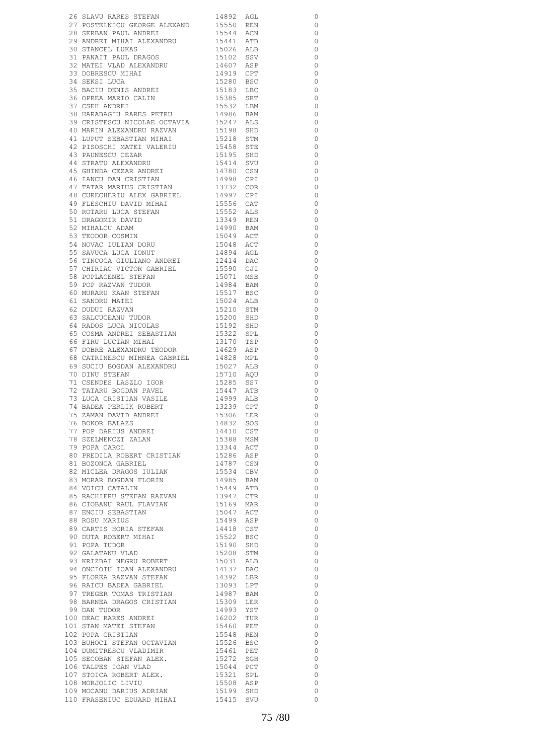|                                                                                                                                                                                                                                                                                                                                                                                                      |                                                                                           | 0                        |
|------------------------------------------------------------------------------------------------------------------------------------------------------------------------------------------------------------------------------------------------------------------------------------------------------------------------------------------------------------------------------------------------------|-------------------------------------------------------------------------------------------|--------------------------|
| 26 SLAVU RARES STEFAN 14892 AGL<br>27 POSTELNICU GEORGE ALEXAND 15550 REN 28 SERBAN PAUL ANDREI 15544 ACN 1541 ATB                                                                                                                                                                                                                                                                                   |                                                                                           | $\circ$                  |
|                                                                                                                                                                                                                                                                                                                                                                                                      |                                                                                           |                          |
|                                                                                                                                                                                                                                                                                                                                                                                                      |                                                                                           | $\overline{\phantom{0}}$ |
|                                                                                                                                                                                                                                                                                                                                                                                                      |                                                                                           | $\overline{\phantom{0}}$ |
|                                                                                                                                                                                                                                                                                                                                                                                                      |                                                                                           | $\overline{\phantom{0}}$ |
| 31 PANAIT PAUL DRAGOS<br>32 MATRI VIAD ALIMATION                                                                                                                                                                                                                                                                                                                                                     | 1544<br>15026 ALB<br>15102 SSV<br>14607 ASP<br>14919 CPT                                  | $\overline{0}$           |
| 32 MATEI VLAD ALEXANDRU                                                                                                                                                                                                                                                                                                                                                                              |                                                                                           | $\overline{0}$           |
| 32 FIRENCI VERESCU MIHAT 1919 CPT<br>33 DOBRESCU MIHAT 15280 BSC<br>35 BACIU DENIS ANDREI 15183 LBC<br>36 OPREA MARIO CALIN 15385 SRT<br>37 CSEH ANDREI 15532 LBM<br>15382 LBM                                                                                                                                                                                                                       |                                                                                           |                          |
|                                                                                                                                                                                                                                                                                                                                                                                                      |                                                                                           | $\overline{\phantom{0}}$ |
|                                                                                                                                                                                                                                                                                                                                                                                                      |                                                                                           | $\overline{\phantom{0}}$ |
|                                                                                                                                                                                                                                                                                                                                                                                                      |                                                                                           | $\overline{0}$           |
|                                                                                                                                                                                                                                                                                                                                                                                                      |                                                                                           |                          |
|                                                                                                                                                                                                                                                                                                                                                                                                      |                                                                                           | $\overline{0}$           |
|                                                                                                                                                                                                                                                                                                                                                                                                      |                                                                                           | $\overline{\phantom{0}}$ |
| 37 COBIL ANDILLI<br>38 HARABAGIU RARES PETRU                                                                                                                                                                                                                                                                                                                                                         |                                                                                           | $\overline{\phantom{0}}$ |
|                                                                                                                                                                                                                                                                                                                                                                                                      |                                                                                           | $\overline{\phantom{0}}$ |
|                                                                                                                                                                                                                                                                                                                                                                                                      |                                                                                           |                          |
| 37 CSEH ANDREI<br>38 HARABAGIU RARES PETRU 1996 BAM<br>39 CRISTESCU NICOLAE OCTAVIA 15247 ALS<br>41 LUPUT SEBASTIAN MIHAI 15218 SID<br>41 LUPUT SEBASTIAN MIHAI 15218 STM<br>42 PISOSCHI MATEI VALERIU 15458 STE<br>43 PAUNESCU CEZAR 1519                                                                                                                                                           |                                                                                           | $\overline{\phantom{0}}$ |
|                                                                                                                                                                                                                                                                                                                                                                                                      |                                                                                           | $\overline{\phantom{0}}$ |
|                                                                                                                                                                                                                                                                                                                                                                                                      |                                                                                           | $\overline{\phantom{0}}$ |
|                                                                                                                                                                                                                                                                                                                                                                                                      |                                                                                           |                          |
|                                                                                                                                                                                                                                                                                                                                                                                                      |                                                                                           | $\overline{\phantom{0}}$ |
|                                                                                                                                                                                                                                                                                                                                                                                                      |                                                                                           | $\overline{\phantom{0}}$ |
|                                                                                                                                                                                                                                                                                                                                                                                                      |                                                                                           | $\overline{\phantom{0}}$ |
|                                                                                                                                                                                                                                                                                                                                                                                                      |                                                                                           | $\overline{\phantom{0}}$ |
|                                                                                                                                                                                                                                                                                                                                                                                                      |                                                                                           |                          |
|                                                                                                                                                                                                                                                                                                                                                                                                      |                                                                                           | $\circ$                  |
| 48 CURECHERIU ALEX GABRIEL 14997 CPI                                                                                                                                                                                                                                                                                                                                                                 |                                                                                           | $\overline{0}$           |
|                                                                                                                                                                                                                                                                                                                                                                                                      |                                                                                           | $\overline{\phantom{0}}$ |
|                                                                                                                                                                                                                                                                                                                                                                                                      | 15556 CAT<br>15552 ALS<br>13349 REN                                                       | $\overline{\phantom{0}}$ |
|                                                                                                                                                                                                                                                                                                                                                                                                      |                                                                                           |                          |
|                                                                                                                                                                                                                                                                                                                                                                                                      |                                                                                           | $\overline{\phantom{0}}$ |
|                                                                                                                                                                                                                                                                                                                                                                                                      | 14990 BAM                                                                                 | $\overline{\phantom{0}}$ |
|                                                                                                                                                                                                                                                                                                                                                                                                      | 15049 ACT<br>15048 ACT                                                                    | $\overline{\phantom{0}}$ |
|                                                                                                                                                                                                                                                                                                                                                                                                      |                                                                                           |                          |
| THE SCHILL DAVID MINA SADATED<br>19 FLESCHIU DAVID<br>50 ROTARU LUCA STEFAN<br>51 DRAGOMIR DAVID<br>52 MIHALCU ADAM<br>53 TEODOR COSMIN<br>54 NOVAC IULIAN DORU<br>55 SAVUCA LUCA IONUT<br>TAVUCA LUCA IONUT                                                                                                                                                                                         |                                                                                           | $\overline{\phantom{0}}$ |
|                                                                                                                                                                                                                                                                                                                                                                                                      | 14894 AGL<br>12414 DAC                                                                    | $\overline{\phantom{0}}$ |
| 56 TINCOCA GIULIANO ANDREI                                                                                                                                                                                                                                                                                                                                                                           |                                                                                           | $\overline{\phantom{0}}$ |
|                                                                                                                                                                                                                                                                                                                                                                                                      |                                                                                           | $\overline{\phantom{0}}$ |
|                                                                                                                                                                                                                                                                                                                                                                                                      | 15590 CJI<br>15071 MSB                                                                    |                          |
|                                                                                                                                                                                                                                                                                                                                                                                                      |                                                                                           | $\overline{\phantom{0}}$ |
|                                                                                                                                                                                                                                                                                                                                                                                                      |                                                                                           | $\overline{\phantom{0}}$ |
|                                                                                                                                                                                                                                                                                                                                                                                                      | 14984 BAM<br>15517 BSC                                                                    | $\overline{\phantom{0}}$ |
|                                                                                                                                                                                                                                                                                                                                                                                                      |                                                                                           |                          |
|                                                                                                                                                                                                                                                                                                                                                                                                      | 15024 ALB                                                                                 | $\overline{\phantom{0}}$ |
|                                                                                                                                                                                                                                                                                                                                                                                                      | 15210 STM                                                                                 | $\overline{\phantom{0}}$ |
| 56 TINCOCA GIULIANO ANDREI<br>57 CHIRIAC VICTOR GABRIEL<br>58 POPLACENEL STEFAN<br>59 POP RAZVAN TUDOR<br>60 MURARU KAAN STEFAN<br>61 SANDRU MATEI<br>62 DUDUI RAZVAN<br>63 SALCUCEANU TUDOR<br>64 RADOS LUCA NICOLAS<br>65 COSMA ANDREI SEBASTIAN<br>66 FIR                                                                                                                                         | 15200 SHD<br>15192 SHD                                                                    | $\overline{\phantom{0}}$ |
|                                                                                                                                                                                                                                                                                                                                                                                                      |                                                                                           | $\overline{\phantom{0}}$ |
|                                                                                                                                                                                                                                                                                                                                                                                                      |                                                                                           |                          |
|                                                                                                                                                                                                                                                                                                                                                                                                      | 15322 SPL<br>13170 TSP                                                                    | $\overline{\phantom{0}}$ |
|                                                                                                                                                                                                                                                                                                                                                                                                      |                                                                                           | $\overline{\phantom{0}}$ |
|                                                                                                                                                                                                                                                                                                                                                                                                      |                                                                                           | $\overline{0}$           |
|                                                                                                                                                                                                                                                                                                                                                                                                      | 14629 ASP<br>14828 MPL                                                                    | $\overline{0}$           |
| 66 FIRU LUCIAN MIHAI<br>67 DOBRE ALEXANDRU TEODOR<br>68 CATRINESCU MIHNEA GABRIEL<br>69 SUCIU BOGDAN ALEXANDRU<br>70 NIMI STERAN                                                                                                                                                                                                                                                                     |                                                                                           |                          |
|                                                                                                                                                                                                                                                                                                                                                                                                      | 15027 ALB                                                                                 | $\circ$                  |
| 70 DINU STEFAN                                                                                                                                                                                                                                                                                                                                                                                       | 15710 AQU                                                                                 | $\overline{\phantom{0}}$ |
| 71 CSENDES LASZLO IGOR<br>T1 CSENDES LASZLO IGOR 15285 SS7<br>72 TATARU BOGDAN PAVEL 15447 ATB<br>73 LUCA CRISTIAN VASILE 14999 ALB<br>74 BADEA PERILIK ROBERT 13239 CPT<br>75 ZAMAN DAVID ANDRET 15239 CPT                                                                                                                                                                                          |                                                                                           | $\overline{0}$           |
|                                                                                                                                                                                                                                                                                                                                                                                                      |                                                                                           |                          |
|                                                                                                                                                                                                                                                                                                                                                                                                      |                                                                                           | $\overline{\phantom{0}}$ |
|                                                                                                                                                                                                                                                                                                                                                                                                      |                                                                                           | $\overline{\phantom{0}}$ |
|                                                                                                                                                                                                                                                                                                                                                                                                      |                                                                                           | $\circ$                  |
|                                                                                                                                                                                                                                                                                                                                                                                                      |                                                                                           | $\overline{\phantom{0}}$ |
|                                                                                                                                                                                                                                                                                                                                                                                                      |                                                                                           |                          |
|                                                                                                                                                                                                                                                                                                                                                                                                      |                                                                                           | $\overline{\phantom{0}}$ |
|                                                                                                                                                                                                                                                                                                                                                                                                      |                                                                                           | $\overline{\phantom{0}}$ |
|                                                                                                                                                                                                                                                                                                                                                                                                      |                                                                                           | $\overline{\phantom{0}}$ |
|                                                                                                                                                                                                                                                                                                                                                                                                      |                                                                                           | $\overline{\phantom{0}}$ |
|                                                                                                                                                                                                                                                                                                                                                                                                      |                                                                                           |                          |
|                                                                                                                                                                                                                                                                                                                                                                                                      |                                                                                           | $\overline{0}$           |
|                                                                                                                                                                                                                                                                                                                                                                                                      |                                                                                           | $\overline{0}$           |
|                                                                                                                                                                                                                                                                                                                                                                                                      |                                                                                           | $\overline{\phantom{0}}$ |
|                                                                                                                                                                                                                                                                                                                                                                                                      |                                                                                           |                          |
|                                                                                                                                                                                                                                                                                                                                                                                                      |                                                                                           | $\overline{\phantom{0}}$ |
| 74 BADEA PERLIK ROBERT 19239 CPT 75 ZAMAN DAVID ANDREI 15306 LER 6 DOKOR BALAZS 1930 14432 SOST 77 POP DARIUS ANDREI 14410 CST 78 SZELMENCZI ZALAN 15388 MSM 79 POPA CAROL 13344 ACT 60 PREDILA ROBERT CRISTIAN 15286 ASP 81 D<br>02<br>83 MORAR BOGDAN FLORIN<br>85 RACHIERU STEFAN RAZVAN 13947 CTR<br>86 CIOBANU RAUL FLAVIAN 15169 MAR<br>87 ENCIU SEBASTIAN 15047 ACT<br>15047 ACT<br>15499 ASP |                                                                                           | $\overline{\phantom{0}}$ |
|                                                                                                                                                                                                                                                                                                                                                                                                      |                                                                                           | $\overline{\phantom{0}}$ |
|                                                                                                                                                                                                                                                                                                                                                                                                      |                                                                                           | $\overline{\phantom{0}}$ |
|                                                                                                                                                                                                                                                                                                                                                                                                      |                                                                                           | $\overline{\phantom{0}}$ |
|                                                                                                                                                                                                                                                                                                                                                                                                      |                                                                                           |                          |
|                                                                                                                                                                                                                                                                                                                                                                                                      |                                                                                           | $\overline{\phantom{0}}$ |
| 89 CARTIS HORIA JILITAR<br>90 DUTA ROBERT MIHAI                                                                                                                                                                                                                                                                                                                                                      |                                                                                           | $\overline{\phantom{0}}$ |
|                                                                                                                                                                                                                                                                                                                                                                                                      |                                                                                           | $\overline{\phantom{0}}$ |
|                                                                                                                                                                                                                                                                                                                                                                                                      |                                                                                           |                          |
| 91 POPA TUDOR<br>92 GALATANU VLAD                                                                                                                                                                                                                                                                                                                                                                    | 15190 SHD                                                                                 | $\overline{\phantom{0}}$ |
|                                                                                                                                                                                                                                                                                                                                                                                                      |                                                                                           | $\overline{\phantom{0}}$ |
| 93 KRIZBAI NEGRU ROBERT                                                                                                                                                                                                                                                                                                                                                                              |                                                                                           | $\overline{0}$           |
|                                                                                                                                                                                                                                                                                                                                                                                                      |                                                                                           | $\overline{\phantom{0}}$ |
| 94 ONCIOIU IOAN ALEXANDRU<br>95 FLOREA RAZVAN STEFAN                                                                                                                                                                                                                                                                                                                                                 |                                                                                           |                          |
|                                                                                                                                                                                                                                                                                                                                                                                                      |                                                                                           | $\overline{\phantom{0}}$ |
| 96 RAICU BADEA GABRIEL<br>97 TREGER TOMAS TRISTIAN                                                                                                                                                                                                                                                                                                                                                   | 15208 STM<br>15208 STM<br>16031 ALB<br>14392 LBR<br>14987 BAM<br>14983 YSTM<br>14993 YSTM | $\overline{\phantom{0}}$ |
|                                                                                                                                                                                                                                                                                                                                                                                                      |                                                                                           | $\overline{\phantom{0}}$ |
|                                                                                                                                                                                                                                                                                                                                                                                                      |                                                                                           | $\overline{\phantom{0}}$ |
| 98 BARNEA DRAGOS CRISTIAN<br>99 DAN TUDOR                                                                                                                                                                                                                                                                                                                                                            |                                                                                           |                          |
| 99 DAN TUDOR                                                                                                                                                                                                                                                                                                                                                                                         |                                                                                           | $\overline{\phantom{0}}$ |
| 1990 1991<br>100 DEAC RARES ANDREI<br>101 STAN MATEI STEFAN 1990 1991<br>15460 PET<br>102 POPA CRISTIAN 15548 REN                                                                                                                                                                                                                                                                                    |                                                                                           | $\overline{\phantom{0}}$ |
|                                                                                                                                                                                                                                                                                                                                                                                                      |                                                                                           | $\overline{0}$           |
|                                                                                                                                                                                                                                                                                                                                                                                                      |                                                                                           | $\overline{\phantom{0}}$ |
|                                                                                                                                                                                                                                                                                                                                                                                                      | 15548 REN<br>15526 BSC                                                                    |                          |
| 103 BUHOCI STEFAN OCTAVIAN                                                                                                                                                                                                                                                                                                                                                                           |                                                                                           | $\overline{\phantom{0}}$ |
|                                                                                                                                                                                                                                                                                                                                                                                                      |                                                                                           | $\overline{\phantom{0}}$ |
|                                                                                                                                                                                                                                                                                                                                                                                                      |                                                                                           | $\overline{0}$           |
|                                                                                                                                                                                                                                                                                                                                                                                                      |                                                                                           |                          |
|                                                                                                                                                                                                                                                                                                                                                                                                      |                                                                                           | $\overline{0}$           |
|                                                                                                                                                                                                                                                                                                                                                                                                      |                                                                                           | $\overline{0}$           |
|                                                                                                                                                                                                                                                                                                                                                                                                      |                                                                                           | $\overline{\phantom{0}}$ |
| $104 DUMITRESCU VLOMINAR 15461 PET105 SECOBAN STEFAN ALEX. 15272 SGH106 TALPES IOAN VLAD 15044 PCT107 STOICA ROBERT ALEX. 15321 SPI108 MORJOLIC LIVIU 15508 ABP109 MORJOLIC LIVIU 15508 ABP109 MORJOLIC DINTU 15199 SHD$                                                                                                                                                                             |                                                                                           | $\overline{\phantom{0}}$ |
| 110 FRASENIUC EDUARD MIHAI 15415 SVU                                                                                                                                                                                                                                                                                                                                                                 |                                                                                           | 0                        |
|                                                                                                                                                                                                                                                                                                                                                                                                      |                                                                                           |                          |
|                                                                                                                                                                                                                                                                                                                                                                                                      |                                                                                           |                          |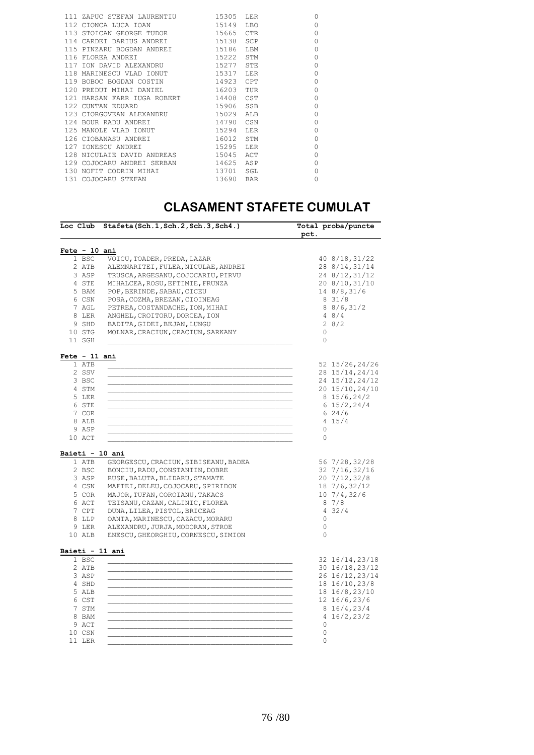|  | 111 ZAPUC STEFAN LAURENTIU        | 15305     | LER        | $\Omega$ |
|--|-----------------------------------|-----------|------------|----------|
|  | 112 CIONCA LUCA IOAN              | 15149     | <b>LBO</b> | $\Omega$ |
|  | 113 STOICAN GEORGE TUDOR          | 15665     | <b>CTR</b> | $\Omega$ |
|  | 114 CARDEI DARIUS ANDREI          | 15138 SCP |            | $\Omega$ |
|  | 115 PINZARU BOGDAN ANDREI 15186   |           | LBM        | $\Omega$ |
|  | 116 FLOREA ANDREI                 | 15222     | STM        | $\Omega$ |
|  | 117 ION DAVID ALEXANDRU           | 15277     | STE        | $\Omega$ |
|  | 118 MARINESCU VLAD IONUT          | 15317     | T.ER       | $\Omega$ |
|  | 119 BOBOC BOGDAN COSTIN 14923 CPT |           |            | $\Omega$ |
|  | 120 PREDUT MIHAI DANIEL           | 16203     | TUR        | $\Omega$ |
|  | 121 HARSAN FARR IUGA ROBERT 14408 |           | CST        | $\Omega$ |
|  | 122 CUNTAN EDUARD                 | 15906     | SSB        | $\Omega$ |
|  | 123 CIORGOVEAN ALEXANDRU          | 15029     | ALB        | $\Omega$ |
|  | 124 BOUR RADU ANDREI              | 14790     | CSN        | $\Omega$ |
|  | 125 MANOLE VLAD IONUT             | 15294     | LER        | $\Omega$ |
|  | 126 CIOBANASU ANDREI              | 16012     | STM        | $\Omega$ |
|  | 127 IONESCU ANDREI                | 15295     | LER        | $\Omega$ |
|  | 128 NICULAIE DAVID ANDREAS        | 15045     | ACT        | $\Omega$ |
|  | 129 COJOCARU ANDREI SERBAN        | 14625     | ASP        | $\Omega$ |
|  | 130 NOFIT CODRIN MIHAI            | 13701     | SGL        | $\Omega$ |
|  | 131 COJOCARU STEFAN               | 13690     | <b>BAR</b> | $\Omega$ |
|  |                                   |           |            |          |

## **CLASAMENT STAFETE CUMULAT**

|                 | Loc Club Stafeta(Sch.1, Sch.2, Sch.3, Sch4.) | Total proba/puncte<br>pct. |
|-----------------|----------------------------------------------|----------------------------|
| Fete - 10 ani   |                                              |                            |
| 1 BSC           | VOICU, TOADER, PREDA, LAZAR                  | 40 8/18, 31/22             |
| 2 ATB           | ALEMNARITEI, FULEA, NICULAE, ANDREI          | 28 8/14, 31/14             |
| 3 ASP           | TRUSCA, ARGESANU, COJOCARIU, PIRVU           | 24 8/12, 31/12             |
| 4 STE           | MIHALCEA, ROSU, EFTIMIE, FRUNZA              | 20 8/10, 31/10             |
| 5 BAM           | POP, BERINDE, SABAU, CICEU                   | 14 8/8, 31/6               |
| 6 CSN           | POSA, COZMA, BREZAN, CIOINEAG                | 831/8                      |
| 7 AGL           | PETREA, COSTANDACHE, ION, MIHAI              | 88/6, 31/2                 |
| 8 LER           | ANGHEL, CROITORU, DORCEA, ION                | 48/4                       |
| 9 SHD           | BADITA, GIDEI, BEJAN, LUNGU                  | 28/2                       |
| 10 STG          | MOLNAR, CRACIUN, CRACIUN, SARKANY            | $\circ$                    |
| 11 SGH          |                                              | $\circ$                    |
| Fete - 11 ani   |                                              |                            |
| 1 ATB           |                                              | 52 15/26, 24/26            |
| 2 SSV           |                                              | 28 15/14, 24/14            |
| 3 BSC           |                                              | 24 15/12, 24/12            |
| 4 STM           |                                              | 20 15/10, 24/10            |
| 5 LER           |                                              | 815/6, 24/2                |
| 6 STE           |                                              | $6\;15/2,24/4$             |
| 7 COR           |                                              | 624/6                      |
| 8 ALB           |                                              | 4 15/4                     |
| 9 ASP           |                                              | 0                          |
| 10 ACT          |                                              | $\circ$                    |
| Baieti - 10 ani |                                              |                            |
| 1 ATB           | GEORGESCU, CRACIUN, SIBISEANU, BADEA         | 56 7/28,32/28              |
| 2 BSC           | BONCIU, RADU, CONSTANTIN, DOBRE              | 32 7/16,32/16              |
| 3 ASP           | RUSE, BALUTA, BLIDARU, STAMATE               | 20 7/12,32/8               |
| 4 CSN           | MAFTEI, DELEU, COJOCARU, SPIRIDON            | 18 7/6,32/12               |
| 5 COR           | MAJOR, TUFAN, COROIANU, TAKACS               | 10 7/4,32/6                |
| 6 ACT           | TEISANU, CAZAN, CALINIC, FLOREA              | 87/8                       |
| 7 CPT           | DUNA, LILEA, PISTOL, BRICEAG                 | 432/4                      |
| 8 LLP           | OANTA, MARINESCU, CAZACU, MORARU             | $\mathbf{0}$               |
| 9 LER           | ALEXANDRU, JURJA, MODORAN, STROE             | 0                          |
| 10 ALB          | ENESCU, GHEORGHIU, CORNESCU, SIMION          | 0                          |
| Baieti - 11 ani |                                              |                            |
| 1 BSC           |                                              | 32 16/14, 23/18            |
| 2 ATB           |                                              | 30 16/18, 23/12            |
| 3 ASP           |                                              | 26 16/12, 23/14            |
| 4 SHD           |                                              | 18 16/10, 23/8             |
| 5 ALB           |                                              | 18 16/8,23/10              |
| 6 CST           |                                              | 12 16/6,23/6               |
| 7 STM           |                                              | 816/4, 23/4                |
| 8 BAM           |                                              | 4 16/2, 23/2               |
| 9 ACT           |                                              | $\circ$                    |
| 10 CSN          |                                              | $\circ$                    |
| 11 LER          |                                              | $\Omega$                   |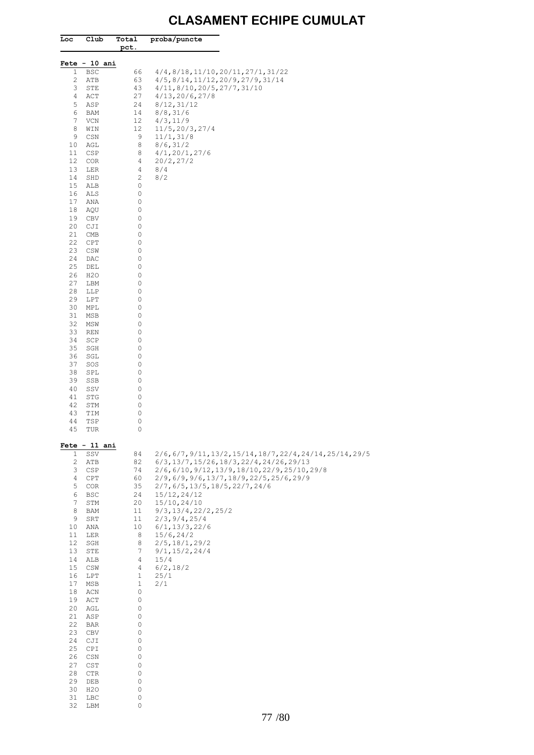## **CLASAMENT ECHIPE CUMULAT**

| Loc          | Club                    | Total<br>pct.                    | proba/puncte                                                                     |
|--------------|-------------------------|----------------------------------|----------------------------------------------------------------------------------|
|              | Fete - 10 ani           |                                  |                                                                                  |
| $\mathbf{1}$ | <b>BSC</b>              | 66                               | 4/4, 8/18, 11/10, 20/11, 27/1, 31/22                                             |
| 2<br>3       | ATB<br>STE              | 63<br>43                         | 4/5, 8/14, 11/12, 20/9, 27/9, 31/14<br>4/11, 8/10, 20/5, 27/7, 31/10             |
| 4            | ACT                     | 27                               | 4/13, 20/6, 27/8                                                                 |
| 5            | ASP                     | 24                               | 8/12, 31/12                                                                      |
| 6<br>7       | BAM<br>VCN              | 14<br>12                         | 8/8, 31/6<br>4/3, 11/9                                                           |
| 8            | WIN                     | 12                               | 11/5,20/3,27/4                                                                   |
| 9<br>10      | CSN<br>AGL              | 9<br>8                           | 11/1, 31/8<br>8/6, 31/2                                                          |
| 11           | CSP                     | 8                                | 4/1, 20/1, 27/6                                                                  |
| 12           | COR                     | 4                                | 20/2, 27/2                                                                       |
| 13<br>14     | LER<br>SHD              | $\overline{4}$<br>$\overline{c}$ | 8/4<br>8/2                                                                       |
| 15           | ALB                     | 0                                |                                                                                  |
| 16           | ALS                     | 0                                |                                                                                  |
| 17<br>18     | ANA<br>AQU              | 0<br>0                           |                                                                                  |
| 19           | CBV                     | 0                                |                                                                                  |
| 20           | CJI                     | 0                                |                                                                                  |
| 21<br>22     | CMB<br>CPT              | 0<br>0                           |                                                                                  |
| 23           | CSW                     | 0                                |                                                                                  |
| 24           | DAC                     | 0                                |                                                                                  |
| 25<br>26     | DEL<br>H <sub>2</sub> O | 0<br>0                           |                                                                                  |
| 27           | LBM                     | 0                                |                                                                                  |
| 28<br>29     | LLP<br>LPT              | 0<br>0                           |                                                                                  |
| 30           | MPL                     | 0                                |                                                                                  |
| 31           | MSB                     | 0                                |                                                                                  |
| 32<br>33     | MSW<br>REN              | 0<br>0                           |                                                                                  |
| 34           | SCP                     | 0                                |                                                                                  |
| 35           | SGH                     | 0<br>0                           |                                                                                  |
| 36<br>37     | SGL<br>SOS              | 0                                |                                                                                  |
| 38           | SPL                     | 0                                |                                                                                  |
| 39<br>40     | SSB<br>SSV              | 0<br>0                           |                                                                                  |
| 41           | STG                     | 0                                |                                                                                  |
| 42           | STM                     | 0                                |                                                                                  |
| 43<br>44     | TIM<br>TSP              | 0<br>0                           |                                                                                  |
| 45           | TUR                     | 0                                |                                                                                  |
| $\mathbf{1}$ | Fete - 11 ani<br>SSV    | 84                               | $2/6, 6/7, 9/11, 13/2, 15/14, 18/7, 22/4, 24/14, 25/14, 29/5$                    |
| 2            | ATB                     | 82                               | $6/3, 13/7, 15/26, 18/3, 22/4, 24/26, 29/13$                                     |
| 3<br>4       | CSP<br>CPT              | 74<br>60                         | 2/6,6/10,9/12,13/9,18/10,22/9,25/10,29/8<br>2/9,6/9,9/6,13/7,18/9,22/5,25/6,29/9 |
| 5            | COR                     | 35                               | 2/7, 6/5, 13/5, 18/5, 22/7, 24/6                                                 |
| 6<br>7       | BSC<br>STM              | 24<br>20                         | 15/12, 24/12<br>15/10,24/10                                                      |
| 8            | BAM                     | 11                               | 9/3, 13/4, 22/2, 25/2                                                            |
| 9            | SRT                     | 11                               | 2/3, 9/4, 25/4                                                                   |
| 10<br>11     | ANA<br>LER              | 10<br>8                          | 6/1, 13/3, 22/6<br>15/6, 24/2                                                    |
| 12           | SGH                     | 8                                | 2/5, 18/1, 29/2                                                                  |
| 13           | STE                     | 7                                | 9/1, 15/2, 24/4                                                                  |
| 14<br>15     | ALB<br>CSW              | 4<br>$\overline{4}$              | 15/4<br>6/2, 18/2                                                                |
| 16           | LPT                     | $\mathbf{1}$                     | 25/1                                                                             |
| 17           | MSB                     | $\mathbf 1$                      | 2/1                                                                              |
| 18<br>19     | ACN<br>ACT              | 0<br>0                           |                                                                                  |
| 20           | AGL                     | 0                                |                                                                                  |
| 21<br>22     | ASP<br>BAR              | 0<br>0                           |                                                                                  |
| 23           | CBV                     | 0                                |                                                                                  |
| 24           | CJI                     | 0                                |                                                                                  |
| 25<br>26     | CPI<br>CSN              | 0<br>0                           |                                                                                  |
| 27           | CST                     | 0                                |                                                                                  |
| 28<br>29     | $_{\rm CTR}$<br>DEB     | 0<br>0                           |                                                                                  |
| 30           | H <sub>2</sub> O        | 0                                |                                                                                  |
| 31           | LBC                     | 0                                |                                                                                  |
| 32           | LBM                     | 0                                |                                                                                  |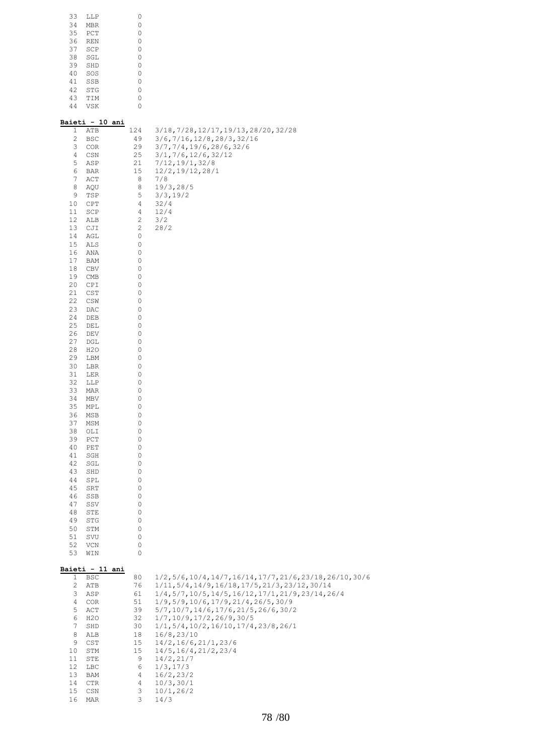| 33 | LLP        |   |
|----|------------|---|
| 34 | <b>MBR</b> | 0 |
| 35 | PCT        | 0 |
| 36 | <b>REN</b> | 0 |
| 37 | SCP        | 0 |
| 38 | SGL        | 0 |
| 39 | SHD        | 0 |
| 40 | SOS        | 0 |
| 41 | SSB        | 0 |
| 42 | <b>STG</b> | 0 |
| 43 | TIM        | 0 |
| 44 | <b>VSK</b> |   |
|    |            |   |

## **Baieti - 10 ani**

| 1<br>2           | ATB<br>BSC                            | 124<br>49    | 3/18, 7/28, 12/17, 19/13, 28/20, 32/28<br>3/6,7/16,12/8,28/3,32/16            |
|------------------|---------------------------------------|--------------|-------------------------------------------------------------------------------|
| 3                | COR                                   | 29           | 3/7, 7/4, 19/6, 28/6, 32/6                                                    |
| 4                | CSN                                   | 25           | 3/1, 7/6, 12/6, 32/12                                                         |
| 5<br>6           | ASP<br>BAR                            | 21<br>15     | 7/12, 19/1, 32/8<br>12/2, 19/12, 28/1                                         |
| 7                | ACT                                   | 8            | 7/8                                                                           |
| 8                | AQU                                   | 8            | 19/3, 28/5                                                                    |
| 9<br>10          | TSP<br>CPT                            | 5<br>4       | 3/3, 19/2<br>32/4                                                             |
| 11               | SCP                                   | 4            | 12/4                                                                          |
| 12               | ALB                                   | $\mathbf{2}$ | 3/2                                                                           |
| 13               | CJI                                   | 2            | 28/2                                                                          |
| 14<br>15         | AGL<br>ALS                            | 0<br>0       |                                                                               |
| 16               | ANA                                   | 0            |                                                                               |
| 17               | BAM                                   | 0            |                                                                               |
| 18               | CBV                                   | 0            |                                                                               |
| 19<br>20         | CMB<br>CPI                            | 0<br>0       |                                                                               |
| 21               | CST                                   | 0            |                                                                               |
| 22               | CSW                                   | 0            |                                                                               |
| 23<br>24         | DAC<br>DEB                            | 0<br>0       |                                                                               |
| 25               | DEL                                   | 0            |                                                                               |
| 26               | DEV                                   | 0            |                                                                               |
| 27               | DGL                                   | 0            |                                                                               |
| 28<br>29         | H <sub>2</sub> O<br>LBM               | 0<br>0       |                                                                               |
| 30               | LBR                                   | 0            |                                                                               |
| 31               | LER                                   | 0            |                                                                               |
| 32               | LLP                                   | 0            |                                                                               |
| 33<br>34         | MAR<br>MBV                            | 0<br>0       |                                                                               |
| 35               | MPL                                   | 0            |                                                                               |
| 36               | MSB                                   | 0            |                                                                               |
| 37               | MSM                                   | 0<br>0       |                                                                               |
| 38<br>39         | OLI<br>PCT                            | 0            |                                                                               |
| 40               | PET                                   | 0            |                                                                               |
| 41               | SGH                                   | 0            |                                                                               |
| 42<br>43         | SGL<br>SHD                            | 0<br>0       |                                                                               |
| 44               | SPL                                   | 0            |                                                                               |
| 45               | SRT                                   | 0            |                                                                               |
| 46               | SSB                                   | 0            |                                                                               |
| 47<br>48         | SSV<br>STE                            | 0<br>0       |                                                                               |
| 49               | STG                                   | 0            |                                                                               |
| 50               | $\operatorname{STM}$                  | 0            |                                                                               |
| 51<br>52         | SVU<br>VCN                            | 0<br>0       |                                                                               |
| 53               | WIN                                   | 0            |                                                                               |
|                  |                                       |              |                                                                               |
| 1                | <u> Baieti - 11 ani</u><br><b>BSC</b> | 80           | 1/2,5/6,10/4,14/7,16/14,17/7,21/6,23/18,26/10,30/6                            |
| 2                | ATB                                   | 76           | 1/11, 5/4, 14/9, 16/18, 17/5, 21/3, 23/12, 30/14                              |
| 3                | ASP                                   | 61           | 1/4, 5/7, 10/5, 14/5, 16/12, 17/1, 21/9, 23/14, 26/4                          |
| 4                | COR                                   | 51<br>39     | 1/9,5/9,10/6,17/9,21/4,26/5,30/9<br>$5/7, 10/7, 14/6, 17/6, 21/5, 26/6, 30/2$ |
| 5<br>6           | ACT<br>H <sub>2</sub> O               | 32           | 1/7, 10/9, 17/2, 26/9, 30/5                                                   |
| $\boldsymbol{7}$ | SHD                                   | 30           | $1/1, 5/4, 10/2, 16/10, 17/4, 23/8, 26/1$                                     |
| 8                | ALB                                   | 18           | 16/8,23/10                                                                    |
| 9<br>10          | CST<br>STM                            | 15<br>15     | 14/2, 16/6, 21/1, 23/6<br>14/5, 16/4, 21/2, 23/4                              |
| 11               | STE                                   | 9            | 14/2, 21/7                                                                    |
| 12               | LBC                                   | 6            | 1/3, 17/3                                                                     |
| 13               | BAM                                   | 4            | 16/2, 23/2<br>10/3, 30/1                                                      |
| 14<br>15         | <b>CTR</b><br>CSN                     | 4<br>3       | 10/1, 26/2                                                                    |
| 16               | MAR                                   | 3            | 14/3                                                                          |
|                  |                                       |              |                                                                               |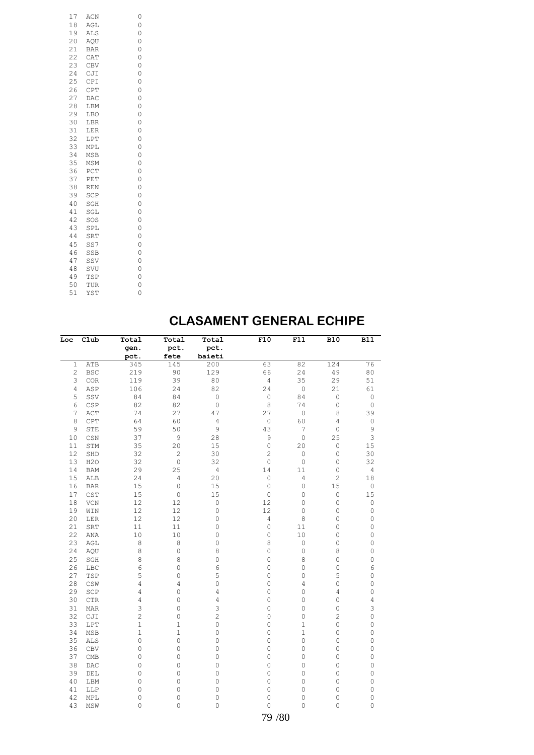| 17 | ACN        | 0 |
|----|------------|---|
| 18 | AGL        | 0 |
| 19 | <b>ALS</b> | 0 |
| 20 | AQU        | 0 |
| 21 | <b>BAR</b> | 0 |
| 22 | CAT        | 0 |
| 23 | CBV        | 0 |
| 24 | CJI        | 0 |
| 25 | CPI        | 0 |
| 26 | CPT        | 0 |
| 27 | DAC        | 0 |
| 28 | LBM        | 0 |
| 29 | LBO        | 0 |
| 30 | LBR        | 0 |
| 31 | LER        | 0 |
| 32 | LPT        | 0 |
| 33 | MPL        | 0 |
| 34 | MSB        | 0 |
| 35 | MSM        | 0 |
| 36 | PCT        | 0 |
| 37 | PET        | 0 |
| 38 | <b>REN</b> | 0 |
| 39 | SCP        | 0 |
| 40 | SGH        | 0 |
| 41 | SGL        | 0 |
| 42 | SOS        | 0 |
| 43 | SPL        | 0 |
| 44 | SRT        | 0 |
| 45 | SS7        | 0 |
| 46 | SSB        | 0 |
| 47 | SSV        | 0 |
| 48 | SVU        | 0 |
| 49 | TSP        | 0 |
| 50 | TUR        | 0 |
| 51 | YST        | 0 |
|    |            |   |

## **CLASAMENT GENERAL ECHIPE**

| Loc            | C1ub                          | Total                  | Total               | Total          | F10                | F11            | <b>B10</b>     | <b>B11</b>          |
|----------------|-------------------------------|------------------------|---------------------|----------------|--------------------|----------------|----------------|---------------------|
|                |                               | gen.                   | pct.                | pct.           |                    |                |                |                     |
|                |                               | pct.                   | fete                | baieti         |                    |                |                |                     |
| $\mathbf{1}$   | ATB                           | 345                    | 145                 | 200            | 63                 | 82             | 124            | 76                  |
| $\overline{c}$ | <b>BSC</b>                    | 219                    | 90                  | 129            | 66                 | 24             | 49             | $80\,$              |
| 3              | COR                           | 119                    | 39                  | 80             | $\sqrt{4}$         | 35             | 29             | 51                  |
| $\sqrt{4}$     | ASP                           | 106                    | 24                  | 82             | 24                 | $\mathsf O$    | 21             | 61                  |
| 5              | SSV                           | 84                     | 84                  | $\mathbb O$    | 0                  | 84             | 0              | $\mathbb O$         |
| 6              | CSP                           | 82                     | 82                  | $\circ$        | 8                  | 74             | $\circ$        | $\mathsf O$         |
| 7              | ACT                           | 74                     | 27                  | 47             | 27                 | $\circ$        | 8              | 39                  |
| 8              | CPT                           | 64                     | 60                  | $\sqrt{4}$     | $\mathsf O$        | 60             | 4              | $\mathsf{O}\xspace$ |
| 9              | STE                           | 59                     | 50                  | 9              | 43                 | 7              | 0              | 9                   |
| $10$           | $_{\tt CSN}$                  | 37                     | 9                   | 28             | 9                  | $\circ$        | 25             | 3                   |
| 11             | STM                           | 35                     | 20                  | 15             | $\mathsf O$        | 20             | 0              | 15                  |
| 12             | SHD                           | 32                     | $\overline{c}$      | 30             | $\overline{c}$     | $\mathbb O$    | 0              | 30                  |
| 13             | H2O                           | 32                     | $\mathbb O$         | 32             | $\circ$            | $\mathbb O$    | $\circ$        | 32                  |
| 14             | <b>BAM</b>                    | 29                     | 25                  | $\sqrt{4}$     | 14                 | $1\,1$         | 0              | $\sqrt{4}$          |
| 15             | ALB                           | 24                     | $\overline{4}$      | 20             | $\circ$            | $\overline{4}$ | $\overline{c}$ | 18                  |
| 16             | <b>BAR</b>                    | 15                     | $\mathbf 0$         | 15             | $\circ$            | $\mathbb O$    | 15             | $\mathbb O$         |
| 17             | <b>CST</b>                    | 15                     | $\mathsf{O}\xspace$ | 15             | $\circ$            | 0              | $\circ$        | 15                  |
| 18             | VCN                           | 12                     | 12                  | $\circ$        | 12                 | 0              | $\circ$        | 0                   |
| 19             | WIN                           | 12                     | 12                  | $\circ$        | 12                 | 0              | $\circ$        | 0                   |
| 20             | LER                           | 12                     | 12                  | $\circ$        | 4                  | 8              | $\circ$        | 0                   |
| 21             | SRT                           | 11                     | 11                  | $\circ$        | $\circ$            | 11             | $\circ$        | 0                   |
| 22             | ANA                           | 10                     | 10                  | $\circ$        | $\circ$            | 10             | 0              | 0                   |
| 23             | AGL                           | 8                      | 8                   | $\circ$        | 8                  | $\mathsf O$    | $\circ$        | 0                   |
| 24             | AQU                           | 8                      | $\mathsf{O}\xspace$ | 8              | 0                  | 0              | 8              | 0                   |
| 25             | SGH                           | 8                      | 8                   | $\circ$        | 0                  | 8              | 0              | 0                   |
| 26             | LBC                           | 6                      | 0                   | 6              | 0                  | $\overline{0}$ | $\circ$        | 6                   |
| 27             | TSP                           | 5                      | $\mathbf 0$         | 5              | $\circ$            | 0              | 5              | 0                   |
| 28             | CSW                           | $\overline{4}$         | 4                   | $\circ$        | $\circ$            | 4              | $\circ$        | 0                   |
| 29             | SCP                           | 4                      | 0                   | 4              | 0                  | 0              | 4              | 0                   |
| 30             | $_{\rm CTR}$                  | 4                      | $\mathsf{O}\xspace$ | $\overline{4}$ | $\circ$            | 0              | $\circ$        | 4                   |
| 31             | <b>MAR</b>                    | 3                      | 0                   | 3              | $\circ$            | 0              | $\circ$        | 3                   |
| 32             | CJI                           | $\overline{c}$         | $\circ$             | $\overline{c}$ | $\mathbf 0$        | $\overline{0}$ | $\overline{c}$ | 0                   |
| 33             | LPT                           | $\mathbf{1}$           | $\mathbf 1$         | $\circ$        | 0                  | $\mathbf 1$    | $\circ$        | 0                   |
| 34             | <b>MSB</b>                    | $\mathbf{1}$           | $\mathbf 1$         | $\circ$        | $\circ$            | $\mathbf 1$    | 0              | 0                   |
| 35             | <b>ALS</b>                    | $\circ$                | $\mathbf 0$         | $\circ$        | $\circ$            | 0              | $\circ$        | 0                   |
| 36             | <b>CBV</b>                    | 0                      | 0                   | $\circ$        | 0                  | 0              | $\circ$        | 0                   |
| 37             | CMB                           | $\circ$                | $\mathsf{O}\xspace$ | $\circ$        | $\circ$            | 0              | $\circ$        | 0                   |
|                |                               |                        |                     |                |                    |                |                |                     |
| 38             | DAC                           | $\circ$<br>$\mathbf 0$ | 0                   | $\circ$        | $\circ$<br>$\circ$ | 0              | $\circ$<br>0   | 0<br>0              |
| 39             | $\rm{DEL}$                    |                        | $\mathsf{O}\xspace$ | $\circ$        |                    | 0              |                |                     |
| 40             | LBM                           | 0                      | $\mathsf{O}\xspace$ | $\circ$        | $\circ$            | 0              | 0              | 0                   |
| 41             | LLP                           | 0                      | $\mathbf 0$         | $\circ$        | $\circ$            | $\circ$        | 0              | 0                   |
| 42             | MPL                           | $\circ$                | $\mathbb O$         | $\mathsf O$    | $\circ$            | 0              | 0              | 0                   |
| 43             | $\operatorname{\mathsf{MSW}}$ | 0                      | 0                   | $\circ$        | $\Omega$           | $\circ$        | $\overline{0}$ | 0                   |
|                |                               |                        |                     |                | 79 / 80            |                |                |                     |